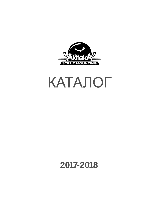

# КАТАЛОГ

# **2017-2018**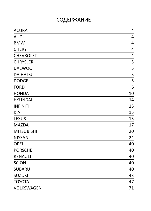# СОДЕРЖАНИЕ

| <b>ACURA</b>      | 4              |
|-------------------|----------------|
| <b>AUDI</b>       | $\overline{4}$ |
| <b>BMW</b>        | 4              |
| <b>CHERY</b>      | 4              |
| <b>CHEVROLET</b>  | 4              |
| <b>CHRYSLER</b>   | 5              |
| <b>DAEWOO</b>     | 5              |
| <b>DAIHATSU</b>   | 5              |
| <b>DODGE</b>      | 5              |
| <b>FORD</b>       | 6              |
| <b>HONDA</b>      | 10             |
| <b>HYUNDAI</b>    | 14             |
| <b>INFINITI</b>   | 15             |
| <b>KIA</b>        | 15             |
| <b>LEXUS</b>      | 15             |
| <b>MAZDA</b>      | 17             |
| <b>MITSUBISHI</b> | 20             |
| <b>NISSAN</b>     | 24             |
| <b>OPEL</b>       | 40             |
| <b>PORSCHE</b>    | 40             |
| <b>RENAULT</b>    | 40             |
| <b>SCION</b>      | 40             |
| <b>SUBARU</b>     | 40             |
| <b>SUZUKI</b>     | 43             |
| <b>TOYOTA</b>     | 47             |
| <b>VOLKSWAGEN</b> | 71             |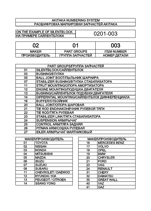# AKITAKA NUMBERING SYSTEM<br>PACШИФРОВКА МАРКИРОВКИ ЗАПЧАСТЕЙ АКІТАКА

| ION THE EXAMPLE OF SILENTBLOCK | 0201-003 |
|--------------------------------|----------|
| <b>НА ПРИМЕРЕ САЙЛЕНТБЛОКА</b> |          |
|                                |          |

| በጋ                   |                    | 003                |
|----------------------|--------------------|--------------------|
| <b>MAKER</b>         | <b>PART GROUPS</b> | <b>ITEM NUMBER</b> |
| <b>ПРОИЗВОДИТЕЛЬ</b> | ГРУППА ЗАПЧАСТЕЙ   | НОМЕР ДЕТАЛИ       |

|    | PART GROUPS/ГРУППА ЗАПЧАСТЕЙ                   |
|----|------------------------------------------------|
| 01 | SILENTBLOCK/САЙЛЕНТБЛОК                        |
| 03 | <b>BUSHING/BTYJIKA</b>                         |
| 05 | <b>BALL JOINT BOOT/ПЫЛЬНИК ШАРНИРА</b>         |
| 07 | STABILIZER BUSHING/BTYЛКА СТАБИЛИЗАТОРА        |
| 11 | STRUT MOUNTING/ONOPA AMOPTI 3ATOPA             |
| 12 | <b>ENGINE MOUNTING/ПОДУШКА ДВИГАТЕЛЯ</b>       |
| 13 | <b>BUSHING/САЙЛЕНТБЛОК ПОДУШКИ ДВИГАТЕЛЯ</b>   |
| 14 | DIFFERNTIAL MOUNTING/САЙЛЕНТБЛОК ДИФФЕРЕНЦИАЛА |
| 16 | <b>BUFFER/OTБОЙНИК</b>                         |
| 20 | <b>BALL JOINT/ОПОРА ШАРОВАЯ</b>                |
| 21 | TIE ROD END/НАКОНЕЧНИК РУЛЕВОЙ ТЯГИ            |
| 22 | ТІЕ КОД/ТЯГА РУЛЕВАЯ                           |
| 23 | STABILIZER LINK/ТЯГА СТАБИЛИЗАТОРА             |
| 24 | <b>SUSPENSION ARM/PHIYAT</b>                   |
| 25 | <b>CONTROL ARM/TЯГА ЗАДНЯЯ</b>                 |
| 26 | <b>PITMAN ARM/COШКА РУЛЕВАЯ</b>                |
| 27 | <b>IDLER ARM/PЫЧАГ МАЯТНИКОВЫЙ</b>             |

| <b>МАКЕR/ПРОИЗВОДИТЕЛЬ</b> |                           |  |  |  |  |
|----------------------------|---------------------------|--|--|--|--|
| 01                         | <b>TOYOTA</b>             |  |  |  |  |
| 02                         | <b>NISSAN</b>             |  |  |  |  |
| 03                         | <b>HONDA</b>              |  |  |  |  |
| 04                         | <b>MITSUBISHI</b>         |  |  |  |  |
| 05                         | <b>MAZDA</b>              |  |  |  |  |
| 06                         | <b>ISUZU</b>              |  |  |  |  |
| 07                         | <b>SUZUKI</b>             |  |  |  |  |
| 08                         | <b>SUBARU</b>             |  |  |  |  |
| 11                         | <b>CHEVROLET / DAEWOO</b> |  |  |  |  |
| 12                         | <b>HYUNDAI / KIA</b>      |  |  |  |  |
| 13                         | <b>PEUGEOT / CITROEN</b>  |  |  |  |  |
| 14                         | <b>SSANG YONG</b>         |  |  |  |  |

| <b>МАКЕR/ПРОИЗВОДИТЕЛЬ</b> |                      |  |  |  |
|----------------------------|----------------------|--|--|--|
| 16                         | <b>MERCEDES BENZ</b> |  |  |  |
| 17                         | <b>VOLVO</b>         |  |  |  |
| 18                         | <b>OPEL</b>          |  |  |  |
| 19                         | <b>BMW</b>           |  |  |  |
| 20                         | <b>CHRYSLER</b>      |  |  |  |
| 21                         | <b>FORD</b>          |  |  |  |
| 23                         | <b>VAG</b>           |  |  |  |
| 24                         | <b>RENAULT</b>       |  |  |  |
| 31                         | <b>CHERY</b>         |  |  |  |
| 32                         | <b>DAIHATSU</b>      |  |  |  |
| 35                         | <b>GREAT WALL</b>    |  |  |  |
| 40                         | <b>VAZ</b>           |  |  |  |
| 41                         | <b>GAZ</b>           |  |  |  |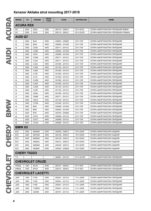|                 | cc                 | <b>ENGINE</b>            | <b>DRIVE</b><br><b>TYPE</b> | <b>YEAR</b>                        | <b>AKITAKA NO</b>        | <b>NAME</b>                                                |
|-----------------|--------------------|--------------------------|-----------------------------|------------------------------------|--------------------------|------------------------------------------------------------|
|                 | <b>ACURA RSX</b>   |                          |                             |                                    |                          |                                                            |
| DC              | 2000               | <b>K20A</b>              | 2WD                         | 200110 - 200612                    | 0311-EUFL                | ОПОРА АМОРТИЗАТОРА ПЕРЕДНЯЯ ЛЕВАЯ                          |
| DC              | 2000               | <b>K20A</b>              | 2WD                         | 200110 - 200612                    | 0311-EUFR                | ОПОРА АМОРТИЗАТОРА ПЕРЕДНЯЯ ПРАВАЯ                         |
| <b>AUDI Q7</b>  |                    |                          |                             |                                    |                          |                                                            |
| 4L              | 3000               | <b>BUG</b>               | 4WD                         | 200603 - 200805                    | 2311-TGF                 | ОПОРА АМОРТИЗАТОРА ПЕРЕДНЯЯ                                |
| 4L              | 3000               | <b>BUN</b>               | 4WD                         | 200603 - 201005                    | 2311-TGF                 | ОПОРА АМОРТИЗАТОРА ПЕРЕДНЯЯ                                |
| 4L              | 3000               | CASA                     | 4WD                         | 200711 - 201512                    | 2311-TGF                 | ОПОРА АМОРТИЗАТОРА ПЕРЕДНЯЯ                                |
| 4L              | 3000               | CASB                     | 4WD                         | 200603 - 201005                    | 2311-TGF                 | ОПОРА АМОРТИЗАТОРА ПЕРЕДНЯЯ                                |
| 4L              | 3000               | <b>CATA</b>              | 4WD                         | 200906 - 201205                    | 2311-TGF                 | ОПОРА АМОРТИЗАТОРА ПЕРЕДНЯЯ                                |
| 4L              | 3000               | <b>CCMA</b>              | 4WD                         | 200711 - 201512                    | 2311-TGF                 | ОПОРА АМОРТИЗАТОРА ПЕРЕДНЯЯ                                |
| 4L              | 3000               | <b>CJGA</b>              | 4WD                         | 200711 - 201512                    | 2311-TGF                 | ОПОРА АМОРТИЗАТОРА ПЕРЕДНЯЯ                                |
| 4L              | 3000               | <b>CJGC</b>              | 4WD                         | 201005 - 201512                    | 2311-TGF                 | ОПОРА АМОРТИЗАТОРА ПЕРЕДНЯЯ                                |
| 4L              | 3000               | <b>CJGD</b>              | 4WD                         | 201105 - 201512                    | 2311-TGF                 | ОПОРА АМОРТИЗАТОРА ПЕРЕДНЯЯ                                |
| 4L              | 3000               | <b>CJMA</b>              | 4WD                         | 201005 - 201512                    | 2311-TGF                 | ОПОРА АМОРТИЗАТОРА ПЕРЕДНЯЯ                                |
| 4L              | 3000               | <b>CJTB</b>              | 4WD                         | 201005 - 201512                    | 2311-TGF                 | ОПОРА АМОРТИЗАТОРА ПЕРЕДНЯЯ                                |
| 4L              | 3000               | <b>CJTC</b>              | 4WD                         | 201005 - 201512                    | 2311-TGF                 | ОПОРА АМОРТИЗАТОРА ПЕРЕДНЯЯ                                |
| 4L              | 3000               | <b>CJWB</b>              | 4WD                         | 201005 - 201512                    | 2311-TGF                 | ОПОРА АМОРТИЗАТОРА ПЕРЕДНЯЯ                                |
| 4L              | 3000               | <b>CJWC</b>              | 4WD                         | 201005 - 201512                    | 2311-TGF                 | ОПОРА АМОРТИЗАТОРА ПЕРЕДНЯЯ                                |
| 4L              | 3000               | CJWE                     | 4WD                         | 201105 - 201512                    | 2311-TGF                 | ОПОРА АМОРТИЗАТОРА ПЕРЕДНЯЯ                                |
| 4L              | 3000               | <b>CLZB</b>              | 4WD                         | 201105 - 201512                    | 2311-TGF                 | ОПОРА АМОРТИЗАТОРА ПЕРЕДНЯЯ                                |
| 4L              | 3000               | <b>CNAA</b>              | 4WD                         | 201005 - 201512                    | 2311-TGF                 | ОПОРА АМОРТИЗАТОРА ПЕРЕДНЯЯ                                |
| 4L              | 3000               | <b>CNRB</b>              | 4WD                         | 200711 - 201512                    | 2311-TGF                 | ОПОРА АМОРТИЗАТОРА ПЕРЕДНЯЯ                                |
| 4L              | 3000               | CRCZ                     | 4WD                         | 201105 - 201512                    | 2311-TGF                 | ОПОРА АМОРТИЗАТОРА ПЕРЕДНЯЯ                                |
| 4L              | 3000               | <b>CTWA</b>              | 4WD                         | 201005 - 201512                    | 2311-TGF                 | ОПОРА АМОРТИЗАТОРА ПЕРЕДНЯЯ                                |
| 4L              | 3600               | <b>BHK</b>               | 4WD                         | 200608 - 201005                    | 2311-TGF                 | ОПОРА АМОРТИЗАТОРА ПЕРЕДНЯЯ                                |
| 4L              | 4200               | <b>BAR</b>               | 4WD                         | 200603 - 201005                    | 2311-TGF                 | ОПОРА АМОРТИЗАТОРА ПЕРЕДНЯЯ                                |
| 4L              | 4200               | <b>BTR</b>               | 4WD                         | 200703 - 200906                    | 2311-TGF                 | ОПОРА АМОРТИЗАТОРА ПЕРЕДНЯЯ                                |
| 4L              | 4200               | <b>CCFA</b>              | 4WD                         | 200905 - 201512                    | 2311-TGF                 | ОПОРА АМОРТИЗАТОРА ПЕРЕДНЯЯ                                |
| 4L              | 4200               | <b>CCFC</b>              | 4WD                         | 200905 - 201512                    | 2311-TGF                 | ОПОРА АМОРТИЗАТОРА ПЕРЕДНЯЯ                                |
| 4L              | 6000               | <b>CCGA</b>              | 4WD                         | 200809 - 201512                    | 2311-TGF                 | ОПОРА АМОРТИЗАТОРА ПЕРЕДНЯЯ                                |
| <b>BMW X5</b>   |                    |                          |                             |                                    |                          |                                                            |
|                 |                    |                          |                             |                                    |                          |                                                            |
| E53             | 3000               | M54B30                   | 4WD                         | 200005 - 200612                    | 1911-E53R                | ОПОРА АМОРТИЗАТОРА ЗАДНЯЯ                                  |
| E53             | 3000               | M57D30                   | 4WD                         | 200105 - 200612                    | 1911-E53R                | ОПОРА АМОРТИЗАТОРА ЗАДНЯЯ                                  |
| E53             | 4400               | M62B44                   | 4WD                         | 200105 - 200312                    | 1911-E53R                | ОПОРА АМОРТИЗАТОРА ЗАДНЯЯ                                  |
| E53             | 4400               | N62B44                   | 4WD                         | 200312 - 200612                    | 1911-E53R                | ОПОРА АМОРТИЗАТОРА ЗАДНЯЯ                                  |
| E53             | 4600               | M62B46                   | 4WD                         | 200202 - 200312                    | 1911-E53R                | ОПОРА АМОРТИЗАТОРА ЗАДНЯЯ                                  |
| E53             | 4800               | N62B48                   | 4WD                         | 200404 - 200609                    | 1911-E53R                | ОПОРА АМОРТИЗАТОРА ЗАДНЯЯ                                  |
|                 | <b>CHERY TIGGO</b> |                          |                             |                                    |                          |                                                            |
| T <sub>11</sub> |                    |                          |                             | 200601 - 201312                    | 0111-ACA2F               | ОПОРА АМОРТИЗАТОРА ПЕРЕДНЯЯ                                |
|                 |                    | <b>CHEVROLET CRUZE</b>   |                             |                                    |                          |                                                            |
| <b>HR52S</b>    | 1300               | M <sub>13</sub> A        | 4WD                         | 200101 - 200812                    | 0711-RCF                 | ОПОРА АМОРТИЗАТОРА ПЕРЕДНЯЯ                                |
| <b>HR82S</b>    | 1500               | <b>M15A</b>              | 4WD                         | 200101 - 200812                    | 0711-RCF                 | ОПОРА АМОРТИЗАТОРА ПЕРЕДНЯЯ                                |
|                 |                    | <b>CHEVROLET LACETTI</b> |                             |                                    |                          |                                                            |
| J200            | 1400               | F14D                     | 2WD                         | 200401 - 201312                    | 1111-J200F               | ОПОРА АМОРТИЗАТОРА ПЕРЕДНЯЯ                                |
| J200            | 1600               | F16D                     | 2WD                         | 200401 - 201312                    | 1111-J200F               | ОПОРА АМОРТИЗАТОРА ПЕРЕДНЯЯ                                |
|                 |                    |                          |                             |                                    |                          |                                                            |
| J200<br>J200    | 1800<br>1800       | F18D<br>T18SED           | 2WD<br>2WD                  | 200401 - 201312<br>200401 - 201312 | 1111-J200F<br>1111-J200F | ОПОРА АМОРТИЗАТОРА ПЕРЕДНЯЯ<br>ОПОРА АМОРТИЗАТОРА ПЕРЕДНЯЯ |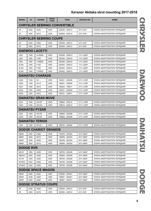| <b>MODEL</b>                        | cc   | <b>ENGINE</b>                | <b>DRIVE</b><br><b>TYPE</b> | <b>YEAR</b>     | <b>AKITAKA NO</b> | <b>NAME</b>                 |  |  |  |
|-------------------------------------|------|------------------------------|-----------------------------|-----------------|-------------------|-----------------------------|--|--|--|
| <b>CHRYSLER SEBRING CONVERTIBLE</b> |      |                              |                             |                 |                   |                             |  |  |  |
| JR                                  | 2400 | 4G64                         | 2WD                         | 200009 - 200512 | 0411-EAF          | ОПОРА АМОРТИЗАТОРА ПЕРЕДНЯЯ |  |  |  |
| JR                                  | 3000 | 6G72                         | 2WD                         | 200009 - 200512 | 0411-EAF          | ОПОРА АМОРТИЗАТОРА ПЕРЕДНЯЯ |  |  |  |
| <b>CHRYSLER SEBRING COUPE</b>       |      |                              |                             |                 |                   |                             |  |  |  |
| JR                                  | 2400 | 4G64                         | 2WD                         | 200009 - 200512 | 0411-EAF          | ОПОРА АМОРТИЗАТОРА ПЕРЕДНЯЯ |  |  |  |
| JR                                  | 3000 | 6G72                         | 2WD                         | 200009 - 200512 | 0411-EAF          | ОПОРА АМОРТИЗАТОРА ПЕРЕДНЯЯ |  |  |  |
| <b>DAEWOO LACETTI</b>               |      |                              |                             |                 |                   |                             |  |  |  |
| J200                                | 1500 | A15SMS                       | 2WD                         | 200308 - 200912 | 1111-J200F        | ОПОРА АМОРТИЗАТОРА ПЕРЕДНЯЯ |  |  |  |
| J200                                | 1800 | F18D                         | 2WD                         | 200308 - 200912 | 1111-J200F        | ОПОРА АМОРТИЗАТОРА ПЕРЕДНЯЯ |  |  |  |
| J200                                | 1800 | T18SED                       | 2WD                         | 200206 - 200912 | 1111-J200F        | ОПОРА АМОРТИЗАТОРА ПЕРЕДНЯЯ |  |  |  |
| <b>KLAN</b>                         | 1400 | F14D                         | 2WD                         | 200402 - 200912 | 1111-J200F        | ОПОРА АМОРТИЗАТОРА ПЕРЕДНЯЯ |  |  |  |
| <b>KLAN</b>                         | 1600 | F16D                         | 2WD                         | 200402 - 200912 | 1111-J200F        | ОПОРА АМОРТИЗАТОРА ПЕРЕДНЯЯ |  |  |  |
| <b>KLAN</b>                         | 1800 | T18SED                       | 2WD                         | 200402 - 200912 | 1111-J200F        | ОПОРА АМОРТИЗАТОРА ПЕРЕДНЯЯ |  |  |  |
|                                     |      | <b>DAIHATSU CHARADE</b>      |                             |                 |                   |                             |  |  |  |
| G200                                | 1300 | HC                           | 2WD                         | 199301 - 200009 | 0111-J100F        | ОПОРА АМОРТИЗАТОРА ПЕРЕДНЯЯ |  |  |  |
| G200                                | 1300 | HC-E                         | 2WD                         | 199301 - 200009 | 0111-J100F        | ОПОРА АМОРТИЗАТОРА ПЕРЕДНЯЯ |  |  |  |
| G201                                | 1600 | HD-E                         | 2WD                         | 199303 - 199911 | 0111-J100F        | ОПОРА АМОРТИЗАТОРА ПЕРЕДНЯЯ |  |  |  |
| G202                                | 1000 | CB24                         | 2WD                         | 199301 - 200009 | 0111-J100F        | ОПОРА АМОРТИЗАТОРА ПЕРЕДНЯЯ |  |  |  |
| G203                                | 1500 | HE-E                         | 2WD                         | 199701 - 199911 | 0111-J100F        | ОПОРА АМОРТИЗАТОРА ПЕРЕДНЯЯ |  |  |  |
|                                     |      | <b>DAIHATSU GRAN MOVE</b>    |                             |                 |                   |                             |  |  |  |
| G301                                | 1600 | HD-EP                        | 2WD                         | 199805 - 200212 | 0111-J100F        | ОПОРА АМОРТИЗАТОРА ПЕРЕДНЯЯ |  |  |  |
| G303                                | 1500 | HE-EG                        | 2WD                         | 199610 - 200212 | 0111-J100F        | ОПОРА АМОРТИЗАТОРА ПЕРЕДНЯЯ |  |  |  |
|                                     |      | <b>DAIHATSU PYZAR</b>        |                             |                 |                   |                             |  |  |  |
| G301                                | 1600 | HD-EP                        | 2WD                         | 199608 - 200208 | 0111-J100F        | ОПОРА АМОРТИЗАТОРА ПЕРЕДНЯЯ |  |  |  |
| G303                                | 1500 | HE-EG                        | 2WD                         | 199608 - 200208 | 0111-J100F        | ОПОРА АМОРТИЗАТОРА ПЕРЕДНЯЯ |  |  |  |
|                                     |      | <b>DAIHATSU TERIOS</b>       |                             |                 |                   |                             |  |  |  |
| J100                                | 1300 | $ $ HC-EJ                    | 4WD                         | 199704 - 200004 | 0111-J100F        | ОПОРА АМОРТИЗАТОРА ПЕРЕДНЯЯ |  |  |  |
|                                     |      | <b>DODGE CHARIOT GRANDIS</b> |                             |                 |                   |                             |  |  |  |
| <b>N84W</b>                         | 2400 | 4G64                         | 2WD                         | 199708 - 200304 | 0411-N84F         | ОПОРА АМОРТИЗАТОРА ПЕРЕДНЯЯ |  |  |  |
| <b>N86W</b>                         | 3000 | 6G72                         | 2WD                         | 199908 - 200204 | 0411-N84F         | ОПОРА АМОРТИЗАТОРА ПЕРЕДНЯЯ |  |  |  |
| <b>N94W</b>                         | 2400 | 4G64                         | 4WD                         | 199708 - 200304 | 0411-N84F         | ОПОРА АМОРТИЗАТОРА ПЕРЕДНЯЯ |  |  |  |
| N96W                                | 3000 | 6G72                         | 4WD                         | 199908 - 200204 | 0411-N84F         | ОПОРА АМОРТИЗАТОРА ПЕРЕДНЯЯ |  |  |  |
| <b>DODGE RVR</b>                    |      |                              |                             |                 |                   |                             |  |  |  |
| <b>N61W</b>                         | 1800 | 4G93                         | 2WD                         | 199709 - 200208 | 0411-N84F         | ОПОРА АМОРТИЗАТОРА ПЕРЕДНЯЯ |  |  |  |
| N64WG                               | 2400 | 4G64                         | 2WD                         | 199909 - 200208 | 0411-N84F         | ОПОРА АМОРТИЗАТОРА ПЕРЕДНЯЯ |  |  |  |
| <b>N71W</b>                         | 1800 | 4G93                         | 4WD                         | 199709 - 200208 | 0411-N84F         | ОПОРА АМОРТИЗАТОРА ПЕРЕДНЯЯ |  |  |  |
| N73WG                               | 2000 | 4G63                         | 4WD                         | 199709 - 200208 | 0411-N84F         | ОПОРА АМОРТИЗАТОРА ПЕРЕДНЯЯ |  |  |  |
| N74WG                               | 2400 | 4G64                         | 4WD                         | 199709 - 200208 | 0411-N84F         | ОПОРА АМОРТИЗАТОРА ПЕРЕДНЯЯ |  |  |  |
|                                     |      | <b>DODGE SPACE WAGON</b>     |                             |                 |                   |                             |  |  |  |
| <b>N83W</b>                         | 2000 | 4G63                         | 2WD                         | 200006 - 200401 | 0411-N84F         | ОПОРА АМОРТИЗАТОРА ПЕРЕДНЯЯ |  |  |  |
| <b>N84W</b>                         | 2400 | 4G64                         | 2WD                         | 199807 - 200401 | 0411-N84F         | ОПОРА АМОРТИЗАТОРА ПЕРЕДНЯЯ |  |  |  |
| N94W                                | 2400 | 4G64                         | 4WD                         | 199807 - 200401 | 0411-N84F         | ОПОРА АМОРТИЗАТОРА ПЕРЕДНЯЯ |  |  |  |
|                                     |      | <b>DODGE STRATUS COUPE</b>   |                             |                 |                   |                             |  |  |  |
| JR                                  | 2400 | 4G64                         | 2WD                         | 200009 - 200512 | 0411-EAF          | ОПОРА АМОРТИЗАТОРА ПЕРЕДНЯЯ |  |  |  |
| JR                                  | 3000 | 6G72                         | 2WD                         | 200009 - 200512 | 0411-EAF          | ОПОРА АМОРТИЗАТОРА ПЕРЕДНЯЯ |  |  |  |

**CHRYSLER** 

**DANEWOO** 

CHRYSLER DAEWOO DAIHATSU DODGE **DZTAHIAQ**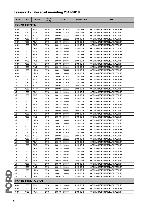| <b>MODEL</b>       | cc   | <b>ENGINE</b>          | <b>DRIVE</b><br><b>TYPE</b> | <b>YEAR</b>     | <b>AKITAKA NO</b> | NAME                        |
|--------------------|------|------------------------|-----------------------------|-----------------|-------------------|-----------------------------|
| <b>FORD FIESTA</b> |      |                        |                             |                 |                   |                             |
| <b>CBK</b>         | 1250 | <b>FUJA</b>            | 2WD                         | 200205 - 200806 | 2111-CBKF         | ОПОРА АМОРТИЗАТОРА ПЕРЕДНЯЯ |
| <b>CBK</b>         | 1250 | <b>FUJB</b>            | 2WD                         | 200205 - 200806 | 2111-CBKF         | ОПОРА АМОРТИЗАТОРА ПЕРЕДНЯЯ |
| CBK                | 1250 | M7JA                   | 2WD                         | 200303 - 200806 | 2111-CBKF         | ОПОРА АМОРТИЗАТОРА ПЕРЕДНЯЯ |
| CBK                | 1250 | M7JB                   | 2WD                         | 200303 - 200806 | 2111-CBKF         | ОПОРА АМОРТИЗАТОРА ПЕРЕДНЯЯ |
| CBK                | 1300 | A9JA                   | 2WD                         | 200111 - 200806 | 2111-CBKF         | ОПОРА АМОРТИЗАТОРА ПЕРЕДНЯЯ |
| <b>CBK</b>         | 1300 | A9JB                   | 2WD                         | 200111 - 200806 | 2111-CBKF         | ОПОРА АМОРТИЗАТОРА ПЕРЕДНЯЯ |
| CBK                | 1300 | <b>BAJA</b>            | 2WD                         | 200111 - 200806 | 2111-CBKF         | ОПОРА АМОРТИЗАТОРА ПЕРЕДНЯЯ |
| CBK                | 1400 | F6JA                   | 2WD                         | 200111 - 200806 | 2111-CBKF         | ОПОРА АМОРТИЗАТОРА ПЕРЕДНЯЯ |
| CBK                | 1400 | F6JB                   | 2WD                         | 200111 - 200806 | 2111-CBKF         | ОПОРА АМОРТИЗАТОРА ПЕРЕДНЯЯ |
| CBK                | 1400 | <b>FXJA</b>            | 2WD                         | 200111 - 200806 | 2111-CBKF         | ОПОРА АМОРТИЗАТОРА ПЕРЕДНЯЯ |
| CBK                | 1400 | <b>FXJB</b>            | 2WD                         | 200111 - 200806 | 2111-CBKF         | ОПОРА АМОРТИЗАТОРА ПЕРЕДНЯЯ |
| <b>CBK</b>         | 1600 | <b>FYJA</b>            | 2WD                         | 200111 - 200806 | 2111-CBKF         | ОПОРА АМОРТИЗАТОРА ПЕРЕДНЯЯ |
| CBK                | 1600 | <b>FYJB</b>            | 2WD                         | 200111 - 200806 | 2111-CBKF         | ОПОРА АМОРТИЗАТОРА ПЕРЕДНЯЯ |
| <b>CBK</b>         | 1600 | <b>HHJA</b>            | 2WD                         | 200411 - 200806 | 2111-CBKF         | ОПОРА АМОРТИЗАТОРА ПЕРЕДНЯЯ |
| <b>CBK</b>         | 1600 | <b>HHJB</b>            | 2WD                         | 200411 - 200806 | 2111-CBKF         | ОПОРА АМОРТИЗАТОРА ПЕРЕДНЯЯ |
| <b>CBK</b>         | 2000 | N4JB                   | 2WD                         | 200503 - 200806 | 2111-CBKF         | ОПОРА АМОРТИЗАТОРА ПЕРЕДНЯЯ |
| JD                 | 1250 | <b>FUJA</b>            | 2WD                         | 200205 - 200806 | 2111-CBKF         | ОПОРА АМОРТИЗАТОРА ПЕРЕДНЯЯ |
| JD                 | 1250 | <b>FUJB</b>            | 2WD                         | 200205 - 200806 | 2111-CBKF         | ОПОРА АМОРТИЗАТОРА ПЕРЕДНЯЯ |
| JD                 | 1250 | M7JA                   | 2WD                         | 200303 - 200806 | 2111-CBKF         | ОПОРА АМОРТИЗАТОРА ПЕРЕДНЯЯ |
| JD                 | 1250 | M7JB                   | 2WD                         | 200303 - 200806 | 2111-CBKF         | ОПОРА АМОРТИЗАТОРА ПЕРЕДНЯЯ |
| JD                 | 1300 | A9JA                   | 2WD                         | 200111 - 200806 | 2111-CBKF         | ОПОРА АМОРТИЗАТОРА ПЕРЕДНЯЯ |
| JD                 | 1300 | A9JB                   | 2WD                         | 200111 - 200806 | 2111-CBKF         | ОПОРА АМОРТИЗАТОРА ПЕРЕДНЯЯ |
| JD                 | 1300 | <b>BAJA</b>            | 2WD                         | 200111 - 200806 | 2111-CBKF         | ОПОРА АМОРТИЗАТОРА ПЕРЕДНЯЯ |
| JD                 | 1400 | F6JA                   | 2WD                         | 200111 - 200806 | 2111-CBKF         | ОПОРА АМОРТИЗАТОРА ПЕРЕДНЯЯ |
| JD                 | 1400 | F6JB                   | 2WD                         | 200111 - 200806 | 2111-CBKF         | ОПОРА АМОРТИЗАТОРА ПЕРЕДНЯЯ |
| JD                 | 1400 | <b>FXJA</b>            | 2WD                         | 200111 - 200806 | 2111-CBKF         | ОПОРА АМОРТИЗАТОРА ПЕРЕДНЯЯ |
| JD                 | 1400 | <b>FXJB</b>            | 2WD                         | 200111 - 200806 | 2111-CBKF         | ОПОРА АМОРТИЗАТОРА ПЕРЕДНЯЯ |
| JD                 | 1600 | <b>FYJA</b>            | 2WD                         | 200111 - 200806 | 2111-CBKF         | ОПОРА АМОРТИЗАТОРА ПЕРЕДНЯЯ |
| JD                 | 1600 | <b>FYJB</b>            | 2WD                         | 200111 - 200806 | 2111-CBKF         | ОПОРА АМОРТИЗАТОРА ПЕРЕДНЯЯ |
| JD                 | 1600 | <b>HHJA</b>            | 2WD                         | 200411 - 200806 | 2111-CBKF         | ОПОРА АМОРТИЗАТОРА ПЕРЕДНЯЯ |
| JD                 | 1600 | <b>HHJB</b>            | 2WD                         | 200411 - 200806 | 2111-CBKF         | ОПОРА АМОРТИЗАТОРА ПЕРЕДНЯЯ |
| JD                 | 2000 | N4JB                   | 2WD                         | 200503 - 200806 | 2111-CBKF         | ОПОРА АМОРТИЗАТОРА ПЕРЕДНЯЯ |
| JH                 | 1250 | <b>FUJA</b>            | 2WD                         | 200205 - 200806 | 2111-CBKF         | ОПОРА АМОРТИЗАТОРА ПЕРЕДНЯЯ |
| JH                 | 1250 | <b>FUJB</b>            | 2WD                         | 200205 - 200806 | 2111-CBKF         | ОПОРА АМОРТИЗАТОРА ПЕРЕДНЯЯ |
| JH                 | 1250 | M7JA                   | 2WD                         | 200303 - 200806 | 2111-CBKF         | ОПОРА АМОРТИЗАТОРА ПЕРЕДНЯЯ |
| JH                 | 1250 | M7JB                   | 2WD                         | 200303 - 200806 | 2111-CBKF         | ОПОРА АМОРТИЗАТОРА ПЕРЕДНЯЯ |
| JH                 | 1300 | A9JA                   | 2WD                         | 200111 - 200806 | 2111-CBKF         | ОПОРА АМОРТИЗАТОРА ПЕРЕДНЯЯ |
| JH                 | 1300 | A9JB                   | 2WD                         | 200111 - 200806 | 2111-CBKF         | ОПОРА АМОРТИЗАТОРА ПЕРЕДНЯЯ |
|                    |      |                        |                             |                 |                   |                             |
| JH                 | 1300 | <b>BAJA</b>            | 2WD                         | 200111 - 200806 | 2111-CBKF         | ОПОРА АМОРТИЗАТОРА ПЕРЕДНЯЯ |
| JH                 | 1400 | F6JA                   | 2WD                         | 200111 - 200806 | 2111-CBKF         | ОПОРА АМОРТИЗАТОРА ПЕРЕДНЯЯ |
| JH                 | 1400 | F6JB                   | 2WD                         | 200111 - 200806 | 2111-CBKF         | ОПОРА АМОРТИЗАТОРА ПЕРЕДНЯЯ |
| JH                 | 1400 | <b>FXJA</b>            | 2WD                         | 200111 - 200806 | 2111-CBKF         | ОПОРА АМОРТИЗАТОРА ПЕРЕДНЯЯ |
| JH                 | 1400 | <b>FXJB</b>            | 2WD                         | 200111 - 200806 | 2111-CBKF         | ОПОРА АМОРТИЗАТОРА ПЕРЕДНЯЯ |
| JH                 | 1600 | <b>FYJA</b>            | 2WD                         | 200111 - 200806 | 2111-CBKF         | ОПОРА АМОРТИЗАТОРА ПЕРЕДНЯЯ |
| JH                 | 1600 | <b>FYJB</b>            | 2WD                         | 200111 - 200806 | 2111-CBKF         | ОПОРА АМОРТИЗАТОРА ПЕРЕДНЯЯ |
| JH                 | 1600 | HHJA                   | 2WD                         | 200411 - 200806 | 2111-CBKF         | ОПОРА АМОРТИЗАТОРА ПЕРЕДНЯЯ |
| JH                 | 1600 | <b>HHJB</b>            | 2WD                         | 200411 - 200806 | 2111-CBKF         | ОПОРА АМОРТИЗАТОРА ПЕРЕДНЯЯ |
| JH                 | 2000 | N4JB                   | 2WD                         | 200503 - 200806 | 2111-CBKF         | ОПОРА АМОРТИЗАТОРА ПЕРЕДНЯЯ |
|                    |      | <b>FORD FIESTA VAN</b> |                             |                 |                   |                             |
| CBK                | 1300 | A9JA                   | 2WD                         | 200111 - 200806 | 2111-CBKF         | ОПОРА АМОРТИЗАТОРА ПЕРЕДНЯЯ |
| <b>CBK</b>         | 1300 | A9JB                   | 2WD                         | 200111 - 200806 | 2111-CBKF         | ОПОРА АМОРТИЗАТОРА ПЕРЕДНЯЯ |
| CBK                | 1400 | <b>FXJA</b>            | 2WD                         | 200111 - 200806 | 2111-CBKF         | ОПОРА АМОРТИЗАТОРА ПЕРЕДНЯЯ |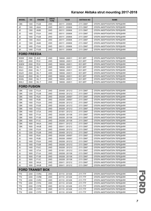| <b>MODEL</b>       | cc           | <b>ENGINE</b>              | <b>DRIVE</b><br><b>TYPE</b> | <b>YEAR</b>                        | <b>AKITAKA NO</b>      | <b>NAME</b>                                                |  |  |  |
|--------------------|--------------|----------------------------|-----------------------------|------------------------------------|------------------------|------------------------------------------------------------|--|--|--|
| CBK                | 1400         | <b>FXJB</b>                | 2WD                         | 200111 - 200806                    | 2111-CBKF              | ОПОРА АМОРТИЗАТОРА ПЕРЕДНЯЯ                                |  |  |  |
| JD                 | 1300         | A9JA                       | 2WD                         | 200111 - 200806                    | 2111-CBKF              | ОПОРА АМОРТИЗАТОРА ПЕРЕДНЯЯ                                |  |  |  |
| JD                 | 1300         | A9JB                       | 2WD                         | 200111 - 200806                    | 2111-CBKF              | ОПОРА АМОРТИЗАТОРА ПЕРЕДНЯЯ                                |  |  |  |
| JD                 | 1400         | <b>FXJA</b>                | 2WD                         | 200111 - 200806                    | 2111-CBKF              | ОПОРА АМОРТИЗАТОРА ПЕРЕДНЯЯ                                |  |  |  |
| JD                 | 1400         | <b>FXJB</b>                | 2WD                         | 200111 - 200806                    | 2111-CBKF              | ОПОРА АМОРТИЗАТОРА ПЕРЕДНЯЯ                                |  |  |  |
| JH                 | 1300         | A9JA                       | 2WD                         | 200111 - 200806                    | 2111-CBKF              | ОПОРА АМОРТИЗАТОРА ПЕРЕДНЯЯ                                |  |  |  |
| JH                 | 1300         | A9JB                       | 2WD                         | 200111 - 200806                    | 2111-CBKF              | ОПОРА АМОРТИЗАТОРА ПЕРЕДНЯЯ                                |  |  |  |
| JH                 | 1400         | <b>FXJA</b>                | 2WD                         | 200111 - 200806                    | 2111-CBKF              | ОПОРА АМОРТИЗАТОРА ПЕРЕДНЯЯ                                |  |  |  |
| JH                 | 1400         | <b>FXJB</b>                | 2WD                         | 200111 - 200806                    | 2111-CBKF              | ОПОРА АМОРТИЗАТОРА ПЕРЕДНЯЯ                                |  |  |  |
| <b>FORD FREEDA</b> |              |                            |                             |                                    |                        |                                                            |  |  |  |
| SG5W               | 2500         | $J5-D$                     | 2WD                         | 199506 - 200511                    | 0511-BFF               | ОПОРА АМОРТИЗАТОРА ПЕРЕДНЯЯ                                |  |  |  |
| SGE3               | 2000         | FE-E                       | 2WD                         | 199506 - 200511                    | 0511-BFF               | ОПОРА АМОРТИЗАТОРА ПЕРЕДНЯЯ                                |  |  |  |
| SGEW               | 2000         | FE-E                       | 2WD                         | 199506 - 200511                    | 0511-BFF               | ОПОРА АМОРТИЗАТОРА ПЕРЕДНЯЯ                                |  |  |  |
| SGL3               | 2500         | WL-T                       | 2WD                         | 199506 - 200511                    | 0511-BFF               | ОПОРА АМОРТИЗАТОРА ПЕРЕДНЯЯ                                |  |  |  |
| SGL5               | 2500         | WL-T                       | 4WD                         | 199506 - 200511                    | 0511-BFF               | ОПОРА АМОРТИЗАТОРА ПЕРЕДНЯЯ                                |  |  |  |
| SGLR               | 2500         | WL-T                       | 4WD                         | 199506 - 200511                    | 0511-BFF               | ОПОРА АМОРТИЗАТОРА ПЕРЕДНЯЯ                                |  |  |  |
| SGLW               | 2500         | WL-T                       | 2WD                         | 199506 - 200511                    | 0511-BFF               | ОПОРА АМОРТИЗАТОРА ПЕРЕДНЯЯ                                |  |  |  |
| <b>SGWL</b>        | 2500         | WL-T                       | 2WD                         | 199506 - 200511                    | 0511-BFF               | ОПОРА АМОРТИЗАТОРА ПЕРЕДНЯЯ                                |  |  |  |
| SWL3               | 2500         | WL-T                       | 2WD                         | 199506 - 200511                    | 0511-BFF               | ОПОРА АМОРТИЗАТОРА ПЕРЕДНЯЯ                                |  |  |  |
| <b>FORD FUSION</b> |              |                            |                             |                                    |                        |                                                            |  |  |  |
| CBK                | 1250         | <b>FUJA</b>                | 2WD                         | 200408 - 201212                    | 2111-CBKF              | ОПОРА АМОРТИЗАТОРА ПЕРЕДНЯЯ                                |  |  |  |
| CBK                | 1250         | <b>FUJB</b>                | 2WD                         | 200408 - 201212                    | 2111-CBKF              | ОПОРА АМОРТИЗАТОРА ПЕРЕДНЯЯ                                |  |  |  |
| CBK                | 1400         | F6JA                       | 2WD                         | 200208 - 200507                    | 2111-CBKF              | ОПОРА АМОРТИЗАТОРА ПЕРЕДНЯЯ                                |  |  |  |
| CBK                | 1400         | F6JB                       | 2WD                         | 200208 - 200507                    | 2111-CBKF              | ОПОРА АМОРТИЗАТОРА ПЕРЕДНЯЯ                                |  |  |  |
| CBK                | 1400         | <b>FXJA</b>                | 2WD                         | 200208 - 201212                    | 2111-CBKF              | ОПОРА АМОРТИЗАТОРА ПЕРЕДНЯЯ                                |  |  |  |
| CBK                | 1400         | <b>FXJB</b>                | 2WD                         | 200208 - 201212                    | 2111-CBKF              | ОПОРА АМОРТИЗАТОРА ПЕРЕДНЯЯ                                |  |  |  |
| CBK                | 1400         | <b>FXJC</b>                | 2WD                         | 200208 - 201212                    | 2111-CBKF              | ОПОРА АМОРТИЗАТОРА ПЕРЕДНЯЯ                                |  |  |  |
| CBK<br>CBK         | 1400<br>1600 | <b>UTJA</b><br><b>FYJA</b> | 2WD<br>2WD                  | 201001 - 201212<br>200208 - 201108 | 2111-CBKF<br>2111-CBKF | ОПОРА АМОРТИЗАТОРА ПЕРЕДНЯЯ                                |  |  |  |
| CBK                | 1600         | <b>FYJB</b>                | 2WD                         | 200208 - 201108                    | 2111-CBKF              | ОПОРА АМОРТИЗАТОРА ПЕРЕДНЯЯ<br>ОПОРА АМОРТИЗАТОРА ПЕРЕДНЯЯ |  |  |  |
| CBK                | 1600         | <b>FYJC</b>                | 2WD                         | 200208 - 201108                    | 2111-CBKF              | ОПОРА АМОРТИЗАТОРА ПЕРЕДНЯЯ                                |  |  |  |
| CBK                | 1600         | <b>HHJA</b>                | 2WD                         | 200411 - 201212                    | 2111-CBKF              | ОПОРА АМОРТИЗАТОРА ПЕРЕДНЯЯ                                |  |  |  |
| CBK                | 1600         | <b>HHJB</b>                | 2WD                         | 200411 - 201212                    | 2111-CBKF              | ОПОРА АМОРТИЗАТОРА ПЕРЕДНЯЯ                                |  |  |  |
| JU                 | 1250         | <b>FUJA</b>                | 2WD                         | 200408 - 201212                    | 2111-CBKF              | ОПОРА АМОРТИЗАТОРА ПЕРЕДНЯЯ                                |  |  |  |
| JU                 | 1250         | <b>FUJB</b>                | 2WD                         | 200408 - 201212                    | 2111-CBKF              | ОПОРА АМОРТИЗАТОРА ПЕРЕДНЯЯ                                |  |  |  |
| JU                 | 1400         | F6JA                       | 2WD                         | 200208 - 200507                    | 2111-CBKF              | ОПОРА АМОРТИЗАТОРА ПЕРЕДНЯЯ                                |  |  |  |
| JU                 | 1400         | F6JB                       | 2WD                         | 200208 - 200507                    | 2111-CBKF              | ОПОРА АМОРТИЗАТОРА ПЕРЕДНЯЯ                                |  |  |  |
| JU                 | 1400         | <b>FXJA</b>                | 2WD                         | 200208 - 201212                    | 2111-CBKF              | ОПОРА АМОРТИЗАТОРА ПЕРЕДНЯЯ                                |  |  |  |
| JU                 | 1400         | <b>FXJB</b>                | 2WD                         | 200208 - 201212                    | 2111-CBKF              | ОПОРА АМОРТИЗАТОРА ПЕРЕДНЯЯ                                |  |  |  |
| JU                 | 1400         | <b>FXJC</b>                | 2WD                         | 200208 - 201212                    | 2111-CBKF              | ОПОРА АМОРТИЗАТОРА ПЕРЕДНЯЯ                                |  |  |  |
| JU                 | 1400         | <b>UTJA</b>                | 2WD                         | 201001 - 201212                    | 2111-CBKF              | ОПОРА АМОРТИЗАТОРА ПЕРЕДНЯЯ                                |  |  |  |
| JU                 | 1600         | <b>FYJA</b>                | 2WD                         | 200208 - 201108                    | 2111-CBKF              | ОПОРА АМОРТИЗАТОРА ПЕРЕДНЯЯ                                |  |  |  |
| JU                 | 1600         | <b>FYJB</b>                | 2WD                         | 200208 - 201108                    | 2111-CBKF              | ОПОРА АМОРТИЗАТОРА ПЕРЕДНЯЯ                                |  |  |  |
| JU                 | 1600         | <b>FYJC</b>                | 2WD                         | 200208 - 201108                    | 2111-CBKF              | ОПОРА АМОРТИЗАТОРА ПЕРЕДНЯЯ                                |  |  |  |
| JU                 | 1600         | <b>HHJA</b>                | 2WD                         | 200411 - 201212                    | 2111-CBKF              | ОПОРА АМОРТИЗАТОРА ПЕРЕДНЯЯ                                |  |  |  |
| JU                 | 1600         | <b>HHJB</b>                | 2WD                         | 200411 - 201212                    | 2111-CBKF              | ОПОРА АМОРТИЗАТОРА ПЕРЕДНЯЯ                                |  |  |  |
|                    |              | <b>FORD TRANSIT BOX</b>    |                             |                                    |                        |                                                            |  |  |  |
| TT9                | 2200         | <b>CVRA</b>                | 2WD                         | 201110 - 201408                    | 2111-TTF               | ОПОРА АМОРТИЗАТОРА ПЕРЕДНЯЯ                                |  |  |  |
| TT <sub>9</sub>    | 2200         | <b>CVRB</b>                | 2WD                         | 201110 - 201408                    | 2111-TTF               | ОПОРА АМОРТИЗАТОРА ПЕРЕДНЯЯ                                |  |  |  |
| TT9                | 2200         | <b>CVRC</b>                | 2WD                         | 201110 - 201408                    | 2111-TTF               | ОПОРА АМОРТИЗАТОРА ПЕРЕДНЯЯ                                |  |  |  |
| TT9                | 2200         | <b>CYFA</b>                | 2WD                         | 201110 - 201408                    | 2111-TTF               | ОПОРА АМОРТИЗАТОРА ПЕРЕДНЯЯ                                |  |  |  |
| TT9                | 2200         | <b>CYFB</b>                | 2WD                         | 201110 - 201408                    | 2111-TTF               | ОПОРА АМОРТИЗАТОРА ПЕРЕДНЯЯ                                |  |  |  |
| TT9                | 2200         | <b>CYFC</b>                | 2WD                         | 201110 - 201408                    | 2111-TTF               | ОПОРА АМОРТИЗАТОРА ПЕРЕДНЯЯ                                |  |  |  |
| TT9                | 2200         | <b>CYFD</b>                | 2WD                         | 201110 - 201408                    | 2111-TTF               | ОПОРА АМОРТИЗАТОРА ПЕРЕДНЯЯ                                |  |  |  |

FORD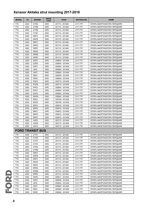|                 | <b>MODEL</b>    | cc   | <b>ENGINE</b>           | <b>DRIVE</b><br><b>TYPE</b> | <b>YEAR</b>     | <b>AKITAKA NO</b> | <b>NAME</b>                 |
|-----------------|-----------------|------|-------------------------|-----------------------------|-----------------|-------------------|-----------------------------|
|                 | TT <sub>9</sub> | 2200 | <b>CYRA</b>             | 2WD                         | 201110 - 201408 | 2111-TTF          | ОПОРА АМОРТИЗАТОРА ПЕРЕДНЯЯ |
|                 | TT <sub>9</sub> | 2200 | <b>CYRB</b>             | 2WD                         | 201110 - 201408 | 2111-TTF          | ОПОРА АМОРТИЗАТОРА ПЕРЕДНЯЯ |
|                 | TT9             | 2200 | <b>CYRB</b>             | 4WD                         | 201110 - 201408 | 2111-TTF          | ОПОРА АМОРТИЗАТОРА ПЕРЕДНЯЯ |
|                 | TT <sub>9</sub> | 2200 | <b>CYRC</b>             | 4WD                         | 201110 - 201408 | 2111-TTF          | ОПОРА АМОРТИЗАТОРА ПЕРЕДНЯЯ |
|                 | TT <sub>9</sub> | 2200 | <b>DRFA</b>             | 2WD                         | 201110 - 201408 | 2111-TTF          | ОПОРА АМОРТИЗАТОРА ПЕРЕДНЯЯ |
|                 | TT <sub>9</sub> | 2200 | <b>DRFB</b>             | 2WD                         | 201110 - 201408 | 2111-TTF          | ОПОРА АМОРТИЗАТОРА ПЕРЕДНЯЯ |
|                 | TT9             | 2200 | <b>DRFC</b>             | 2WD                         | 201110 - 201408 | 2111-TTF          | ОПОРА АМОРТИЗАТОРА ПЕРЕДНЯЯ |
|                 | TT <sub>9</sub> | 2200 | <b>DRFD</b>             | 2WD                         | 201110 - 201408 | 2111-TTF          | ОПОРА АМОРТИЗАТОРА ПЕРЕДНЯЯ |
|                 | TT <sub>9</sub> | 2200 | <b>DRFE</b>             | 2WD                         | 201110 - 201408 | 2111-TTF          | ОПОРА АМОРТИЗАТОРА ПЕРЕДНЯЯ |
|                 | TT9             | 2200 | <b>DRRA</b>             | 2WD                         | 201110 - 201408 | 2111-TTF          | ОПОРА АМОРТИЗАТОРА ПЕРЕДНЯЯ |
|                 | TT9             | 2200 | <b>DRRB</b>             | 2WD                         | 201110 - 201408 | 2111-TTF          | ОПОРА АМОРТИЗАТОРА ПЕРЕДНЯЯ |
|                 | TT9             | 2200 | <b>DRRC</b>             | 2WD                         | 201110 - 201408 | 2111-TTF          | ОПОРА АМОРТИЗАТОРА ПЕРЕДНЯЯ |
|                 | TT <sub>9</sub> | 2200 | <b>GZFA</b>             | 2WD                         | 200604 - 201408 | 2111-TTF          | ОПОРА АМОРТИЗАТОРА ПЕРЕДНЯЯ |
|                 | TT9             | 2200 | <b>GZFB</b>             | 2WD                         | 200604 - 201408 | 2111-TTF          | ОПОРА АМОРТИЗАТОРА ПЕРЕДНЯЯ |
|                 | TT <sub>9</sub> | 2200 | <b>GZFC</b>             | 2WD                         | 200604 - 201408 | 2111-TTF          | ОПОРА АМОРТИЗАТОРА ПЕРЕДНЯЯ |
|                 | TT <sub>9</sub> | 2200 | <b>JXFA</b>             | 2WD                         | 200604 - 201408 | 2111-TTF          | ОПОРА АМОРТИЗАТОРА ПЕРЕДНЯЯ |
|                 | TT9             | 2200 | <b>JXFC</b>             | 2WD                         | 200604 - 201408 | 2111-TTF          | ОПОРА АМОРТИЗАТОРА ПЕРЕДНЯЯ |
|                 | TT9             | 2200 | P8FA                    | 2WD                         | 200604 - 201408 | 2111-TTF          | ОПОРА АМОРТИЗАТОРА ПЕРЕДНЯЯ |
|                 | TT <sub>9</sub> | 2200 | P8FB                    | 2WD                         | 200604 - 201408 | 2111-TTF          | ОПОРА АМОРТИЗАТОРА ПЕРЕДНЯЯ |
|                 | TT <sub>9</sub> | 2200 | <b>PGFA</b>             | 2WD                         | 200710 - 201408 | 2111-TTF          | ОПОРА АМОРТИЗАТОРА ПЕРЕДНЯЯ |
|                 | TT <sub>9</sub> | 2200 | <b>PGFB</b>             | 2WD                         | 200710 - 201408 | 2111-TTF          | ОПОРА АМОРТИЗАТОРА ПЕРЕДНЯЯ |
|                 | TT <sub>9</sub> | 2200 | <b>PHFA</b>             | 2WD                         | 200604 - 201408 | 2111-TTF          | ОПОРА АМОРТИЗАТОРА ПЕРЕДНЯЯ |
|                 | TT9             | 2200 | PHFC                    | 2WD                         | 200604 - 201408 | 2111-TTF          | ОПОРА АМОРТИЗАТОРА ПЕРЕДНЯЯ |
|                 | TT9             | 2200 | QVFA                    | 2WD                         | 200604 - 201408 | 2111-TTF          | ОПОРА АМОРТИЗАТОРА ПЕРЕДНЯЯ |
|                 | TT <sub>9</sub> | 2200 | QWFA                    | 2WD                         | 200604 - 201408 | 2111-TTF          | ОПОРА АМОРТИЗАТОРА ПЕРЕДНЯЯ |
|                 | TT <sub>9</sub> | 2200 | <b>SAFA</b>             | 2WD                         | 200709 - 201408 | 2111-TTF          | ОПОРА АМОРТИЗАТОРА ПЕРЕДНЯЯ |
|                 | TT9             | 2200 | <b>SAFB</b>             | 2WD                         | 200709 - 201408 | 2111-TTF          | ОПОРА АМОРТИЗАТОРА ПЕРЕДНЯЯ |
|                 | TT9             | 2200 | <b>SRFA</b>             | 2WD                         | 200810 - 201408 | 2111-TTF          | ОПОРА АМОРТИЗАТОРА ПЕРЕДНЯЯ |
|                 | TT9             | 2200 | <b>SRFB</b>             | 2WD                         | 200810 - 201408 | 2111-TTF          | ОПОРА АМОРТИЗАТОРА ПЕРЕДНЯЯ |
|                 | TT <sub>9</sub> | 2200 | <b>SRFC</b>             | 2WD                         | 200810 - 201408 | 2111-TTF          | ОПОРА АМОРТИЗАТОРА ПЕРЕДНЯЯ |
|                 | TT9             | 2200 | <b>SRFD</b>             | 2WD                         | 200810 - 201408 | 2111-TTF          | ОПОРА АМОРТИЗАТОРА ПЕРЕДНЯЯ |
|                 | TT9             | 2200 | <b>SRFE</b>             | 2WD                         | 200810 - 201408 | 2111-TTF          | ОПОРА АМОРТИЗАТОРА ПЕРЕДНЯЯ |
|                 | TT9             | 2200 | <b>UHFA</b>             | 2WD                         | 200710 - 201408 | 2111-TTF          | ОПОРА АМОРТИЗАТОРА ПЕРЕДНЯЯ |
|                 | TT <sub>9</sub> | 2200 | <b>UHFB</b>             | 2WD                         | 200710 - 201408 | 2111-TTF          | ОПОРА АМОРТИЗАТОРА ПЕРЕДНЯЯ |
|                 | TT9             | 2200 | <b>UHFC</b>             | 2WD                         | 200710 - 201408 | 2111-TTF          | ОПОРА АМОРТИЗАТОРА ПЕРЕДНЯЯ |
|                 |                 |      | <b>FORD TRANSIT BUS</b> |                             |                 |                   |                             |
|                 | TT <sub>9</sub> | 2200 | <b>CYFA</b>             | 2WD                         | 201110 - 201408 | 2111-TTF          | ОПОРА АМОРТИЗАТОРА ПЕРЕДНЯЯ |
|                 | TT <sub>9</sub> | 2200 | <b>CYFB</b>             | 2WD                         | 201110 - 201408 | 2111-TTF          | ОПОРА АМОРТИЗАТОРА ПЕРЕДНЯЯ |
|                 | TT <sub>9</sub> | 2200 | <b>CYFC</b>             | 2WD                         | 201110 - 201408 | 2111-TTF          | ОПОРА АМОРТИЗАТОРА ПЕРЕДНЯЯ |
|                 | TT9             | 2200 | <b>CYFD</b>             | 2WD                         | 201110 - 201408 | 2111-TTF          | ОПОРА АМОРТИЗАТОРА ПЕРЕДНЯЯ |
|                 | TT9             | 2200 | <b>CYRA</b>             | 2WD                         | 201110 - 201408 | 2111-TTF          | ОПОРА АМОРТИЗАТОРА ПЕРЕДНЯЯ |
|                 | TT9             | 2200 | <b>CYRB</b>             | 2WD                         | 201110 - 201408 | 2111-TTF          | ОПОРА АМОРТИЗАТОРА ПЕРЕДНЯЯ |
|                 | TT9             | 2200 | <b>DRFA</b>             | 2WD                         | 201110 - 201408 | 2111-TTF          | ОПОРА АМОРТИЗАТОРА ПЕРЕДНЯЯ |
|                 | TT9             | 2200 | <b>DRFB</b>             | 2WD                         | 201110 - 201408 | 2111-TTF          | ОПОРА АМОРТИЗАТОРА ПЕРЕДНЯЯ |
|                 | TT9             | 2200 | <b>DRFC</b>             | 2WD                         | 201110 - 201408 | 2111-TTF          | ОПОРА АМОРТИЗАТОРА ПЕРЕДНЯЯ |
|                 | TT <sub>9</sub> | 2200 | <b>DRFD</b>             | 2WD                         | 201110 - 201408 | 2111-TTF          | ОПОРА АМОРТИЗАТОРА ПЕРЕДНЯЯ |
|                 | TT <sub>9</sub> | 2200 | <b>DRFE</b>             | 2WD                         | 201110 - 201408 | 2111-TTF          | ОПОРА АМОРТИЗАТОРА ПЕРЕДНЯЯ |
|                 | TT <sub>9</sub> | 2200 | <b>DRRA</b>             | 2WD                         | 201110 - 201408 | 2111-TTF          | ОПОРА АМОРТИЗАТОРА ПЕРЕДНЯЯ |
|                 | TT <sub>9</sub> | 2200 | <b>DRRB</b>             | 2WD                         | 201110 - 201408 | 2111-TTF          | ОПОРА АМОРТИЗАТОРА ПЕРЕДНЯЯ |
| <b>CO</b><br>20 | TT <sub>9</sub> | 2200 | <b>DRRC</b>             | 2WD                         | 201110 - 201408 | 2111-TTF          | ОПОРА АМОРТИЗАТОРА ПЕРЕДНЯЯ |
|                 | TT <sub>9</sub> | 2200 | H9FB                    | 4WD                         | 200611 - 201408 | 2111-TTF          | ОПОРА АМОРТИЗАТОРА ПЕРЕДНЯЯ |
|                 | TT <sub>9</sub> | 2200 | H9FD                    | 2WD                         | 200604 - 201408 | 2111-TTF          | ОПОРА АМОРТИЗАТОРА ПЕРЕДНЯЯ |
|                 | TT9             | 2200 | <b>JXFA</b>             | 2WD                         | 200604 - 201408 | 2111-TTF          | ОПОРА АМОРТИЗАТОРА ПЕРЕДНЯЯ |
|                 | TT9             | 2200 | <b>JXFC</b>             | 2WD                         | 200604 - 201408 | 2111-TTF          | ОПОРА АМОРТИЗАТОРА ПЕРЕДНЯЯ |
|                 | TT <sub>9</sub> | 2200 | P8FA                    | 2WD                         | 200604 - 201408 | 2111-TTF          | ОПОРА АМОРТИЗАТОРА ПЕРЕДНЯЯ |
|                 | TT <sub>9</sub> | 2200 | P8FB                    | 2WD                         | 200604 - 201408 | 2111-TTF          | ОПОРА АМОРТИЗАТОРА ПЕРЕДНЯЯ |

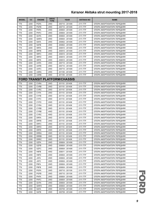| <b>MODEL</b>    | cc   | <b>ENGINE</b> | <b>DRIVE</b><br><b>TYPE</b> | <b>YEAR</b>                          | <b>AKITAKA NO</b> | <b>NAME</b>                 |
|-----------------|------|---------------|-----------------------------|--------------------------------------|-------------------|-----------------------------|
| TT9             | 2200 | <b>PGFA</b>   | 2WD                         | 200710 - 201408                      | 2111-TTF          | ОПОРА АМОРТИЗАТОРА ПЕРЕДНЯЯ |
| TT <sub>9</sub> | 2200 | <b>PGFB</b>   | 2WD                         | 200710 - 201408                      | 2111-TTF          | ОПОРА АМОРТИЗАТОРА ПЕРЕДНЯЯ |
| TT <sub>9</sub> | 2200 | <b>PHFA</b>   | 2WD                         | 200604 - 201408                      | 2111-TTF          | ОПОРА АМОРТИЗАТОРА ПЕРЕДНЯЯ |
| TT9             | 2200 | PHFC          | 2WD                         | 200604 - 201408                      | 2111-TTF          | ОПОРА АМОРТИЗАТОРА ПЕРЕДНЯЯ |
| TT9             | 2200 | QVFA          | 2WD                         | 200604 - 201408                      | 2111-TTF          | ОПОРА АМОРТИЗАТОРА ПЕРЕДНЯЯ |
| TT9             | 2200 | QWFA          | 2WD                         | 200604 - 201408                      | 2111-TTF          | ОПОРА АМОРТИЗАТОРА ПЕРЕДНЯЯ |
| TT <sub>9</sub> | 2200 | <b>SAFA</b>   | 2WD                         | 200802 - 201408                      | 2111-TTF          | ОПОРА АМОРТИЗАТОРА ПЕРЕДНЯЯ |
| TT9             | 2200 | <b>SAFB</b>   | 2WD                         | 200802 - 201408                      | 2111-TTF          | ОПОРА АМОРТИЗАТОРА ПЕРЕДНЯЯ |
| TT <sub>9</sub> | 2200 | <b>SRFA</b>   | 2WD                         | 200810 - 201408                      | 2111-TTF          | ОПОРА АМОРТИЗАТОРА ПЕРЕДНЯЯ |
| TT <sub>9</sub> | 2200 | <b>SRFB</b>   | 2WD                         | 200810 - 201408                      | 2111-TTF          | ОПОРА АМОРТИЗАТОРА ПЕРЕДНЯЯ |
| TT <sub>9</sub> | 2200 | <b>SRFC</b>   | 2WD                         | 200810 - 201408                      | 2111-TTF          | ОПОРА АМОРТИЗАТОРА ПЕРЕДНЯЯ |
| TT <sub>9</sub> | 2200 | <b>SRFD</b>   | 2WD                         | 200810 - 201408                      | 2111-TTF          | ОПОРА АМОРТИЗАТОРА ПЕРЕДНЯЯ |
| TT9             | 2200 | <b>SRFE</b>   | 2WD                         | 200810 - 201408                      | 2111-TTF          | ОПОРА АМОРТИЗАТОРА ПЕРЕДНЯЯ |
| TT9             | 2200 | <b>UHFA</b>   | 2WD                         | 200710 - 201408                      | 2111-TTF          | ОПОРА АМОРТИЗАТОРА ПЕРЕДНЯЯ |
| TT9             | 2200 | <b>UHFB</b>   | 2WD                         | 200710 - 201408                      | 2111-TTF          | ОПОРА АМОРТИЗАТОРА ПЕРЕДНЯЯ |
| TT9             | 2200 | <b>UHFC</b>   | 2WD                         | 200710 - 201408                      | 2111-TTF          | ОПОРА АМОРТИЗАТОРА ПЕРЕДНЯЯ |
| TT9             | 2200 | <b>USRA</b>   | 2WD                         | 201109 - 201408                      | 2111-TTF          | ОПОРА АМОРТИЗАТОРА ПЕРЕДНЯЯ |
| TT9             | 2200 | <b>USRB</b>   | 2WD                         | 201109 - 201408                      | 2111-TTF          | ОПОРА АМОРТИЗАТОРА ПЕРЕДНЯЯ |
|                 |      |               |                             | <b>FORD TRANSIT PLATFORM/CHASSIS</b> |                   |                             |
| TT9             | 2200 | <b>CVRA</b>   | 2WD                         | 201110 - 201408                      | 2111-TTF          | ОПОРА АМОРТИЗАТОРА ПЕРЕДНЯЯ |
| TT9             | 2200 | <b>CVRB</b>   | 2WD                         | 201110 - 201408                      | 2111-TTF          | ОПОРА АМОРТИЗАТОРА ПЕРЕДНЯЯ |
| TT9             | 2200 | <b>CVRC</b>   | 2WD                         | 201110 - 201408                      | 2111-TTF          | ОПОРА АМОРТИЗАТОРА ПЕРЕДНЯЯ |
| TT9             | 2200 | <b>CYFA</b>   | 2WD                         | 201110 - 201408                      | 2111-TTF          | ОПОРА АМОРТИЗАТОРА ПЕРЕДНЯЯ |
| TT <sub>9</sub> | 2200 | <b>CYFB</b>   | 2WD                         | 201110 - 201408                      | 2111-TTF          | ОПОРА АМОРТИЗАТОРА ПЕРЕДНЯЯ |
| TT <sub>9</sub> | 2200 | <b>CYFC</b>   | 2WD                         | 201110 - 201408                      | 2111-TTF          | ОПОРА АМОРТИЗАТОРА ПЕРЕДНЯЯ |
| TT <sub>9</sub> | 2200 | <b>CYFD</b>   | 2WD                         | 201110 - 201408                      | 2111-TTF          | ОПОРА АМОРТИЗАТОРА ПЕРЕДНЯЯ |
| TT9             | 2200 | <b>CYRA</b>   | 2WD                         | 201110 - 201408                      | 2111-TTF          | ОПОРА АМОРТИЗАТОРА ПЕРЕДНЯЯ |
|                 |      |               |                             |                                      |                   |                             |
| TT9             | 2200 | <b>CYRB</b>   | 2WD                         | 201110 - 201408                      | 2111-TTF          | ОПОРА АМОРТИЗАТОРА ПЕРЕДНЯЯ |
| TT <sub>9</sub> | 2200 | <b>CYRB</b>   | 4WD                         | 201110 - 201408                      | 2111-TTF          | ОПОРА АМОРТИЗАТОРА ПЕРЕДНЯЯ |
| TT9             | 2200 | <b>CYRC</b>   | 4WD                         | 201110 - 201408                      | 2111-TTF          | ОПОРА АМОРТИЗАТОРА ПЕРЕДНЯЯ |
| TT <sub>9</sub> | 2200 | <b>DRFA</b>   | 2WD                         | 201110 - 201408                      | 2111-TTF          | ОПОРА АМОРТИЗАТОРА ПЕРЕДНЯЯ |
| TT <sub>9</sub> | 2200 | <b>DRFB</b>   | 2WD                         | 201110 - 201408                      | 2111-TTF          | ОПОРА АМОРТИЗАТОРА ПЕРЕДНЯЯ |
| TT <sub>9</sub> | 2200 | <b>DRFC</b>   | 2WD                         | 201110 - 201408                      | 2111-TTF          | ОПОРА АМОРТИЗАТОРА ПЕРЕДНЯЯ |
| TT <sub>9</sub> | 2200 | <b>DRFD</b>   | 2WD                         | 201110 - 201408                      | 2111-TTF          | ОПОРА АМОРТИЗАТОРА ПЕРЕДНЯЯ |
| TT9             | 2200 | <b>DRFE</b>   | 2WD                         | 201110 - 201408                      | 2111-TTF          | ОПОРА АМОРТИЗАТОРА ПЕРЕДНЯЯ |
| TT <sub>9</sub> | 2200 | <b>DRRA</b>   | 2WD                         | 201110 - 201408                      | 2111-TTF          | ОПОРА АМОРТИЗАТОРА ПЕРЕДНЯЯ |
| TT9             | 2200 | <b>DRRB</b>   | 2WD                         | 201110 - 201408                      | 2111-TTF          | ОПОРА АМОРТИЗАТОРА ПЕРЕДНЯЯ |
| TT9             | 2200 | <b>DRRC</b>   | 2WD                         | 201110 - 201408                      | 2111-TTF          | ОПОРА АМОРТИЗАТОРА ПЕРЕДНЯЯ |
| TT9             | 2200 | <b>GZFA</b>   | 2WD                         | 200604 - 201408                      | 2111-TTF          | ОПОРА АМОРТИЗАТОРА ПЕРЕДНЯЯ |
| TT <sub>9</sub> | 2200 | <b>GZFB</b>   | 2WD                         | 200604 - 201408                      | 2111-TTF          | ОПОРА АМОРТИЗАТОРА ПЕРЕДНЯЯ |
| TT9             | 2200 | <b>GZFC</b>   | 2WD                         | 200604 - 201408                      | 2111-TTF          | ОПОРА АМОРТИЗАТОРА ПЕРЕДНЯЯ |
| TT9             | 2200 | H9FB          | 4WD                         | 200611 - 201408                      | 2111-TTF          | ОПОРА АМОРТИЗАТОРА ПЕРЕДНЯЯ |
| TT9             | 2200 | H9FD          | 2WD                         | 200604 - 201408                      | 2111-TTF          | ОПОРА АМОРТИЗАТОРА ПЕРЕДНЯЯ |
| TT9             | 2200 | <b>JXFA</b>   | 2WD                         | 200604 - 201408                      | 2111-TTF          | ОПОРА АМОРТИЗАТОРА ПЕРЕДНЯЯ |
| TT9             | 2200 | <b>JXFC</b>   | 2WD                         | 200604 - 201408                      | 2111-TTF          | ОПОРА АМОРТИЗАТОРА ПЕРЕДНЯЯ |
| TT9             | 2200 | P8FA          | 2WD                         | 200604 - 201408                      | 2111-TTF          | ОПОРА АМОРТИЗАТОРА ПЕРЕДНЯЯ |
| TT <sub>9</sub> | 2200 | P8FB          | 2WD                         | 200604 - 201408                      | 2111-TTF          | ОПОРА АМОРТИЗАТОРА ПЕРЕДНЯЯ |
| TT9             | 2200 | <b>PGFA</b>   | 2WD                         | 200710 - 201109                      | 2111-TTF          | ОПОРА АМОРТИЗАТОРА ПЕРЕДНЯЯ |
| TT9             | 2200 | <b>PGFB</b>   | 2WD                         | 200710 - 201109                      | 2111-TTF          | ОПОРА АМОРТИЗАТОРА ПЕРЕДНЯЯ |
| TT9             | 2200 | <b>PHFA</b>   | 2WD                         | 200604 - 201408                      | 2111-TTF          | ОПОРА АМОРТИЗАТОРА ПЕРЕДНЯЯ |
| TT <sub>9</sub> | 2200 | PHFC          | 2WD                         | 200604 - 201408                      | 2111-TTF          | ОПОРА АМОРТИЗАТОРА ПЕРЕДНЯЯ |
| TT9             | 2200 | QVFA          | 2WD                         | 200604 - 201408                      | 2111-TTF          | ОПОРА АМОРТИЗАТОРА ПЕРЕДНЯЯ |
|                 |      |               |                             |                                      |                   |                             |
| TT9             | 2200 | QWFA          | 2WD                         | 200604 - 201408                      | 2111-TTF          | ОПОРА АМОРТИЗАТОРА ПЕРЕДНЯЯ |
| TT9             | 2200 | <b>SAFA</b>   | 2WD                         | 200709 - 201408                      | 2111-TTF          | ОПОРА АМОРТИЗАТОРА ПЕРЕДНЯЯ |
| TT <sub>9</sub> | 2200 | SAFB          | 2WD                         | 200709 - 201408                      | 2111-TTF          | ОПОРА АМОРТИЗАТОРА ПЕРЕДНЯЯ |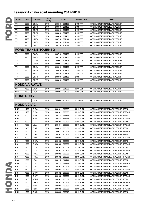|                 | <b>MODEL</b>    | cc                 | <b>ENGINE</b>               | <b>DRIVE</b><br><b>TYPE</b> | <b>YEAR</b>     | <b>AKITAKA NO</b> | <b>NAME</b>                        |
|-----------------|-----------------|--------------------|-----------------------------|-----------------------------|-----------------|-------------------|------------------------------------|
|                 | TT <sub>9</sub> | 2200               | <b>SRFA</b>                 | 2WD                         | 200810 - 201408 | 2111-TTF          | ОПОРА АМОРТИЗАТОРА ПЕРЕДНЯЯ        |
| TT9             |                 | 2200               | <b>SRFB</b>                 | 2WD                         | 200810 - 201408 | 2111-TTF          | ОПОРА АМОРТИЗАТОРА ПЕРЕДНЯЯ        |
| TT9             |                 | 2200               | <b>SRFC</b>                 | 2WD                         | 200810 - 201408 | 2111-TTF          | ОПОРА АМОРТИЗАТОРА ПЕРЕДНЯЯ        |
| TT <sub>9</sub> |                 | 2200               | <b>SRFD</b>                 | 2WD                         | 200810 - 201408 | 2111-TTF          | ОПОРА АМОРТИЗАТОРА ПЕРЕДНЯЯ        |
|                 | TT <sub>9</sub> | 2200               | <b>SRFE</b>                 | 2WD                         | 200810 - 201408 | 2111-TTF          | ОПОРА АМОРТИЗАТОРА ПЕРЕДНЯЯ        |
|                 | TT9             | 2200               | <b>UHFA</b>                 | 2WD                         | 200710 - 201109 | 2111-TTF          | ОПОРА АМОРТИЗАТОРА ПЕРЕДНЯЯ        |
|                 | TT <sub>9</sub> | 2200               | <b>UHFB</b>                 | 2WD                         | 200710 - 201109 | 2111-TTF          | ОПОРА АМОРТИЗАТОРА ПЕРЕДНЯЯ        |
|                 | TT <sub>9</sub> | 2200               | <b>UHFC</b>                 | 2WD                         | 200710 - 201109 | 2111-TTF          | ОПОРА АМОРТИЗАТОРА ПЕРЕДНЯЯ        |
|                 |                 |                    | <b>FORD TRANSIT TOURNEO</b> |                             |                 |                   |                                    |
|                 | TT <sub>9</sub> | 2200               | <b>PGFA</b>                 | 2WD                         | 200710 - 201408 | 2111-TTF          | ОПОРА АМОРТИЗАТОРА ПЕРЕДНЯЯ        |
|                 | TT <sub>9</sub> | 2200               | <b>PGFB</b>                 | 2WD                         | 200710 - 201408 | 2111-TTF          | ОПОРА АМОРТИЗАТОРА ПЕРЕДНЯЯ        |
|                 | TT <sub>9</sub> | 2200               | QVFA                        | 2WD                         | 200607 - 201408 | 2111-TTF          | ОПОРА АМОРТИЗАТОРА ПЕРЕДНЯЯ        |
|                 | TT <sub>9</sub> | 2200               | QWFA                        | 2WD                         | 200607 - 201408 | 2111-TTF          | ОПОРА АМОРТИЗАТОРА ПЕРЕДНЯЯ        |
|                 | TT <sub>9</sub> | 2200               | <b>SRFA</b>                 | 2WD                         | 200810 - 201408 | 2111-TTF          | ОПОРА АМОРТИЗАТОРА ПЕРЕДНЯЯ        |
|                 | TT <sub>9</sub> | 2200               | <b>SRFB</b>                 | 2WD                         | 200810 - 201408 | 2111-TTF          | ОПОРА АМОРТИЗАТОРА ПЕРЕДНЯЯ        |
| TT9             |                 | 2200               | <b>SRFC</b>                 | 2WD                         | 200810 - 201408 | 2111-TTF          | ОПОРА АМОРТИЗАТОРА ПЕРЕДНЯЯ        |
|                 | TT <sub>9</sub> | 2200               | <b>SRFD</b>                 | 2WD                         | 200810 - 201408 | 2111-TTF          | ОПОРА АМОРТИЗАТОРА ПЕРЕДНЯЯ        |
|                 | TT <sub>9</sub> | 2200               | <b>SRFE</b>                 | 2WD                         | 200810 - 201408 | 2111-TTF          | ОПОРА АМОРТИЗАТОРА ПЕРЕДНЯЯ        |
|                 |                 |                    | <b>HONDA AIRWAVE</b>        |                             |                 |                   |                                    |
|                 | GJ1             | 1500               | L15A                        | 2WD                         | 200504 - 201008 | 0311-GBF          | ОПОРА АМОРТИЗАТОРА ПЕРЕДНЯЯ        |
|                 | GJ <sub>2</sub> | 1500               | L15A                        | 4WD                         | 200504 - 201008 | 0311-GBF          | ОПОРА АМОРТИЗАТОРА ПЕРЕДНЯЯ        |
|                 |                 | <b>HONDA CITY</b>  |                             |                             |                 |                   |                                    |
|                 |                 | 1500               | L15A                        | 2WD                         | 200008 - 200903 | 0311-GDF          | ОПОРА АМОРТИЗАТОРА ПЕРЕДНЯЯ        |
|                 |                 | <b>HONDA CIVIC</b> |                             |                             |                 |                   |                                    |
|                 | EN <sub>2</sub> | 1700               | <b>D17A</b>                 | 2WD                         | 200101 - 200507 | 0311-EUFL         | ОПОРА АМОРТИЗАТОРА ПЕРЕДНЯЯ ЛЕВАЯ  |
|                 | EN <sub>2</sub> | 1700               | D <sub>17</sub> A           | 2WD                         | 200101 - 200507 | 0311-EUFR         | ОПОРА АМОРТИЗАТОРА ПЕРЕДНЯЯ ПРАВАЯ |
|                 | EP3             | 2000               | <b>K20A</b>                 | 2WD                         | 200110 - 200508 | 0311-EUFL         | ОПОРА АМОРТИЗАТОРА ПЕРЕДНЯЯ ЛЕВАЯ  |
|                 | EP3             | 2000               | <b>K20A</b>                 | 2WD                         | 200110 - 200508 | 0311-EUFR         | ОПОРА АМОРТИЗАТОРА ПЕРЕДНЯЯ ПРАВАЯ |
| ES              |                 | 1300               | <b>LDA</b>                  | 2WD                         | 200401 - 200509 | 0311-EUFL         | ОПОРА АМОРТИЗАТОРА ПЕРЕДНЯЯ ЛЕВАЯ  |
| ES              |                 | 1300               | LDA                         | 2WD                         | 200401 - 200509 | 0311-EUFR         | ОПОРА АМОРТИЗАТОРА ПЕРЕДНЯЯ ПРАВАЯ |
| ES              |                 | 1400               | D <sub>14</sub> Z           | 2WD                         | 200012 - 200509 | 0311-EUFL         | ОПОРА АМОРТИЗАТОРА ПЕРЕДНЯЯ ЛЕВАЯ  |
| ES              |                 | 1400               | D <sub>14</sub> Z           | 2WD                         | 200012 - 200509 | 0311-EUFR         | ОПОРА АМОРТИЗАТОРА ПЕРЕДНЯЯ ПРАВАЯ |
| ES              |                 | 1600               | D16V                        | 2WD                         | 200102 - 200509 | 0311-EUFL         | ОПОРА АМОРТИЗАТОРА ПЕРЕДНЯЯ ЛЕВАЯ  |
| ES              |                 | 1600               | D <sub>16</sub> V           | 2WD                         | 200102 - 200509 | 0311-EUFR         | ОПОРА АМОРТИЗАТОРА ПЕРЕДНЯЯ ПРАВАЯ |
| ES              |                 | 1600               | D16W                        | 2WD                         | 200102 - 200509 | 0311-EUFL         | ОПОРА АМОРТИЗАТОРА ПЕРЕДНЯЯ ЛЕВАЯ  |
| ES              |                 | 1600               | <b>D16W</b>                 | 2WD                         | 200102 - 200509 | 0311-EUFR         | ОПОРА АМОРТИЗАТОРА ПЕРЕДНЯЯ ПРАВАЯ |
| ES              |                 | 1700               | D <sub>17</sub> A           | 2WD                         | 200102 - 200509 | 0311-EUFL         | ОПОРА АМОРТИЗАТОРА ПЕРЕДНЯЯ ЛЕВАЯ  |
| ES              |                 | 1700               | D <sub>17</sub> A           | 2WD                         | 200102 - 200509 | 0311-EUFR         | ОПОРА АМОРТИЗАТОРА ПЕРЕДНЯЯ ПРАВАЯ |
| ES              |                 | 1800               | <b>R18A</b>                 | 2WD                         | 200102 - 200509 | 0311-EUFL         | ОПОРА АМОРТИЗАТОРА ПЕРЕДНЯЯ ЛЕВАЯ  |
| ES              |                 | 1800               | <b>R18A</b>                 | 2WD                         | 200102 - 200509 | 0311-EUFR         | ОПОРА АМОРТИЗАТОРА ПЕРЕДНЯЯ ПРАВАЯ |
|                 | ES9             | 1300               | <b>LDA</b>                  | 2WD                         | 200112 - 200508 | 0311-EUFL         | ОПОРА АМОРТИЗАТОРА ПЕРЕДНЯЯ ЛЕВАЯ  |
|                 | ES <sub>9</sub> | 1300               | <b>LDA</b>                  | 2WD                         | 200112 - 200508 | 0311-EUFR         | ОПОРА АМОРТИЗАТОРА ПЕРЕДНЯЯ ПРАВАЯ |
| EU              |                 | 1400               | D <sub>14</sub> Z           | 2WD                         | 200102 - 200509 | 0311-EUFL         | ОПОРА АМОРТИЗАТОРА ПЕРЕДНЯЯ ЛЕВАЯ  |
| ND/4<br>EU      |                 | 1400               | D <sub>14</sub> Z           | 2WD                         | 200102 - 200509 | 0311-EUFR         | ОПОРА АМОРТИЗАТОРА ПЕРЕДНЯЯ ПРАВАЯ |
| EU              |                 | 1600               | D <sub>16</sub> V           | 2WD                         | 200102 - 200509 | 0311-EUFL         | ОПОРА АМОРТИЗАТОРА ПЕРЕДНЯЯ ЛЕВАЯ  |
| EU              |                 | 1600               | D16V                        | 2WD                         | 200102 - 200509 | 0311-EUFR         | ОПОРА АМОРТИЗАТОРА ПЕРЕДНЯЯ ПРАВАЯ |
| EU              |                 | 1700               | 4EE-2                       | 2WD                         | 200201 - 200509 | 0311-EUFL         | ОПОРА АМОРТИЗАТОРА ПЕРЕДНЯЯ ЛЕВАЯ  |
| EU              |                 | 1700               | 4EE-2                       | 2WD                         | 200201 - 200509 | 0311-EUFR         | ОПОРА АМОРТИЗАТОРА ПЕРЕДНЯЯ ПРАВАЯ |
| EU              |                 | 2000               | <b>K20A</b>                 | 2WD                         | 200102 - 200509 | 0311-EUFL         | ОПОРА АМОРТИЗАТОРА ПЕРЕДНЯЯ ЛЕВАЯ  |
| EU              |                 | 2000               | <b>K20A</b>                 | 2WD                         | 200102 - 200509 | 0311-EUFR         | ОПОРА АМОРТИЗАТОРА ПЕРЕДНЯЯ ПРАВАЯ |
|                 | EU1             | 1500               | D <sub>15</sub> B           | 2WD                         | 200009 - 200312 | 0311-EUFL         | ОПОРА АМОРТИЗАТОРА ПЕРЕДНЯЯ ЛЕВАЯ  |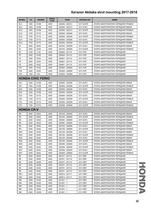| <b>MODEL</b>                       | cc           | <b>ENGINE</b>              | <b>DRIVE</b><br><b>TYPE</b> | <b>YEAR</b>                        | <b>AKITAKA NO</b>      | <b>NAME</b>                                                             |
|------------------------------------|--------------|----------------------------|-----------------------------|------------------------------------|------------------------|-------------------------------------------------------------------------|
| EU1                                | 1500         | D <sub>15</sub> B          | 2WD                         | 200009 - 200312                    | 0311-EUFR              | ОПОРА АМОРТИЗАТОРА ПЕРЕДНЯЯ ПРАВАЯ                                      |
| EU <sub>2</sub>                    | 1500         | D15B                       | 4WD                         | 200009 - 200312                    | 0311-EUFL              | ОПОРА АМОРТИЗАТОРА ПЕРЕДНЯЯ ЛЕВАЯ                                       |
| EU <sub>2</sub>                    | 1500         | D15B                       | 4WD                         | 200009 - 200312                    | 0311-EUFR              | ОПОРА АМОРТИЗАТОРА ПЕРЕДНЯЯ ПРАВАЯ                                      |
| EU3                                | 1700         | D <sub>17</sub> A          | 2WD                         | 200009 - 200508                    | 0311-EUFL              | ОПОРА АМОРТИЗАТОРА ПЕРЕДНЯЯ ЛЕВАЯ                                       |
| EU3                                | 1700         | D <sub>17</sub> A          | 2WD                         | 200009 - 200508                    | 0311-EUFR              | ОПОРА АМОРТИЗАТОРА ПЕРЕДНЯЯ ПРАВАЯ                                      |
| EU4                                | 1700         | D <sub>17</sub> A          | 4WD                         | 200009 - 200508                    | 0311-EUFL              | ОПОРА АМОРТИЗАТОРА ПЕРЕДНЯЯ ЛЕВАЯ                                       |
| EU4                                | 1700         | D <sub>17</sub> A          | 4WD                         | 200009 - 200508                    | 0311-EUFR              | ОПОРА АМОРТИЗАТОРА ПЕРЕДНЯЯ ПРАВАЯ                                      |
| EV                                 | 2000         | <b>K20A</b>                | 2WD                         | 200102 - 200509                    | 0311-EUFL              | ОПОРА АМОРТИЗАТОРА ПЕРЕДНЯЯ ЛЕВАЯ                                       |
| EV                                 | 2000         | <b>K20A</b>                | 2WD                         | 200102 - 200509                    | 0311-EUFR              | ОПОРА АМОРТИЗАТОРА ПЕРЕДНЯЯ ПРАВАЯ                                      |
| FD                                 | 1300         | L13A                       | 2WD                         | 200602 - 201112                    | 0311-FDF               | ОПОРА АМОРТИЗАТОРА ПЕРЕДНЯЯ                                             |
| FD                                 | 1600         | <b>R16A</b>                | 2WD                         | 200509 - 201112                    | 0311-FDF               | ОПОРА АМОРТИЗАТОРА ПЕРЕДНЯЯ                                             |
| FD                                 | 1800         | <b>R18A</b>                | 2WD                         | 200601 - 201112                    | 0311-FDF               | ОПОРА АМОРТИЗАТОРА ПЕРЕДНЯЯ                                             |
| FD                                 | 2000         | <b>K20A</b>                | 2WD                         | 200601 - 201112                    | 0311-FDF               | ОПОРА АМОРТИЗАТОРА ПЕРЕДНЯЯ                                             |
| <b>FD</b>                          | 2000         | <b>K20Z</b>                | 2WD                         | 200601 - 201112                    | 0311-FDF               | ОПОРА АМОРТИЗАТОРА ПЕРЕДНЯЯ                                             |
| FD <sub>1</sub>                    | 1800         | <b>R18A</b>                | 2WD                         | 200509 - 200808                    | 0311-FDF               | ОПОРА АМОРТИЗАТОРА ПЕРЕДНЯЯ                                             |
| FD <sub>2</sub>                    | 2000         | <b>K20A</b>                | 2WD                         | 200509 - 200808                    | 0311-FDF               | ОПОРА АМОРТИЗАТОРА ПЕРЕДНЯЯ                                             |
| FD <sub>3</sub>                    | 1300         | LDA                        | 2WD                         | 200509 - 200808                    | 0311-FDF               | ОПОРА АМОРТИЗАТОРА ПЕРЕДНЯЯ                                             |
|                                    |              |                            |                             |                                    |                        |                                                                         |
|                                    |              | <b>HONDA CIVIC FERIO</b>   |                             |                                    |                        |                                                                         |
| ES1                                | 1500         | <b>D15B</b>                | 2WD                         | 200009 - 200508                    | 0311-EUFL              | ОПОРА АМОРТИЗАТОРА ПЕРЕДНЯЯ ЛЕВАЯ                                       |
| ES1                                | 1500         | D <sub>15</sub> B          | 2WD                         | 200009 - 200508                    | 0311-EUFR              | ОПОРА АМОРТИЗАТОРА ПЕРЕДНЯЯ ПРАВАЯ                                      |
| ES <sub>2</sub>                    | 1500         | D15B                       | 4WD                         | 200009 - 200508                    | 0311-EUFL              | ОПОРА АМОРТИЗАТОРА ПЕРЕДНЯЯ ЛЕВАЯ                                       |
| ES <sub>2</sub>                    | 1500         | D15B                       | 4WD                         | 200009 - 200508                    | 0311-EUFR              | ОПОРА АМОРТИЗАТОРА ПЕРЕДНЯЯ ПРАВАЯ                                      |
| ES <sub>3</sub>                    | 1700         | D <sub>17</sub> A          | 2WD                         | 200009 - 200508                    | 0311-EUFL              | ОПОРА АМОРТИЗАТОРА ПЕРЕДНЯЯ ЛЕВАЯ                                       |
| ES <sub>3</sub>                    | 1700         | <b>D17A</b>                | 2WD                         | 200009 - 200508                    | 0311-EUFR              | ОПОРА АМОРТИЗАТОРА ПЕРЕДНЯЯ ПРАВАЯ                                      |
| ET <sub>2</sub>                    | 1700         | D <sub>17</sub> A          | 4WD                         | 200309 - 200508                    | 0311-EUFL              | ОПОРА АМОРТИЗАТОРА ПЕРЕДНЯЯ ЛЕВАЯ                                       |
| ET <sub>2</sub>                    | 1700         | D <sub>17</sub> A          | 4WD                         | 200309 - 200508                    | 0311-EUFR              | ОПОРА АМОРТИЗАТОРА ПЕРЕДНЯЯ ПРАВАЯ                                      |
| <b>HONDA CR-V</b>                  |              |                            |                             |                                    |                        |                                                                         |
|                                    |              |                            |                             |                                    |                        |                                                                         |
| <b>RD</b>                          | 2000         | <b>K20A</b>                | 2WD                         | 200109 - 200609                    | 0311-EUFL              | ОПОРА АМОРТИЗАТОРА ПЕРЕДНЯЯ ЛЕВАЯ                                       |
| <b>RD</b>                          | 2000         | <b>K20A</b>                | 2WD                         | 200109 - 200609                    | 0311-EUFR              | ОПОРА АМОРТИЗАТОРА ПЕРЕДНЯЯ ПРАВАЯ                                      |
| <b>RD</b>                          | 2200         | <b>N22A</b>                | 2WD                         | 200502 - 200609                    | 0311-EUFL              | ОПОРА АМОРТИЗАТОРА ПЕРЕДНЯЯ ЛЕВАЯ                                       |
| RD                                 | 2200         | <b>N22A</b>                | 2WD                         | 200502 - 200609                    | 0311-EUFR              | ОПОРА АМОРТИЗАТОРА ПЕРЕДНЯЯ ПРАВАЯ                                      |
| RD                                 | 2400         | K <sub>24</sub> A          | 4WD                         | 200109 - 200609                    | 0311-EUFL              | ОПОРА АМОРТИЗАТОРА ПЕРЕДНЯЯ ЛЕВАЯ                                       |
| RD.                                | 2400         | <b>K24A</b>                | 4WD                         | 200109 - 200609                    | 0311-EUFR              | ОПОРА АМОРТИЗАТОРА ПЕРЕДНЯЯ ПРАВАЯ                                      |
| RD4                                | 2000         | <b>K20A</b>                | 2WD                         | 200109 - 200408                    | 0311-EUFL              | ОПОРА АМОРТИЗАТОРА ПЕРЕДНЯЯ ЛЕВАЯ                                       |
| RD4                                | 2000         | <b>K20A</b>                | 2WD                         | 200109 - 200408                    | 0311-EUFR              | ОПОРА АМОРТИЗАТОРА ПЕРЕДНЯЯ ПРАВАЯ                                      |
| RD <sub>5</sub><br>RD <sub>5</sub> | 2000         | <b>K20A</b><br><b>K20A</b> | 4WD                         | 200109 - 200408                    | 0311-EUFL              | ОПОРА АМОРТИЗАТОРА ПЕРЕДНЯЯ ЛЕВАЯ                                       |
|                                    | 2000         | <b>K24A</b>                | 4WD                         | 200109 - 200408                    | 0311-EUFR              | ОПОРА АМОРТИЗАТОРА ПЕРЕДНЯЯ ПРАВАЯ<br>ОПОРА АМОРТИЗАТОРА ПЕРЕДНЯЯ ЛЕВАЯ |
| RD <sub>6</sub><br>RD <sub>6</sub> | 2400<br>2400 | <b>K24A</b>                | 2WD<br>2WD                  | 200408 - 200609<br>200408 - 200609 | 0311-EUFL<br>0311-EUFR | ОПОРА АМОРТИЗАТОРА ПЕРЕДНЯЯ ПРАВАЯ                                      |
| RD7                                | 2400         | <b>K24A</b>                | 4WD                         | 200408 - 200609                    | 0311-EUFL              | ОПОРА АМОРТИЗАТОРА ПЕРЕДНЯЯ ЛЕВАЯ                                       |
| RD7                                | 2400         | <b>K24A</b>                | 4WD                         | 200408 - 200609                    | 0311-EUFR              | ОПОРА АМОРТИЗАТОРА ПЕРЕДНЯЯ ПРАВАЯ                                      |
| RE                                 | 2000         | <b>R20A</b>                | 2WD                         | 200701 - 201112                    | 0311-REF               | ОПОРА АМОРТИЗАТОРА ПЕРЕДНЯЯ                                             |
| RE                                 | 2000         | <b>R20A</b>                | 4WD                         | 200701 - 201112                    | 0311-REF               | ОПОРА АМОРТИЗАТОРА ПЕРЕДНЯЯ                                             |
| <b>RE</b>                          | 2200         | <b>N22A</b>                | 4WD                         | 200701 - 201112                    | 0311-REF               | ОПОРА АМОРТИЗАТОРА ПЕРЕДНЯЯ                                             |
| RE                                 | 2200         | <b>N22B</b>                | 4WD                         | 200701 - 201112                    | 0311-REF               | ОПОРА АМОРТИЗАТОРА ПЕРЕДНЯЯ                                             |
| RE                                 | 2400         | <b>K24A</b>                | 2WD                         | 200701 - 201112                    | 0311-REF               | ОПОРА АМОРТИЗАТОРА ПЕРЕДНЯЯ                                             |
| <b>RE</b>                          | 2400         | <b>K24Z</b>                | 4WD                         | 200701 - 201112                    | 0311-REF               | ОПОРА АМОРТИЗАТОРА ПЕРЕДНЯЯ                                             |
| RE3                                | 2400         | <b>K24A</b>                | 2WD                         | 200610 - 201111                    | 0311-REF               | ОПОРА АМОРТИЗАТОРА ПЕРЕДНЯЯ                                             |
| RE4                                | 2400         | <b>K24A</b>                | 4WD                         | 200610 - 201111                    | 0311-REF               | ОПОРА АМОРТИЗАТОРА ПЕРЕДНЯЯ                                             |
| <b>RM</b>                          | 1600         | <b>N16A</b>                | 2WD                         | $201201 - 5$                       | 0311-REF               | ОПОРА АМОРТИЗАТОРА ПЕРЕДНЯЯ                                             |
| RM                                 | 1600         | <b>N16A</b>                | 4WD                         | $201201 - 5$                       | 0311-REF               | ОПОРА АМОРТИЗАТОРА ПЕРЕДНЯЯ                                             |
| RM                                 | 2000         | <b>R20A</b>                | 2WD                         | $201201 - 5$                       | 0311-REF               | ОПОРА АМОРТИЗАТОРА ПЕРЕДНЯЯ                                             |
| RM                                 | 2200         | <b>N22A</b>                | 4WD                         | $201201 - 5$                       | 0311-REF               | ОПОРА АМОРТИЗАТОРА ПЕРЕДНЯЯ                                             |
| RM                                 | 2400         | <b>K24W</b>                | 4WD                         | $201201 - 5$                       | 0311-REF               | ОПОРА АМОРТИЗАТОРА ПЕРЕДНЯЯ                                             |
|                                    |              |                            |                             |                                    |                        |                                                                         |

HONDA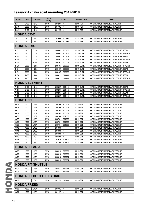| <b>K24Z</b><br>$201201 - 5$<br><b>RM</b><br>2400<br>4WD<br>0311-REF<br>ОПОРА АМОРТИЗАТОРА ПЕРЕДНЯЯ<br>RM <sub>1</sub><br>2000<br><b>R20A</b><br>2WD<br>$201112 - 5$<br>ОПОРА АМОРТИЗАТОРА ПЕРЕДНЯЯ<br>0311-REF<br>RM4<br><b>K24A</b><br>4WD<br>$201112 - 5$<br>ОПОРА АМОРТИЗАТОРА ПЕРЕДНЯЯ<br>2400<br>0311-REF<br><b>HONDA CR-Z</b><br>201006 - 200612<br>ZF <sub>1</sub><br>1500<br>LEA<br>2WD<br>0311-GBF<br>ОПОРА АМОРТИЗАТОРА ПЕРЕДНЯЯ<br>ZF <sub>2</sub><br>1500<br>LEA<br>2WD<br>201006 - 200612<br>0311-GBF<br>ОПОРА АМОРТИЗАТОРА ПЕРЕДНЯЯ<br><b>HONDA EDIX</b><br>0311-EUFL<br>BE1<br>1700<br><b>D17A</b><br>2WD<br>200407 - 200908<br>ОПОРА АМОРТИЗАТОРА ПЕРЕДНЯЯ ЛЕВАЯ<br>BE1<br>1700<br><b>D17A</b><br>2WD<br>200407 - 200908<br>ОПОРА АМОРТИЗАТОРА ПЕРЕДНЯЯ ПРАВАЯ<br>0311-EUFR<br>BE <sub>2</sub><br>1700<br><b>D17A</b><br>4WD<br>200407 - 200908<br>0311-EUFL<br>ОПОРА АМОРТИЗАТОРА ПЕРЕДНЯЯ ЛЕВАЯ<br>BE <sub>2</sub><br>1700<br><b>D17A</b><br>4WD<br>200407 - 200908<br>0311-EUFR<br>ОПОРА АМОРТИЗАТОРА ПЕРЕДНЯЯ ПРАВАЯ<br>BE3<br>2000<br><b>K20A</b><br>2WD<br>200407 - 200908<br>0311-EUFL<br>ОПОРА АМОРТИЗАТОРА ПЕРЕДНЯЯ ЛЕВАЯ<br>ОПОРА АМОРТИЗАТОРА ПЕРЕДНЯЯ ПРАВАЯ<br>BE3<br>2000<br><b>K20A</b><br>2WD<br>200407 - 200908<br>0311-EUFR<br>BE4<br>2000<br><b>K20A</b><br>4WD<br>200407 - 200908<br>ОПОРА АМОРТИЗАТОРА ПЕРЕДНЯЯ ЛЕВАЯ<br>0311-EUFL<br>BE4<br>2000<br><b>K20A</b><br>4WD<br>200407 - 200908<br>ОПОРА АМОРТИЗАТОРА ПЕРЕДНЯЯ ПРАВАЯ<br>0311-EUFR<br>BE8<br><b>K24A</b><br>2WD<br>200611 - 200908<br>0311-EUFL<br>ОПОРА АМОРТИЗАТОРА ПЕРЕДНЯЯ ЛЕВАЯ<br>2400<br>BE8<br>2400<br><b>K24A</b><br>2WD<br>200611 - 200908<br>0311-EUFR<br>ОПОРА АМОРТИЗАТОРА ПЕРЕДНЯЯ ПРАВАЯ<br><b>HONDA ELEMENT</b><br>2400<br><b>K24A</b><br>2WD<br>200207 - 201112<br>0311-EUFL<br>ОПОРА АМОРТИЗАТОРА ПЕРЕДНЯЯ ЛЕВАЯ<br>YH1<br>YH1<br><b>K24A</b><br>2WD<br>0311-EUFR<br>2400<br>200207 - 201112<br>ОПОРА АМОРТИЗАТОРА ПЕРЕДНЯЯ ПРАВАЯ<br>YH <sub>2</sub><br>2400<br><b>K24A</b><br>4WD<br>200207 - 201112<br>0311-EUFL<br>ОПОРА АМОРТИЗАТОРА ПЕРЕДНЯЯ ЛЕВАЯ<br>YH <sub>2</sub><br>2400<br><b>K24A</b><br>4WD<br>200207 - 201112<br>0311-EUFR<br>ОПОРА АМОРТИЗАТОРА ПЕРЕДНЯЯ ПРАВАЯ<br><b>HONDA FIT</b><br>GD1<br>L13A<br>2WD<br>200106 - 200709<br>0311-GDF<br>1300<br>ОПОРА АМОРТИЗАТОРА ПЕРЕДНЯЯ<br>GD <sub>2</sub><br>L13A<br>1300<br>4WD<br>200106 - 200709<br>0311-GDF<br>ОПОРА АМОРТИЗАТОРА ПЕРЕДНЯЯ<br>GD <sub>3</sub><br>1500<br>L15A<br>2WD<br>200209 - 200709<br>0311-GDF<br>ОПОРА АМОРТИЗАТОРА ПЕРЕДНЯЯ<br>GD4<br>1500<br>L15A<br>4WD<br>200209 - 200709<br>0311-GDF<br>ОПОРА АМОРТИЗАТОРА ПЕРЕДНЯЯ<br>GE <sub>6</sub><br>1300<br>L13A<br>2WD<br>200704 - 201308<br>0311-GBF<br>ОПОРА АМОРТИЗАТОРА ПЕРЕДНЯЯ<br>GE7<br>1300<br>L13A<br>4WD<br>200704 - 201308<br>0311-GBF<br>ОПОРА АМОРТИЗАТОРА ПЕРЕДНЯЯ<br>2WD<br>GE8<br>1500<br>L15A<br>200704 - 201308<br>0311-GBF<br>ОПОРА АМОРТИЗАТОРА ПЕРЕДНЯЯ<br>GE9<br>1500<br>L15A<br>4WD<br>200704 - 201308<br>0311-GBF<br>ОПОРА АМОРТИЗАТОРА ПЕРЕДНЯЯ<br>GK3<br>L13B<br>2WD<br>$201308 - 5$<br>0311-GBF<br>ОПОРА АМОРТИЗАТОРА ПЕРЕДНЯЯ<br>1300<br>GK4<br>L <sub>13</sub> B<br>4WD<br>$201308 - 5$<br>0311-GBF<br>ОПОРА АМОРТИЗАТОРА ПЕРЕДНЯЯ<br>1300<br>$201308 - 5$<br>GK5<br>1500<br>L15B<br>2WD<br>0311-GBF<br>ОПОРА АМОРТИЗАТОРА ПЕРЕДНЯЯ<br>$201308 - 5$<br>GK6<br>1500<br>L15B<br>4WD<br>0311-GBF<br>ОПОРА АМОРТИЗАТОРА ПЕРЕДНЯЯ<br>GP1<br>1300<br><b>LDA</b><br>2WD<br>201010 - 201309<br>0311-GBF<br>ОПОРА АМОРТИЗАТОРА ПЕРЕДНЯЯ<br>GP4<br>LEA<br>1500<br>2WD<br>201205 - 201309<br>0311-GBF<br>ОПОРА АМОРТИЗАТОРА ПЕРЕДНЯЯ<br><b>HONDA FIT ARIA</b><br>GD <sub>6</sub><br>L13A<br>2WD<br>200212 - 200509<br>0311-GDF<br>ОПОРА АМОРТИЗАТОРА ПЕРЕДНЯЯ<br>1300<br>GD7<br>1300<br>L13A<br>4WD<br>200212 - 200509<br>0311-GDF<br>ОПОРА АМОРТИЗАТОРА ПЕРЕДНЯЯ<br>GD <sub>8</sub><br>L15A<br>2WD<br>200212 - 200901<br>0311-GDF<br>ОПОРА АМОРТИЗАТОРА ПЕРЕДНЯЯ<br>1500<br>200212 - 200901<br>0311-GDF<br>GD <sub>9</sub><br>1500<br>L15A<br>4WD<br>ОПОРА АМОРТИЗАТОРА ПЕРЕДНЯЯ<br><b>HONDA FIT SHUTTLE</b><br>GG7<br>1500<br>L15A<br>2WD<br>201107 - 201503<br>0311-GBF<br>ОПОРА АМОРТИЗАТОРА ПЕРЕДНЯЯ<br>GG8<br>1500<br>L15A<br>4WD<br>201107 - 201503<br>0311-GBF<br>ОПОРА АМОРТИЗАТОРА ПЕРЕДНЯЯ<br><b>HONDA FIT SHUTTLE HYBRID</b><br>GP <sub>2</sub><br>1300<br>2WD<br>201107 - 201503<br>0311-GBF<br>LDA<br>ОПОРА АМОРТИЗАТОРА ПЕРЕДНЯЯ<br><b>HONDA FREED</b><br>GB <sub>3</sub><br>1500<br>L15A<br>2WD<br>$201110 - <$<br>0311-GBF<br>ОПОРА АМОРТИЗАТОРА ПЕРЕДНЯЯ<br>GB4<br>1500<br>L15A<br>4WD<br>$201110 - <$<br>0311-GBF<br>ОПОРА АМОРТИЗАТОРА ПЕРЕДНЯЯ | <b>MODEL</b> | cc | <b>ENGINE</b> | <b>DRIVE</b><br><b>TYPE</b> | <b>YEAR</b> | <b>AKITAKA NO</b> | <b>NAME</b> |
|----------------------------------------------------------------------------------------------------------------------------------------------------------------------------------------------------------------------------------------------------------------------------------------------------------------------------------------------------------------------------------------------------------------------------------------------------------------------------------------------------------------------------------------------------------------------------------------------------------------------------------------------------------------------------------------------------------------------------------------------------------------------------------------------------------------------------------------------------------------------------------------------------------------------------------------------------------------------------------------------------------------------------------------------------------------------------------------------------------------------------------------------------------------------------------------------------------------------------------------------------------------------------------------------------------------------------------------------------------------------------------------------------------------------------------------------------------------------------------------------------------------------------------------------------------------------------------------------------------------------------------------------------------------------------------------------------------------------------------------------------------------------------------------------------------------------------------------------------------------------------------------------------------------------------------------------------------------------------------------------------------------------------------------------------------------------------------------------------------------------------------------------------------------------------------------------------------------------------------------------------------------------------------------------------------------------------------------------------------------------------------------------------------------------------------------------------------------------------------------------------------------------------------------------------------------------------------------------------------------------------------------------------------------------------------------------------------------------------------------------------------------------------------------------------------------------------------------------------------------------------------------------------------------------------------------------------------------------------------------------------------------------------------------------------------------------------------------------------------------------------------------------------------------------------------------------------------------------------------------------------------------------------------------------------------------------------------------------------------------------------------------------------------------------------------------------------------------------------------------------------------------------------------------------------------------------------------------------------------------------------------------------------------------------------------------------------------------------------------------------------------------------------------------------------------------------------------------------------------------------------------------------------------------------------------------------------------------------------------------------------------------------------------------------------------------------------------------------------------------------------------------------------------------------------------------------------------------------------------------------------------------------------------------------------------------------------------------------------------------------------------------------------------------------------------------------------------------------------------------------------------------------------------------------------------------------------------------------------------------------------------------|--------------|----|---------------|-----------------------------|-------------|-------------------|-------------|
|                                                                                                                                                                                                                                                                                                                                                                                                                                                                                                                                                                                                                                                                                                                                                                                                                                                                                                                                                                                                                                                                                                                                                                                                                                                                                                                                                                                                                                                                                                                                                                                                                                                                                                                                                                                                                                                                                                                                                                                                                                                                                                                                                                                                                                                                                                                                                                                                                                                                                                                                                                                                                                                                                                                                                                                                                                                                                                                                                                                                                                                                                                                                                                                                                                                                                                                                                                                                                                                                                                                                                                                                                                                                                                                                                                                                                                                                                                                                                                                                                                                                                                                                                                                                                                                                                                                                                                                                                                                                                                                                                                                                                                        |              |    |               |                             |             |                   |             |
|                                                                                                                                                                                                                                                                                                                                                                                                                                                                                                                                                                                                                                                                                                                                                                                                                                                                                                                                                                                                                                                                                                                                                                                                                                                                                                                                                                                                                                                                                                                                                                                                                                                                                                                                                                                                                                                                                                                                                                                                                                                                                                                                                                                                                                                                                                                                                                                                                                                                                                                                                                                                                                                                                                                                                                                                                                                                                                                                                                                                                                                                                                                                                                                                                                                                                                                                                                                                                                                                                                                                                                                                                                                                                                                                                                                                                                                                                                                                                                                                                                                                                                                                                                                                                                                                                                                                                                                                                                                                                                                                                                                                                                        |              |    |               |                             |             |                   |             |
|                                                                                                                                                                                                                                                                                                                                                                                                                                                                                                                                                                                                                                                                                                                                                                                                                                                                                                                                                                                                                                                                                                                                                                                                                                                                                                                                                                                                                                                                                                                                                                                                                                                                                                                                                                                                                                                                                                                                                                                                                                                                                                                                                                                                                                                                                                                                                                                                                                                                                                                                                                                                                                                                                                                                                                                                                                                                                                                                                                                                                                                                                                                                                                                                                                                                                                                                                                                                                                                                                                                                                                                                                                                                                                                                                                                                                                                                                                                                                                                                                                                                                                                                                                                                                                                                                                                                                                                                                                                                                                                                                                                                                                        |              |    |               |                             |             |                   |             |
|                                                                                                                                                                                                                                                                                                                                                                                                                                                                                                                                                                                                                                                                                                                                                                                                                                                                                                                                                                                                                                                                                                                                                                                                                                                                                                                                                                                                                                                                                                                                                                                                                                                                                                                                                                                                                                                                                                                                                                                                                                                                                                                                                                                                                                                                                                                                                                                                                                                                                                                                                                                                                                                                                                                                                                                                                                                                                                                                                                                                                                                                                                                                                                                                                                                                                                                                                                                                                                                                                                                                                                                                                                                                                                                                                                                                                                                                                                                                                                                                                                                                                                                                                                                                                                                                                                                                                                                                                                                                                                                                                                                                                                        |              |    |               |                             |             |                   |             |
|                                                                                                                                                                                                                                                                                                                                                                                                                                                                                                                                                                                                                                                                                                                                                                                                                                                                                                                                                                                                                                                                                                                                                                                                                                                                                                                                                                                                                                                                                                                                                                                                                                                                                                                                                                                                                                                                                                                                                                                                                                                                                                                                                                                                                                                                                                                                                                                                                                                                                                                                                                                                                                                                                                                                                                                                                                                                                                                                                                                                                                                                                                                                                                                                                                                                                                                                                                                                                                                                                                                                                                                                                                                                                                                                                                                                                                                                                                                                                                                                                                                                                                                                                                                                                                                                                                                                                                                                                                                                                                                                                                                                                                        |              |    |               |                             |             |                   |             |
|                                                                                                                                                                                                                                                                                                                                                                                                                                                                                                                                                                                                                                                                                                                                                                                                                                                                                                                                                                                                                                                                                                                                                                                                                                                                                                                                                                                                                                                                                                                                                                                                                                                                                                                                                                                                                                                                                                                                                                                                                                                                                                                                                                                                                                                                                                                                                                                                                                                                                                                                                                                                                                                                                                                                                                                                                                                                                                                                                                                                                                                                                                                                                                                                                                                                                                                                                                                                                                                                                                                                                                                                                                                                                                                                                                                                                                                                                                                                                                                                                                                                                                                                                                                                                                                                                                                                                                                                                                                                                                                                                                                                                                        |              |    |               |                             |             |                   |             |
|                                                                                                                                                                                                                                                                                                                                                                                                                                                                                                                                                                                                                                                                                                                                                                                                                                                                                                                                                                                                                                                                                                                                                                                                                                                                                                                                                                                                                                                                                                                                                                                                                                                                                                                                                                                                                                                                                                                                                                                                                                                                                                                                                                                                                                                                                                                                                                                                                                                                                                                                                                                                                                                                                                                                                                                                                                                                                                                                                                                                                                                                                                                                                                                                                                                                                                                                                                                                                                                                                                                                                                                                                                                                                                                                                                                                                                                                                                                                                                                                                                                                                                                                                                                                                                                                                                                                                                                                                                                                                                                                                                                                                                        |              |    |               |                             |             |                   |             |
|                                                                                                                                                                                                                                                                                                                                                                                                                                                                                                                                                                                                                                                                                                                                                                                                                                                                                                                                                                                                                                                                                                                                                                                                                                                                                                                                                                                                                                                                                                                                                                                                                                                                                                                                                                                                                                                                                                                                                                                                                                                                                                                                                                                                                                                                                                                                                                                                                                                                                                                                                                                                                                                                                                                                                                                                                                                                                                                                                                                                                                                                                                                                                                                                                                                                                                                                                                                                                                                                                                                                                                                                                                                                                                                                                                                                                                                                                                                                                                                                                                                                                                                                                                                                                                                                                                                                                                                                                                                                                                                                                                                                                                        |              |    |               |                             |             |                   |             |
|                                                                                                                                                                                                                                                                                                                                                                                                                                                                                                                                                                                                                                                                                                                                                                                                                                                                                                                                                                                                                                                                                                                                                                                                                                                                                                                                                                                                                                                                                                                                                                                                                                                                                                                                                                                                                                                                                                                                                                                                                                                                                                                                                                                                                                                                                                                                                                                                                                                                                                                                                                                                                                                                                                                                                                                                                                                                                                                                                                                                                                                                                                                                                                                                                                                                                                                                                                                                                                                                                                                                                                                                                                                                                                                                                                                                                                                                                                                                                                                                                                                                                                                                                                                                                                                                                                                                                                                                                                                                                                                                                                                                                                        |              |    |               |                             |             |                   |             |
|                                                                                                                                                                                                                                                                                                                                                                                                                                                                                                                                                                                                                                                                                                                                                                                                                                                                                                                                                                                                                                                                                                                                                                                                                                                                                                                                                                                                                                                                                                                                                                                                                                                                                                                                                                                                                                                                                                                                                                                                                                                                                                                                                                                                                                                                                                                                                                                                                                                                                                                                                                                                                                                                                                                                                                                                                                                                                                                                                                                                                                                                                                                                                                                                                                                                                                                                                                                                                                                                                                                                                                                                                                                                                                                                                                                                                                                                                                                                                                                                                                                                                                                                                                                                                                                                                                                                                                                                                                                                                                                                                                                                                                        |              |    |               |                             |             |                   |             |
|                                                                                                                                                                                                                                                                                                                                                                                                                                                                                                                                                                                                                                                                                                                                                                                                                                                                                                                                                                                                                                                                                                                                                                                                                                                                                                                                                                                                                                                                                                                                                                                                                                                                                                                                                                                                                                                                                                                                                                                                                                                                                                                                                                                                                                                                                                                                                                                                                                                                                                                                                                                                                                                                                                                                                                                                                                                                                                                                                                                                                                                                                                                                                                                                                                                                                                                                                                                                                                                                                                                                                                                                                                                                                                                                                                                                                                                                                                                                                                                                                                                                                                                                                                                                                                                                                                                                                                                                                                                                                                                                                                                                                                        |              |    |               |                             |             |                   |             |
|                                                                                                                                                                                                                                                                                                                                                                                                                                                                                                                                                                                                                                                                                                                                                                                                                                                                                                                                                                                                                                                                                                                                                                                                                                                                                                                                                                                                                                                                                                                                                                                                                                                                                                                                                                                                                                                                                                                                                                                                                                                                                                                                                                                                                                                                                                                                                                                                                                                                                                                                                                                                                                                                                                                                                                                                                                                                                                                                                                                                                                                                                                                                                                                                                                                                                                                                                                                                                                                                                                                                                                                                                                                                                                                                                                                                                                                                                                                                                                                                                                                                                                                                                                                                                                                                                                                                                                                                                                                                                                                                                                                                                                        |              |    |               |                             |             |                   |             |
|                                                                                                                                                                                                                                                                                                                                                                                                                                                                                                                                                                                                                                                                                                                                                                                                                                                                                                                                                                                                                                                                                                                                                                                                                                                                                                                                                                                                                                                                                                                                                                                                                                                                                                                                                                                                                                                                                                                                                                                                                                                                                                                                                                                                                                                                                                                                                                                                                                                                                                                                                                                                                                                                                                                                                                                                                                                                                                                                                                                                                                                                                                                                                                                                                                                                                                                                                                                                                                                                                                                                                                                                                                                                                                                                                                                                                                                                                                                                                                                                                                                                                                                                                                                                                                                                                                                                                                                                                                                                                                                                                                                                                                        |              |    |               |                             |             |                   |             |
|                                                                                                                                                                                                                                                                                                                                                                                                                                                                                                                                                                                                                                                                                                                                                                                                                                                                                                                                                                                                                                                                                                                                                                                                                                                                                                                                                                                                                                                                                                                                                                                                                                                                                                                                                                                                                                                                                                                                                                                                                                                                                                                                                                                                                                                                                                                                                                                                                                                                                                                                                                                                                                                                                                                                                                                                                                                                                                                                                                                                                                                                                                                                                                                                                                                                                                                                                                                                                                                                                                                                                                                                                                                                                                                                                                                                                                                                                                                                                                                                                                                                                                                                                                                                                                                                                                                                                                                                                                                                                                                                                                                                                                        |              |    |               |                             |             |                   |             |
|                                                                                                                                                                                                                                                                                                                                                                                                                                                                                                                                                                                                                                                                                                                                                                                                                                                                                                                                                                                                                                                                                                                                                                                                                                                                                                                                                                                                                                                                                                                                                                                                                                                                                                                                                                                                                                                                                                                                                                                                                                                                                                                                                                                                                                                                                                                                                                                                                                                                                                                                                                                                                                                                                                                                                                                                                                                                                                                                                                                                                                                                                                                                                                                                                                                                                                                                                                                                                                                                                                                                                                                                                                                                                                                                                                                                                                                                                                                                                                                                                                                                                                                                                                                                                                                                                                                                                                                                                                                                                                                                                                                                                                        |              |    |               |                             |             |                   |             |
|                                                                                                                                                                                                                                                                                                                                                                                                                                                                                                                                                                                                                                                                                                                                                                                                                                                                                                                                                                                                                                                                                                                                                                                                                                                                                                                                                                                                                                                                                                                                                                                                                                                                                                                                                                                                                                                                                                                                                                                                                                                                                                                                                                                                                                                                                                                                                                                                                                                                                                                                                                                                                                                                                                                                                                                                                                                                                                                                                                                                                                                                                                                                                                                                                                                                                                                                                                                                                                                                                                                                                                                                                                                                                                                                                                                                                                                                                                                                                                                                                                                                                                                                                                                                                                                                                                                                                                                                                                                                                                                                                                                                                                        |              |    |               |                             |             |                   |             |
|                                                                                                                                                                                                                                                                                                                                                                                                                                                                                                                                                                                                                                                                                                                                                                                                                                                                                                                                                                                                                                                                                                                                                                                                                                                                                                                                                                                                                                                                                                                                                                                                                                                                                                                                                                                                                                                                                                                                                                                                                                                                                                                                                                                                                                                                                                                                                                                                                                                                                                                                                                                                                                                                                                                                                                                                                                                                                                                                                                                                                                                                                                                                                                                                                                                                                                                                                                                                                                                                                                                                                                                                                                                                                                                                                                                                                                                                                                                                                                                                                                                                                                                                                                                                                                                                                                                                                                                                                                                                                                                                                                                                                                        |              |    |               |                             |             |                   |             |
|                                                                                                                                                                                                                                                                                                                                                                                                                                                                                                                                                                                                                                                                                                                                                                                                                                                                                                                                                                                                                                                                                                                                                                                                                                                                                                                                                                                                                                                                                                                                                                                                                                                                                                                                                                                                                                                                                                                                                                                                                                                                                                                                                                                                                                                                                                                                                                                                                                                                                                                                                                                                                                                                                                                                                                                                                                                                                                                                                                                                                                                                                                                                                                                                                                                                                                                                                                                                                                                                                                                                                                                                                                                                                                                                                                                                                                                                                                                                                                                                                                                                                                                                                                                                                                                                                                                                                                                                                                                                                                                                                                                                                                        |              |    |               |                             |             |                   |             |
|                                                                                                                                                                                                                                                                                                                                                                                                                                                                                                                                                                                                                                                                                                                                                                                                                                                                                                                                                                                                                                                                                                                                                                                                                                                                                                                                                                                                                                                                                                                                                                                                                                                                                                                                                                                                                                                                                                                                                                                                                                                                                                                                                                                                                                                                                                                                                                                                                                                                                                                                                                                                                                                                                                                                                                                                                                                                                                                                                                                                                                                                                                                                                                                                                                                                                                                                                                                                                                                                                                                                                                                                                                                                                                                                                                                                                                                                                                                                                                                                                                                                                                                                                                                                                                                                                                                                                                                                                                                                                                                                                                                                                                        |              |    |               |                             |             |                   |             |
|                                                                                                                                                                                                                                                                                                                                                                                                                                                                                                                                                                                                                                                                                                                                                                                                                                                                                                                                                                                                                                                                                                                                                                                                                                                                                                                                                                                                                                                                                                                                                                                                                                                                                                                                                                                                                                                                                                                                                                                                                                                                                                                                                                                                                                                                                                                                                                                                                                                                                                                                                                                                                                                                                                                                                                                                                                                                                                                                                                                                                                                                                                                                                                                                                                                                                                                                                                                                                                                                                                                                                                                                                                                                                                                                                                                                                                                                                                                                                                                                                                                                                                                                                                                                                                                                                                                                                                                                                                                                                                                                                                                                                                        |              |    |               |                             |             |                   |             |
|                                                                                                                                                                                                                                                                                                                                                                                                                                                                                                                                                                                                                                                                                                                                                                                                                                                                                                                                                                                                                                                                                                                                                                                                                                                                                                                                                                                                                                                                                                                                                                                                                                                                                                                                                                                                                                                                                                                                                                                                                                                                                                                                                                                                                                                                                                                                                                                                                                                                                                                                                                                                                                                                                                                                                                                                                                                                                                                                                                                                                                                                                                                                                                                                                                                                                                                                                                                                                                                                                                                                                                                                                                                                                                                                                                                                                                                                                                                                                                                                                                                                                                                                                                                                                                                                                                                                                                                                                                                                                                                                                                                                                                        |              |    |               |                             |             |                   |             |
|                                                                                                                                                                                                                                                                                                                                                                                                                                                                                                                                                                                                                                                                                                                                                                                                                                                                                                                                                                                                                                                                                                                                                                                                                                                                                                                                                                                                                                                                                                                                                                                                                                                                                                                                                                                                                                                                                                                                                                                                                                                                                                                                                                                                                                                                                                                                                                                                                                                                                                                                                                                                                                                                                                                                                                                                                                                                                                                                                                                                                                                                                                                                                                                                                                                                                                                                                                                                                                                                                                                                                                                                                                                                                                                                                                                                                                                                                                                                                                                                                                                                                                                                                                                                                                                                                                                                                                                                                                                                                                                                                                                                                                        |              |    |               |                             |             |                   |             |
|                                                                                                                                                                                                                                                                                                                                                                                                                                                                                                                                                                                                                                                                                                                                                                                                                                                                                                                                                                                                                                                                                                                                                                                                                                                                                                                                                                                                                                                                                                                                                                                                                                                                                                                                                                                                                                                                                                                                                                                                                                                                                                                                                                                                                                                                                                                                                                                                                                                                                                                                                                                                                                                                                                                                                                                                                                                                                                                                                                                                                                                                                                                                                                                                                                                                                                                                                                                                                                                                                                                                                                                                                                                                                                                                                                                                                                                                                                                                                                                                                                                                                                                                                                                                                                                                                                                                                                                                                                                                                                                                                                                                                                        |              |    |               |                             |             |                   |             |
|                                                                                                                                                                                                                                                                                                                                                                                                                                                                                                                                                                                                                                                                                                                                                                                                                                                                                                                                                                                                                                                                                                                                                                                                                                                                                                                                                                                                                                                                                                                                                                                                                                                                                                                                                                                                                                                                                                                                                                                                                                                                                                                                                                                                                                                                                                                                                                                                                                                                                                                                                                                                                                                                                                                                                                                                                                                                                                                                                                                                                                                                                                                                                                                                                                                                                                                                                                                                                                                                                                                                                                                                                                                                                                                                                                                                                                                                                                                                                                                                                                                                                                                                                                                                                                                                                                                                                                                                                                                                                                                                                                                                                                        |              |    |               |                             |             |                   |             |
|                                                                                                                                                                                                                                                                                                                                                                                                                                                                                                                                                                                                                                                                                                                                                                                                                                                                                                                                                                                                                                                                                                                                                                                                                                                                                                                                                                                                                                                                                                                                                                                                                                                                                                                                                                                                                                                                                                                                                                                                                                                                                                                                                                                                                                                                                                                                                                                                                                                                                                                                                                                                                                                                                                                                                                                                                                                                                                                                                                                                                                                                                                                                                                                                                                                                                                                                                                                                                                                                                                                                                                                                                                                                                                                                                                                                                                                                                                                                                                                                                                                                                                                                                                                                                                                                                                                                                                                                                                                                                                                                                                                                                                        |              |    |               |                             |             |                   |             |
|                                                                                                                                                                                                                                                                                                                                                                                                                                                                                                                                                                                                                                                                                                                                                                                                                                                                                                                                                                                                                                                                                                                                                                                                                                                                                                                                                                                                                                                                                                                                                                                                                                                                                                                                                                                                                                                                                                                                                                                                                                                                                                                                                                                                                                                                                                                                                                                                                                                                                                                                                                                                                                                                                                                                                                                                                                                                                                                                                                                                                                                                                                                                                                                                                                                                                                                                                                                                                                                                                                                                                                                                                                                                                                                                                                                                                                                                                                                                                                                                                                                                                                                                                                                                                                                                                                                                                                                                                                                                                                                                                                                                                                        |              |    |               |                             |             |                   |             |
|                                                                                                                                                                                                                                                                                                                                                                                                                                                                                                                                                                                                                                                                                                                                                                                                                                                                                                                                                                                                                                                                                                                                                                                                                                                                                                                                                                                                                                                                                                                                                                                                                                                                                                                                                                                                                                                                                                                                                                                                                                                                                                                                                                                                                                                                                                                                                                                                                                                                                                                                                                                                                                                                                                                                                                                                                                                                                                                                                                                                                                                                                                                                                                                                                                                                                                                                                                                                                                                                                                                                                                                                                                                                                                                                                                                                                                                                                                                                                                                                                                                                                                                                                                                                                                                                                                                                                                                                                                                                                                                                                                                                                                        |              |    |               |                             |             |                   |             |
|                                                                                                                                                                                                                                                                                                                                                                                                                                                                                                                                                                                                                                                                                                                                                                                                                                                                                                                                                                                                                                                                                                                                                                                                                                                                                                                                                                                                                                                                                                                                                                                                                                                                                                                                                                                                                                                                                                                                                                                                                                                                                                                                                                                                                                                                                                                                                                                                                                                                                                                                                                                                                                                                                                                                                                                                                                                                                                                                                                                                                                                                                                                                                                                                                                                                                                                                                                                                                                                                                                                                                                                                                                                                                                                                                                                                                                                                                                                                                                                                                                                                                                                                                                                                                                                                                                                                                                                                                                                                                                                                                                                                                                        |              |    |               |                             |             |                   |             |
|                                                                                                                                                                                                                                                                                                                                                                                                                                                                                                                                                                                                                                                                                                                                                                                                                                                                                                                                                                                                                                                                                                                                                                                                                                                                                                                                                                                                                                                                                                                                                                                                                                                                                                                                                                                                                                                                                                                                                                                                                                                                                                                                                                                                                                                                                                                                                                                                                                                                                                                                                                                                                                                                                                                                                                                                                                                                                                                                                                                                                                                                                                                                                                                                                                                                                                                                                                                                                                                                                                                                                                                                                                                                                                                                                                                                                                                                                                                                                                                                                                                                                                                                                                                                                                                                                                                                                                                                                                                                                                                                                                                                                                        |              |    |               |                             |             |                   |             |
|                                                                                                                                                                                                                                                                                                                                                                                                                                                                                                                                                                                                                                                                                                                                                                                                                                                                                                                                                                                                                                                                                                                                                                                                                                                                                                                                                                                                                                                                                                                                                                                                                                                                                                                                                                                                                                                                                                                                                                                                                                                                                                                                                                                                                                                                                                                                                                                                                                                                                                                                                                                                                                                                                                                                                                                                                                                                                                                                                                                                                                                                                                                                                                                                                                                                                                                                                                                                                                                                                                                                                                                                                                                                                                                                                                                                                                                                                                                                                                                                                                                                                                                                                                                                                                                                                                                                                                                                                                                                                                                                                                                                                                        |              |    |               |                             |             |                   |             |
|                                                                                                                                                                                                                                                                                                                                                                                                                                                                                                                                                                                                                                                                                                                                                                                                                                                                                                                                                                                                                                                                                                                                                                                                                                                                                                                                                                                                                                                                                                                                                                                                                                                                                                                                                                                                                                                                                                                                                                                                                                                                                                                                                                                                                                                                                                                                                                                                                                                                                                                                                                                                                                                                                                                                                                                                                                                                                                                                                                                                                                                                                                                                                                                                                                                                                                                                                                                                                                                                                                                                                                                                                                                                                                                                                                                                                                                                                                                                                                                                                                                                                                                                                                                                                                                                                                                                                                                                                                                                                                                                                                                                                                        |              |    |               |                             |             |                   |             |
|                                                                                                                                                                                                                                                                                                                                                                                                                                                                                                                                                                                                                                                                                                                                                                                                                                                                                                                                                                                                                                                                                                                                                                                                                                                                                                                                                                                                                                                                                                                                                                                                                                                                                                                                                                                                                                                                                                                                                                                                                                                                                                                                                                                                                                                                                                                                                                                                                                                                                                                                                                                                                                                                                                                                                                                                                                                                                                                                                                                                                                                                                                                                                                                                                                                                                                                                                                                                                                                                                                                                                                                                                                                                                                                                                                                                                                                                                                                                                                                                                                                                                                                                                                                                                                                                                                                                                                                                                                                                                                                                                                                                                                        |              |    |               |                             |             |                   |             |
|                                                                                                                                                                                                                                                                                                                                                                                                                                                                                                                                                                                                                                                                                                                                                                                                                                                                                                                                                                                                                                                                                                                                                                                                                                                                                                                                                                                                                                                                                                                                                                                                                                                                                                                                                                                                                                                                                                                                                                                                                                                                                                                                                                                                                                                                                                                                                                                                                                                                                                                                                                                                                                                                                                                                                                                                                                                                                                                                                                                                                                                                                                                                                                                                                                                                                                                                                                                                                                                                                                                                                                                                                                                                                                                                                                                                                                                                                                                                                                                                                                                                                                                                                                                                                                                                                                                                                                                                                                                                                                                                                                                                                                        |              |    |               |                             |             |                   |             |
|                                                                                                                                                                                                                                                                                                                                                                                                                                                                                                                                                                                                                                                                                                                                                                                                                                                                                                                                                                                                                                                                                                                                                                                                                                                                                                                                                                                                                                                                                                                                                                                                                                                                                                                                                                                                                                                                                                                                                                                                                                                                                                                                                                                                                                                                                                                                                                                                                                                                                                                                                                                                                                                                                                                                                                                                                                                                                                                                                                                                                                                                                                                                                                                                                                                                                                                                                                                                                                                                                                                                                                                                                                                                                                                                                                                                                                                                                                                                                                                                                                                                                                                                                                                                                                                                                                                                                                                                                                                                                                                                                                                                                                        |              |    |               |                             |             |                   |             |
|                                                                                                                                                                                                                                                                                                                                                                                                                                                                                                                                                                                                                                                                                                                                                                                                                                                                                                                                                                                                                                                                                                                                                                                                                                                                                                                                                                                                                                                                                                                                                                                                                                                                                                                                                                                                                                                                                                                                                                                                                                                                                                                                                                                                                                                                                                                                                                                                                                                                                                                                                                                                                                                                                                                                                                                                                                                                                                                                                                                                                                                                                                                                                                                                                                                                                                                                                                                                                                                                                                                                                                                                                                                                                                                                                                                                                                                                                                                                                                                                                                                                                                                                                                                                                                                                                                                                                                                                                                                                                                                                                                                                                                        |              |    |               |                             |             |                   |             |
|                                                                                                                                                                                                                                                                                                                                                                                                                                                                                                                                                                                                                                                                                                                                                                                                                                                                                                                                                                                                                                                                                                                                                                                                                                                                                                                                                                                                                                                                                                                                                                                                                                                                                                                                                                                                                                                                                                                                                                                                                                                                                                                                                                                                                                                                                                                                                                                                                                                                                                                                                                                                                                                                                                                                                                                                                                                                                                                                                                                                                                                                                                                                                                                                                                                                                                                                                                                                                                                                                                                                                                                                                                                                                                                                                                                                                                                                                                                                                                                                                                                                                                                                                                                                                                                                                                                                                                                                                                                                                                                                                                                                                                        |              |    |               |                             |             |                   |             |
|                                                                                                                                                                                                                                                                                                                                                                                                                                                                                                                                                                                                                                                                                                                                                                                                                                                                                                                                                                                                                                                                                                                                                                                                                                                                                                                                                                                                                                                                                                                                                                                                                                                                                                                                                                                                                                                                                                                                                                                                                                                                                                                                                                                                                                                                                                                                                                                                                                                                                                                                                                                                                                                                                                                                                                                                                                                                                                                                                                                                                                                                                                                                                                                                                                                                                                                                                                                                                                                                                                                                                                                                                                                                                                                                                                                                                                                                                                                                                                                                                                                                                                                                                                                                                                                                                                                                                                                                                                                                                                                                                                                                                                        |              |    |               |                             |             |                   |             |
|                                                                                                                                                                                                                                                                                                                                                                                                                                                                                                                                                                                                                                                                                                                                                                                                                                                                                                                                                                                                                                                                                                                                                                                                                                                                                                                                                                                                                                                                                                                                                                                                                                                                                                                                                                                                                                                                                                                                                                                                                                                                                                                                                                                                                                                                                                                                                                                                                                                                                                                                                                                                                                                                                                                                                                                                                                                                                                                                                                                                                                                                                                                                                                                                                                                                                                                                                                                                                                                                                                                                                                                                                                                                                                                                                                                                                                                                                                                                                                                                                                                                                                                                                                                                                                                                                                                                                                                                                                                                                                                                                                                                                                        |              |    |               |                             |             |                   |             |
|                                                                                                                                                                                                                                                                                                                                                                                                                                                                                                                                                                                                                                                                                                                                                                                                                                                                                                                                                                                                                                                                                                                                                                                                                                                                                                                                                                                                                                                                                                                                                                                                                                                                                                                                                                                                                                                                                                                                                                                                                                                                                                                                                                                                                                                                                                                                                                                                                                                                                                                                                                                                                                                                                                                                                                                                                                                                                                                                                                                                                                                                                                                                                                                                                                                                                                                                                                                                                                                                                                                                                                                                                                                                                                                                                                                                                                                                                                                                                                                                                                                                                                                                                                                                                                                                                                                                                                                                                                                                                                                                                                                                                                        |              |    |               |                             |             |                   |             |
|                                                                                                                                                                                                                                                                                                                                                                                                                                                                                                                                                                                                                                                                                                                                                                                                                                                                                                                                                                                                                                                                                                                                                                                                                                                                                                                                                                                                                                                                                                                                                                                                                                                                                                                                                                                                                                                                                                                                                                                                                                                                                                                                                                                                                                                                                                                                                                                                                                                                                                                                                                                                                                                                                                                                                                                                                                                                                                                                                                                                                                                                                                                                                                                                                                                                                                                                                                                                                                                                                                                                                                                                                                                                                                                                                                                                                                                                                                                                                                                                                                                                                                                                                                                                                                                                                                                                                                                                                                                                                                                                                                                                                                        |              |    |               |                             |             |                   |             |
|                                                                                                                                                                                                                                                                                                                                                                                                                                                                                                                                                                                                                                                                                                                                                                                                                                                                                                                                                                                                                                                                                                                                                                                                                                                                                                                                                                                                                                                                                                                                                                                                                                                                                                                                                                                                                                                                                                                                                                                                                                                                                                                                                                                                                                                                                                                                                                                                                                                                                                                                                                                                                                                                                                                                                                                                                                                                                                                                                                                                                                                                                                                                                                                                                                                                                                                                                                                                                                                                                                                                                                                                                                                                                                                                                                                                                                                                                                                                                                                                                                                                                                                                                                                                                                                                                                                                                                                                                                                                                                                                                                                                                                        |              |    |               |                             |             |                   |             |
|                                                                                                                                                                                                                                                                                                                                                                                                                                                                                                                                                                                                                                                                                                                                                                                                                                                                                                                                                                                                                                                                                                                                                                                                                                                                                                                                                                                                                                                                                                                                                                                                                                                                                                                                                                                                                                                                                                                                                                                                                                                                                                                                                                                                                                                                                                                                                                                                                                                                                                                                                                                                                                                                                                                                                                                                                                                                                                                                                                                                                                                                                                                                                                                                                                                                                                                                                                                                                                                                                                                                                                                                                                                                                                                                                                                                                                                                                                                                                                                                                                                                                                                                                                                                                                                                                                                                                                                                                                                                                                                                                                                                                                        |              |    |               |                             |             |                   |             |
|                                                                                                                                                                                                                                                                                                                                                                                                                                                                                                                                                                                                                                                                                                                                                                                                                                                                                                                                                                                                                                                                                                                                                                                                                                                                                                                                                                                                                                                                                                                                                                                                                                                                                                                                                                                                                                                                                                                                                                                                                                                                                                                                                                                                                                                                                                                                                                                                                                                                                                                                                                                                                                                                                                                                                                                                                                                                                                                                                                                                                                                                                                                                                                                                                                                                                                                                                                                                                                                                                                                                                                                                                                                                                                                                                                                                                                                                                                                                                                                                                                                                                                                                                                                                                                                                                                                                                                                                                                                                                                                                                                                                                                        |              |    |               |                             |             |                   |             |
|                                                                                                                                                                                                                                                                                                                                                                                                                                                                                                                                                                                                                                                                                                                                                                                                                                                                                                                                                                                                                                                                                                                                                                                                                                                                                                                                                                                                                                                                                                                                                                                                                                                                                                                                                                                                                                                                                                                                                                                                                                                                                                                                                                                                                                                                                                                                                                                                                                                                                                                                                                                                                                                                                                                                                                                                                                                                                                                                                                                                                                                                                                                                                                                                                                                                                                                                                                                                                                                                                                                                                                                                                                                                                                                                                                                                                                                                                                                                                                                                                                                                                                                                                                                                                                                                                                                                                                                                                                                                                                                                                                                                                                        |              |    |               |                             |             |                   |             |
|                                                                                                                                                                                                                                                                                                                                                                                                                                                                                                                                                                                                                                                                                                                                                                                                                                                                                                                                                                                                                                                                                                                                                                                                                                                                                                                                                                                                                                                                                                                                                                                                                                                                                                                                                                                                                                                                                                                                                                                                                                                                                                                                                                                                                                                                                                                                                                                                                                                                                                                                                                                                                                                                                                                                                                                                                                                                                                                                                                                                                                                                                                                                                                                                                                                                                                                                                                                                                                                                                                                                                                                                                                                                                                                                                                                                                                                                                                                                                                                                                                                                                                                                                                                                                                                                                                                                                                                                                                                                                                                                                                                                                                        |              |    |               |                             |             |                   |             |
|                                                                                                                                                                                                                                                                                                                                                                                                                                                                                                                                                                                                                                                                                                                                                                                                                                                                                                                                                                                                                                                                                                                                                                                                                                                                                                                                                                                                                                                                                                                                                                                                                                                                                                                                                                                                                                                                                                                                                                                                                                                                                                                                                                                                                                                                                                                                                                                                                                                                                                                                                                                                                                                                                                                                                                                                                                                                                                                                                                                                                                                                                                                                                                                                                                                                                                                                                                                                                                                                                                                                                                                                                                                                                                                                                                                                                                                                                                                                                                                                                                                                                                                                                                                                                                                                                                                                                                                                                                                                                                                                                                                                                                        |              |    |               |                             |             |                   |             |
|                                                                                                                                                                                                                                                                                                                                                                                                                                                                                                                                                                                                                                                                                                                                                                                                                                                                                                                                                                                                                                                                                                                                                                                                                                                                                                                                                                                                                                                                                                                                                                                                                                                                                                                                                                                                                                                                                                                                                                                                                                                                                                                                                                                                                                                                                                                                                                                                                                                                                                                                                                                                                                                                                                                                                                                                                                                                                                                                                                                                                                                                                                                                                                                                                                                                                                                                                                                                                                                                                                                                                                                                                                                                                                                                                                                                                                                                                                                                                                                                                                                                                                                                                                                                                                                                                                                                                                                                                                                                                                                                                                                                                                        |              |    |               |                             |             |                   |             |
|                                                                                                                                                                                                                                                                                                                                                                                                                                                                                                                                                                                                                                                                                                                                                                                                                                                                                                                                                                                                                                                                                                                                                                                                                                                                                                                                                                                                                                                                                                                                                                                                                                                                                                                                                                                                                                                                                                                                                                                                                                                                                                                                                                                                                                                                                                                                                                                                                                                                                                                                                                                                                                                                                                                                                                                                                                                                                                                                                                                                                                                                                                                                                                                                                                                                                                                                                                                                                                                                                                                                                                                                                                                                                                                                                                                                                                                                                                                                                                                                                                                                                                                                                                                                                                                                                                                                                                                                                                                                                                                                                                                                                                        |              |    |               |                             |             |                   |             |
|                                                                                                                                                                                                                                                                                                                                                                                                                                                                                                                                                                                                                                                                                                                                                                                                                                                                                                                                                                                                                                                                                                                                                                                                                                                                                                                                                                                                                                                                                                                                                                                                                                                                                                                                                                                                                                                                                                                                                                                                                                                                                                                                                                                                                                                                                                                                                                                                                                                                                                                                                                                                                                                                                                                                                                                                                                                                                                                                                                                                                                                                                                                                                                                                                                                                                                                                                                                                                                                                                                                                                                                                                                                                                                                                                                                                                                                                                                                                                                                                                                                                                                                                                                                                                                                                                                                                                                                                                                                                                                                                                                                                                                        |              |    |               |                             |             |                   |             |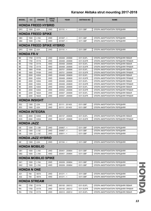| <b>MODEL</b>       | cc                              | <b>ENGINE</b>              | <b>DRIVE</b><br><b>TYPE</b> | <b>YEAR</b>                        | <b>AKITAKA NO</b>      | <b>NAME</b>                                                             |  |  |  |  |
|--------------------|---------------------------------|----------------------------|-----------------------------|------------------------------------|------------------------|-------------------------------------------------------------------------|--|--|--|--|
|                    |                                 | <b>HONDA FREED HYBRID</b>  |                             |                                    |                        |                                                                         |  |  |  |  |
| GP3                | 1500                            | LEA                        | 2WD                         | $201110 - 5$                       | 0311-GBF               | ОПОРА АМОРТИЗАТОРА ПЕРЕДНЯЯ                                             |  |  |  |  |
|                    |                                 | <b>HONDA FREED SPIKE</b>   |                             |                                    |                        |                                                                         |  |  |  |  |
| GB <sub>3</sub>    | 1500                            | <b>L15A</b>                | 2WD                         | $201007 - 5$                       | 0311-GBF               | ОПОРА АМОРТИЗАТОРА ПЕРЕДНЯЯ                                             |  |  |  |  |
| GB4                | 1500                            | L15A                       | 4WD                         | $201007 - 5$                       | 0311-GBF               | ОПОРА АМОРТИЗАТОРА ПЕРЕДНЯЯ                                             |  |  |  |  |
|                    | <b>HONDA FREED SPIKE HYBRID</b> |                            |                             |                                    |                        |                                                                         |  |  |  |  |
| GP3                | 1500                            | LEA                        | 2WD                         | $201110 - 5$                       | 0311-GBF               | ОПОРА АМОРТИЗАТОРА ПЕРЕДНЯЯ                                             |  |  |  |  |
| <b>HONDA FR-V</b>  |                                 |                            |                             |                                    |                        |                                                                         |  |  |  |  |
| <b>BE</b>          | 1700                            | <b>D17A</b>                | 2WD                         | 200408 - 200908                    | 0311-EUFL              | ОПОРА АМОРТИЗАТОРА ПЕРЕДНЯЯ ЛЕВАЯ                                       |  |  |  |  |
| BE                 | 1700                            | D <sub>17</sub> A          | 2WD                         | 200408 - 200908                    | 0311-EUFR              | ОПОРА АМОРТИЗАТОРА ПЕРЕДНЯЯ ПРАВАЯ                                      |  |  |  |  |
| BE                 | 1700                            | D <sub>17</sub> A          | 4WD                         | 200408 - 200908                    | 0311-EUFL              | ОПОРА АМОРТИЗАТОРА ПЕРЕДНЯЯ ЛЕВАЯ                                       |  |  |  |  |
| BE                 | 1700                            | D <sub>17</sub> A          | 4WD                         | 200408 - 200908                    | 0311-EUFR              | ОПОРА АМОРТИЗАТОРА ПЕРЕДНЯЯ ПРАВАЯ                                      |  |  |  |  |
| BE                 | 1800                            | <b>R18A</b>                | 2WD                         | 200701 - 200908                    | 0311-EUFL              | ОПОРА АМОРТИЗАТОРА ПЕРЕДНЯЯ ЛЕВАЯ                                       |  |  |  |  |
| BE                 | 1800                            | <b>R18A</b>                | 2WD                         | 200701 - 200908                    | 0311-EUFR              | ОПОРА АМОРТИЗАТОРА ПЕРЕДНЯЯ ПРАВАЯ                                      |  |  |  |  |
| BE<br>BE           | 2000<br>2000                    | <b>K20A</b><br><b>K20A</b> | 2WD<br>2WD                  | 200408 - 200609<br>200408 - 200609 | 0311-EUFL<br>0311-EUFR | ОПОРА АМОРТИЗАТОРА ПЕРЕДНЯЯ ЛЕВАЯ<br>ОПОРА АМОРТИЗАТОРА ПЕРЕДНЯЯ ПРАВАЯ |  |  |  |  |
| BE                 | 2000                            | <b>K20A</b>                | 4WD                         | 200408 - 200609                    | 0311-EUFL              | ОПОРА АМОРТИЗАТОРА ПЕРЕДНЯЯ ЛЕВАЯ                                       |  |  |  |  |
| BE                 | 2000                            | <b>K20A</b>                | 4WD                         | 200408 - 200609                    | 0311-EUFR              | ОПОРА АМОРТИЗАТОРА ПЕРЕДНЯЯ ПРАВАЯ                                      |  |  |  |  |
| BE                 | 2000                            | <b>K20A</b>                | 2WD                         | 200502 - 200908                    | 0311-EUFL              | ОПОРА АМОРТИЗАТОРА ПЕРЕДНЯЯ ЛЕВАЯ                                       |  |  |  |  |
| BE                 | 2000                            | <b>K20A</b>                | 2WD                         | 200502 - 200908                    | 0311-EUFR              | ОПОРА АМОРТИЗАТОРА ПЕРЕДНЯЯ ПРАВАЯ                                      |  |  |  |  |
| BE                 | 2200                            | <b>N22A</b>                | 2WD                         | 200507 - 200908                    | 0311-EUFL              | ОПОРА АМОРТИЗАТОРА ПЕРЕДНЯЯ ЛЕВАЯ                                       |  |  |  |  |
| <b>BE</b>          | 2200                            | <b>N22A</b>                | 2WD                         | 200507 - 200908                    | 0311-EUFR              | ОПОРА АМОРТИЗАТОРА ПЕРЕДНЯЯ ПРАВАЯ                                      |  |  |  |  |
|                    |                                 | <b>HONDA INSIGHT</b>       |                             |                                    |                        |                                                                         |  |  |  |  |
| ZE <sub>2</sub>    | 1300                            | LDA                        | 2WD                         | 201111 - 201403                    | 0311-GBF               | ОПОРА АМОРТИЗАТОРА ПЕРЕДНЯЯ                                             |  |  |  |  |
| ZE3                | 1500                            | LEA                        | 2WD                         | 201111 - 201403                    | 0311-GBF               | ОПОРА АМОРТИЗАТОРА ПЕРЕДНЯЯ                                             |  |  |  |  |
|                    |                                 | <b>HONDA INTEGRA</b>       |                             |                                    |                        |                                                                         |  |  |  |  |
| DC <sub>5</sub>    | 2000                            | <b>K20A</b>                | 2WD                         | 200107 - 200606                    | 0311-EUFL              | ОПОРА АМОРТИЗАТОРА ПЕРЕДНЯЯ ЛЕВАЯ                                       |  |  |  |  |
| DC <sub>5</sub>    | 2000                            | <b>K20A</b>                | 2WD                         | 200107 - 200606                    | 0311-EUFR              | ОПОРА АМОРТИЗАТОРА ПЕРЕДНЯЯ ПРАВАЯ                                      |  |  |  |  |
| <b>HONDA JAZZ</b>  |                                 |                            |                             |                                    |                        |                                                                         |  |  |  |  |
| GE                 | 1200                            | L12B                       | 2WD                         | $200807 - <$                       | 0311-GBF               | ОПОРА АМОРТИЗАТОРА ПЕРЕДНЯЯ                                             |  |  |  |  |
| GE                 | 1300                            | L13Z                       | 2WD                         | $200807 - <$                       | 0311-GBF               | ОПОРА АМОРТИЗАТОРА ПЕРЕДНЯЯ                                             |  |  |  |  |
| GE                 | 1300                            | L13Z                       | 2WD                         | $200811 - 5$                       | 0311-GBF               | ОПОРА АМОРТИЗАТОРА ПЕРЕДНЯЯ                                             |  |  |  |  |
|                    |                                 | <b>HONDA JAZZ HYBRID</b>   |                             |                                    |                        |                                                                         |  |  |  |  |
| <b>GE</b>          | 1300                            | LDA                        | 2WD                         | $201104 -$                         | 0311-GBF               | ОПОРА АМОРТИЗАТОРА ПЕРЕДНЯЯ                                             |  |  |  |  |
|                    |                                 | <b>HONDA MOBILIO</b>       |                             |                                    |                        |                                                                         |  |  |  |  |
| GB1                | 1500                            | L15A                       | 2WD                         | 200401 - 200804                    | 0311-GBF               | ОПОРА АМОРТИЗАТОРА ПЕРЕДНЯЯ                                             |  |  |  |  |
| GB <sub>2</sub>    | 1500                            | L15A                       | 4WD                         | 200401 - 200804                    | 0311-GBF               | ОПОРА АМОРТИЗАТОРА ПЕРЕДНЯЯ                                             |  |  |  |  |
|                    |                                 | <b>HONDA MOBILIO SPIKE</b> |                             |                                    |                        |                                                                         |  |  |  |  |
| GK1                | 1500                            | L15A                       | 2WD                         | 200209 - 200804                    | 0311-GBF               | ОПОРА АМОРТИЗАТОРА ПЕРЕДНЯЯ                                             |  |  |  |  |
| GK <sub>2</sub>    | 1500                            | L15A                       | 4WD                         | 200209 - 200804                    | 0311-GBF               | ОПОРА АМОРТИЗАТОРА ПЕРЕДНЯЯ                                             |  |  |  |  |
| <b>HONDA N ONE</b> |                                 |                            |                             |                                    |                        |                                                                         |  |  |  |  |
| JG1                | 700                             | <b>S07A</b>                | 2WD                         | $201211 - 5$                       | 0311-GBF               | ОПОРА АМОРТИЗАТОРА ПЕРЕДНЯЯ                                             |  |  |  |  |
| JG2                | 700                             | <b>S07A</b>                | 4WD                         | $201211 - 5$                       | 0311-GBF               | ОПОРА АМОРТИЗАТОРА ПЕРЕДНЯЯ                                             |  |  |  |  |
|                    |                                 | <b>HONDA STREAM</b>        |                             |                                    |                        |                                                                         |  |  |  |  |
| <b>RN</b>          | 1700                            | D <sub>17</sub> A          | 2WD                         | 200105 - 200312                    | 0311-EUFL              | ОПОРА АМОРТИЗАТОРА ПЕРЕДНЯЯ ЛЕВАЯ                                       |  |  |  |  |
| <b>RN</b>          | 1700                            | D <sub>17</sub> A          | 2WD                         | 200105 - 200312                    | 0311-EUFR              | ОПОРА АМОРТИЗАТОРА ПЕРЕДНЯЯ ПРАВАЯ                                      |  |  |  |  |
| <b>RN</b>          | 1700                            | D <sub>17</sub> A          | 2WD                         | 200312 - 200512                    | 0311-EUFL              | ОПОРА АМОРТИЗАТОРА ПЕРЕДНЯЯ ЛЕВАЯ                                       |  |  |  |  |
|                    |                                 |                            |                             |                                    |                        |                                                                         |  |  |  |  |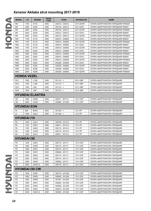|                        | cc   | <b>ENGINE</b>          | <b>DRIVE</b><br><b>TYPE</b> | <b>YEAR</b>     | <b>AKITAKA NO</b> | <b>NAME</b>                                                |
|------------------------|------|------------------------|-----------------------------|-----------------|-------------------|------------------------------------------------------------|
| RN                     | 1700 | <b>D17A</b>            | 2WD                         | 200312 - 200512 | 0311-EUFR         | ОПОРА АМОРТИЗАТОРА ПЕРЕДНЯЯ ПРАВАЯ                         |
| <b>RN</b>              | 2000 | <b>K20A</b>            | 2WD                         | 200105 - 200312 | 0311-EUFL         | ОПОРА АМОРТИЗАТОРА ПЕРЕДНЯЯ ЛЕВАЯ                          |
| <b>RN</b>              | 2000 | <b>K20A</b>            | 2WD                         | 200105 - 200312 | 0311-EUFR         | ОПОРА АМОРТИЗАТОРА ПЕРЕДНЯЯ ПРАВАЯ                         |
| <b>RN</b>              | 2000 | <b>K20A</b>            | 2WD                         | 200312 - 200512 | 0311-EUFL         | ОПОРА АМОРТИЗАТОРА ПЕРЕДНЯЯ ЛЕВАЯ                          |
| <b>RN</b>              | 2000 | <b>K20A</b>            | 2WD                         | 200312 - 200512 | 0311-EUFR         | ОПОРА АМОРТИЗАТОРА ПЕРЕДНЯЯ ПРАВАЯ                         |
| RN <sub>1</sub>        | 1700 | D <sub>17</sub> A      | 2WD                         | 200010 - 200606 | 0311-EUFL         | ОПОРА АМОРТИЗАТОРА ПЕРЕДНЯЯ ЛЕВАЯ                          |
| RN <sub>1</sub>        | 1700 | <b>D17A</b>            | 2WD                         | 200010 - 200606 | 0311-EUFR         | ОПОРА АМОРТИЗАТОРА ПЕРЕДНЯЯ ПРАВАЯ                         |
| RN <sub>2</sub>        | 1700 | <b>D17A</b>            | 4WD                         | 200010 - 200606 | 0311-EUFL         | ОПОРА АМОРТИЗАТОРА ПЕРЕДНЯЯ ЛЕВАЯ                          |
| RN <sub>2</sub>        | 1700 | D <sub>17</sub> A      | 4WD                         | 200010 - 200606 | 0311-EUFR         | ОПОРА АМОРТИЗАТОРА ПЕРЕДНЯЯ ПРАВАЯ                         |
| RN <sub>3</sub>        | 2000 | <b>K20A</b>            | 2WD                         | 200010 - 200606 | 0311-EUFL         | ОПОРА АМОРТИЗАТОРА ПЕРЕДНЯЯ ЛЕВАЯ                          |
| RN <sub>3</sub>        | 2000 | <b>K20A</b>            | 2WD                         | 200010 - 200606 | 0311-EUFR         | ОПОРА АМОРТИЗАТОРА ПЕРЕДНЯЯ ПРАВАЯ                         |
| RN <sub>4</sub>        | 2000 | <b>K20A</b>            | 4WD                         | 200010 - 200606 | 0311-EUFL         | ОПОРА АМОРТИЗАТОРА ПЕРЕДНЯЯ ЛЕВАЯ                          |
| RN4                    | 2000 | <b>K20A</b>            | 4WD                         | 200010 - 200606 | 0311-EUFR         | ОПОРА АМОРТИЗАТОРА ПЕРЕДНЯЯ ПРАВАЯ                         |
| RN <sub>5</sub>        | 2000 | <b>K20A</b>            | 2WD                         | 200309 - 200606 | 0311-EUFL         | ОПОРА АМОРТИЗАТОРА ПЕРЕДНЯЯ ЛЕВАЯ                          |
| RN <sub>5</sub>        | 2000 | <b>K20A</b>            | 2WD                         | 200309 - 200606 | 0311-EUFR         | ОПОРА АМОРТИЗАТОРА ПЕРЕДНЯЯ ПРАВАЯ                         |
| RN <sub>5</sub>        | 2000 | K <sub>20</sub> B      | 2WD                         | 200309 - 200606 | 0311-EUFL         | ОПОРА АМОРТИЗАТОРА ПЕРЕДНЯЯ ЛЕВАЯ                          |
| RN <sub>5</sub>        | 2000 | K <sub>20</sub> B      | 2WD                         | 200309 - 200606 | 0311-EUFR         | ОПОРА АМОРТИЗАТОРА ПЕРЕДНЯЯ ПРАВАЯ                         |
| <b>HONDA VEZEL</b>     |      |                        |                             |                 |                   |                                                            |
| RU1                    | 1500 | L15B                   | 2WD                         | $201312 - 5$    | 0311-GBF          | ОПОРА АМОРТИЗАТОРА ПЕРЕДНЯЯ                                |
| RU <sub>2</sub>        | 1500 | L15B                   | 4WD                         | $201312 - 5$    | 0311-GBF          | ОПОРА АМОРТИЗАТОРА ПЕРЕДНЯЯ                                |
| RU <sub>3</sub>        | 1500 | LEB                    | 2WD                         | $201312 - 5$    | 0311-GBF          | ОПОРА АМОРТИЗАТОРА ПЕРЕДНЯЯ                                |
|                        |      |                        |                             |                 |                   |                                                            |
| RU4                    | 1500 | LEB                    | 4WD                         | $201312 - 5$    | 0311-GBF          | ОПОРА АМОРТИЗАТОРА ПЕРЕДНЯЯ                                |
|                        |      | <b>HYUNDAI ELANTRA</b> |                             |                 |                   |                                                            |
| HD                     | 1600 | D4FB                   | 2WD                         | 200511 - 201112 | 1211-CDF          | ОПОРА АМОРТИЗАТОРА ПЕРЕДНЯЯ                                |
| HD                     | 2000 | G4GC                   | 2WD                         | 200606 - 201005 | 1211-CDF          | ОПОРА АМОРТИЗАТОРА ПЕРЕДНЯЯ                                |
| <b>HYUNDAI EON</b>     |      |                        |                             |                 |                   |                                                            |
| IA                     | 800  | B3HA                   | 2WD                         | $201108 - 5$    | 1211-PF           | ОПОРА АМОРТИЗАТОРА ПЕРЕДНЯЯ                                |
| IA                     | 1000 | G3LA                   | 2WD                         | $201108 - 5$    | 1211-PF           | ОПОРА АМОРТИЗАТОРА ПЕРЕДНЯЯ                                |
| <b>HYUNDAI 110</b>     |      |                        |                             |                 |                   |                                                            |
|                        |      |                        |                             |                 |                   |                                                            |
| PA                     | 1000 | G3LA                   | 2WD                         | 200709 - 201412 | 1211-PF           |                                                            |
| <b>PA</b>              | 1100 | D3FA                   | 2WD                         | 200811 - 201412 | 1211-PF           | ОПОРА АМОРТИЗАТОРА ПЕРЕДНЯЯ<br>ОПОРА АМОРТИЗАТОРА ПЕРЕДНЯЯ |
| PA                     |      |                        | 2WD                         | 200712 - 201412 |                   |                                                            |
|                        | 1100 | G4HC                   |                             |                 | 1211-PF           | ОПОРА АМОРТИЗАТОРА ПЕРЕДНЯЯ                                |
| PA                     | 1200 | C4UG                   | 2WD                         | 200710 - 201412 | 1211-PF           | ОПОРА АМОРТИЗАТОРА ПЕРЕДНЯЯ                                |
| PA                     | 1200 | G4LA                   | 2WD                         | 200811 - 201412 | 1211-PF           | ОПОРА АМОРТИЗАТОРА ПЕРЕДНЯЯ                                |
| <b>HYUNDAI 130</b>     |      |                        |                             |                 |                   |                                                            |
| FD                     | 1400 | G4FA                   | 2WD                         | 200710 - 201111 | 1211-CDF          | ОПОРА АМОРТИЗАТОРА ПЕРЕДНЯЯ                                |
| FD.                    | 1600 | D4FB                   | 2WD                         | 200710 - 201111 | 1211-CDF          | ОПОРА АМОРТИЗАТОРА ПЕРЕДНЯЯ                                |
| FD                     | 1600 | G4FC                   | 2WD                         | 200710 - 201111 | 1211-CDF          | ОПОРА АМОРТИЗАТОРА ПЕРЕДНЯЯ                                |
| FD                     | 1600 | G4FC                   | 2WD                         | 200802 - 201111 | 1211-CDF          | ОПОРА АМОРТИЗАТОРА ПЕРЕДНЯЯ                                |
| FD                     | 2000 | D4EA                   | 2WD                         | 200710 - 201111 | 1211-CDF          | ОПОРА АМОРТИЗАТОРА ПЕРЕДНЯЯ                                |
| FD                     | 2000 | G4GC                   | 2WD                         | 200710 - 201111 | 1211-CDF          | ОПОРА АМОРТИЗАТОРА ПЕРЕДНЯЯ                                |
| FD                     | 2000 | G4GC                   | 2WD                         | 200802 - 201111 | 1211-CDF          | ОПОРА АМОРТИЗАТОРА ПЕРЕДНЯЯ                                |
| FD                     | 2000 | G4GC-G                 | 2WD                         | 200710 - 201111 | 1211-CDF          | ОПОРА АМОРТИЗАТОРА ПЕРЕДНЯЯ                                |
|                        |      | <b>HYUNDAI 130 CW</b>  |                             |                 |                   |                                                            |
|                        | 1400 | G4FA                   | 2WD                         | 200710 - 201206 | 1211-CDF          | ОПОРА АМОРТИЗАТОРА ПЕРЕДНЯЯ                                |
| FD                     | 1600 | D4FB                   | 2WD                         | 200802 - 201206 | 1211-CDF          | ОПОРА АМОРТИЗАТОРА ПЕРЕДНЯЯ                                |
| FD                     | 1600 | D4FB                   | 2WD                         | 201001 - 201206 | 1211-CDF          | ОПОРА АМОРТИЗАТОРА ПЕРЕДНЯЯ                                |
| <b>FD</b><br><b>FD</b> | 1600 | G4FC                   | 2WD                         | 200802 - 201206 | 1211-CDF          | ОПОРА АМОРТИЗАТОРА ПЕРЕДНЯЯ                                |
| FD                     | 2000 | D4EA                   | 2WD                         | 200802 - 201206 | 1211-CDF          | ОПОРА АМОРТИЗАТОРА ПЕРЕДНЯЯ                                |
| FD                     | 2000 | D <sub>4</sub> EA      | 2WD                         | 200810 - 201206 | 1211-CDF          | ОПОРА АМОРТИЗАТОРА ПЕРЕДНЯЯ                                |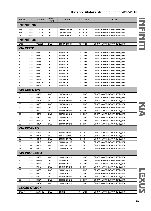| <b>MODEL</b>         | cc           | <b>ENGINE</b>    | <b>DRIVE</b><br><b>TYPE</b> | <b>YEAR</b>                        | <b>AKITAKA NO</b>    | <b>NAME</b>                                                |      |
|----------------------|--------------|------------------|-----------------------------|------------------------------------|----------------------|------------------------------------------------------------|------|
| <b>INFINITI I30</b>  |              |                  |                             |                                    |                      |                                                            |      |
| A32                  | 3000         | VQ30DE           | 2WD                         | 199503 - 199706                    | 0211-A32F            | ОПОРА АМОРТИЗАТОРА ПЕРЕДНЯЯ                                |      |
| A32                  | 3000         | VQ30DE           | 2WD                         | 199706 - 199907                    | 0211-A32F            | ОПОРА АМОРТИЗАТОРА ПЕРЕДНЯЯ                                |      |
| CA33                 | 3000         | VQ30DE           | 2WD                         | 199907 - 200107                    | 0211-P12F            | ОПОРА АМОРТИЗАТОРА ПЕРЕДНЯЯ                                |      |
| <b>INFINITI I35</b>  |              |                  |                             |                                    |                      |                                                            |      |
| CA33                 | 3500         | VQ35DE           | 2WD                         | 200107 - 200407                    | 0211-P12F            | ОПОРА АМОРТИЗАТОРА ПЕРЕДНЯЯ                                |      |
| <b>KIA CEE'D</b>     |              |                  |                             |                                    |                      |                                                            |      |
| ED                   | 1400         | G4FA             | 2WD                         | 200612 - 201212                    | 1211-CDF             | ОПОРА АМОРТИЗАТОРА ПЕРЕДНЯЯ                                |      |
| ED                   | 1400         | G4FA-L           | 2WD                         | 201006 - 201212                    | 1211-CDF             | ОПОРА АМОРТИЗАТОРА ПЕРЕДНЯЯ                                |      |
| ED                   | 1600         | D4FB             | 2WD                         | 200612 - 201212                    | 1211-CDF             | ОПОРА АМОРТИЗАТОРА ПЕРЕДНЯЯ                                |      |
| ED                   | 1600         | D <sub>4FB</sub> | 2WD                         | 201010 - 201212                    | 1211-CDF             | ОПОРА АМОРТИЗАТОРА ПЕРЕДНЯЯ                                |      |
| ED                   | 1600         | D4FB-L           | 2WD                         | 200612 - 201212                    | 1211-CDF             | ОПОРА АМОРТИЗАТОРА ПЕРЕДНЯЯ                                |      |
| ED                   | 1600         | G4FC             | 2WD                         | 200612 - 201212                    | 1211-CDF             | ОПОРА АМОРТИЗАТОРА ПЕРЕДНЯЯ                                |      |
| ED                   | 1600         | G4FC             | 2WD                         | 200709 - 201212                    | 1211-CDF             | ОПОРА АМОРТИЗАТОРА ПЕРЕДНЯЯ                                |      |
| ED                   | 1600         | G4FC             | 2WD                         | 200802 - 201212                    | 1211-CDF             | ОПОРА АМОРТИЗАТОРА ПЕРЕДНЯЯ                                |      |
| ED                   | 1600         | G4FC             | 2WD                         | 201010 - 201212                    | 1211-CDF             | ОПОРА АМОРТИЗАТОРА ПЕРЕДНЯЯ                                |      |
| ED                   | 2000         | D4EA             | 2WD                         | 200706 - 201212                    | 1211-CDF             | ОПОРА АМОРТИЗАТОРА ПЕРЕДНЯЯ                                |      |
| ED<br>ED             | 2000<br>2000 | D4EA-F<br>G4GC   | 2WD<br>2WD                  | 200709 - 201212<br>200612 - 201212 | 1211-CDF<br>1211-CDF | ОПОРА АМОРТИЗАТОРА ПЕРЕДНЯЯ<br>ОПОРА АМОРТИЗАТОРА ПЕРЕДНЯЯ |      |
| <b>KIA CEE'D SW</b>  |              |                  |                             |                                    |                      |                                                            |      |
|                      |              |                  |                             |                                    |                      |                                                            |      |
| ED                   | 1400         | G4FA             | 2WD                         | 200709 - 201212                    | 1211-CDF             | ОПОРА АМОРТИЗАТОРА ПЕРЕДНЯЯ                                |      |
| ED                   | 1400         | G4FA             | 2WD                         | 201010 - 201212                    | 1211-CDF             | ОПОРА АМОРТИЗАТОРА ПЕРЕДНЯЯ                                |      |
| ED                   | 1400         | G4FA-L           | 2WD                         | 201010 - 201212                    | 1211-CDF             | ОПОРА АМОРТИЗАТОРА ПЕРЕДНЯЯ                                |      |
| ED                   | 1600         | D4FB             | 2WD                         | 200709 - 201212                    | 1211-CDF             | ОПОРА АМОРТИЗАТОРА ПЕРЕДНЯЯ                                |      |
| ED                   | 1600         | D4FB             | 2WD                         | 201010 - 201212                    | 1211-CDF             | ОПОРА АМОРТИЗАТОРА ПЕРЕДНЯЯ                                |      |
| ED                   | 1600         | D4FB-L           | 2WD                         | 200709 - 201212                    | 1211-CDF             | ОПОРА АМОРТИЗАТОРА ПЕРЕДНЯЯ                                |      |
| ED                   | 1600         | G4FC             | 2WD                         | 200709 - 201212                    | 1211-CDF             | ОПОРА АМОРТИЗАТОРА ПЕРЕДНЯЯ                                |      |
| ED                   | 1600         | G4FC             | 2WD                         | 200906 - 201212                    | 1211-CDF             | ОПОРА АМОРТИЗАТОРА ПЕРЕДНЯЯ                                |      |
| ED                   | 2000         | D4EA-F           | 2WD                         | 200709 - 201212                    | 1211-CDF             | ОПОРА АМОРТИЗАТОРА ПЕРЕДНЯЯ                                |      |
| ED                   | 2000         | G4GC             | 2WD                         | 200709 - 201212                    | 1211-CDF             | ОПОРА АМОРТИЗАТОРА ПЕРЕДНЯЯ                                |      |
| <b>KIA PICANTO</b>   |              |                  |                             |                                    |                      |                                                            |      |
| ВC                   | 1000         | G4HE             | 2WD                         | 200404 - 201112                    | 1211-PF              | ОПОРА АМОРТИЗАТОРА ПЕРЕДНЯЯ                                |      |
| BC                   | 1100         | D3FA             | 2WD                         | 200511 - 201112                    | 1211-PF              | ОПОРА АМОРТИЗАТОРА ПЕРЕДНЯЯ                                |      |
| BC                   | 1100         | G4HG             | 2WD                         | 200404 - 201112                    | 1211-PF              | ОПОРА АМОРТИЗАТОРА ПЕРЕДНЯЯ                                |      |
| SA                   | 1000         | G4HE             | 2WD                         | 200404 - 201112                    | 1211-PF              | ОПОРА АМОРТИЗАТОРА ПЕРЕДНЯЯ                                |      |
| SA                   | 1100         | D3FA             | 2WD                         | 200511 - 201112                    | 1211-PF              | ОПОРА АМОРТИЗАТОРА ПЕРЕДНЯЯ                                |      |
| SA                   | 1100         | G4HG             | 2WD                         | 200404 - 201112                    | 1211-PF              | ОПОРА АМОРТИЗАТОРА ПЕРЕДНЯЯ                                |      |
| <b>KIA PRO CEE'D</b> |              |                  |                             |                                    |                      |                                                            |      |
| ED                   | 1400         | G4FA             | 2WD                         | 200802 - 201212                    | 1211-CDF             | ОПОРА АМОРТИЗАТОРА ПЕРЕДНЯЯ                                |      |
| ED                   | 1400         | G4FA-L           | 2WD                         | 201006 - 201212                    | 1211-CDF             | ОПОРА АМОРТИЗАТОРА ПЕРЕДНЯЯ                                |      |
| ED                   | 1600         | D <sub>4FB</sub> | 2WD                         | 200802 - 201212                    | 1211-CDF             | ОПОРА АМОРТИЗАТОРА ПЕРЕДНЯЯ                                |      |
| ED                   | 1600         | D <sub>4FB</sub> | 2WD                         | 201010 - 201212                    | 1211-CDF             | ОПОРА АМОРТИЗАТОРА ПЕРЕДНЯЯ                                |      |
| ED                   | 1600         | D4FB-L           | 2WD                         | 200802 - 201212                    | 1211-CDF             | ОПОРА АМОРТИЗАТОРА ПЕРЕДНЯЯ                                |      |
| ED                   | 1600         | G4FC             | 2WD                         | 200802 - 201212                    | 1211-CDF             | ОПОРА АМОРТИЗАТОРА ПЕРЕДНЯЯ                                |      |
| ED                   | 1600         | G4FC             | 2WD                         | 201010 - 201212                    | 1211-CDF             | ОПОРА АМОРТИЗАТОРА ПЕРЕДНЯЯ                                |      |
| ED                   | 2000         | D4EA             | 2WD                         | 200802 - 201212                    | 1211-CDF             | ОПОРА АМОРТИЗАТОРА ПЕРЕДНЯЯ                                |      |
| ED                   | 2000         | G4GC             | 2WD                         | 200802 - 201212                    | 1211-CDF             | ОПОРА АМОРТИЗАТОРА ПЕРЕДНЯЯ                                |      |
| <b>LEXUS CT200H</b>  |              |                  |                             |                                    |                      |                                                            | EXUS |
| ZWA10                | 1600         | 2ZR-FXE          | 2WD                         | $201012 - 5$                       | 0111-E15F            | ОПОРА АМОРТИЗАТОРА ПЕРЕДНЯЯ                                |      |
|                      |              |                  |                             |                                    |                      |                                                            |      |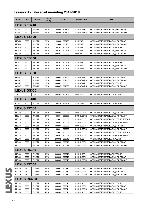| <b>MODEL</b>        | cc   | <b>ENGINE</b> | <b>DRIVE</b><br><b>TYPE</b> | <b>YEAR</b>     | <b>AKITAKA NO</b> | <b>NAME</b>                        |
|---------------------|------|---------------|-----------------------------|-----------------|-------------------|------------------------------------|
| <b>LEXUS ES240</b>  |      |               |                             |                 |                   |                                    |
| ACV40               | 2400 | 2AZ-FE        | 2WD                         | 200908 - 201206 | 0111-ACV4RL       | ОПОРА АМОРТИЗАТОРА ЗАДНЯЯ ЛЕВАЯ    |
| ACV40               | 2400 | 2AZ-FE        | 2WD                         | 200908 - 201206 | 0111-ACV4RR       | ОПОРА АМОРТИЗАТОРА ЗАДНЯЯ ПРАВАЯ   |
| <b>LEXUS ES300</b>  |      |               |                             |                 |                   |                                    |
| MCV20               | 3000 | 1MZ-FE        | 2WD                         | 199608 - 200107 | 0111-V3RL         | ОПОРА АМОРТИЗАТОРА ЗАДНЯЯ ЛЕВАЯ    |
| MCV20               | 3000 | 1MZ-FE        | 2WD                         | 199608 - 200107 | 0111-V3RR         | ОПОРА АМОРТИЗАТОРА ЗАДНЯЯ ПРАВАЯ   |
| MCV30               | 3000 | 1MZ-FE        | 2WD                         | 200107 - 200603 | 0111-V3F          | ОПОРА АМОРТИЗАТОРА ПЕРЕДНЯЯ        |
| MCV30               | 3000 | 1MZ-FE        | 2WD                         | 200107 - 200603 | 0111-V3RL         | ОПОРА АМОРТИЗАТОРА ЗАДНЯЯ ЛЕВАЯ    |
| MCV30               | 3000 | 1MZ-FE        | 2WD                         | 200107 - 200603 | 0111-V3RR         | ОПОРА АМОРТИЗАТОРА ЗАДНЯЯ ПРАВАЯ   |
| <b>LEXUS ES330</b>  |      |               |                             |                 |                   |                                    |
| MCV31               | 3300 | 3MZ-FE        | 2WD                         | 200307 - 200603 | 0111-V3F          | ОПОРА АМОРТИЗАТОРА ПЕРЕДНЯЯ        |
| MCV31               | 3300 | 3MZ-FE        | 2WD                         | 200307 - 200603 | 0111-V3RL         | ОПОРА АМОРТИЗАТОРА ЗАДНЯЯ ЛЕВАЯ    |
| MCV31               | 3300 | 3MZ-FE        | 2WD                         | 200307 - 200603 | 0111-V3RR         | ОПОРА АМОРТИЗАТОРА ЗАДНЯЯ ПРАВАЯ   |
| <b>LEXUS ES350</b>  |      |               |                             |                 |                   |                                    |
| <b>GSV40</b>        | 3500 | 2GR-FE        | 2WD                         | 200605 - 201206 | 0111-ACV4RL       | ОПОРА АМОРТИЗАТОРА ЗАДНЯЯ ЛЕВАЯ    |
| <b>GSV40</b>        | 3500 | 2GR-FE        | 2WD                         | 200605 - 201206 | 0111-ACV4RR       | ОПОРА АМОРТИЗАТОРА ЗАДНЯЯ ПРАВАЯ   |
| GSV40               | 3500 | 2GR-FE        | 2WD                         | 200607 - 200907 | 0111-ACV4F        | ОПОРА АМОРТИЗАТОРА ПЕРЕДНЯЯ        |
| GSV40               | 3500 | 2GR-FE        | 2WD                         | 200607 - 201206 | 0111-ACV4RR       | ОПОРА АМОРТИЗАТОРА ЗАДНЯЯ ПРАВАЯ   |
| <b>LEXUS GS300</b>  |      |               |                             |                 |                   |                                    |
| <b>JZS147</b>       | 3000 | 2JZ-GE        | 2WD                         | 199303 - 199708 | 0111-S14F         | ОПОРА АМОРТИЗАТОРА ПЕРЕДНЯЯ        |
| <b>LEXUS LS400</b>  |      |               |                             |                 |                   |                                    |
| UCF20               | 4000 | 1UZ-FE        | 2WD                         | 199410 - 199707 | 0111-F20F         | ОПОРА АМОРТИЗАТОРА ПЕРЕДНЯЯ        |
| <b>LEXUS RX300</b>  |      |               |                             |                 |                   |                                    |
| MCU <sub>10</sub>   | 3000 | 1MZ-FE        | 2WD                         | 199801 - 200006 | 0111-CU25RL       | ОПОРА АМОРТИЗАТОРА ЗАДНЯЯ ЛЕВАЯ    |
| MCU <sub>10</sub>   | 3000 | 1MZ-FE        | 2WD                         | 199801 - 200006 | 0111-CU25RR       | ОПОРА АМОРТИЗАТОРА ЗАДНЯЯ ПРАВАЯ   |
| MCU <sub>10</sub>   | 3000 | 1MZ-FE        | 2WD                         | 199801 - 200006 | 0111-MCV2FL       | ОПОРА АМОРТИЗАТОРА ПЕРЕДНЯЯ ПРАВАЯ |
| MCU <sub>10</sub>   | 3000 | 1MZ-FE        | 2WD                         | 199801 - 200006 | 0111-MCV2FL       | ОПОРА АМОРТИЗАТОРА ПЕРЕДНЯЯ ЛЕВАЯ  |
| MCU15               | 3000 | 1MZ-FE        | 4WD                         | 199801 - 200006 | 0111-CU25RL       | ОПОРА АМОРТИЗАТОРА ЗАДНЯЯ ЛЕВАЯ    |
| MCU <sub>15</sub>   | 3000 | 1MZ-FE        | 4WD                         | 199801 - 200006 | 0111-CU25RR       | ОПОРА АМОРТИЗАТОРА ЗАДНЯЯ ПРАВАЯ   |
| MCU <sub>15</sub>   | 3000 | 1MZ-FE        | 4WD                         | 199801 - 200006 | 0111-MCV2FL       | ОПОРА АМОРТИЗАТОРА ПЕРЕДНЯЯ ПРАВАЯ |
| MCU15               | 3000 | 1MZ-FE        | 4WD                         | 199801 - 200006 | 0111-MCV2FL       | ОПОРА АМОРТИЗАТОРА ПЕРЕДНЯЯ ЛЕВАЯ  |
| MCU35               | 3000 | 1MZ-FE        | 4WD                         | 200302 - 200512 | 0111-CU25F        | ОПОРА АМОРТИЗАТОРА ПЕРЕДНЯЯ        |
| MCU35               | 3000 | 1MZ-FE        | 4WD                         | 200302 - 200512 | 0111-CU30RL       | ОПОРА АМОРТИЗАТОРА ЗАДНЯЯ ЛЕВАЯ    |
| MCU35               | 3000 | 1MZ-FE        | 4WD                         | 200302 - 200512 | 0111-CU30RR       | ОПОРА АМОРТИЗАТОРА ЗАДНЯЯ ПРАВАЯ   |
| <b>LEXUS RX330</b>  |      |               |                             |                 |                   |                                    |
| MCU38               | 3300 | 3MZ-FE        | 4WD                         | 200302 - 200512 | 0111-CU25F        | ОПОРА АМОРТИЗАТОРА ПЕРЕДНЯЯ        |
| MCU38               | 3300 | 3MZ-FE        | 4WD                         | 200302 - 200512 | 0111-CU30RL       | ОПОРА АМОРТИЗАТОРА ЗАДНЯЯ ЛЕВАЯ    |
| MCU38               | 3300 | 3MZ-FE        | 4WD                         | 200302 - 200512 | 0111-CU30RR       | ОПОРА АМОРТИЗАТОРА ЗАДНЯЯ ПРАВАЯ   |
| <b>LEXUS RX350</b>  |      |               |                             |                 |                   |                                    |
| GSU35               | 3500 | 2GR-FE        | 4WD                         | 200601 - 200811 | 0111-CU25F        | ОПОРА АМОРТИЗАТОРА ПЕРЕДНЯЯ        |
| GSU35               | 3500 | 2GR-FE        | 4WD                         | 200601 - 200811 | 0111-CU30RL       | ОПОРА АМОРТИЗАТОРА ЗАДНЯЯ ЛЕВАЯ    |
| GSU35               | 3500 | 2GR-FE        | 4WD                         | 200601 - 200811 | 0111-CU30RR       | ОПОРА АМОРТИЗАТОРА ЗАДНЯЯ ПРАВАЯ   |
| <b>LEXUS RX400H</b> |      |               |                             |                 |                   |                                    |
| MHU33               | 3300 | 3MZ-FE        | 4WD                         | 200503 - 200811 | 0111-CU25F        | ОПОРА АМОРТИЗАТОРА ПЕРЕДНЯЯ        |
| MHU33               | 3300 | 3MZ-FE        | 4WD                         | 200503 - 200811 | 0111-CU30RL       | ОПОРА АМОРТИЗАТОРА ЗАДНЯЯ ЛЕВАЯ    |
| MHU33               | 3300 | 3MZ-FE        | 4WD                         | 200503 - 200811 | 0111-CU30RR       | ОПОРА АМОРТИЗАТОРА ЗАДНЯЯ ПРАВАЯ   |
| MHU38               | 3300 | 3MZ-FE        | 4WD                         | 200503 - 200811 | 0111-CU25F        | ОПОРА АМОРТИЗАТОРА ПЕРЕДНЯЯ        |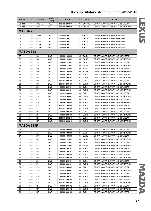| <b>MODEL</b>      | cc   | <b>ENGINE</b>  | <b>DRIVE</b><br><b>TYPE</b> | <b>YEAR</b>     | <b>AKITAKA NO</b> | <b>NAME</b>                      |  |  |  |
|-------------------|------|----------------|-----------------------------|-----------------|-------------------|----------------------------------|--|--|--|
| MHU38             | 3300 | 3MZ-FE         | 4WD                         | 200503 - 200811 | 0111-CU30RL       | ОПОРА АМОРТИЗАТОРА ЗАДНЯЯ ЛЕВАЯ  |  |  |  |
| MHU38             | 3300 | 3MZ-FE         | 4WD                         | 200503 - 200811 | 0111-CU30RR       | ОПОРА АМОРТИЗАТОРА ЗАДНЯЯ ПРАВАЯ |  |  |  |
| <b>MAZDA2</b>     |      |                |                             |                 |                   |                                  |  |  |  |
| DY                | 1250 | <b>FUJA</b>    | 2WD                         | 200304 - 200712 | 2111-CBKF         | ОПОРА АМОРТИЗАТОРА ПЕРЕДНЯЯ      |  |  |  |
| DY                | 1400 | F6JA           | 2WD                         | 200304 - 200712 | 2111-CBKF         | ОПОРА АМОРТИЗАТОРА ПЕРЕДНЯЯ      |  |  |  |
| <b>DY</b>         | 1400 | F6JB           | 2WD                         | 200304 - 200712 | 2111-CBKF         | ОПОРА АМОРТИЗАТОРА ПЕРЕДНЯЯ      |  |  |  |
| <b>DY</b>         | 1400 | <b>FXJA</b>    | 2WD                         | 200304 - 200712 | 2111-CBKF         | ОПОРА АМОРТИЗАТОРА ПЕРЕДНЯЯ      |  |  |  |
| <b>DY</b>         | 1600 | <b>FYJA</b>    | 2WD                         | 200304 - 200712 | 2111-CBKF         | ОПОРА АМОРТИЗАТОРА ПЕРЕДНЯЯ      |  |  |  |
| <b>MAZDA 323</b>  |      |                |                             |                 |                   |                                  |  |  |  |
| BA                | 1300 | B <sub>3</sub> | 2WD                         | 199408 - 199809 | 0511-BARL         | ОПОРА АМОРТИЗАТОРА ЗАДНЯЯ ЛЕВАЯ  |  |  |  |
| BA                | 1300 | B <sub>3</sub> | 2WD                         | 199408 - 199809 | 0511-BARR         | ОПОРА АМОРТИЗАТОРА ЗАДНЯЯ ПРАВАЯ |  |  |  |
| BA                | 1500 | Z <sub>5</sub> | 2WD                         | 199408 - 199809 | 0511-BARL         | ОПОРА АМОРТИЗАТОРА ЗАДНЯЯ ЛЕВАЯ  |  |  |  |
| BA                | 1500 | Z <sub>5</sub> | 2WD                         | 199408 - 199809 | 0511-BARR         | ОПОРА АМОРТИЗАТОРА ЗАДНЯЯ ПРАВАЯ |  |  |  |
| BA                | 1800 | <b>BP</b>      | 2WD                         | 199408 - 199809 | 0511-BARL         | ОПОРА АМОРТИЗАТОРА ЗАДНЯЯ ЛЕВАЯ  |  |  |  |
| BA                | 1800 | BP             | 2WD                         | 199408 - 199809 | 0511-BARR         | ОПОРА АМОРТИЗАТОРА ЗАДНЯЯ ПРАВАЯ |  |  |  |
| <b>BJ</b>         | 1300 | B <sub>3</sub> | 2WD                         | 199809 - 200101 | 0511-BJRL         | ОПОРА АМОРТИЗАТОРА ЗАДНЯЯ ЛЕВАЯ  |  |  |  |
| <b>BJ</b>         | 1300 | B <sub>3</sub> | 2WD                         | 199809 - 200101 | 0511-BJRR         | ОПОРА АМОРТИЗАТОРА ЗАДНЯЯ ПРАВАЯ |  |  |  |
| BJ                | 1300 | B <sub>3</sub> | 2WD                         | 200101 - 200405 | 0511-BJRL         | ОПОРА АМОРТИЗАТОРА ЗАДНЯЯ ЛЕВАЯ  |  |  |  |
| <b>BJ</b>         | 1300 | B <sub>3</sub> | 2WD                         | 200101 - 200405 | 0511-BJRR         | ОПОРА АМОРТИЗАТОРА ЗАДНЯЯ ПРАВАЯ |  |  |  |
| BJ                | 1500 | ΖL             | 2WD                         | 199809 - 200101 | 0511-BJRL         | ОПОРА АМОРТИЗАТОРА ЗАДНЯЯ ЛЕВАЯ  |  |  |  |
| BJ                | 1500 | ZL             | 2WD                         | 199809 - 200101 | 0511-BJRR         | ОПОРА АМОРТИЗАТОРА ЗАДНЯЯ ПРАВАЯ |  |  |  |
| BJ                | 1600 | ZM             | 2WD                         | 200101 - 200405 | 0511-BJRL         | ОПОРА АМОРТИЗАТОРА ЗАДНЯЯ ЛЕВАЯ  |  |  |  |
| BJ                | 1600 | ZM             | 2WD                         | 200101 - 200405 | 0511-BJRR         | ОПОРА АМОРТИЗАТОРА ЗАДНЯЯ ПРАВАЯ |  |  |  |
| BJ                | 1800 | <b>FP</b>      | 2WD                         | 199809 - 200405 | 0511-BJRL         | ОПОРА АМОРТИЗАТОРА ЗАДНЯЯ ЛЕВАЯ  |  |  |  |
| <b>BJ</b>         | 1800 | <b>FP</b>      | 2WD                         | 199809 - 200405 | 0511-BJRR         | ОПОРА АМОРТИЗАТОРА ЗАДНЯЯ ПРАВАЯ |  |  |  |
| BJ                | 2000 | FS             | 2WD                         | 200101 - 200405 | 0511-BJRL         | ОПОРА АМОРТИЗАТОРА ЗАДНЯЯ ЛЕВАЯ  |  |  |  |
| <b>BJ</b>         | 2000 | <b>FS</b>      | 2WD                         | 200101 - 200405 | 0511-BJRR         | ОПОРА АМОРТИЗАТОРА ЗАДНЯЯ ПРАВАЯ |  |  |  |
| BJ                | 2000 | <b>RF</b>      | 2WD                         | 199809 - 200405 | 0511-BJRL         | ОПОРА АМОРТИЗАТОРА ЗАДНЯЯ ЛЕВАЯ  |  |  |  |
| BJ                | 2000 | <b>RF</b>      | 2WD                         | 199809 - 200405 | 0511-BJRR         | ОПОРА АМОРТИЗАТОРА ЗАДНЯЯ ПРАВАЯ |  |  |  |
| BJ                | 2000 | <b>RF</b>      | 2WD                         | 200010 - 200210 | 0511-BJRL         | ОПОРА АМОРТИЗАТОРА ЗАДНЯЯ ЛЕВАЯ  |  |  |  |
| BJ                | 2000 | <b>RF</b>      | 2WD                         | 200010 - 200210 | 0511-BJRR         | ОПОРА АМОРТИЗАТОРА ЗАДНЯЯ ПРАВАЯ |  |  |  |
| <b>MAZDA 323F</b> |      |                |                             |                 |                   |                                  |  |  |  |
|                   |      |                |                             |                 |                   |                                  |  |  |  |
| BA                | 1500 | Z <sub>5</sub> | 2WD                         | 199408 - 199809 | 0511-BARL         | ОПОРА АМОРТИЗАТОРА ЗАДНЯЯ ЛЕВАЯ  |  |  |  |
| BA                | 1500 | Z <sub>5</sub> | 2WD                         | 199408 - 199809 | 0511-BARR         | ОПОРА АМОРТИЗАТОРА ЗАДНЯЯ ПРАВАЯ |  |  |  |
| BA                | 1800 | <b>BP</b>      | 2WD                         | 199408 - 199809 | 0511-BARL         | ОПОРА АМОРТИЗАТОРА ЗАДНЯЯ ЛЕВАЯ  |  |  |  |
| BA                | 1800 | <b>BP</b>      | 2WD                         | 199408 - 199809 | 0511-BARR         | ОПОРА АМОРТИЗАТОРА ЗАДНЯЯ ПРАВАЯ |  |  |  |
| BA                | 2000 | <b>KF</b>      | 2WD                         | 199408 - 199809 | 0511-BARL         | ОПОРА АМОРТИЗАТОРА ЗАДНЯЯ ЛЕВАЯ  |  |  |  |
| BA                | 2000 | KF             | 2WD                         | 199408 - 199809 | 0511-BARR         | ОПОРА АМОРТИЗАТОРА ЗАДНЯЯ ПРАВАЯ |  |  |  |
| BJ                | 1300 | B <sub>3</sub> | 2WD                         | 199809 - 200101 | 0511-BJRL         | ОПОРА АМОРТИЗАТОРА ЗАДНЯЯ ЛЕВАЯ  |  |  |  |
| BJ                | 1300 | B <sub>3</sub> | 2WD                         | 199809 - 200101 | 0511-BJRR         | ОПОРА АМОРТИЗАТОРА ЗАДНЯЯ ПРАВАЯ |  |  |  |
| BJ                | 1300 | B <sub>3</sub> | 2WD                         | 200101 - 200405 | 0511-BJRL         | ОПОРА АМОРТИЗАТОРА ЗАДНЯЯ ЛЕВАЯ  |  |  |  |
| BJ                | 1300 | B <sub>3</sub> | 2WD                         | 200101 - 200405 | 0511-BJRR         | ОПОРА АМОРТИЗАТОРА ЗАДНЯЯ ПРАВАЯ |  |  |  |
| BJ                | 1500 | ΖL             | 2WD                         | 199809 - 200101 | 0511-BJRL         | ОПОРА АМОРТИЗАТОРА ЗАДНЯЯ ЛЕВАЯ  |  |  |  |
| BJ                | 1500 | ΖL             | 2WD                         | 199809 - 200101 | 0511-BJRR         | ОПОРА АМОРТИЗАТОРА ЗАДНЯЯ ПРАВАЯ |  |  |  |
| BJ                | 1600 | ZM             | 2WD                         | 200101 - 200405 | 0511-BJRL         | ОПОРА АМОРТИЗАТОРА ЗАДНЯЯ ЛЕВАЯ  |  |  |  |
| BJ                | 1600 | ZM             | 2WD                         | 200101 - 200405 | 0511-BJRR         | ОПОРА АМОРТИЗАТОРА ЗАДНЯЯ ПРАВАЯ |  |  |  |
| BJ                | 1800 | <b>FP</b>      | 2WD                         | 199809 - 200101 | 0511-BJRL         | ОПОРА АМОРТИЗАТОРА ЗАДНЯЯ ЛЕВАЯ  |  |  |  |
| BJ                | 1800 | <b>FP</b>      | 2WD                         | 199809 - 200101 | 0511-BJRR         | ОПОРА АМОРТИЗАТОРА ЗАДНЯЯ ПРАВАЯ |  |  |  |
| BJ                | 2000 | <b>FS</b>      | 2WD                         | 200101 - 200405 | 0511-BJRL         | ОПОРА АМОРТИЗАТОРА ЗАДНЯЯ ЛЕВАЯ  |  |  |  |
| BJ                | 2000 | <b>FS</b>      | 2WD                         | 200101 - 200405 | 0511-BJRR         | ОПОРА АМОРТИЗАТОРА ЗАДНЯЯ ПРАВАЯ |  |  |  |
| <b>BJ</b>         | 2000 | <b>RF</b>      | 2WD                         | 199809 - 200112 | 0511-BJRL         | ОПОРА АМОРТИЗАТОРА ЗАДНЯЯ ЛЕВАЯ  |  |  |  |
| BJ                | 2000 | <b>RF</b>      | 2WD                         | 199809 - 200112 | 0511-BJRR         | ОПОРА АМОРТИЗАТОРА ЗАДНЯЯ ПРАВАЯ |  |  |  |
| BJ                | 2000 | <b>RF</b>      | 2WD                         | 199809 - 200405 | 0511-BJRL         | ОПОРА АМОРТИЗАТОРА ЗАДНЯЯ ЛЕВАЯ  |  |  |  |

MAZDA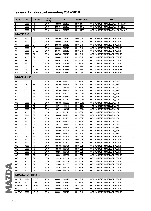| <b>MODEL</b>     | cc   | <b>ENGINE</b>       | <b>DRIVE</b><br><b>TYPE</b> | <b>YEAR</b>     | <b>AKITAKA NO</b> | <b>NAME</b>                      |
|------------------|------|---------------------|-----------------------------|-----------------|-------------------|----------------------------------|
| <b>BJ</b>        | 2000 | <b>RF</b>           | 2WD                         | 199809 - 200405 | 0511-BJRR         | ОПОРА АМОРТИЗАТОРА ЗАДНЯЯ ПРАВАЯ |
| BJ               | 2000 | <b>RF</b>           | 2WD                         | 200101 - 200405 | 0511-BJRL         | ОПОРА АМОРТИЗАТОРА ЗАДНЯЯ ЛЕВАЯ  |
| <b>BJ</b>        | 2000 | <b>RF</b>           | 2WD                         | 200101 - 200405 | 0511-BJRR         | ОПОРА АМОРТИЗАТОРА ЗАДНЯЯ ПРАВАЯ |
| <b>MAZDA6</b>    |      |                     |                             |                 |                   |                                  |
| GH               | 1800 | L <sub>8</sub>      | 2WD                         | 200708 - 201312 | 0511-GHF          | ОПОРА АМОРТИЗАТОРА ПЕРЕДНЯЯ      |
| GH               | 1800 | L8                  | 2WD                         | 200802 - 201312 | 0511-GHF          | ОПОРА АМОРТИЗАТОРА ПЕРЕДНЯЯ      |
| GH               | 2000 | LF                  | 2WD                         | 200708 - 201312 | 0511-GHF          | ОПОРА АМОРТИЗАТОРА ПЕРЕДНЯЯ      |
| GH               | 2000 | LF.                 | 2WD                         | 200802 - 201312 | 0511-GHF          | ОПОРА АМОРТИЗАТОРА ПЕРЕДНЯЯ      |
| GH               | 2000 | LF-DE               | 2WD                         | 201001 - 201312 | 0511-GHF          | ОПОРА АМОРТИЗАТОРА ПЕРЕДНЯЯ      |
| GH               | 2000 | <b>RF</b>           | 2WD                         | 200708 - 201312 | 0511-GHF          | ОПОРА АМОРТИЗАТОРА ПЕРЕДНЯЯ      |
| GH               | 2000 | <b>RF</b>           | 2WD                         | 200802 - 201312 | 0511-GHF          | ОПОРА АМОРТИЗАТОРА ПЕРЕДНЯЯ      |
| GH               | 2200 | R <sub>2</sub>      | 2WD                         | 200901 - 201212 | 0511-GHF          | ОПОРА АМОРТИЗАТОРА ПЕРЕДНЯЯ      |
| GH               | 2200 | R <sub>2</sub>      | 2WD                         | 200901 - 201312 | 0511-GHF          | ОПОРА АМОРТИЗАТОРА ПЕРЕДНЯЯ      |
| GH               | 2200 | R <sub>2</sub>      | 2WD                         | 201001 - 201312 | 0511-GHF          | ОПОРА АМОРТИЗАТОРА ПЕРЕДНЯЯ      |
| GH               | 2500 | L5-VE               | 2WD                         | 200708 - 201312 | 0511-GHF          | ОПОРА АМОРТИЗАТОРА ПЕРЕДНЯЯ      |
| GH               | 2500 | $L5-VE$             | 2WD                         | 200802 - 201312 | 0511-GHF          | ОПОРА АМОРТИЗАТОРА ПЕРЕДНЯЯ      |
| <b>MAZDA 626</b> |      |                     |                             |                 |                   |                                  |
| GD               | 1600 | F <sub>6</sub>      | 2WD                         | 198706 - 199205 | 0511-GDR          | ОПОРА АМОРТИЗАТОРА ЗАДНЯЯ        |
| GD               | 1800 | F <sub>8</sub>      | 2WD                         | 198709 - 199108 | 0511-GDR          | ОПОРА АМОРТИЗАТОРА ЗАДНЯЯ        |
| GD               | 1800 | F <sub>8</sub>      | 2WD                         | 198711 - 199205 | 0511-GDR          | ОПОРА АМОРТИЗАТОРА ЗАДНЯЯ        |
| GD               | 2000 | <b>FE</b>           | 2WD                         | 198706 - 198909 | 0511-GDR          | ОПОРА АМОРТИЗАТОРА ЗАДНЯЯ        |
| GD               | 2000 | <b>FE</b>           | 2WD                         | 198707 - 198909 | 0511-GDR          | ОПОРА АМОРТИЗАТОРА ЗАДНЯЯ        |
| GD               | 2000 | <b>FE</b>           | 2WD                         | 198709 - 198812 | 0511-GDR          | ОПОРА АМОРТИЗАТОРА ЗАДНЯЯ        |
| GD               | 2000 | <b>FE</b>           | 2WD                         | 198709 - 199010 | 0511-GDR          | ОПОРА АМОРТИЗАТОРА ЗАДНЯЯ        |
| GD               | 2000 | <b>FE</b>           | 2WD                         | 198709 - 199205 | 0511-GDR          | ОПОРА АМОРТИЗАТОРА ЗАДНЯЯ        |
| GD               | 2000 | FE.                 | 2WD                         | 198711 - 199010 | 0511-GDR          | ОПОРА АМОРТИЗАТОРА ЗАДНЯЯ        |
| GD               | 2000 | <b>FE</b>           | 2WD                         | 198711 - 199205 | 0511-GDR          | ОПОРА АМОРТИЗАТОРА ЗАДНЯЯ        |
| GD               | 2000 | <b>FE</b>           | 2WD                         | 198712 - 199010 | 0511-GDR          | ОПОРА АМОРТИЗАТОРА ЗАДНЯЯ        |
| GD               | 2000 | <b>FE</b>           | 4WD                         | 198908 - 199107 | 0511-GDR          | ОПОРА АМОРТИЗАТОРА ЗАДНЯЯ        |
| GD               | 2000 | <b>RF</b>           | 2WD                         | 198707 - 199107 | 0511-GDR          | ОПОРА АМОРТИЗАТОРА ЗАДНЯЯ        |
| GD               | 2200 | F <sub>2</sub>      | 2WD                         | 198707 - 199107 | 0511-GDR          | ОПОРА АМОРТИЗАТОРА ЗАДНЯЯ        |
| GD               | 2200 | F <sub>2</sub>      | 4WD                         | 198711 - 199007 | 0511-GDR          | ОПОРА АМОРТИЗАТОРА ЗАДНЯЯ        |
| GD               | 2200 | F <sub>2</sub>      | 2WD                         | 198804 - 199112 | 0511-GDR          | ОПОРА АМОРТИЗАТОРА ЗАДНЯЯ        |
| GD               | 2200 | F <sub>2</sub>      | 2WD                         | 198806 - 199204 | 0511-GDR          | ОПОРА АМОРТИЗАТОРА ЗАДНЯЯ        |
| GD               | 2200 | F <sub>2</sub>      | 4WD                         | 199001 - 199205 | 0511-GDR          | ОПОРА АМОРТИЗАТОРА ЗАДНЯЯ        |
| <b>GE</b>        | 1800 | FP                  | 2WD                         | 199108 - 199704 | 0511-GEF          | ОПОРА АМОРТИЗАТОРА ПЕРЕДНЯЯ      |
| GE               | 1800 | FP                  | 2WD                         | 199201 - 199704 | 0511-GEF          | ОПОРА АМОРТИЗАТОРА ПЕРЕДНЯЯ      |
| <b>GE</b>        | 1800 | FP                  | 2WD                         | 199405 - 199706 | 0511-GEF          | ОПОРА АМОРТИЗАТОРА ПЕРЕДНЯЯ      |
| GE               | 1800 | FP                  | 2WD                         | 199408 - 199704 | 0511-GEF          | ОПОРА АМОРТИЗАТОРА ПЕРЕДНЯЯ      |
| GE               | 2000 | <b>FS</b>           | 2WD                         | 199108 - 199704 | 0511-GEF          | ОПОРА АМОРТИЗАТОРА ПЕРЕДНЯЯ      |
| GE               | 2000 | <b>FS</b>           | 2WD                         | 199201 - 199704 | 0511-GEF          | ОПОРА АМОРТИЗАТОРА ПЕРЕДНЯЯ      |
| <b>GE</b>        | 2000 | <b>FS</b>           | 4WD                         | 199204 - 199704 | 0511-GEF          | ОПОРА АМОРТИЗАТОРА ПЕРЕДНЯЯ      |
| <b>GE</b>        | 2000 | RF                  | 2WD                         | 199210 - 199704 | 0511-GEF          | ОПОРА АМОРТИЗАТОРА ПЕРЕДНЯЯ      |
| GE               | 2000 | RF                  | 2WD                         | 199301 - 199704 | 0511-GEF          | ОПОРА АМОРТИЗАТОРА ПЕРЕДНЯЯ      |
| <b>GE</b>        | 2000 | RF                  | 2WD                         | 199405 - 199706 | 0511-GEF          | ОПОРА АМОРТИЗАТОРА ПЕРЕДНЯЯ      |
| GE               | 2500 | KL                  | 2WD                         | 199201 - 199704 | 0511-GEF          | ОПОРА АМОРТИЗАТОРА ПЕРЕДНЯЯ      |
| GE               | 2500 | KL                  | 2WD                         | 199408 - 199704 | 0511-GEF          | ОПОРА АМОРТИЗАТОРА ПЕРЕДНЯЯ      |
|                  |      | <b>MAZDA ATENZA</b> |                             |                 |                   |                                  |
| GH5AP            | 2500 | L5-VE               | 4WD                         | 200801 - 200912 | 0511-GHF          | ОПОРА АМОРТИЗАТОРА ПЕРЕДНЯЯ      |
| GH5AS            | 2500 | L5-VE               | 4WD                         | 200801 - 201210 | 0511-GHF          | ОПОРА АМОРТИЗАТОРА ПЕРЕДНЯЯ      |
| GH5AW            | 2500 | L5-VE               | 4WD                         | 200801 - 201210 | 0511-GHF          | ОПОРА АМОРТИЗАТОРА ПЕРЕДНЯЯ      |
| GH5FS            | 2500 | L5-VE               | 2WD                         | 200801 - 201210 | 0511-GHF          | ОПОРА АМОРТИЗАТОРА ПЕРЕДНЯЯ      |
| GH5FW            | 2500 | L5-VE               | 2WD                         | 200801 - 201210 | 0511-GHF          | ОПОРА АМОРТИЗАТОРА ПЕРЕДНЯЯ      |
|                  |      |                     |                             |                 |                   |                                  |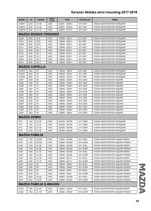| <b>MODEL</b>       | cc   | <b>ENGINE</b>                | <b>DRIVE</b><br><b>TYPE</b> | <b>YEAR</b>     | <b>AKITAKA NO</b> | <b>NAME</b>                      |
|--------------------|------|------------------------------|-----------------------------|-----------------|-------------------|----------------------------------|
| <b>GHEFP</b>       | 2000 | LF-VE                        | 2WD                         | 200801 - 200912 | 0511-GHF          | ОПОРА АМОРТИЗАТОРА ПЕРЕДНЯЯ      |
| <b>GHEFS</b>       | 2000 | LF-VE                        | 2WD                         | 200801 - 200912 | 0511-GHF          | ОПОРА АМОРТИЗАТОРА ПЕРЕДНЯЯ      |
| <b>GHEFW</b>       | 2000 | LF-VE                        | 2WD                         | 200801 - 201210 | 0511-GHF          | ОПОРА АМОРТИЗАТОРА ПЕРЕДНЯЯ      |
|                    |      | <b>MAZDA BONGO FRIENDEE</b>  |                             |                 |                   |                                  |
| SG5W               | 2500 | $J5-D$                       | 2WD                         | 199506 - 200511 | 0511-BFF          | ОПОРА АМОРТИЗАТОРА ПЕРЕДНЯЯ      |
| SGE <sub>3</sub>   | 2000 | FE-E                         | 2WD                         | 199506 - 200511 | 0511-BFF          | ОПОРА АМОРТИЗАТОРА ПЕРЕДНЯЯ      |
| <b>SGEW</b>        | 2000 | FE-E                         | 2WD                         | 199506 - 200511 | 0511-BFF          | ОПОРА АМОРТИЗАТОРА ПЕРЕДНЯЯ      |
| SGL3               | 2500 | WL-T                         | 2WD                         | 199506 - 200511 | 0511-BFF          | ОПОРА АМОРТИЗАТОРА ПЕРЕДНЯЯ      |
| SGL5               | 2500 | WL-T                         | 4WD                         | 199506 - 200511 | 0511-BFF          | ОПОРА АМОРТИЗАТОРА ПЕРЕДНЯЯ      |
| <b>SGLR</b>        | 2500 | WL-T                         | 4WD                         | 199506 - 200511 | 0511-BFF          | ОПОРА АМОРТИЗАТОРА ПЕРЕДНЯЯ      |
| SGLW               | 2500 | WL-T                         | 2WD                         | 199506 - 200511 | 0511-BFF          | ОПОРА АМОРТИЗАТОРА ПЕРЕДНЯЯ      |
| SGWL               | 2500 | WL-T                         | 2WD                         | 199506 - 200511 | 0511-BFF          | ОПОРА АМОРТИЗАТОРА ПЕРЕДНЯЯ      |
| SWL3               | 2500 | WL-T                         | 2WD                         | 199506 - 200511 | 0511-BFF          | ОПОРА АМОРТИЗАТОРА ПЕРЕДНЯЯ      |
|                    |      | <b>MAZDA CAPELLA</b>         |                             |                 |                   |                                  |
| CG2PP              | 1800 | <b>FP</b>                    | 2WD                         | 199408 - 199707 | 0511-GEF          | ОПОРА АМОРТИЗАТОРА ПЕРЕДНЯЯ      |
| CG2SP              | 2000 | FS                           | 2WD                         | 199408 - 199707 | 0511-GEF          | ОПОРА АМОРТИЗАТОРА ПЕРЕДНЯЯ      |
| CG2SR              | 2000 | <b>FS</b>                    | 4WD                         | 199408 - 199707 | 0511-GEF          | ОПОРА АМОРТИЗАТОРА ПЕРЕДНЯЯ      |
| GD6P               | 1600 | B <sub>6</sub>               | 2WD                         | 198906 - 199407 | 0511-GDR          | ОПОРА АМОРТИЗАТОРА ЗАДНЯЯ        |
| GD8A               | 1800 | F <sub>8</sub>               | 2WD                         | 198906 - 199407 | 0511-GDR          | ОПОРА АМОРТИЗАТОРА ЗАДНЯЯ        |
| GD8B               | 1800 | F <sub>8</sub>               | 2WD                         | 198906 - 199407 | 0511-GDR          | ОПОРА АМОРТИЗАТОРА ЗАДНЯЯ        |
| GD8P               | 1800 | F <sub>8</sub>               | 2WD                         | 198906 - 199407 | 0511-GDR          | ОПОРА АМОРТИЗАТОРА ЗАДНЯЯ        |
| GD8R               | 1800 | F <sub>8</sub>               | 4WD                         | 198906 - 199407 | 0511-GDR          | ОПОРА АМОРТИЗАТОРА ЗАДНЯЯ        |
| GD8S               | 1800 | F <sub>8</sub>               | 2WD                         | 198906 - 199407 | 0511-GDR          | ОПОРА АМОРТИЗАТОРА ЗАДНЯЯ        |
| <b>GDEA</b>        | 2000 | <b>FE</b>                    | 2WD                         | 198906 - 199407 | 0511-GDR          | ОПОРА АМОРТИЗАТОРА ЗАДНЯЯ        |
| <b>GDEB</b>        | 2000 | <b>FE</b>                    | 2WD                         | 198906 - 199407 | 0511-GDR          | ОПОРА АМОРТИЗАТОРА ЗАДНЯЯ        |
| <b>GDEP</b>        | 2000 | <b>FE</b>                    | 2WD                         | 198906 - 199407 | 0511-GDR          | ОПОРА АМОРТИЗАТОРА ЗАДНЯЯ        |
| <b>GDER</b>        | 2000 | <b>FE</b>                    | 4WD                         | 198906 - 199407 | 0511-GDR          | ОПОРА АМОРТИЗАТОРА ЗАДНЯЯ        |
| <b>GDES</b>        | 2000 | FE.                          | 2WD                         | 198906 - 199407 | 0511-GDR          | ОПОРА АМОРТИЗАТОРА ЗАДНЯЯ        |
| <b>GDFP</b>        | 2000 | <b>RF</b>                    | 2WD                         | 198906 - 199407 | 0511-GDR          | ОПОРА АМОРТИЗАТОРА ЗАДНЯЯ        |
| <b>MAZDA DEMIO</b> |      |                              |                             |                 |                   |                                  |
| DY3                | 1300 | ZJ-VE                        | 2WD                         | 200208 - 200706 | 2111-CBKF         | ОПОРА АМОРТИЗАТОРА ПЕРЕДНЯЯ      |
| DY3                | 1300 | ZJ-VE                        | 4WD                         | 200208 - 200706 | 2111-CBKF         | ОПОРА АМОРТИЗАТОРА ПЕРЕДНЯЯ      |
| DY <sub>5</sub>    | 1500 | ZY-VE                        | 2WD                         | 200208 - 200706 | 2111-CBKF         | ОПОРА АМОРТИЗАТОРА ПЕРЕДНЯЯ      |
| DY <sub>5</sub>    | 1500 | ZY-VE                        | 4WD                         | 200208 - 200706 | 2111-CBKF         | ОПОРА АМОРТИЗАТОРА ПЕРЕДНЯЯ      |
|                    |      | <b>MAZDA FAMILIA</b>         |                             |                 |                   |                                  |
| BJ3P               | 1300 | B3-ME                        | 2WD                         | 199908 - 200208 | 0511-BJRL         | ОПОРА АМОРТИЗАТОРА ЗАДНЯЯ ЛЕВАЯ  |
| BJ3P               | 1300 | B3-ME                        | 2WD                         | 199908 - 200208 | 0511-BJRR         | ОПОРА АМОРТИЗАТОРА ЗАДНЯЯ ПРАВАЯ |
| BJ5P               | 1500 | ZL-DE                        | 2WD                         | 199908 - 200308 | 0511-BJRL         | ОПОРА АМОРТИЗАТОРА ЗАДНЯЯ ЛЕВАЯ  |
| BJ5P               | 1500 | ZL-DE                        | 2WD                         | 199908 - 200308 | 0511-BJRR         | ОПОРА АМОРТИЗАТОРА ЗАДНЯЯ ПРАВАЯ |
| BJ5P               | 1500 | ZL-DE                        | 4WD                         | 199908 - 200308 | 0511-BJRL         | ОПОРА АМОРТИЗАТОРА ЗАДНЯЯ ЛЕВАЯ  |
| BJ5P               | 1500 | ZL-DE                        | 4WD                         | 199908 - 200308 | 0511-BJRR         | ОПОРА АМОРТИЗАТОРА ЗАДНЯЯ ПРАВАЯ |
| BJ5P               | 1500 | ZL-VE                        | 2WD                         | 199908 - 200111 | 0511-BJRL         | ОПОРА АМОРТИЗАТОРА ЗАДНЯЯ ЛЕВАЯ  |
| BJ5P               | 1500 | ZL-VE                        | 2WD                         | 199908 - 200111 | 0511-BJRR         | ОПОРА АМОРТИЗАТОРА ЗАДНЯЯ ПРАВАЯ |
| <b>BJEP</b>        | 2000 | RF                           | 4WD                         | 199806 - 199907 | 0511-BJRL         | ОПОРА АМОРТИЗАТОРА ЗАДНЯЯ ЛЕВАЯ  |
| <b>BJEP</b>        | 2000 | <b>RF</b>                    | 4WD                         | 199806 - 199907 | 0511-BJRR         | ОПОРА АМОРТИЗАТОРА ЗАДНЯЯ ПРАВАЯ |
| <b>BJEP</b>        | 2000 | <b>RF</b>                    | 2WD                         | 199908 - 20009  | 0511-BJRL         | ОПОРА АМОРТИЗАТОРА ЗАДНЯЯ ЛЕВАЯ  |
| <b>BJEP</b>        | 2000 | <b>RF</b>                    | 2WD                         | 199908 - 20009  | 0511-BJRR         | ОПОРА АМОРТИЗАТОРА ЗАДНЯЯ ПРАВАЯ |
| <b>BJFP</b>        | 2000 | FS-ZE                        | 2WD                         | 199908 - 200308 | 0511-BJRL         | ОПОРА АМОРТИЗАТОРА ЗАДНЯЯ ЛЕВАЯ  |
| <b>BJFP</b>        | 2000 | FS-ZE                        | 2WD                         | 199908 - 200308 | 0511-BJRR         | ОПОРА АМОРТИЗАТОРА ЗАДНЯЯ ПРАВАЯ |
|                    |      |                              |                             |                 |                   |                                  |
|                    |      | <b>MAZDA FAMILIA S-WAGON</b> |                             |                 |                   |                                  |
| BJ5W               | 1500 | ZL-DE                        | 2WD                         | 199806 - 200403 | 0511-BJRL         | ОПОРА АМОРТИЗАТОРА ЗАДНЯЯ ЛЕВАЯ  |
| BJ5W               | 1500 | ZL-DE                        | 2WD                         | 199806 - 200403 | 0511-BJRR         | ОПОРА АМОРТИЗАТОРА ЗАДНЯЯ ПРАВАЯ |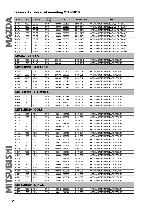|   | <b>MODEL</b>        | cc   | <b>ENGINE</b>             | <b>DRIVE</b><br><b>TYPE</b> | <b>YEAR</b>     | <b>AKITAKA NO</b> | <b>NAME</b>                      |
|---|---------------------|------|---------------------------|-----------------------------|-----------------|-------------------|----------------------------------|
|   | BJ5W                | 1500 | ZL-DE                     | 4WD                         | 199806 - 200403 | 0511-BJRL         | ОПОРА АМОРТИЗАТОРА ЗАДНЯЯ ЛЕВАЯ  |
|   | BJ5W                | 1500 | ZL-DE                     | 4WD                         | 199806 - 200403 | 0511-BJRR         | ОПОРА АМОРТИЗАТОРА ЗАДНЯЯ ПРАВАЯ |
|   | BJ8W                | 1800 | FP-DE                     | 2WD                         | 199806 - 200009 | 0511-BJRL         | ОПОРА АМОРТИЗАТОРА ЗАДНЯЯ ЛЕВАЯ  |
|   | BJ8W                | 1800 | FP-DE                     | 2WD                         | 199806 - 200009 | 0511-BJRR         | ОПОРА АМОРТИЗАТОРА ЗАДНЯЯ ПРАВАЯ |
|   | BJ8W                | 1800 | FP-DE                     | 4WD                         | 199806 - 200009 | 0511-BJRL         | ОПОРА АМОРТИЗАТОРА ЗАДНЯЯ ЛЕВАЯ  |
|   | BJ8W                | 1800 | FP-DE                     | 4WD                         | 199806 - 200009 | 0511-BJRR         | ОПОРА АМОРТИЗАТОРА ЗАДНЯЯ ПРАВАЯ |
|   | <b>BJFW</b>         | 2000 | FS-ZE                     | 2WD                         | 199908 - 200403 | 0511-BJRL         | ОПОРА АМОРТИЗАТОРА ЗАДНЯЯ ЛЕВАЯ  |
|   | <b>BJFW</b>         | 2000 | FS-ZE                     | 2WD                         | 199908 - 200403 | 0511-BJRR         | ОПОРА АМОРТИЗАТОРА ЗАДНЯЯ ПРАВАЯ |
|   | <b>BJFW</b>         | 2000 | FS-ZE                     | 4WD                         | 199908 - 200403 | 0511-BJRL         | ОПОРА АМОРТИЗАТОРА ЗАДНЯЯ ЛЕВАЯ  |
|   | <b>BJFW</b>         | 2000 | FS-ZE                     | 4WD                         | 199908 - 200403 | 0511-BJRR         | ОПОРА АМОРТИЗАТОРА ЗАДНЯЯ ПРАВАЯ |
|   | <b>MAZDA VERISA</b> |      |                           |                             |                 |                   |                                  |
|   | DC <sub>5</sub>     | 1500 | ZY-VE                     | 2WD                         | $200406 - 5$    | 2111-CBKF         | ОПОРА АМОРТИЗАТОРА ПЕРЕДНЯЯ      |
|   | DC <sub>5</sub>     | 1500 | ZY-VE                     | 4WD                         | $200406 -$      | 2111-CBKF         | ОПОРА АМОРТИЗАТОРА ПЕРЕДНЯЯ      |
|   |                     |      | <b>MITSUBISHI AIRTREK</b> |                             |                 |                   |                                  |
|   | CU <sub>2</sub> W   | 2000 | 4G63                      | 2WD                         | 200103 - 200509 | 0411-CUF          | ОПОРА АМОРТИЗАТОРА ПЕРЕДНЯЯ      |
|   | CU <sub>2</sub> W   | 2000 | 4G63                      | 4WD                         | 200103 - 200509 | 0411-CUF          | ОПОРА АМОРТИЗАТОРА ПЕРЕДНЯЯ      |
|   | CU4W                | 2400 | 4G64                      | 2WD                         | 200103 - 200812 | 0411-CUF          | ОПОРА АМОРТИЗАТОРА ПЕРЕДНЯЯ      |
|   | CU4W                | 2400 | 4G64                      | 4WD                         | 200103 - 200812 | 0411-CUF          | ОПОРА АМОРТИЗАТОРА ПЕРЕДНЯЯ      |
|   | CU <sub>5</sub> W   | 2400 | 4G69                      | 2WD                         | 200309 - 200812 | 0411-CUF          | ОПОРА АМОРТИЗАТОРА ПЕРЕДНЯЯ      |
|   | CU <sub>5</sub> W   | 2400 | 4G69                      | 4WD                         | 200309 - 200812 | 0411-CUF          | ОПОРА АМОРТИЗАТОРА ПЕРЕДНЯЯ      |
|   |                     |      | <b>MITSUBISHI CARISMA</b> |                             |                 |                   |                                  |
|   | DA <sub>1</sub> A   | 1600 | 4G92                      | 2WD                         | 199505 - 200312 | 0411-DGF          | ОПОРА АМОРТИЗАТОРА ПЕРЕДНЯЯ      |
|   | DA2A                | 1800 | 4G93                      | 2WD                         | 199505 - 200312 | 0411-DGF          | ОПОРА АМОРТИЗАТОРА ПЕРЕДНЯЯ      |
|   | DA4A                | 1900 | F8Q                       | 2WD                         | 199505 - 199905 | 0411-DGF          | ОПОРА АМОРТИЗАТОРА ПЕРЕДНЯЯ      |
|   | DA6A                | 1300 | 4G13                      | 2WD                         | 200207 - 200312 | 0411-DGF          | ОПОРА АМОРТИЗАТОРА ПЕРЕДНЯЯ      |
|   |                     |      | <b>MITSUBISHI COLT</b>    |                             |                 |                   |                                  |
|   | CJ1A                | 1300 | 4G13                      | 2WD                         | 199511 - 199706 | 0411-CJF          | ОПОРА АМОРТИЗАТОРА ПЕРЕДНЯЯ      |
|   | CJ1A                | 1300 | 4G13                      | 2WD                         | 199612 - 199904 | 0411-CSF          | ОПОРА АМОРТИЗАТОРА ПЕРЕДНЯЯ      |
|   | CJ1A                | 1300 | 4G13                      | 2WD                         | 199905 - 200306 | 0411-CSF          | ОПОРА АМОРТИЗАТОРА ПЕРЕДНЯЯ      |
|   | CJ2A                | 1500 | 4G15                      | 2WD                         | 199511 - 199706 | 0411-CJF          | ОПОРА АМОРТИЗАТОРА ПЕРЕДНЯЯ      |
|   | CJ2A                | 1500 | 4G15                      | 2WD                         | 199706 - 199904 | 0411-CSF          | ОПОРА АМОРТИЗАТОРА ПЕРЕДНЯЯ      |
|   | CJ2A                | 1500 | 4G15                      | 2WD                         | 199905 - 200205 | 0411-CSF          | ОПОРА АМОРТИЗАТОРА ПЕРЕДНЯЯ      |
|   | CJ4A                | 1600 | 4G92                      | 2WD                         | 199511 - 199706 | 0411-CJF          | ОПОРА АМОРТИЗАТОРА ПЕРЕДНЯЯ      |
|   | CJ4A                | 1600 | 4G92                      | 2WD                         | 199612 - 199904 | 0411-CSF          | ОПОРА АМОРТИЗАТОРА ПЕРЕДНЯЯ      |
|   | CJ4A                | 1600 | 4G92                      | 2WD                         | 199905 - 200309 | 0411-CSF          | ОПОРА АМОРТИЗАТОРА ПЕРЕДНЯЯ      |
|   | CJ5A                | 1800 | 4G93                      | 2WD                         | 199612 - 199904 | 0411-CSF          | ОПОРА АМОРТИЗАТОРА ПЕРЕДНЯЯ      |
|   | CJ5A                | 1800 | 4G93                      | 2WD                         | 199905 - 200105 | 0411-CSF          | ОПОРА АМОРТИЗАТОРА ПЕРЕДНЯЯ      |
|   | CK1A                | 1300 | 4G13                      | 2WD                         | 199511 - 199706 | 0411-CJF          | ОПОРА АМОРТИЗАТОРА ПЕРЕДНЯЯ      |
|   | CK <sub>1</sub> A   | 1300 | 4G13                      | 2WD                         | 199511 - 199904 | 0411-CSF          | ОПОРА АМОРТИЗАТОРА ПЕРЕДНЯЯ      |
|   | CK1A                | 1300 | 4G13                      | 2WD                         | 199905 - 200105 | 0411-CSF          | ОПОРА АМОРТИЗАТОРА ПЕРЕДНЯЯ      |
|   | CK <sub>2</sub> A   | 1500 | 4G15                      | 2WD                         | 199511 - 199706 | 0411-CJF          | ОПОРА АМОРТИЗАТОРА ПЕРЕДНЯЯ      |
|   | CK <sub>2</sub> A   | 1500 | 4G15                      | 2WD                         | 199612 - 199904 | 0411-CSF          | ОПОРА АМОРТИЗАТОРА ПЕРЕДНЯЯ      |
| M | CK <sub>2</sub> A   | 1500 | 4G15                      | 2WD                         | 199905 - 200101 | 0411-CSF          | ОПОРА АМОРТИЗАТОРА ПЕРЕДНЯЯ      |
|   | CK4A                | 1600 | 4G92                      | 2WD                         | 199511 - 200009 | 0411-CJF          | ОПОРА АМОРТИЗАТОРА ПЕРЕДНЯЯ      |
|   | CK4A                | 1600 | 4G92                      | 2WD                         | 199612 - 199904 | 0411-CSF          | ОПОРА АМОРТИЗАТОРА ПЕРЕДНЯЯ      |
|   | CK4A                | 1600 | 4G92                      | 2WD                         | 199905 - 200009 | 0411-CSF          | ОПОРА АМОРТИЗАТОРА ПЕРЕДНЯЯ      |
|   | CK5A                | 1800 | 4G93                      | 2WD                         | 199806 - 199904 | 0411-CSF          | ОПОРА АМОРТИЗАТОРА ПЕРЕДНЯЯ      |
|   | CK5A                | 1800 | 4G93                      | 2WD                         | 199905 - 200306 | 0411-CSF          | ОПОРА АМОРТИЗАТОРА ПЕРЕДНЯЯ      |
|   |                     |      | <b>MITSUBISHI DINGO</b>   |                             |                 |                   |                                  |
|   | CQ1A                | 1300 | 4G13                      | 2WD                         | 199912 - 200208 | 0411-CSF          | ОПОРА АМОРТИЗАТОРА ПЕРЕДНЯЯ      |
|   | CQ2A                | 1500 | 4G15                      | 2WD                         | 199811 - 200208 | 0411-CSF          | ОПОРА АМОРТИЗАТОРА ПЕРЕДНЯЯ      |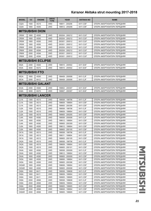| <b>MODEL</b>              | cc                       | <b>ENGINE</b>            | <b>DRIVE</b><br><b>TYPE</b> | <b>YEAR</b>     | <b>AKITAKA NO</b> | <b>NAME</b>                 |  |  |  |  |
|---------------------------|--------------------------|--------------------------|-----------------------------|-----------------|-------------------|-----------------------------|--|--|--|--|
| CQ2A                      | 1500                     | 4G15                     | 4WD                         | 199811 - 200208 | 0411-CSF          | ОПОРА АМОРТИЗАТОРА ПЕРЕДНЯЯ |  |  |  |  |
| CQ3A                      | 1800                     | 4G93                     | 2WD                         | 199912 - 200208 | 0411-CSF          | ОПОРА АМОРТИЗАТОРА ПЕРЕДНЯЯ |  |  |  |  |
|                           |                          | <b>MITSUBISHI DION</b>   |                             |                 |                   |                             |  |  |  |  |
| CR5W                      | 1800                     | 4G93                     | 2WD                         | 200204 - 200212 | 0411-CUF          | ОПОРА АМОРТИЗАТОРА ПЕРЕДНЯЯ |  |  |  |  |
| CR5W                      | 1800                     | 4G93                     | 4WD                         | 200204 - 200212 | 0411-CUF          | ОПОРА АМОРТИЗАТОРА ПЕРЕДНЯЯ |  |  |  |  |
| CR5W                      | 1800                     | 4G93                     | 2WD                         | 200301 - 200512 | 0411-CUF          | ОПОРА АМОРТИЗАТОРА ПЕРЕДНЯЯ |  |  |  |  |
| CR5W                      | 1800                     | 4G93                     | 4WD                         | 200301 - 200512 | 0411-CUF          | ОПОРА АМОРТИЗАТОРА ПЕРЕДНЯЯ |  |  |  |  |
| CR6W                      | 2000                     | 4G94                     | 2WD                         | 200204 - 200212 | 0411-CUF          | ОПОРА АМОРТИЗАТОРА ПЕРЕДНЯЯ |  |  |  |  |
| CR6W                      | 2000                     | 4G94                     | 4WD                         | 200204 - 200212 | 0411-CUF          | ОПОРА АМОРТИЗАТОРА ПЕРЕДНЯЯ |  |  |  |  |
| CR6W                      | 2000                     | 4G94                     | 2WD                         | 200301 - 200512 | 0411-CUF          | ОПОРА АМОРТИЗАТОРА ПЕРЕДНЯЯ |  |  |  |  |
| CR6W                      | 2000                     | 4G94                     | 4WD                         | 200301 - 200512 | 0411-CUF          | ОПОРА АМОРТИЗАТОРА ПЕРЕДНЯЯ |  |  |  |  |
| <b>MITSUBISHI ECLIPSE</b> |                          |                          |                             |                 |                   |                             |  |  |  |  |
| <b>D52A</b>               | 2400                     | 4G64                     | 2WD                         | 199910 - 200502 | 0411-EAF          | ОПОРА АМОРТИЗАТОРА ПЕРЕДНЯЯ |  |  |  |  |
| D53A                      | 3000                     | 6G72                     | 2WD                         | 199910 - 200502 | 0411-EAF          | ОПОРА АМОРТИЗАТОРА ПЕРЕДНЯЯ |  |  |  |  |
|                           |                          | <b>MITSUBISHI FTO</b>    |                             |                 |                   |                             |  |  |  |  |
| DE <sub>2</sub> A         | 1800                     | 4G93                     | 2WD                         | 199409 - 200008 | 0411-CJF          | ОПОРА АМОРТИЗАТОРА ПЕРЕДНЯЯ |  |  |  |  |
| DE3A                      | 2000                     | 6A12                     | 2WD                         | 199409 - 200008 | 0411-CJF          | ОПОРА АМОРТИЗАТОРА ПЕРЕДНЯЯ |  |  |  |  |
|                           |                          | <b>MITSUBISHI GALANT</b> |                             |                 |                   |                             |  |  |  |  |
| EA3A                      | 2400                     | 4G64                     | 2WD                         | 199802 - 200307 | 0411-EAF          | ОПОРА АМОРТИЗАТОРА ПЕРЕДНЯЯ |  |  |  |  |
| EA8A                      | 3000                     | 6G72                     | 2WD                         | 199907 - 200307 | 0411-EAF          | ОПОРА АМОРТИЗАТОРА ПЕРЕДНЯЯ |  |  |  |  |
|                           | <b>MITSUBISHI LANCER</b> |                          |                             |                 |                   |                             |  |  |  |  |
| CJ1A                      | 1300                     | 4G13                     | 2WD                         | 199508 - 199706 | 0411-CJF          | ОПОРА АМОРТИЗАТОРА ПЕРЕДНЯЯ |  |  |  |  |
| CJ1A                      | 1300                     | 4G13                     | 2WD                         | 199609 - 199904 | 0411-CSF          | ОПОРА АМОРТИЗАТОРА ПЕРЕДНЯЯ |  |  |  |  |
| CJ1A                      | 1300                     | 4G13                     | 2WD                         | 199905 - 200306 | 0411-CSF          | ОПОРА АМОРТИЗАТОРА ПЕРЕДНЯЯ |  |  |  |  |
| CJ2A                      | 1500                     | 4G15                     | 2WD                         | 199508 - 199706 | 0411-CJF          | ОПОРА АМОРТИЗАТОРА ПЕРЕДНЯЯ |  |  |  |  |
| CJ2A                      | 1500                     | 4G15                     | 2WD                         | 199609 - 199904 | 0411-CSF          | ОПОРА АМОРТИЗАТОРА ПЕРЕДНЯЯ |  |  |  |  |
| CJ2A                      | 1500                     | 4G15                     | 2WD                         | 199905 - 200205 | 0411-CSF          | ОПОРА АМОРТИЗАТОРА ПЕРЕДНЯЯ |  |  |  |  |
| CJ4A                      | 1600                     | 4G92                     | 2WD                         | 199508 - 200008 | 0411-CJF          | ОПОРА АМОРТИЗАТОРА ПЕРЕДНЯЯ |  |  |  |  |
| CJ4A                      | 1600                     | 4G92                     | 2WD                         | 199612 - 199904 | 0411-CSF          | ОПОРА АМОРТИЗАТОРА ПЕРЕДНЯЯ |  |  |  |  |
| CJ4A                      | 1600                     | 4G92                     | 2WD                         | 199905 - 200309 | 0411-CSF          | ОПОРА АМОРТИЗАТОРА ПЕРЕДНЯЯ |  |  |  |  |
| CJ5A                      | 1800                     | 4G93                     | 2WD                         | 199612 - 199904 | 0411-CSF          | ОПОРА АМОРТИЗАТОРА ПЕРЕДНЯЯ |  |  |  |  |
| CJ5A                      | 1800                     | 4G93                     | 2WD                         | 199905 - 200105 | 0411-CSF          | ОПОРА АМОРТИЗАТОРА ПЕРЕДНЯЯ |  |  |  |  |
| CK1A                      | 1300                     | 4G13                     | 2WD                         | 199508 - 199706 | 0411-CJF          | ОПОРА АМОРТИЗАТОРА ПЕРЕДНЯЯ |  |  |  |  |
| CK1A                      | 1300                     | 4G13                     | 2WD                         | 199511 - 199904 | 0411-CSF          | ОПОРА АМОРТИЗАТОРА ПЕРЕДНЯЯ |  |  |  |  |
| CK1A                      | 1300                     | 4G13                     | 2WD                         | 199905 - 200105 | 0411-CSF          | ОПОРА АМОРТИЗАТОРА ПЕРЕДНЯЯ |  |  |  |  |
| CK <sub>2</sub> A         | 1500                     | 4G15                     | 2WD                         | 199508 - 199706 | 0411-CJF          | ОПОРА АМОРТИЗАТОРА ПЕРЕДНЯЯ |  |  |  |  |
| CK <sub>2</sub> A         | 1500                     | 4G15                     | 2WD                         | 199609 - 199904 | 0411-CSF          | ОПОРА АМОРТИЗАТОРА ПЕРЕДНЯЯ |  |  |  |  |
| CK <sub>2</sub> A         | 1500                     | 4G15                     | 2WD                         | 199905 - 200101 | 0411-CSF          | ОПОРА АМОРТИЗАТОРА ПЕРЕДНЯЯ |  |  |  |  |
| CK4A                      | 1600                     | 4G92                     | 2WD                         | 199508 - 200009 | 0411-CJF          | ОПОРА АМОРТИЗАТОРА ПЕРЕДНЯЯ |  |  |  |  |
| CK4A                      | 1600                     | 4G92                     | 2WD                         | 199612 - 199904 | 0411-CSF          | ОПОРА АМОРТИЗАТОРА ПЕРЕДНЯЯ |  |  |  |  |
| CK4A                      | 1600                     | 4G92                     | 2WD                         | 199905 - 200009 | 0411-CSF          | ОПОРА АМОРТИЗАТОРА ПЕРЕДНЯЯ |  |  |  |  |
| CK5A                      | 1800                     | 4G93                     | 2WD                         | 199806 - 199904 | 0411-CSF          | ОПОРА АМОРТИЗАТОРА ПЕРЕДНЯЯ |  |  |  |  |
| CK5A                      | 1800                     | 4G93                     | 2WD                         | 199905 - 200306 | 0411-CSF          | ОПОРА АМОРТИЗАТОРА ПЕРЕДНЯЯ |  |  |  |  |
| CK5AR                     | 1800                     | 4G93                     | 2WD                         | 199608 - 199904 | 0411-CSF          | ОПОРА АМОРТИЗАТОРА ПЕРЕДНЯЯ |  |  |  |  |
| CK5AR                     | 1800                     | 4G93                     | 2WD                         | 199905 - 200008 | 0411-CSF          | ОПОРА АМОРТИЗАТОРА ПЕРЕДНЯЯ |  |  |  |  |
| CK6A                      | 1800                     | 6A11                     | 2WD                         | 199508 - 199608 | 0411-CJF          | ОПОРА АМОРТИЗАТОРА ПЕРЕДНЯЯ |  |  |  |  |
| CK6A                      | 1800                     | 6A11                     | 2WD                         | 199609 - 199904 | 0411-CSF          | ОПОРА АМОРТИЗАТОРА ПЕРЕДНЯЯ |  |  |  |  |
| CK6A                      | 1800                     | 6A11                     | 2WD                         | 199905 - 199905 | 0411-CSF          | ОПОРА АМОРТИЗАТОРА ПЕРЕДНЯЯ |  |  |  |  |
| CK8A                      | 2000                     | 4D68                     | 2WD                         | 199508 - 199608 | 0411-CJF          | ОПОРА АМОРТИЗАТОРА ПЕРЕДНЯЯ |  |  |  |  |
| CK8A                      | 2000                     | 4D68                     | 2WD                         | 199609 - 199904 | 0411-CSF          | ОПОРА АМОРТИЗАТОРА ПЕРЕДНЯЯ |  |  |  |  |
| CK8A                      | 2000                     | 4D68                     | 2WD                         | 199905 - 199905 | 0411-CSF          | ОПОРА АМОРТИЗАТОРА ПЕРЕДНЯЯ |  |  |  |  |
| CK8AR                     | 2000                     | 4D68                     | 2WD                         | 199608 - 199904 | 0411-CSF          | ОПОРА АМОРТИЗАТОРА ПЕРЕДНЯЯ |  |  |  |  |
| CK8AR                     | 2000                     | 4D68                     | 2WD                         | 199905 - 199905 | 0411-CSF          | ОПОРА АМОРТИЗАТОРА ПЕРЕДНЯЯ |  |  |  |  |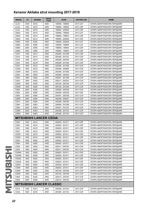| <b>MODEL</b>      | cc   | <b>ENGINE</b>                    | <b>DRIVE</b><br><b>TYPE</b> | <b>YEAR</b>     | <b>AKITAKA NO</b> | <b>NAME</b>                 |
|-------------------|------|----------------------------------|-----------------------------|-----------------|-------------------|-----------------------------|
| CL <sub>2</sub> A | 1500 | 4G15                             | 4WD                         | 199508 - 199608 | 0411-CJF          | ОПОРА АМОРТИЗАТОРА ПЕРЕДНЯЯ |
| CL <sub>2</sub> A | 1500 | 4G15                             | 4WD                         | 199609 - 199904 | 0411-CSF          | ОПОРА АМОРТИЗАТОРА ПЕРЕДНЯЯ |
| CL <sub>2</sub> A | 1500 | 4G15                             | 4WD                         | 199905 - 200008 | 0411-CSF          | ОПОРА АМОРТИЗАТОРА ПЕРЕДНЯЯ |
| CM <sub>2</sub> A | 1500 | 4G15                             | 4WD                         | 199508 - 199608 | 0411-CJF          | ОПОРА АМОРТИЗАТОРА ПЕРЕДНЯЯ |
| CM <sub>2</sub> A | 1500 | 4G15                             | 4WD                         | 199609 - 199904 | 0411-CSF          | ОПОРА АМОРТИЗАТОРА ПЕРЕДНЯЯ |
| CM <sub>2</sub> A | 1500 | 4G15                             | 4WD                         | 199905 - 200008 | 0411-CSF          | ОПОРА АМОРТИЗАТОРА ПЕРЕДНЯЯ |
| CM <sub>5</sub> A | 1800 | 4G93                             | 4WD                         | 199508 - 200008 | 0411-CJF          | ОПОРА АМОРТИЗАТОРА ПЕРЕДНЯЯ |
| CM8A              | 2000 | 4D68                             | 4WD                         | 199508 - 199608 | 0411-CJF          | ОПОРА АМОРТИЗАТОРА ПЕРЕДНЯЯ |
| CM8A              | 2000 | 4D68                             | 4WD                         | 199609 - 199904 | 0411-CSF          | ОПОРА АМОРТИЗАТОРА ПЕРЕДНЯЯ |
| CM8A              | 2000 | 4D68                             | 4WD                         | 199905 - 199905 | 0411-CSF          | ОПОРА АМОРТИЗАТОРА ПЕРЕДНЯЯ |
| CS <sub>1</sub> A | 1300 | 4G13                             | 2WD                         | 200009 - 201308 | 0411-CSF          | ОПОРА АМОРТИЗАТОРА ПЕРЕДНЯЯ |
| CS <sub>1</sub> A | 1300 | 4G13                             | 2WD                         | 200306 - 201103 | 0411-CUF          | ОПОРА АМОРТИЗАТОРА ПЕРЕДНЯЯ |
| CS <sub>2</sub> A | 1500 | 4G15                             | 4WD                         | 200009 - 200706 | 0411-CSF          | ОПОРА АМОРТИЗАТОРА ПЕРЕДНЯЯ |
| CS3A              | 1600 | 4G18                             | 2WD                         | 200009 - 201308 | 0411-CSF          | ОПОРА АМОРТИЗАТОРА ПЕРЕДНЯЯ |
| CS3A              | 1600 | 4G18                             | 2WD                         | 200306 - 201308 | 0411-CUF          | ОПОРА АМОРТИЗАТОРА ПЕРЕДНЯЯ |
| CS3W              | 1600 | 4G18                             | 4WD                         | 200306 - 200806 | 0411-CUF          | ОПОРА АМОРТИЗАТОРА ПЕРЕДНЯЯ |
| CS3W              | 1600 | 4G18                             | 2WD                         | 200306 - 201308 | 0411-CUF          | ОПОРА АМОРТИЗАТОРА ПЕРЕДНЯЯ |
| CS5A              | 1800 | 4G93                             | 2WD                         | 200009 - 200302 | 0411-CSF          | ОПОРА АМОРТИЗАТОРА ПЕРЕДНЯЯ |
| CS5A              | 1800 | 4G93                             | 2WD                         | 200301 - 201308 | 0411-CUF          | ОПОРА АМОРТИЗАТОРА ПЕРЕДНЯЯ |
| CS5A              | 1800 | 4G93                             | 4WD                         | 200311 - 200705 | 0411-CUF          | ОПОРА АМОРТИЗАТОРА ПЕРЕДНЯЯ |
| CS5W              | 1800 | 4G93                             | 2WD                         | 200105 - 200706 | 0411-CUF          | ОПОРА АМОРТИЗАТОРА ПЕРЕДНЯЯ |
| CS5W              | 1800 | 4G93                             | 4WD                         | 200105 - 201308 | 0411-CUF          | ОПОРА АМОРТИЗАТОРА ПЕРЕДНЯЯ |
| CS6A              | 2000 | 4G94                             | 2WD                         | 200009 - 200706 | 0411-CUF          | ОПОРА АМОРТИЗАТОРА ПЕРЕДНЯЯ |
| CS6A              | 2000 | 4G94                             | 2WD                         | 200009 - 200708 | 0411-CSF          | ОПОРА АМОРТИЗАТОРА ПЕРЕДНЯЯ |
| CS6A              | 2000 | 4G94                             | 2WD                         | 200301 - 200708 | 0411-CUF          | ОПОРА АМОРТИЗАТОРА ПЕРЕДНЯЯ |
| CS6W              | 2000 | 4G94                             | 2WD                         | 200409 - 200507 | 0411-CUF          | ОПОРА АМОРТИЗАТОРА ПЕРЕДНЯЯ |
| CS7A              | 2400 | 4G69                             | 2WD                         | 200308 - 200706 | 0411-CUF          | ОПОРА АМОРТИЗАТОРА ПЕРЕДНЯЯ |
| CS9A              | 2000 | 4G63                             | 2WD                         | 200009 - 201308 | 0411-CUF          | ОПОРА АМОРТИЗАТОРА ПЕРЕДНЯЯ |
| CS9A              | 2000 | 4G63                             | 4WD                         | 200401 - 201103 | 0411-CUF          | ОПОРА АМОРТИЗАТОРА ПЕРЕДНЯЯ |
| CS9W              | 2000 | 4G63                             | 2WD                         | 200306 - 201103 | 0411-CUF          | ОПОРА АМОРТИЗАТОРА ПЕРЕДНЯЯ |
| CS9W              | 2000 | 4G63                             | 4WD                         | 200306 - 201103 | 0411-CUF          | ОПОРА АМОРТИЗАТОРА ПЕРЕДНЯЯ |
|                   |      | <b>MITSUBISHI LANCER CEDIA</b>   |                             |                 |                   |                             |
| CS <sub>2</sub> A | 1500 | 4G15                             | 2WD                         | 200003 - 201011 | 0411-CSF          | ОПОРА АМОРТИЗАТОРА ПЕРЕДНЯЯ |
| CS <sub>2</sub> A | 1500 | 4G15                             | 4WD                         | 200003 - 201011 | 0411-CSF          | ОПОРА АМОРТИЗАТОРА ПЕРЕДНЯЯ |
| CS <sub>2</sub> V | 1500 | 4G15                             | 2WD                         | 200003 - 201011 | 0411-CSF          | ОПОРА АМОРТИЗАТОРА ПЕРЕДНЯЯ |
| CS <sub>2</sub> V | 1500 | 4G15                             | 4WD                         | 200003 - 201011 | 0411-CSF          | ОПОРА АМОРТИЗАТОРА ПЕРЕДНЯЯ |
| CS <sub>2</sub> W | 1500 | 4G15                             | 2WD                         | 200003 - 201011 | 0411-CSF          | ОПОРА АМОРТИЗАТОРА ПЕРЕДНЯЯ |
| CS <sub>2</sub> W | 1500 | 4G15                             | 4WD                         | 200003 - 201011 | 0411-CSF          | ОПОРА АМОРТИЗАТОРА ПЕРЕДНЯЯ |
| CS5A              | 1800 | 4G93                             | 2WD                         | 200003 - 201011 | 0411-CSF          | ОПОРА АМОРТИЗАТОРА ПЕРЕДНЯЯ |
| CS5A              | 1800 | 4G93                             | 4WD                         | 200003 - 201011 | 0411-CSF          | ОПОРА АМОРТИЗАТОРА ПЕРЕДНЯЯ |
| CS5A              | 1800 | 4G93                             | 2WD                         | 200311 - 200705 | 0411-CUF          | ОПОРА АМОРТИЗАТОРА ПЕРЕДНЯЯ |
| CS5A              | 1800 | 4G93                             | 4WD                         | 200311 - 200705 | 0411-CUF          | ОПОРА АМОРТИЗАТОРА ПЕРЕДНЯЯ |
| CS5AR             | 1800 | 4G93                             | 2WD                         | 200003 - 201011 | 0411-CSF          | ОПОРА АМОРТИЗАТОРА ПЕРЕДНЯЯ |
| CS5AR             | 1800 | 4G93                             | 4WD                         | 200003 - 201011 | 0411-CSF          | ОПОРА АМОРТИЗАТОРА ПЕРЕДНЯЯ |
| CS5AZ             | 1800 | 4G93                             | 2WD                         | 200003 - 201011 | 0411-CSF          | ОПОРА АМОРТИЗАТОРА ПЕРЕДНЯЯ |
| CS5AZ             |      | 4G93                             |                             |                 | 0411-CSF          |                             |
|                   | 1800 |                                  | 4WD                         | 200003 - 201011 |                   | ОПОРА АМОРТИЗАТОРА ПЕРЕДНЯЯ |
| CS5W              | 1800 | 4G93                             | 2WD                         | 200003 - 201011 | 0411-CSF          | ОПОРА АМОРТИЗАТОРА ПЕРЕДНЯЯ |
| CS5W              | 1800 | 4G93                             | 4WD                         | 200003 - 201011 | 0411-CSF          | ОПОРА АМОРТИЗАТОРА ПЕРЕДНЯЯ |
| CS5W              | 1800 | 4G93                             | 2WD                         | 200105 - 200706 | 0411-CUF          | ОПОРА АМОРТИЗАТОРА ПЕРЕДНЯЯ |
| CS5W              | 1800 | 4G93                             | 4WD                         | 200105 - 200706 | 0411-CUF          | ОПОРА АМОРТИЗАТОРА ПЕРЕДНЯЯ |
| CS6A              | 2000 | 4G94                             | 2WD                         | 200412 - 200705 | 0411-CUF          | ОПОРА АМОРТИЗАТОРА ПЕРЕДНЯЯ |
| CS6A              | 2000 | 4G94                             | 4WD                         | 200412 - 200705 | 0411-CUF          | ОПОРА АМОРТИЗАТОРА ПЕРЕДНЯЯ |
|                   |      | <b>MITSUBISHI LANCER CLASSIC</b> |                             |                 |                   |                             |
| CS <sub>1</sub> A | 1300 | 4G13                             | 2WD                         | 200306 - 201103 | 0411-CUF          | ОПОРА АМОРТИЗАТОРА ПЕРЕДНЯЯ |
| CS3A              | 1600 | 4G18                             | 2WD                         | 200306 - 201103 | 0411-CUF          | ОПОРА АМОРТИЗАТОРА ПЕРЕДНЯЯ |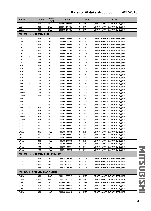| <b>MODEL</b>                           | cc           | <b>ENGINE</b>                  | <b>DRIVE</b><br><b>TYPE</b> | <b>YEAR</b>                        | <b>AKITAKA NO</b>    | <b>NAME</b>                 |
|----------------------------------------|--------------|--------------------------------|-----------------------------|------------------------------------|----------------------|-----------------------------|
| CS3W                                   | 1600         | 4G18                           | 2WD                         | 200306 - 200806                    | 0411-CUF             | ОПОРА АМОРТИЗАТОРА ПЕРЕДНЯЯ |
| CS9A                                   | 2000         | 4G63                           | 2WD                         | 200401 - 201103                    | 0411-CUF             | ОПОРА АМОРТИЗАТОРА ПЕРЕДНЯЯ |
| CS9W                                   | 2000         | 4G63                           | 2WD                         | 200306 - 201103                    | 0411-CUF             | ОПОРА АМОРТИЗАТОРА ПЕРЕДНЯЯ |
|                                        |              | <b>MITSUBISHI MIRAGE</b>       |                             |                                    |                      |                             |
| CJ1A                                   | 1300         | 4G13                           | 2WD                         | 199508 - 199608                    | 0411-CJF             | ОПОРА АМОРТИЗАТОРА ПЕРЕДНЯЯ |
| CJ1A                                   | 1300         | 4G13                           | 2WD                         | 199609 - 199904                    | 0411-CSF             | ОПОРА АМОРТИЗАТОРА ПЕРЕДНЯЯ |
| CJ1A                                   | 1300         | 4G13                           | 2WD                         | 199905 - 200008                    | 0411-CSF             | ОПОРА АМОРТИЗАТОРА ПЕРЕДНЯЯ |
| CJ2A                                   | 1500         | 4G15                           | 2WD                         | 199508 - 199608                    | 0411-CJF             | ОПОРА АМОРТИЗАТОРА ПЕРЕДНЯЯ |
| CJ2A                                   | 1500         | 4G15                           | 2WD                         | 199605 - 199904                    | 0411-CSF             | ОПОРА АМОРТИЗАТОРА ПЕРЕДНЯЯ |
| CJ2A                                   | 1500         | 4G15                           | 2WD                         | 199905 - 200205                    | 0411-CSF             | ОПОРА АМОРТИЗАТОРА ПЕРЕДНЯЯ |
| CJ4A                                   | 1600         | 4G92                           | 2WD                         | 199508 - 200008                    | 0411-CJF             | ОПОРА АМОРТИЗАТОРА ПЕРЕДНЯЯ |
| CJ5A                                   | 1800         | 4G93                           | 2WD                         | 199706 - 199904                    | 0411-CSF             | ОПОРА АМОРТИЗАТОРА ПЕРЕДНЯЯ |
| CJ5A                                   | 1800         | 4G93                           | 2WD                         | 199905 - 200205                    | 0411-CSF             | ОПОРА АМОРТИЗАТОРА ПЕРЕДНЯЯ |
| CK <sub>1</sub> A                      | 1300         | 4G13                           | 2WD                         | 199508 - 199608                    | 0411-CJF             | ОПОРА АМОРТИЗАТОРА ПЕРЕДНЯЯ |
| CK <sub>1</sub> A                      | 1300         | 4G13                           | 2WD                         | 199609 - 199904                    | 0411-CSF             | ОПОРА АМОРТИЗАТОРА ПЕРЕДНЯЯ |
| CK <sub>1</sub> A                      | 1300         | 4G13                           | 2WD                         | 199905 - 200008                    | 0411-CSF             | ОПОРА АМОРТИЗАТОРА ПЕРЕДНЯЯ |
| CK <sub>2</sub> A                      | 1500         | 4G15                           | 2WD                         | 199508 - 199608                    | 0411-CJF             | ОПОРА АМОРТИЗАТОРА ПЕРЕДНЯЯ |
| CK <sub>2</sub> A                      | 1500         | 4G15                           | 2WD                         | 199609 - 199904                    | 0411-CSF             | ОПОРА АМОРТИЗАТОРА ПЕРЕДНЯЯ |
| CK <sub>2</sub> A                      | 1500         | 4G15                           | 2WD                         | 199905 - 200105                    | 0411-CSF             | ОПОРА АМОРТИЗАТОРА ПЕРЕДНЯЯ |
| CK4A                                   | 1600         | 4G92                           | 2WD                         | 199508 - 200008                    | 0411-CJF             | ОПОРА АМОРТИЗАТОРА ПЕРЕДНЯЯ |
| CK5A                                   | 1800         | 4G93                           | 2WD                         | 199706 - 199904                    | 0411-CSF             | ОПОРА АМОРТИЗАТОРА ПЕРЕДНЯЯ |
| CK5A                                   | 1800         | 4G93                           | 2WD                         | 199905 - 200105                    | 0411-CSF             | ОПОРА АМОРТИЗАТОРА ПЕРЕДНЯЯ |
| CK5AR                                  | 1800         | 4G93                           | 2WD                         | 199608 - 199904                    | 0411-CSF             | ОПОРА АМОРТИЗАТОРА ПЕРЕДНЯЯ |
| CK5AR                                  | 1800         | 4G93                           | 2WD                         | 199905 - 200008                    | 0411-CSF             | ОПОРА АМОРТИЗАТОРА ПЕРЕДНЯЯ |
| CK6A                                   | 1800         | 6A11                           | 2WD                         | 199508 - 199608                    | 0411-CJF             | ОПОРА АМОРТИЗАТОРА ПЕРЕДНЯЯ |
| CK6A                                   | 1800         | 6A11                           | 2WD                         | 199609 - 199904                    | 0411-CSF             | ОПОРА АМОРТИЗАТОРА ПЕРЕДНЯЯ |
| CK6A                                   | 1800         | 6A11                           | 2WD                         | 199905 - 199905                    | 0411-CSF             | ОПОРА АМОРТИЗАТОРА ПЕРЕДНЯЯ |
| CK8A                                   | 2000         | 4D68                           | 2WD                         | 199508 - 199608                    | 0411-CJF             | ОПОРА АМОРТИЗАТОРА ПЕРЕДНЯЯ |
| CK8A                                   | 2000         | 4D68                           | 2WD                         | 199609 - 199904                    | 0411-CSF             | ОПОРА АМОРТИЗАТОРА ПЕРЕДНЯЯ |
| CK8A                                   | 2000         | 4D68                           | 2WD                         | 199905 - 199905                    | 0411-CSF             | ОПОРА АМОРТИЗАТОРА ПЕРЕДНЯЯ |
| CK8AR                                  | 2000         | 4D68                           | 2WD                         | 199608 - 199904                    | 0411-CSF             | ОПОРА АМОРТИЗАТОРА ПЕРЕДНЯЯ |
| CK8AR                                  | 2000         | 4D68                           | 2WD                         | 199905 - 199905                    | 0411-CSF             | ОПОРА АМОРТИЗАТОРА ПЕРЕДНЯЯ |
| CL <sub>2</sub> A                      | 1500         | 4G15                           | 4WD                         | 199508 - 199608                    | 0411-CJF             | ОПОРА АМОРТИЗАТОРА ПЕРЕДНЯЯ |
| CL <sub>2</sub> A                      | 1500         | 4G15                           | 4WD                         | 199609 - 199904                    | 0411-CSF             | ОПОРА АМОРТИЗАТОРА ПЕРЕДНЯЯ |
| CL <sub>2</sub> A                      | 1500         | 4G15                           | 4WD                         | 199905 - 200008                    | 0411-CSF             | ОПОРА АМОРТИЗАТОРА ПЕРЕДНЯЯ |
|                                        |              |                                |                             |                                    | 0411-CJF             | ОПОРА АМОРТИЗАТОРА ПЕРЕДНЯЯ |
| CM <sub>2</sub> A<br>CM <sub>2</sub> A | 1500<br>1500 | 4G15<br>4G15                   | 4WD<br>4WD                  | 199508 - 199608<br>199609 - 199904 | 0411-CSF             |                             |
|                                        |              |                                |                             | 199905 - 200008                    | 0411-CSF             | ОПОРА АМОРТИЗАТОРА ПЕРЕДНЯЯ |
| CM <sub>2</sub> A<br>CM5A              | 1500<br>1800 | 4G15<br>4G93                   | 4WD<br>4WD                  | 199508 - 200008                    | 0411-CJF             | ОПОРА АМОРТИЗАТОРА ПЕРЕДНЯЯ |
|                                        |              |                                |                             |                                    | 0411-CJF             | ОПОРА АМОРТИЗАТОРА ПЕРЕДНЯЯ |
| CM8A                                   | 2000         | 4D68                           | 4WD                         | 199508 - 199608<br>199609 - 199904 |                      | ОПОРА АМОРТИЗАТОРА ПЕРЕДНЯЯ |
| CM8A                                   | 2000         | 4D68                           | 4WD                         |                                    | 0411-CSF<br>0411-CSF | ОПОРА АМОРТИЗАТОРА ПЕРЕДНЯЯ |
| CM8A                                   | 2000         | 4D68                           | 4WD                         | 199905 - 199905                    |                      | ОПОРА АМОРТИЗАТОРА ПЕРЕДНЯЯ |
|                                        |              | <b>MITSUBISHI MIRAGE DINGO</b> |                             |                                    |                      |                             |
| CQ1A                                   | 1300         | 4G13                           | 2WD                         | 199912 - 200208                    | 0411-CSF             | ОПОРА АМОРТИЗАТОРА ПЕРЕДНЯЯ |
| CQ <sub>2</sub> A                      | 1500         | 4G15                           | 2WD                         | 199811 - 200208                    | 0411-CSF             | ОПОРА АМОРТИЗАТОРА ПЕРЕДНЯЯ |
| CQ2A                                   | 1500         | 4G15                           | 4WD                         | 199811 - 200208                    | 0411-CSF             | ОПОРА АМОРТИЗАТОРА ПЕРЕДНЯЯ |
| CQ3A                                   | 1800         | 4G93                           | 2WD                         | 199912 - 200208                    | 0411-CSF             | ОПОРА АМОРТИЗАТОРА ПЕРЕДНЯЯ |
|                                        |              | <b>MITSUBISHI OUTLANDER</b>    |                             |                                    |                      |                             |
| CU <sub>2</sub> W                      | 2000         | 4G63                           | 2WD                         | 200111 - 200812                    | 0411-CUF             | ОПОРА АМОРТИЗАТОРА ПЕРЕДНЯЯ |
| CU <sub>2</sub> W                      | 2000         | 4G63                           | 4WD                         | 200111 - 200812                    | 0411-CUF             | ОПОРА АМОРТИЗАТОРА ПЕРЕДНЯЯ |
| CU4W                                   | 2400         | 4G64                           | 2WD                         | 200206 - 200812                    | 0411-CUF             | ОПОРА АМОРТИЗАТОРА ПЕРЕДНЯЯ |
| CU4W                                   | 2400         | 4G64                           | 4WD                         | 200206 - 200812                    | 0411-CUF             | ОПОРА АМОРТИЗАТОРА ПЕРЕДНЯЯ |
| CU5W                                   | 2400         | 4G69                           | 2WD                         | 200306 - 200812                    | 0411-CUF             | ОПОРА АМОРТИЗАТОРА ПЕРЕДНЯЯ |
| CU5W                                   | 2400         | 4G69                           | 4WD                         | 200306 - 200812                    | 0411-CUF             | ОПОРА АМОРТИЗАТОРА ПЕРЕДНЯЯ |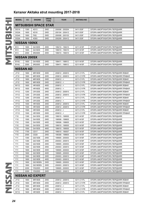| <b>MODEL</b>        | cc   | <b>ENGINE</b>                   | <b>DRIVE</b><br><b>TYPE</b> | <b>YEAR</b>     | <b>AKITAKA NO</b> | <b>NAME</b>                        |  |  |  |
|---------------------|------|---------------------------------|-----------------------------|-----------------|-------------------|------------------------------------|--|--|--|
|                     |      | <b>MITSUBISHI SPACE STAR</b>    |                             |                 |                   |                                    |  |  |  |
| DG1A                | 1300 | 4G13                            | 2WD                         | 200006 - 200204 | 0411-DGF          | ОПОРА АМОРТИЗАТОРА ПЕРЕДНЯЯ        |  |  |  |
| DG3A                | 1600 | 4G18                            | 2WD                         | 200104 - 200412 | 0411-DGF          | ОПОРА АМОРТИЗАТОРА ПЕРЕДНЯЯ        |  |  |  |
| DG4A                | 1900 | F9Q                             | 2WD                         | 200006 - 200103 | 0411-DGF          | ОПОРА АМОРТИЗАТОРА ПЕРЕДНЯЯ        |  |  |  |
| DG5A                | 1800 | 4G93                            | 2WD                         | 200209 - 200412 | 0411-DGF          | ОПОРА АМОРТИЗАТОРА ПЕРЕДНЯЯ        |  |  |  |
| <b>NISSAN 100NX</b> |      |                                 |                             |                 |                   |                                    |  |  |  |
| <b>B13</b>          | 1600 | GA16DE                          | 2WD                         | 199210 - 199410 | 0211-N15F         | ОПОРА АМОРТИЗАТОРА ПЕРЕДНЯЯ        |  |  |  |
| <b>B13</b>          | 1600 | GA16DS                          | 2WD                         | 199010 - 199210 | 0211-N15F         | ОПОРА АМОРТИЗАТОРА ПЕРЕДНЯЯ        |  |  |  |
| <b>B13</b>          | 2000 | SR <sub>20</sub> DE             | 2WD                         | 199010 - 199410 | 0211-N15F         | ОПОРА АМОРТИЗАТОРА ПЕРЕДНЯЯ        |  |  |  |
| <b>NISSAN 200SX</b> |      |                                 |                             |                 |                   |                                    |  |  |  |
| <b>B14U</b>         | 1600 | GA16DE                          | 2WD                         | 199411 - 199912 | 0211-N15F         | ОПОРА АМОРТИЗАТОРА ПЕРЕДНЯЯ        |  |  |  |
| <b>B14U</b>         | 2000 | SR <sub>20</sub> DE             | 2WD                         | 199411 - 199912 | 0211-N15F         | ОПОРА АМОРТИЗАТОРА ПЕРЕДНЯЯ        |  |  |  |
| <b>NISSAN AD</b>    |      |                                 |                             |                 |                   |                                    |  |  |  |
| JY12                | 1800 | MR18DE                          | 2WD                         | 200612 - 200810 | 0211-C11FL        | ОПОРА АМОРТИЗАТОРА ПЕРЕДНЯЯ ЛЕВАЯ  |  |  |  |
| JY12                | 1800 | MR18DE                          | 2WD                         | 200612 - 200810 | 0211-C11FR        | ОПОРА АМОРТИЗАТОРА ПЕРЕДНЯЯ ПРАВАЯ |  |  |  |
| <b>JY12</b>         | 1800 | MR18DE                          | 2WD                         | $200812 - 5$    | 0211-C11FL        | ОПОРА АМОРТИЗАТОРА ПЕРЕДНЯЯ ЛЕВАЯ  |  |  |  |
| JY12                | 1800 | MR18DE                          | 2WD                         | $200812 - 5$    | 0211-C11FR        | ОПОРА АМОРТИЗАТОРА ПЕРЕДНЯЯ ПРАВАЯ |  |  |  |
| <b>NY12</b>         | 1600 | HR16DE                          | 4WD                         | $200812 - 5$    | 0211-C11FL        | ОПОРА АМОРТИЗАТОРА ПЕРЕДНЯЯ ЛЕВАЯ  |  |  |  |
| <b>NY12</b>         | 1600 | HR16DE                          | 4WD                         | $200812 - 5$    | 0211-C11FR        | ОПОРА АМОРТИЗАТОРА ПЕРЕДНЯЯ ПРАВАЯ |  |  |  |
| <b>VY12</b>         | 1200 | CR12DE                          | 2WD                         | 200612 - 200810 | 0211-C11FL        | ОПОРА АМОРТИЗАТОРА ПЕРЕДНЯЯ ЛЕВАЯ  |  |  |  |
| <b>VY12</b>         | 1200 | CR12DE                          | 2WD                         | 200612 - 200810 | 0211-C11FR        | ОПОРА АМОРТИЗАТОРА ПЕРЕДНЯЯ ПРАВАЯ |  |  |  |
| <b>VY12</b>         | 1200 | CR12DE                          | 2WD                         | $200812 - 5$    | 0211-C11FL        | ОПОРА АМОРТИЗАТОРА ПЕРЕДНЯЯ ЛЕВАЯ  |  |  |  |
| <b>VY12</b>         | 1200 | CR12DE                          | 2WD                         | $200812 - 5$    | 0211-C11FR        | ОПОРА АМОРТИЗАТОРА ПЕРЕДНЯЯ ПРАВАЯ |  |  |  |
| <b>VY12</b>         | 1500 | HR15DE                          | 2WD                         | 200612 - 200810 | 0211-C11FL        | ОПОРА АМОРТИЗАТОРА ПЕРЕДНЯЯ ЛЕВАЯ  |  |  |  |
| <b>VY12</b>         | 1500 | HR15DE                          | 2WD                         | 200612 - 200810 | 0211-C11FR        | ОПОРА АМОРТИЗАТОРА ПЕРЕДНЯЯ ПРАВАЯ |  |  |  |
| <b>VY12</b>         | 1500 | HR15DE                          | 2WD                         | $200812 - 5$    | 0211-C11FL        | ОПОРА АМОРТИЗАТОРА ПЕРЕДНЯЯ ЛЕВАЯ  |  |  |  |
| <b>VY12</b>         | 1500 | HR15DE                          | 2WD                         | $200812 - 5$    | 0211-C11FR        | ОПОРА АМОРТИЗАТОРА ПЕРЕДНЯЯ ПРАВАЯ |  |  |  |
| Y10                 | 1300 | GA13DS                          | 2WD                         | 199010 - 199505 | 0211-N15F         | ОПОРА АМОРТИЗАТОРА ПЕРЕДНЯЯ        |  |  |  |
| Y10                 | 1500 | GA15DE                          | 2WD                         | 199506 - 199605 | 0211-N15F         | ОПОРА АМОРТИЗАТОРА ПЕРЕДНЯЯ        |  |  |  |
| Y10                 | 1500 | GA15DE                          | 4WD                         | 199506 - 199605 | 0211-N15F         | ОПОРА АМОРТИЗАТОРА ПЕРЕДНЯЯ        |  |  |  |
| Y10                 | 1500 | GA15DS                          | 2WD                         | 199010 - 199505 | 0211-N15F         | ОПОРА АМОРТИЗАТОРА ПЕРЕДНЯЯ        |  |  |  |
| Y10                 | 1500 | GA <sub>15</sub> D <sub>S</sub> | 4WD                         | 199010 - 199505 | 0211-N15F         | ОПОРА АМОРТИЗАТОРА ПЕРЕДНЯЯ        |  |  |  |
| Y10                 | 1700 | CD <sub>17</sub>                | 2WD                         | 199010 - 199307 | 0211-N15F         | ОПОРА АМОРТИЗАТОРА ПЕРЕДНЯЯ        |  |  |  |
| Y10                 | 2000 | CD <sub>20</sub>                | 2WD                         | 199308 - 199605 | 0211-N15F         | ОПОРА АМОРТИЗАТОРА ПЕРЕДНЯЯ        |  |  |  |
| Y11                 | 1300 | QG13DE                          | 2WD                         | 199905 - 200003 | 0211-N16F         | ОПОРА АМОРТИЗАТОРА ПЕРЕДНЯЯ        |  |  |  |
| Y11                 | 1300 | QG13DE                          | 2WD                         | 200003 - 200810 | 0211-N16F         | ОПОРА АМОРТИЗАТОРА ПЕРЕДНЯЯ        |  |  |  |
| Y11                 | 1500 | QG15DE                          | 2WD                         | 199905 - 200003 | 0211-N16F         | ОПОРА АМОРТИЗАТОРА ПЕРЕДНЯЯ        |  |  |  |
| Y11                 | 1500 | QG15DE                          | 2WD                         | 200003 - 200810 | 0211-N16F         | ОПОРА АМОРТИЗАТОРА ПЕРЕДНЯЯ        |  |  |  |
| Y11                 | 1800 | QG18DE                          | 2WD                         | 199905 - 200003 | 0211-N16F         | ОПОРА АМОРТИЗАТОРА ПЕРЕДНЯЯ        |  |  |  |
| Y11                 | 1800 | QG18DE                          | 4WD                         | 199905 - 200003 | 0211-N16F         | ОПОРА АМОРТИЗАТОРА ПЕРЕДНЯЯ        |  |  |  |
| Y11                 | 1800 | QG18DE                          | 2WD                         | 200003 - 200810 | 0211-N16F         | ОПОРА АМОРТИЗАТОРА ПЕРЕДНЯЯ        |  |  |  |
| Y11                 | 1800 | QG18DE                          | 4WD                         | 200003 - 200810 | 0211-N16F         | ОПОРА АМОРТИЗАТОРА ПЕРЕДНЯЯ        |  |  |  |
| Y11                 | 1800 | QG18DEN                         | 2WD                         | 199905 - 200003 | 0211-N16F         | ОПОРА АМОРТИЗАТОРА ПЕРЕДНЯЯ        |  |  |  |
| Y11                 | 1800 | QG18DEN                         | 2WD                         | 200003 - 200810 | 0211-N16F         | ОПОРА АМОРТИЗАТОРА ПЕРЕДНЯЯ        |  |  |  |
| Y11                 | 2200 | YD22DD                          | 2WD                         | 199905 - 200003 | 0211-N16F         | ОПОРА АМОРТИЗАТОРА ПЕРЕДНЯЯ        |  |  |  |
| Y11                 | 2200 | YD22DD                          | 2WD                         | 200003 - 200810 | 0211-N16F         | ОПОРА АМОРТИЗАТОРА ПЕРЕДНЯЯ        |  |  |  |
|                     |      | <b>NISSAN AD EXPERT</b>         |                             |                 |                   |                                    |  |  |  |
| JY12                | 1800 | MR18DE                          | 2WD                         | 200612 - 200810 | 0211-C11FL        | ОПОРА АМОРТИЗАТОРА ПЕРЕДНЯЯ ЛЕВАЯ  |  |  |  |
| <b>JY12</b>         | 1800 | MR18DE                          | 2WD                         | 200612 - 200810 | 0211-C11FR        | ОПОРА АМОРТИЗАТОРА ПЕРЕДНЯЯ ПРАВАЯ |  |  |  |
| JY12                | 1800 | MR18DE                          | 2WD                         | $200812 - 5$    | 0211-C11FL        | ОПОРА АМОРТИЗАТОРА ПЕРЕДНЯЯ ЛЕВАЯ  |  |  |  |
| JY12                | 1800 | MR18DE                          | 2WD                         | $200812 - 5$    | 0211-C11FR        | ОПОРА АМОРТИЗАТОРА ПЕРЕДНЯЯ ПРАВАЯ |  |  |  |
| <b>NY12</b>         | 1600 | HR16DE                          | 4WD                         | $200812 - 5$    | 0211-C11FL        | ОПОРА АМОРТИЗАТОРА ПЕРЕДНЯЯ ЛЕВАЯ  |  |  |  |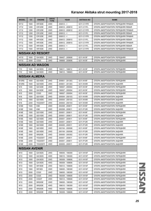| <b>MODEL</b>            | cc   | <b>ENGINE</b>       | <b>DRIVE</b><br><b>TYPE</b> | <b>YEAR</b>     | <b>AKITAKA NO</b> | <b>NAME</b>                        |  |  |  |  |
|-------------------------|------|---------------------|-----------------------------|-----------------|-------------------|------------------------------------|--|--|--|--|
| <b>NY12</b>             | 1600 | HR16DE              | 4WD                         | $200812 - 5$    | 0211-C11FR        | ОПОРА АМОРТИЗАТОРА ПЕРЕДНЯЯ ПРАВАЯ |  |  |  |  |
| <b>VY12</b>             | 1200 | CR12DE              | 2WD                         | 200612 - 200810 | 0211-C11FL        | ОПОРА АМОРТИЗАТОРА ПЕРЕДНЯЯ ЛЕВАЯ  |  |  |  |  |
| <b>VY12</b>             | 1200 | CR12DE              | 2WD                         | 200612 - 200810 | 0211-C11FR        | ОПОРА АМОРТИЗАТОРА ПЕРЕДНЯЯ ПРАВАЯ |  |  |  |  |
| <b>VY12</b>             | 1200 | CR12DE              | 2WD                         | $200812 - 5$    | 0211-C11FL        | ОПОРА АМОРТИЗАТОРА ПЕРЕДНЯЯ ЛЕВАЯ  |  |  |  |  |
| <b>VY12</b>             | 1200 | CR12DE              | 2WD                         | $200812 - 5$    | 0211-C11FR        | ОПОРА АМОРТИЗАТОРА ПЕРЕДНЯЯ ПРАВАЯ |  |  |  |  |
| <b>VY12</b>             | 1500 | HR15DE              | 2WD                         | 200612 - 200810 | 0211-C11FL        | ОПОРА АМОРТИЗАТОРА ПЕРЕДНЯЯ ЛЕВАЯ  |  |  |  |  |
| <b>VY12</b>             | 1500 | HR15DE              | 2WD                         | 200612 - 200810 | 0211-C11FR        | ОПОРА АМОРТИЗАТОРА ПЕРЕДНЯЯ ПРАВАЯ |  |  |  |  |
| <b>VY12</b>             | 1500 | HR15DE              | 2WD                         | $200812 - 5$    | 0211-C11FL        | ОПОРА АМОРТИЗАТОРА ПЕРЕДНЯЯ ЛЕВАЯ  |  |  |  |  |
| <b>VY12</b>             | 1500 | HR15DE              | 2WD                         | $200812 - 5$    | 0211-C11FR        | ОПОРА АМОРТИЗАТОРА ПЕРЕДНЯЯ ПРАВАЯ |  |  |  |  |
| <b>NISSAN AD RESORT</b> |      |                     |                             |                 |                   |                                    |  |  |  |  |
| HY10                    | 1600 | GA16DS              | 2WD                         | 199407 - 200608 | 0211-N15F         | ОПОРА АМОРТИЗАТОРА ПЕРЕДНЯЯ        |  |  |  |  |
| HY10                    | 2000 | CD <sub>20</sub>    | 2WD                         | 199908 - 200608 | 0211-N15F         | ОПОРА АМОРТИЗАТОРА ПЕРЕДНЯЯ        |  |  |  |  |
| <b>NISSAN AD WAGON</b>  |      |                     |                             |                 |                   |                                    |  |  |  |  |
| Y10                     | 1600 | GA16DS              | 2WD                         | 199011 - 199012 | 0211-N15F         | ОПОРА АМОРТИЗАТОРА ПЕРЕДНЯЯ        |  |  |  |  |
| Y10                     | 1600 | GA16DS              | 2WD                         | 199012 - 199903 | 0211-N15F         | ОПОРА АМОРТИЗАТОРА ПЕРЕДНЯЯ        |  |  |  |  |
| <b>NISSAN ALMERA</b>    |      |                     |                             |                 |                   |                                    |  |  |  |  |
| B <sub>10RS</sub>       | 1600 | QG16DE              | 2WD                         | 200601 - 201303 | 0211-N16F         | ОПОРА АМОРТИЗАТОРА ПЕРЕДНЯЯ        |  |  |  |  |
| B <sub>10RS</sub>       | 1600 | QG16DE              | 2WD                         | 200601 - 201303 | 0211-N16R         | ОПОРА АМОРТИЗАТОРА ЗАДНЯЯ          |  |  |  |  |
| N <sub>15</sub>         | 1400 | GA14DE              | 2WD                         | 199507 - 200004 | 0211-N15F         | ОПОРА АМОРТИЗАТОРА ПЕРЕДНЯЯ        |  |  |  |  |
| N <sub>15</sub>         | 1600 | GA16DE              | 2WD                         | 199507 - 200004 | 0211-N15F         | ОПОРА АМОРТИЗАТОРА ПЕРЕДНЯЯ        |  |  |  |  |
| N <sub>15</sub>         | 2000 | CD <sub>20</sub>    | 2WD                         | 199507 - 200004 | 0211-N15F         | ОПОРА АМОРТИЗАТОРА ПЕРЕДНЯЯ        |  |  |  |  |
| N <sub>16</sub>         | 1500 | QG15DE              | 2WD                         | 200004 - 200103 | 0211-N16R         | ОПОРА АМОРТИЗАТОРА ЗАДНЯЯ          |  |  |  |  |
| N <sub>16</sub>         | 1800 | QG18DE              | 2WD                         | 200004 - 200103 | 0211-N16R         | ОПОРА АМОРТИЗАТОРА ЗАДНЯЯ          |  |  |  |  |
| N <sub>16</sub>         | 2200 | YD22DDT             | 2WD                         | 200004 - 200103 | 0211-N16R         | ОПОРА АМОРТИЗАТОРА ЗАДНЯЯ          |  |  |  |  |
| <b>N16E</b>             | 1500 | K9K                 | 2WD                         | 200208 - 200611 | 0211-N16F         | ОПОРА АМОРТИЗАТОРА ПЕРЕДНЯЯ        |  |  |  |  |
| <b>N16E</b>             | 1500 | K9K                 | 2WD                         | 200208 - 200611 | 0211-P12R         | ОПОРА АМОРТИЗАТОРА ЗАДНЯЯ          |  |  |  |  |
| <b>N16E</b>             | 1500 | QG15DE              | 2WD                         | 200001 - 200611 | 0211-N16F         | ОПОРА АМОРТИЗАТОРА ПЕРЕДНЯЯ        |  |  |  |  |
| <b>N16E</b>             | 1500 | QG15DE              | 2WD                         | 200001 - 200611 | 0211-P12R         | ОПОРА АМОРТИЗАТОРА ЗАДНЯЯ          |  |  |  |  |
| <b>N16E</b>             | 1800 | QG18DE              | 2WD                         | 200001 - 200611 | 0211-N16F         | ОПОРА АМОРТИЗАТОРА ПЕРЕДНЯЯ        |  |  |  |  |
| <b>N16E</b>             | 1800 | QG18DE              | 2WD                         | 200001 - 200611 | 0211-P12R         | ОПОРА АМОРТИЗАТОРА ЗАДНЯЯ          |  |  |  |  |
| <b>N16E</b>             | 1800 | QG18DE              | 2WD                         | 200005 - 200511 | 0211-P12R         | ОПОРА АМОРТИЗАТОРА ЗАДНЯЯ          |  |  |  |  |
| <b>N16E</b>             | 1800 | QG18DE              | 2WD                         | 200104 - 200508 | 0211-N16F         | ОПОРА АМОРТИЗАТОРА ПЕРЕДНЯЯ        |  |  |  |  |
| <b>N16E</b>             | 1800 | QG18DE              | 2WD                         | 200104 - 200508 | 0211-P12R         | ОПОРА АМОРТИЗАТОРА ЗАДНЯЯ          |  |  |  |  |
| <b>N16E</b>             | 2000 | SR <sub>20</sub> DE | 2WD                         | 200005 - 200302 | 0211-P12R         | ОПОРА АМОРТИЗАТОРА ЗАДНЯЯ          |  |  |  |  |
| <b>N16E</b>             | 2200 | YD22DDT             | 2WD                         | 200001 - 200611 | 0211-N16F         | ОПОРА АМОРТИЗАТОРА ПЕРЕДНЯЯ        |  |  |  |  |
| N <sub>16</sub> E       | 2200 | YD22DDT             | 2WD                         | 200001 - 200611 | 0211-P12R         | ОПОРА АМОРТИЗАТОРА ЗАДНЯЯ          |  |  |  |  |
| <b>N16E</b>             | 2200 | YD22DDTI            | 2WD                         | 200005 - 200511 | 0211-P12R         | ОПОРА АМОРТИЗАТОРА ЗАДНЯЯ          |  |  |  |  |
| <b>NISSAN AVENIR</b>    |      |                     |                             |                 |                   |                                    |  |  |  |  |
| W10                     | 1600 | GA16DS              | 2WD                         | 199005 - 199309 | 0211-W10F         | ОПОРА АМОРТИЗАТОРА ПЕРЕДНЯЯ        |  |  |  |  |
| W10                     | 1600 | GA16DS              | 4WD                         | 199010 - 199309 | 0211-W10F         | ОПОРА АМОРТИЗАТОРА ПЕРЕДНЯЯ        |  |  |  |  |
| W10                     | 1600 | GA16DS              | 2WD                         | 199309 - 199808 | 0211-W10F         | ОПОРА АМОРТИЗАТОРА ПЕРЕДНЯЯ        |  |  |  |  |
| W10                     | 1600 | GA16DS              | 4WD                         | 199309 - 199808 | 0211-W10F         | ОПОРА АМОРТИЗАТОРА ПЕРЕДНЯЯ        |  |  |  |  |
| W10                     | 1800 | SR18DE              | 2WD                         | 199312 - 199808 | 0211-W10F         | ОПОРА АМОРТИЗАТОРА ПЕРЕДНЯЯ        |  |  |  |  |
| W10                     | 1800 | SR <sub>18DI</sub>  | 2WD                         | 199005 - 199309 | 0211-W10F         | ОПОРА АМОРТИЗАТОРА ПЕРЕДНЯЯ        |  |  |  |  |
| W10                     | 2000 | CD <sub>20</sub>    | 2WD                         | 199005 - 199309 | 0211-W10F         | ОПОРА АМОРТИЗАТОРА ПЕРЕДНЯЯ        |  |  |  |  |
| W10                     | 2000 | CD <sub>20</sub>    | 2WD                         | 199309 - 199808 | 0211-W10F         | ОПОРА АМОРТИЗАТОРА ПЕРЕДНЯЯ        |  |  |  |  |
| W10                     | 2000 | CD <sub>20</sub> T  | 2WD                         | 199312 - 199808 | 0211-W10F         | ОПОРА АМОРТИЗАТОРА ПЕРЕДНЯЯ        |  |  |  |  |
| W10                     | 2000 | SR20DE              | 2WD                         | 199005 - 199309 | 0211-W10F         | ОПОРА АМОРТИЗАТОРА ПЕРЕДНЯЯ        |  |  |  |  |
| W10                     | 2000 | SR <sub>20</sub> DE | 4WD                         | 199010 - 199309 | 0211-W10F         | ОПОРА АМОРТИЗАТОРА ПЕРЕДНЯЯ        |  |  |  |  |
| W10                     | 2000 | SR <sub>20</sub> DE | 4WD                         | 199309 - 199508 | 0211-W10F         | ОПОРА АМОРТИЗАТОРА ПЕРЕДНЯЯ        |  |  |  |  |
| W10                     | 2000 | SR20DE              | 2WD                         | 199309 - 199808 | 0211-W10F         | ОПОРА АМОРТИЗАТОРА ПЕРЕДНЯЯ        |  |  |  |  |

**NISSAN** NISSAN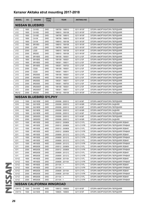| <b>MODEL</b>                  | cc   | <b>ENGINE</b>          | <b>DRIVE</b><br><b>TYPE</b> | <b>YEAR</b>                | <b>AKITAKA NO</b> | <b>NAME</b>                        |
|-------------------------------|------|------------------------|-----------------------------|----------------------------|-------------------|------------------------------------|
|                               |      | <b>NISSAN BLUEBIRD</b> |                             |                            |                   |                                    |
| U12                           | 1600 | <b>CA16S</b>           | 2WD                         | 198709 - 198910            | 0211-W10F         | ОПОРА АМОРТИЗАТОРА ПЕРЕДНЯЯ        |
| U12                           | 1600 | <b>CA16S</b>           | 2WD                         | 198910 - 199108            | 0211-W10F         | ОПОРА АМОРТИЗАТОРА ПЕРЕДНЯЯ        |
| U12                           | 1800 | CA18D                  | 2WD                         | 198709 - 198910            | 0211-W10F         | ОПОРА АМОРТИЗАТОРА ПЕРЕДНЯЯ        |
| U12                           | 1800 | <b>CA18I</b>           | 2WD                         | 198709 - 198910            | 0211-W10F         | ОПОРА АМОРТИЗАТОРА ПЕРЕДНЯЯ        |
| U12                           | 1800 | CA <sub>18</sub>       | 2WD                         | 198910 - 199108            | 0211-W10F         | ОПОРА АМОРТИЗАТОРА ПЕРЕДНЯЯ        |
| U12                           | 1800 | SR <sub>18</sub> DI    | 2WD                         | 198910 - 199108            | 0211-W10F         | ОПОРА АМОРТИЗАТОРА ПЕРЕДНЯЯ        |
| U12                           | 2000 | LD20                   | 2WD                         | 198709 - 198910            | 0211-W10F         | ОПОРА АМОРТИЗАТОРА ПЕРЕДНЯЯ        |
| U12                           | 2000 | LD <sub>20</sub>       | 2WD                         | 198910 - 199108            | 0211-W10F         | ОПОРА АМОРТИЗАТОРА ПЕРЕДНЯЯ        |
| U12                           | 2000 | SR <sub>20</sub> D     | 2WD                         | 198910 - 199108            | 0211-W10F         | ОПОРА АМОРТИЗАТОРА ПЕРЕДНЯЯ        |
| U13                           | 1800 | SR <sub>18</sub> DE    | 2WD                         | 199109 - 199301            | 0211-U13F         | ОПОРА АМОРТИЗАТОРА ПЕРЕДНЯЯ        |
| U13                           | 1800 | SR <sub>18</sub> DE    | 4WD                         | 199109 - 199301            | 0211-U13F         | ОПОРА АМОРТИЗАТОРА ПЕРЕДНЯЯ        |
| U13                           | 1800 | SR <sub>18</sub> DE    | 2WD                         | 199301 - 199511            | 0211-U13F         | ОПОРА АМОРТИЗАТОРА ПЕРЕДНЯЯ        |
| U13                           | 1800 | SR <sub>18</sub> DE    | 2WD                         | 199301 - 199703            | 0211-U13F         | ОПОРА АМОРТИЗАТОРА ПЕРЕДНЯЯ        |
| U <sub>13</sub>               | 2000 | CD <sub>20</sub>       | 2WD                         | 199109 - 199301            | 0211-U13F         | ОПОРА АМОРТИЗАТОРА ПЕРЕДНЯЯ        |
| U13                           | 2000 | CD <sub>20</sub>       | 2WD                         | 199301 - 199511            | 0211-U13F         | ОПОРА АМОРТИЗАТОРА ПЕРЕДНЯЯ        |
| U <sub>13</sub>               | 2000 | SR <sub>20</sub> DE    | 2WD                         | 199109 - 199301            | 0211-U13F         | ОПОРА АМОРТИЗАТОРА ПЕРЕДНЯЯ        |
| U <sub>13</sub>               | 2000 | SR <sub>20</sub> DE    | 4WD                         | 199109 - 199301            | 0211-U13F         | ОПОРА АМОРТИЗАТОРА ПЕРЕДНЯЯ        |
| U13                           | 2000 | SR <sub>20</sub> DE    | 2WD                         | 199301 - 199511            | 0211-U13F         | ОПОРА АМОРТИЗАТОРА ПЕРЕДНЯЯ        |
| U13                           | 2000 | SR <sub>20</sub> DE    | 2WD                         | 199301 - 199703            | 0211-U13F         | ОПОРА АМОРТИЗАТОРА ПЕРЕДНЯЯ        |
| U13                           | 2000 | SR20DET                | 2WD                         | 199109 - 199301            | 0211-U13F         | ОПОРА АМОРТИЗАТОРА ПЕРЕДНЯЯ        |
| U <sub>13</sub>               | 2000 | SR20DET                | 2WD                         | 199301 - 199511            | 0211-U13F         | ОПОРА АМОРТИЗАТОРА ПЕРЕДНЯЯ        |
| <b>WU12</b>                   | 2000 | SR <sub>20</sub> D     | 2WD                         | 199102 - 199109            | 0211-W10F         | ОПОРА АМОРТИЗАТОРА ПЕРЕДНЯЯ        |
| <b>NISSAN BLUEBIRD SYLPHY</b> |      |                        |                             |                            |                   |                                    |
| G10                           | 1500 | QG15DE                 | 2WD                         | 200008 - 200512            | 0211-N16F         | ОПОРА АМОРТИЗАТОРА ПЕРЕДНЯЯ        |
| G10                           | 1500 | QG15DE                 | 2WD                         | 200008 - 200512            | 0211-N16R         | ОПОРА АМОРТИЗАТОРА ЗАДНЯЯ          |
| G10                           | 1800 | QG18DE                 | 2WD                         | 200008 - 200512            | 0211-N16F         | ОПОРА АМОРТИЗАТОРА ПЕРЕДНЯЯ        |
| G10                           | 1800 | QG18DE                 | 2WD                         | 200008 - 200512            | 0211-N16R         | ОПОРА АМОРТИЗАТОРА ЗАДНЯЯ          |
| G10                           | 1800 | QG18DE                 | 4WD                         | 200008 - 200512            | 0211-N16F         | ОПОРА АМОРТИЗАТОРА ПЕРЕДНЯЯ        |
| G10                           | 2000 | QR20DD                 | 2WD                         | 200008 - 200512            | 0211-N16F         | ОПОРА АМОРТИЗАТОРА ПЕРЕДНЯЯ        |
| G10                           | 2000 | QR20DD                 | 2WD                         | 200008 - 200512            | 0211-N16R         | ОПОРА АМОРТИЗАТОРА ЗАДНЯЯ          |
| G11                           | 1500 | HR15DE                 | 2WD                         | 200512 - 200809            | 0211-C11FL        | ОПОРА АМОРТИЗАТОРА ПЕРЕДНЯЯ ЛЕВАЯ  |
| G11                           | 1500 | HR15DE                 | 2WD                         | 200512 - 200809            | 0211-C11FR        | ОПОРА АМОРТИЗАТОРА ПЕРЕДНЯЯ ПРАВАЯ |
| G11                           | 1500 | HR15DE                 | 4WD                         | 200512 - 200809            | 0211-C11FL        | ОПОРА АМОРТИЗАТОРА ПЕРЕДНЯЯ ЛЕВАЯ  |
| G11                           | 1500 | HR15DE                 | 4WD                         | 200512 - 200809            | 0211-C11FR        | ОПОРА АМОРТИЗАТОРА ПЕРЕДНЯЯ ПРАВАЯ |
| G11                           | 1500 | HR15DE                 | 2WD                         | 200809 - 201212            | 0211-C11FL        | ОПОРА АМОРТИЗАТОРА ПЕРЕДНЯЯ ЛЕВАЯ  |
| G11                           | 1500 | HR15DE                 | 2WD                         | 200809 - 201212            | 0211-C11FR        | ОПОРА АМОРТИЗАТОРА ПЕРЕДНЯЯ ПРАВАЯ |
| G11                           | 1500 | HR15DE                 | 4WD                         | 200809 - 201212            | 0211-C11FL        | ОПОРА АМОРТИЗАТОРА ПЕРЕДНЯЯ ЛЕВАЯ  |
| G11                           | 1500 | HR15DE                 | 4WD                         | 200809 - 201212            | 0211-C11FR        | ОПОРА АМОРТИЗАТОРА ПЕРЕДНЯЯ ПРАВАЯ |
| G11                           | 2000 | MR20DE                 | 2WD                         | 200512 - 200809            | 0211-C11FL        | ОПОРА АМОРТИЗАТОРА ПЕРЕДНЯЯ ЛЕВАЯ  |
| G11                           | 2000 | MR20DE                 | 2WD                         | 200512 - 200809            | 0211-C11FR        | ОПОРА АМОРТИЗАТОРА ПЕРЕДНЯЯ ПРАВАЯ |
| G11                           |      |                        |                             |                            |                   |                                    |
|                               | 2000 | MR20DE<br>MR20DE       | 2WD                         | 200809 - 201212            | 0211-C11FL        | ОПОРА АМОРТИЗАТОРА ПЕРЕДНЯЯ ЛЕВАЯ  |
| G11                           | 2000 |                        | 2WD                         | 200809 - 201212            | 0211-C11FR        | ОПОРА АМОРТИЗАТОРА ПЕРЕДНЯЯ ПРАВАЯ |
| G11Z                          | 1600 | HR16DE                 | 2WD                         | 200608 - 201104            | 0211-C11FL        | ОПОРА АМОРТИЗАТОРА ПЕРЕДНЯЯ ЛЕВАЯ  |
|                               |      |                        |                             |                            |                   |                                    |
|                               | 1600 | HR16DE                 | 2WD                         | 200608 - 201104            | 0211-C11FR        | ОПОРА АМОРТИЗАТОРА ПЕРЕДНЯЯ ПРАВАЯ |
|                               | 1600 | HR16DE                 | 2WD                         | $201104 - 5$               | 0211-C11FL        | ОПОРА АМОРТИЗАТОРА ПЕРЕДНЯЯ ЛЕВАЯ  |
| G11Z<br>G11Z                  | 1600 | HR16DE                 | 2WD                         | $201104 - 5$               | 0211-C11FR        | ОПОРА АМОРТИЗАТОРА ПЕРЕДНЯЯ ПРАВАЯ |
| G11Z<br>G11Z                  | 2000 | MR20DE                 | 2WD                         | 200608 - 201104            | 0211-C11FL        | ОПОРА АМОРТИЗАТОРА ПЕРЕДНЯЯ ЛЕВАЯ  |
| G11Z                          | 2000 | MR20DE                 | 2WD                         | 200608 - 201104            | 0211-C11FR        | ОПОРА АМОРТИЗАТОРА ПЕРЕДНЯЯ ПРАВАЯ |
| G11Z                          | 2000 | MR20DE                 | 2WD                         | $201104 -$                 | 0211-C11FL        | ОПОРА АМОРТИЗАТОРА ПЕРЕДНЯЯ ЛЕВАЯ  |
| G11Z                          | 2000 | MR20DE                 | 2WD                         | $201104 - 5$               | 0211-C11FR        | ОПОРА АМОРТИЗАТОРА ПЕРЕДНЯЯ ПРАВАЯ |
|                               |      |                        |                             | NISSAN CALIFORNIA WINGROAD |                   |                                    |
| CNY10                         | 1500 | GA15DE                 | 4WD                         | 199012 - 199605            | 0211-N15F         | ОПОРА АМОРТИЗАТОРА ПЕРЕДНЯЯ        |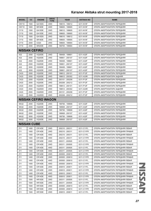| <b>MODEL</b>         | cc                         | <b>ENGINE</b>       | <b>DRIVE</b><br><b>TYPE</b> | <b>YEAR</b>     | <b>AKITAKA NO</b> | <b>NAME</b>                        |  |  |  |  |  |
|----------------------|----------------------------|---------------------|-----------------------------|-----------------|-------------------|------------------------------------|--|--|--|--|--|
| CNY <sub>10</sub>    | 1500                       | GA15DS              | 4WD                         | 199010 - 199012 | 0211-N15F         | ОПОРА АМОРТИЗАТОРА ПЕРЕДНЯЯ        |  |  |  |  |  |
| CNY <sub>10</sub>    | 1800                       | SR <sub>18</sub> DE | 4WD                         | 199605 - 199905 | 0211-N15F         | ОПОРА АМОРТИЗАТОРА ПЕРЕДНЯЯ        |  |  |  |  |  |
| CY10                 | 1500                       | GA15DE              | 2WD                         | 199012 - 199605 | 0211-N15F         | ОПОРА АМОРТИЗАТОРА ПЕРЕДНЯЯ        |  |  |  |  |  |
| CY10                 | 1500                       | GA15DE              | 2WD                         | 199605 - 199905 | 0211-N15F         | ОПОРА АМОРТИЗАТОРА ПЕРЕДНЯЯ        |  |  |  |  |  |
| CY10                 | 1500                       | GA15DS              | 2WD                         | 199010 - 199012 | 0211-N15F         | ОПОРА АМОРТИЗАТОРА ПЕРЕДНЯЯ        |  |  |  |  |  |
| CY10                 | 1800                       | SR18DE              | 2WD                         | 199605 - 199905 | 0211-N15F         | ОПОРА АМОРТИЗАТОРА ПЕРЕДНЯЯ        |  |  |  |  |  |
| CY10                 | 2000                       | CD <sub>20</sub>    | 2WD                         | 199605 - 199904 | 0211-N15F         | ОПОРА АМОРТИЗАТОРА ПЕРЕДНЯЯ        |  |  |  |  |  |
| CY10                 | 2000                       | SR <sub>20</sub> DE | 2WD                         | 199705 - 199904 | 0211-N15F         | ОПОРА АМОРТИЗАТОРА ПЕРЕДНЯЯ        |  |  |  |  |  |
| <b>NISSAN CEFIRO</b> |                            |                     |                             |                 |                   |                                    |  |  |  |  |  |
| A32                  | 2000                       | VQ20DE              | 2WD                         | 199408 - 199801 | 0211-A32F         | ОПОРА АМОРТИЗАТОРА ПЕРЕДНЯЯ        |  |  |  |  |  |
| A32                  | 2000                       | VQ20DE              | 2WD                         | 199801 - 200107 | 0211-A32F         | ОПОРА АМОРТИЗАТОРА ПЕРЕДНЯЯ        |  |  |  |  |  |
| A32                  | 2500                       | VQ25DE              | 2WD                         | 199408 - 199801 | 0211-A32F         | ОПОРА АМОРТИЗАТОРА ПЕРЕДНЯЯ        |  |  |  |  |  |
| A32                  | 2500                       | VQ25DE              | 2WD                         | 199801 - 200107 | 0211-A32F         | ОПОРА АМОРТИЗАТОРА ПЕРЕДНЯЯ        |  |  |  |  |  |
| A32                  | 3000                       | VQ30DE              | 2WD                         | 199408 - 199801 | 0211-A32F         | ОПОРА АМОРТИЗАТОРА ПЕРЕДНЯЯ        |  |  |  |  |  |
| A32                  | 3000                       | VQ30DE              | 2WD                         | 199801 - 200107 | 0211-A32F         | ОПОРА АМОРТИЗАТОРА ПЕРЕДНЯЯ        |  |  |  |  |  |
| CA33                 | 2000                       | VQ20DE              | 2WD                         | 199812 - 200101 | 0211-P12F         | ОПОРА АМОРТИЗАТОРА ПЕРЕДНЯЯ        |  |  |  |  |  |
| CA33                 | 2000                       | VQ20DE              | 2WD                         | 199812 - 200302 | 0211-A33R         | ОПОРА АМОРТИЗАТОРА ЗАДНЯЯ          |  |  |  |  |  |
| CA33                 | 2000                       | VQ20DE              | 2WD                         | 200101 - 200208 | 0211-P12F         | ОПОРА АМОРТИЗАТОРА ПЕРЕДНЯЯ        |  |  |  |  |  |
| CA33                 | 2000                       | VQ20DE              | 2WD                         | 200208 - 200212 | 0211-P12F         | ОПОРА АМОРТИЗАТОРА ПЕРЕДНЯЯ        |  |  |  |  |  |
| CA33                 | 2500                       | VQ25DD              | 2WD                         | 199812 - 200101 | 0211-P12F         | ОПОРА АМОРТИЗАТОРА ПЕРЕДНЯЯ        |  |  |  |  |  |
| CA33                 | 2500                       | VQ25DD              | 2WD                         | 199812 - 200302 | 0211-A33R         | ОПОРА АМОРТИЗАТОРА ЗАДНЯЯ          |  |  |  |  |  |
| CA33                 | 2500                       | VQ25DD              | 2WD                         | 200101 - 200208 | 0211-P12F         | ОПОРА АМОРТИЗАТОРА ПЕРЕДНЯЯ        |  |  |  |  |  |
| CA33                 | 2500                       | VQ25DD              | 2WD                         | 200208 - 200212 | 0211-P12F         | ОПОРА АМОРТИЗАТОРА ПЕРЕДНЯЯ        |  |  |  |  |  |
|                      | <b>NISSAN CEFIRO WAGON</b> |                     |                             |                 |                   |                                    |  |  |  |  |  |
| WA32                 | 2000                       | VQ20DE              | 2WD                         | 199706 - 199908 | 0211-A32F         | ОПОРА АМОРТИЗАТОРА ПЕРЕДНЯЯ        |  |  |  |  |  |
| <b>WA32</b>          | 2000                       | VQ20DE              | 2WD                         | 199908 - 200107 | 0211-A32F         | ОПОРА АМОРТИЗАТОРА ПЕРЕДНЯЯ        |  |  |  |  |  |
| <b>WA32</b>          | 2500                       | VQ25DE              | 2WD                         | 199706 - 199908 | 0211-A32F         | ОПОРА АМОРТИЗАТОРА ПЕРЕДНЯЯ        |  |  |  |  |  |
| WA32                 | 2500                       | VQ25DE              | 2WD                         | 199908 - 200107 | 0211-A32F         | ОПОРА АМОРТИЗАТОРА ПЕРЕДНЯЯ        |  |  |  |  |  |
| <b>WA32</b>          | 3000                       | VQ30DE              | 2WD                         | 199706 - 199908 | 0211-A32F         | ОПОРА АМОРТИЗАТОРА ПЕРЕДНЯЯ        |  |  |  |  |  |
| <b>WA32</b>          | 3000                       | VQ30DE              | 2WD                         | 199908 - 200107 | 0211-A32F         | ОПОРА АМОРТИЗАТОРА ПЕРЕДНЯЯ        |  |  |  |  |  |
| <b>NISSAN CUBE</b>   |                            |                     |                             |                 |                   |                                    |  |  |  |  |  |
| Z11                  | 1400                       | CR14DE              | 2WD                         | 200210 - 200311 | 0211-C11FL        | ОПОРА АМОРТИЗАТОРА ПЕРЕДНЯЯ ЛЕВАЯ  |  |  |  |  |  |
| Z11                  | 1400                       | CR14DE              | 2WD                         | 200210 - 200311 | 0211-C11FR        | ОПОРА АМОРТИЗАТОРА ПЕРЕДНЯЯ ПРАВАЯ |  |  |  |  |  |
| Z11                  | 1400                       | CR14DE              | 4WD                         | 200210 - 200311 | 0211-C11FL        | ОПОРА АМОРТИЗАТОРА ПЕРЕДНЯЯ ЛЕВАЯ  |  |  |  |  |  |
| Z11                  | 1400                       | CR14DE              | 4WD                         | 200210 - 200311 | 0211-C11FR        | ОПОРА АМОРТИЗАТОРА ПЕРЕДНЯЯ ПРАВАЯ |  |  |  |  |  |
| Z11                  | 1400                       | CR14DE              | 2WD                         | 200311 - 200505 | 0211-C11FL        | ОПОРА АМОРТИЗАТОРА ПЕРЕДНЯЯ ЛЕВАЯ  |  |  |  |  |  |
| Z11                  | 1400                       | CR14DE              | 2WD                         | 200311 - 200505 | 0211-C11FR        | ОПОРА АМОРТИЗАТОРА ПЕРЕДНЯЯ ПРАВАЯ |  |  |  |  |  |
| Z11                  | 1400                       | CR14DE              | 4WD                         | 200311 - 200505 | 0211-C11FL        | ОПОРА АМОРТИЗАТОРА ПЕРЕДНЯЯ ЛЕВАЯ  |  |  |  |  |  |
| Z11                  | 1400                       | CR14DE              | 4WD                         | 200311 - 200505 | 0211-C11FR        | ОПОРА АМОРТИЗАТОРА ПЕРЕДНЯЯ ПРАВАЯ |  |  |  |  |  |
| Z11                  | 1400                       | CR14DE              | 2WD                         | 200505 - 200810 | 0211-C11FL        | ОПОРА АМОРТИЗАТОРА ПЕРЕДНЯЯ ЛЕВАЯ  |  |  |  |  |  |
| Z11                  | 1400                       | CR14DE              | 2WD                         | 200505 - 200810 | 0211-C11FR        | ОПОРА АМОРТИЗАТОРА ПЕРЕДНЯЯ ПРАВАЯ |  |  |  |  |  |
| Z11                  | 1400                       | CR14DE              | 4WD                         | 200505 - 200810 | 0211-C11FL        | ОПОРА АМОРТИЗАТОРА ПЕРЕДНЯЯ ЛЕВАЯ  |  |  |  |  |  |
| Z11                  | 1400                       | CR14DE              | 4WD                         | 200505 - 200810 | 0211-C11FR        | ОПОРА АМОРТИЗАТОРА ПЕРЕДНЯЯ ПРАВАЯ |  |  |  |  |  |
| Z11                  | 1400                       | CR14DE              | 2WD                         | 200810 - 200811 | 0211-C11FL        | ОПОРА АМОРТИЗАТОРА ПЕРЕДНЯЯ ЛЕВАЯ  |  |  |  |  |  |
| Z11                  | 1400                       | CR14DE              | 2WD                         | 200810 - 200811 | 0211-C11FR        | ОПОРА АМОРТИЗАТОРА ПЕРЕДНЯЯ ПРАВАЯ |  |  |  |  |  |
| Z11                  | 1400                       | CR14DE              | 4WD                         | 200810 - 200811 | 0211-C11FL        | ОПОРА АМОРТИЗАТОРА ПЕРЕДНЯЯ ЛЕВАЯ  |  |  |  |  |  |
| Z11                  | 1400                       | CR14DE              | 4WD                         | 200810 - 200811 | 0211-C11FR        | ОПОРА АМОРТИЗАТОРА ПЕРЕДНЯЯ ПРАВАЯ |  |  |  |  |  |
| Z11                  | 1500                       | HR15DE              | 2WD                         | 200311 - 200505 | 0211-C11FL        | ОПОРА АМОРТИЗАТОРА ПЕРЕДНЯЯ ЛЕВАЯ  |  |  |  |  |  |
| Z11                  | 1500                       | HR15DE              | 2WD                         | 200311 - 200505 | 0211-C11FR        | ОПОРА АМОРТИЗАТОРА ПЕРЕДНЯЯ ПРАВАЯ |  |  |  |  |  |
| Z11                  | 1500                       | HR15DE              | 2WD                         | 200505 - 200810 | 0211-C11FL        | ОПОРА АМОРТИЗАТОРА ПЕРЕДНЯЯ ЛЕВАЯ  |  |  |  |  |  |
| Z11                  | 1500                       | HR15DE              | 2WD                         | 200505 - 200810 | 0211-C11FR        | ОПОРА АМОРТИЗАТОРА ПЕРЕДНЯЯ ПРАВАЯ |  |  |  |  |  |
| Z11                  | 1500                       | HR15DE              | 2WD                         | 200810 - 200811 | 0211-C11FL        | ОПОРА АМОРТИЗАТОРА ПЕРЕДНЯЯ ЛЕВАЯ  |  |  |  |  |  |

**NISSAN** NISSAN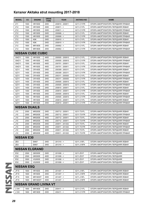| <b>MODEL</b>      | cc   | <b>ENGINE</b>                 | <b>DRIVE</b><br><b>TYPE</b> | <b>YEAR</b>     | <b>AKITAKA NO</b> | <b>NAME</b>                        |
|-------------------|------|-------------------------------|-----------------------------|-----------------|-------------------|------------------------------------|
| Z11               | 1500 | HR15DE                        | 2WD                         | 200810 - 200811 | 0211-C11FR        | ОПОРА АМОРТИЗАТОРА ПЕРЕДНЯЯ ПРАВАЯ |
| Z12               | 1500 | HR15DE                        | 2WD                         | $200811 - 5$    | 0211-C11FL        | ОПОРА АМОРТИЗАТОРА ПЕРЕДНЯЯ ЛЕВАЯ  |
| Z12               | 1500 | HR15DE                        | 2WD                         | $200811 - 5$    | 0211-C11FR        | ОПОРА АМОРТИЗАТОРА ПЕРЕДНЯЯ ПРАВАЯ |
| Z12               | 1500 | HR15DE                        | 2WD                         | $200908 - <$    | 0211-C11FL        | ОПОРА АМОРТИЗАТОРА ПЕРЕДНЯЯ ЛЕВАЯ  |
| Z12               | 1500 | HR15DE                        | 2WD                         | $200908 - 5$    | 0211-C11FR        | ОПОРА АМОРТИЗАТОРА ПЕРЕДНЯЯ ПРАВАЯ |
| Z12               | 1500 | K9K                           | 2WD                         | $200910 - <$    | 0211-C11FL        | ОПОРА АМОРТИЗАТОРА ПЕРЕДНЯЯ ЛЕВАЯ  |
| Z12               | 1500 | K9K                           | 2WD                         | $200910 - 5$    | 0211-C11FR        | ОПОРА АМОРТИЗАТОРА ПЕРЕДНЯЯ ПРАВАЯ |
| Z12               | 1800 | MR18DE                        | 2WD                         | $200902 - 5$    | 0211-C11FL        | ОПОРА АМОРТИЗАТОРА ПЕРЕДНЯЯ ЛЕВАЯ  |
| Z12               | 1800 | MR18DE                        | 2WD                         | $200902 - 5$    | 0211-C11FR        | ОПОРА АМОРТИЗАТОРА ПЕРЕДНЯЯ ПРАВАЯ |
|                   |      | <b>NISSAN CUBE CUBIC</b>      |                             |                 |                   |                                    |
| GNZ11             | 1500 | HR15DE                        | 4WD                         | 200505 - 200810 | 0211-C11FL        | ОПОРА АМОРТИЗАТОРА ПЕРЕДНЯЯ ЛЕВАЯ  |
| GNZ <sub>11</sub> | 1500 | HR15DE                        | 4WD                         | 200505 - 200810 | 0211-C11FR        | ОПОРА АМОРТИЗАТОРА ПЕРЕДНЯЯ ПРАВАЯ |
| GNZ11             | 1500 | HR15DE                        | 4WD                         | 200701 - 200811 | 0211-C11FL        | ОПОРА АМОРТИЗАТОРА ПЕРЕДНЯЯ ЛЕВАЯ  |
| GNZ <sub>11</sub> | 1500 | HR15DE                        | 4WD                         | 200701 - 200811 | 0211-C11FR        | ОПОРА АМОРТИЗАТОРА ПЕРЕДНЯЯ ПРАВАЯ |
| GZ11              | 1400 | CR14DE                        | 2WD                         | 200309 - 200311 | 0211-C11FL        | ОПОРА АМОРТИЗАТОРА ПЕРЕДНЯЯ ЛЕВАЯ  |
| GZ11              | 1400 | CR14DE                        | 2WD                         | 200309 - 200311 | 0211-C11FR        | ОПОРА АМОРТИЗАТОРА ПЕРЕДНЯЯ ПРАВАЯ |
| GZ11              | 1400 | CR14DE                        | 2WD                         | 200311 - 200505 | 0211-C11FL        | ОПОРА АМОРТИЗАТОРА ПЕРЕДНЯЯ ЛЕВАЯ  |
| GZ11              | 1400 | CR14DE                        | 2WD                         | 200311 - 200505 | 0211-C11FR        | ОПОРА АМОРТИЗАТОРА ПЕРЕДНЯЯ ПРАВАЯ |
| GZ11              | 1400 | CR14DE                        | 2WD                         | 200505 - 200810 | 0211-C11FL        | ОПОРА АМОРТИЗАТОРА ПЕРЕДНЯЯ ЛЕВАЯ  |
| GZ11              | 1400 | CR14DE                        | 2WD                         | 200505 - 200810 | 0211-C11FR        | ОПОРА АМОРТИЗАТОРА ПЕРЕДНЯЯ ПРАВАЯ |
| GZ11              | 1400 | CR14DE                        | 2WD                         | 200810 - 200811 | 0211-C11FL        | ОПОРА АМОРТИЗАТОРА ПЕРЕДНЯЯ ЛЕВАЯ  |
| GZ11              | 1400 | CR14DE                        | 2WD                         | 200810 - 200811 | 0211-C11FR        | ОПОРА АМОРТИЗАТОРА ПЕРЕДНЯЯ ПРАВАЯ |
| GZ11              | 1500 | HR15DE                        | 2WD                         | 200505 - 200810 | 0211-C11FL        | ОПОРА АМОРТИЗАТОРА ПЕРЕДНЯЯ ЛЕВАЯ  |
| GZ11              | 1500 | HR15DE                        | 2WD                         | 200505 - 200810 | 0211-C11FR        | ОПОРА АМОРТИЗАТОРА ПЕРЕДНЯЯ ПРАВАЯ |
| GZ11              | 1500 | HR15DE                        | 2WD                         | 200810 - 200811 | 0211-C11FL        | ОПОРА АМОРТИЗАТОРА ПЕРЕДНЯЯ ЛЕВАЯ  |
| GZ11              | 1500 | HR15DE                        | 2WD                         | 200810 - 200811 | 0211-C11FR        | ОПОРА АМОРТИЗАТОРА ПЕРЕДНЯЯ ПРАВАЯ |
|                   |      | <b>NISSAN DUAILS</b>          |                             |                 |                   |                                    |
| J10               | 2000 | MR20DE                        | 2WD                         | 200712 - 200911 | 0211-T31FL        | ОПОРА АМОРТИЗАТОРА ПЕРЕДНЯЯ ЛЕВАЯ  |
| J10               | 2000 | MR20DE                        | 2WD                         | 200712 - 200911 | 0211-T31FR        | ОПОРА АМОРТИЗАТОРА ПЕРЕДНЯЯ ПРАВАЯ |
| J10               | 2000 | MR20DE                        | 4WD                         | 200712 - 200911 | 0211-T31FL        | ОПОРА АМОРТИЗАТОРА ПЕРЕДНЯЯ ЛЕВАЯ  |
| J10               | 2000 | MR20DE                        | 4WD                         | 200712 - 200911 | 0211-T31FR        | ОПОРА АМОРТИЗАТОРА ПЕРЕДНЯЯ ПРАВАЯ |
| J10               | 2000 | MR20DE                        | 2WD                         | 200911 - 201202 | 0211-T31FL        | ОПОРА АМОРТИЗАТОРА ПЕРЕДНЯЯ ЛЕВАЯ  |
| J10               | 2000 | MR20DE                        | 2WD                         | 200911 - 201202 | 0211-T31FR        | ОПОРА АМОРТИЗАТОРА ПЕРЕДНЯЯ ПРАВАЯ |
| J10               | 2000 | MR20DE                        | 4WD                         | 200911 - 201202 | 0211-T31FL        | ОПОРА АМОРТИЗАТОРА ПЕРЕДНЯЯ ЛЕВАЯ  |
| J10               | 2000 | MR20DE                        | 4WD                         | 200911 - 201202 | 0211-T31FR        | ОПОРА АМОРТИЗАТОРА ПЕРЕДНЯЯ ПРАВАЯ |
| <b>NISSAN E30</b> |      |                               |                             |                 |                   |                                    |
| ZE <sub>0</sub>   |      | <b>EM57</b>                   | 2WD                         | $201310 - 5$    | 0211-J15FL        | ОПОРА АМОРТИЗАТОРА ПЕРЕДНЯЯ ЛЕВАЯ  |
| ZE <sub>0</sub>   |      | <b>EM57</b>                   | 2WD                         | $201310 - <$    | 0211-J15FR        | ОПОРА АМОРТИЗАТОРА ПЕРЕДНЯЯ ЛЕВАЯ  |
|                   |      | <b>NISSAN ELGRAND</b>         |                             |                 |                   |                                    |
| E52               | 2500 | QR25DE                        | 2WD                         | $201008 - 5$    | 0211-Z51F         | ОПОРА АМОРТИЗАТОРА ПЕРЕДНЯЯ        |
| E52               | 2500 | QR25DE                        | 4WD                         | $201008 - 5$    | 0211-Z51F         | ОПОРА АМОРТИЗАТОРА ПЕРЕДНЯЯ        |
| E <sub>52</sub>   | 3500 | VQ35DE                        | 2WD                         | $201008 - 5$    | 0211-Z51F         | ОПОРА АМОРТИЗАТОРА ПЕРЕДНЯЯ        |
| E52               | 3500 | VQ35DE                        | 4WD                         | $201008 - 5$    | 0211-Z51F         | ОПОРА АМОРТИЗАТОРА ПЕРЕДНЯЯ        |
| <b>NISSAN ESQ</b> |      |                               |                             |                 |                   |                                    |
| JF15              | 1600 | HR16DE                        | 2WD                         | $201407 - <$    | 0211-J15FL        | ОПОРА АМОРТИЗАТОРА ПЕРЕДНЯЯ ЛЕВАЯ  |
| JF15              | 1600 | HR16DE                        | 2WD                         | $201407 - <$    | 0211-J15FR        | ОПОРА АМОРТИЗАТОРА ПЕРЕДНЯЯ ЛЕВАЯ  |
| JF15              | 1600 | MR16DDT                       | 4WD                         | $201407 - <$    | 0211-J15FL        | ОПОРА АМОРТИЗАТОРА ПЕРЕДНЯЯ ЛЕВАЯ  |
| JF15              | 1600 | MR16DDT                       | 4WD                         | $201407 -$      | 0211-J15FR        | ОПОРА АМОРТИЗАТОРА ПЕРЕДНЯЯ ЛЕВАЯ  |
|                   |      | <b>NISSAN GRAND LIVINA VT</b> |                             |                 |                   |                                    |
|                   |      |                               |                             |                 |                   |                                    |
| L10H              | 1800 | MR18DE                        | 2WD                         | $200411 - 5$    | 0211-C11FL        | ОПОРА АМОРТИЗАТОРА ПЕРЕДНЯЯ ЛЕВАЯ  |
| L <sub>10</sub> H | 1800 | MR18DE                        | 2WD                         | $200411 - 5$    | 0211-C11FR        | ОПОРА АМОРТИЗАТОРА ПЕРЕДНЯЯ ПРАВАЯ |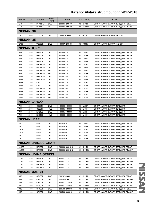| <b>MODEL</b>        | cc   | <b>ENGINE</b>               | <b>DRIVE</b><br><b>TYPE</b> | <b>YEAR</b>      | <b>AKITAKA NO</b> | <b>NAME</b>                        |  |  |
|---------------------|------|-----------------------------|-----------------------------|------------------|-------------------|------------------------------------|--|--|
| L <sub>10</sub> H   | 1800 | MR18DE                      | 2WD                         | 200804 - 200411  | 0211-C11FL        | ОПОРА АМОРТИЗАТОРА ПЕРЕДНЯЯ ЛЕВАЯ  |  |  |
| L <sub>10</sub> H   | 1800 | MR18DE                      | 2WD                         | 200804 - 200411  | 0211-C11FR        | ОПОРА АМОРТИЗАТОРА ПЕРЕДНЯЯ ПРАВАЯ |  |  |
| <b>NISSAN 130</b>   |      |                             |                             |                  |                   |                                    |  |  |
| CA33                | 3000 | VQ30DE                      | 2WD                         | 199907 - 200407  | 0211-A33R         | ОПОРА АМОРТИЗАТОРА ЗАДНЯЯ          |  |  |
| <b>NISSAN 135</b>   |      |                             |                             |                  |                   |                                    |  |  |
| CA33                | 3500 | VQ35DE                      | 2WD                         | 199907 - 200407  | 0211-A33R         | ОПОРА АМОРТИЗАТОРА ЗАДНЯЯ          |  |  |
| <b>NISSAN JUKE</b>  |      |                             |                             |                  |                   |                                    |  |  |
| F <sub>15</sub>     | 1600 | HR15DE                      | 2WD                         | $201006 < -$     | 0211-J15FL        | ОПОРА АМОРТИЗАТОРА ПЕРЕДНЯЯ ЛЕВАЯ  |  |  |
| F <sub>15</sub>     | 1600 | HR15DE                      | 2WD                         | $201006 < -$     | 0211-J15FR        | ОПОРА АМОРТИЗАТОРА ПЕРЕДНЯЯ ЛЕВАЯ  |  |  |
| F <sub>15</sub>     | 1600 | HR16DE                      | 2WD                         | $201006 < -$     | 0211-J15FL        | ОПОРА АМОРТИЗАТОРА ПЕРЕДНЯЯ ЛЕВАЯ  |  |  |
| F <sub>15</sub>     | 1600 | HR16DE                      | 2WD                         | $201006 < -$     | 0211-J15FR        | ОПОРА АМОРТИЗАТОРА ПЕРЕДНЯЯ ЛЕВАЯ  |  |  |
| F <sub>15</sub>     | 1600 | MR16DDT                     | 2WD                         | $201006 < -$     | 0211-J15FL        | ОПОРА АМОРТИЗАТОРА ПЕРЕДНЯЯ ЛЕВАЯ  |  |  |
| F <sub>15</sub>     | 1600 | MR16DDT                     | 2WD                         | $201006 < -$     | 0211-J15FR        | ОПОРА АМОРТИЗАТОРА ПЕРЕДНЯЯ ЛЕВАЯ  |  |  |
| F <sub>15</sub>     | 1600 | MR16DDT                     | 4WD                         | $201006 < - <$   | 0211-J15FL        | ОПОРА АМОРТИЗАТОРА ПЕРЕДНЯЯ ЛЕВАЯ  |  |  |
| F <sub>15</sub>     | 1600 | MR16DDT                     | 4WD                         | $201006 < -$     | 0211-J15FR        | ОПОРА АМОРТИЗАТОРА ПЕРЕДНЯЯ ЛЕВАЯ  |  |  |
| F15E                | 1200 | HRA2DDT                     | 2WD                         | $201007 < -$     | 0211-J15FL        | ОПОРА АМОРТИЗАТОРА ПЕРЕДНЯЯ ЛЕВАЯ  |  |  |
| F15E                | 1200 | HRA2DDT                     | 2WD                         | $201007 < -$     | 0211-J15FR        | ОПОРА АМОРТИЗАТОРА ПЕРЕДНЯЯ ЛЕВАЯ  |  |  |
| F15E                | 1500 | K9K                         | 2WD                         | $201007 < -$     | 0211-J15FL        | ОПОРА АМОРТИЗАТОРА ПЕРЕДНЯЯ ЛЕВАЯ  |  |  |
| F15E                | 1500 | K9K                         | 2WD                         | $201007 < -$     | 0211-J15FR        | ОПОРА АМОРТИЗАТОРА ПЕРЕДНЯЯ ЛЕВАЯ  |  |  |
| F15E                | 1600 | MR16DDT                     | 2WD                         | $201007 < -$     | 0211-J15FL        | ОПОРА АМОРТИЗАТОРА ПЕРЕДНЯЯ ЛЕВАЯ  |  |  |
| <b>F15E</b>         | 1600 | MR16DDT                     | 2WD                         | $201007 < -$     | 0211-J15FR        | ОПОРА АМОРТИЗАТОРА ПЕРЕДНЯЯ ЛЕВАЯ  |  |  |
| <b>F15E</b>         | 1600 | MR16DDT                     | 4WD                         | $201007 < -$     | 0211-J15FL        | ОПОРА АМОРТИЗАТОРА ПЕРЕДНЯЯ ЛЕВАЯ  |  |  |
| F15E                | 1600 | MR16DDT                     | 4WD                         | $201007 < -$     | 0211-J15FR        | ОПОРА АМОРТИЗАТОРА ПЕРЕДНЯЯ ЛЕВАЯ  |  |  |
| <b>NISSAN LARGO</b> |      |                             |                             |                  |                   |                                    |  |  |
| W30                 | 2000 | CD <sub>20</sub> TI         | 2WD                         | 199305 - 199906  | 0211-W10F         | ОПОРА АМОРТИЗАТОРА ПЕРЕДНЯЯ        |  |  |
| W30                 | 2000 | CD <sub>20</sub> TI         | 4WD                         | 199305 - 199906  | 0211-U13F         | ОПОРА АМОРТИЗАТОРА ПЕРЕДНЯЯ        |  |  |
| W30                 | 2400 | KA24DE                      | 2WD                         | 199305 - 199906  | 0211-W10F         | ОПОРА АМОРТИЗАТОРА ПЕРЕДНЯЯ        |  |  |
| W30                 | 2400 | KA24DE                      | 4WD                         | 199305 - 199906  | 0211-U13F         | ОПОРА АМОРТИЗАТОРА ПЕРЕДНЯЯ        |  |  |
| <b>NISSAN LEAF</b>  |      |                             |                             |                  |                   |                                    |  |  |
| ZE <sub>0</sub>     |      | EM61                        | 2WD                         | $201010 - <$     | 0211-J15FL        | ОПОРА АМОРТИЗАТОРА ПЕРЕДНЯЯ ЛЕВАЯ  |  |  |
| ZE0                 |      | EM61                        | 2WD                         | $201010 - 5$     | 0211-J15FR        | ОПОРА АМОРТИЗАТОРА ПЕРЕДНЯЯ ЛЕВАЯ  |  |  |
| ZE0E                |      | <b>EM57</b>                 | 2WD                         | $201302 - 5$     | 0211-J15FL        | ОПОРА АМОРТИЗАТОРА ПЕРЕДНЯЯ ЛЕВАЯ  |  |  |
| ZE0E                |      | EM57                        | 2WD                         | $201302 - 5$     | 0211-J15FR        | ОПОРА АМОРТИЗАТОРА ПЕРЕДНЯЯ ЛЕВАЯ  |  |  |
| ZE0U                |      | EM57                        | 2WD                         | $201212 - 5$     | 0211-J15FL        | ОПОРА АМОРТИЗАТОРА ПЕРЕДНЯЯ ЛЕВАЯ  |  |  |
| ZE0U                |      | <b>EM57</b>                 | 2WD                         | $201212 - 5$     | 0211-J15FR        | ОПОРА АМОРТИЗАТОРА ПЕРЕДНЯЯ ЛЕВАЯ  |  |  |
|                     |      | <b>NISSAN LIVINA C-GEAR</b> |                             |                  |                   |                                    |  |  |
| NL <sub>10</sub> Z  | 1600 | HR16DE                      | 2WD                         | 200803 - 2001212 | 0211-C11FL        | ОПОРА АМОРТИЗАТОРА ПЕРЕДНЯЯ ЛЕВАЯ  |  |  |
| NL <sub>10</sub> Z  | 1600 | HR16DE                      | 2WD                         | 200803 - 2001212 | 0211-C11FR        | ОПОРА АМОРТИЗАТОРА ПЕРЕДНЯЯ ПРАВАЯ |  |  |
|                     |      | <b>NISSAN LIVINA GENISS</b> |                             |                  |                   |                                    |  |  |
| L <sub>10</sub> Z   | 1600 | HR16DE                      | 2WD                         | 200611 - 2001212 | 0211-C11FL        | ОПОРА АМОРТИЗАТОРА ПЕРЕДНЯЯ ЛЕВАЯ  |  |  |
| L10Z                | 1600 | HR16DE                      | 2WD                         | 200611 - 2001212 | 0211-C11FR        | ОПОРА АМОРТИЗАТОРА ПЕРЕДНЯЯ ПРАВАЯ |  |  |
| L10Z                | 1800 | MR18DE                      | 2WD                         | 200611 - 2001212 | 0211-C11FL        | ОПОРА АМОРТИЗАТОРА ПЕРЕДНЯЯ ЛЕВАЯ  |  |  |
| L10Z                | 1800 | MR18DE                      | 2WD                         | 200611 - 2001212 | 0211-C11FR        | ОПОРА АМОРТИЗАТОРА ПЕРЕДНЯЯ ПРАВАЯ |  |  |
| <b>NISSAN MARCH</b> |      |                             |                             |                  |                   |                                    |  |  |
| K <sub>12</sub>     | 1000 | CR10DE                      | 2WD                         | 200202 - 200311  | 0211-C11FL        | ОПОРА АМОРТИЗАТОРА ПЕРЕДНЯЯ ЛЕВАЯ  |  |  |
| K <sub>12</sub>     | 1000 | CR10DE                      | 2WD                         | 200202 - 200311  | 0211-C11FR        | ОПОРА АМОРТИЗАТОРА ПЕРЕДНЯЯ ПРАВАЯ |  |  |
|                     |      |                             |                             |                  |                   |                                    |  |  |
| K <sub>12</sub>     | 1000 | CR10DE                      | 2WD                         | 200311 - 200508  | 0211-C11FL        | ОПОРА АМОРТИЗАТОРА ПЕРЕДНЯЯ ЛЕВАЯ  |  |  |
| K <sub>12</sub>     | 1000 | CR10DE                      | 2WD                         | 200311 - 200508  | 0211-C11FR        | ОПОРА АМОРТИЗАТОРА ПЕРЕДНЯЯ ПРАВАЯ |  |  |
| K <sub>12</sub>     | 1000 | CR10DE                      | 2WD                         | 200508 - 200810  | 0211-C11FL        | ОПОРА АМОРТИЗАТОРА ПЕРЕДНЯЯ ЛЕВАЯ  |  |  |
| K12                 | 1000 | CR10DE                      | 2WD                         | 200508 - 200810  | 0211-C11FR        | ОПОРА АМОРТИЗАТОРА ПЕРЕДНЯЯ ПРАВАЯ |  |  |

**NISSAN** NISSAN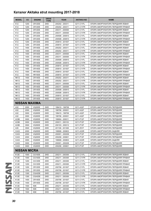|      | <b>MODEL</b>        | cc                   | <b>ENGINE</b> | <b>DRIVE</b><br><b>TYPE</b> | <b>YEAR</b>     | <b>AKITAKA NO</b> | <b>NAME</b>                        |  |  |
|------|---------------------|----------------------|---------------|-----------------------------|-----------------|-------------------|------------------------------------|--|--|
|      | K <sub>12</sub>     | 1200                 | CR12DE        | 2WD                         | 200202 - 200311 | 0211-C11FL        | ОПОРА АМОРТИЗАТОРА ПЕРЕДНЯЯ ЛЕВАЯ  |  |  |
|      | K12                 | 1200                 | CR12DE        | 2WD                         | 200202 - 200311 | 0211-C11FR        | ОПОРА АМОРТИЗАТОРА ПЕРЕДНЯЯ ПРАВАЯ |  |  |
|      | K12                 | 1200                 | CR12DE        | 2WD                         | 200311 - 200508 | 0211-C11FL        | ОПОРА АМОРТИЗАТОРА ПЕРЕДНЯЯ ЛЕВАЯ  |  |  |
|      | K <sub>12</sub>     | 1200                 | CR12DE        | 2WD                         | 200311 - 200508 | 0211-C11FR        | ОПОРА АМОРТИЗАТОРА ПЕРЕДНЯЯ ПРАВАЯ |  |  |
|      | K12                 | 1200                 | CR12DE        | 2WD                         | 200508 - 200810 | 0211-C11FL        | ОПОРА АМОРТИЗАТОРА ПЕРЕДНЯЯ ЛЕВАЯ  |  |  |
|      | K12                 | 1200                 | CR12DE        | 2WD                         | 200508 - 200810 | 0211-C11FR        | ОПОРА АМОРТИЗАТОРА ПЕРЕДНЯЯ ПРАВАЯ |  |  |
|      | K12                 | 1200                 | CR12DE        | 2WD                         | 200810 - 201007 | 0211-C11FL        | ОПОРА АМОРТИЗАТОРА ПЕРЕДНЯЯ ЛЕВАЯ  |  |  |
|      | K <sub>12</sub>     | 1200                 | CR12DE        | 2WD                         | 200810 - 201007 | 0211-C11FR        | ОПОРА АМОРТИЗАТОРА ПЕРЕДНЯЯ ПРАВАЯ |  |  |
|      | K <sub>12</sub>     | 1400                 | CR14DE        | 2WD                         | 200202 - 200311 | 0211-C11FL        | ОПОРА АМОРТИЗАТОРА ПЕРЕДНЯЯ ЛЕВАЯ  |  |  |
|      | K <sub>12</sub>     | 1400                 | CR14DE        | 2WD                         | 200202 - 200311 | 0211-C11FR        | ОПОРА АМОРТИЗАТОРА ПЕРЕДНЯЯ ПРАВАЯ |  |  |
|      | K <sub>12</sub>     | 1400                 | CR14DE        | 2WD                         | 200311 - 200508 | 0211-C11FL        | ОПОРА АМОРТИЗАТОРА ПЕРЕДНЯЯ ЛЕВАЯ  |  |  |
|      | K <sub>12</sub>     | 1400                 | CR14DE        | 2WD                         | 200311 - 200508 | 0211-C11FR        | ОПОРА АМОРТИЗАТОРА ПЕРЕДНЯЯ ПРАВАЯ |  |  |
|      | K <sub>12</sub>     | 1400                 | CR14DE        | 2WD                         | 200508 - 200810 | 0211-C11FL        | ОПОРА АМОРТИЗАТОРА ПЕРЕДНЯЯ ЛЕВАЯ  |  |  |
|      | K <sub>12</sub>     | 1400                 | CR14DE        | 2WD                         | 200508 - 200810 | 0211-C11FR        | ОПОРА АМОРТИЗАТОРА ПЕРЕДНЯЯ ПРАВАЯ |  |  |
|      | K12                 | 1400                 | CR14DE        | 2WD                         | 200810 - 201007 | 0211-C11FL        | ОПОРА АМОРТИЗАТОРА ПЕРЕДНЯЯ ЛЕВАЯ  |  |  |
|      | K12                 | 1400                 | CR14DE        | 2WD                         | 200810 - 201007 | 0211-C11FR        | ОПОРА АМОРТИЗАТОРА ПЕРЕДНЯЯ ПРАВАЯ |  |  |
|      | K <sub>12</sub>     | 1500                 | HR15DE        | 2WD                         | 200810 - 201007 | 0211-C11FL        | ОПОРА АМОРТИЗАТОРА ПЕРЕДНЯЯ ЛЕВАЯ  |  |  |
|      | K12                 | 1500                 | HR15DE        | 2WD                         | 200810 - 201007 | 0211-C11FR        | ОПОРА АМОРТИЗАТОРА ПЕРЕДНЯЯ ПРАВАЯ |  |  |
|      | <b>NK12</b>         | 1400                 | CR14DE        | 4WD                         | 200202 - 200311 | 0211-C11FL        | ОПОРА АМОРТИЗАТОРА ПЕРЕДНЯЯ ЛЕВАЯ  |  |  |
|      | <b>NK12</b>         | 1400                 | CR14DE        | 4WD                         | 200202 - 200311 | 0211-C11FR        | ОПОРА АМОРТИЗАТОРА ПЕРЕДНЯЯ ПРАВАЯ |  |  |
|      | <b>NK12</b>         | 1400                 | CR14DE        | 4WD                         | 200311 - 200508 | 0211-C11FL        | ОПОРА АМОРТИЗАТОРА ПЕРЕДНЯЯ ЛЕВАЯ  |  |  |
|      | <b>NK12</b>         | 1400                 | CR14DE        | 4WD                         | 200311 - 200508 | 0211-C11FR        | ОПОРА АМОРТИЗАТОРА ПЕРЕДНЯЯ ПРАВАЯ |  |  |
|      | <b>NK12</b>         | 1400                 | CR14DE        | 4WD                         | 200508 - 200810 | 0211-C11FL        | ОПОРА АМОРТИЗАТОРА ПЕРЕДНЯЯ ЛЕВАЯ  |  |  |
|      | <b>NK12</b>         | 1400                 | CR14DE        | 4WD                         | 200508 - 200810 | 0211-C11FR        | ОПОРА АМОРТИЗАТОРА ПЕРЕДНЯЯ ПРАВАЯ |  |  |
|      | <b>NK12</b>         | 1400                 | CR14DE        | 4WD                         | 200810 - 201007 | 0211-C11FL        | ОПОРА АМОРТИЗАТОРА ПЕРЕДНЯЯ ЛЕВАЯ  |  |  |
|      | <b>NK12</b>         | 1400                 | CR14DE        | 4WD                         | 200810 - 201007 | 0211-C11FR        | ОПОРА АМОРТИЗАТОРА ПЕРЕДНЯЯ ПРАВАЯ |  |  |
|      |                     | <b>NISSAN MAXIMA</b> |               |                             |                 |                   |                                    |  |  |
|      | A32                 | 2000                 | VQ20DE        | 2WD                         | 199410 - 199706 | 0211-A32F         | ОПОРА АМОРТИЗАТОРА ПЕРЕДНЯЯ        |  |  |
|      | A32                 | 2000                 | VQ20DE        | 2WD                         | 199706 - 200001 | 0211-A32F         | ОПОРА АМОРТИЗАТОРА ПЕРЕДНЯЯ        |  |  |
|      | A32                 | 3000                 | VQ30DE        | 2WD                         | 199410 - 199706 | 0211-A32F         | ОПОРА АМОРТИЗАТОРА ПЕРЕДНЯЯ        |  |  |
|      | A32                 | 3000                 | VQ30DE        | 2WD                         | 199706 - 200001 | 0211-A32F         | ОПОРА АМОРТИЗАТОРА ПЕРЕДНЯЯ        |  |  |
|      | A33B                | 3000                 | VQ30DE        | 2WD                         | 199904 - 200011 | 0211-P12F         | ОПОРА АМОРТИЗАТОРА ПЕРЕДНЯЯ        |  |  |
|      | A33B                | 3000                 | VQ30DE        | 2WD                         | 200011 - 200103 | 0211-P12F         | ОПОРА АМОРТИЗАТОРА ПЕРЕДНЯЯ        |  |  |
|      | A33B                | 3500                 | VQ35DE        | 2WD                         | 200103 - 200212 | 0211-P12F         | ОПОРА АМОРТИЗАТОРА ПЕРЕДНЯЯ        |  |  |
|      | A35                 | 3500                 | VQ35DE        | 2WD                         | 201108 - 201308 | 0211-Z51F         | ОПОРА АМОРТИЗАТОРА ПЕРЕДНЯЯ        |  |  |
|      | CA33                | 2000                 | VQ20DE        | 2WD                         | 199908 - 200803 | 0211-A33R         | ОПОРА АМОРТИЗАТОРА ЗАДНЯЯ          |  |  |
|      | CA33                | 2000                 | VQ20DE        | 2WD                         | 200001 - 200208 | 0211-P12F         | ОПОРА АМОРТИЗАТОРА ПЕРЕДНЯЯ        |  |  |
|      | CA33                | 2000                 | VQ20DE        | 2WD                         | 200208 - 200601 | 0211-P12F         | ОПОРА АМОРТИЗАТОРА ПЕРЕДНЯЯ        |  |  |
|      | CA33                | 3000                 | VQ30DE        | 2WD                         | 199908 - 200803 | 0211-A33R         | ОПОРА АМОРТИЗАТОРА ЗАДНЯЯ          |  |  |
|      | CA33                | 3000                 | VQ30DE        | 2WD                         | 200001 - 200208 | 0211-P12F         | ОПОРА АМОРТИЗАТОРА ПЕРЕДНЯЯ        |  |  |
|      | CA33                | 3000                 | VQ30DE        | 2WD                         | 200208 - 200601 | 0211-P12F         | ОПОРА АМОРТИЗАТОРА ПЕРЕДНЯЯ        |  |  |
|      | <b>NISSAN MICRA</b> |                      |               |                             |                 |                   |                                    |  |  |
|      | K <sub>12</sub> E   | 1000                 | CG10DE        | 2WD                         | 200211 - 200308 | 0211-C11FL        | ОПОРА АМОРТИЗАТОРА ПЕРЕДНЯЯ ЛЕВАЯ  |  |  |
|      | K <sub>12</sub> E   | 1000                 | CG10DE        | 2WD                         | 200211 - 200308 | 0211-C11FR        | ОПОРА АМОРТИЗАТОРА ПЕРЕДНЯЯ ПРАВАЯ |  |  |
|      | <b>K12E</b>         | 1200                 | CG12DE        | 2WD                         | 200211 - 200308 | 0211-C11FL        | ОПОРА АМОРТИЗАТОРА ПЕРЕДНЯЯ ЛЕВАЯ  |  |  |
|      | K <sub>12</sub> E   | 1200                 | CG12DE        | 2WD                         | 200211 - 200308 | 0211-C11FR        | ОПОРА АМОРТИЗАТОРА ПЕРЕДНЯЯ ПРАВАЯ |  |  |
|      | <b>K12E</b>         | 1200                 | CR12DE        | 2WD                         | 200706 - 201007 | 0211-C11FL        | ОПОРА АМОРТИЗАТОРА ПЕРЕДНЯЯ ЛЕВАЯ  |  |  |
|      | K <sub>12</sub> E   | 1200                 | CR12DE        | 2WD                         | 200706 - 201007 | 0211-C11FR        | ОПОРА АМОРТИЗАТОРА ПЕРЕДНЯЯ ПРАВАЯ |  |  |
| SSAN | K <sub>12</sub> E   | 1300                 | CGA3DE        | 2WD                         | 200211 - 200308 | 0211-C11FL        | ОПОРА АМОРТИЗАТОРА ПЕРЕДНЯЯ ЛЕВАЯ  |  |  |
|      | K <sub>12</sub> E   | 1300                 | CGA3DE        | 2WD                         | 200211 - 200308 | 0211-C11FR        | ОПОРА АМОРТИЗАТОРА ПЕРЕДНЯЯ ПРАВАЯ |  |  |
|      | K12E                | 1400                 | CR14DE        | 2WD                         | 200706 - 201007 | 0211-C11FL        | ОПОРА АМОРТИЗАТОРА ПЕРЕДНЯЯ ЛЕВАЯ  |  |  |
|      | K <sub>12</sub> E   | 1400                 | CR14DE        | 2WD                         | 200706 - 201007 | 0211-C11FR        | ОПОРА АМОРТИЗАТОРА ПЕРЕДНЯЯ ПРАВАЯ |  |  |
|      | K <sub>12</sub> E   | 1500                 | K9K           | 2WD                         | 200211 - 200308 | 0211-C11FL        | ОПОРА АМОРТИЗАТОРА ПЕРЕДНЯЯ ЛЕВАЯ  |  |  |
|      | K <sub>12</sub> E   | 1500                 | K9K           | 2WD                         | 200211 - 200308 | 0211-C11FR        | ОПОРА АМОРТИЗАТОРА ПЕРЕДНЯЯ ПРАВАЯ |  |  |
|      | K <sub>12</sub> E   | 1500                 | K9K           | 2WD                         | 200706 - 201007 | 0211-C11FL        | ОПОРА АМОРТИЗАТОРА ПЕРЕДНЯЯ ЛЕВАЯ  |  |  |
|      |                     |                      |               |                             |                 |                   |                                    |  |  |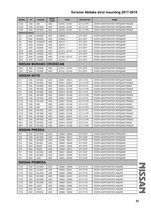| K12E<br>1500<br>K9K<br>2WD<br>200706 - 201007<br>0211-C11FR<br>ОПОРА АМОРТИЗАТОРА ПЕРЕДНЯЯ ПРАВАЯ<br><b>K12E</b><br>1600<br>HR16DE<br>2WD<br>200706 - 201007<br>0211-C11FL<br>ОПОРА АМОРТИЗАТОРА ПЕРЕДНЯЯ ЛЕВАЯ<br><b>K12E</b><br>2WD<br>1600<br>HR16DE<br>200706 - 201007<br>0211-C11FR<br>ОПОРА АМОРТИЗАТОРА ПЕРЕДНЯЯ ПРАВАЯ<br><b>NISSAN MURANO</b><br>Z51<br>2500<br>QR25DE<br>2WD<br>$200809 - <$<br>0211-Z51F<br>ОПОРА АМОРТИЗАТОРА ПЕРЕДНЯЯ<br>Z51<br>2500<br>QR25DE<br>4WD<br>$200809 - <$<br>0211-Z51F<br>ОПОРА АМОРТИЗАТОРА ПЕРЕДНЯЯ<br>Z51<br>2500<br>YD25DDTI<br>4WD<br>$200710 - <$<br>0211-Z51F<br>ОПОРА АМОРТИЗАТОРА ПЕРЕДНЯЯ<br>VQ35DE<br>2WD<br>Z51<br>3500<br>$200710 - <$<br>0211-Z51F<br>ОПОРА АМОРТИЗАТОРА ПЕРЕДНЯЯ<br>Z51<br>3500<br>VQ35DE<br>4WD<br>$200710 - <$<br>0211-Z51F<br>ОПОРА АМОРТИЗАТОРА ПЕРЕДНЯЯ<br>Z51R<br>3500<br>VQ35DE<br>4WD<br>201012 - 201312<br>0211-Z51F<br>ОПОРА АМОРТИЗАТОРА ПЕРЕДНЯЯ<br>Z51R<br>3500<br>VQ35DE<br>4WD<br>$201312 - 5$<br>0211-Z51F<br>ОПОРА АМОРТИЗАТОРА ПЕРЕДНЯЯ<br>VQ35DE<br>Z51Z<br>3500<br>4WD<br>201108 - 201312<br>0211-Z51F<br>ОПОРА АМОРТИЗАТОРА ПЕРЕДНЯЯ<br>Z51Z<br>3500<br>VQ35DE<br>4WD<br>$201312 - 5$<br>0211-Z51F<br>ОПОРА АМОРТИЗАТОРА ПЕРЕДНЯЯ<br><b>NISSAN MURANO CROSSCAB</b><br>CZ51<br>3500<br>VQ35DE<br>4WD<br>201012 - 201307<br>0211-Z51F<br>ОПОРА АМОРТИЗАТОРА ПЕРЕДНЯЯ<br>CZ51<br>3500<br>VQ35DE<br>4WD<br>201307 - 201404<br>0211-Z51F<br>ОПОРА АМОРТИЗАТОРА ПЕРЕДНЯЯ<br><b>NISSAN NOTE</b><br>E <sub>11</sub><br>1500<br>HR15DE<br>2WD<br>200501 - 200810<br>0211-C11FL<br>ОПОРА АМОРТИЗАТОРА ПЕРЕДНЯЯ ЛЕВАЯ<br>E <sub>11</sub><br>1500<br>HR15DE<br>2WD<br>200501 - 200810<br>0211-C11FR<br>ОПОРА АМОРТИЗАТОРА ПЕРЕДНЯЯ ПРАВАЯ<br>E <sub>11</sub><br>1500<br>HR15DE<br>2WD<br>200810 - 201208<br>0211-C11FL<br>ОПОРА АМОРТИЗАТОРА ПЕРЕДНЯЯ ЛЕВАЯ<br>E <sub>11</sub><br>1500<br>HR15DE<br>2WD<br>200810 - 201208<br>0211-C11FR<br>ОПОРА АМОРТИЗАТОРА ПЕРЕДНЯЯ ПРАВАЯ<br>HR16DE<br>2WD<br>ОПОРА АМОРТИЗАТОРА ПЕРЕДНЯЯ ЛЕВАЯ<br>E <sub>11</sub><br>1500<br>200810 - 201208<br>0211-C11FL<br>E <sub>11</sub><br>1500<br>HR16DE<br>2WD<br>0211-C11FR<br>ОПОРА АМОРТИЗАТОРА ПЕРЕДНЯЯ ПРАВАЯ<br>200810 - 201208<br>E11E<br>1400<br>CR14DE<br>2WD<br>200601 - 201308<br>0211-C11FL<br>ОПОРА АМОРТИЗАТОРА ПЕРЕДНЯЯ ЛЕВАЯ<br>E11E<br>1400<br>CR14DE<br>2WD<br>200601 - 201308<br>0211-C11FR<br>ОПОРА АМОРТИЗАТОРА ПЕРЕДНЯЯ ПРАВАЯ<br>E11E<br>1500<br>K9K<br>2WD<br>200601 - 201308<br>0211-C11FL<br>ОПОРА АМОРТИЗАТОРА ПЕРЕДНЯЯ ЛЕВАЯ<br>E11E<br>1500<br>K9K<br>2WD<br>200601 - 201308<br>0211-C11FR<br>ОПОРА АМОРТИЗАТОРА ПЕРЕДНЯЯ ПРАВАЯ<br>E11E<br>HR16DE<br>2WD<br>0211-C11FL<br>1600<br>200601 - 201308<br>ОПОРА АМОРТИЗАТОРА ПЕРЕДНЯЯ ЛЕВАЯ<br>E11E<br>1600<br>HR16DE<br>2WD<br>200601 - 201308<br>0211-C11FR<br>ОПОРА АМОРТИЗАТОРА ПЕРЕДНЯЯ ПРАВАЯ<br><b>NE11</b><br>1500<br>HR15DE<br>4WD<br>200501 - 200810<br>0211-C11FL<br>ОПОРА АМОРТИЗАТОРА ПЕРЕДНЯЯ ЛЕВАЯ<br><b>NE11</b><br>HR15DE<br>1500<br>4WD<br>200501 - 200810<br>0211-C11FR<br>ОПОРА АМОРТИЗАТОРА ПЕРЕДНЯЯ ПРАВАЯ<br><b>NE11</b><br>1500<br>HR15DE<br>4WD<br>200810 - 201208<br>0211-C11FL<br>ОПОРА АМОРТИЗАТОРА ПЕРЕДНЯЯ ЛЕВАЯ<br><b>NE11</b><br>  1500   HR15DE<br>4WD<br>200810 - 201208<br>0211-C11FR<br>ОПОРА АМОРТИЗАТОРА ПЕРЕДНЯЯ ПРАВАЯ<br><b>NISSAN PRESEA</b><br>1500<br>2WD<br>199006 - 199206<br>0211-N15F<br>R <sub>10</sub><br>GA15DS<br>ОПОРА АМОРТИЗАТОРА ПЕРЕДНЯЯ<br>2WD<br>R <sub>10</sub><br>1500<br>GA15DS<br>199206 - 199412<br>0211-N15F<br>ОПОРА АМОРТИЗАТОРА ПЕРЕДНЯЯ<br>R <sub>10</sub><br>1800<br>SR18DE<br>2WD<br>199206 - 199412<br>0211-N15F<br>ОПОРА АМОРТИЗАТОРА ПЕРЕДНЯЯ<br>R <sub>10</sub><br>1800<br>SR <sub>18</sub> DI<br>2WD<br>0211-N15F<br>199006 - 199206<br>ОПОРА АМОРТИЗАТОРА ПЕРЕДНЯЯ<br>R <sub>10</sub><br>2000<br>SR <sub>20</sub> D<br>2WD<br>199006 - 199206<br>0211-N15F<br>ОПОРА АМОРТИЗАТОРА ПЕРЕДНЯЯ<br>R <sub>10</sub><br>2000<br>SR <sub>20</sub> D<br>2WD<br>199206 - 199412<br>0211-N15F<br>ОПОРА АМОРТИЗАТОРА ПЕРЕДНЯЯ<br>2WD<br>199501 - 200008<br>R <sub>11</sub><br>1500<br>GA15DE<br>0211-N15F<br>ОПОРА АМОРТИЗАТОРА ПЕРЕДНЯЯ<br>R <sub>11</sub><br>1800<br>SR18DE<br>2WD<br>199501 - 200008<br>0211-N15F<br>ОПОРА АМОРТИЗАТОРА ПЕРЕДНЯЯ<br>R <sub>11</sub><br>2000<br>CD <sub>20</sub><br>2WD<br>199501 - 200008<br>0211-N15F<br>ОПОРА АМОРТИЗАТОРА ПЕРЕДНЯЯ<br><b>NISSAN PRIMERA</b><br>1600<br><b>P11E</b><br>GA16DE<br>2WD<br>199606 - 199906<br>0211-P11R<br>ОПОРА АМОРТИЗАТОРА ЗАДНЯЯ<br><b>P11E</b><br>1600<br>GA16DE<br>2WD<br>199606 - 200201<br>0211-P11R<br>ОПОРА АМОРТИЗАТОРА ЗАДНЯЯ<br><b>P11E</b><br>1600<br>QG16DE<br>2WD<br>199606 - 199906<br>0211-P11R<br>ОПОРА АМОРТИЗАТОРА ЗАДНЯЯ<br>QG16DE<br><b>P11E</b><br>1600<br>2WD<br>199606 - 200201<br>0211-P11R<br>ОПОРА АМОРТИЗАТОРА ЗАДНЯЯ<br>QG18DE<br><b>P11E</b><br>1800<br>2WD<br>199606 - 199906<br>0211-P11R<br>ОПОРА АМОРТИЗАТОРА ЗАДНЯЯ<br>2WD<br><b>P11E</b><br>1800<br>QG18DE<br>199606 - 200201<br>0211-P11R<br>ОПОРА АМОРТИЗАТОРА ЗАДНЯЯ<br><b>P11E</b><br>2WD<br>2000<br>CD <sub>20</sub> T<br>199606 - 199906<br>0211-P11R<br>ОПОРА АМОРТИЗАТОРА ЗАДНЯЯ<br><b>P11E</b><br>2000<br>CD <sub>20</sub> T<br>2WD<br>199606 - 200201<br>0211-P11R<br>ОПОРА АМОРТИЗАТОРА ЗАДНЯЯ | <b>MODEL</b> | cc   | <b>ENGINE</b> | <b>DRIVE</b><br><b>TYPE</b> | <b>YEAR</b>     | <b>AKITAKA NO</b> | <b>NAME</b>               |  |  |  |  |
|---------------------------------------------------------------------------------------------------------------------------------------------------------------------------------------------------------------------------------------------------------------------------------------------------------------------------------------------------------------------------------------------------------------------------------------------------------------------------------------------------------------------------------------------------------------------------------------------------------------------------------------------------------------------------------------------------------------------------------------------------------------------------------------------------------------------------------------------------------------------------------------------------------------------------------------------------------------------------------------------------------------------------------------------------------------------------------------------------------------------------------------------------------------------------------------------------------------------------------------------------------------------------------------------------------------------------------------------------------------------------------------------------------------------------------------------------------------------------------------------------------------------------------------------------------------------------------------------------------------------------------------------------------------------------------------------------------------------------------------------------------------------------------------------------------------------------------------------------------------------------------------------------------------------------------------------------------------------------------------------------------------------------------------------------------------------------------------------------------------------------------------------------------------------------------------------------------------------------------------------------------------------------------------------------------------------------------------------------------------------------------------------------------------------------------------------------------------------------------------------------------------------------------------------------------------------------------------------------------------------------------------------------------------------------------------------------------------------------------------------------------------------------------------------------------------------------------------------------------------------------------------------------------------------------------------------------------------------------------------------------------------------------------------------------------------------------------------------------------------------------------------------------------------------------------------------------------------------------------------------------------------------------------------------------------------------------------------------------------------------------------------------------------------------------------------------------------------------------------------------------------------------------------------------------------------------------------------------------------------------------------------------------------------------------------------------------------------------------------------------------------------------------------------------------------------------------------------------------------------------------------------------------------------------------------------------------------------------------------------------------------------------------------------------------------------------------------------------------------------------------------------------------------------------------------------------------------------------------------------------------------------------------------------------------------------------------------------------------------------------------------------------------------------------------------------------------------------------------------------------------------------------------------------------------------------------------------------------------------------------------------------------------------------------------------------------------------------------------------------------------------------------------------------------------------------------------------------------------------------------------------------------------------------------------------------------------------------------------------------------------------------------------------------------------------------------------------------------------------------------------------------------------------------------------------------------------------------------------------------------------------------------------|--------------|------|---------------|-----------------------------|-----------------|-------------------|---------------------------|--|--|--|--|
|                                                                                                                                                                                                                                                                                                                                                                                                                                                                                                                                                                                                                                                                                                                                                                                                                                                                                                                                                                                                                                                                                                                                                                                                                                                                                                                                                                                                                                                                                                                                                                                                                                                                                                                                                                                                                                                                                                                                                                                                                                                                                                                                                                                                                                                                                                                                                                                                                                                                                                                                                                                                                                                                                                                                                                                                                                                                                                                                                                                                                                                                                                                                                                                                                                                                                                                                                                                                                                                                                                                                                                                                                                                                                                                                                                                                                                                                                                                                                                                                                                                                                                                                                                                                                                                                                                                                                                                                                                                                                                                                                                                                                                                                                                                                                                                                                                                                                                                                                                                                                                                                                                                                                                                                                                                                           |              |      |               |                             |                 |                   |                           |  |  |  |  |
|                                                                                                                                                                                                                                                                                                                                                                                                                                                                                                                                                                                                                                                                                                                                                                                                                                                                                                                                                                                                                                                                                                                                                                                                                                                                                                                                                                                                                                                                                                                                                                                                                                                                                                                                                                                                                                                                                                                                                                                                                                                                                                                                                                                                                                                                                                                                                                                                                                                                                                                                                                                                                                                                                                                                                                                                                                                                                                                                                                                                                                                                                                                                                                                                                                                                                                                                                                                                                                                                                                                                                                                                                                                                                                                                                                                                                                                                                                                                                                                                                                                                                                                                                                                                                                                                                                                                                                                                                                                                                                                                                                                                                                                                                                                                                                                                                                                                                                                                                                                                                                                                                                                                                                                                                                                                           |              |      |               |                             |                 |                   |                           |  |  |  |  |
|                                                                                                                                                                                                                                                                                                                                                                                                                                                                                                                                                                                                                                                                                                                                                                                                                                                                                                                                                                                                                                                                                                                                                                                                                                                                                                                                                                                                                                                                                                                                                                                                                                                                                                                                                                                                                                                                                                                                                                                                                                                                                                                                                                                                                                                                                                                                                                                                                                                                                                                                                                                                                                                                                                                                                                                                                                                                                                                                                                                                                                                                                                                                                                                                                                                                                                                                                                                                                                                                                                                                                                                                                                                                                                                                                                                                                                                                                                                                                                                                                                                                                                                                                                                                                                                                                                                                                                                                                                                                                                                                                                                                                                                                                                                                                                                                                                                                                                                                                                                                                                                                                                                                                                                                                                                                           |              |      |               |                             |                 |                   |                           |  |  |  |  |
|                                                                                                                                                                                                                                                                                                                                                                                                                                                                                                                                                                                                                                                                                                                                                                                                                                                                                                                                                                                                                                                                                                                                                                                                                                                                                                                                                                                                                                                                                                                                                                                                                                                                                                                                                                                                                                                                                                                                                                                                                                                                                                                                                                                                                                                                                                                                                                                                                                                                                                                                                                                                                                                                                                                                                                                                                                                                                                                                                                                                                                                                                                                                                                                                                                                                                                                                                                                                                                                                                                                                                                                                                                                                                                                                                                                                                                                                                                                                                                                                                                                                                                                                                                                                                                                                                                                                                                                                                                                                                                                                                                                                                                                                                                                                                                                                                                                                                                                                                                                                                                                                                                                                                                                                                                                                           |              |      |               |                             |                 |                   |                           |  |  |  |  |
|                                                                                                                                                                                                                                                                                                                                                                                                                                                                                                                                                                                                                                                                                                                                                                                                                                                                                                                                                                                                                                                                                                                                                                                                                                                                                                                                                                                                                                                                                                                                                                                                                                                                                                                                                                                                                                                                                                                                                                                                                                                                                                                                                                                                                                                                                                                                                                                                                                                                                                                                                                                                                                                                                                                                                                                                                                                                                                                                                                                                                                                                                                                                                                                                                                                                                                                                                                                                                                                                                                                                                                                                                                                                                                                                                                                                                                                                                                                                                                                                                                                                                                                                                                                                                                                                                                                                                                                                                                                                                                                                                                                                                                                                                                                                                                                                                                                                                                                                                                                                                                                                                                                                                                                                                                                                           |              |      |               |                             |                 |                   |                           |  |  |  |  |
|                                                                                                                                                                                                                                                                                                                                                                                                                                                                                                                                                                                                                                                                                                                                                                                                                                                                                                                                                                                                                                                                                                                                                                                                                                                                                                                                                                                                                                                                                                                                                                                                                                                                                                                                                                                                                                                                                                                                                                                                                                                                                                                                                                                                                                                                                                                                                                                                                                                                                                                                                                                                                                                                                                                                                                                                                                                                                                                                                                                                                                                                                                                                                                                                                                                                                                                                                                                                                                                                                                                                                                                                                                                                                                                                                                                                                                                                                                                                                                                                                                                                                                                                                                                                                                                                                                                                                                                                                                                                                                                                                                                                                                                                                                                                                                                                                                                                                                                                                                                                                                                                                                                                                                                                                                                                           |              |      |               |                             |                 |                   |                           |  |  |  |  |
|                                                                                                                                                                                                                                                                                                                                                                                                                                                                                                                                                                                                                                                                                                                                                                                                                                                                                                                                                                                                                                                                                                                                                                                                                                                                                                                                                                                                                                                                                                                                                                                                                                                                                                                                                                                                                                                                                                                                                                                                                                                                                                                                                                                                                                                                                                                                                                                                                                                                                                                                                                                                                                                                                                                                                                                                                                                                                                                                                                                                                                                                                                                                                                                                                                                                                                                                                                                                                                                                                                                                                                                                                                                                                                                                                                                                                                                                                                                                                                                                                                                                                                                                                                                                                                                                                                                                                                                                                                                                                                                                                                                                                                                                                                                                                                                                                                                                                                                                                                                                                                                                                                                                                                                                                                                                           |              |      |               |                             |                 |                   |                           |  |  |  |  |
|                                                                                                                                                                                                                                                                                                                                                                                                                                                                                                                                                                                                                                                                                                                                                                                                                                                                                                                                                                                                                                                                                                                                                                                                                                                                                                                                                                                                                                                                                                                                                                                                                                                                                                                                                                                                                                                                                                                                                                                                                                                                                                                                                                                                                                                                                                                                                                                                                                                                                                                                                                                                                                                                                                                                                                                                                                                                                                                                                                                                                                                                                                                                                                                                                                                                                                                                                                                                                                                                                                                                                                                                                                                                                                                                                                                                                                                                                                                                                                                                                                                                                                                                                                                                                                                                                                                                                                                                                                                                                                                                                                                                                                                                                                                                                                                                                                                                                                                                                                                                                                                                                                                                                                                                                                                                           |              |      |               |                             |                 |                   |                           |  |  |  |  |
|                                                                                                                                                                                                                                                                                                                                                                                                                                                                                                                                                                                                                                                                                                                                                                                                                                                                                                                                                                                                                                                                                                                                                                                                                                                                                                                                                                                                                                                                                                                                                                                                                                                                                                                                                                                                                                                                                                                                                                                                                                                                                                                                                                                                                                                                                                                                                                                                                                                                                                                                                                                                                                                                                                                                                                                                                                                                                                                                                                                                                                                                                                                                                                                                                                                                                                                                                                                                                                                                                                                                                                                                                                                                                                                                                                                                                                                                                                                                                                                                                                                                                                                                                                                                                                                                                                                                                                                                                                                                                                                                                                                                                                                                                                                                                                                                                                                                                                                                                                                                                                                                                                                                                                                                                                                                           |              |      |               |                             |                 |                   |                           |  |  |  |  |
|                                                                                                                                                                                                                                                                                                                                                                                                                                                                                                                                                                                                                                                                                                                                                                                                                                                                                                                                                                                                                                                                                                                                                                                                                                                                                                                                                                                                                                                                                                                                                                                                                                                                                                                                                                                                                                                                                                                                                                                                                                                                                                                                                                                                                                                                                                                                                                                                                                                                                                                                                                                                                                                                                                                                                                                                                                                                                                                                                                                                                                                                                                                                                                                                                                                                                                                                                                                                                                                                                                                                                                                                                                                                                                                                                                                                                                                                                                                                                                                                                                                                                                                                                                                                                                                                                                                                                                                                                                                                                                                                                                                                                                                                                                                                                                                                                                                                                                                                                                                                                                                                                                                                                                                                                                                                           |              |      |               |                             |                 |                   |                           |  |  |  |  |
|                                                                                                                                                                                                                                                                                                                                                                                                                                                                                                                                                                                                                                                                                                                                                                                                                                                                                                                                                                                                                                                                                                                                                                                                                                                                                                                                                                                                                                                                                                                                                                                                                                                                                                                                                                                                                                                                                                                                                                                                                                                                                                                                                                                                                                                                                                                                                                                                                                                                                                                                                                                                                                                                                                                                                                                                                                                                                                                                                                                                                                                                                                                                                                                                                                                                                                                                                                                                                                                                                                                                                                                                                                                                                                                                                                                                                                                                                                                                                                                                                                                                                                                                                                                                                                                                                                                                                                                                                                                                                                                                                                                                                                                                                                                                                                                                                                                                                                                                                                                                                                                                                                                                                                                                                                                                           |              |      |               |                             |                 |                   |                           |  |  |  |  |
|                                                                                                                                                                                                                                                                                                                                                                                                                                                                                                                                                                                                                                                                                                                                                                                                                                                                                                                                                                                                                                                                                                                                                                                                                                                                                                                                                                                                                                                                                                                                                                                                                                                                                                                                                                                                                                                                                                                                                                                                                                                                                                                                                                                                                                                                                                                                                                                                                                                                                                                                                                                                                                                                                                                                                                                                                                                                                                                                                                                                                                                                                                                                                                                                                                                                                                                                                                                                                                                                                                                                                                                                                                                                                                                                                                                                                                                                                                                                                                                                                                                                                                                                                                                                                                                                                                                                                                                                                                                                                                                                                                                                                                                                                                                                                                                                                                                                                                                                                                                                                                                                                                                                                                                                                                                                           |              |      |               |                             |                 |                   |                           |  |  |  |  |
|                                                                                                                                                                                                                                                                                                                                                                                                                                                                                                                                                                                                                                                                                                                                                                                                                                                                                                                                                                                                                                                                                                                                                                                                                                                                                                                                                                                                                                                                                                                                                                                                                                                                                                                                                                                                                                                                                                                                                                                                                                                                                                                                                                                                                                                                                                                                                                                                                                                                                                                                                                                                                                                                                                                                                                                                                                                                                                                                                                                                                                                                                                                                                                                                                                                                                                                                                                                                                                                                                                                                                                                                                                                                                                                                                                                                                                                                                                                                                                                                                                                                                                                                                                                                                                                                                                                                                                                                                                                                                                                                                                                                                                                                                                                                                                                                                                                                                                                                                                                                                                                                                                                                                                                                                                                                           |              |      |               |                             |                 |                   |                           |  |  |  |  |
|                                                                                                                                                                                                                                                                                                                                                                                                                                                                                                                                                                                                                                                                                                                                                                                                                                                                                                                                                                                                                                                                                                                                                                                                                                                                                                                                                                                                                                                                                                                                                                                                                                                                                                                                                                                                                                                                                                                                                                                                                                                                                                                                                                                                                                                                                                                                                                                                                                                                                                                                                                                                                                                                                                                                                                                                                                                                                                                                                                                                                                                                                                                                                                                                                                                                                                                                                                                                                                                                                                                                                                                                                                                                                                                                                                                                                                                                                                                                                                                                                                                                                                                                                                                                                                                                                                                                                                                                                                                                                                                                                                                                                                                                                                                                                                                                                                                                                                                                                                                                                                                                                                                                                                                                                                                                           |              |      |               |                             |                 |                   |                           |  |  |  |  |
|                                                                                                                                                                                                                                                                                                                                                                                                                                                                                                                                                                                                                                                                                                                                                                                                                                                                                                                                                                                                                                                                                                                                                                                                                                                                                                                                                                                                                                                                                                                                                                                                                                                                                                                                                                                                                                                                                                                                                                                                                                                                                                                                                                                                                                                                                                                                                                                                                                                                                                                                                                                                                                                                                                                                                                                                                                                                                                                                                                                                                                                                                                                                                                                                                                                                                                                                                                                                                                                                                                                                                                                                                                                                                                                                                                                                                                                                                                                                                                                                                                                                                                                                                                                                                                                                                                                                                                                                                                                                                                                                                                                                                                                                                                                                                                                                                                                                                                                                                                                                                                                                                                                                                                                                                                                                           |              |      |               |                             |                 |                   |                           |  |  |  |  |
|                                                                                                                                                                                                                                                                                                                                                                                                                                                                                                                                                                                                                                                                                                                                                                                                                                                                                                                                                                                                                                                                                                                                                                                                                                                                                                                                                                                                                                                                                                                                                                                                                                                                                                                                                                                                                                                                                                                                                                                                                                                                                                                                                                                                                                                                                                                                                                                                                                                                                                                                                                                                                                                                                                                                                                                                                                                                                                                                                                                                                                                                                                                                                                                                                                                                                                                                                                                                                                                                                                                                                                                                                                                                                                                                                                                                                                                                                                                                                                                                                                                                                                                                                                                                                                                                                                                                                                                                                                                                                                                                                                                                                                                                                                                                                                                                                                                                                                                                                                                                                                                                                                                                                                                                                                                                           |              |      |               |                             |                 |                   |                           |  |  |  |  |
|                                                                                                                                                                                                                                                                                                                                                                                                                                                                                                                                                                                                                                                                                                                                                                                                                                                                                                                                                                                                                                                                                                                                                                                                                                                                                                                                                                                                                                                                                                                                                                                                                                                                                                                                                                                                                                                                                                                                                                                                                                                                                                                                                                                                                                                                                                                                                                                                                                                                                                                                                                                                                                                                                                                                                                                                                                                                                                                                                                                                                                                                                                                                                                                                                                                                                                                                                                                                                                                                                                                                                                                                                                                                                                                                                                                                                                                                                                                                                                                                                                                                                                                                                                                                                                                                                                                                                                                                                                                                                                                                                                                                                                                                                                                                                                                                                                                                                                                                                                                                                                                                                                                                                                                                                                                                           |              |      |               |                             |                 |                   |                           |  |  |  |  |
|                                                                                                                                                                                                                                                                                                                                                                                                                                                                                                                                                                                                                                                                                                                                                                                                                                                                                                                                                                                                                                                                                                                                                                                                                                                                                                                                                                                                                                                                                                                                                                                                                                                                                                                                                                                                                                                                                                                                                                                                                                                                                                                                                                                                                                                                                                                                                                                                                                                                                                                                                                                                                                                                                                                                                                                                                                                                                                                                                                                                                                                                                                                                                                                                                                                                                                                                                                                                                                                                                                                                                                                                                                                                                                                                                                                                                                                                                                                                                                                                                                                                                                                                                                                                                                                                                                                                                                                                                                                                                                                                                                                                                                                                                                                                                                                                                                                                                                                                                                                                                                                                                                                                                                                                                                                                           |              |      |               |                             |                 |                   |                           |  |  |  |  |
|                                                                                                                                                                                                                                                                                                                                                                                                                                                                                                                                                                                                                                                                                                                                                                                                                                                                                                                                                                                                                                                                                                                                                                                                                                                                                                                                                                                                                                                                                                                                                                                                                                                                                                                                                                                                                                                                                                                                                                                                                                                                                                                                                                                                                                                                                                                                                                                                                                                                                                                                                                                                                                                                                                                                                                                                                                                                                                                                                                                                                                                                                                                                                                                                                                                                                                                                                                                                                                                                                                                                                                                                                                                                                                                                                                                                                                                                                                                                                                                                                                                                                                                                                                                                                                                                                                                                                                                                                                                                                                                                                                                                                                                                                                                                                                                                                                                                                                                                                                                                                                                                                                                                                                                                                                                                           |              |      |               |                             |                 |                   |                           |  |  |  |  |
|                                                                                                                                                                                                                                                                                                                                                                                                                                                                                                                                                                                                                                                                                                                                                                                                                                                                                                                                                                                                                                                                                                                                                                                                                                                                                                                                                                                                                                                                                                                                                                                                                                                                                                                                                                                                                                                                                                                                                                                                                                                                                                                                                                                                                                                                                                                                                                                                                                                                                                                                                                                                                                                                                                                                                                                                                                                                                                                                                                                                                                                                                                                                                                                                                                                                                                                                                                                                                                                                                                                                                                                                                                                                                                                                                                                                                                                                                                                                                                                                                                                                                                                                                                                                                                                                                                                                                                                                                                                                                                                                                                                                                                                                                                                                                                                                                                                                                                                                                                                                                                                                                                                                                                                                                                                                           |              |      |               |                             |                 |                   |                           |  |  |  |  |
|                                                                                                                                                                                                                                                                                                                                                                                                                                                                                                                                                                                                                                                                                                                                                                                                                                                                                                                                                                                                                                                                                                                                                                                                                                                                                                                                                                                                                                                                                                                                                                                                                                                                                                                                                                                                                                                                                                                                                                                                                                                                                                                                                                                                                                                                                                                                                                                                                                                                                                                                                                                                                                                                                                                                                                                                                                                                                                                                                                                                                                                                                                                                                                                                                                                                                                                                                                                                                                                                                                                                                                                                                                                                                                                                                                                                                                                                                                                                                                                                                                                                                                                                                                                                                                                                                                                                                                                                                                                                                                                                                                                                                                                                                                                                                                                                                                                                                                                                                                                                                                                                                                                                                                                                                                                                           |              |      |               |                             |                 |                   |                           |  |  |  |  |
|                                                                                                                                                                                                                                                                                                                                                                                                                                                                                                                                                                                                                                                                                                                                                                                                                                                                                                                                                                                                                                                                                                                                                                                                                                                                                                                                                                                                                                                                                                                                                                                                                                                                                                                                                                                                                                                                                                                                                                                                                                                                                                                                                                                                                                                                                                                                                                                                                                                                                                                                                                                                                                                                                                                                                                                                                                                                                                                                                                                                                                                                                                                                                                                                                                                                                                                                                                                                                                                                                                                                                                                                                                                                                                                                                                                                                                                                                                                                                                                                                                                                                                                                                                                                                                                                                                                                                                                                                                                                                                                                                                                                                                                                                                                                                                                                                                                                                                                                                                                                                                                                                                                                                                                                                                                                           |              |      |               |                             |                 |                   |                           |  |  |  |  |
|                                                                                                                                                                                                                                                                                                                                                                                                                                                                                                                                                                                                                                                                                                                                                                                                                                                                                                                                                                                                                                                                                                                                                                                                                                                                                                                                                                                                                                                                                                                                                                                                                                                                                                                                                                                                                                                                                                                                                                                                                                                                                                                                                                                                                                                                                                                                                                                                                                                                                                                                                                                                                                                                                                                                                                                                                                                                                                                                                                                                                                                                                                                                                                                                                                                                                                                                                                                                                                                                                                                                                                                                                                                                                                                                                                                                                                                                                                                                                                                                                                                                                                                                                                                                                                                                                                                                                                                                                                                                                                                                                                                                                                                                                                                                                                                                                                                                                                                                                                                                                                                                                                                                                                                                                                                                           |              |      |               |                             |                 |                   |                           |  |  |  |  |
|                                                                                                                                                                                                                                                                                                                                                                                                                                                                                                                                                                                                                                                                                                                                                                                                                                                                                                                                                                                                                                                                                                                                                                                                                                                                                                                                                                                                                                                                                                                                                                                                                                                                                                                                                                                                                                                                                                                                                                                                                                                                                                                                                                                                                                                                                                                                                                                                                                                                                                                                                                                                                                                                                                                                                                                                                                                                                                                                                                                                                                                                                                                                                                                                                                                                                                                                                                                                                                                                                                                                                                                                                                                                                                                                                                                                                                                                                                                                                                                                                                                                                                                                                                                                                                                                                                                                                                                                                                                                                                                                                                                                                                                                                                                                                                                                                                                                                                                                                                                                                                                                                                                                                                                                                                                                           |              |      |               |                             |                 |                   |                           |  |  |  |  |
|                                                                                                                                                                                                                                                                                                                                                                                                                                                                                                                                                                                                                                                                                                                                                                                                                                                                                                                                                                                                                                                                                                                                                                                                                                                                                                                                                                                                                                                                                                                                                                                                                                                                                                                                                                                                                                                                                                                                                                                                                                                                                                                                                                                                                                                                                                                                                                                                                                                                                                                                                                                                                                                                                                                                                                                                                                                                                                                                                                                                                                                                                                                                                                                                                                                                                                                                                                                                                                                                                                                                                                                                                                                                                                                                                                                                                                                                                                                                                                                                                                                                                                                                                                                                                                                                                                                                                                                                                                                                                                                                                                                                                                                                                                                                                                                                                                                                                                                                                                                                                                                                                                                                                                                                                                                                           |              |      |               |                             |                 |                   |                           |  |  |  |  |
|                                                                                                                                                                                                                                                                                                                                                                                                                                                                                                                                                                                                                                                                                                                                                                                                                                                                                                                                                                                                                                                                                                                                                                                                                                                                                                                                                                                                                                                                                                                                                                                                                                                                                                                                                                                                                                                                                                                                                                                                                                                                                                                                                                                                                                                                                                                                                                                                                                                                                                                                                                                                                                                                                                                                                                                                                                                                                                                                                                                                                                                                                                                                                                                                                                                                                                                                                                                                                                                                                                                                                                                                                                                                                                                                                                                                                                                                                                                                                                                                                                                                                                                                                                                                                                                                                                                                                                                                                                                                                                                                                                                                                                                                                                                                                                                                                                                                                                                                                                                                                                                                                                                                                                                                                                                                           |              |      |               |                             |                 |                   |                           |  |  |  |  |
|                                                                                                                                                                                                                                                                                                                                                                                                                                                                                                                                                                                                                                                                                                                                                                                                                                                                                                                                                                                                                                                                                                                                                                                                                                                                                                                                                                                                                                                                                                                                                                                                                                                                                                                                                                                                                                                                                                                                                                                                                                                                                                                                                                                                                                                                                                                                                                                                                                                                                                                                                                                                                                                                                                                                                                                                                                                                                                                                                                                                                                                                                                                                                                                                                                                                                                                                                                                                                                                                                                                                                                                                                                                                                                                                                                                                                                                                                                                                                                                                                                                                                                                                                                                                                                                                                                                                                                                                                                                                                                                                                                                                                                                                                                                                                                                                                                                                                                                                                                                                                                                                                                                                                                                                                                                                           |              |      |               |                             |                 |                   |                           |  |  |  |  |
|                                                                                                                                                                                                                                                                                                                                                                                                                                                                                                                                                                                                                                                                                                                                                                                                                                                                                                                                                                                                                                                                                                                                                                                                                                                                                                                                                                                                                                                                                                                                                                                                                                                                                                                                                                                                                                                                                                                                                                                                                                                                                                                                                                                                                                                                                                                                                                                                                                                                                                                                                                                                                                                                                                                                                                                                                                                                                                                                                                                                                                                                                                                                                                                                                                                                                                                                                                                                                                                                                                                                                                                                                                                                                                                                                                                                                                                                                                                                                                                                                                                                                                                                                                                                                                                                                                                                                                                                                                                                                                                                                                                                                                                                                                                                                                                                                                                                                                                                                                                                                                                                                                                                                                                                                                                                           |              |      |               |                             |                 |                   |                           |  |  |  |  |
|                                                                                                                                                                                                                                                                                                                                                                                                                                                                                                                                                                                                                                                                                                                                                                                                                                                                                                                                                                                                                                                                                                                                                                                                                                                                                                                                                                                                                                                                                                                                                                                                                                                                                                                                                                                                                                                                                                                                                                                                                                                                                                                                                                                                                                                                                                                                                                                                                                                                                                                                                                                                                                                                                                                                                                                                                                                                                                                                                                                                                                                                                                                                                                                                                                                                                                                                                                                                                                                                                                                                                                                                                                                                                                                                                                                                                                                                                                                                                                                                                                                                                                                                                                                                                                                                                                                                                                                                                                                                                                                                                                                                                                                                                                                                                                                                                                                                                                                                                                                                                                                                                                                                                                                                                                                                           |              |      |               |                             |                 |                   |                           |  |  |  |  |
|                                                                                                                                                                                                                                                                                                                                                                                                                                                                                                                                                                                                                                                                                                                                                                                                                                                                                                                                                                                                                                                                                                                                                                                                                                                                                                                                                                                                                                                                                                                                                                                                                                                                                                                                                                                                                                                                                                                                                                                                                                                                                                                                                                                                                                                                                                                                                                                                                                                                                                                                                                                                                                                                                                                                                                                                                                                                                                                                                                                                                                                                                                                                                                                                                                                                                                                                                                                                                                                                                                                                                                                                                                                                                                                                                                                                                                                                                                                                                                                                                                                                                                                                                                                                                                                                                                                                                                                                                                                                                                                                                                                                                                                                                                                                                                                                                                                                                                                                                                                                                                                                                                                                                                                                                                                                           |              |      |               |                             |                 |                   |                           |  |  |  |  |
|                                                                                                                                                                                                                                                                                                                                                                                                                                                                                                                                                                                                                                                                                                                                                                                                                                                                                                                                                                                                                                                                                                                                                                                                                                                                                                                                                                                                                                                                                                                                                                                                                                                                                                                                                                                                                                                                                                                                                                                                                                                                                                                                                                                                                                                                                                                                                                                                                                                                                                                                                                                                                                                                                                                                                                                                                                                                                                                                                                                                                                                                                                                                                                                                                                                                                                                                                                                                                                                                                                                                                                                                                                                                                                                                                                                                                                                                                                                                                                                                                                                                                                                                                                                                                                                                                                                                                                                                                                                                                                                                                                                                                                                                                                                                                                                                                                                                                                                                                                                                                                                                                                                                                                                                                                                                           |              |      |               |                             |                 |                   |                           |  |  |  |  |
|                                                                                                                                                                                                                                                                                                                                                                                                                                                                                                                                                                                                                                                                                                                                                                                                                                                                                                                                                                                                                                                                                                                                                                                                                                                                                                                                                                                                                                                                                                                                                                                                                                                                                                                                                                                                                                                                                                                                                                                                                                                                                                                                                                                                                                                                                                                                                                                                                                                                                                                                                                                                                                                                                                                                                                                                                                                                                                                                                                                                                                                                                                                                                                                                                                                                                                                                                                                                                                                                                                                                                                                                                                                                                                                                                                                                                                                                                                                                                                                                                                                                                                                                                                                                                                                                                                                                                                                                                                                                                                                                                                                                                                                                                                                                                                                                                                                                                                                                                                                                                                                                                                                                                                                                                                                                           |              |      |               |                             |                 |                   |                           |  |  |  |  |
|                                                                                                                                                                                                                                                                                                                                                                                                                                                                                                                                                                                                                                                                                                                                                                                                                                                                                                                                                                                                                                                                                                                                                                                                                                                                                                                                                                                                                                                                                                                                                                                                                                                                                                                                                                                                                                                                                                                                                                                                                                                                                                                                                                                                                                                                                                                                                                                                                                                                                                                                                                                                                                                                                                                                                                                                                                                                                                                                                                                                                                                                                                                                                                                                                                                                                                                                                                                                                                                                                                                                                                                                                                                                                                                                                                                                                                                                                                                                                                                                                                                                                                                                                                                                                                                                                                                                                                                                                                                                                                                                                                                                                                                                                                                                                                                                                                                                                                                                                                                                                                                                                                                                                                                                                                                                           |              |      |               |                             |                 |                   |                           |  |  |  |  |
|                                                                                                                                                                                                                                                                                                                                                                                                                                                                                                                                                                                                                                                                                                                                                                                                                                                                                                                                                                                                                                                                                                                                                                                                                                                                                                                                                                                                                                                                                                                                                                                                                                                                                                                                                                                                                                                                                                                                                                                                                                                                                                                                                                                                                                                                                                                                                                                                                                                                                                                                                                                                                                                                                                                                                                                                                                                                                                                                                                                                                                                                                                                                                                                                                                                                                                                                                                                                                                                                                                                                                                                                                                                                                                                                                                                                                                                                                                                                                                                                                                                                                                                                                                                                                                                                                                                                                                                                                                                                                                                                                                                                                                                                                                                                                                                                                                                                                                                                                                                                                                                                                                                                                                                                                                                                           |              |      |               |                             |                 |                   |                           |  |  |  |  |
|                                                                                                                                                                                                                                                                                                                                                                                                                                                                                                                                                                                                                                                                                                                                                                                                                                                                                                                                                                                                                                                                                                                                                                                                                                                                                                                                                                                                                                                                                                                                                                                                                                                                                                                                                                                                                                                                                                                                                                                                                                                                                                                                                                                                                                                                                                                                                                                                                                                                                                                                                                                                                                                                                                                                                                                                                                                                                                                                                                                                                                                                                                                                                                                                                                                                                                                                                                                                                                                                                                                                                                                                                                                                                                                                                                                                                                                                                                                                                                                                                                                                                                                                                                                                                                                                                                                                                                                                                                                                                                                                                                                                                                                                                                                                                                                                                                                                                                                                                                                                                                                                                                                                                                                                                                                                           |              |      |               |                             |                 |                   |                           |  |  |  |  |
|                                                                                                                                                                                                                                                                                                                                                                                                                                                                                                                                                                                                                                                                                                                                                                                                                                                                                                                                                                                                                                                                                                                                                                                                                                                                                                                                                                                                                                                                                                                                                                                                                                                                                                                                                                                                                                                                                                                                                                                                                                                                                                                                                                                                                                                                                                                                                                                                                                                                                                                                                                                                                                                                                                                                                                                                                                                                                                                                                                                                                                                                                                                                                                                                                                                                                                                                                                                                                                                                                                                                                                                                                                                                                                                                                                                                                                                                                                                                                                                                                                                                                                                                                                                                                                                                                                                                                                                                                                                                                                                                                                                                                                                                                                                                                                                                                                                                                                                                                                                                                                                                                                                                                                                                                                                                           |              |      |               |                             |                 |                   |                           |  |  |  |  |
|                                                                                                                                                                                                                                                                                                                                                                                                                                                                                                                                                                                                                                                                                                                                                                                                                                                                                                                                                                                                                                                                                                                                                                                                                                                                                                                                                                                                                                                                                                                                                                                                                                                                                                                                                                                                                                                                                                                                                                                                                                                                                                                                                                                                                                                                                                                                                                                                                                                                                                                                                                                                                                                                                                                                                                                                                                                                                                                                                                                                                                                                                                                                                                                                                                                                                                                                                                                                                                                                                                                                                                                                                                                                                                                                                                                                                                                                                                                                                                                                                                                                                                                                                                                                                                                                                                                                                                                                                                                                                                                                                                                                                                                                                                                                                                                                                                                                                                                                                                                                                                                                                                                                                                                                                                                                           |              |      |               |                             |                 |                   |                           |  |  |  |  |
|                                                                                                                                                                                                                                                                                                                                                                                                                                                                                                                                                                                                                                                                                                                                                                                                                                                                                                                                                                                                                                                                                                                                                                                                                                                                                                                                                                                                                                                                                                                                                                                                                                                                                                                                                                                                                                                                                                                                                                                                                                                                                                                                                                                                                                                                                                                                                                                                                                                                                                                                                                                                                                                                                                                                                                                                                                                                                                                                                                                                                                                                                                                                                                                                                                                                                                                                                                                                                                                                                                                                                                                                                                                                                                                                                                                                                                                                                                                                                                                                                                                                                                                                                                                                                                                                                                                                                                                                                                                                                                                                                                                                                                                                                                                                                                                                                                                                                                                                                                                                                                                                                                                                                                                                                                                                           |              |      |               |                             |                 |                   |                           |  |  |  |  |
|                                                                                                                                                                                                                                                                                                                                                                                                                                                                                                                                                                                                                                                                                                                                                                                                                                                                                                                                                                                                                                                                                                                                                                                                                                                                                                                                                                                                                                                                                                                                                                                                                                                                                                                                                                                                                                                                                                                                                                                                                                                                                                                                                                                                                                                                                                                                                                                                                                                                                                                                                                                                                                                                                                                                                                                                                                                                                                                                                                                                                                                                                                                                                                                                                                                                                                                                                                                                                                                                                                                                                                                                                                                                                                                                                                                                                                                                                                                                                                                                                                                                                                                                                                                                                                                                                                                                                                                                                                                                                                                                                                                                                                                                                                                                                                                                                                                                                                                                                                                                                                                                                                                                                                                                                                                                           |              |      |               |                             |                 |                   |                           |  |  |  |  |
|                                                                                                                                                                                                                                                                                                                                                                                                                                                                                                                                                                                                                                                                                                                                                                                                                                                                                                                                                                                                                                                                                                                                                                                                                                                                                                                                                                                                                                                                                                                                                                                                                                                                                                                                                                                                                                                                                                                                                                                                                                                                                                                                                                                                                                                                                                                                                                                                                                                                                                                                                                                                                                                                                                                                                                                                                                                                                                                                                                                                                                                                                                                                                                                                                                                                                                                                                                                                                                                                                                                                                                                                                                                                                                                                                                                                                                                                                                                                                                                                                                                                                                                                                                                                                                                                                                                                                                                                                                                                                                                                                                                                                                                                                                                                                                                                                                                                                                                                                                                                                                                                                                                                                                                                                                                                           |              |      |               |                             |                 |                   |                           |  |  |  |  |
|                                                                                                                                                                                                                                                                                                                                                                                                                                                                                                                                                                                                                                                                                                                                                                                                                                                                                                                                                                                                                                                                                                                                                                                                                                                                                                                                                                                                                                                                                                                                                                                                                                                                                                                                                                                                                                                                                                                                                                                                                                                                                                                                                                                                                                                                                                                                                                                                                                                                                                                                                                                                                                                                                                                                                                                                                                                                                                                                                                                                                                                                                                                                                                                                                                                                                                                                                                                                                                                                                                                                                                                                                                                                                                                                                                                                                                                                                                                                                                                                                                                                                                                                                                                                                                                                                                                                                                                                                                                                                                                                                                                                                                                                                                                                                                                                                                                                                                                                                                                                                                                                                                                                                                                                                                                                           |              |      |               |                             |                 |                   |                           |  |  |  |  |
|                                                                                                                                                                                                                                                                                                                                                                                                                                                                                                                                                                                                                                                                                                                                                                                                                                                                                                                                                                                                                                                                                                                                                                                                                                                                                                                                                                                                                                                                                                                                                                                                                                                                                                                                                                                                                                                                                                                                                                                                                                                                                                                                                                                                                                                                                                                                                                                                                                                                                                                                                                                                                                                                                                                                                                                                                                                                                                                                                                                                                                                                                                                                                                                                                                                                                                                                                                                                                                                                                                                                                                                                                                                                                                                                                                                                                                                                                                                                                                                                                                                                                                                                                                                                                                                                                                                                                                                                                                                                                                                                                                                                                                                                                                                                                                                                                                                                                                                                                                                                                                                                                                                                                                                                                                                                           |              |      |               |                             |                 |                   |                           |  |  |  |  |
|                                                                                                                                                                                                                                                                                                                                                                                                                                                                                                                                                                                                                                                                                                                                                                                                                                                                                                                                                                                                                                                                                                                                                                                                                                                                                                                                                                                                                                                                                                                                                                                                                                                                                                                                                                                                                                                                                                                                                                                                                                                                                                                                                                                                                                                                                                                                                                                                                                                                                                                                                                                                                                                                                                                                                                                                                                                                                                                                                                                                                                                                                                                                                                                                                                                                                                                                                                                                                                                                                                                                                                                                                                                                                                                                                                                                                                                                                                                                                                                                                                                                                                                                                                                                                                                                                                                                                                                                                                                                                                                                                                                                                                                                                                                                                                                                                                                                                                                                                                                                                                                                                                                                                                                                                                                                           |              |      |               |                             |                 |                   |                           |  |  |  |  |
|                                                                                                                                                                                                                                                                                                                                                                                                                                                                                                                                                                                                                                                                                                                                                                                                                                                                                                                                                                                                                                                                                                                                                                                                                                                                                                                                                                                                                                                                                                                                                                                                                                                                                                                                                                                                                                                                                                                                                                                                                                                                                                                                                                                                                                                                                                                                                                                                                                                                                                                                                                                                                                                                                                                                                                                                                                                                                                                                                                                                                                                                                                                                                                                                                                                                                                                                                                                                                                                                                                                                                                                                                                                                                                                                                                                                                                                                                                                                                                                                                                                                                                                                                                                                                                                                                                                                                                                                                                                                                                                                                                                                                                                                                                                                                                                                                                                                                                                                                                                                                                                                                                                                                                                                                                                                           |              |      |               |                             |                 |                   |                           |  |  |  |  |
|                                                                                                                                                                                                                                                                                                                                                                                                                                                                                                                                                                                                                                                                                                                                                                                                                                                                                                                                                                                                                                                                                                                                                                                                                                                                                                                                                                                                                                                                                                                                                                                                                                                                                                                                                                                                                                                                                                                                                                                                                                                                                                                                                                                                                                                                                                                                                                                                                                                                                                                                                                                                                                                                                                                                                                                                                                                                                                                                                                                                                                                                                                                                                                                                                                                                                                                                                                                                                                                                                                                                                                                                                                                                                                                                                                                                                                                                                                                                                                                                                                                                                                                                                                                                                                                                                                                                                                                                                                                                                                                                                                                                                                                                                                                                                                                                                                                                                                                                                                                                                                                                                                                                                                                                                                                                           |              |      |               |                             |                 |                   |                           |  |  |  |  |
|                                                                                                                                                                                                                                                                                                                                                                                                                                                                                                                                                                                                                                                                                                                                                                                                                                                                                                                                                                                                                                                                                                                                                                                                                                                                                                                                                                                                                                                                                                                                                                                                                                                                                                                                                                                                                                                                                                                                                                                                                                                                                                                                                                                                                                                                                                                                                                                                                                                                                                                                                                                                                                                                                                                                                                                                                                                                                                                                                                                                                                                                                                                                                                                                                                                                                                                                                                                                                                                                                                                                                                                                                                                                                                                                                                                                                                                                                                                                                                                                                                                                                                                                                                                                                                                                                                                                                                                                                                                                                                                                                                                                                                                                                                                                                                                                                                                                                                                                                                                                                                                                                                                                                                                                                                                                           |              |      |               |                             |                 |                   |                           |  |  |  |  |
|                                                                                                                                                                                                                                                                                                                                                                                                                                                                                                                                                                                                                                                                                                                                                                                                                                                                                                                                                                                                                                                                                                                                                                                                                                                                                                                                                                                                                                                                                                                                                                                                                                                                                                                                                                                                                                                                                                                                                                                                                                                                                                                                                                                                                                                                                                                                                                                                                                                                                                                                                                                                                                                                                                                                                                                                                                                                                                                                                                                                                                                                                                                                                                                                                                                                                                                                                                                                                                                                                                                                                                                                                                                                                                                                                                                                                                                                                                                                                                                                                                                                                                                                                                                                                                                                                                                                                                                                                                                                                                                                                                                                                                                                                                                                                                                                                                                                                                                                                                                                                                                                                                                                                                                                                                                                           |              |      |               |                             |                 |                   |                           |  |  |  |  |
|                                                                                                                                                                                                                                                                                                                                                                                                                                                                                                                                                                                                                                                                                                                                                                                                                                                                                                                                                                                                                                                                                                                                                                                                                                                                                                                                                                                                                                                                                                                                                                                                                                                                                                                                                                                                                                                                                                                                                                                                                                                                                                                                                                                                                                                                                                                                                                                                                                                                                                                                                                                                                                                                                                                                                                                                                                                                                                                                                                                                                                                                                                                                                                                                                                                                                                                                                                                                                                                                                                                                                                                                                                                                                                                                                                                                                                                                                                                                                                                                                                                                                                                                                                                                                                                                                                                                                                                                                                                                                                                                                                                                                                                                                                                                                                                                                                                                                                                                                                                                                                                                                                                                                                                                                                                                           |              |      |               |                             |                 |                   |                           |  |  |  |  |
|                                                                                                                                                                                                                                                                                                                                                                                                                                                                                                                                                                                                                                                                                                                                                                                                                                                                                                                                                                                                                                                                                                                                                                                                                                                                                                                                                                                                                                                                                                                                                                                                                                                                                                                                                                                                                                                                                                                                                                                                                                                                                                                                                                                                                                                                                                                                                                                                                                                                                                                                                                                                                                                                                                                                                                                                                                                                                                                                                                                                                                                                                                                                                                                                                                                                                                                                                                                                                                                                                                                                                                                                                                                                                                                                                                                                                                                                                                                                                                                                                                                                                                                                                                                                                                                                                                                                                                                                                                                                                                                                                                                                                                                                                                                                                                                                                                                                                                                                                                                                                                                                                                                                                                                                                                                                           |              |      |               |                             |                 |                   |                           |  |  |  |  |
|                                                                                                                                                                                                                                                                                                                                                                                                                                                                                                                                                                                                                                                                                                                                                                                                                                                                                                                                                                                                                                                                                                                                                                                                                                                                                                                                                                                                                                                                                                                                                                                                                                                                                                                                                                                                                                                                                                                                                                                                                                                                                                                                                                                                                                                                                                                                                                                                                                                                                                                                                                                                                                                                                                                                                                                                                                                                                                                                                                                                                                                                                                                                                                                                                                                                                                                                                                                                                                                                                                                                                                                                                                                                                                                                                                                                                                                                                                                                                                                                                                                                                                                                                                                                                                                                                                                                                                                                                                                                                                                                                                                                                                                                                                                                                                                                                                                                                                                                                                                                                                                                                                                                                                                                                                                                           |              |      |               |                             |                 |                   |                           |  |  |  |  |
|                                                                                                                                                                                                                                                                                                                                                                                                                                                                                                                                                                                                                                                                                                                                                                                                                                                                                                                                                                                                                                                                                                                                                                                                                                                                                                                                                                                                                                                                                                                                                                                                                                                                                                                                                                                                                                                                                                                                                                                                                                                                                                                                                                                                                                                                                                                                                                                                                                                                                                                                                                                                                                                                                                                                                                                                                                                                                                                                                                                                                                                                                                                                                                                                                                                                                                                                                                                                                                                                                                                                                                                                                                                                                                                                                                                                                                                                                                                                                                                                                                                                                                                                                                                                                                                                                                                                                                                                                                                                                                                                                                                                                                                                                                                                                                                                                                                                                                                                                                                                                                                                                                                                                                                                                                                                           |              |      |               |                             |                 |                   |                           |  |  |  |  |
|                                                                                                                                                                                                                                                                                                                                                                                                                                                                                                                                                                                                                                                                                                                                                                                                                                                                                                                                                                                                                                                                                                                                                                                                                                                                                                                                                                                                                                                                                                                                                                                                                                                                                                                                                                                                                                                                                                                                                                                                                                                                                                                                                                                                                                                                                                                                                                                                                                                                                                                                                                                                                                                                                                                                                                                                                                                                                                                                                                                                                                                                                                                                                                                                                                                                                                                                                                                                                                                                                                                                                                                                                                                                                                                                                                                                                                                                                                                                                                                                                                                                                                                                                                                                                                                                                                                                                                                                                                                                                                                                                                                                                                                                                                                                                                                                                                                                                                                                                                                                                                                                                                                                                                                                                                                                           |              |      |               |                             |                 |                   |                           |  |  |  |  |
|                                                                                                                                                                                                                                                                                                                                                                                                                                                                                                                                                                                                                                                                                                                                                                                                                                                                                                                                                                                                                                                                                                                                                                                                                                                                                                                                                                                                                                                                                                                                                                                                                                                                                                                                                                                                                                                                                                                                                                                                                                                                                                                                                                                                                                                                                                                                                                                                                                                                                                                                                                                                                                                                                                                                                                                                                                                                                                                                                                                                                                                                                                                                                                                                                                                                                                                                                                                                                                                                                                                                                                                                                                                                                                                                                                                                                                                                                                                                                                                                                                                                                                                                                                                                                                                                                                                                                                                                                                                                                                                                                                                                                                                                                                                                                                                                                                                                                                                                                                                                                                                                                                                                                                                                                                                                           |              |      |               |                             |                 |                   |                           |  |  |  |  |
|                                                                                                                                                                                                                                                                                                                                                                                                                                                                                                                                                                                                                                                                                                                                                                                                                                                                                                                                                                                                                                                                                                                                                                                                                                                                                                                                                                                                                                                                                                                                                                                                                                                                                                                                                                                                                                                                                                                                                                                                                                                                                                                                                                                                                                                                                                                                                                                                                                                                                                                                                                                                                                                                                                                                                                                                                                                                                                                                                                                                                                                                                                                                                                                                                                                                                                                                                                                                                                                                                                                                                                                                                                                                                                                                                                                                                                                                                                                                                                                                                                                                                                                                                                                                                                                                                                                                                                                                                                                                                                                                                                                                                                                                                                                                                                                                                                                                                                                                                                                                                                                                                                                                                                                                                                                                           | <b>P11E</b>  | 2000 | SR20DE        | 2WD                         | 199606 - 199906 | 0211-P11R         | ОПОРА АМОРТИЗАТОРА ЗАДНЯЯ |  |  |  |  |

**NISSAN** NISSAN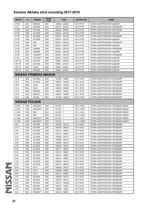|   | <b>MODEL</b>      | cc   | <b>ENGINE</b>                   | <b>DRIVE</b><br><b>TYPE</b> | <b>YEAR</b>     | <b>AKITAKA NO</b> | <b>NAME</b>                       |
|---|-------------------|------|---------------------------------|-----------------------------|-----------------|-------------------|-----------------------------------|
|   | <b>P11E</b>       | 2000 | SR20DE                          | 2WD                         | 199606 - 200201 | 0211-P11R         | ОПОРА АМОРТИЗАТОРА ЗАДНЯЯ         |
|   | P <sub>12</sub>   | 2000 | QR20DE                          | 2WD                         | 200101 - 200512 | 0211-P12F         | ОПОРА АМОРТИЗАТОРА ПЕРЕДНЯЯ       |
|   | <b>P12E</b>       | 1600 | QG16DE                          | 2WD                         | 200201 - 200705 | 0211-P12F         | ОПОРА АМОРТИЗАТОРА ПЕРЕДНЯЯ       |
|   | <b>P12E</b>       | 1600 | QG16DE                          | 2WD                         | 200201 - 200705 | 0211-P12R         | ОПОРА АМОРТИЗАТОРА ЗАДНЯЯ         |
|   | P <sub>12E</sub>  | 1800 | QG18DE                          | 2WD                         | 200201 - 200705 | 0211-P12F         | ОПОРА АМОРТИЗАТОРА ПЕРЕДНЯЯ       |
|   | <b>P12E</b>       | 1800 | QG18DE                          | 2WD                         | 200201 - 200705 | 0211-P12R         | ОПОРА АМОРТИЗАТОРА ЗАДНЯЯ         |
|   | <b>P12E</b>       | 1900 | F9Q                             | 2WD                         | 200201 - 200705 | 0211-P12F         | ОПОРА АМОРТИЗАТОРА ПЕРЕДНЯЯ       |
|   | <b>P12E</b>       | 1900 | F9Q                             | 2WD                         | 200201 - 200705 | 0211-P12R         | ОПОРА АМОРТИЗАТОРА ЗАДНЯЯ         |
|   | <b>P12E</b>       | 2000 | QR20DE                          | 2WD                         | 200201 - 200705 | 0211-P12F         | ОПОРА АМОРТИЗАТОРА ПЕРЕДНЯЯ       |
|   | <b>P12E</b>       | 2000 | QR20DE                          | 2WD                         | 200201 - 200705 | 0211-P12R         | ОПОРА АМОРТИЗАТОРА ЗАДНЯЯ         |
|   | <b>P12E</b>       | 2200 | YD22DDT                         | 2WD                         | 200201 - 200705 | 0211-P12F         | ОПОРА АМОРТИЗАТОРА ПЕРЕДНЯЯ       |
|   | <b>P12E</b>       | 2200 | YD22DDT                         | 2WD                         | 200201 - 200705 | 0211-P12R         | ОПОРА АМОРТИЗАТОРА ЗАДНЯЯ         |
|   | WP11E             | 1600 | GA16DE                          | 2WD                         | 199801 - 200201 | 0211-P11R         | ОПОРА АМОРТИЗАТОРА ЗАДНЯЯ         |
|   | WP11E             | 1800 | QG18DE                          | 2WD                         | 199801 - 200201 | 0211-P11R         | ОПОРА АМОРТИЗАТОРА ЗАДНЯЯ         |
|   | WP11E             | 2000 | CD <sub>20</sub> T              | 2WD                         | 199801 - 200201 | 0211-P11R         | ОПОРА АМОРТИЗАТОРА ЗАДНЯЯ         |
|   | WP11E             | 2000 | SR20DE                          | 2WD                         | 199801 - 200201 | 0211-P11R         | ОПОРА АМОРТИЗАТОРА ЗАДНЯЯ         |
|   |                   |      |                                 |                             |                 |                   |                                   |
|   |                   |      | <b>NISSAN PRIMERA WAGON</b>     |                             |                 |                   |                                   |
|   | W10               | 1600 | GA16DE                          | 2WD                         | 199309 - 199801 | 0211-W10F         | ОПОРА АМОРТИЗАТОРА ПЕРЕДНЯЯ       |
|   | W10               | 1600 | GA16DS                          | 2WD                         | 199007 - 199309 | 0211-W10F         | ОПОРА АМОРТИЗАТОРА ПЕРЕДНЯЯ       |
|   | W10               | 2000 | CD <sub>20</sub>                | 2WD                         | 199007 - 199309 | 0211-W10F         | ОПОРА АМОРТИЗАТОРА ПЕРЕДНЯЯ       |
|   | W10               | 2000 | CD <sub>20</sub>                | 2WD                         | 199309 - 199604 | 0211-W10F         | ОПОРА АМОРТИЗАТОРА ПЕРЕДНЯЯ       |
|   | W10               | 2000 | SR <sub>20</sub> DE             | 2WD                         | 199407 - 199801 | 0211-W10F         | ОПОРА АМОРТИЗАТОРА ПЕРЕДНЯЯ       |
|   | W10               | 2000 | SR <sub>20</sub> DI             | 2WD                         | 199007 - 199309 | 0211-W10F         | ОПОРА АМОРТИЗАТОРА ПЕРЕДНЯЯ       |
|   | W10               | 2000 | SR <sub>20</sub> DI             | 2WD                         | 199309 - 199407 | 0211-W10F         | ОПОРА АМОРТИЗАТОРА ПЕРЕДНЯЯ       |
|   |                   |      | <b>NISSAN PULSAR</b>            |                             |                 |                   |                                   |
|   | C <sub>13</sub> M | 1200 | HRA2DDT                         | 2WD                         | $201407 - <$    | 0211-J15FL        | ОПОРА АМОРТИЗАТОРА ПЕРЕДНЯЯ ЛЕВАЯ |
|   | C <sub>13</sub> M | 1200 | HRA2DDT                         | 2WD                         | $201407 - <$    | 0211-J15FR        | ОПОРА АМОРТИЗАТОРА ПЕРЕДНЯЯ ЛЕВАЯ |
|   | C <sub>13</sub> M | 1500 | K9K                             | 2WD                         | $201407 - <$    | 0211-J15FL        | ОПОРА АМОРТИЗАТОРА ПЕРЕДНЯЯ ЛЕВАЯ |
|   | C <sub>13</sub> M | 1500 | K9K                             | 2WD                         | $201407 - <$    | 0211-J15FR        | ОПОРА АМОРТИЗАТОРА ПЕРЕДНЯЯ ЛЕВАЯ |
|   | C <sub>13</sub> M | 1600 | MR16DDT                         | 2WD                         | $201407 -$      | 0211-J15FL        | ОПОРА АМОРТИЗАТОРА ПЕРЕДНЯЯ ЛЕВАЯ |
|   | C <sub>13</sub> M | 1600 | MR16DDT                         | 2WD                         | $201407 - <$    | 0211-J15FR        | ОПОРА АМОРТИЗАТОРА ПЕРЕДНЯЯ ЛЕВАЯ |
|   | N <sub>14</sub>   | 1300 | GA13DS                          | 2WD                         | 199008 - 199110 | 0211-N15F         | ОПОРА АМОРТИЗАТОРА ПЕРЕДНЯЯ       |
|   | N <sub>14</sub>   | 1300 | GA13DS                          | 2WD                         | 199008 - 199412 | 0211-N15F         | ОПОРА АМОРТИЗАТОРА ПЕРЕДНЯЯ       |
|   | N14               | 1300 | GA13DS                          | 2WD                         | 199110 - 199501 | 0211-N15F         | ОПОРА АМОРТИЗАТОРА ПЕРЕДНЯЯ       |
|   | N <sub>14</sub>   | 1300 | GA13DS                          | 2WD                         | 199412 - 199501 | 0211-N15F         | ОПОРА АМОРТИЗАТОРА ПЕРЕДНЯЯ       |
|   | N <sub>14</sub>   | 1500 | GA15DS                          | 2WD                         | 199008 - 199110 | 0211-N15F         | ОПОРА АМОРТИЗАТОРА ПЕРЕДНЯЯ       |
|   | N <sub>14</sub>   | 1500 | GA15DS                          | 4WD                         | 199008 - 199110 | 0211-N15F         | ОПОРА АМОРТИЗАТОРА ПЕРЕДНЯЯ       |
|   | N <sub>14</sub>   | 1500 | GA15DS                          | 2WD                         | 199008 - 199412 | 0211-N15F         | ОПОРА АМОРТИЗАТОРА ПЕРЕДНЯЯ       |
|   | N <sub>14</sub>   | 1500 | GA15DS                          | 4WD                         | 199008 - 199412 | 0211-N15F         | ОПОРА АМОРТИЗАТОРА ПЕРЕДНЯЯ       |
|   | N <sub>14</sub>   | 1500 | GA15DS                          | 2WD                         | 199110 - 199501 | 0211-N15F         | ОПОРА АМОРТИЗАТОРА ПЕРЕДНЯЯ       |
|   | N14               | 1500 | GA15DS                          | 4WD                         | 199110 - 199501 | 0211-N15F         | ОПОРА АМОРТИЗАТОРА ПЕРЕДНЯЯ       |
|   | N <sub>14</sub>   | 1500 | GA15DS                          | 2WD                         | 199412 - 199501 | 0211-N15F         | ОПОРА АМОРТИЗАТОРА ПЕРЕДНЯЯ       |
|   | N14               | 1500 | GA <sub>15</sub> D <sub>S</sub> | 4WD                         | 199412 - 199501 | 0211-N15F         | ОПОРА АМОРТИЗАТОРА ПЕРЕДНЯЯ       |
|   | N <sub>14</sub>   | 1600 | GA16DE                          | 2WD                         | 199008 - 199110 | 0211-N15F         | ОПОРА АМОРТИЗАТОРА ПЕРЕДНЯЯ       |
|   | N14               | 1600 | GA16DE                          | 2WD                         | 199110 - 199501 | 0211-N15F         | ОПОРА АМОРТИЗАТОРА ПЕРЕДНЯЯ       |
|   | N <sub>14</sub>   | 1700 | CD <sub>17</sub>                | 2WD                         | 199008 - 199110 | 0211-N15F         | ОПОРА АМОРТИЗАТОРА ПЕРЕДНЯЯ       |
|   | N14               | 1700 | CD <sub>17</sub>                | 2WD                         | 199008 - 199412 | 0211-N15F         | ОПОРА АМОРТИЗАТОРА ПЕРЕДНЯЯ       |
|   | N <sub>14</sub>   | 1700 | CD17                            | 2WD                         | 199110 - 199501 | 0211-N15F         | ОПОРА АМОРТИЗАТОРА ПЕРЕДНЯЯ       |
| N | N <sub>14</sub>   | 1800 | SR18DE                          | 2WD                         | 199008 - 199110 | 0211-N15F         | ОПОРА АМОРТИЗАТОРА ПЕРЕДНЯЯ       |
|   | N <sub>14</sub>   | 1800 | SR18DE                          | 2WD                         | 199008 - 199412 | 0211-N15F         | ОПОРА АМОРТИЗАТОРА ПЕРЕДНЯЯ       |
|   | N <sub>14</sub>   | 1800 | SR18DE                          | 2WD                         | 199110 - 199208 | 0211-N15F         | ОПОРА АМОРТИЗАТОРА ПЕРЕДНЯЯ       |
|   | N14               | 1800 | SR18DE                          | 2WD                         | 199412 - 199501 | 0211-N15F         | ОПОРА АМОРТИЗАТОРА ПЕРЕДНЯЯ       |
|   | N <sub>14</sub>   | 2000 | SR20DET                         | 4WD                         | 199008 - 199412 | 0211-N15F         | ОПОРА АМОРТИЗАТОРА ПЕРЕДНЯЯ       |
|   | N14               | 2000 | SR20DET                         | 4WD                         | 199412 - 199501 | 0211-N15F         | ОПОРА АМОРТИЗАТОРА ПЕРЕДНЯЯ       |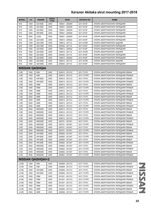| N <sub>15</sub><br>2WD<br>199501 - 200009<br>1500<br>GA15DE<br>0211-N15F<br>ОПОРА АМОРТИЗАТОРА ПЕРЕДНЯЯ<br>N <sub>15</sub><br>4WD<br>1500<br>GA15DE<br>199501 - 200009<br>0211-N15F<br>ОПОРА АМОРТИЗАТОРА ПЕРЕДНЯЯ<br>N <sub>15</sub><br>2WD<br>1600<br>GA16DE<br>199501 - 200009<br>0211-N15F<br>ОПОРА АМОРТИЗАТОРА ПЕРЕДНЯЯ<br>N <sub>15</sub><br>1800<br>SR <sub>18</sub> DE<br>2WD<br>199501 - 200009<br>0211-N15F<br>ОПОРА АМОРТИЗАТОРА ПЕРЕДНЯЯ<br>N <sub>15</sub><br>2000<br>CD <sub>20</sub><br>2WD<br>199501 - 200009<br>0211-N15F<br>ОПОРА АМОРТИЗАТОРА ПЕРЕДНЯЯ<br>2WD<br>N <sub>16</sub><br>1300<br>QG13DE<br>199912 - 200002<br>0211-N16F<br>ОПОРА АМОРТИЗАТОРА ПЕРЕДНЯЯ<br>N <sub>16</sub><br>QG13DE<br>2WD<br>1300<br>199912 - 201112<br>0211-N16R<br>ОПОРА АМОРТИЗАТОРА ЗАДНЯЯ<br>N <sub>16</sub><br>1300<br>QG13DE<br>2WD<br>200002 - 201112<br>0211-N16F<br>ОПОРА АМОРТИЗАТОРА ПЕРЕДНЯЯ<br>N <sub>16</sub><br>1600<br>QG16DE<br>2WD<br>199912 - 200002<br>0211-N16F<br>ОПОРА АМОРТИЗАТОРА ПЕРЕДНЯЯ<br>N <sub>16</sub><br>QG16DE<br>2WD<br>1600<br>199912 - 201112<br>0211-N16R<br>ОПОРА АМОРТИЗАТОРА ЗАДНЯЯ<br>N <sub>16</sub><br>1600<br>QG16DE<br>2WD<br>0211-N16F<br>200002 - 201112<br>ОПОРА АМОРТИЗАТОРА ПЕРЕДНЯЯ<br>N <sub>16</sub><br>1800<br>QG18DE<br>2WD<br>199912 - 200002<br>0211-N16F<br>ОПОРА АМОРТИЗАТОРА ПЕРЕДНЯЯ<br>QG18DE<br>2WD<br>N <sub>16</sub><br>1800<br>199912 - 201112<br>0211-N16R<br>ОПОРА АМОРТИЗАТОРА ЗАДНЯЯ<br>N <sub>16</sub><br>1800<br>QG18DE<br>2WD<br>200002 - 201112<br>0211-N16F<br>ОПОРА АМОРТИЗАТОРА ПЕРЕДНЯЯ<br><b>NISSAN QASHQAI</b><br>2WD<br>J10E<br>1500<br>K9K<br>200612 - 201312<br>0211-T31FL<br>ОПОРА АМОРТИЗАТОРА ПЕРЕДНЯЯ ЛЕВАЯ<br>J10E<br>1500<br>K9K<br>2WD<br>200612 - 201312<br>0211-T31FR<br>ОПОРА АМОРТИЗАТОРА ПЕРЕДНЯЯ ПРАВАЯ<br><b>J10E</b><br>1600<br>HR16DE<br>2WD<br>200612 - 201312<br>0211-T31FL<br>ОПОРА АМОРТИЗАТОРА ПЕРЕДНЯЯ ЛЕВАЯ<br>HR16DE<br>2WD<br>J10E<br>1600<br>200612 - 201312<br>0211-T31FR<br>ОПОРА АМОРТИЗАТОРА ПЕРЕДНЯЯ ПРАВАЯ<br>J10E<br>1600<br>R9M<br>2WD<br>200612 - 201312<br>0211-T31FL<br>ОПОРА АМОРТИЗАТОРА ПЕРЕДНЯЯ ЛЕВАЯ<br><b>J10E</b><br>1600<br>R9M<br>2WD<br>200612 - 201312<br>ОПОРА АМОРТИЗАТОРА ПЕРЕДНЯЯ ПРАВАЯ<br>0211-T31FR<br>R9M<br>J10E<br>1600<br>4WD<br>ОПОРА АМОРТИЗАТОРА ПЕРЕДНЯЯ ЛЕВАЯ<br>200612 - 201312<br>0211-T31FL<br><b>J10E</b><br>R9M<br>4WD<br>1600<br>200612 - 201312<br>0211-T31FR<br>ОПОРА АМОРТИЗАТОРА ПЕРЕДНЯЯ ПРАВАЯ<br><b>J10E</b><br>M9R<br>2WD<br>2000<br>200612 - 201312<br>0211-T31FL<br>ОПОРА АМОРТИЗАТОРА ПЕРЕДНЯЯ ЛЕВАЯ<br>J10E<br>2000<br>M9R<br>2WD<br>0211-T31FR<br>200612 - 201312<br>ОПОРА АМОРТИЗАТОРА ПЕРЕДНЯЯ ПРАВАЯ<br><b>J10E</b><br>M9R<br>4WD<br>2000<br>200612 - 201312<br>0211-T31FL<br>ОПОРА АМОРТИЗАТОРА ПЕРЕДНЯЯ ЛЕВАЯ<br>J10E<br>2000<br>M9R<br>4WD<br>200612 - 201312<br>0211-T31FR<br>ОПОРА АМОРТИЗАТОРА ПЕРЕДНЯЯ ПРАВАЯ<br>MR20DE<br><b>J10E</b><br>2000<br>2WD<br>200612 - 201312<br>0211-T31FL<br>ОПОРА АМОРТИЗАТОРА ПЕРЕДНЯЯ ЛЕВАЯ<br>J10E<br>2000<br>MR20DE<br>2WD<br>200612 - 201312<br>0211-T31FR<br>ОПОРА АМОРТИЗАТОРА ПЕРЕДНЯЯ ПРАВАЯ<br>J10E<br>2000<br>MR20DE<br>4WD<br>200612 - 201312<br>0211-T31FL<br>ОПОРА АМОРТИЗАТОРА ПЕРЕДНЯЯ ЛЕВАЯ<br><b>J10E</b><br>4WD<br>2000<br>MR20DE<br>200612 - 201312<br>0211-T31FR<br>ОПОРА АМОРТИЗАТОРА ПЕРЕДНЯЯ ПРАВАЯ<br>2WD<br>J10E<br>2000<br>MR20DE<br>200701 - 201001<br>ОПОРА АМОРТИЗАТОРА ПЕРЕДНЯЯ ЛЕВАЯ<br>0211-T31FL<br><b>J10E</b><br>2WD<br>2000<br>MR20DE<br>200701 - 201001<br>0211-T31FR<br>ОПОРА АМОРТИЗАТОРА ПЕРЕДНЯЯ ПРАВАЯ<br>J10E<br>2000<br>MR20DE<br>4WD<br>200701 - 201001<br>0211-T31FL<br>ОПОРА АМОРТИЗАТОРА ПЕРЕДНЯЯ ЛЕВАЯ<br>J10E<br>2000<br>MR20DE<br>4WD<br>200701 - 201001<br>0211-T31FR<br>ОПОРА АМОРТИЗАТОРА ПЕРЕДНЯЯ ПРАВАЯ<br>J10Z<br>HR16DE<br>2WD<br>2000<br>200802 - 201307<br>0211-T31FL<br>ОПОРА АМОРТИЗАТОРА ПЕРЕДНЯЯ ЛЕВАЯ<br>J10Z<br>2000<br>HR16DE<br>2WD<br>200802 - 201307<br>0211-T31FR<br>ОПОРА АМОРТИЗАТОРА ПЕРЕДНЯЯ ПРАВАЯ<br>J10Z<br>2000<br>HR16DE<br>4WD<br>200802 - 201307<br>ОПОРА АМОРТИЗАТОРА ПЕРЕДНЯЯ ЛЕВАЯ<br>0211-T31FL<br>J10Z<br>2000<br>HR16DE<br>4WD<br>200802 - 201307<br>ОПОРА АМОРТИЗАТОРА ПЕРЕДНЯЯ ПРАВАЯ<br>0211-T31FR<br>J10Z<br>2000<br>MR20DE<br>2WD<br>200802 - 201307<br>ОПОРА АМОРТИЗАТОРА ПЕРЕДНЯЯ ЛЕВАЯ<br>0211-T31FL<br>J10Z<br>2000<br>MR20DE<br>2WD<br>200802 - 201307<br>0211-T31FR<br>ОПОРА АМОРТИЗАТОРА ПЕРЕДНЯЯ ПРАВАЯ<br>J10Z<br>4WD<br>2000<br>MR20DE<br>200802 - 201307<br>0211-T31FL<br>ОПОРА АМОРТИЗАТОРА ПЕРЕДНЯЯ ЛЕВАЯ<br>J10Z<br>2000<br>MR20DE<br>4WD<br>ОПОРА АМОРТИЗАТОРА ПЕРЕДНЯЯ ПРАВАЯ<br>200802 - 201307<br>0211-T31FR<br><b>NISSAN QASHQAI+2</b><br>1500<br>JJ10E<br>K9K<br>2WD<br>200808 - 201312<br>0211-T31FL<br>ОПОРА АМОРТИЗАТОРА ПЕРЕДНЯЯ ЛЕВАЯ<br>JJ10E<br>K9K<br>2WD<br>1500<br>200808 - 201312<br>0211-T31FR<br>ОПОРА АМОРТИЗАТОРА ПЕРЕДНЯЯ ПРАВАЯ<br>JJ10E<br>1600<br>HR16DE<br>2WD<br>200808 - 201312<br>0211-T31FL<br>ОПОРА АМОРТИЗАТОРА ПЕРЕДНЯЯ ЛЕВАЯ<br>1600<br>HR16DE<br>JJ10E<br>2WD<br>200808 - 201312<br>0211-T31FR<br>ОПОРА АМОРТИЗАТОРА ПЕРЕДНЯЯ ПРАВАЯ | <b>MODEL</b> | cc   | <b>ENGINE</b> | <b>DRIVE</b><br><b>TYPE</b> | <b>YEAR</b>     | <b>AKITAKA NO</b> | <b>NAME</b>                       |  |  |  |  |
|-----------------------------------------------------------------------------------------------------------------------------------------------------------------------------------------------------------------------------------------------------------------------------------------------------------------------------------------------------------------------------------------------------------------------------------------------------------------------------------------------------------------------------------------------------------------------------------------------------------------------------------------------------------------------------------------------------------------------------------------------------------------------------------------------------------------------------------------------------------------------------------------------------------------------------------------------------------------------------------------------------------------------------------------------------------------------------------------------------------------------------------------------------------------------------------------------------------------------------------------------------------------------------------------------------------------------------------------------------------------------------------------------------------------------------------------------------------------------------------------------------------------------------------------------------------------------------------------------------------------------------------------------------------------------------------------------------------------------------------------------------------------------------------------------------------------------------------------------------------------------------------------------------------------------------------------------------------------------------------------------------------------------------------------------------------------------------------------------------------------------------------------------------------------------------------------------------------------------------------------------------------------------------------------------------------------------------------------------------------------------------------------------------------------------------------------------------------------------------------------------------------------------------------------------------------------------------------------------------------------------------------------------------------------------------------------------------------------------------------------------------------------------------------------------------------------------------------------------------------------------------------------------------------------------------------------------------------------------------------------------------------------------------------------------------------------------------------------------------------------------------------------------------------------------------------------------------------------------------------------------------------------------------------------------------------------------------------------------------------------------------------------------------------------------------------------------------------------------------------------------------------------------------------------------------------------------------------------------------------------------------------------------------------------------------------------------------------------------------------------------------------------------------------------------------------------------------------------------------------------------------------------------------------------------------------------------------------------------------------------------------------------------------------------------------------------------------------------------------------------------------------------------------------------------------------------------------------------------------------------------------------------------------------------------------------------------------------------------------------------------------------------------------------------------------------------------------------------------------------------------------------------------------------------------------------------------------------------------------------------------------------------------------------------------------------------------------------------------------------------------------------------------------------------------------------------------------------------------------------------------------------------------------------------------------------------------------------------------------------------------------------------------------------------------------------------------------------------------------|--------------|------|---------------|-----------------------------|-----------------|-------------------|-----------------------------------|--|--|--|--|
|                                                                                                                                                                                                                                                                                                                                                                                                                                                                                                                                                                                                                                                                                                                                                                                                                                                                                                                                                                                                                                                                                                                                                                                                                                                                                                                                                                                                                                                                                                                                                                                                                                                                                                                                                                                                                                                                                                                                                                                                                                                                                                                                                                                                                                                                                                                                                                                                                                                                                                                                                                                                                                                                                                                                                                                                                                                                                                                                                                                                                                                                                                                                                                                                                                                                                                                                                                                                                                                                                                                                                                                                                                                                                                                                                                                                                                                                                                                                                                                                                                                                                                                                                                                                                                                                                                                                                                                                                                                                                                                                                                                                                                                                                                                                                                                                                                                                                                                                                                                                                                                                                                     |              |      |               |                             |                 |                   |                                   |  |  |  |  |
|                                                                                                                                                                                                                                                                                                                                                                                                                                                                                                                                                                                                                                                                                                                                                                                                                                                                                                                                                                                                                                                                                                                                                                                                                                                                                                                                                                                                                                                                                                                                                                                                                                                                                                                                                                                                                                                                                                                                                                                                                                                                                                                                                                                                                                                                                                                                                                                                                                                                                                                                                                                                                                                                                                                                                                                                                                                                                                                                                                                                                                                                                                                                                                                                                                                                                                                                                                                                                                                                                                                                                                                                                                                                                                                                                                                                                                                                                                                                                                                                                                                                                                                                                                                                                                                                                                                                                                                                                                                                                                                                                                                                                                                                                                                                                                                                                                                                                                                                                                                                                                                                                                     |              |      |               |                             |                 |                   |                                   |  |  |  |  |
|                                                                                                                                                                                                                                                                                                                                                                                                                                                                                                                                                                                                                                                                                                                                                                                                                                                                                                                                                                                                                                                                                                                                                                                                                                                                                                                                                                                                                                                                                                                                                                                                                                                                                                                                                                                                                                                                                                                                                                                                                                                                                                                                                                                                                                                                                                                                                                                                                                                                                                                                                                                                                                                                                                                                                                                                                                                                                                                                                                                                                                                                                                                                                                                                                                                                                                                                                                                                                                                                                                                                                                                                                                                                                                                                                                                                                                                                                                                                                                                                                                                                                                                                                                                                                                                                                                                                                                                                                                                                                                                                                                                                                                                                                                                                                                                                                                                                                                                                                                                                                                                                                                     |              |      |               |                             |                 |                   |                                   |  |  |  |  |
|                                                                                                                                                                                                                                                                                                                                                                                                                                                                                                                                                                                                                                                                                                                                                                                                                                                                                                                                                                                                                                                                                                                                                                                                                                                                                                                                                                                                                                                                                                                                                                                                                                                                                                                                                                                                                                                                                                                                                                                                                                                                                                                                                                                                                                                                                                                                                                                                                                                                                                                                                                                                                                                                                                                                                                                                                                                                                                                                                                                                                                                                                                                                                                                                                                                                                                                                                                                                                                                                                                                                                                                                                                                                                                                                                                                                                                                                                                                                                                                                                                                                                                                                                                                                                                                                                                                                                                                                                                                                                                                                                                                                                                                                                                                                                                                                                                                                                                                                                                                                                                                                                                     |              |      |               |                             |                 |                   |                                   |  |  |  |  |
|                                                                                                                                                                                                                                                                                                                                                                                                                                                                                                                                                                                                                                                                                                                                                                                                                                                                                                                                                                                                                                                                                                                                                                                                                                                                                                                                                                                                                                                                                                                                                                                                                                                                                                                                                                                                                                                                                                                                                                                                                                                                                                                                                                                                                                                                                                                                                                                                                                                                                                                                                                                                                                                                                                                                                                                                                                                                                                                                                                                                                                                                                                                                                                                                                                                                                                                                                                                                                                                                                                                                                                                                                                                                                                                                                                                                                                                                                                                                                                                                                                                                                                                                                                                                                                                                                                                                                                                                                                                                                                                                                                                                                                                                                                                                                                                                                                                                                                                                                                                                                                                                                                     |              |      |               |                             |                 |                   |                                   |  |  |  |  |
|                                                                                                                                                                                                                                                                                                                                                                                                                                                                                                                                                                                                                                                                                                                                                                                                                                                                                                                                                                                                                                                                                                                                                                                                                                                                                                                                                                                                                                                                                                                                                                                                                                                                                                                                                                                                                                                                                                                                                                                                                                                                                                                                                                                                                                                                                                                                                                                                                                                                                                                                                                                                                                                                                                                                                                                                                                                                                                                                                                                                                                                                                                                                                                                                                                                                                                                                                                                                                                                                                                                                                                                                                                                                                                                                                                                                                                                                                                                                                                                                                                                                                                                                                                                                                                                                                                                                                                                                                                                                                                                                                                                                                                                                                                                                                                                                                                                                                                                                                                                                                                                                                                     |              |      |               |                             |                 |                   |                                   |  |  |  |  |
|                                                                                                                                                                                                                                                                                                                                                                                                                                                                                                                                                                                                                                                                                                                                                                                                                                                                                                                                                                                                                                                                                                                                                                                                                                                                                                                                                                                                                                                                                                                                                                                                                                                                                                                                                                                                                                                                                                                                                                                                                                                                                                                                                                                                                                                                                                                                                                                                                                                                                                                                                                                                                                                                                                                                                                                                                                                                                                                                                                                                                                                                                                                                                                                                                                                                                                                                                                                                                                                                                                                                                                                                                                                                                                                                                                                                                                                                                                                                                                                                                                                                                                                                                                                                                                                                                                                                                                                                                                                                                                                                                                                                                                                                                                                                                                                                                                                                                                                                                                                                                                                                                                     |              |      |               |                             |                 |                   |                                   |  |  |  |  |
|                                                                                                                                                                                                                                                                                                                                                                                                                                                                                                                                                                                                                                                                                                                                                                                                                                                                                                                                                                                                                                                                                                                                                                                                                                                                                                                                                                                                                                                                                                                                                                                                                                                                                                                                                                                                                                                                                                                                                                                                                                                                                                                                                                                                                                                                                                                                                                                                                                                                                                                                                                                                                                                                                                                                                                                                                                                                                                                                                                                                                                                                                                                                                                                                                                                                                                                                                                                                                                                                                                                                                                                                                                                                                                                                                                                                                                                                                                                                                                                                                                                                                                                                                                                                                                                                                                                                                                                                                                                                                                                                                                                                                                                                                                                                                                                                                                                                                                                                                                                                                                                                                                     |              |      |               |                             |                 |                   |                                   |  |  |  |  |
|                                                                                                                                                                                                                                                                                                                                                                                                                                                                                                                                                                                                                                                                                                                                                                                                                                                                                                                                                                                                                                                                                                                                                                                                                                                                                                                                                                                                                                                                                                                                                                                                                                                                                                                                                                                                                                                                                                                                                                                                                                                                                                                                                                                                                                                                                                                                                                                                                                                                                                                                                                                                                                                                                                                                                                                                                                                                                                                                                                                                                                                                                                                                                                                                                                                                                                                                                                                                                                                                                                                                                                                                                                                                                                                                                                                                                                                                                                                                                                                                                                                                                                                                                                                                                                                                                                                                                                                                                                                                                                                                                                                                                                                                                                                                                                                                                                                                                                                                                                                                                                                                                                     |              |      |               |                             |                 |                   |                                   |  |  |  |  |
|                                                                                                                                                                                                                                                                                                                                                                                                                                                                                                                                                                                                                                                                                                                                                                                                                                                                                                                                                                                                                                                                                                                                                                                                                                                                                                                                                                                                                                                                                                                                                                                                                                                                                                                                                                                                                                                                                                                                                                                                                                                                                                                                                                                                                                                                                                                                                                                                                                                                                                                                                                                                                                                                                                                                                                                                                                                                                                                                                                                                                                                                                                                                                                                                                                                                                                                                                                                                                                                                                                                                                                                                                                                                                                                                                                                                                                                                                                                                                                                                                                                                                                                                                                                                                                                                                                                                                                                                                                                                                                                                                                                                                                                                                                                                                                                                                                                                                                                                                                                                                                                                                                     |              |      |               |                             |                 |                   |                                   |  |  |  |  |
|                                                                                                                                                                                                                                                                                                                                                                                                                                                                                                                                                                                                                                                                                                                                                                                                                                                                                                                                                                                                                                                                                                                                                                                                                                                                                                                                                                                                                                                                                                                                                                                                                                                                                                                                                                                                                                                                                                                                                                                                                                                                                                                                                                                                                                                                                                                                                                                                                                                                                                                                                                                                                                                                                                                                                                                                                                                                                                                                                                                                                                                                                                                                                                                                                                                                                                                                                                                                                                                                                                                                                                                                                                                                                                                                                                                                                                                                                                                                                                                                                                                                                                                                                                                                                                                                                                                                                                                                                                                                                                                                                                                                                                                                                                                                                                                                                                                                                                                                                                                                                                                                                                     |              |      |               |                             |                 |                   |                                   |  |  |  |  |
|                                                                                                                                                                                                                                                                                                                                                                                                                                                                                                                                                                                                                                                                                                                                                                                                                                                                                                                                                                                                                                                                                                                                                                                                                                                                                                                                                                                                                                                                                                                                                                                                                                                                                                                                                                                                                                                                                                                                                                                                                                                                                                                                                                                                                                                                                                                                                                                                                                                                                                                                                                                                                                                                                                                                                                                                                                                                                                                                                                                                                                                                                                                                                                                                                                                                                                                                                                                                                                                                                                                                                                                                                                                                                                                                                                                                                                                                                                                                                                                                                                                                                                                                                                                                                                                                                                                                                                                                                                                                                                                                                                                                                                                                                                                                                                                                                                                                                                                                                                                                                                                                                                     |              |      |               |                             |                 |                   |                                   |  |  |  |  |
|                                                                                                                                                                                                                                                                                                                                                                                                                                                                                                                                                                                                                                                                                                                                                                                                                                                                                                                                                                                                                                                                                                                                                                                                                                                                                                                                                                                                                                                                                                                                                                                                                                                                                                                                                                                                                                                                                                                                                                                                                                                                                                                                                                                                                                                                                                                                                                                                                                                                                                                                                                                                                                                                                                                                                                                                                                                                                                                                                                                                                                                                                                                                                                                                                                                                                                                                                                                                                                                                                                                                                                                                                                                                                                                                                                                                                                                                                                                                                                                                                                                                                                                                                                                                                                                                                                                                                                                                                                                                                                                                                                                                                                                                                                                                                                                                                                                                                                                                                                                                                                                                                                     |              |      |               |                             |                 |                   |                                   |  |  |  |  |
|                                                                                                                                                                                                                                                                                                                                                                                                                                                                                                                                                                                                                                                                                                                                                                                                                                                                                                                                                                                                                                                                                                                                                                                                                                                                                                                                                                                                                                                                                                                                                                                                                                                                                                                                                                                                                                                                                                                                                                                                                                                                                                                                                                                                                                                                                                                                                                                                                                                                                                                                                                                                                                                                                                                                                                                                                                                                                                                                                                                                                                                                                                                                                                                                                                                                                                                                                                                                                                                                                                                                                                                                                                                                                                                                                                                                                                                                                                                                                                                                                                                                                                                                                                                                                                                                                                                                                                                                                                                                                                                                                                                                                                                                                                                                                                                                                                                                                                                                                                                                                                                                                                     |              |      |               |                             |                 |                   |                                   |  |  |  |  |
|                                                                                                                                                                                                                                                                                                                                                                                                                                                                                                                                                                                                                                                                                                                                                                                                                                                                                                                                                                                                                                                                                                                                                                                                                                                                                                                                                                                                                                                                                                                                                                                                                                                                                                                                                                                                                                                                                                                                                                                                                                                                                                                                                                                                                                                                                                                                                                                                                                                                                                                                                                                                                                                                                                                                                                                                                                                                                                                                                                                                                                                                                                                                                                                                                                                                                                                                                                                                                                                                                                                                                                                                                                                                                                                                                                                                                                                                                                                                                                                                                                                                                                                                                                                                                                                                                                                                                                                                                                                                                                                                                                                                                                                                                                                                                                                                                                                                                                                                                                                                                                                                                                     |              |      |               |                             |                 |                   |                                   |  |  |  |  |
|                                                                                                                                                                                                                                                                                                                                                                                                                                                                                                                                                                                                                                                                                                                                                                                                                                                                                                                                                                                                                                                                                                                                                                                                                                                                                                                                                                                                                                                                                                                                                                                                                                                                                                                                                                                                                                                                                                                                                                                                                                                                                                                                                                                                                                                                                                                                                                                                                                                                                                                                                                                                                                                                                                                                                                                                                                                                                                                                                                                                                                                                                                                                                                                                                                                                                                                                                                                                                                                                                                                                                                                                                                                                                                                                                                                                                                                                                                                                                                                                                                                                                                                                                                                                                                                                                                                                                                                                                                                                                                                                                                                                                                                                                                                                                                                                                                                                                                                                                                                                                                                                                                     |              |      |               |                             |                 |                   |                                   |  |  |  |  |
|                                                                                                                                                                                                                                                                                                                                                                                                                                                                                                                                                                                                                                                                                                                                                                                                                                                                                                                                                                                                                                                                                                                                                                                                                                                                                                                                                                                                                                                                                                                                                                                                                                                                                                                                                                                                                                                                                                                                                                                                                                                                                                                                                                                                                                                                                                                                                                                                                                                                                                                                                                                                                                                                                                                                                                                                                                                                                                                                                                                                                                                                                                                                                                                                                                                                                                                                                                                                                                                                                                                                                                                                                                                                                                                                                                                                                                                                                                                                                                                                                                                                                                                                                                                                                                                                                                                                                                                                                                                                                                                                                                                                                                                                                                                                                                                                                                                                                                                                                                                                                                                                                                     |              |      |               |                             |                 |                   |                                   |  |  |  |  |
|                                                                                                                                                                                                                                                                                                                                                                                                                                                                                                                                                                                                                                                                                                                                                                                                                                                                                                                                                                                                                                                                                                                                                                                                                                                                                                                                                                                                                                                                                                                                                                                                                                                                                                                                                                                                                                                                                                                                                                                                                                                                                                                                                                                                                                                                                                                                                                                                                                                                                                                                                                                                                                                                                                                                                                                                                                                                                                                                                                                                                                                                                                                                                                                                                                                                                                                                                                                                                                                                                                                                                                                                                                                                                                                                                                                                                                                                                                                                                                                                                                                                                                                                                                                                                                                                                                                                                                                                                                                                                                                                                                                                                                                                                                                                                                                                                                                                                                                                                                                                                                                                                                     |              |      |               |                             |                 |                   |                                   |  |  |  |  |
|                                                                                                                                                                                                                                                                                                                                                                                                                                                                                                                                                                                                                                                                                                                                                                                                                                                                                                                                                                                                                                                                                                                                                                                                                                                                                                                                                                                                                                                                                                                                                                                                                                                                                                                                                                                                                                                                                                                                                                                                                                                                                                                                                                                                                                                                                                                                                                                                                                                                                                                                                                                                                                                                                                                                                                                                                                                                                                                                                                                                                                                                                                                                                                                                                                                                                                                                                                                                                                                                                                                                                                                                                                                                                                                                                                                                                                                                                                                                                                                                                                                                                                                                                                                                                                                                                                                                                                                                                                                                                                                                                                                                                                                                                                                                                                                                                                                                                                                                                                                                                                                                                                     |              |      |               |                             |                 |                   |                                   |  |  |  |  |
|                                                                                                                                                                                                                                                                                                                                                                                                                                                                                                                                                                                                                                                                                                                                                                                                                                                                                                                                                                                                                                                                                                                                                                                                                                                                                                                                                                                                                                                                                                                                                                                                                                                                                                                                                                                                                                                                                                                                                                                                                                                                                                                                                                                                                                                                                                                                                                                                                                                                                                                                                                                                                                                                                                                                                                                                                                                                                                                                                                                                                                                                                                                                                                                                                                                                                                                                                                                                                                                                                                                                                                                                                                                                                                                                                                                                                                                                                                                                                                                                                                                                                                                                                                                                                                                                                                                                                                                                                                                                                                                                                                                                                                                                                                                                                                                                                                                                                                                                                                                                                                                                                                     |              |      |               |                             |                 |                   |                                   |  |  |  |  |
|                                                                                                                                                                                                                                                                                                                                                                                                                                                                                                                                                                                                                                                                                                                                                                                                                                                                                                                                                                                                                                                                                                                                                                                                                                                                                                                                                                                                                                                                                                                                                                                                                                                                                                                                                                                                                                                                                                                                                                                                                                                                                                                                                                                                                                                                                                                                                                                                                                                                                                                                                                                                                                                                                                                                                                                                                                                                                                                                                                                                                                                                                                                                                                                                                                                                                                                                                                                                                                                                                                                                                                                                                                                                                                                                                                                                                                                                                                                                                                                                                                                                                                                                                                                                                                                                                                                                                                                                                                                                                                                                                                                                                                                                                                                                                                                                                                                                                                                                                                                                                                                                                                     |              |      |               |                             |                 |                   |                                   |  |  |  |  |
|                                                                                                                                                                                                                                                                                                                                                                                                                                                                                                                                                                                                                                                                                                                                                                                                                                                                                                                                                                                                                                                                                                                                                                                                                                                                                                                                                                                                                                                                                                                                                                                                                                                                                                                                                                                                                                                                                                                                                                                                                                                                                                                                                                                                                                                                                                                                                                                                                                                                                                                                                                                                                                                                                                                                                                                                                                                                                                                                                                                                                                                                                                                                                                                                                                                                                                                                                                                                                                                                                                                                                                                                                                                                                                                                                                                                                                                                                                                                                                                                                                                                                                                                                                                                                                                                                                                                                                                                                                                                                                                                                                                                                                                                                                                                                                                                                                                                                                                                                                                                                                                                                                     |              |      |               |                             |                 |                   |                                   |  |  |  |  |
|                                                                                                                                                                                                                                                                                                                                                                                                                                                                                                                                                                                                                                                                                                                                                                                                                                                                                                                                                                                                                                                                                                                                                                                                                                                                                                                                                                                                                                                                                                                                                                                                                                                                                                                                                                                                                                                                                                                                                                                                                                                                                                                                                                                                                                                                                                                                                                                                                                                                                                                                                                                                                                                                                                                                                                                                                                                                                                                                                                                                                                                                                                                                                                                                                                                                                                                                                                                                                                                                                                                                                                                                                                                                                                                                                                                                                                                                                                                                                                                                                                                                                                                                                                                                                                                                                                                                                                                                                                                                                                                                                                                                                                                                                                                                                                                                                                                                                                                                                                                                                                                                                                     |              |      |               |                             |                 |                   |                                   |  |  |  |  |
|                                                                                                                                                                                                                                                                                                                                                                                                                                                                                                                                                                                                                                                                                                                                                                                                                                                                                                                                                                                                                                                                                                                                                                                                                                                                                                                                                                                                                                                                                                                                                                                                                                                                                                                                                                                                                                                                                                                                                                                                                                                                                                                                                                                                                                                                                                                                                                                                                                                                                                                                                                                                                                                                                                                                                                                                                                                                                                                                                                                                                                                                                                                                                                                                                                                                                                                                                                                                                                                                                                                                                                                                                                                                                                                                                                                                                                                                                                                                                                                                                                                                                                                                                                                                                                                                                                                                                                                                                                                                                                                                                                                                                                                                                                                                                                                                                                                                                                                                                                                                                                                                                                     |              |      |               |                             |                 |                   |                                   |  |  |  |  |
|                                                                                                                                                                                                                                                                                                                                                                                                                                                                                                                                                                                                                                                                                                                                                                                                                                                                                                                                                                                                                                                                                                                                                                                                                                                                                                                                                                                                                                                                                                                                                                                                                                                                                                                                                                                                                                                                                                                                                                                                                                                                                                                                                                                                                                                                                                                                                                                                                                                                                                                                                                                                                                                                                                                                                                                                                                                                                                                                                                                                                                                                                                                                                                                                                                                                                                                                                                                                                                                                                                                                                                                                                                                                                                                                                                                                                                                                                                                                                                                                                                                                                                                                                                                                                                                                                                                                                                                                                                                                                                                                                                                                                                                                                                                                                                                                                                                                                                                                                                                                                                                                                                     |              |      |               |                             |                 |                   |                                   |  |  |  |  |
|                                                                                                                                                                                                                                                                                                                                                                                                                                                                                                                                                                                                                                                                                                                                                                                                                                                                                                                                                                                                                                                                                                                                                                                                                                                                                                                                                                                                                                                                                                                                                                                                                                                                                                                                                                                                                                                                                                                                                                                                                                                                                                                                                                                                                                                                                                                                                                                                                                                                                                                                                                                                                                                                                                                                                                                                                                                                                                                                                                                                                                                                                                                                                                                                                                                                                                                                                                                                                                                                                                                                                                                                                                                                                                                                                                                                                                                                                                                                                                                                                                                                                                                                                                                                                                                                                                                                                                                                                                                                                                                                                                                                                                                                                                                                                                                                                                                                                                                                                                                                                                                                                                     |              |      |               |                             |                 |                   |                                   |  |  |  |  |
|                                                                                                                                                                                                                                                                                                                                                                                                                                                                                                                                                                                                                                                                                                                                                                                                                                                                                                                                                                                                                                                                                                                                                                                                                                                                                                                                                                                                                                                                                                                                                                                                                                                                                                                                                                                                                                                                                                                                                                                                                                                                                                                                                                                                                                                                                                                                                                                                                                                                                                                                                                                                                                                                                                                                                                                                                                                                                                                                                                                                                                                                                                                                                                                                                                                                                                                                                                                                                                                                                                                                                                                                                                                                                                                                                                                                                                                                                                                                                                                                                                                                                                                                                                                                                                                                                                                                                                                                                                                                                                                                                                                                                                                                                                                                                                                                                                                                                                                                                                                                                                                                                                     |              |      |               |                             |                 |                   |                                   |  |  |  |  |
|                                                                                                                                                                                                                                                                                                                                                                                                                                                                                                                                                                                                                                                                                                                                                                                                                                                                                                                                                                                                                                                                                                                                                                                                                                                                                                                                                                                                                                                                                                                                                                                                                                                                                                                                                                                                                                                                                                                                                                                                                                                                                                                                                                                                                                                                                                                                                                                                                                                                                                                                                                                                                                                                                                                                                                                                                                                                                                                                                                                                                                                                                                                                                                                                                                                                                                                                                                                                                                                                                                                                                                                                                                                                                                                                                                                                                                                                                                                                                                                                                                                                                                                                                                                                                                                                                                                                                                                                                                                                                                                                                                                                                                                                                                                                                                                                                                                                                                                                                                                                                                                                                                     |              |      |               |                             |                 |                   |                                   |  |  |  |  |
|                                                                                                                                                                                                                                                                                                                                                                                                                                                                                                                                                                                                                                                                                                                                                                                                                                                                                                                                                                                                                                                                                                                                                                                                                                                                                                                                                                                                                                                                                                                                                                                                                                                                                                                                                                                                                                                                                                                                                                                                                                                                                                                                                                                                                                                                                                                                                                                                                                                                                                                                                                                                                                                                                                                                                                                                                                                                                                                                                                                                                                                                                                                                                                                                                                                                                                                                                                                                                                                                                                                                                                                                                                                                                                                                                                                                                                                                                                                                                                                                                                                                                                                                                                                                                                                                                                                                                                                                                                                                                                                                                                                                                                                                                                                                                                                                                                                                                                                                                                                                                                                                                                     |              |      |               |                             |                 |                   |                                   |  |  |  |  |
|                                                                                                                                                                                                                                                                                                                                                                                                                                                                                                                                                                                                                                                                                                                                                                                                                                                                                                                                                                                                                                                                                                                                                                                                                                                                                                                                                                                                                                                                                                                                                                                                                                                                                                                                                                                                                                                                                                                                                                                                                                                                                                                                                                                                                                                                                                                                                                                                                                                                                                                                                                                                                                                                                                                                                                                                                                                                                                                                                                                                                                                                                                                                                                                                                                                                                                                                                                                                                                                                                                                                                                                                                                                                                                                                                                                                                                                                                                                                                                                                                                                                                                                                                                                                                                                                                                                                                                                                                                                                                                                                                                                                                                                                                                                                                                                                                                                                                                                                                                                                                                                                                                     |              |      |               |                             |                 |                   |                                   |  |  |  |  |
|                                                                                                                                                                                                                                                                                                                                                                                                                                                                                                                                                                                                                                                                                                                                                                                                                                                                                                                                                                                                                                                                                                                                                                                                                                                                                                                                                                                                                                                                                                                                                                                                                                                                                                                                                                                                                                                                                                                                                                                                                                                                                                                                                                                                                                                                                                                                                                                                                                                                                                                                                                                                                                                                                                                                                                                                                                                                                                                                                                                                                                                                                                                                                                                                                                                                                                                                                                                                                                                                                                                                                                                                                                                                                                                                                                                                                                                                                                                                                                                                                                                                                                                                                                                                                                                                                                                                                                                                                                                                                                                                                                                                                                                                                                                                                                                                                                                                                                                                                                                                                                                                                                     |              |      |               |                             |                 |                   |                                   |  |  |  |  |
|                                                                                                                                                                                                                                                                                                                                                                                                                                                                                                                                                                                                                                                                                                                                                                                                                                                                                                                                                                                                                                                                                                                                                                                                                                                                                                                                                                                                                                                                                                                                                                                                                                                                                                                                                                                                                                                                                                                                                                                                                                                                                                                                                                                                                                                                                                                                                                                                                                                                                                                                                                                                                                                                                                                                                                                                                                                                                                                                                                                                                                                                                                                                                                                                                                                                                                                                                                                                                                                                                                                                                                                                                                                                                                                                                                                                                                                                                                                                                                                                                                                                                                                                                                                                                                                                                                                                                                                                                                                                                                                                                                                                                                                                                                                                                                                                                                                                                                                                                                                                                                                                                                     |              |      |               |                             |                 |                   |                                   |  |  |  |  |
|                                                                                                                                                                                                                                                                                                                                                                                                                                                                                                                                                                                                                                                                                                                                                                                                                                                                                                                                                                                                                                                                                                                                                                                                                                                                                                                                                                                                                                                                                                                                                                                                                                                                                                                                                                                                                                                                                                                                                                                                                                                                                                                                                                                                                                                                                                                                                                                                                                                                                                                                                                                                                                                                                                                                                                                                                                                                                                                                                                                                                                                                                                                                                                                                                                                                                                                                                                                                                                                                                                                                                                                                                                                                                                                                                                                                                                                                                                                                                                                                                                                                                                                                                                                                                                                                                                                                                                                                                                                                                                                                                                                                                                                                                                                                                                                                                                                                                                                                                                                                                                                                                                     |              |      |               |                             |                 |                   |                                   |  |  |  |  |
|                                                                                                                                                                                                                                                                                                                                                                                                                                                                                                                                                                                                                                                                                                                                                                                                                                                                                                                                                                                                                                                                                                                                                                                                                                                                                                                                                                                                                                                                                                                                                                                                                                                                                                                                                                                                                                                                                                                                                                                                                                                                                                                                                                                                                                                                                                                                                                                                                                                                                                                                                                                                                                                                                                                                                                                                                                                                                                                                                                                                                                                                                                                                                                                                                                                                                                                                                                                                                                                                                                                                                                                                                                                                                                                                                                                                                                                                                                                                                                                                                                                                                                                                                                                                                                                                                                                                                                                                                                                                                                                                                                                                                                                                                                                                                                                                                                                                                                                                                                                                                                                                                                     |              |      |               |                             |                 |                   |                                   |  |  |  |  |
|                                                                                                                                                                                                                                                                                                                                                                                                                                                                                                                                                                                                                                                                                                                                                                                                                                                                                                                                                                                                                                                                                                                                                                                                                                                                                                                                                                                                                                                                                                                                                                                                                                                                                                                                                                                                                                                                                                                                                                                                                                                                                                                                                                                                                                                                                                                                                                                                                                                                                                                                                                                                                                                                                                                                                                                                                                                                                                                                                                                                                                                                                                                                                                                                                                                                                                                                                                                                                                                                                                                                                                                                                                                                                                                                                                                                                                                                                                                                                                                                                                                                                                                                                                                                                                                                                                                                                                                                                                                                                                                                                                                                                                                                                                                                                                                                                                                                                                                                                                                                                                                                                                     |              |      |               |                             |                 |                   |                                   |  |  |  |  |
|                                                                                                                                                                                                                                                                                                                                                                                                                                                                                                                                                                                                                                                                                                                                                                                                                                                                                                                                                                                                                                                                                                                                                                                                                                                                                                                                                                                                                                                                                                                                                                                                                                                                                                                                                                                                                                                                                                                                                                                                                                                                                                                                                                                                                                                                                                                                                                                                                                                                                                                                                                                                                                                                                                                                                                                                                                                                                                                                                                                                                                                                                                                                                                                                                                                                                                                                                                                                                                                                                                                                                                                                                                                                                                                                                                                                                                                                                                                                                                                                                                                                                                                                                                                                                                                                                                                                                                                                                                                                                                                                                                                                                                                                                                                                                                                                                                                                                                                                                                                                                                                                                                     |              |      |               |                             |                 |                   |                                   |  |  |  |  |
|                                                                                                                                                                                                                                                                                                                                                                                                                                                                                                                                                                                                                                                                                                                                                                                                                                                                                                                                                                                                                                                                                                                                                                                                                                                                                                                                                                                                                                                                                                                                                                                                                                                                                                                                                                                                                                                                                                                                                                                                                                                                                                                                                                                                                                                                                                                                                                                                                                                                                                                                                                                                                                                                                                                                                                                                                                                                                                                                                                                                                                                                                                                                                                                                                                                                                                                                                                                                                                                                                                                                                                                                                                                                                                                                                                                                                                                                                                                                                                                                                                                                                                                                                                                                                                                                                                                                                                                                                                                                                                                                                                                                                                                                                                                                                                                                                                                                                                                                                                                                                                                                                                     |              |      |               |                             |                 |                   |                                   |  |  |  |  |
|                                                                                                                                                                                                                                                                                                                                                                                                                                                                                                                                                                                                                                                                                                                                                                                                                                                                                                                                                                                                                                                                                                                                                                                                                                                                                                                                                                                                                                                                                                                                                                                                                                                                                                                                                                                                                                                                                                                                                                                                                                                                                                                                                                                                                                                                                                                                                                                                                                                                                                                                                                                                                                                                                                                                                                                                                                                                                                                                                                                                                                                                                                                                                                                                                                                                                                                                                                                                                                                                                                                                                                                                                                                                                                                                                                                                                                                                                                                                                                                                                                                                                                                                                                                                                                                                                                                                                                                                                                                                                                                                                                                                                                                                                                                                                                                                                                                                                                                                                                                                                                                                                                     |              |      |               |                             |                 |                   |                                   |  |  |  |  |
|                                                                                                                                                                                                                                                                                                                                                                                                                                                                                                                                                                                                                                                                                                                                                                                                                                                                                                                                                                                                                                                                                                                                                                                                                                                                                                                                                                                                                                                                                                                                                                                                                                                                                                                                                                                                                                                                                                                                                                                                                                                                                                                                                                                                                                                                                                                                                                                                                                                                                                                                                                                                                                                                                                                                                                                                                                                                                                                                                                                                                                                                                                                                                                                                                                                                                                                                                                                                                                                                                                                                                                                                                                                                                                                                                                                                                                                                                                                                                                                                                                                                                                                                                                                                                                                                                                                                                                                                                                                                                                                                                                                                                                                                                                                                                                                                                                                                                                                                                                                                                                                                                                     |              |      |               |                             |                 |                   |                                   |  |  |  |  |
|                                                                                                                                                                                                                                                                                                                                                                                                                                                                                                                                                                                                                                                                                                                                                                                                                                                                                                                                                                                                                                                                                                                                                                                                                                                                                                                                                                                                                                                                                                                                                                                                                                                                                                                                                                                                                                                                                                                                                                                                                                                                                                                                                                                                                                                                                                                                                                                                                                                                                                                                                                                                                                                                                                                                                                                                                                                                                                                                                                                                                                                                                                                                                                                                                                                                                                                                                                                                                                                                                                                                                                                                                                                                                                                                                                                                                                                                                                                                                                                                                                                                                                                                                                                                                                                                                                                                                                                                                                                                                                                                                                                                                                                                                                                                                                                                                                                                                                                                                                                                                                                                                                     |              |      |               |                             |                 |                   |                                   |  |  |  |  |
|                                                                                                                                                                                                                                                                                                                                                                                                                                                                                                                                                                                                                                                                                                                                                                                                                                                                                                                                                                                                                                                                                                                                                                                                                                                                                                                                                                                                                                                                                                                                                                                                                                                                                                                                                                                                                                                                                                                                                                                                                                                                                                                                                                                                                                                                                                                                                                                                                                                                                                                                                                                                                                                                                                                                                                                                                                                                                                                                                                                                                                                                                                                                                                                                                                                                                                                                                                                                                                                                                                                                                                                                                                                                                                                                                                                                                                                                                                                                                                                                                                                                                                                                                                                                                                                                                                                                                                                                                                                                                                                                                                                                                                                                                                                                                                                                                                                                                                                                                                                                                                                                                                     |              |      |               |                             |                 |                   |                                   |  |  |  |  |
|                                                                                                                                                                                                                                                                                                                                                                                                                                                                                                                                                                                                                                                                                                                                                                                                                                                                                                                                                                                                                                                                                                                                                                                                                                                                                                                                                                                                                                                                                                                                                                                                                                                                                                                                                                                                                                                                                                                                                                                                                                                                                                                                                                                                                                                                                                                                                                                                                                                                                                                                                                                                                                                                                                                                                                                                                                                                                                                                                                                                                                                                                                                                                                                                                                                                                                                                                                                                                                                                                                                                                                                                                                                                                                                                                                                                                                                                                                                                                                                                                                                                                                                                                                                                                                                                                                                                                                                                                                                                                                                                                                                                                                                                                                                                                                                                                                                                                                                                                                                                                                                                                                     |              |      |               |                             |                 |                   |                                   |  |  |  |  |
|                                                                                                                                                                                                                                                                                                                                                                                                                                                                                                                                                                                                                                                                                                                                                                                                                                                                                                                                                                                                                                                                                                                                                                                                                                                                                                                                                                                                                                                                                                                                                                                                                                                                                                                                                                                                                                                                                                                                                                                                                                                                                                                                                                                                                                                                                                                                                                                                                                                                                                                                                                                                                                                                                                                                                                                                                                                                                                                                                                                                                                                                                                                                                                                                                                                                                                                                                                                                                                                                                                                                                                                                                                                                                                                                                                                                                                                                                                                                                                                                                                                                                                                                                                                                                                                                                                                                                                                                                                                                                                                                                                                                                                                                                                                                                                                                                                                                                                                                                                                                                                                                                                     |              |      |               |                             |                 |                   |                                   |  |  |  |  |
|                                                                                                                                                                                                                                                                                                                                                                                                                                                                                                                                                                                                                                                                                                                                                                                                                                                                                                                                                                                                                                                                                                                                                                                                                                                                                                                                                                                                                                                                                                                                                                                                                                                                                                                                                                                                                                                                                                                                                                                                                                                                                                                                                                                                                                                                                                                                                                                                                                                                                                                                                                                                                                                                                                                                                                                                                                                                                                                                                                                                                                                                                                                                                                                                                                                                                                                                                                                                                                                                                                                                                                                                                                                                                                                                                                                                                                                                                                                                                                                                                                                                                                                                                                                                                                                                                                                                                                                                                                                                                                                                                                                                                                                                                                                                                                                                                                                                                                                                                                                                                                                                                                     |              |      |               |                             |                 |                   |                                   |  |  |  |  |
|                                                                                                                                                                                                                                                                                                                                                                                                                                                                                                                                                                                                                                                                                                                                                                                                                                                                                                                                                                                                                                                                                                                                                                                                                                                                                                                                                                                                                                                                                                                                                                                                                                                                                                                                                                                                                                                                                                                                                                                                                                                                                                                                                                                                                                                                                                                                                                                                                                                                                                                                                                                                                                                                                                                                                                                                                                                                                                                                                                                                                                                                                                                                                                                                                                                                                                                                                                                                                                                                                                                                                                                                                                                                                                                                                                                                                                                                                                                                                                                                                                                                                                                                                                                                                                                                                                                                                                                                                                                                                                                                                                                                                                                                                                                                                                                                                                                                                                                                                                                                                                                                                                     |              |      |               |                             |                 |                   |                                   |  |  |  |  |
|                                                                                                                                                                                                                                                                                                                                                                                                                                                                                                                                                                                                                                                                                                                                                                                                                                                                                                                                                                                                                                                                                                                                                                                                                                                                                                                                                                                                                                                                                                                                                                                                                                                                                                                                                                                                                                                                                                                                                                                                                                                                                                                                                                                                                                                                                                                                                                                                                                                                                                                                                                                                                                                                                                                                                                                                                                                                                                                                                                                                                                                                                                                                                                                                                                                                                                                                                                                                                                                                                                                                                                                                                                                                                                                                                                                                                                                                                                                                                                                                                                                                                                                                                                                                                                                                                                                                                                                                                                                                                                                                                                                                                                                                                                                                                                                                                                                                                                                                                                                                                                                                                                     |              |      |               |                             |                 |                   |                                   |  |  |  |  |
|                                                                                                                                                                                                                                                                                                                                                                                                                                                                                                                                                                                                                                                                                                                                                                                                                                                                                                                                                                                                                                                                                                                                                                                                                                                                                                                                                                                                                                                                                                                                                                                                                                                                                                                                                                                                                                                                                                                                                                                                                                                                                                                                                                                                                                                                                                                                                                                                                                                                                                                                                                                                                                                                                                                                                                                                                                                                                                                                                                                                                                                                                                                                                                                                                                                                                                                                                                                                                                                                                                                                                                                                                                                                                                                                                                                                                                                                                                                                                                                                                                                                                                                                                                                                                                                                                                                                                                                                                                                                                                                                                                                                                                                                                                                                                                                                                                                                                                                                                                                                                                                                                                     |              |      |               |                             |                 |                   |                                   |  |  |  |  |
|                                                                                                                                                                                                                                                                                                                                                                                                                                                                                                                                                                                                                                                                                                                                                                                                                                                                                                                                                                                                                                                                                                                                                                                                                                                                                                                                                                                                                                                                                                                                                                                                                                                                                                                                                                                                                                                                                                                                                                                                                                                                                                                                                                                                                                                                                                                                                                                                                                                                                                                                                                                                                                                                                                                                                                                                                                                                                                                                                                                                                                                                                                                                                                                                                                                                                                                                                                                                                                                                                                                                                                                                                                                                                                                                                                                                                                                                                                                                                                                                                                                                                                                                                                                                                                                                                                                                                                                                                                                                                                                                                                                                                                                                                                                                                                                                                                                                                                                                                                                                                                                                                                     |              |      |               |                             |                 |                   |                                   |  |  |  |  |
|                                                                                                                                                                                                                                                                                                                                                                                                                                                                                                                                                                                                                                                                                                                                                                                                                                                                                                                                                                                                                                                                                                                                                                                                                                                                                                                                                                                                                                                                                                                                                                                                                                                                                                                                                                                                                                                                                                                                                                                                                                                                                                                                                                                                                                                                                                                                                                                                                                                                                                                                                                                                                                                                                                                                                                                                                                                                                                                                                                                                                                                                                                                                                                                                                                                                                                                                                                                                                                                                                                                                                                                                                                                                                                                                                                                                                                                                                                                                                                                                                                                                                                                                                                                                                                                                                                                                                                                                                                                                                                                                                                                                                                                                                                                                                                                                                                                                                                                                                                                                                                                                                                     | JJ10E        | 1600 | R9M           | 2WD                         | 201001 - 201312 | 0211-T31FL        | ОПОРА АМОРТИЗАТОРА ПЕРЕДНЯЯ ЛЕВАЯ |  |  |  |  |
| R9M<br>JJ10E<br>1600<br>2WD<br>201001 - 201312<br>ОПОРА АМОРТИЗАТОРА ПЕРЕДНЯЯ ПРАВАЯ<br>0211-T31FR                                                                                                                                                                                                                                                                                                                                                                                                                                                                                                                                                                                                                                                                                                                                                                                                                                                                                                                                                                                                                                                                                                                                                                                                                                                                                                                                                                                                                                                                                                                                                                                                                                                                                                                                                                                                                                                                                                                                                                                                                                                                                                                                                                                                                                                                                                                                                                                                                                                                                                                                                                                                                                                                                                                                                                                                                                                                                                                                                                                                                                                                                                                                                                                                                                                                                                                                                                                                                                                                                                                                                                                                                                                                                                                                                                                                                                                                                                                                                                                                                                                                                                                                                                                                                                                                                                                                                                                                                                                                                                                                                                                                                                                                                                                                                                                                                                                                                                                                                                                                  |              |      |               |                             |                 |                   |                                   |  |  |  |  |
| R9M<br>JJ10E<br>1600<br>4WD<br>201001 - 201312<br>0211-T31FL<br>ОПОРА АМОРТИЗАТОРА ПЕРЕДНЯЯ ЛЕВАЯ                                                                                                                                                                                                                                                                                                                                                                                                                                                                                                                                                                                                                                                                                                                                                                                                                                                                                                                                                                                                                                                                                                                                                                                                                                                                                                                                                                                                                                                                                                                                                                                                                                                                                                                                                                                                                                                                                                                                                                                                                                                                                                                                                                                                                                                                                                                                                                                                                                                                                                                                                                                                                                                                                                                                                                                                                                                                                                                                                                                                                                                                                                                                                                                                                                                                                                                                                                                                                                                                                                                                                                                                                                                                                                                                                                                                                                                                                                                                                                                                                                                                                                                                                                                                                                                                                                                                                                                                                                                                                                                                                                                                                                                                                                                                                                                                                                                                                                                                                                                                   |              |      |               |                             |                 |                   |                                   |  |  |  |  |
| JJ10E<br>1600<br>R9M<br>4WD<br>201001 - 201312<br>0211-T31FR<br>ОПОРА АМОРТИЗАТОРА ПЕРЕДНЯЯ ПРАВАЯ                                                                                                                                                                                                                                                                                                                                                                                                                                                                                                                                                                                                                                                                                                                                                                                                                                                                                                                                                                                                                                                                                                                                                                                                                                                                                                                                                                                                                                                                                                                                                                                                                                                                                                                                                                                                                                                                                                                                                                                                                                                                                                                                                                                                                                                                                                                                                                                                                                                                                                                                                                                                                                                                                                                                                                                                                                                                                                                                                                                                                                                                                                                                                                                                                                                                                                                                                                                                                                                                                                                                                                                                                                                                                                                                                                                                                                                                                                                                                                                                                                                                                                                                                                                                                                                                                                                                                                                                                                                                                                                                                                                                                                                                                                                                                                                                                                                                                                                                                                                                  |              |      |               |                             |                 |                   |                                   |  |  |  |  |
| M9R<br>JJ10E<br>2000<br>2WD<br>200808 - 201312<br>0211-T31FL<br>ОПОРА АМОРТИЗАТОРА ПЕРЕДНЯЯ ЛЕВАЯ                                                                                                                                                                                                                                                                                                                                                                                                                                                                                                                                                                                                                                                                                                                                                                                                                                                                                                                                                                                                                                                                                                                                                                                                                                                                                                                                                                                                                                                                                                                                                                                                                                                                                                                                                                                                                                                                                                                                                                                                                                                                                                                                                                                                                                                                                                                                                                                                                                                                                                                                                                                                                                                                                                                                                                                                                                                                                                                                                                                                                                                                                                                                                                                                                                                                                                                                                                                                                                                                                                                                                                                                                                                                                                                                                                                                                                                                                                                                                                                                                                                                                                                                                                                                                                                                                                                                                                                                                                                                                                                                                                                                                                                                                                                                                                                                                                                                                                                                                                                                   |              |      |               |                             |                 |                   |                                   |  |  |  |  |
| 2000<br>M9R<br>JJ10E<br>2WD<br>200808 - 201312<br>0211-T31FR<br>ОПОРА АМОРТИЗАТОРА ПЕРЕДНЯЯ ПРАВАЯ                                                                                                                                                                                                                                                                                                                                                                                                                                                                                                                                                                                                                                                                                                                                                                                                                                                                                                                                                                                                                                                                                                                                                                                                                                                                                                                                                                                                                                                                                                                                                                                                                                                                                                                                                                                                                                                                                                                                                                                                                                                                                                                                                                                                                                                                                                                                                                                                                                                                                                                                                                                                                                                                                                                                                                                                                                                                                                                                                                                                                                                                                                                                                                                                                                                                                                                                                                                                                                                                                                                                                                                                                                                                                                                                                                                                                                                                                                                                                                                                                                                                                                                                                                                                                                                                                                                                                                                                                                                                                                                                                                                                                                                                                                                                                                                                                                                                                                                                                                                                  |              |      |               |                             |                 |                   |                                   |  |  |  |  |

**NISSAN** NISSAN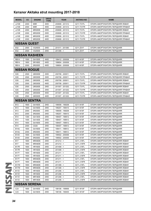| <b>MODEL</b>          | <b>CC</b> | <b>ENGINE</b>       | <b>DRIVE</b><br><b>TYPE</b> | <b>YEAR</b>     | <b>AKITAKA NO</b> | <b>NAME</b>                        |  |  |
|-----------------------|-----------|---------------------|-----------------------------|-----------------|-------------------|------------------------------------|--|--|
| JJ10E                 | 2000      | M9R                 | 4WD                         | 200808 - 201312 | 0211-T31FL        | ОПОРА АМОРТИЗАТОРА ПЕРЕДНЯЯ ЛЕВАЯ  |  |  |
| <b>JJ10E</b>          | 2000      | M9R                 | 4WD                         | 200808 - 201312 | 0211-T31FR        | ОПОРА АМОРТИЗАТОРА ПЕРЕДНЯЯ ПРАВАЯ |  |  |
| JJ10E                 | 2000      | MR20DE              | 2WD                         | 200808 - 201312 | 0211-T31FL        | ОПОРА АМОРТИЗАТОРА ПЕРЕДНЯЯ ЛЕВАЯ  |  |  |
| JJ10E                 | 2000      | MR20DE              | 2WD                         | 200808 - 201312 | 0211-T31FR        | ОПОРА АМОРТИЗАТОРА ПЕРЕДНЯЯ ПРАВАЯ |  |  |
| JJ10E                 | 2000      | MR20DE              | 4WD                         | 200808 - 201312 | 0211-T31FL        | ОПОРА АМОРТИЗАТОРА ПЕРЕДНЯЯ ЛЕВАЯ  |  |  |
| JJ10E                 | 2000      | MR20DE              | 4WD                         | 200808 - 201312 | 0211-T31FR        | ОПОРА АМОРТИЗАТОРА ПЕРЕДНЯЯ ПРАВАЯ |  |  |
| <b>NISSAN QUEST</b>   |           |                     |                             |                 |                   |                                    |  |  |
| E52                   | 2500      | VQ35DE              | 2WD                         | 201011 - 201306 | 0211-Z51F         | ОПОРА АМОРТИЗАТОРА ПЕРЕДНЯЯ        |  |  |
| E52                   | 2500      | VQ35DE              | 2WD                         | $201306 - 5$    | 0211-Z51F         | ОПОРА АМОРТИЗАТОРА ПЕРЕДНЯЯ        |  |  |
| <b>NISSAN RASHEEN</b> |           |                     |                             |                 |                   |                                    |  |  |
| <b>RB14</b>           | 1500      | GA15DE              | 4WD                         | 199412 - 200008 | 0211-N15F         | ОПОРА АМОРТИЗАТОРА ПЕРЕДНЯЯ        |  |  |
| <b>RB14</b>           | 1800      | SR <sub>18</sub> DE | 4WD                         | 199804 - 200008 | 0211-N15F         | ОПОРА АМОРТИЗАТОРА ПЕРЕДНЯЯ        |  |  |
| <b>RB14</b>           | 2000      | SR <sub>20</sub> DE | 4WD                         | 199804 - 200008 | 0211-N15F         | ОПОРА АМОРТИЗАТОРА ПЕРЕДНЯЯ        |  |  |
| <b>NISSAN ROGUE</b>   |           |                     |                             |                 |                   |                                    |  |  |
| S35                   | 2500      | QR25DE              | 2WD                         | 200708 - 200911 | 0211-T31FL        | ОПОРА АМОРТИЗАТОРА ПЕРЕДНЯЯ ЛЕВАЯ  |  |  |
| S35                   | 2500      | QR25DE              | 2WD                         | 200708 - 200911 | 0211-T31FR        | ОПОРА АМОРТИЗАТОРА ПЕРЕДНЯЯ ПРАВАЯ |  |  |
| S35                   | 2500      | QR25DE              | 4WD                         | 200708 - 200911 | 0211-T31FL        | ОПОРА АМОРТИЗАТОРА ПЕРЕДНЯЯ ЛЕВАЯ  |  |  |
| S35                   | 2500      | QR25DE              | 4WD                         | 200708 - 200911 | 0211-T31FR        | ОПОРА АМОРТИЗАТОРА ПЕРЕДНЯЯ ПРАВАЯ |  |  |
| <b>S35</b>            | 2500      | QR25DE              | 2WD                         | 201007 - 201202 | 0211-T31FL        | ОПОРА АМОРТИЗАТОРА ПЕРЕДНЯЯ ЛЕВАЯ  |  |  |
| S35                   | 2500      | QR25DE              | 2WD                         | 201007 - 201202 | 0211-T31FR        | ОПОРА АМОРТИЗАТОРА ПЕРЕДНЯЯ ПРАВАЯ |  |  |
| S35                   | 2500      | QR25DE              | 4WD                         | 201007 - 201202 | 0211-T31FL        | ОПОРА АМОРТИЗАТОРА ПЕРЕДНЯЯ ЛЕВАЯ  |  |  |
| S35                   | 2500      | QR25DE              | 4WD                         | 201007 - 201202 | 0211-T31FR        | ОПОРА АМОРТИЗАТОРА ПЕРЕДНЯЯ ПРАВАЯ |  |  |
| <b>NISSAN SENTRA</b>  |           |                     |                             |                 |                   |                                    |  |  |
| <b>B13</b>            | 1600      | GA16DE              | 2WD                         | 199008 - 199208 | 0211-N15F         | ОПОРА АМОРТИЗАТОРА ПЕРЕДНЯЯ        |  |  |
| <b>B13</b>            | 1600      | GA16DE              | 2WD                         | 199207 - 199410 | 0211-N15F         | ОПОРА АМОРТИЗАТОРА ПЕРЕДНЯЯ        |  |  |
| <b>B13</b>            | 2000      | SR <sub>20</sub> DE | 2WD                         | 199008 - 199208 | 0211-N15F         | ОПОРА АМОРТИЗАТОРА ПЕРЕДНЯЯ        |  |  |
| <b>B13</b>            | 2000      | SR20DE              | 2WD                         | 199207 - 199410 | 0211-N15F         | ОПОРА АМОРТИЗАТОРА ПЕРЕДНЯЯ        |  |  |
| <b>B14</b>            | 1300      | GA13DS              | 2WD                         | 199407 - 199912 | 0211-N15F         | ОПОРА АМОРТИЗАТОРА ПЕРЕДНЯЯ        |  |  |
| <b>B14</b>            | 1400      | GA14DE              | 2WD                         | 199407 - 199912 | 0211-N15F         | ОПОРА АМОРТИЗАТОРА ПЕРЕДНЯЯ        |  |  |
| <b>B14</b>            | 1600      | GA16DE              | 2WD                         | 199407 - 199912 | 0211-N15F         | ОПОРА АМОРТИЗАТОРА ПЕРЕДНЯЯ        |  |  |
| <b>B14</b>            | 2000      | CD <sub>20</sub>    | 2WD                         | 199407 - 199912 | 0211-N15F         | ОПОРА АМОРТИЗАТОРА ПЕРЕДНЯЯ        |  |  |
| <b>B14U</b>           | 1600      | GA16DE              | 2WD                         | 199411 - 199912 | 0211-N15F         | ОПОРА АМОРТИЗАТОРА ПЕРЕДНЯЯ        |  |  |
| <b>B14U</b>           | 2000      | SR <sub>20</sub> DE | 2WD                         | 199411 - 199912 | 0211-N15F         | ОПОРА АМОРТИЗАТОРА ПЕРЕДНЯЯ        |  |  |
| <b>B14X</b>           | 1600      | GA16DE              | 2WD                         | 199502 - 200006 | 0211-N15F         | ОПОРА АМОРТИЗАТОРА ПЕРЕДНЯЯ        |  |  |
| <b>B14X</b>           | 2000      | SR <sub>20</sub> DE | 2WD                         | 199502 - 200006 | 0211-N15F         | ОПОРА АМОРТИЗАТОРА ПЕРЕДНЯЯ        |  |  |
| B17                   | 1800      | MRA8DE              | 2WD                         | $201212 - 5$    | 0211-J15FL        | ОПОРА АМОРТИЗАТОРА ПЕРЕДНЯЯ ЛЕВАЯ  |  |  |
| <b>B17</b>            | 1800      | MRA8DE              | 2WD                         | $201212 - 5$    | 0211-J15FR        | ОПОРА АМОРТИЗАТОРА ПЕРЕДНЯЯ ЛЕВАЯ  |  |  |
| B <sub>17</sub> R     | 1600      | HR16DE              | 2WD                         | $201408 - 5$    | 0211-J15FL        | ОПОРА АМОРТИЗАТОРА ПЕРЕДНЯЯ ЛЕВАЯ  |  |  |
| <b>B17R</b>           | 1600      | HR16DE              | 2WD                         | $201408 - 5$    | 0211-J15FR        | ОПОРА АМОРТИЗАТОРА ПЕРЕДНЯЯ ЛЕВАЯ  |  |  |
| <b>B17T</b>           | 1600      | HR16DE              | 2WD                         | $201211 - 5$    | 0211-J15FL        | ОПОРА АМОРТИЗАТОРА ПЕРЕДНЯЯ ЛЕВАЯ  |  |  |
| <b>B17T</b>           | 1600      | HR16DE              | 2WD                         | $201211 - 5$    | 0211-J15FR        | ОПОРА АМОРТИЗАТОРА ПЕРЕДНЯЯ ЛЕВАЯ  |  |  |
| <b>B17T</b>           | 1800      | MRA8DE              | 2WD                         | $201211 - 5$    | 0211-J15FL        | ОПОРА АМОРТИЗАТОРА ПЕРЕДНЯЯ ЛЕВАЯ  |  |  |
| <b>B17T</b>           | 1800      | MRA8DE              | 2WD                         | $201211 - 5$    | 0211-J15FR        | ОПОРА АМОРТИЗАТОРА ПЕРЕДНЯЯ ЛЕВАЯ  |  |  |
| <b>B17W</b>           | 1800      | MRA8DE              | 2WD                         | $201308 - 5$    | 0211-J15FL        | ОПОРА АМОРТИЗАТОРА ПЕРЕДНЯЯ ЛЕВАЯ  |  |  |
| <b>B17W</b>           | 1800      | MRA8DE              | 2WD                         | $201308 - 5$    | 0211-J15FR        | ОПОРА АМОРТИЗАТОРА ПЕРЕДНЯЯ ЛЕВАЯ  |  |  |
| <b>B17Z</b>           | 1600      | HR16DE              | 2WD                         | $201206 - 5$    | 0211-J15FL        | ОПОРА АМОРТИЗАТОРА ПЕРЕДНЯЯ ЛЕВАЯ  |  |  |
| <b>B17Z</b>           | 1600      | HR16DE              | 2WD                         | $201206 - 5$    | 0211-J15FR        | ОПОРА АМОРТИЗАТОРА ПЕРЕДНЯЯ ЛЕВАЯ  |  |  |
| <b>B17Z</b>           | 1800      | MR18DE              | 2WD                         | $201206 - 5$    | 0211-J15FL        | ОПОРА АМОРТИЗАТОРА ПЕРЕДНЯЯ ЛЕВАЯ  |  |  |
| <b>B17Z</b>           | 1800      | MR18DE              | 2WD                         | $201206 - 5$    | 0211-J15FR        | ОПОРА АМОРТИЗАТОРА ПЕРЕДНЯЯ ЛЕВАЯ  |  |  |
| <b>NISSAN SERENA</b>  |           |                     |                             |                 |                   |                                    |  |  |
| C <sub>23</sub>       | 1600      | GA16DE              | 2WD                         | 199106 - 199906 | 0211-W10F         | ОПОРА АМОРТИЗАТОРА ПЕРЕДНЯЯ        |  |  |
| C <sub>23</sub>       | 1600      | GA16DS              | 2WD                         | 199106 - 199405 | 0211-W10F         | ОПОРА АМОРТИЗАТОРА ПЕРЕДНЯЯ        |  |  |
|                       |           |                     |                             |                 |                   |                                    |  |  |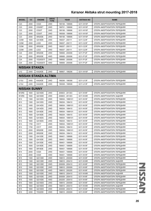| <b>MODEL</b>                | cc   | <b>ENGINE</b>       | <b>DRIVE</b><br><b>TYPE</b> | <b>YEAR</b>      | <b>AKITAKA NO</b> | <b>NAME</b>                 |  |  |
|-----------------------------|------|---------------------|-----------------------------|------------------|-------------------|-----------------------------|--|--|
| C <sub>23</sub>             | 2000 | CD <sub>20</sub>    | 2WD                         | 199106 - 199906  | 0211-W10F         | ОПОРА АМОРТИЗАТОРА ПЕРЕДНЯЯ |  |  |
| C23                         | 2000 | CD20ET              | 2WD                         | 199701 - 199906  | 0211-W10F         | ОПОРА АМОРТИЗАТОРА ПЕРЕДНЯЯ |  |  |
| C <sub>23</sub>             | 2000 | CD <sub>20</sub> T  | 2WD                         | 199106 - 199906  | 0211-W10F         | ОПОРА АМОРТИЗАТОРА ПЕРЕДНЯЯ |  |  |
| C <sub>23</sub>             | 2000 | CD <sub>20</sub> T  | 2WD                         | 199308 - 199906  | 0211-W10F         | ОПОРА АМОРТИЗАТОРА ПЕРЕДНЯЯ |  |  |
| C23                         | 2000 | SR <sub>20</sub> DE | 2WD                         | 199106 - 199906  | 0211-W10F         | ОПОРА АМОРТИЗАТОРА ПЕРЕДНЯЯ |  |  |
| C <sub>23</sub> M           | 1600 | GA16DE              | 2WD                         | 199207 - 200111  | 0211-C23F         | ОПОРА АМОРТИЗАТОРА ПЕРЕДНЯЯ |  |  |
| C <sub>23</sub> M           | 2000 | LD20                | 2WD                         | 199207 - 200111  | 0211-C23F         | ОПОРА АМОРТИЗАТОРА ПЕРЕДНЯЯ |  |  |
| C <sub>23</sub> M           | 2000 | SR <sub>20</sub> DE | 2WD                         | 199207 - 200111  | 0211-C23F         | ОПОРА АМОРТИЗАТОРА ПЕРЕДНЯЯ |  |  |
| C <sub>23</sub> M           | 2300 | LD23                | 2WD                         | 199207 - 200111  | 0211-C23F         | ОПОРА АМОРТИЗАТОРА ПЕРЕДНЯЯ |  |  |
| C <sub>24</sub>             | 2000 | SR <sub>20</sub> DE | 2WD                         | 199906 - 200006  | 0211-P12F         | ОПОРА АМОРТИЗАТОРА ПЕРЕДНЯЯ |  |  |
| C24                         | 2000 | SR20DE              | 4WD                         | 199906 - 200006  | 0211-P12F         | ОПОРА АМОРТИЗАТОРА ПЕРЕДНЯЯ |  |  |
| C24                         | 2500 | YD25DDTI            | 2WD                         | 199906 - 200006  | 0211-P12F         | ОПОРА АМОРТИЗАТОРА ПЕРЕДНЯЯ |  |  |
| C24                         | 2500 | YD25DDTI            | 4WD                         | 199906 - 200006  | 0211-P12F         | ОПОРА АМОРТИЗАТОРА ПЕРЕДНЯЯ |  |  |
| <b>NISSAN STANZA</b>        |      |                     |                             |                  |                   |                             |  |  |
| U12                         | 2400 | KA24DE              | 2WD                         | 198907 - 199206  | 0211-W10F         | ОПОРА АМОРТИЗАТОРА ПЕРЕДНЯЯ |  |  |
| <b>NISSAN STANZA ALTIMA</b> |      |                     |                             |                  |                   |                             |  |  |
| U13U                        | 2400 | KA24DE              | 2WD                         | 199206 - 199308  | 0211-U13F         | ОПОРА АМОРТИЗАТОРА ПЕРЕДНЯЯ |  |  |
| U13U                        | 2400 | KA24DE              | 2WD                         | 199308 - 199508  | 0211-U13F         | ОПОРА АМОРТИЗАТОРА ПЕРЕДНЯЯ |  |  |
| <b>NISSAN SUNNY</b>         |      |                     |                             |                  |                   |                             |  |  |
| <b>B10RS</b>                | 1600 | QG16DE              | 2WD                         | 200603 - 201303  | 0211-N16F         | ОПОРА АМОРТИЗАТОРА ПЕРЕДНЯЯ |  |  |
| <b>B10RS</b>                | 1600 | QG16DE              | 2WD                         | 200603 - 201303  | 0211-N16R         | ОПОРА АМОРТИЗАТОРА ЗАДНЯЯ   |  |  |
| B13                         | 1300 | GA13DS              | 2WD                         | 199004 - 1999101 | 0211-N15F         | ОПОРА АМОРТИЗАТОРА ПЕРЕДНЯЯ |  |  |
| <b>B13</b>                  | 1300 | GA13DS              | 2WD                         | 199204 - 199410  | 0211-N15F         | ОПОРА АМОРТИЗАТОРА ПЕРЕДНЯЯ |  |  |
| B13                         | 1400 | GA14DS              | 2WD                         | 199004 - 1999101 | 0211-N15F         | ОПОРА АМОРТИЗАТОРА ПЕРЕДНЯЯ |  |  |
| <b>B13</b>                  | 1400 | GA14DS              | 2WD                         | 199204 - 199410  | 0211-N15F         | ОПОРА АМОРТИЗАТОРА ПЕРЕДНЯЯ |  |  |
| B13                         | 1600 | GA16DE              | 2WD                         | 199004 - 1999101 | 0211-N15F         | ОПОРА АМОРТИЗАТОРА ПЕРЕДНЯЯ |  |  |
| <b>B13</b>                  | 1600 | GA16DE              | 2WD                         | 199204 - 199410  | 0211-N15F         | ОПОРА АМОРТИЗАТОРА ПЕРЕДНЯЯ |  |  |
| <b>B13</b>                  | 1600 | GA16DS              | 2WD                         | 199004 - 1999101 | 0211-N15F         | ОПОРА АМОРТИЗАТОРА ПЕРЕДНЯЯ |  |  |
| <b>B13</b>                  | 1600 | GA16DS              | 2WD                         | 199204 - 199410  | 0211-N15F         | ОПОРА АМОРТИЗАТОРА ПЕРЕДНЯЯ |  |  |
| <b>B13</b>                  | 1700 | CD <sub>17</sub>    | 2WD                         | 199004 - 1999101 | 0211-N15F         | ОПОРА АМОРТИЗАТОРА ПЕРЕДНЯЯ |  |  |
| <b>B13</b>                  | 1700 | CD <sub>17</sub>    | 2WD                         | 199204 - 199410  | 0211-N15F         | ОПОРА АМОРТИЗАТОРА ПЕРЕДНЯЯ |  |  |
| B13                         | 2000 | SR <sub>20</sub> DE | 2WD                         | 199004 - 1999101 | 0211-N15F         | ОПОРА АМОРТИЗАТОРА ПЕРЕДНЯЯ |  |  |
| <b>B13</b>                  | 2000 | SR <sub>20</sub> DE | 2WD                         | 199204 - 199410  | 0211-N15F         | ОПОРА АМОРТИЗАТОРА ПЕРЕДНЯЯ |  |  |
| B14                         | 1300 | GA13DE              | 2WD                         | 199401 - 199908  | 0211-N15F         | ОПОРА АМОРТИЗАТОРА ПЕРЕДНЯЯ |  |  |
| <b>B14</b>                  | 1500 | GA15DE              | 2WD                         | 199401 - 199908  | 0211-N15F         | ОПОРА АМОРТИЗАТОРА ПЕРЕДНЯЯ |  |  |
| B14                         | 1500 | GA15DE              | 4WD                         | 199401 - 199908  | 0211-N15F         | ОПОРА АМОРТИЗАТОРА ПЕРЕДНЯЯ |  |  |
| B14                         | 1600 | GA16DE              | 2WD                         | 199401 - 199908  | 0211-N15F         | ОПОРА АМОРТИЗАТОРА ПЕРЕДНЯЯ |  |  |
| B14                         | 1800 | SR18DE              | 2WD                         | 199401 - 199908  | 0211-N15F         | ОПОРА АМОРТИЗАТОРА ПЕРЕДНЯЯ |  |  |
| <b>B14</b>                  | 2000 | CD <sub>20</sub>    | 2WD                         | 199401 - 199908  | 0211-N15F         | ОПОРА АМОРТИЗАТОРА ПЕРЕДНЯЯ |  |  |
| <b>B14</b>                  | 2000 | CD <sub>20</sub>    | 4WD                         | 199401 - 199908  | 0211-N15F         | ОПОРА АМОРТИЗАТОРА ПЕРЕДНЯЯ |  |  |
| B15                         | 1300 | QG13DE              | 2WD                         | 199810 - 200009  | 0211-N16F         | ОПОРА АМОРТИЗАТОРА ПЕРЕДНЯЯ |  |  |
| <b>B15</b>                  | 1300 | QG13DE              | 2WD                         | 199810 - 200410  | 0211-N16R         | ОПОРА АМОРТИЗАТОРА ЗАДНЯЯ   |  |  |
| <b>B15</b>                  | 1300 | QG13DE              | 2WD                         | 200009 - 200410  | 0211-N16F         | ОПОРА АМОРТИЗАТОРА ПЕРЕДНЯЯ |  |  |
| <b>B15</b>                  | 1500 | QG15DE              | 2WD                         | 199810 - 200009  | 0211-N16F         | ОПОРА АМОРТИЗАТОРА ПЕРЕДНЯЯ |  |  |
| <b>B15</b>                  | 1500 | QG15DE              | 4WD                         | 199810 - 200205  | 0211-N16F         | ОПОРА АМОРТИЗАТОРА ПЕРЕДНЯЯ |  |  |
| <b>B15</b>                  | 1500 | QG15DE              | 2WD                         | 199810 - 200410  | 0211-N16R         | ОПОРА АМОРТИЗАТОРА ЗАДНЯЯ   |  |  |
| B15                         | 1500 | QG15DE              | 2WD                         | 200009 - 200410  | 0211-N16F         | ОПОРА АМОРТИЗАТОРА ПЕРЕДНЯЯ |  |  |
| <b>B15</b>                  | 1500 | QG15DE              | 4WD                         | 200205 - 200410  | 0211-N16F         | ОПОРА АМОРТИЗАТОРА ПЕРЕДНЯЯ |  |  |
| B15                         | 1800 | QG18DD              | 2WD                         | 199810 - 200009  | 0211-N16F         | ОПОРА АМОРТИЗАТОРА ПЕРЕДНЯЯ |  |  |
| <b>B15</b>                  | 1800 | QG18DD              | 2WD                         | 199810 - 200410  | 0211-N16R         | ОПОРА АМОРТИЗАТОРА ЗАДНЯЯ   |  |  |
| B15                         | 1800 | QG18DD              | 2WD                         | 200009 - 200410  | 0211-N16F         | ОПОРА АМОРТИЗАТОРА ПЕРЕДНЯЯ |  |  |
| <b>B15</b>                  | 2200 | YD22DD              | 2WD                         | 199810 - 200009  | 0211-N16F         | ОПОРА АМОРТИЗАТОРА ПЕРЕДНЯЯ |  |  |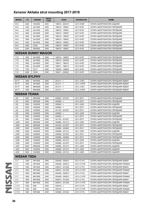| <b>MODEL</b>    | cc                        | <b>ENGINE</b>    | <b>DRIVE</b><br><b>TYPE</b> | <b>YEAR</b>     | <b>AKITAKA NO</b> | <b>NAME</b>                        |  |  |  |
|-----------------|---------------------------|------------------|-----------------------------|-----------------|-------------------|------------------------------------|--|--|--|
| <b>B15</b>      | 2200                      | YD22DD           | 2WD                         | 199810 - 200410 | 0211-N16R         | ОПОРА АМОРТИЗАТОРА ЗАДНЯЯ          |  |  |  |
| N <sub>14</sub> | 1400                      | GA14DE           | 2WD                         | 199210 - 199507 | 0211-N15F         | ОПОРА АМОРТИЗАТОРА ПЕРЕДНЯЯ        |  |  |  |
| N <sub>14</sub> | 1400                      | GA14DS           | 2WD                         | 199010 - 199507 | 0211-N15F         | ОПОРА АМОРТИЗАТОРА ПЕРЕДНЯЯ        |  |  |  |
| N <sub>14</sub> | 1600                      | GA16DE           | 2WD                         | 199210 - 199507 | 0211-N15F         | ОПОРА АМОРТИЗАТОРА ПЕРЕДНЯЯ        |  |  |  |
| N <sub>14</sub> | 1600                      | GA16DE           | 4WD                         | 199210 - 199507 | 0211-N15F         | ОПОРА АМОРТИЗАТОРА ПЕРЕДНЯЯ        |  |  |  |
| N <sub>14</sub> | 1600                      | GA16DS           | 2WD                         | 199010 - 199507 | 0211-N15F         | ОПОРА АМОРТИЗАТОРА ПЕРЕДНЯЯ        |  |  |  |
| N <sub>14</sub> | 1600                      | GA16DS           | 4WD                         | 199010 - 199507 | 0211-N15F         | ОПОРА АМОРТИЗАТОРА ПЕРЕДНЯЯ        |  |  |  |
| N <sub>14</sub> | 2000                      | CD <sub>20</sub> | 2WD                         | 199010 - 199507 | 0211-N15F         | ОПОРА АМОРТИЗАТОРА ПЕРЕДНЯЯ        |  |  |  |
| N <sub>14</sub> | 2000                      | SR20DE           | 2WD                         | 199010 - 199507 | 0211-N15F         | ОПОРА АМОРТИЗАТОРА ПЕРЕДНЯЯ        |  |  |  |
|                 | <b>NISSAN SUNNY WAGON</b> |                  |                             |                 |                   |                                    |  |  |  |
| Y10             | 1600                      | GA16DE           | 4WD                         | 199210 - 199507 | 0211-N15F         | ОПОРА АМОРТИЗАТОРА ПЕРЕДНЯЯ        |  |  |  |
| Y10             | 1600                      | GA16DE           | 2WD                         | 199210 - 200003 | 0211-N15F         | ОПОРА АМОРТИЗАТОРА ПЕРЕДНЯЯ        |  |  |  |
| Y10             | 1600                      | GA16DS           | 2WD                         | 199011 - 199210 | 0211-N15F         | ОПОРА АМОРТИЗАТОРА ПЕРЕДНЯЯ        |  |  |  |
| Y10             | 1600                      | GA16DS           | 4WD                         | 199011 - 199210 | 0211-N15F         | ОПОРА АМОРТИЗАТОРА ПЕРЕДНЯЯ        |  |  |  |
| Y10             | 1700                      | CD <sub>17</sub> | 2WD                         | 199205 - 199804 | 0211-N15F         | ОПОРА АМОРТИЗАТОРА ПЕРЕДНЯЯ        |  |  |  |
| Y10             | 2000                      | CD <sub>20</sub> | 2WD                         | 199011 - 200003 | 0211-N15F         | ОПОРА АМОРТИЗАТОРА ПЕРЕДНЯЯ        |  |  |  |
|                 | <b>NISSAN SYLPHY</b>      |                  |                             |                 |                   |                                    |  |  |  |
| <b>B17T</b>     | 1600                      | HR16DE           | 2WD                         | $201211 - 5$    | 0211-J15FL        | ОПОРА АМОРТИЗАТОРА ПЕРЕДНЯЯ ЛЕВАЯ  |  |  |  |
| <b>B17T</b>     | 1600                      | HR16DE           | 2WD                         | $201211 - 5$    | 0211-J15FR        | ОПОРА АМОРТИЗАТОРА ПЕРЕДНЯЯ ЛЕВАЯ  |  |  |  |
| <b>B17T</b>     | 1800                      | MRA8DE           | 2WD                         | $201211 - 5$    | 0211-J15FL        | ОПОРА АМОРТИЗАТОРА ПЕРЕДНЯЯ ЛЕВАЯ  |  |  |  |
| <b>B17T</b>     | 1800                      | MRA8DE           | 2WD                         | $201211 - 5$    | 0211-J15FR        | ОПОРА АМОРТИЗАТОРА ПЕРЕДНЯЯ ЛЕВАЯ  |  |  |  |
|                 | <b>NISSAN TEANA</b>       |                  |                             |                 |                   |                                    |  |  |  |
| J32             | 2000                      | MR20DE           | 2WD                         | 200802 - 201307 | 0211-Z51F         | ОПОРА АМОРТИЗАТОРА ПЕРЕДНЯЯ        |  |  |  |
| J32             | 2500                      | QR25DE           | 4WD                         | $200806 - 5$    | 0211-Z51F         | ОПОРА АМОРТИЗАТОРА ПЕРЕДНЯЯ        |  |  |  |
| J32             | 2500                      | VQ25DE           | 2WD                         | $200802 - 5$    | 0211-J32R         | ОПОРА АМОРТИЗАТОРА ЗАДНЯЯ          |  |  |  |
| J32             | 2500                      | VQ25DE           | 2WD                         | $200802 - 5$    | 0211-Z51F         | ОПОРА АМОРТИЗАТОРА ПЕРЕДНЯЯ        |  |  |  |
| J32             | 2500                      | VQ25DE           | 2WD                         | 201105 - 201307 | 0211-Z51F         | ОПОРА АМОРТИЗАТОРА ПЕРЕДНЯЯ        |  |  |  |
| J32             | 3500                      | VQ35DE           | 2WD                         | $200802 - 5$    | 0211-J32R         | ОПОРА АМОРТИЗАТОРА ЗАДНЯЯ          |  |  |  |
| J32             | 3500                      | VQ35DE           | 2WD                         | $200802 - 5$    | 0211-Z51F         | ОПОРА АМОРТИЗАТОРА ПЕРЕДНЯЯ        |  |  |  |
| J32             | 3500                      | VQ35DE           | 2WD                         | 201105 - 201307 | 0211-Z51F         | ОПОРА АМОРТИЗАТОРА ПЕРЕДНЯЯ        |  |  |  |
| J32R            | 2500                      | QR25DE           | 4WD                         | 200906 - 201312 | 0211-J32R         | ОПОРА АМОРТИЗАТОРА ЗАДНЯЯ          |  |  |  |
| J32R            | 2500                      | QR25DE           | 4WD                         | 201003 - 201307 | 0211-Z51F         | ОПОРА АМОРТИЗАТОРА ПЕРЕДНЯЯ        |  |  |  |
| J32R            | 2500                      | VQ25DE           | 2WD                         | 200906 - 200909 | 0211-Z51F         | ОПОРА АМОРТИЗАТОРА ПЕРЕДНЯЯ        |  |  |  |
| J32R            | 2500                      | VQ25DE           | 2WD                         | 200906 - 201312 | 0211-J32R         | ОПОРА АМОРТИЗАТОРА ЗАДНЯЯ          |  |  |  |
| J32R            | 2500                      | VQ25DE           | 2WD                         | 200909 - 201307 | 0211-Z51F         | ОПОРА АМОРТИЗАТОРА ПЕРЕДНЯЯ        |  |  |  |
| J32R            | 3500                      | VQ35DE           | 2WD                         | 200906 - 200909 | 0211-Z51F         | ОПОРА АМОРТИЗАТОРА ПЕРЕДНЯЯ        |  |  |  |
| J32R            | 3500                      | VQ35DE           | 2WD                         | 200906 - 201312 | 0211-J32R         | ОПОРА АМОРТИЗАТОРА ЗАДНЯЯ          |  |  |  |
| J32R            | 3500                      | VQ35DE           | 2WD                         | 200909 - 201307 | 0211-Z51F         | ОПОРА АМОРТИЗАТОРА ПЕРЕДНЯЯ        |  |  |  |
| J32Z            | 2000                      | MR20DE           | 2WD                         | 200806 - 201212 | 0211-J32R         | ОПОРА АМОРТИЗАТОРА ЗАДНЯЯ          |  |  |  |
| J32Z            | 2500                      | VQ25DE           | 2WD                         | 200806 - 201212 | 0211-J32R         | ОПОРА АМОРТИЗАТОРА ЗАДНЯЯ          |  |  |  |
| J32Z            | 3500                      | VQ35DE           | 2WD                         | 200806 - 201212 | 0211-J32R         | ОПОРА АМОРТИЗАТОРА ЗАДНЯЯ          |  |  |  |
|                 | <b>NISSAN TIIDA</b>       |                  |                             |                 |                   |                                    |  |  |  |
| C11             | 1500                      | HR15DE           | 2WD                         | 200409 - 200810 | 0211-C11FL        | ОПОРА АМОРТИЗАТОРА ПЕРЕДНЯЯ ЛЕВАЯ  |  |  |  |
| C11             | 1500                      | HR15DE           | 2WD                         | 200409 - 200810 | 0211-C11FR        | ОПОРА АМОРТИЗАТОРА ПЕРЕДНЯЯ ПРАВАЯ |  |  |  |
| C11             | 1500                      | HR15DE           | 2WD                         | 200810 - 201208 | 0211-C11FL        | ОПОРА АМОРТИЗАТОРА ПЕРЕДНЯЯ ЛЕВАЯ  |  |  |  |
| C11             | 1500                      | HR15DE           | 2WD                         | 200810 - 201208 | 0211-C11FR        | ОПОРА АМОРТИЗАТОРА ПЕРЕДНЯЯ ПРАВАЯ |  |  |  |
| C11             | 1800                      | MR18DE           | 2WD                         | 200409 - 200810 | 0211-C11FL        | ОПОРА АМОРТИЗАТОРА ПЕРЕДНЯЯ ЛЕВАЯ  |  |  |  |
| C11             | 1800                      | MR18DE           | 2WD                         | 200409 - 200810 | 0211-C11FR        | ОПОРА АМОРТИЗАТОРА ПЕРЕДНЯЯ ПРАВАЯ |  |  |  |
| C11             | 1800                      | MR18DE           | 2WD                         | 200810 - 201208 | 0211-C11FL        | ОПОРА АМОРТИЗАТОРА ПЕРЕДНЯЯ ЛЕВАЯ  |  |  |  |
| C11             | 1800                      | MR18DE           | 2WD                         | 200810 - 201208 | 0211-C11FR        | ОПОРА АМОРТИЗАТОРА ПЕРЕДНЯЯ ПРАВАЯ |  |  |  |
| C11X            | 1500                      | K9K              | 2WD                         | $200703 - 5$    | 0211-C11FL        | ОПОРА АМОРТИЗАТОРА ПЕРЕДНЯЯ ЛЕВАЯ  |  |  |  |
|                 |                           |                  | 2WD                         | $200703 - 5$    |                   |                                    |  |  |  |
| C11X            | 1500                      | K9K              |                             |                 | 0211-C11FR        | ОПОРА АМОРТИЗАТОРА ПЕРЕДНЯЯ ПРАВАЯ |  |  |  |
| C11X            | 1600                      | HR16DE           | 2WD                         | 200606 - 201304 | 0211-C11FL        | ОПОРА АМОРТИЗАТОРА ПЕРЕДНЯЯ ЛЕВАЯ  |  |  |  |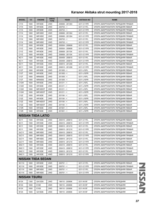| <b>MODEL</b>        | cc                        | <b>ENGINE</b>             | <b>DRIVE</b><br><b>TYPE</b> | <b>YEAR</b>     | <b>AKITAKA NO</b> | <b>NAME</b>                                                             |  |  |  |  |
|---------------------|---------------------------|---------------------------|-----------------------------|-----------------|-------------------|-------------------------------------------------------------------------|--|--|--|--|
| C11X                | 1600                      | HR16DE                    | 2WD                         | 200606 - 201304 | 0211-C11FR        | ОПОРА АМОРТИЗАТОРА ПЕРЕДНЯЯ ПРАВАЯ                                      |  |  |  |  |
| C11X                | 1600                      | HR16DE                    | 2WD                         | $200703 - 5$    | 0211-C11FL        | ОПОРА АМОРТИЗАТОРА ПЕРЕДНЯЯ ЛЕВАЯ                                       |  |  |  |  |
| C11X                | 1600                      | HR16DE                    | 2WD                         | $200703 - 5$    | 0211-C11FR        | ОПОРА АМОРТИЗАТОРА ПЕРЕДНЯЯ ПРАВАЯ                                      |  |  |  |  |
| C11X                | 1800                      | MR18DE                    | 2WD                         | 200606 - 201304 | 0211-C11FL        | ОПОРА АМОРТИЗАТОРА ПЕРЕДНЯЯ ЛЕВАЯ                                       |  |  |  |  |
| C11X                | 1800                      | MR18DE                    | 2WD                         | 200606 - 201304 | 0211-C11FR        | ОПОРА АМОРТИЗАТОРА ПЕРЕДНЯЯ ПРАВАЯ                                      |  |  |  |  |
| C11X                | 1800                      | MR18DE                    | 2WD                         | $200703 - 5$    | 0211-C11FL        | ОПОРА АМОРТИЗАТОРА ПЕРЕДНЯЯ ЛЕВАЯ                                       |  |  |  |  |
| C11X                | 1800                      | MR18DE                    | 2WD                         | $200703 - 5$    | 0211-C11FR        | ОПОРА АМОРТИЗАТОРА ПЕРЕДНЯЯ ПРАВАЯ                                      |  |  |  |  |
| C11Z                | 1600                      | HR16DE                    | 2WD                         | 200504 - 200608 | 0211-C11FL        | ОПОРА АМОРТИЗАТОРА ПЕРЕДНЯЯ ЛЕВАЯ                                       |  |  |  |  |
| C11Z                | 1600                      | HR16DE                    | 2WD                         | 200504 - 200608 | 0211-C11FR        | ОПОРА АМОРТИЗАТОРА ПЕРЕДНЯЯ ПРАВАЯ                                      |  |  |  |  |
| C11Z                | 1600                      | HR16DE                    | 2WD                         | 200608 - 201104 | 0211-C11FL        | ОПОРА АМОРТИЗАТОРА ПЕРЕДНЯЯ ЛЕВАЯ                                       |  |  |  |  |
| C11Z                | 1600                      | HR16DE                    | 2WD                         | 200608 - 201104 | 0211-C11FR        | ОПОРА АМОРТИЗАТОРА ПЕРЕДНЯЯ ПРАВАЯ                                      |  |  |  |  |
| <b>NC11</b>         | 1500                      | HR15DE                    | 4WD                         | 200409 - 200810 | 0211-C11FL        | ОПОРА АМОРТИЗАТОРА ПЕРЕДНЯЯ ЛЕВАЯ                                       |  |  |  |  |
| <b>NC11</b>         | 1500                      | HR15DE                    | 4WD                         | 200409 - 200810 | 0211-C11FR        | ОПОРА АМОРТИЗАТОРА ПЕРЕДНЯЯ ПРАВАЯ                                      |  |  |  |  |
| <b>NC11</b>         | 1500                      | HR15DE                    | 4WD                         | 200810 - 201208 | 0211-C11FL        | ОПОРА АМОРТИЗАТОРА ПЕРЕДНЯЯ ЛЕВАЯ                                       |  |  |  |  |
| <b>NC11</b>         | 1500                      | HR15DE                    | 4WD                         | 200810 - 201208 | 0211-C11FR        | ОПОРА АМОРТИЗАТОРА ПЕРЕДНЯЯ ПРАВАЯ                                      |  |  |  |  |
| C12T                | 1600                      | HR16DE                    | 2WD                         | $201305 - 5$    | 0211-J15FL        | ОПОРА АМОРТИЗАТОРА ПЕРЕДНЯЯ ЛЕВАЯ                                       |  |  |  |  |
| C12T                | 1600                      | HR16DE                    | 2WD                         | $201305 - 5$    | 0211-J15FR        | ОПОРА АМОРТИЗАТОРА ПЕРЕДНЯЯ ЛЕВАЯ                                       |  |  |  |  |
| C12T                | 1800                      | MRA8DE                    | 2WD                         | $201305 - 5$    | 0211-J15FL        | ОПОРА АМОРТИЗАТОРА ПЕРЕДНЯЯ ЛЕВАЯ                                       |  |  |  |  |
| C12T                | 1800                      | MRA8DE                    | 2WD                         | $201305 - 5$    | 0211-J15FR        | ОПОРА АМОРТИЗАТОРА ПЕРЕДНЯЯ ЛЕВАЯ                                       |  |  |  |  |
| C12W                | 1600                      | HR16DE                    | 2WD                         | $201211 - 5$    | 0211-J15FL        | ОПОРА АМОРТИЗАТОРА ПЕРЕДНЯЯ ЛЕВАЯ                                       |  |  |  |  |
| C12W                | 1600                      | HR16DE                    | 2WD                         | $201211 - 5$    | 0211-J15FR        | ОПОРА АМОРТИЗАТОРА ПЕРЕДНЯЯ ЛЕВАЯ                                       |  |  |  |  |
| C12W                | 1600                      | MR16DDT                   | 2WD                         | $201211 - 5$    | 0211-J15FL        | ОПОРА АМОРТИЗАТОРА ПЕРЕДНЯЯ ЛЕВАЯ                                       |  |  |  |  |
| C <sub>12</sub> W   | 1600                      | MR16DDT                   | 2WD                         | $201211 - 5$    | 0211-J15FR        | ОПОРА АМОРТИЗАТОРА ПЕРЕДНЯЯ ЛЕВАЯ                                       |  |  |  |  |
| C12Z                | 1600                      | HR16DE                    | 2WD                         | $201104 - 5$    | 0211-J15FL        | ОПОРА АМОРТИЗАТОРА ПЕРЕДНЯЯ ЛЕВАЯ                                       |  |  |  |  |
| C12Z                | 1600                      | HR16DE                    | 2WD                         | $201104 - 5$    | 0211-J15FR        | ОПОРА АМОРТИЗАТОРА ПЕРЕДНЯЯ ЛЕВАЯ                                       |  |  |  |  |
| C12Z                | 1600                      | MR16DDT                   | 2WD                         | $201104 - 5$    | 0211-J15FL        | ОПОРА АМОРТИЗАТОРА ПЕРЕДНЯЯ ЛЕВАЯ                                       |  |  |  |  |
| C12Z                | 1600                      | MR16DDT                   | 2WD                         | $201104 - 5$    | 0211-J15FR        | ОПОРА АМОРТИЗАТОРА ПЕРЕДНЯЯ ЛЕВАЯ                                       |  |  |  |  |
| C13R                | 1600                      | HR16DE                    | 2WD                         | $201501 - 5$    | 0211-J15FL        | ОПОРА АМОРТИЗАТОРА ПЕРЕДНЯЯ ЛЕВАЯ                                       |  |  |  |  |
| C <sub>13</sub> R   | 1600                      | HR16DE                    | 2WD                         | $201501 - 5$    | 0211-J15FR        | ОПОРА АМОРТИЗАТОРА ПЕРЕДНЯЯ ЛЕВАЯ                                       |  |  |  |  |
|                     |                           | <b>NISSAN TIIDA LATIO</b> |                             |                 |                   |                                                                         |  |  |  |  |
| <b>SC11</b>         | 1500                      | HR15DE                    | 2WD                         | 200410 - 200810 | 0211-C11FL        | ОПОРА АМОРТИЗАТОРА ПЕРЕДНЯЯ ЛЕВАЯ                                       |  |  |  |  |
| <b>SC11</b>         | 1500                      | HR15DE                    | 2WD                         | 200410 - 200810 | 0211-C11FR        | ОПОРА АМОРТИЗАТОРА ПЕРЕДНЯЯ ПРАВАЯ                                      |  |  |  |  |
| <b>SC11</b>         | 1500                      | HR15DE                    | 2WD                         | 200810 - 201210 | 0211-C11FL        | ОПОРА АМОРТИЗАТОРА ПЕРЕДНЯЯ ЛЕВАЯ                                       |  |  |  |  |
|                     |                           |                           |                             | 200810 - 201210 | 0211-C11FR        |                                                                         |  |  |  |  |
| SC11<br>SJC11       | 1500<br>1800              | HR15DE<br>MR18DE          | 2WD<br>2WD                  |                 |                   | ОПОРА АМОРТИЗАТОРА ПЕРЕДНЯЯ ПРАВАЯ<br>ОПОРА АМОРТИЗАТОРА ПЕРЕДНЯЯ ЛЕВАЯ |  |  |  |  |
|                     |                           |                           |                             | 200410 - 200810 | 0211-C11FL        |                                                                         |  |  |  |  |
| SJC11               | 1800                      | MR18DE                    | 2WD                         | 200410 - 200810 | 0211-C11FR        | ОПОРА АМОРТИЗАТОРА ПЕРЕДНЯЯ ПРАВАЯ                                      |  |  |  |  |
| SJC11               | 1800                      | MR18DE                    | 2WD                         | 200810 - 201210 | 0211-C11FL        | ОПОРА АМОРТИЗАТОРА ПЕРЕДНЯЯ ЛЕВАЯ                                       |  |  |  |  |
| SJC11               | 1800                      | MR18DE                    | 2WD                         | 200810 - 201210 | 0211-C11FR        | ОПОРА АМОРТИЗАТОРА ПЕРЕДНЯЯ ПРАВАЯ                                      |  |  |  |  |
| SNC <sub>11</sub>   | 1500                      | HR15DE                    | 4WD                         | 200410 - 200810 | 0211-C11FL        | ОПОРА АМОРТИЗАТОРА ПЕРЕДНЯЯ ЛЕВАЯ                                       |  |  |  |  |
| SNC <sub>11</sub>   | 1500                      | HR15DE                    | 4WD                         | 200410 - 200810 | 0211-C11FR        | ОПОРА АМОРТИЗАТОРА ПЕРЕДНЯЯ ПРАВАЯ                                      |  |  |  |  |
| SNC <sub>11</sub>   | 1500                      | HR15DE                    | 4WD                         | 200810 - 201210 | 0211-C11FL        | ОПОРА АМОРТИЗАТОРА ПЕРЕДНЯЯ ЛЕВАЯ                                       |  |  |  |  |
| SNC <sub>11</sub>   | 1500                      | HR15DE                    | 4WD                         | 200810 - 201210 | 0211-C11FR        | ОПОРА АМОРТИЗАТОРА ПЕРЕДНЯЯ ПРАВАЯ                                      |  |  |  |  |
|                     | <b>NISSAN TIIDA SEDAN</b> |                           |                             |                 |                   |                                                                         |  |  |  |  |
| SC <sub>11</sub> X  | 1600                      | HR16DE                    | 2WD                         | $200701 - 5$    | 0211-C11FL        | ОПОРА АМОРТИЗАТОРА ПЕРЕДНЯЯ ЛЕВАЯ                                       |  |  |  |  |
| SC <sub>11</sub> X  | 1600                      | HR16DE                    | 2WD                         | $200701 - 5$    | 0211-C11FR        | ОПОРА АМОРТИЗАТОРА ПЕРЕДНЯЯ ПРАВАЯ                                      |  |  |  |  |
| SC <sub>11</sub> X  | 1800                      | MR18DE                    | 2WD                         | $200701 - 5$    | 0211-C11FL        | ОПОРА АМОРТИЗАТОРА ПЕРЕДНЯЯ ЛЕВАЯ                                       |  |  |  |  |
| SC <sub>11</sub> X  | 1800                      | MR18DE                    | 2WD                         | $200701 - 5$    | 0211-C11FR        | ОПОРА АМОРТИЗАТОРА ПЕРЕДНЯЯ ПРАВАЯ                                      |  |  |  |  |
| <b>NISSAN TSURU</b> |                           |                           |                             |                 |                   |                                                                         |  |  |  |  |
| B <sub>13</sub> X   | 1300                      | GA13DS                    | 2WD                         | 199110 - 200906 | 0211-N15F         | ОПОРА АМОРТИЗАТОРА ПЕРЕДНЯЯ                                             |  |  |  |  |
| B13X                | 1600                      | E16E                      | 2WD                         | 199110 - 200906 | 0211-N15F         | ОПОРА АМОРТИЗАТОРА ПЕРЕДНЯЯ                                             |  |  |  |  |
|                     |                           |                           |                             |                 |                   |                                                                         |  |  |  |  |
| B13X                | 1600                      | E16S                      | 2WD                         | 199110 - 200906 | 0211-N15F         | ОПОРА АМОРТИЗАТОРА ПЕРЕДНЯЯ                                             |  |  |  |  |
| <b>B13X</b>         | 1600                      | GA16DE                    | 2WD                         | 199110 - 200906 | 0211-N15F         | ОПОРА АМОРТИЗАТОРА ПЕРЕДНЯЯ                                             |  |  |  |  |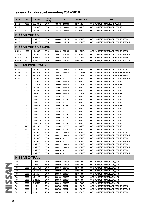| <b>MODEL</b>              | cc           | <b>ENGINE</b>          | <b>DRIVE</b><br><b>TYPE</b> | <b>YEAR</b>                     | <b>AKITAKA NO</b>        | <b>NAME</b>                                                             |  |  |  |  |
|---------------------------|--------------|------------------------|-----------------------------|---------------------------------|--------------------------|-------------------------------------------------------------------------|--|--|--|--|
| <b>B13X</b>               | 1600         | GA16DNE                | 2WD                         | 199110 - 200906                 | 0211-N15F                | ОПОРА АМОРТИЗАТОРА ПЕРЕДНЯЯ                                             |  |  |  |  |
| <b>B13X</b>               | 1600         | GA16DS                 | 2WD                         | 199110 - 200906                 | 0211-N15F                | ОПОРА АМОРТИЗАТОРА ПЕРЕДНЯЯ                                             |  |  |  |  |
| <b>B13X</b>               | 2000         | SR <sub>20</sub> DE    | 2WD                         | 199110 - 200906                 | 0211-N15F                | ОПОРА АМОРТИЗАТОРА ПЕРЕДНЯЯ                                             |  |  |  |  |
| <b>NISSAN VERSA</b>       |              |                        |                             |                                 |                          |                                                                         |  |  |  |  |
| C11X                      | 1800         | MR18DE                 | 2WD                         | 200605 - 201304                 | 0211-C11FL               | ОПОРА АМОРТИЗАТОРА ПЕРЕДНЯЯ ЛЕВАЯ                                       |  |  |  |  |
| C11X                      | 1800         | MR18DE                 | 2WD                         | 200605 - 201304                 | 0211-C11FR               | ОПОРА АМОРТИЗАТОРА ПЕРЕДНЯЯ ПРАВАЯ                                      |  |  |  |  |
| <b>NISSAN VERSA SEDAN</b> |              |                        |                             |                                 |                          |                                                                         |  |  |  |  |
| SC <sub>11</sub> X        | 1600         | HR16DE                 | 2WD                         | 200612 - 201106                 | 0211-C11FL               | ОПОРА АМОРТИЗАТОРА ПЕРЕДНЯЯ ЛЕВАЯ                                       |  |  |  |  |
| SC <sub>11</sub> X        | 1600         | HR16DE                 | 2WD                         | 200612 - 201106                 | 0211-C11FR               | ОПОРА АМОРТИЗАТОРА ПЕРЕДНЯЯ ПРАВАЯ                                      |  |  |  |  |
| SC <sub>11</sub> X        | 1800         | MR18DE                 | 2WD                         | 200612 - 201106                 | 0211-C11FL               | ОПОРА АМОРТИЗАТОРА ПЕРЕДНЯЯ ЛЕВАЯ                                       |  |  |  |  |
| SC <sub>11</sub> X        | 1800         | MR18DE                 | 2WD                         | 200612 - 201106                 | 0211-C11FR               | ОПОРА АМОРТИЗАТОРА ПЕРЕДНЯЯ ПРАВАЯ                                      |  |  |  |  |
|                           |              | <b>NISSAN WINGROAD</b> |                             |                                 |                          |                                                                         |  |  |  |  |
| <b>NY12</b>               | 1500         | HR15DE                 | 4WD                         | 200511 - 200810                 | 0211-C11FL               | ОПОРА АМОРТИЗАТОРА ПЕРЕДНЯЯ ЛЕВАЯ                                       |  |  |  |  |
| <b>NY12</b>               | 1500         | HR15DE                 | 4WD                         | 200511 - 200810                 | 0211-C11FR               | ОПОРА АМОРТИЗАТОРА ПЕРЕДНЯЯ ПРАВАЯ                                      |  |  |  |  |
| <b>NY12</b>               | 1500         | HR15DE                 | 4WD                         | $200810 - <$                    | 0211-C11FL               | ОПОРА АМОРТИЗАТОРА ПЕРЕДНЯЯ ЛЕВАЯ                                       |  |  |  |  |
| <b>NY12</b>               | 1500         | HR15DE                 | 4WD                         | $200810 - 5$                    | 0211-C11FR               | ОПОРА АМОРТИЗАТОРА ПЕРЕДНЯЯ ПРАВАЯ                                      |  |  |  |  |
| Y10                       | 1500         | GA15DE                 | 2WD                         | 199605 - 199904                 | 0211-N15F                | ОПОРА АМОРТИЗАТОРА ПЕРЕДНЯЯ                                             |  |  |  |  |
| Y10                       | 1500         | GA15DE                 | 4WD                         | 199605 - 199904                 | 0211-N15F                | ОПОРА АМОРТИЗАТОРА ПЕРЕДНЯЯ                                             |  |  |  |  |
| Y10                       | 1800         | SR <sub>18</sub> DE    | 2WD                         | 199605 - 199904                 | 0211-N15F                | ОПОРА АМОРТИЗАТОРА ПЕРЕДНЯЯ                                             |  |  |  |  |
| Y10                       | 1800         | SR18DE                 | 4WD                         | 199605 - 199904                 | 0211-N15F                | ОПОРА АМОРТИЗАТОРА ПЕРЕДНЯЯ                                             |  |  |  |  |
| Y10                       | 2000         | CD <sub>20</sub>       | 2WD                         | 199605 - 199904                 | 0211-N15F                | ОПОРА АМОРТИЗАТОРА ПЕРЕДНЯЯ                                             |  |  |  |  |
| Y11                       | 1300         | QG13DE                 | 2WD                         | 199905 - 200003                 | 0211-N16F                | ОПОРА АМОРТИЗАТОРА ПЕРЕДНЯЯ                                             |  |  |  |  |
| Y11                       | 1300         | QG13DE                 | 2WD                         | 200003 - 200810                 | 0211-N16F                | ОПОРА АМОРТИЗАТОРА ПЕРЕДНЯЯ                                             |  |  |  |  |
| Y11                       | 1500         | QG15DE                 | 2WD                         | 199905 - 200003                 | 0211-N16F                | ОПОРА АМОРТИЗАТОРА ПЕРЕДНЯЯ                                             |  |  |  |  |
| Y11                       | 1500         | QG15DE                 | 2WD                         | 200003 - 200810                 | 0211-N16F                | ОПОРА АМОРТИЗАТОРА ПЕРЕДНЯЯ                                             |  |  |  |  |
| Y11                       | 1800         | QG18DE                 | 2WD                         | 199905 - 200003                 | 0211-N16F                | ОПОРА АМОРТИЗАТОРА ПЕРЕДНЯЯ                                             |  |  |  |  |
| Y11                       | 1800         | QG18DE                 | 4WD                         | 199905 - 200003                 | 0211-N16F                | ОПОРА АМОРТИЗАТОРА ПЕРЕДНЯЯ                                             |  |  |  |  |
| Y11                       | 1800         | QG18DE                 | 2WD                         | 200003 - 200810                 | 0211-N16F                | ОПОРА АМОРТИЗАТОРА ПЕРЕДНЯЯ                                             |  |  |  |  |
| Y11                       | 1800         | QG18DE                 | 4WD                         | 200003 - 200810                 | 0211-N16F                | ОПОРА АМОРТИЗАТОРА ПЕРЕДНЯЯ                                             |  |  |  |  |
| Y11                       | 1800         | QG18DEN                | 2WD                         | 199905 - 200003                 | 0211-N16F                | ОПОРА АМОРТИЗАТОРА ПЕРЕДНЯЯ                                             |  |  |  |  |
| Y11                       | 1800         | QG18DEN                | 2WD                         | 200003 - 200810                 | 0211-N16F                | ОПОРА АМОРТИЗАТОРА ПЕРЕДНЯЯ                                             |  |  |  |  |
| Y11                       | 2200         | YD22DD                 | 2WD                         | 199905 - 200003                 | 0211-N16F                | ОПОРА АМОРТИЗАТОРА ПЕРЕДНЯЯ                                             |  |  |  |  |
| Y11                       | 2200         | YD22DD                 | 2WD                         | 200003 - 200810                 | 0211-N16F                | ОПОРА АМОРТИЗАТОРА ПЕРЕДНЯЯ                                             |  |  |  |  |
| Y12                       | 1500         | HR15DE                 | 2WD                         | 200511 - 200810                 | 0211-C11FL               | ОПОРА АМОРТИЗАТОРА ПЕРЕДНЯЯ ЛЕВАЯ                                       |  |  |  |  |
| Y12                       | 1500         | HR15DE                 | 2WD                         | 200511 - 200810                 | 0211-C11FR               | ОПОРА АМОРТИЗАТОРА ПЕРЕДНЯЯ ПРАВАЯ                                      |  |  |  |  |
| Y12                       | 1500         | HR15DE                 | 2WD                         | $200810 - <$                    | 0211-C11FL               | ОПОРА АМОРТИЗАТОРА ПЕРЕДНЯЯ ЛЕВАЯ                                       |  |  |  |  |
| Y12                       | 1500         | HR15DE                 | 2WD                         | $200810 - <$                    | 0211-C11FR               | ОПОРА АМОРТИЗАТОРА ПЕРЕДНЯЯ ПРАВАЯ                                      |  |  |  |  |
| Y12                       | 1800         | MR18DE                 | 2WD                         | 200511 - 200810                 | 0211-C11FL               | ОПОРА АМОРТИЗАТОРА ПЕРЕДНЯЯ ЛЕВАЯ                                       |  |  |  |  |
| Y12                       | 1800         | MR18DE                 | 2WD<br>2WD                  | 200511 - 200810<br>$200810 - <$ | 0211-C11FR               | ОПОРА АМОРТИЗАТОРА ПЕРЕДНЯЯ ПРАВАЯ                                      |  |  |  |  |
| Y12<br>Y12                | 1800<br>1800 | MR18DE<br>MR18DE       | 2WD                         | $200810 - <$                    | 0211-C11FL<br>0211-C11FR | ОПОРА АМОРТИЗАТОРА ПЕРЕДНЯЯ ЛЕВАЯ<br>ОПОРА АМОРТИЗАТОРА ПЕРЕДНЯЯ ПРАВАЯ |  |  |  |  |
|                           |              | <b>NISSAN X-TRAIL</b>  |                             |                                 |                          |                                                                         |  |  |  |  |
| T30                       | 2000         | QR20DE                 | 2WD                         | 200010 - 201307                 | 0211-T30R                | ОПОРА АМОРТИЗАТОРА ЗАДНЯЯ                                               |  |  |  |  |
| T30                       | 2000         | QR20DE                 | 4WD                         | 200010 - 201307                 | 0211-T30R                | ОПОРА АМОРТИЗАТОРА ЗАДНЯЯ                                               |  |  |  |  |
| T30                       | 2000         | SR20VET                | 2WD                         | 200010 - 200708                 | 0211-T30R                | ОПОРА АМОРТИЗАТОРА ЗАДНЯЯ                                               |  |  |  |  |
| T30                       | 2000         | SR20VET                | 4WD                         | 200010 - 200708                 | 0211-T30R                | ОПОРА АМОРТИЗАТОРА ЗАДНЯЯ                                               |  |  |  |  |
| T30                       | 2200         | YD22ETI                | 2WD                         | 200010 - 201307                 | 0211-T30R                | ОПОРА АМОРТИЗАТОРА ЗАДНЯЯ                                               |  |  |  |  |
| T30                       | 2200         | YD22ETI                | 4WD                         | 200106 - 201307                 | 0211-T30R                | ОПОРА АМОРТИЗАТОРА ЗАДНЯЯ                                               |  |  |  |  |
| T30                       | 2500         | QR25DE                 | 2WD                         | 200010 - 201307                 | 0211-T30R                | ОПОРА АМОРТИЗАТОРА ЗАДНЯЯ                                               |  |  |  |  |
| T30                       | 2500         | QR25DE                 | 4WD                         | 200010 - 201307                 | 0211-T30R                | ОПОРА АМОРТИЗАТОРА ЗАДНЯЯ                                               |  |  |  |  |
| T31                       | 2000         | M9R                    | 2WD                         | 200703 - 200911                 | 0211-T31FL               | ОПОРА АМОРТИЗАТОРА ПЕРЕДНЯЯ ЛЕВАЯ                                       |  |  |  |  |
| T31                       | 2000         | M9R                    | 2WD                         | 200703 - 200911                 | 0211-T31FR               | ОПОРА АМОРТИЗАТОРА ПЕРЕДНЯЯ ПРАВАЯ                                      |  |  |  |  |
| T31                       | 2000         | M9R                    | 4WD                         | 200703 - 200911                 | 0211-T31FL               | ОПОРА АМОРТИЗАТОРА ПЕРЕДНЯЯ ЛЕВАЯ                                       |  |  |  |  |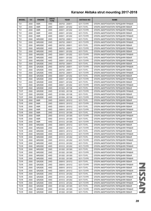| <b>MODEL</b>    | cc   | <b>ENGINE</b> | <b>DRIVE</b><br><b>TYPE</b> | <b>YEAR</b>     | <b>AKITAKA NO</b> | <b>NAME</b>                        |
|-----------------|------|---------------|-----------------------------|-----------------|-------------------|------------------------------------|
| T31             | 2000 | M9R           | 4WD                         | 200703 - 200911 | 0211-T31FR        | ОПОРА АМОРТИЗАТОРА ПЕРЕДНЯЯ ПРАВАЯ |
| T <sub>31</sub> | 2000 | M9R           | 2WD                         | 200911 - 201202 | 0211-T31FL        | ОПОРА АМОРТИЗАТОРА ПЕРЕДНЯЯ ЛЕВАЯ  |
| T <sub>31</sub> | 2000 | M9R           | 2WD                         | 200911 - 201202 | 0211-T31FR        | ОПОРА АМОРТИЗАТОРА ПЕРЕДНЯЯ ПРАВАЯ |
| T <sub>31</sub> | 2000 | M9R           | 4WD                         | 200911 - 201202 | 0211-T31FL        | ОПОРА АМОРТИЗАТОРА ПЕРЕДНЯЯ ЛЕВАЯ  |
| T31             | 2000 | M9R           | 4WD                         | 200911 - 201202 | 0211-T31FR        | ОПОРА АМОРТИЗАТОРА ПЕРЕДНЯЯ ПРАВАЯ |
| T31             | 2000 | MR20DE        | 2WD                         | 200703 - 200911 | 0211-T31FL        | ОПОРА АМОРТИЗАТОРА ПЕРЕДНЯЯ ЛЕВАЯ  |
| T <sub>31</sub> | 2000 | MR20DE        | 2WD                         | 200703 - 200911 | 0211-T31FR        | ОПОРА АМОРТИЗАТОРА ПЕРЕДНЯЯ ПРАВАЯ |
| T <sub>31</sub> | 2000 | MR20DE        | 4WD                         | 200703 - 200911 | 0211-T31FL        | ОПОРА АМОРТИЗАТОРА ПЕРЕДНЯЯ ЛЕВАЯ  |
| T31             | 2000 | MR20DE        | 4WD                         | 200703 - 200911 | 0211-T31FR        | ОПОРА АМОРТИЗАТОРА ПЕРЕДНЯЯ ПРАВАЯ |
| T31             | 2000 | MR20DE        | 2WD                         | 200911 - 201202 | 0211-T31FL        | ОПОРА АМОРТИЗАТОРА ПЕРЕДНЯЯ ЛЕВАЯ  |
| T31             | 2000 | MR20DE        | 2WD                         | 200911 - 201202 | 0211-T31FR        | ОПОРА АМОРТИЗАТОРА ПЕРЕДНЯЯ ПРАВАЯ |
| T31             | 2000 | MR20DE        | 4WD                         | 200911 - 201202 | 0211-T31FL        | ОПОРА АМОРТИЗАТОРА ПЕРЕДНЯЯ ЛЕВАЯ  |
| T <sub>31</sub> | 2000 | MR20DE        | 4WD                         | 200911 - 201202 | 0211-T31FR        | ОПОРА АМОРТИЗАТОРА ПЕРЕДНЯЯ ПРАВАЯ |
| T31             | 2500 | QR25DE        | 2WD                         | 200703 - 200911 | 0211-T31FL        | ОПОРА АМОРТИЗАТОРА ПЕРЕДНЯЯ ЛЕВАЯ  |
| T31             | 2500 | QR25DE        | 2WD                         | 200703 - 200911 | 0211-T31FR        | ОПОРА АМОРТИЗАТОРА ПЕРЕДНЯЯ ПРАВАЯ |
| T31             | 2500 | QR25DE        | 4WD                         | 200703 - 200911 | 0211-T31FL        | ОПОРА АМОРТИЗАТОРА ПЕРЕДНЯЯ ЛЕВАЯ  |
| T31             | 2500 | QR25DE        | 4WD                         | 200703 - 200911 | 0211-T31FR        | ОПОРА АМОРТИЗАТОРА ПЕРЕДНЯЯ ПРАВАЯ |
| T <sub>31</sub> | 2500 | QR25DE        | 2WD                         | 200911 - 201202 | 0211-T31FL        | ОПОРА АМОРТИЗАТОРА ПЕРЕДНЯЯ ЛЕВАЯ  |
| T31             | 2500 | QR25DE        | 2WD                         | 200911 - 201202 | 0211-T31FR        | ОПОРА АМОРТИЗАТОРА ПЕРЕДНЯЯ ПРАВАЯ |
| T31             | 2500 | QR25DE        | 4WD                         | 200911 - 201202 | 0211-T31FL        | ОПОРА АМОРТИЗАТОРА ПЕРЕДНЯЯ ЛЕВАЯ  |
| T31             | 2500 | QR25DE        | 4WD                         | 200911 - 201202 | 0211-T31FR        | ОПОРА АМОРТИЗАТОРА ПЕРЕДНЯЯ ПРАВАЯ |
| T31P            | 2500 | QR25DE        | 2WD                         | 201003 - 201108 | 0211-T31FL        | ОПОРА АМОРТИЗАТОРА ПЕРЕДНЯЯ ЛЕВАЯ  |
| T31P            | 2500 | QR25DE        | 2WD                         | 201003 - 201108 | 0211-T31FR        | ОПОРА АМОРТИЗАТОРА ПЕРЕДНЯЯ ПРАВАЯ |
| T31P            | 2500 | QR25DE        | 4WD                         | 201004 - 201108 | 0211-T31FL        | ОПОРА АМОРТИЗАТОРА ПЕРЕДНЯЯ ЛЕВАЯ  |
| T31P            | 2500 | QR25DE        | 4WD                         | 201004 - 201108 | 0211-T31FR        | ОПОРА АМОРТИЗАТОРА ПЕРЕДНЯЯ ПРАВАЯ |
| <b>T31R</b>     | 2000 | M9R           | 2WD                         | 200910 - 201012 | 0211-T31FL        | ОПОРА АМОРТИЗАТОРА ПЕРЕДНЯЯ ЛЕВАЯ  |
| T31R            | 2000 | M9R           | 2WD                         | 200910 - 201012 | 0211-T31FR        | ОПОРА АМОРТИЗАТОРА ПЕРЕДНЯЯ ПРАВАЯ |
| T31R            | 2000 | M9R           | 4WD                         | 200910 - 201012 | 0211-T31FL        | ОПОРА АМОРТИЗАТОРА ПЕРЕДНЯЯ ЛЕВАЯ  |
| T31R            | 2000 | M9R           | 4WD                         | 200910 - 201012 | 0211-T31FR        | ОПОРА АМОРТИЗАТОРА ПЕРЕДНЯЯ ПРАВАЯ |
| T31R            | 2000 | M9R           | 2WD                         | 201012 - 201305 | 0211-T31FL        | ОПОРА АМОРТИЗАТОРА ПЕРЕДНЯЯ ЛЕВАЯ  |
| <b>T31R</b>     | 2000 | M9R           | 2WD                         | 201012 - 201305 | 0211-T31FR        | ОПОРА АМОРТИЗАТОРА ПЕРЕДНЯЯ ПРАВАЯ |
| <b>T31R</b>     | 2000 | M9R           | 4WD                         | 201012 - 201305 | 0211-T31FL        | ОПОРА АМОРТИЗАТОРА ПЕРЕДНЯЯ ЛЕВАЯ  |
| T31R            | 2000 | M9R           | 4WD                         | 201012 - 201305 | 0211-T31FR        | ОПОРА АМОРТИЗАТОРА ПЕРЕДНЯЯ ПРАВАЯ |
| T31R            | 2000 | MR20DE        | 2WD                         | 200910 - 201012 | 0211-T31FL        | ОПОРА АМОРТИЗАТОРА ПЕРЕДНЯЯ ЛЕВАЯ  |
| <b>T31R</b>     | 2000 | MR20DE        | 2WD                         | 200910 - 201012 | 0211-T31FR        | ОПОРА АМОРТИЗАТОРА ПЕРЕДНЯЯ ПРАВАЯ |
| <b>T31R</b>     | 2000 | MR20DE        | 4WD                         | 200910 - 201012 | 0211-T31FL        | ОПОРА АМОРТИЗАТОРА ПЕРЕДНЯЯ ЛЕВАЯ  |
| <b>T31R</b>     | 2000 | MR20DE        | 4WD                         | 200910 - 201012 | 0211-T31FR        | ОПОРА АМОРТИЗАТОРА ПЕРЕДНЯЯ ПРАВАЯ |
| <b>T31R</b>     | 2000 | MR20DE        | 2WD                         | 201012 - 201202 | 0211-T31FL        | ОПОРА АМОРТИЗАТОРА ПЕРЕДНЯЯ ЛЕВАЯ  |
| T31R            | 2000 | MR20DE        | 2WD                         | 201012 - 201202 | 0211-T31FR        | ОПОРА АМОРТИЗАТОРА ПЕРЕДНЯЯ ПРАВАЯ |
| T31R            | 2000 | MR20DE        | 4WD                         | 201012 - 201202 | 0211-T31FL        | ОПОРА АМОРТИЗАТОРА ПЕРЕДНЯЯ ЛЕВАЯ  |
| <b>T31R</b>     | 2000 | MR20DE        | 4WD                         | 201012 - 201202 | 0211-T31FR        | ОПОРА АМОРТИЗАТОРА ПЕРЕДНЯЯ ПРАВАЯ |
| <b>T31R</b>     | 2000 | MR20DE        | 2WD                         | 201202 - 201305 | 0211-T31FL        | ОПОРА АМОРТИЗАТОРА ПЕРЕДНЯЯ ЛЕВАЯ  |
| <b>T31R</b>     | 2000 | MR20DE        | 2WD                         | 201202 - 201305 | 0211-T31FR        | ОПОРА АМОРТИЗАТОРА ПЕРЕДНЯЯ ПРАВАЯ |
| <b>T31R</b>     | 2000 | MR20DE        | 4WD                         | 201202 - 201305 | 0211-T31FL        | ОПОРА АМОРТИЗАТОРА ПЕРЕДНЯЯ ЛЕВАЯ  |
| <b>T31R</b>     | 2000 | MR20DE        | 4WD                         | 201202 - 201305 | 0211-T31FR        | ОПОРА АМОРТИЗАТОРА ПЕРЕДНЯЯ ПРАВАЯ |
| T31R            | 2500 | QR25DE        | 2WD                         | 200910 - 201012 | 0211-T31FL        | ОПОРА АМОРТИЗАТОРА ПЕРЕДНЯЯ ЛЕВАЯ  |
| <b>T31R</b>     | 2500 | QR25DE        | 2WD                         | 200910 - 201012 | 0211-T31FR        | ОПОРА АМОРТИЗАТОРА ПЕРЕДНЯЯ ПРАВАЯ |
| <b>T31R</b>     | 2500 | QR25DE        | 4WD                         | 200910 - 201012 | 0211-T31FL        | ОПОРА АМОРТИЗАТОРА ПЕРЕДНЯЯ ЛЕВАЯ  |
| <b>T31R</b>     | 2500 | QR25DE        | 4WD                         | 200910 - 201012 | 0211-T31FR        | ОПОРА АМОРТИЗАТОРА ПЕРЕДНЯЯ ПРАВАЯ |
| <b>T31R</b>     | 2500 | QR25DE        | 2WD                         | 201012 - 201202 | 0211-T31FL        | ОПОРА АМОРТИЗАТОРА ПЕРЕДНЯЯ ЛЕВАЯ  |
| T31R            | 2500 | QR25DE        | 2WD                         | 201012 - 201202 | 0211-T31FR        | ОПОРА АМОРТИЗАТОРА ПЕРЕДНЯЯ ПРАВАЯ |
| <b>T31R</b>     | 2500 | QR25DE        | 4WD                         | 201012 - 201202 | 0211-T31FL        | ОПОРА АМОРТИЗАТОРА ПЕРЕДНЯЯ ЛЕВАЯ  |
| <b>T31R</b>     | 2500 | QR25DE        | 4WD                         | 201012 - 201202 | 0211-T31FR        | ОПОРА АМОРТИЗАТОРА ПЕРЕДНЯЯ ПРАВАЯ |
| <b>T31R</b>     | 2500 | QR25DE        | 2WD                         | 201202 - 201305 | 0211-T31FL        | ОПОРА АМОРТИЗАТОРА ПЕРЕДНЯЯ ЛЕВАЯ  |
| <b>T31R</b>     | 2500 | QR25DE        | 2WD                         | 201202 - 201305 | 0211-T31FR        | ОПОРА АМОРТИЗАТОРА ПЕРЕДНЯЯ ПРАВАЯ |
| <b>T31R</b>     | 2500 | QR25DE        | 4WD                         | 201202 - 201305 | 0211-T31FL        | ОПОРА АМОРТИЗАТОРА ПЕРЕДНЯЯ ЛЕВАЯ  |

**NISSAN** NISSAN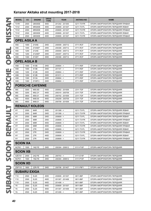| <b>MODEL</b>        | cc                    | <b>ENGINE</b>          | <b>DRIVE</b><br><b>TYPE</b> | <b>YEAR</b>     | <b>AKITAKA NO</b> | <b>NAME</b>                        |  |  |  |  |
|---------------------|-----------------------|------------------------|-----------------------------|-----------------|-------------------|------------------------------------|--|--|--|--|
| <b>T31R</b>         | 2500                  | QR25DE                 | 4WD                         | 201202 - 201305 | 0211-T31FR        | ОПОРА АМОРТИЗАТОРА ПЕРЕДНЯЯ ПРАВАЯ |  |  |  |  |
| T31Z                | 2000                  | MR20DE                 | 4WD                         | 200809 - 201307 | 0211-T31FL        | ОПОРА АМОРТИЗАТОРА ПЕРЕДНЯЯ ЛЕВАЯ  |  |  |  |  |
| T31Z                | 2000                  | MR20DE                 | 4WD                         | 200809 - 201307 | 0211-T31FR        | ОПОРА АМОРТИЗАТОРА ПЕРЕДНЯЯ ПРАВАЯ |  |  |  |  |
| T31Z                | 2500                  | QR25DE                 | 4WD                         | 200809 - 201307 | 0211-T31FL        | ОПОРА АМОРТИЗАТОРА ПЕРЕДНЯЯ ЛЕВАЯ  |  |  |  |  |
| T31Z                | 2500                  | QR25DE                 | 4WD                         | 200809 - 201307 | 0211-T31FR        | ОПОРА АМОРТИЗАТОРА ПЕРЕДНЯЯ ПРАВАЯ |  |  |  |  |
| <b>OPEL AGILA A</b> |                       |                        |                             |                 |                   |                                    |  |  |  |  |
| H <sub>00</sub>     | 1000                  | Z10XE                  | 2WD                         | 200009 - 200712 | 0711-RCF          | ОПОРА АМОРТИЗАТОРА ПЕРЕДНЯЯ        |  |  |  |  |
| H <sub>0</sub>      | 1000                  | Z10XEP                 | 2WD                         | 200308 - 200712 | 0711-RCF          | ОПОРА АМОРТИЗАТОРА ПЕРЕДНЯЯ        |  |  |  |  |
| H <sub>00</sub>     | 1200                  | Z12XE                  | 2WD                         | 200009 - 200712 | 0711-RCF          | ОПОРА АМОРТИЗАТОРА ПЕРЕДНЯЯ        |  |  |  |  |
| H <sub>00</sub>     | 1200                  | Z12XEP                 | 2WD                         | 200407 - 200712 | 0711-RCF          | ОПОРА АМОРТИЗАТОРА ПЕРЕДНЯЯ        |  |  |  |  |
| H <sub>0</sub>      | 1300                  | Z13DT                  | 2WD                         | 200308 - 200712 | 0711-RCF          | ОПОРА АМОРТИЗАТОРА ПЕРЕДНЯЯ        |  |  |  |  |
| <b>OPEL AGILA B</b> |                       |                        |                             |                 |                   |                                    |  |  |  |  |
| H <sub>08</sub>     | 1000                  | K <sub>10</sub> B      | 2WD                         | $200804 - 5$    | 0711-RSF          | ОПОРА АМОРТИЗАТОРА ПЕРЕДНЯЯ        |  |  |  |  |
| H <sub>08</sub>     | 1000                  | <b>K10B</b>            | 2WD                         | $201107 - 5$    | 0711-RSF          | ОПОРА АМОРТИЗАТОРА ПЕРЕДНЯЯ        |  |  |  |  |
| H <sub>08</sub>     | 1200                  | <b>K12B</b>            | 2WD                         | $200804 - 5$    | 0711-RSF          | ОПОРА АМОРТИЗАТОРА ПЕРЕДНЯЯ        |  |  |  |  |
| H <sub>08</sub>     | 1200                  | K12B                   | 2WD                         | $201011 - 5$    | 0711-RSF          | ОПОРА АМОРТИЗАТОРА ПЕРЕДНЯЯ        |  |  |  |  |
| H <sub>08</sub>     | 1300                  | D <sub>13</sub> A      | 2WD                         | $200804 - 5$    | 0711-RSF          | ОПОРА АМОРТИЗАТОРА ПЕРЕДНЯЯ        |  |  |  |  |
| H <sub>0</sub> 8    | 1300                  | Z13DTJ                 | 2WD                         | $200804 - 5$    | 0711-RSF          | ОПОРА АМОРТИЗАТОРА ПЕРЕДНЯЯ        |  |  |  |  |
|                     |                       | <b>PORSCHE CAYENNE</b> |                             |                 |                   |                                    |  |  |  |  |
| 955                 | 3000                  | M05.9D                 | 4WD                         | 200902 - 201009 | 2311-TGF          | ОПОРА АМОРТИЗАТОРА ПЕРЕДНЯЯ        |  |  |  |  |
| 955                 | 3200                  | M02.2Y                 | 4WD                         | 200310 - 200709 | 2311-TGF          | ОПОРА АМОРТИЗАТОРА ПЕРЕДНЯЯ        |  |  |  |  |
| 955                 | 3600                  | M55.01                 | 4WD                         | 200702 - 201009 | 2311-TGF          | ОПОРА АМОРТИЗАТОРА ПЕРЕДНЯЯ        |  |  |  |  |
| 955                 | 4500                  | M48.00                 | 4WD                         | 200209 - 200709 | 2311-TGF          | ОПОРА АМОРТИЗАТОРА ПЕРЕДНЯЯ        |  |  |  |  |
| 955                 | 4800                  | M48.01                 | 4WD                         | 200709 - 201009 | 2311-TGF          | ОПОРА АМОРТИЗАТОРА ПЕРЕДНЯЯ        |  |  |  |  |
|                     | <b>RENAULT KOLEOS</b> |                        |                             |                 |                   |                                    |  |  |  |  |
| HY                  | 2000                  | M <sub>4</sub> R       | 2WD                         | $201308 - 5$    | 0211-T31FL        | ОПОРА АМОРТИЗАТОРА ПЕРЕДНЯЯ ЛЕВАЯ  |  |  |  |  |
| HY                  | 2000                  | M4R                    | 2WD                         | $201308 - 5$    | 0211-T31FR        | ОПОРА АМОРТИЗАТОРА ПЕРЕДНЯЯ ПРАВАЯ |  |  |  |  |
| HY                  | 2000                  | M9R                    | 2WD                         | $200809 - <$    | 0211-T31FL        | ОПОРА АМОРТИЗАТОРА ПЕРЕДНЯЯ ЛЕВАЯ  |  |  |  |  |
| HY                  | 2000                  | M9R                    | 2WD                         | $200809 - 5$    | 0211-T31FR        | ОПОРА АМОРТИЗАТОРА ПЕРЕДНЯЯ ПРАВАЯ |  |  |  |  |
| HY                  | 2000                  | M9R                    | 4WD                         | $200809 - 5$    | 0211-T31FL        | ОПОРА АМОРТИЗАТОРА ПЕРЕДНЯЯ ЛЕВАЯ  |  |  |  |  |
| HY                  | 2000                  | M9R                    | 4WD                         | $200809 - 5$    | 0211-T31FR        | ОПОРА АМОРТИЗАТОРА ПЕРЕДНЯЯ ПРАВАЯ |  |  |  |  |
| HY                  | 2500                  | 2TR                    | 2WD                         | $200809 - <$    | 0211-T31FL        | ОПОРА АМОРТИЗАТОРА ПЕРЕДНЯЯ ЛЕВАЯ  |  |  |  |  |
| HY                  | 2500                  | 2TR                    | 2WD                         | $200809 - <$    | 0211-T31FR        | ОПОРА АМОРТИЗАТОРА ПЕРЕДНЯЯ ПРАВАЯ |  |  |  |  |
| HY                  | 2500                  | 2TR                    | 4WD                         | $200809 - 5$    | 0211-T31FL        | ОПОРА АМОРТИЗАТОРА ПЕРЕДНЯЯ ЛЕВАЯ  |  |  |  |  |
| HY                  | 2500                  | 2TR                    | 4WD                         | $200809 - <$    | 0211-T31FR        | ОПОРА АМОРТИЗАТОРА ПЕРЕДНЯЯ ПРАВАЯ |  |  |  |  |
| <b>SCION XA</b>     |                       |                        |                             |                 |                   |                                    |  |  |  |  |
| NCP61               | 1500                  | 1NZ-FE                 | 2WD                         | 200304 - 200612 | 0111-P10F         | ОПОРА АМОРТИЗАТОРА ПЕРЕДНЯЯ        |  |  |  |  |
| <b>SCION XB</b>     |                       |                        |                             |                 |                   |                                    |  |  |  |  |
| <b>AZE151</b>       | 2400                  | 2AZ-FE                 | 2WD                         | $200703 - 5$    | 0111-E15F         | ОПОРА АМОРТИЗАТОРА ПЕРЕДНЯЯ        |  |  |  |  |
| NCP31               | 1500                  | 1NZ-FE                 | 2WD                         | 200304 - 200612 | 0111-P10F         | ОПОРА АМОРТИЗАТОРА ПЕРЕДНЯЯ        |  |  |  |  |
| <b>SCION XD</b>     |                       |                        |                             |                 |                   |                                    |  |  |  |  |
| <b>ZSP110</b>       | 1800                  | 2ZR-FE                 | 2WD                         | 200706 - 201407 | 0111-P9F1         | ОПОРА АМОРТИЗАТОРА ПЕРЕДНЯЯ        |  |  |  |  |
| <b>SUBARU EXIGA</b> |                       |                        |                             |                 |                   |                                    |  |  |  |  |
| Y10                 | 2500                  | EJ25                   | 4WD                         | 200809 - 201307 | 0811-B9F          | ОПОРА АМОРТИЗАТОРА ПЕРЕДНЯЯ        |  |  |  |  |
| Y10                 | 2500                  | EJ25                   | 4WD                         | 201307 - 201406 | 0811-B9F          | ОПОРА АМОРТИЗАТОРА ПЕРЕДНЯЯ        |  |  |  |  |
| Y10                 | 2500                  | EJ25                   | 4WD                         | $201406 - 5$    | 0811-B9F          | ОПОРА АМОРТИЗАТОРА ПЕРЕДНЯЯ        |  |  |  |  |
| YA                  | 2500                  | EJ25                   | 4WD                         | 200809 - 201307 | 0811-B9F          | ОПОРА АМОРТИЗАТОРА ПЕРЕДНЯЯ        |  |  |  |  |
| YA                  | 2500                  | EJ25                   | 4WD                         | 201307 - 201406 | 0811-B9F          | ОПОРА АМОРТИЗАТОРА ПЕРЕДНЯЯ        |  |  |  |  |
| YA                  | 2500                  | EJ25                   | 4WD                         | $201406 -$      | 0811-B9F          | ОПОРА АМОРТИЗАТОРА ПЕРЕДНЯЯ        |  |  |  |  |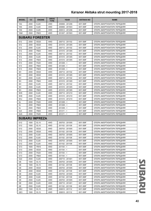| YA4<br>2000<br>EJ20<br>2WD<br>200806 - 201206<br>0811-B9F<br>ОПОРА АМОРТИЗАТОРА ПЕРЕДНЯЯ<br>4WD<br>YA <sub>5</sub><br>2000<br>EJ20<br>200806 - 201503<br>0811-B9F<br>ОПОРА АМОРТИЗАТОРА ПЕРЕДНЯЯ<br>YA9<br>2500<br>EJ25<br>4WD<br>200912 - 201206<br>0811-B9F<br>ОПОРА АМОРТИЗАТОРА ПЕРЕДНЯЯ<br>YAM<br>2500<br><b>FB25</b><br>4WD<br>201207 - 201503<br>0811-B9F<br>ОПОРА АМОРТИЗАТОРА ПЕРЕДНЯЯ<br><b>SUBARU FORESTER</b><br>S <sub>12</sub><br><b>EE20</b><br>0811-B9F<br>2000<br>4WD<br>200712 - 201102<br>ОПОРА АМОРТИЗАТОРА ПЕРЕДНЯЯ<br>S <sub>12</sub><br><b>EE20</b><br>2000<br>4WD<br>201010 - 201305<br>0811-B9F<br>ОПОРА АМОРТИЗАТОРА ПЕРЕДНЯЯ<br>S12<br>2000<br>EJ20<br>4WD<br>200712 - 201102<br>0811-B9F<br>ОПОРА АМОРТИЗАТОРА ПЕРЕДНЯЯ<br>S12<br>2000<br><b>FB20</b><br>4WD<br>201010 - 201305<br>0811-B9F<br>ОПОРА АМОРТИЗАТОРА ПЕРЕДНЯЯ<br>S <sub>12</sub><br>EJ25<br>4WD<br>2500<br>200712 - 201102<br>0811-B9F<br>ОПОРА АМОРТИЗАТОРА ПЕРЕДНЯЯ<br>S <sub>12</sub><br>2500<br>EJ25<br>4WD<br>201010 - 201305<br>0811-B9F<br>ОПОРА АМОРТИЗАТОРА ПЕРЕДНЯЯ<br><b>FB25</b><br>S <sub>12</sub><br>2500<br>4WD<br>201010 - 201305<br>0811-B9F<br>ОПОРА АМОРТИЗАТОРА ПЕРЕДНЯЯ<br>S13<br>2000<br><b>FA20</b><br>4WD<br>$201208 - 5$<br>0811-B9F<br>ОПОРА АМОРТИЗАТОРА ПЕРЕДНЯЯ<br>S <sub>13</sub><br><b>FB20</b><br>4WD<br>2000<br>$201208 - 5$<br>0811-B9F<br>ОПОРА АМОРТИЗАТОРА ПЕРЕДНЯЯ<br>S <sub>13</sub><br>2500<br><b>FB25</b><br>4WD<br>$201208 - 5$<br>0811-B9F<br>ОПОРА АМОРТИЗАТОРА ПЕРЕДНЯЯ<br><b>SH</b><br><b>EE20</b><br>4WD<br>2000<br>200712 - 201102<br>0811-B9F<br>ОПОРА АМОРТИЗАТОРА ПЕРЕДНЯЯ<br>SH<br><b>EE20</b><br>4WD<br>201010 - 201305<br>2000<br>0811-B9F<br>ОПОРА АМОРТИЗАТОРА ПЕРЕДНЯЯ<br>SH<br>2000<br>EJ20<br>4WD<br>200712 - 201102<br>0811-B9F<br>ОПОРА АМОРТИЗАТОРА ПЕРЕДНЯЯ<br>SH<br>2000<br><b>FB20</b><br>4WD<br>201010 - 201305<br>0811-B9F<br>ОПОРА АМОРТИЗАТОРА ПЕРЕДНЯЯ<br>SH<br>EJ25<br>4WD<br>2500<br>200712 - 201102<br>0811-B9F<br>ОПОРА АМОРТИЗАТОРА ПЕРЕДНЯЯ<br>SH<br>EJ25<br>4WD<br>2500<br>201010 - 201305<br>0811-B9F<br>ОПОРА АМОРТИЗАТОРА ПЕРЕДНЯЯ<br>SH<br>2500<br><b>FB25</b><br>4WD<br>201010 - 201305<br>0811-B9F<br>ОПОРА АМОРТИЗАТОРА ПЕРЕДНЯЯ<br>SH5<br>2000<br>EJ20<br>4WD<br>200712 - 201210<br>0811-B9F<br>ОПОРА АМОРТИЗАТОРА ПЕРЕДНЯЯ<br>EJ25<br>SH9<br>2500<br>4WD<br>201010 - 201210<br>0811-B9F<br>ОПОРА АМОРТИЗАТОРА ПЕРЕДНЯЯ<br><b>FB20</b><br><b>SHJ</b><br>2000<br>4WD<br>201010 - 201210<br>0811-B9F<br>ОПОРА АМОРТИЗАТОРА ПЕРЕДНЯЯ<br>SJ<br>2000<br><b>FA20</b><br>4WD<br>$201208 - 5$<br>0811-B9F<br>ОПОРА АМОРТИЗАТОРА ПЕРЕДНЯЯ<br>SJ<br>2000<br><b>FB20</b><br>4WD<br>$201208 - 5$<br>0811-B9F<br>ОПОРА АМОРТИЗАТОРА ПЕРЕДНЯЯ<br><b>FB25</b><br>4WD<br>SJ<br>2500<br>$201208 - 5$<br>0811-B9F<br>ОПОРА АМОРТИЗАТОРА ПЕРЕДНЯЯ<br>4WD<br>SJ5<br>2000<br><b>FB20</b><br>$201211 - 5$<br>0811-B9F<br>ОПОРА АМОРТИЗАТОРА ПЕРЕДНЯЯ<br><b>SJG</b><br>2000<br><b>FA20</b><br>4WD<br>$201211 - 5$<br>0811-B9F<br>ОПОРА АМОРТИЗАТОРА ПЕРЕДНЯЯ<br><b>SUBARU IMPREZA</b><br>4WD<br>200703 - 201005<br>0811-B9F<br>G12<br>1500<br><b>EL15</b><br>ОПОРА АМОРТИЗАТОРА ПЕРЕДНЯЯ<br>1500<br><b>EL15</b><br>G12<br>4WD<br>0811-B9F<br>201102 - 201109<br>ОПОРА АМОРТИЗАТОРА ПЕРЕДНЯЯ<br><b>EE20</b><br>G12<br>2000<br>4WD<br>200703 - 201005<br>0811-B9F<br>ОПОРА АМОРТИЗАТОРА ПЕРЕДНЯЯ<br>G12<br>4WD<br>2000<br><b>EE20</b><br>201102 - 201109<br>0811-B9F<br>ОПОРА АМОРТИЗАТОРА ПЕРЕДНЯЯ<br>G12<br>EJ20<br>4WD<br>2000<br>200703 - 201005<br>0811-B9F<br>ОПОРА АМОРТИЗАТОРА ПЕРЕДНЯЯ<br>G12<br>2000<br>EJ20<br>4WD<br>201102 - 201109<br>0811-B9F<br>ОПОРА АМОРТИЗАТОРА ПЕРЕДНЯЯ<br>G12<br>2500<br>EJ25<br>4WD<br>200703 - 201005<br>0811-B9F<br>ОПОРА АМОРТИЗАТОРА ПЕРЕДНЯЯ<br>G12<br>EJ25<br>4WD<br>0811-B9F<br>2500<br>201102 - 201109<br>ОПОРА АМОРТИЗАТОРА ПЕРЕДНЯЯ<br>G13<br><b>FB16</b><br>4WD<br>$201104 - 5$<br>0811-B9F<br>1600<br>ОПОРА АМОРТИЗАТОРА ПЕРЕДНЯЯ<br>G13<br>2000<br><b>EE20</b><br>4WD<br>$201104 - 5$<br>0811-B9F<br>ОПОРА АМОРТИЗАТОРА ПЕРЕДНЯЯ<br>G13<br>2000<br><b>FA20</b><br>4WD<br>$201104 -$<br>0811-B9F<br>ОПОРА АМОРТИЗАТОРА ПЕРЕДНЯЯ<br><b>FB20</b><br>$201104 - 5$<br>0811-B9F<br>G13<br>2000<br>4WD<br>ОПОРА АМОРТИЗАТОРА ПЕРЕДНЯЯ<br>0811-B9F<br>G22<br>2500<br>EJ25<br>4WD<br>200710 - 201401<br>ОПОРА АМОРТИЗАТОРА ПЕРЕДНЯЯ<br><b>GE</b><br>1500<br>EL15<br>4WD<br>200703 - 201005<br>0811-B9F<br>ОПОРА АМОРТИЗАТОРА ПЕРЕДНЯЯ<br>GE<br>1500<br>EL15<br>4WD<br>201102 - 201109<br>0811-B9F<br>ОПОРА АМОРТИЗАТОРА ПЕРЕДНЯЯ<br>GE<br>2000<br><b>EE20</b><br>4WD<br>200703 - 201005<br>0811-B9F<br>ОПОРА АМОРТИЗАТОРА ПЕРЕДНЯЯ<br>GE<br>2000<br><b>EE20</b><br>4WD<br>201102 - 201109<br>0811-B9F<br>ОПОРА АМОРТИЗАТОРА ПЕРЕДНЯЯ<br>GE<br>2000<br>EJ20<br>4WD<br>200703 - 201005<br>0811-B9F<br>ОПОРА АМОРТИЗАТОРА ПЕРЕДНЯЯ<br>GE<br>2000<br>EJ20<br>4WD<br>201102 - 201109<br>0811-B9F<br>ОПОРА АМОРТИЗАТОРА ПЕРЕДНЯЯ<br><b>GE</b><br>2500<br>EJ25<br>4WD<br>200703 - 201005<br>0811-B9F<br>ОПОРА АМОРТИЗАТОРА ПЕРЕДНЯЯ<br><b>GE</b><br>2500<br>EJ25<br>4WD<br>200710 - 201401<br>0811-B9F<br>ОПОРА АМОРТИЗАТОРА ПЕРЕДНЯЯ<br>GE<br>2500<br>EJ25<br>4WD<br>201102 - 201109<br>0811-B9F<br>ОПОРА АМОРТИЗАТОРА ПЕРЕДНЯЯ<br>GE <sub>2</sub><br>1500<br>EL15<br>2WD<br>200810 - 201112<br>0811-B9F<br>ОПОРА АМОРТИЗАТОРА ПЕРЕДНЯЯ<br>GE3<br>1500<br>EL15<br>4WD<br>200810 - 201112<br>0811-B9F<br>ОПОРА АМОРТИЗАТОРА ПЕРЕДНЯЯ | <b>MODEL</b> | cc | <b>ENGINE</b> | <b>DRIVE</b><br><b>TYPE</b> | <b>YEAR</b> | <b>AKITAKA NO</b> | <b>NAME</b> |  |  |  |  |  |
|------------------------------------------------------------------------------------------------------------------------------------------------------------------------------------------------------------------------------------------------------------------------------------------------------------------------------------------------------------------------------------------------------------------------------------------------------------------------------------------------------------------------------------------------------------------------------------------------------------------------------------------------------------------------------------------------------------------------------------------------------------------------------------------------------------------------------------------------------------------------------------------------------------------------------------------------------------------------------------------------------------------------------------------------------------------------------------------------------------------------------------------------------------------------------------------------------------------------------------------------------------------------------------------------------------------------------------------------------------------------------------------------------------------------------------------------------------------------------------------------------------------------------------------------------------------------------------------------------------------------------------------------------------------------------------------------------------------------------------------------------------------------------------------------------------------------------------------------------------------------------------------------------------------------------------------------------------------------------------------------------------------------------------------------------------------------------------------------------------------------------------------------------------------------------------------------------------------------------------------------------------------------------------------------------------------------------------------------------------------------------------------------------------------------------------------------------------------------------------------------------------------------------------------------------------------------------------------------------------------------------------------------------------------------------------------------------------------------------------------------------------------------------------------------------------------------------------------------------------------------------------------------------------------------------------------------------------------------------------------------------------------------------------------------------------------------------------------------------------------------------------------------------------------------------------------------------------------------------------------------------------------------------------------------------------------------------------------------------------------------------------------------------------------------------------------------------------------------------------------------------------------------------------------------------------------------------------------------------------------------------------------------------------------------------------------------------------------------------------------------------------------------------------------------------------------------------------------------------------------------------------------------------------------------------------------------------------------------------------------------------------------------------------------------------------------------------------------------------------------------------------------------------------------------------------------------------------------------------------------------------------------------------------------------------------------------------------------------------------------------------------------------------------------------------------------------------------------------------------------------------------------------------------------------------------------------------------------------------------------------------------------------------------------------------------------------------------------------------------------------------------------------------------------------------------------------------------------------------------------------------------------------------------------------------------------------------------------------------------------------------------------------------------------------------------------------------------------------------------------------------------------------------------------------------------------------------------------------------------------------------------------------------------------------------------------------------------------------------------------------------------------------------------------------------|--------------|----|---------------|-----------------------------|-------------|-------------------|-------------|--|--|--|--|--|
|                                                                                                                                                                                                                                                                                                                                                                                                                                                                                                                                                                                                                                                                                                                                                                                                                                                                                                                                                                                                                                                                                                                                                                                                                                                                                                                                                                                                                                                                                                                                                                                                                                                                                                                                                                                                                                                                                                                                                                                                                                                                                                                                                                                                                                                                                                                                                                                                                                                                                                                                                                                                                                                                                                                                                                                                                                                                                                                                                                                                                                                                                                                                                                                                                                                                                                                                                                                                                                                                                                                                                                                                                                                                                                                                                                                                                                                                                                                                                                                                                                                                                                                                                                                                                                                                                                                                                                                                                                                                                                                                                                                                                                                                                                                                                                                                                                                                                                                                                                                                                                                                                                                                                                                                                                                                                                                                                                                                                              |              |    |               |                             |             |                   |             |  |  |  |  |  |
|                                                                                                                                                                                                                                                                                                                                                                                                                                                                                                                                                                                                                                                                                                                                                                                                                                                                                                                                                                                                                                                                                                                                                                                                                                                                                                                                                                                                                                                                                                                                                                                                                                                                                                                                                                                                                                                                                                                                                                                                                                                                                                                                                                                                                                                                                                                                                                                                                                                                                                                                                                                                                                                                                                                                                                                                                                                                                                                                                                                                                                                                                                                                                                                                                                                                                                                                                                                                                                                                                                                                                                                                                                                                                                                                                                                                                                                                                                                                                                                                                                                                                                                                                                                                                                                                                                                                                                                                                                                                                                                                                                                                                                                                                                                                                                                                                                                                                                                                                                                                                                                                                                                                                                                                                                                                                                                                                                                                                              |              |    |               |                             |             |                   |             |  |  |  |  |  |
|                                                                                                                                                                                                                                                                                                                                                                                                                                                                                                                                                                                                                                                                                                                                                                                                                                                                                                                                                                                                                                                                                                                                                                                                                                                                                                                                                                                                                                                                                                                                                                                                                                                                                                                                                                                                                                                                                                                                                                                                                                                                                                                                                                                                                                                                                                                                                                                                                                                                                                                                                                                                                                                                                                                                                                                                                                                                                                                                                                                                                                                                                                                                                                                                                                                                                                                                                                                                                                                                                                                                                                                                                                                                                                                                                                                                                                                                                                                                                                                                                                                                                                                                                                                                                                                                                                                                                                                                                                                                                                                                                                                                                                                                                                                                                                                                                                                                                                                                                                                                                                                                                                                                                                                                                                                                                                                                                                                                                              |              |    |               |                             |             |                   |             |  |  |  |  |  |
|                                                                                                                                                                                                                                                                                                                                                                                                                                                                                                                                                                                                                                                                                                                                                                                                                                                                                                                                                                                                                                                                                                                                                                                                                                                                                                                                                                                                                                                                                                                                                                                                                                                                                                                                                                                                                                                                                                                                                                                                                                                                                                                                                                                                                                                                                                                                                                                                                                                                                                                                                                                                                                                                                                                                                                                                                                                                                                                                                                                                                                                                                                                                                                                                                                                                                                                                                                                                                                                                                                                                                                                                                                                                                                                                                                                                                                                                                                                                                                                                                                                                                                                                                                                                                                                                                                                                                                                                                                                                                                                                                                                                                                                                                                                                                                                                                                                                                                                                                                                                                                                                                                                                                                                                                                                                                                                                                                                                                              |              |    |               |                             |             |                   |             |  |  |  |  |  |
|                                                                                                                                                                                                                                                                                                                                                                                                                                                                                                                                                                                                                                                                                                                                                                                                                                                                                                                                                                                                                                                                                                                                                                                                                                                                                                                                                                                                                                                                                                                                                                                                                                                                                                                                                                                                                                                                                                                                                                                                                                                                                                                                                                                                                                                                                                                                                                                                                                                                                                                                                                                                                                                                                                                                                                                                                                                                                                                                                                                                                                                                                                                                                                                                                                                                                                                                                                                                                                                                                                                                                                                                                                                                                                                                                                                                                                                                                                                                                                                                                                                                                                                                                                                                                                                                                                                                                                                                                                                                                                                                                                                                                                                                                                                                                                                                                                                                                                                                                                                                                                                                                                                                                                                                                                                                                                                                                                                                                              |              |    |               |                             |             |                   |             |  |  |  |  |  |
|                                                                                                                                                                                                                                                                                                                                                                                                                                                                                                                                                                                                                                                                                                                                                                                                                                                                                                                                                                                                                                                                                                                                                                                                                                                                                                                                                                                                                                                                                                                                                                                                                                                                                                                                                                                                                                                                                                                                                                                                                                                                                                                                                                                                                                                                                                                                                                                                                                                                                                                                                                                                                                                                                                                                                                                                                                                                                                                                                                                                                                                                                                                                                                                                                                                                                                                                                                                                                                                                                                                                                                                                                                                                                                                                                                                                                                                                                                                                                                                                                                                                                                                                                                                                                                                                                                                                                                                                                                                                                                                                                                                                                                                                                                                                                                                                                                                                                                                                                                                                                                                                                                                                                                                                                                                                                                                                                                                                                              |              |    |               |                             |             |                   |             |  |  |  |  |  |
|                                                                                                                                                                                                                                                                                                                                                                                                                                                                                                                                                                                                                                                                                                                                                                                                                                                                                                                                                                                                                                                                                                                                                                                                                                                                                                                                                                                                                                                                                                                                                                                                                                                                                                                                                                                                                                                                                                                                                                                                                                                                                                                                                                                                                                                                                                                                                                                                                                                                                                                                                                                                                                                                                                                                                                                                                                                                                                                                                                                                                                                                                                                                                                                                                                                                                                                                                                                                                                                                                                                                                                                                                                                                                                                                                                                                                                                                                                                                                                                                                                                                                                                                                                                                                                                                                                                                                                                                                                                                                                                                                                                                                                                                                                                                                                                                                                                                                                                                                                                                                                                                                                                                                                                                                                                                                                                                                                                                                              |              |    |               |                             |             |                   |             |  |  |  |  |  |
|                                                                                                                                                                                                                                                                                                                                                                                                                                                                                                                                                                                                                                                                                                                                                                                                                                                                                                                                                                                                                                                                                                                                                                                                                                                                                                                                                                                                                                                                                                                                                                                                                                                                                                                                                                                                                                                                                                                                                                                                                                                                                                                                                                                                                                                                                                                                                                                                                                                                                                                                                                                                                                                                                                                                                                                                                                                                                                                                                                                                                                                                                                                                                                                                                                                                                                                                                                                                                                                                                                                                                                                                                                                                                                                                                                                                                                                                                                                                                                                                                                                                                                                                                                                                                                                                                                                                                                                                                                                                                                                                                                                                                                                                                                                                                                                                                                                                                                                                                                                                                                                                                                                                                                                                                                                                                                                                                                                                                              |              |    |               |                             |             |                   |             |  |  |  |  |  |
|                                                                                                                                                                                                                                                                                                                                                                                                                                                                                                                                                                                                                                                                                                                                                                                                                                                                                                                                                                                                                                                                                                                                                                                                                                                                                                                                                                                                                                                                                                                                                                                                                                                                                                                                                                                                                                                                                                                                                                                                                                                                                                                                                                                                                                                                                                                                                                                                                                                                                                                                                                                                                                                                                                                                                                                                                                                                                                                                                                                                                                                                                                                                                                                                                                                                                                                                                                                                                                                                                                                                                                                                                                                                                                                                                                                                                                                                                                                                                                                                                                                                                                                                                                                                                                                                                                                                                                                                                                                                                                                                                                                                                                                                                                                                                                                                                                                                                                                                                                                                                                                                                                                                                                                                                                                                                                                                                                                                                              |              |    |               |                             |             |                   |             |  |  |  |  |  |
|                                                                                                                                                                                                                                                                                                                                                                                                                                                                                                                                                                                                                                                                                                                                                                                                                                                                                                                                                                                                                                                                                                                                                                                                                                                                                                                                                                                                                                                                                                                                                                                                                                                                                                                                                                                                                                                                                                                                                                                                                                                                                                                                                                                                                                                                                                                                                                                                                                                                                                                                                                                                                                                                                                                                                                                                                                                                                                                                                                                                                                                                                                                                                                                                                                                                                                                                                                                                                                                                                                                                                                                                                                                                                                                                                                                                                                                                                                                                                                                                                                                                                                                                                                                                                                                                                                                                                                                                                                                                                                                                                                                                                                                                                                                                                                                                                                                                                                                                                                                                                                                                                                                                                                                                                                                                                                                                                                                                                              |              |    |               |                             |             |                   |             |  |  |  |  |  |
|                                                                                                                                                                                                                                                                                                                                                                                                                                                                                                                                                                                                                                                                                                                                                                                                                                                                                                                                                                                                                                                                                                                                                                                                                                                                                                                                                                                                                                                                                                                                                                                                                                                                                                                                                                                                                                                                                                                                                                                                                                                                                                                                                                                                                                                                                                                                                                                                                                                                                                                                                                                                                                                                                                                                                                                                                                                                                                                                                                                                                                                                                                                                                                                                                                                                                                                                                                                                                                                                                                                                                                                                                                                                                                                                                                                                                                                                                                                                                                                                                                                                                                                                                                                                                                                                                                                                                                                                                                                                                                                                                                                                                                                                                                                                                                                                                                                                                                                                                                                                                                                                                                                                                                                                                                                                                                                                                                                                                              |              |    |               |                             |             |                   |             |  |  |  |  |  |
|                                                                                                                                                                                                                                                                                                                                                                                                                                                                                                                                                                                                                                                                                                                                                                                                                                                                                                                                                                                                                                                                                                                                                                                                                                                                                                                                                                                                                                                                                                                                                                                                                                                                                                                                                                                                                                                                                                                                                                                                                                                                                                                                                                                                                                                                                                                                                                                                                                                                                                                                                                                                                                                                                                                                                                                                                                                                                                                                                                                                                                                                                                                                                                                                                                                                                                                                                                                                                                                                                                                                                                                                                                                                                                                                                                                                                                                                                                                                                                                                                                                                                                                                                                                                                                                                                                                                                                                                                                                                                                                                                                                                                                                                                                                                                                                                                                                                                                                                                                                                                                                                                                                                                                                                                                                                                                                                                                                                                              |              |    |               |                             |             |                   |             |  |  |  |  |  |
|                                                                                                                                                                                                                                                                                                                                                                                                                                                                                                                                                                                                                                                                                                                                                                                                                                                                                                                                                                                                                                                                                                                                                                                                                                                                                                                                                                                                                                                                                                                                                                                                                                                                                                                                                                                                                                                                                                                                                                                                                                                                                                                                                                                                                                                                                                                                                                                                                                                                                                                                                                                                                                                                                                                                                                                                                                                                                                                                                                                                                                                                                                                                                                                                                                                                                                                                                                                                                                                                                                                                                                                                                                                                                                                                                                                                                                                                                                                                                                                                                                                                                                                                                                                                                                                                                                                                                                                                                                                                                                                                                                                                                                                                                                                                                                                                                                                                                                                                                                                                                                                                                                                                                                                                                                                                                                                                                                                                                              |              |    |               |                             |             |                   |             |  |  |  |  |  |
|                                                                                                                                                                                                                                                                                                                                                                                                                                                                                                                                                                                                                                                                                                                                                                                                                                                                                                                                                                                                                                                                                                                                                                                                                                                                                                                                                                                                                                                                                                                                                                                                                                                                                                                                                                                                                                                                                                                                                                                                                                                                                                                                                                                                                                                                                                                                                                                                                                                                                                                                                                                                                                                                                                                                                                                                                                                                                                                                                                                                                                                                                                                                                                                                                                                                                                                                                                                                                                                                                                                                                                                                                                                                                                                                                                                                                                                                                                                                                                                                                                                                                                                                                                                                                                                                                                                                                                                                                                                                                                                                                                                                                                                                                                                                                                                                                                                                                                                                                                                                                                                                                                                                                                                                                                                                                                                                                                                                                              |              |    |               |                             |             |                   |             |  |  |  |  |  |
|                                                                                                                                                                                                                                                                                                                                                                                                                                                                                                                                                                                                                                                                                                                                                                                                                                                                                                                                                                                                                                                                                                                                                                                                                                                                                                                                                                                                                                                                                                                                                                                                                                                                                                                                                                                                                                                                                                                                                                                                                                                                                                                                                                                                                                                                                                                                                                                                                                                                                                                                                                                                                                                                                                                                                                                                                                                                                                                                                                                                                                                                                                                                                                                                                                                                                                                                                                                                                                                                                                                                                                                                                                                                                                                                                                                                                                                                                                                                                                                                                                                                                                                                                                                                                                                                                                                                                                                                                                                                                                                                                                                                                                                                                                                                                                                                                                                                                                                                                                                                                                                                                                                                                                                                                                                                                                                                                                                                                              |              |    |               |                             |             |                   |             |  |  |  |  |  |
|                                                                                                                                                                                                                                                                                                                                                                                                                                                                                                                                                                                                                                                                                                                                                                                                                                                                                                                                                                                                                                                                                                                                                                                                                                                                                                                                                                                                                                                                                                                                                                                                                                                                                                                                                                                                                                                                                                                                                                                                                                                                                                                                                                                                                                                                                                                                                                                                                                                                                                                                                                                                                                                                                                                                                                                                                                                                                                                                                                                                                                                                                                                                                                                                                                                                                                                                                                                                                                                                                                                                                                                                                                                                                                                                                                                                                                                                                                                                                                                                                                                                                                                                                                                                                                                                                                                                                                                                                                                                                                                                                                                                                                                                                                                                                                                                                                                                                                                                                                                                                                                                                                                                                                                                                                                                                                                                                                                                                              |              |    |               |                             |             |                   |             |  |  |  |  |  |
|                                                                                                                                                                                                                                                                                                                                                                                                                                                                                                                                                                                                                                                                                                                                                                                                                                                                                                                                                                                                                                                                                                                                                                                                                                                                                                                                                                                                                                                                                                                                                                                                                                                                                                                                                                                                                                                                                                                                                                                                                                                                                                                                                                                                                                                                                                                                                                                                                                                                                                                                                                                                                                                                                                                                                                                                                                                                                                                                                                                                                                                                                                                                                                                                                                                                                                                                                                                                                                                                                                                                                                                                                                                                                                                                                                                                                                                                                                                                                                                                                                                                                                                                                                                                                                                                                                                                                                                                                                                                                                                                                                                                                                                                                                                                                                                                                                                                                                                                                                                                                                                                                                                                                                                                                                                                                                                                                                                                                              |              |    |               |                             |             |                   |             |  |  |  |  |  |
|                                                                                                                                                                                                                                                                                                                                                                                                                                                                                                                                                                                                                                                                                                                                                                                                                                                                                                                                                                                                                                                                                                                                                                                                                                                                                                                                                                                                                                                                                                                                                                                                                                                                                                                                                                                                                                                                                                                                                                                                                                                                                                                                                                                                                                                                                                                                                                                                                                                                                                                                                                                                                                                                                                                                                                                                                                                                                                                                                                                                                                                                                                                                                                                                                                                                                                                                                                                                                                                                                                                                                                                                                                                                                                                                                                                                                                                                                                                                                                                                                                                                                                                                                                                                                                                                                                                                                                                                                                                                                                                                                                                                                                                                                                                                                                                                                                                                                                                                                                                                                                                                                                                                                                                                                                                                                                                                                                                                                              |              |    |               |                             |             |                   |             |  |  |  |  |  |
|                                                                                                                                                                                                                                                                                                                                                                                                                                                                                                                                                                                                                                                                                                                                                                                                                                                                                                                                                                                                                                                                                                                                                                                                                                                                                                                                                                                                                                                                                                                                                                                                                                                                                                                                                                                                                                                                                                                                                                                                                                                                                                                                                                                                                                                                                                                                                                                                                                                                                                                                                                                                                                                                                                                                                                                                                                                                                                                                                                                                                                                                                                                                                                                                                                                                                                                                                                                                                                                                                                                                                                                                                                                                                                                                                                                                                                                                                                                                                                                                                                                                                                                                                                                                                                                                                                                                                                                                                                                                                                                                                                                                                                                                                                                                                                                                                                                                                                                                                                                                                                                                                                                                                                                                                                                                                                                                                                                                                              |              |    |               |                             |             |                   |             |  |  |  |  |  |
|                                                                                                                                                                                                                                                                                                                                                                                                                                                                                                                                                                                                                                                                                                                                                                                                                                                                                                                                                                                                                                                                                                                                                                                                                                                                                                                                                                                                                                                                                                                                                                                                                                                                                                                                                                                                                                                                                                                                                                                                                                                                                                                                                                                                                                                                                                                                                                                                                                                                                                                                                                                                                                                                                                                                                                                                                                                                                                                                                                                                                                                                                                                                                                                                                                                                                                                                                                                                                                                                                                                                                                                                                                                                                                                                                                                                                                                                                                                                                                                                                                                                                                                                                                                                                                                                                                                                                                                                                                                                                                                                                                                                                                                                                                                                                                                                                                                                                                                                                                                                                                                                                                                                                                                                                                                                                                                                                                                                                              |              |    |               |                             |             |                   |             |  |  |  |  |  |
|                                                                                                                                                                                                                                                                                                                                                                                                                                                                                                                                                                                                                                                                                                                                                                                                                                                                                                                                                                                                                                                                                                                                                                                                                                                                                                                                                                                                                                                                                                                                                                                                                                                                                                                                                                                                                                                                                                                                                                                                                                                                                                                                                                                                                                                                                                                                                                                                                                                                                                                                                                                                                                                                                                                                                                                                                                                                                                                                                                                                                                                                                                                                                                                                                                                                                                                                                                                                                                                                                                                                                                                                                                                                                                                                                                                                                                                                                                                                                                                                                                                                                                                                                                                                                                                                                                                                                                                                                                                                                                                                                                                                                                                                                                                                                                                                                                                                                                                                                                                                                                                                                                                                                                                                                                                                                                                                                                                                                              |              |    |               |                             |             |                   |             |  |  |  |  |  |
|                                                                                                                                                                                                                                                                                                                                                                                                                                                                                                                                                                                                                                                                                                                                                                                                                                                                                                                                                                                                                                                                                                                                                                                                                                                                                                                                                                                                                                                                                                                                                                                                                                                                                                                                                                                                                                                                                                                                                                                                                                                                                                                                                                                                                                                                                                                                                                                                                                                                                                                                                                                                                                                                                                                                                                                                                                                                                                                                                                                                                                                                                                                                                                                                                                                                                                                                                                                                                                                                                                                                                                                                                                                                                                                                                                                                                                                                                                                                                                                                                                                                                                                                                                                                                                                                                                                                                                                                                                                                                                                                                                                                                                                                                                                                                                                                                                                                                                                                                                                                                                                                                                                                                                                                                                                                                                                                                                                                                              |              |    |               |                             |             |                   |             |  |  |  |  |  |
|                                                                                                                                                                                                                                                                                                                                                                                                                                                                                                                                                                                                                                                                                                                                                                                                                                                                                                                                                                                                                                                                                                                                                                                                                                                                                                                                                                                                                                                                                                                                                                                                                                                                                                                                                                                                                                                                                                                                                                                                                                                                                                                                                                                                                                                                                                                                                                                                                                                                                                                                                                                                                                                                                                                                                                                                                                                                                                                                                                                                                                                                                                                                                                                                                                                                                                                                                                                                                                                                                                                                                                                                                                                                                                                                                                                                                                                                                                                                                                                                                                                                                                                                                                                                                                                                                                                                                                                                                                                                                                                                                                                                                                                                                                                                                                                                                                                                                                                                                                                                                                                                                                                                                                                                                                                                                                                                                                                                                              |              |    |               |                             |             |                   |             |  |  |  |  |  |
|                                                                                                                                                                                                                                                                                                                                                                                                                                                                                                                                                                                                                                                                                                                                                                                                                                                                                                                                                                                                                                                                                                                                                                                                                                                                                                                                                                                                                                                                                                                                                                                                                                                                                                                                                                                                                                                                                                                                                                                                                                                                                                                                                                                                                                                                                                                                                                                                                                                                                                                                                                                                                                                                                                                                                                                                                                                                                                                                                                                                                                                                                                                                                                                                                                                                                                                                                                                                                                                                                                                                                                                                                                                                                                                                                                                                                                                                                                                                                                                                                                                                                                                                                                                                                                                                                                                                                                                                                                                                                                                                                                                                                                                                                                                                                                                                                                                                                                                                                                                                                                                                                                                                                                                                                                                                                                                                                                                                                              |              |    |               |                             |             |                   |             |  |  |  |  |  |
|                                                                                                                                                                                                                                                                                                                                                                                                                                                                                                                                                                                                                                                                                                                                                                                                                                                                                                                                                                                                                                                                                                                                                                                                                                                                                                                                                                                                                                                                                                                                                                                                                                                                                                                                                                                                                                                                                                                                                                                                                                                                                                                                                                                                                                                                                                                                                                                                                                                                                                                                                                                                                                                                                                                                                                                                                                                                                                                                                                                                                                                                                                                                                                                                                                                                                                                                                                                                                                                                                                                                                                                                                                                                                                                                                                                                                                                                                                                                                                                                                                                                                                                                                                                                                                                                                                                                                                                                                                                                                                                                                                                                                                                                                                                                                                                                                                                                                                                                                                                                                                                                                                                                                                                                                                                                                                                                                                                                                              |              |    |               |                             |             |                   |             |  |  |  |  |  |
|                                                                                                                                                                                                                                                                                                                                                                                                                                                                                                                                                                                                                                                                                                                                                                                                                                                                                                                                                                                                                                                                                                                                                                                                                                                                                                                                                                                                                                                                                                                                                                                                                                                                                                                                                                                                                                                                                                                                                                                                                                                                                                                                                                                                                                                                                                                                                                                                                                                                                                                                                                                                                                                                                                                                                                                                                                                                                                                                                                                                                                                                                                                                                                                                                                                                                                                                                                                                                                                                                                                                                                                                                                                                                                                                                                                                                                                                                                                                                                                                                                                                                                                                                                                                                                                                                                                                                                                                                                                                                                                                                                                                                                                                                                                                                                                                                                                                                                                                                                                                                                                                                                                                                                                                                                                                                                                                                                                                                              |              |    |               |                             |             |                   |             |  |  |  |  |  |
|                                                                                                                                                                                                                                                                                                                                                                                                                                                                                                                                                                                                                                                                                                                                                                                                                                                                                                                                                                                                                                                                                                                                                                                                                                                                                                                                                                                                                                                                                                                                                                                                                                                                                                                                                                                                                                                                                                                                                                                                                                                                                                                                                                                                                                                                                                                                                                                                                                                                                                                                                                                                                                                                                                                                                                                                                                                                                                                                                                                                                                                                                                                                                                                                                                                                                                                                                                                                                                                                                                                                                                                                                                                                                                                                                                                                                                                                                                                                                                                                                                                                                                                                                                                                                                                                                                                                                                                                                                                                                                                                                                                                                                                                                                                                                                                                                                                                                                                                                                                                                                                                                                                                                                                                                                                                                                                                                                                                                              |              |    |               |                             |             |                   |             |  |  |  |  |  |
|                                                                                                                                                                                                                                                                                                                                                                                                                                                                                                                                                                                                                                                                                                                                                                                                                                                                                                                                                                                                                                                                                                                                                                                                                                                                                                                                                                                                                                                                                                                                                                                                                                                                                                                                                                                                                                                                                                                                                                                                                                                                                                                                                                                                                                                                                                                                                                                                                                                                                                                                                                                                                                                                                                                                                                                                                                                                                                                                                                                                                                                                                                                                                                                                                                                                                                                                                                                                                                                                                                                                                                                                                                                                                                                                                                                                                                                                                                                                                                                                                                                                                                                                                                                                                                                                                                                                                                                                                                                                                                                                                                                                                                                                                                                                                                                                                                                                                                                                                                                                                                                                                                                                                                                                                                                                                                                                                                                                                              |              |    |               |                             |             |                   |             |  |  |  |  |  |
|                                                                                                                                                                                                                                                                                                                                                                                                                                                                                                                                                                                                                                                                                                                                                                                                                                                                                                                                                                                                                                                                                                                                                                                                                                                                                                                                                                                                                                                                                                                                                                                                                                                                                                                                                                                                                                                                                                                                                                                                                                                                                                                                                                                                                                                                                                                                                                                                                                                                                                                                                                                                                                                                                                                                                                                                                                                                                                                                                                                                                                                                                                                                                                                                                                                                                                                                                                                                                                                                                                                                                                                                                                                                                                                                                                                                                                                                                                                                                                                                                                                                                                                                                                                                                                                                                                                                                                                                                                                                                                                                                                                                                                                                                                                                                                                                                                                                                                                                                                                                                                                                                                                                                                                                                                                                                                                                                                                                                              |              |    |               |                             |             |                   |             |  |  |  |  |  |
|                                                                                                                                                                                                                                                                                                                                                                                                                                                                                                                                                                                                                                                                                                                                                                                                                                                                                                                                                                                                                                                                                                                                                                                                                                                                                                                                                                                                                                                                                                                                                                                                                                                                                                                                                                                                                                                                                                                                                                                                                                                                                                                                                                                                                                                                                                                                                                                                                                                                                                                                                                                                                                                                                                                                                                                                                                                                                                                                                                                                                                                                                                                                                                                                                                                                                                                                                                                                                                                                                                                                                                                                                                                                                                                                                                                                                                                                                                                                                                                                                                                                                                                                                                                                                                                                                                                                                                                                                                                                                                                                                                                                                                                                                                                                                                                                                                                                                                                                                                                                                                                                                                                                                                                                                                                                                                                                                                                                                              |              |    |               |                             |             |                   |             |  |  |  |  |  |
|                                                                                                                                                                                                                                                                                                                                                                                                                                                                                                                                                                                                                                                                                                                                                                                                                                                                                                                                                                                                                                                                                                                                                                                                                                                                                                                                                                                                                                                                                                                                                                                                                                                                                                                                                                                                                                                                                                                                                                                                                                                                                                                                                                                                                                                                                                                                                                                                                                                                                                                                                                                                                                                                                                                                                                                                                                                                                                                                                                                                                                                                                                                                                                                                                                                                                                                                                                                                                                                                                                                                                                                                                                                                                                                                                                                                                                                                                                                                                                                                                                                                                                                                                                                                                                                                                                                                                                                                                                                                                                                                                                                                                                                                                                                                                                                                                                                                                                                                                                                                                                                                                                                                                                                                                                                                                                                                                                                                                              |              |    |               |                             |             |                   |             |  |  |  |  |  |
|                                                                                                                                                                                                                                                                                                                                                                                                                                                                                                                                                                                                                                                                                                                                                                                                                                                                                                                                                                                                                                                                                                                                                                                                                                                                                                                                                                                                                                                                                                                                                                                                                                                                                                                                                                                                                                                                                                                                                                                                                                                                                                                                                                                                                                                                                                                                                                                                                                                                                                                                                                                                                                                                                                                                                                                                                                                                                                                                                                                                                                                                                                                                                                                                                                                                                                                                                                                                                                                                                                                                                                                                                                                                                                                                                                                                                                                                                                                                                                                                                                                                                                                                                                                                                                                                                                                                                                                                                                                                                                                                                                                                                                                                                                                                                                                                                                                                                                                                                                                                                                                                                                                                                                                                                                                                                                                                                                                                                              |              |    |               |                             |             |                   |             |  |  |  |  |  |
|                                                                                                                                                                                                                                                                                                                                                                                                                                                                                                                                                                                                                                                                                                                                                                                                                                                                                                                                                                                                                                                                                                                                                                                                                                                                                                                                                                                                                                                                                                                                                                                                                                                                                                                                                                                                                                                                                                                                                                                                                                                                                                                                                                                                                                                                                                                                                                                                                                                                                                                                                                                                                                                                                                                                                                                                                                                                                                                                                                                                                                                                                                                                                                                                                                                                                                                                                                                                                                                                                                                                                                                                                                                                                                                                                                                                                                                                                                                                                                                                                                                                                                                                                                                                                                                                                                                                                                                                                                                                                                                                                                                                                                                                                                                                                                                                                                                                                                                                                                                                                                                                                                                                                                                                                                                                                                                                                                                                                              |              |    |               |                             |             |                   |             |  |  |  |  |  |
|                                                                                                                                                                                                                                                                                                                                                                                                                                                                                                                                                                                                                                                                                                                                                                                                                                                                                                                                                                                                                                                                                                                                                                                                                                                                                                                                                                                                                                                                                                                                                                                                                                                                                                                                                                                                                                                                                                                                                                                                                                                                                                                                                                                                                                                                                                                                                                                                                                                                                                                                                                                                                                                                                                                                                                                                                                                                                                                                                                                                                                                                                                                                                                                                                                                                                                                                                                                                                                                                                                                                                                                                                                                                                                                                                                                                                                                                                                                                                                                                                                                                                                                                                                                                                                                                                                                                                                                                                                                                                                                                                                                                                                                                                                                                                                                                                                                                                                                                                                                                                                                                                                                                                                                                                                                                                                                                                                                                                              |              |    |               |                             |             |                   |             |  |  |  |  |  |
|                                                                                                                                                                                                                                                                                                                                                                                                                                                                                                                                                                                                                                                                                                                                                                                                                                                                                                                                                                                                                                                                                                                                                                                                                                                                                                                                                                                                                                                                                                                                                                                                                                                                                                                                                                                                                                                                                                                                                                                                                                                                                                                                                                                                                                                                                                                                                                                                                                                                                                                                                                                                                                                                                                                                                                                                                                                                                                                                                                                                                                                                                                                                                                                                                                                                                                                                                                                                                                                                                                                                                                                                                                                                                                                                                                                                                                                                                                                                                                                                                                                                                                                                                                                                                                                                                                                                                                                                                                                                                                                                                                                                                                                                                                                                                                                                                                                                                                                                                                                                                                                                                                                                                                                                                                                                                                                                                                                                                              |              |    |               |                             |             |                   |             |  |  |  |  |  |
|                                                                                                                                                                                                                                                                                                                                                                                                                                                                                                                                                                                                                                                                                                                                                                                                                                                                                                                                                                                                                                                                                                                                                                                                                                                                                                                                                                                                                                                                                                                                                                                                                                                                                                                                                                                                                                                                                                                                                                                                                                                                                                                                                                                                                                                                                                                                                                                                                                                                                                                                                                                                                                                                                                                                                                                                                                                                                                                                                                                                                                                                                                                                                                                                                                                                                                                                                                                                                                                                                                                                                                                                                                                                                                                                                                                                                                                                                                                                                                                                                                                                                                                                                                                                                                                                                                                                                                                                                                                                                                                                                                                                                                                                                                                                                                                                                                                                                                                                                                                                                                                                                                                                                                                                                                                                                                                                                                                                                              |              |    |               |                             |             |                   |             |  |  |  |  |  |
|                                                                                                                                                                                                                                                                                                                                                                                                                                                                                                                                                                                                                                                                                                                                                                                                                                                                                                                                                                                                                                                                                                                                                                                                                                                                                                                                                                                                                                                                                                                                                                                                                                                                                                                                                                                                                                                                                                                                                                                                                                                                                                                                                                                                                                                                                                                                                                                                                                                                                                                                                                                                                                                                                                                                                                                                                                                                                                                                                                                                                                                                                                                                                                                                                                                                                                                                                                                                                                                                                                                                                                                                                                                                                                                                                                                                                                                                                                                                                                                                                                                                                                                                                                                                                                                                                                                                                                                                                                                                                                                                                                                                                                                                                                                                                                                                                                                                                                                                                                                                                                                                                                                                                                                                                                                                                                                                                                                                                              |              |    |               |                             |             |                   |             |  |  |  |  |  |
|                                                                                                                                                                                                                                                                                                                                                                                                                                                                                                                                                                                                                                                                                                                                                                                                                                                                                                                                                                                                                                                                                                                                                                                                                                                                                                                                                                                                                                                                                                                                                                                                                                                                                                                                                                                                                                                                                                                                                                                                                                                                                                                                                                                                                                                                                                                                                                                                                                                                                                                                                                                                                                                                                                                                                                                                                                                                                                                                                                                                                                                                                                                                                                                                                                                                                                                                                                                                                                                                                                                                                                                                                                                                                                                                                                                                                                                                                                                                                                                                                                                                                                                                                                                                                                                                                                                                                                                                                                                                                                                                                                                                                                                                                                                                                                                                                                                                                                                                                                                                                                                                                                                                                                                                                                                                                                                                                                                                                              |              |    |               |                             |             |                   |             |  |  |  |  |  |
|                                                                                                                                                                                                                                                                                                                                                                                                                                                                                                                                                                                                                                                                                                                                                                                                                                                                                                                                                                                                                                                                                                                                                                                                                                                                                                                                                                                                                                                                                                                                                                                                                                                                                                                                                                                                                                                                                                                                                                                                                                                                                                                                                                                                                                                                                                                                                                                                                                                                                                                                                                                                                                                                                                                                                                                                                                                                                                                                                                                                                                                                                                                                                                                                                                                                                                                                                                                                                                                                                                                                                                                                                                                                                                                                                                                                                                                                                                                                                                                                                                                                                                                                                                                                                                                                                                                                                                                                                                                                                                                                                                                                                                                                                                                                                                                                                                                                                                                                                                                                                                                                                                                                                                                                                                                                                                                                                                                                                              |              |    |               |                             |             |                   |             |  |  |  |  |  |
|                                                                                                                                                                                                                                                                                                                                                                                                                                                                                                                                                                                                                                                                                                                                                                                                                                                                                                                                                                                                                                                                                                                                                                                                                                                                                                                                                                                                                                                                                                                                                                                                                                                                                                                                                                                                                                                                                                                                                                                                                                                                                                                                                                                                                                                                                                                                                                                                                                                                                                                                                                                                                                                                                                                                                                                                                                                                                                                                                                                                                                                                                                                                                                                                                                                                                                                                                                                                                                                                                                                                                                                                                                                                                                                                                                                                                                                                                                                                                                                                                                                                                                                                                                                                                                                                                                                                                                                                                                                                                                                                                                                                                                                                                                                                                                                                                                                                                                                                                                                                                                                                                                                                                                                                                                                                                                                                                                                                                              |              |    |               |                             |             |                   |             |  |  |  |  |  |
|                                                                                                                                                                                                                                                                                                                                                                                                                                                                                                                                                                                                                                                                                                                                                                                                                                                                                                                                                                                                                                                                                                                                                                                                                                                                                                                                                                                                                                                                                                                                                                                                                                                                                                                                                                                                                                                                                                                                                                                                                                                                                                                                                                                                                                                                                                                                                                                                                                                                                                                                                                                                                                                                                                                                                                                                                                                                                                                                                                                                                                                                                                                                                                                                                                                                                                                                                                                                                                                                                                                                                                                                                                                                                                                                                                                                                                                                                                                                                                                                                                                                                                                                                                                                                                                                                                                                                                                                                                                                                                                                                                                                                                                                                                                                                                                                                                                                                                                                                                                                                                                                                                                                                                                                                                                                                                                                                                                                                              |              |    |               |                             |             |                   |             |  |  |  |  |  |
|                                                                                                                                                                                                                                                                                                                                                                                                                                                                                                                                                                                                                                                                                                                                                                                                                                                                                                                                                                                                                                                                                                                                                                                                                                                                                                                                                                                                                                                                                                                                                                                                                                                                                                                                                                                                                                                                                                                                                                                                                                                                                                                                                                                                                                                                                                                                                                                                                                                                                                                                                                                                                                                                                                                                                                                                                                                                                                                                                                                                                                                                                                                                                                                                                                                                                                                                                                                                                                                                                                                                                                                                                                                                                                                                                                                                                                                                                                                                                                                                                                                                                                                                                                                                                                                                                                                                                                                                                                                                                                                                                                                                                                                                                                                                                                                                                                                                                                                                                                                                                                                                                                                                                                                                                                                                                                                                                                                                                              |              |    |               |                             |             |                   |             |  |  |  |  |  |
|                                                                                                                                                                                                                                                                                                                                                                                                                                                                                                                                                                                                                                                                                                                                                                                                                                                                                                                                                                                                                                                                                                                                                                                                                                                                                                                                                                                                                                                                                                                                                                                                                                                                                                                                                                                                                                                                                                                                                                                                                                                                                                                                                                                                                                                                                                                                                                                                                                                                                                                                                                                                                                                                                                                                                                                                                                                                                                                                                                                                                                                                                                                                                                                                                                                                                                                                                                                                                                                                                                                                                                                                                                                                                                                                                                                                                                                                                                                                                                                                                                                                                                                                                                                                                                                                                                                                                                                                                                                                                                                                                                                                                                                                                                                                                                                                                                                                                                                                                                                                                                                                                                                                                                                                                                                                                                                                                                                                                              |              |    |               |                             |             |                   |             |  |  |  |  |  |
|                                                                                                                                                                                                                                                                                                                                                                                                                                                                                                                                                                                                                                                                                                                                                                                                                                                                                                                                                                                                                                                                                                                                                                                                                                                                                                                                                                                                                                                                                                                                                                                                                                                                                                                                                                                                                                                                                                                                                                                                                                                                                                                                                                                                                                                                                                                                                                                                                                                                                                                                                                                                                                                                                                                                                                                                                                                                                                                                                                                                                                                                                                                                                                                                                                                                                                                                                                                                                                                                                                                                                                                                                                                                                                                                                                                                                                                                                                                                                                                                                                                                                                                                                                                                                                                                                                                                                                                                                                                                                                                                                                                                                                                                                                                                                                                                                                                                                                                                                                                                                                                                                                                                                                                                                                                                                                                                                                                                                              |              |    |               |                             |             |                   |             |  |  |  |  |  |
|                                                                                                                                                                                                                                                                                                                                                                                                                                                                                                                                                                                                                                                                                                                                                                                                                                                                                                                                                                                                                                                                                                                                                                                                                                                                                                                                                                                                                                                                                                                                                                                                                                                                                                                                                                                                                                                                                                                                                                                                                                                                                                                                                                                                                                                                                                                                                                                                                                                                                                                                                                                                                                                                                                                                                                                                                                                                                                                                                                                                                                                                                                                                                                                                                                                                                                                                                                                                                                                                                                                                                                                                                                                                                                                                                                                                                                                                                                                                                                                                                                                                                                                                                                                                                                                                                                                                                                                                                                                                                                                                                                                                                                                                                                                                                                                                                                                                                                                                                                                                                                                                                                                                                                                                                                                                                                                                                                                                                              |              |    |               |                             |             |                   |             |  |  |  |  |  |
|                                                                                                                                                                                                                                                                                                                                                                                                                                                                                                                                                                                                                                                                                                                                                                                                                                                                                                                                                                                                                                                                                                                                                                                                                                                                                                                                                                                                                                                                                                                                                                                                                                                                                                                                                                                                                                                                                                                                                                                                                                                                                                                                                                                                                                                                                                                                                                                                                                                                                                                                                                                                                                                                                                                                                                                                                                                                                                                                                                                                                                                                                                                                                                                                                                                                                                                                                                                                                                                                                                                                                                                                                                                                                                                                                                                                                                                                                                                                                                                                                                                                                                                                                                                                                                                                                                                                                                                                                                                                                                                                                                                                                                                                                                                                                                                                                                                                                                                                                                                                                                                                                                                                                                                                                                                                                                                                                                                                                              |              |    |               |                             |             |                   |             |  |  |  |  |  |
|                                                                                                                                                                                                                                                                                                                                                                                                                                                                                                                                                                                                                                                                                                                                                                                                                                                                                                                                                                                                                                                                                                                                                                                                                                                                                                                                                                                                                                                                                                                                                                                                                                                                                                                                                                                                                                                                                                                                                                                                                                                                                                                                                                                                                                                                                                                                                                                                                                                                                                                                                                                                                                                                                                                                                                                                                                                                                                                                                                                                                                                                                                                                                                                                                                                                                                                                                                                                                                                                                                                                                                                                                                                                                                                                                                                                                                                                                                                                                                                                                                                                                                                                                                                                                                                                                                                                                                                                                                                                                                                                                                                                                                                                                                                                                                                                                                                                                                                                                                                                                                                                                                                                                                                                                                                                                                                                                                                                                              |              |    |               |                             |             |                   |             |  |  |  |  |  |
|                                                                                                                                                                                                                                                                                                                                                                                                                                                                                                                                                                                                                                                                                                                                                                                                                                                                                                                                                                                                                                                                                                                                                                                                                                                                                                                                                                                                                                                                                                                                                                                                                                                                                                                                                                                                                                                                                                                                                                                                                                                                                                                                                                                                                                                                                                                                                                                                                                                                                                                                                                                                                                                                                                                                                                                                                                                                                                                                                                                                                                                                                                                                                                                                                                                                                                                                                                                                                                                                                                                                                                                                                                                                                                                                                                                                                                                                                                                                                                                                                                                                                                                                                                                                                                                                                                                                                                                                                                                                                                                                                                                                                                                                                                                                                                                                                                                                                                                                                                                                                                                                                                                                                                                                                                                                                                                                                                                                                              |              |    |               |                             |             |                   |             |  |  |  |  |  |
|                                                                                                                                                                                                                                                                                                                                                                                                                                                                                                                                                                                                                                                                                                                                                                                                                                                                                                                                                                                                                                                                                                                                                                                                                                                                                                                                                                                                                                                                                                                                                                                                                                                                                                                                                                                                                                                                                                                                                                                                                                                                                                                                                                                                                                                                                                                                                                                                                                                                                                                                                                                                                                                                                                                                                                                                                                                                                                                                                                                                                                                                                                                                                                                                                                                                                                                                                                                                                                                                                                                                                                                                                                                                                                                                                                                                                                                                                                                                                                                                                                                                                                                                                                                                                                                                                                                                                                                                                                                                                                                                                                                                                                                                                                                                                                                                                                                                                                                                                                                                                                                                                                                                                                                                                                                                                                                                                                                                                              |              |    |               |                             |             |                   |             |  |  |  |  |  |
|                                                                                                                                                                                                                                                                                                                                                                                                                                                                                                                                                                                                                                                                                                                                                                                                                                                                                                                                                                                                                                                                                                                                                                                                                                                                                                                                                                                                                                                                                                                                                                                                                                                                                                                                                                                                                                                                                                                                                                                                                                                                                                                                                                                                                                                                                                                                                                                                                                                                                                                                                                                                                                                                                                                                                                                                                                                                                                                                                                                                                                                                                                                                                                                                                                                                                                                                                                                                                                                                                                                                                                                                                                                                                                                                                                                                                                                                                                                                                                                                                                                                                                                                                                                                                                                                                                                                                                                                                                                                                                                                                                                                                                                                                                                                                                                                                                                                                                                                                                                                                                                                                                                                                                                                                                                                                                                                                                                                                              |              |    |               |                             |             |                   |             |  |  |  |  |  |
|                                                                                                                                                                                                                                                                                                                                                                                                                                                                                                                                                                                                                                                                                                                                                                                                                                                                                                                                                                                                                                                                                                                                                                                                                                                                                                                                                                                                                                                                                                                                                                                                                                                                                                                                                                                                                                                                                                                                                                                                                                                                                                                                                                                                                                                                                                                                                                                                                                                                                                                                                                                                                                                                                                                                                                                                                                                                                                                                                                                                                                                                                                                                                                                                                                                                                                                                                                                                                                                                                                                                                                                                                                                                                                                                                                                                                                                                                                                                                                                                                                                                                                                                                                                                                                                                                                                                                                                                                                                                                                                                                                                                                                                                                                                                                                                                                                                                                                                                                                                                                                                                                                                                                                                                                                                                                                                                                                                                                              |              |    |               |                             |             |                   |             |  |  |  |  |  |
|                                                                                                                                                                                                                                                                                                                                                                                                                                                                                                                                                                                                                                                                                                                                                                                                                                                                                                                                                                                                                                                                                                                                                                                                                                                                                                                                                                                                                                                                                                                                                                                                                                                                                                                                                                                                                                                                                                                                                                                                                                                                                                                                                                                                                                                                                                                                                                                                                                                                                                                                                                                                                                                                                                                                                                                                                                                                                                                                                                                                                                                                                                                                                                                                                                                                                                                                                                                                                                                                                                                                                                                                                                                                                                                                                                                                                                                                                                                                                                                                                                                                                                                                                                                                                                                                                                                                                                                                                                                                                                                                                                                                                                                                                                                                                                                                                                                                                                                                                                                                                                                                                                                                                                                                                                                                                                                                                                                                                              |              |    |               |                             |             |                   |             |  |  |  |  |  |
|                                                                                                                                                                                                                                                                                                                                                                                                                                                                                                                                                                                                                                                                                                                                                                                                                                                                                                                                                                                                                                                                                                                                                                                                                                                                                                                                                                                                                                                                                                                                                                                                                                                                                                                                                                                                                                                                                                                                                                                                                                                                                                                                                                                                                                                                                                                                                                                                                                                                                                                                                                                                                                                                                                                                                                                                                                                                                                                                                                                                                                                                                                                                                                                                                                                                                                                                                                                                                                                                                                                                                                                                                                                                                                                                                                                                                                                                                                                                                                                                                                                                                                                                                                                                                                                                                                                                                                                                                                                                                                                                                                                                                                                                                                                                                                                                                                                                                                                                                                                                                                                                                                                                                                                                                                                                                                                                                                                                                              |              |    |               |                             |             |                   |             |  |  |  |  |  |
|                                                                                                                                                                                                                                                                                                                                                                                                                                                                                                                                                                                                                                                                                                                                                                                                                                                                                                                                                                                                                                                                                                                                                                                                                                                                                                                                                                                                                                                                                                                                                                                                                                                                                                                                                                                                                                                                                                                                                                                                                                                                                                                                                                                                                                                                                                                                                                                                                                                                                                                                                                                                                                                                                                                                                                                                                                                                                                                                                                                                                                                                                                                                                                                                                                                                                                                                                                                                                                                                                                                                                                                                                                                                                                                                                                                                                                                                                                                                                                                                                                                                                                                                                                                                                                                                                                                                                                                                                                                                                                                                                                                                                                                                                                                                                                                                                                                                                                                                                                                                                                                                                                                                                                                                                                                                                                                                                                                                                              |              |    |               |                             |             |                   |             |  |  |  |  |  |
|                                                                                                                                                                                                                                                                                                                                                                                                                                                                                                                                                                                                                                                                                                                                                                                                                                                                                                                                                                                                                                                                                                                                                                                                                                                                                                                                                                                                                                                                                                                                                                                                                                                                                                                                                                                                                                                                                                                                                                                                                                                                                                                                                                                                                                                                                                                                                                                                                                                                                                                                                                                                                                                                                                                                                                                                                                                                                                                                                                                                                                                                                                                                                                                                                                                                                                                                                                                                                                                                                                                                                                                                                                                                                                                                                                                                                                                                                                                                                                                                                                                                                                                                                                                                                                                                                                                                                                                                                                                                                                                                                                                                                                                                                                                                                                                                                                                                                                                                                                                                                                                                                                                                                                                                                                                                                                                                                                                                                              |              |    |               |                             |             |                   |             |  |  |  |  |  |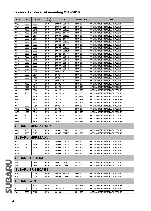| <b>MODEL</b>      | cc   | <b>ENGINE</b>             | <b>DRIVE</b><br><b>TYPE</b> | <b>YEAR</b>     | <b>AKITAKA NO</b> | <b>NAME</b>                 |
|-------------------|------|---------------------------|-----------------------------|-----------------|-------------------|-----------------------------|
| GE <sub>6</sub>   | 2000 | EJ20                      | 2WD                         | 200810 - 201112 | 0811-B9F          | ОПОРА АМОРТИЗАТОРА ПЕРЕДНЯЯ |
| GE7               | 2000 | EJ20                      | 4WD                         | 200810 - 201112 | 0811-B9F          | ОПОРА АМОРТИЗАТОРА ПЕРЕДНЯЯ |
| GH                | 1500 | <b>EL15</b>               | 4WD                         | 200703 - 201005 | 0811-B9F          | ОПОРА АМОРТИЗАТОРА ПЕРЕДНЯЯ |
| GH                | 1500 | EL15                      | 4WD                         | 201102 - 201109 | 0811-B9F          | ОПОРА АМОРТИЗАТОРА ПЕРЕДНЯЯ |
| GH                | 2000 | <b>EE20</b>               | 4WD                         | 200703 - 201005 | 0811-B9F          | ОПОРА АМОРТИЗАТОРА ПЕРЕДНЯЯ |
| GH                | 2000 | <b>EE20</b>               | 4WD                         | 201102 - 201109 | 0811-B9F          | ОПОРА АМОРТИЗАТОРА ПЕРЕДНЯЯ |
| GH                | 2000 | EJ20                      | 4WD                         | 200703 - 201005 | 0811-B9F          | ОПОРА АМОРТИЗАТОРА ПЕРЕДНЯЯ |
| GH                | 2000 | EJ20                      | 4WD                         | 201102 - 201109 | 0811-B9F          | ОПОРА АМОРТИЗАТОРА ПЕРЕДНЯЯ |
| GH                | 2500 | EJ25                      | 4WD                         | 200703 - 201005 | 0811-B9F          | ОПОРА АМОРТИЗАТОРА ПЕРЕДНЯЯ |
| GH                | 2500 | EJ25                      | 4WD                         | 200710 - 201401 | 0811-B9F          | ОПОРА АМОРТИЗАТОРА ПЕРЕДНЯЯ |
| GH                | 2500 | EJ25                      | 4WD                         | 201102 - 201109 | 0811-B9F          | ОПОРА АМОРТИЗАТОРА ПЕРЕДНЯЯ |
| GH <sub>2</sub>   | 1500 | EL15                      | 2WD                         | 200706 - 201112 | 0811-B9F          | ОПОРА АМОРТИЗАТОРА ПЕРЕДНЯЯ |
| GH <sub>3</sub>   | 1500 | EL15                      | 4WD                         | 200706 - 201112 | 0811-B9F          | ОПОРА АМОРТИЗАТОРА ПЕРЕДНЯЯ |
| GH <sub>6</sub>   | 2000 | EJ20                      | 2WD                         | 200706 - 201112 | 0811-B9F          | ОПОРА АМОРТИЗАТОРА ПЕРЕДНЯЯ |
| GH7               | 2000 | EJ20                      | 4WD                         | 200706 - 201112 | 0811-B9F          | ОПОРА АМОРТИЗАТОРА ПЕРЕДНЯЯ |
| GH <sub>8</sub>   | 2000 | EJ20                      | 4WD                         | 200706 - 201112 | 0811-B9F          | ОПОРА АМОРТИЗАТОРА ПЕРЕДНЯЯ |
| GJ                | 1600 | <b>FB16</b>               | 4WD                         | $201104 -$      | 0811-B9F          | ОПОРА АМОРТИЗАТОРА ПЕРЕДНЯЯ |
| GJ                | 2000 | <b>EE20</b>               | 4WD                         | $201104 - 5$    | 0811-B9F          | ОПОРА АМОРТИЗАТОРА ПЕРЕДНЯЯ |
| GJ                | 2000 | <b>FA20</b>               | 4WD                         | $201104 - 5$    | 0811-B9F          | ОПОРА АМОРТИЗАТОРА ПЕРЕДНЯЯ |
| GJ                | 2000 | <b>FB20</b>               | 4WD                         | $201104 - 5$    | 0811-B9F          | ОПОРА АМОРТИЗАТОРА ПЕРЕДНЯЯ |
| GJ <sub>2</sub>   | 1600 | <b>FB16</b>               | 2WD                         | $201112 - 5$    | 0811-B9F          | ОПОРА АМОРТИЗАТОРА ПЕРЕДНЯЯ |
| GJ3               | 1600 | <b>FB16</b>               | 4WD                         | $201112 - 5$    | 0811-B9F          | ОПОРА АМОРТИЗАТОРА ПЕРЕДНЯЯ |
| GJ6               | 2000 | <b>FB20</b>               | 2WD                         | $201112 - 5$    | 0811-B9F          | ОПОРА АМОРТИЗАТОРА ПЕРЕДНЯЯ |
| GJ7               | 2000 | <b>FB20</b>               | 4WD                         | $201112 - 5$    | 0811-B9F          | ОПОРА АМОРТИЗАТОРА ПЕРЕДНЯЯ |
| GP                | 1600 | <b>FB16</b>               | 4WD                         | $201104 - 5$    | 0811-B9F          | ОПОРА АМОРТИЗАТОРА ПЕРЕДНЯЯ |
| GP                | 2000 | <b>EE20</b>               | 4WD                         | $201104 - 5$    | 0811-B9F          | ОПОРА АМОРТИЗАТОРА ПЕРЕДНЯЯ |
| GP                | 2000 | <b>FA20</b>               | 4WD                         | $201104 -$      | 0811-B9F          | ОПОРА АМОРТИЗАТОРА ПЕРЕДНЯЯ |
| GP                | 2000 | <b>FB20</b>               | 4WD                         | $201104 - 5$    | 0811-B9F          | ОПОРА АМОРТИЗАТОРА ПЕРЕДНЯЯ |
| GP <sub>2</sub>   | 1600 | <b>FB16</b>               | 2WD                         | $201112 - 5$    | 0811-B9F          | ОПОРА АМОРТИЗАТОРА ПЕРЕДНЯЯ |
| GP3               | 1600 | <b>FB16</b>               | 4WD                         | $201112 - 5$    | 0811-B9F          | ОПОРА АМОРТИЗАТОРА ПЕРЕДНЯЯ |
| GP <sub>6</sub>   | 2000 | <b>FB20</b>               | 2WD                         | $201112 - 5$    | 0811-B9F          |                             |
|                   |      |                           |                             |                 |                   | ОПОРА АМОРТИЗАТОРА ПЕРЕДНЯЯ |
| GP7               | 2000 | <b>FB20</b>               | 4WD                         | $201112 - 5$    | 0811-B9F          | ОПОРА АМОРТИЗАТОРА ПЕРЕДНЯЯ |
| <b>GPE</b>        | 2000 | <b>FB20</b>               | 4WD                         | $201411 - 5$    | 0811-B9F          | ОПОРА АМОРТИЗАТОРА ПЕРЕДНЯЯ |
|                   |      | <b>SUBARU IMPREZA WRX</b> |                             |                 |                   |                             |
| <b>GVA</b>        | 2500 | EJ25                      | 4WD                         | 201007 - 201408 | 0811-B9F          | ОПОРА АМОРТИЗАТОРА ПЕРЕДНЯЯ |
| <b>GVB</b>        | 2000 | EJ20                      | 4WD                         | 201007 - 201408 | 0811-B9F          | ОПОРА АМОРТИЗАТОРА ПЕРЕДНЯЯ |
|                   |      | <b>SUBARU IMPREZA XV</b>  |                             |                 |                   |                             |
| GH                | 2000 | EJ20                      | 4WD                         | 201006 - 201112 | 0811-B9F          | ОПОРА АМОРТИЗАТОРА ПЕРЕДНЯЯ |
| GH <sub>2</sub>   | 1500 | <b>EL15</b>               | 2WD                         | 201006 - 201112 | 0811-B9F          | ОПОРА АМОРТИЗАТОРА ПЕРЕДНЯЯ |
| GH <sub>3</sub>   | 1500 | <b>EL15</b>               | 4WD                         | 201006 - 201112 | 0811-B9F          | ОПОРА АМОРТИЗАТОРА ПЕРЕДНЯЯ |
| GH <sub>6</sub>   | 2000 | EJ20                      | 2WD                         | 201006 - 201112 | 0811-B9F          | ОПОРА АМОРТИЗАТОРА ПЕРЕДНЯЯ |
| GH7               | 2000 | EJ20                      | 4WD                         | 201006 - 201112 | 0811-B9F          | ОПОРА АМОРТИЗАТОРА ПЕРЕДНЯЯ |
|                   |      | <b>SUBARU TRIBECA</b>     |                             |                 |                   |                             |
| W10               | 3000 | EZ30                      | 4WD                         | 200411 - 201412 | 0811-B9F          |                             |
|                   |      |                           |                             |                 |                   | ОПОРА АМОРТИЗАТОРА ПЕРЕДНЯЯ |
| W10               | 3600 | EZ36                      | 4WD                         | 200709 - 201412 | 0811-B9F          | ОПОРА АМОРТИЗАТОРА ПЕРЕДНЯЯ |
|                   |      | <b>SUBARU TRIBECA B9</b>  |                             |                 |                   |                             |
| W10               | 3000 | EZ30                      | 4WD                         | 200411 - 201412 | 0811-B9F          | ОПОРА АМОРТИЗАТОРА ПЕРЕДНЯЯ |
| W10               | 3600 | EZ36                      | 4WD                         | 200709 - 201412 | 0811-B9F          | ОПОРА АМОРТИЗАТОРА ПЕРЕДНЯЯ |
| <b>SUBARU WRX</b> |      |                           |                             |                 |                   |                             |
| V10               | 2000 | <b>FA20</b>               | 4WD                         | $201311 - 5$    | 0811-B9F          | ОПОРА АМОРТИЗАТОРА ПЕРЕДНЯЯ |
| V10               | 2500 | EJ25                      | 4WD                         | $201311 - 5$    | 0811-B9F          | ОПОРА АМОРТИЗАТОРА ПЕРЕДНЯЯ |
|                   |      |                           |                             |                 |                   |                             |
| VA                | 2000 | <b>FA20</b>               | 4WD                         | $201405 - 5$    | 0811-B9F          | ОПОРА АМОРТИЗАТОРА ПЕРЕДНЯЯ |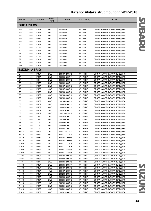| <b>MODEL</b>        | cc   | <b>ENGINE</b>     | <b>DRIVE</b><br><b>TYPE</b> | <b>YEAR</b>     | <b>AKITAKA NO</b> | <b>NAME</b>                 |                         |
|---------------------|------|-------------------|-----------------------------|-----------------|-------------------|-----------------------------|-------------------------|
| <b>SUBARU XV</b>    |      |                   |                             |                 |                   |                             |                         |
| G33                 | 1600 | <b>FB16</b>       | 4WD                         | $201204 - 5$    | 0811-B9F          | ОПОРА АМОРТИЗАТОРА ПЕРЕДНЯЯ |                         |
| G33                 | 2000 | <b>FB20</b>       | 4WD                         | $201204 - 5$    | 0811-B9F          | ОПОРА АМОРТИЗАТОРА ПЕРЕДНЯЯ | $\overline{\mathbf{u}}$ |
| G43                 | 1600 | <b>FB16</b>       | 4WD                         | $201204 - 5$    | 0811-B9F          | ОПОРА АМОРТИЗАТОРА ПЕРЕДНЯЯ |                         |
| G43                 | 2000 | <b>EE20</b>       | 4WD                         | $201204 - 5$    | 0811-B9F          | ОПОРА АМОРТИЗАТОРА ПЕРЕДНЯЯ |                         |
| G43                 | 2000 | <b>FB20</b>       | 4WD                         | $201204 - 5$    | 0811-B9F          | ОПОРА АМОРТИЗАТОРА ПЕРЕДНЯЯ |                         |
| GJ                  | 1600 | <b>FB16</b>       | 4WD                         | $201204 - 5$    | 0811-B9F          | ОПОРА АМОРТИЗАТОРА ПЕРЕДНЯЯ |                         |
| GJ                  | 2000 | <b>EE20</b>       | 4WD                         | $201204 - 5$    | 0811-B9F          | ОПОРА АМОРТИЗАТОРА ПЕРЕДНЯЯ |                         |
| GJ                  | 2000 | <b>FB20</b>       | 4WD                         | $201204 - 5$    | 0811-B9F          | ОПОРА АМОРТИЗАТОРА ПЕРЕДНЯЯ |                         |
| GP                  | 1600 | <b>FB16</b>       | 4WD                         | $201204 - 5$    | 0811-B9F          | ОПОРА АМОРТИЗАТОРА ПЕРЕДНЯЯ |                         |
| GP                  | 2000 | EE20              | 4WD                         | $201204 - 5$    | 0811-B9F          | ОПОРА АМОРТИЗАТОРА ПЕРЕДНЯЯ |                         |
| GP                  | 2000 | FB20              | 4WD                         | $201204 - 5$    | 0811-B9F          | ОПОРА АМОРТИЗАТОРА ПЕРЕДНЯЯ |                         |
| GP7                 | 2000 | FB20              | 4WD                         | $201210 - 5$    | 0811-B9F          | ОПОРА АМОРТИЗАТОРА ПЕРЕДНЯЯ |                         |
| <b>GPE</b>          | 2000 | FB20              | 4WD                         | $201210 - <$    | 0811-B9F          | ОПОРА АМОРТИЗАТОРА ПЕРЕДНЯЯ |                         |
| <b>SUZUKI AERIO</b> |      |                   |                             |                 |                   |                             |                         |
| ER                  | 1300 | M13A              | 2WD                         | 200107 - 200712 | 0711-RH4F         | ОПОРА АМОРТИЗАТОРА ПЕРЕДНЯЯ |                         |
| ER                  | 1300 | <b>M13A</b>       | 2WD                         | 200203 - 200711 | 0711-RH4F         | ОПОРА АМОРТИЗАТОРА ПЕРЕДНЯЯ |                         |
| ER                  | 1400 | 8HY               | 2WD                         | 200404 - 200712 | 0711-RH4F         | ОПОРА АМОРТИЗАТОРА ПЕРЕДНЯЯ |                         |
| ER                  | 1500 | <b>M15A</b>       | 2WD                         | 200404 - 200711 | 0711-RH4F         | ОПОРА АМОРТИЗАТОРА ПЕРЕДНЯЯ |                         |
| ER                  | 1600 | <b>M16A</b>       | 2WD                         | 200107 - 200712 | 0711-RH4F         | ОПОРА АМОРТИЗАТОРА ПЕРЕДНЯЯ |                         |
| ER                  | 1600 | <b>M16A</b>       | 4WD                         | 200107 - 200712 | 0711-RH4F         | ОПОРА АМОРТИЗАТОРА ПЕРЕДНЯЯ |                         |
| ER                  | 1600 | M16A              | 2WD                         | 200203 - 200712 | 0711-RH4F         | ОПОРА АМОРТИЗАТОРА ПЕРЕДНЯЯ |                         |
| ER                  | 1600 | <b>M16A</b>       | 4WD                         | 200203 - 200712 | 0711-RH4F         | ОПОРА АМОРТИЗАТОРА ПЕРЕДНЯЯ |                         |
| ER                  | 1600 | <b>M16A</b>       | 2WD                         | 200204 - 200712 | 0711-RH4F         | ОПОРА АМОРТИЗАТОРА ПЕРЕДНЯЯ |                         |
| ER                  | 1600 | M16A              | 4WD                         | 200204 - 200712 | 0711-RH4F         | ОПОРА АМОРТИЗАТОРА ПЕРЕДНЯЯ |                         |
| ER                  | 1600 | <b>M16A</b>       | 2WD                         | 200501 - 200712 | 0711-RH4F         | ОПОРА АМОРТИЗАТОРА ПЕРЕДНЯЯ |                         |
| ER                  | 1600 | <b>M16A</b>       | 4WD                         | 200501 - 200712 | 0711-RH4F         | ОПОРА АМОРТИЗАТОРА ПЕРЕДНЯЯ |                         |
| ER                  | 1800 | <b>M18A</b>       | 2WD                         | 200107 - 200712 | 0711-RH4F         | ОПОРА АМОРТИЗАТОРА ПЕРЕДНЯЯ |                         |
| ER                  | 1800 | <b>M18A</b>       | 2WD                         | 200110 - 200712 | 0711-RH4F         | ОПОРА АМОРТИЗАТОРА ПЕРЕДНЯЯ |                         |
| ER                  | 2000 | <b>J20A</b>       | 2WD                         | 200101 - 200312 | 0711-RH4F         | ОПОРА АМОРТИЗАТОРА ПЕРЕДНЯЯ |                         |
| ER                  | 2000 | <b>J20A</b>       | 4WD                         | 200209 - 200312 | 0711-RH4F         | ОПОРА АМОРТИЗАТОРА ПЕРЕДНЯЯ |                         |
| ER                  | 2300 | <b>J23A</b>       | 2WD                         | 200309 - 200712 | 0711-RH4F         | ОПОРА АМОРТИЗАТОРА ПЕРЕДНЯЯ |                         |
| ${\sf ER}$          | 2300 | J23A              | 4WD                         | 200309 - 200712 | 0711-RH4F         | ОПОРА АМОРТИЗАТОРА ПЕРЕДНЯЯ |                         |
| ER                  | 2300 | J23A              | 2WD                         | 200404 - 200712 | 0711-RH4F         | ОПОРА АМОРТИЗАТОРА ПЕРЕДНЯЯ |                         |
| <b>RA21S</b>        | 1500 | <b>M15A</b>       | 2WD                         | 200111 - 200605 | 0711-RH4F         | ОПОРА АМОРТИЗАТОРА ПЕРЕДНЯЯ |                         |
| <b>RA21S</b>        | 1500 | M15A              | 4WD                         | 200111 - 200605 | 0711-RH4F         | ОПОРА АМОРТИЗАТОРА ПЕРЕДНЯЯ |                         |
| <b>RB21S</b>        | 1500 | <b>M15A</b>       | 2WD                         | 200101 - 200605 | 0711-RH4F         | ОПОРА АМОРТИЗАТОРА ПЕРЕДНЯЯ |                         |
| <b>RB21S</b>        | 1500 | <b>M15A</b>       | 4WD                         | 200101 - 200605 | 0711-RH4F         | ОПОРА АМОРТИЗАТОРА ПЕРЕДНЯЯ |                         |
| <b>RC51S</b>        | 1800 | <b>M18A</b>       | 2WD                         | 200111 - 200605 | 0711-RH4F         | ОПОРА АМОРТИЗАТОРА ПЕРЕДНЯЯ |                         |
| <b>RC51S</b>        | 1800 | <b>M18A</b>       | 4WD                         | 200111 - 200605 | 0711-RH4F         | ОПОРА АМОРТИЗАТОРА ПЕРЕДНЯЯ |                         |
| RD51S               | 1800 | <b>M18A</b>       | 2WD                         | 200311 - 200605 | 0711-RH4F         | ОПОРА АМОРТИЗАТОРА ПЕРЕДНЯЯ |                         |
| RD51S               | 1800 | <b>M18A</b>       | 4WD                         | 200311 - 200605 | 0711-RH4F         | ОПОРА АМОРТИЗАТОРА ПЕРЕДНЯЯ |                         |
| RH413               | 1300 | M <sub>13</sub> A | 2WD                         | 200107 - 200712 | 0711-RH4F         | ОПОРА АМОРТИЗАТОРА ПЕРЕДНЯЯ |                         |
| RH413               | 1300 | M <sub>13</sub> A | 2WD                         | 200203 - 200711 | 0711-RH4F         | ОПОРА АМОРТИЗАТОРА ПЕРЕДНЯЯ |                         |
| <b>RH414</b>        | 1400 | 8HY               | 2WD                         | 200404 - 200712 | 0711-RH4F         | ОПОРА АМОРТИЗАТОРА ПЕРЕДНЯЯ |                         |
| RH415               | 1500 | <b>M15A</b>       | 2WD                         | 200404 - 200711 | 0711-RH4F         | ОПОРА АМОРТИЗАТОРА ПЕРЕДНЯЯ |                         |
| RH416               | 1600 | M <sub>16</sub> A | 2WD                         | 200107 - 200712 | 0711-RH4F         | ОПОРА АМОРТИЗАТОРА ПЕРЕДНЯЯ |                         |
| RH416               | 1600 | M <sub>16</sub> A | 4WD                         | 200107 - 200712 | 0711-RH4F         | ОПОРА АМОРТИЗАТОРА ПЕРЕДНЯЯ |                         |
| RH416               | 1600 | M16A              | 2WD                         | 200203 - 200712 | 0711-RH4F         | ОПОРА АМОРТИЗАТОРА ПЕРЕДНЯЯ |                         |
| RH416               | 1600 | M <sub>16</sub> A | 4WD                         | 200203 - 200712 | 0711-RH4F         | ОПОРА АМОРТИЗАТОРА ПЕРЕДНЯЯ |                         |
| RH416               | 1600 | M16A              | 2WD                         | 200204 - 200712 | 0711-RH4F         | ОПОРА АМОРТИЗАТОРА ПЕРЕДНЯЯ |                         |
| RH416               | 1600 | M16A              | 4WD                         | 200204 - 200712 | 0711-RH4F         | ОПОРА АМОРТИЗАТОРА ПЕРЕДНЯЯ |                         |
| RH416               | 1600 | M16A              | 2WD                         | 200501 - 200712 | 0711-RH4F         | ОПОРА АМОРТИЗАТОРА ПЕРЕДНЯЯ |                         |
| RH416               | 1600 | <b>M16A</b>       | 4WD                         | 200501 - 200712 | 0711-RH4F         | ОПОРА АМОРТИЗАТОРА ПЕРЕДНЯЯ |                         |
| <b>RH418</b>        | 1800 | <b>M18A</b>       | 2WD                         | 200107 - 200712 | 0711-RH4F         | ОПОРА АМОРТИЗАТОРА ПЕРЕДНЯЯ |                         |
|                     |      |                   |                             |                 |                   |                             |                         |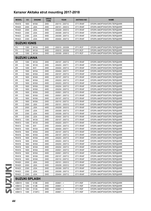| <b>MODEL</b>        | cc                  | <b>ENGINE</b>        | <b>DRIVE</b><br><b>TYPE</b> | <b>YEAR</b>     | <b>AKITAKA NO</b> | <b>NAME</b>                 |  |  |  |  |
|---------------------|---------------------|----------------------|-----------------------------|-----------------|-------------------|-----------------------------|--|--|--|--|
| <b>RH418</b>        | 1800                | <b>M18A</b>          | 2WD                         | 200110 - 200712 | 0711-RH4F         | ОПОРА АМОРТИЗАТОРА ПЕРЕДНЯЯ |  |  |  |  |
| <b>RH420</b>        | 2000                | <b>J20A</b>          | 2WD                         | 200101 - 200312 | 0711-RH4F         | ОПОРА АМОРТИЗАТОРА ПЕРЕДНЯЯ |  |  |  |  |
| <b>RH420</b>        | 2000                | <b>J20A</b>          | 4WD                         | 200209 - 200312 | 0711-RH4F         | ОПОРА АМОРТИЗАТОРА ПЕРЕДНЯЯ |  |  |  |  |
| <b>RH423</b>        | 2300                | J23A                 | 2WD                         | 200309 - 200712 | 0711-RH4F         | ОПОРА АМОРТИЗАТОРА ПЕРЕДНЯЯ |  |  |  |  |
| <b>RH423</b>        | 2300                | J23A                 | 4WD                         | 200309 - 200712 | 0711-RH4F         | ОПОРА АМОРТИЗАТОРА ПЕРЕДНЯЯ |  |  |  |  |
| <b>RH423</b>        | 2300                | <b>J23A</b>          | 2WD                         | 200404 - 200712 | 0711-RH4F         | ОПОРА АМОРТИЗАТОРА ПЕРЕДНЯЯ |  |  |  |  |
| <b>SUZUKI IGNIS</b> |                     |                      |                             |                 |                   |                             |  |  |  |  |
| FH                  | 1300                | M <sub>13</sub> A    | 2WD                         | 200010 - 200309 | 0711-RCF          | ОПОРА АМОРТИЗАТОРА ПЕРЕДНЯЯ |  |  |  |  |
| FH                  | 1300                | M <sub>13</sub> A    | 4WD                         | 200010 - 200309 | 0711-RCF          | ОПОРА АМОРТИЗАТОРА ПЕРЕДНЯЯ |  |  |  |  |
| HR.                 | 1300                | M <sub>13</sub> A    | 2WD                         | 200309 - 200812 | 0711-RCF          | ОПОРА АМОРТИЗАТОРА ПЕРЕДНЯЯ |  |  |  |  |
|                     | <b>SUZUKI LIANA</b> |                      |                             |                 |                   |                             |  |  |  |  |
| ER                  | 1300                | M <sub>13</sub> A    | 2WD                         | 200107 - 200712 | 0711-RH4F         | ОПОРА АМОРТИЗАТОРА ПЕРЕДНЯЯ |  |  |  |  |
| ER                  | 1300                | M <sub>13</sub> A    | 2WD                         | 200203 - 200711 | 0711-RH4F         | ОПОРА АМОРТИЗАТОРА ПЕРЕДНЯЯ |  |  |  |  |
| ER                  | 1400                | 8HY                  | 2WD                         | 200404 - 200712 | 0711-RH4F         | ОПОРА АМОРТИЗАТОРА ПЕРЕДНЯЯ |  |  |  |  |
| ER                  | 1500                | <b>M15A</b>          | 2WD                         | 200404 - 200711 | 0711-RH4F         | ОПОРА АМОРТИЗАТОРА ПЕРЕДНЯЯ |  |  |  |  |
| ER                  | 1600                | <b>M16A</b>          | 2WD                         | 200107 - 200712 | 0711-RH4F         | ОПОРА АМОРТИЗАТОРА ПЕРЕДНЯЯ |  |  |  |  |
| ER                  | 1600                | <b>M16A</b>          | 4WD                         | 200107 - 200712 | 0711-RH4F         | ОПОРА АМОРТИЗАТОРА ПЕРЕДНЯЯ |  |  |  |  |
| ER                  | 1600                | <b>M16A</b>          | 2WD                         | 200203 - 200712 | 0711-RH4F         | ОПОРА АМОРТИЗАТОРА ПЕРЕДНЯЯ |  |  |  |  |
| ER                  | 1600                | <b>M16A</b>          | 4WD                         | 200203 - 200712 | 0711-RH4F         | ОПОРА АМОРТИЗАТОРА ПЕРЕДНЯЯ |  |  |  |  |
| ER                  | 1600                | M16A                 | 2WD                         | 200204 - 200712 | 0711-RH4F         | ОПОРА АМОРТИЗАТОРА ПЕРЕДНЯЯ |  |  |  |  |
| ER                  | 1600                | M16A                 | 4WD                         | 200204 - 200712 | 0711-RH4F         | ОПОРА АМОРТИЗАТОРА ПЕРЕДНЯЯ |  |  |  |  |
| ER                  | 1600                | <b>M16A</b>          | 2WD                         | 200501 - 200712 | 0711-RH4F         | ОПОРА АМОРТИЗАТОРА ПЕРЕДНЯЯ |  |  |  |  |
| ER                  | 1600                | M16A                 | 4WD                         | 200501 - 200712 | 0711-RH4F         | ОПОРА АМОРТИЗАТОРА ПЕРЕДНЯЯ |  |  |  |  |
| ER                  | 1800                | <b>M18A</b>          | 2WD                         | 200107 - 200712 | 0711-RH4F         | ОПОРА АМОРТИЗАТОРА ПЕРЕДНЯЯ |  |  |  |  |
| ER                  | 1800                | <b>M18A</b>          | 2WD                         | 200110 - 200712 | 0711-RH4F         | ОПОРА АМОРТИЗАТОРА ПЕРЕДНЯЯ |  |  |  |  |
| ER                  | 2000                | <b>J20A</b>          | 2WD                         | 200101 - 200312 | 0711-RH4F         | ОПОРА АМОРТИЗАТОРА ПЕРЕДНЯЯ |  |  |  |  |
| ER                  | 2000                | <b>J20A</b>          | 4WD                         | 200209 - 200312 | 0711-RH4F         | ОПОРА АМОРТИЗАТОРА ПЕРЕДНЯЯ |  |  |  |  |
| ER                  | 2300                | <b>J23A</b>          | 2WD                         | 200309 - 200712 | 0711-RH4F         | ОПОРА АМОРТИЗАТОРА ПЕРЕДНЯЯ |  |  |  |  |
| ER                  | 2300                | J23A                 | 4WD                         | 200309 - 200712 | 0711-RH4F         | ОПОРА АМОРТИЗАТОРА ПЕРЕДНЯЯ |  |  |  |  |
| ER                  | 2300                | J23A                 | 2WD                         | 200404 - 200712 | 0711-RH4F         | ОПОРА АМОРТИЗАТОРА ПЕРЕДНЯЯ |  |  |  |  |
| RH413               | 1300                | <b>M13A</b>          | 2WD                         | 200107 - 200712 | 0711-RH4F         | ОПОРА АМОРТИЗАТОРА ПЕРЕДНЯЯ |  |  |  |  |
| <b>RH413</b>        | 1300                | <b>M13A</b>          | 2WD                         | 200203 - 200711 | 0711-RH4F         | ОПОРА АМОРТИЗАТОРА ПЕРЕДНЯЯ |  |  |  |  |
| RH414               | 1400                | 8HY                  | 2WD                         | 200404 - 200712 | 0711-RH4F         | ОПОРА АМОРТИЗАТОРА ПЕРЕДНЯЯ |  |  |  |  |
| <b>RH415</b>        | 1500                | M15A                 | 2WD                         | 200404 - 200711 | 0711-RH4F         | ОПОРА АМОРТИЗАТОРА ПЕРЕДНЯЯ |  |  |  |  |
| RH416               | 1600                | <b>M16A</b>          | 2WD                         | 200107 - 200712 | 0711-RH4F         | ОПОРА АМОРТИЗАТОРА ПЕРЕДНЯЯ |  |  |  |  |
| RH416               | 1600                | <b>M16A</b>          | 4WD                         | 200107 - 200712 | 0711-RH4F         | ОПОРА АМОРТИЗАТОРА ПЕРЕДНЯЯ |  |  |  |  |
| RH416               | 1600                | <b>M16A</b>          | 2WD                         | 200203 - 200712 | 0711-RH4F         | ОПОРА АМОРТИЗАТОРА ПЕРЕДНЯЯ |  |  |  |  |
| RH416               | 1600                | <b>M16A</b>          | 4WD                         | 200203 - 200712 | 0711-RH4F         | ОПОРА АМОРТИЗАТОРА ПЕРЕДНЯЯ |  |  |  |  |
| RH416               | 1600                | <b>M16A</b>          | 2WD                         | 200204 - 200712 | 0711-RH4F         | ОПОРА АМОРТИЗАТОРА ПЕРЕДНЯЯ |  |  |  |  |
| RH416               | 1600                | <b>M16A</b>          | 4WD                         | 200204 - 200712 | 0711-RH4F         | ОПОРА АМОРТИЗАТОРА ПЕРЕДНЯЯ |  |  |  |  |
| RH416               | 1600                | <b>M16A</b>          | 2WD                         | 200501 - 200712 | 0711-RH4F         | ОПОРА АМОРТИЗАТОРА ПЕРЕДНЯЯ |  |  |  |  |
| RH416               | 1600                | <b>M16A</b>          | 4WD                         | 200501 - 200712 | 0711-RH4F         | ОПОРА АМОРТИЗАТОРА ПЕРЕДНЯЯ |  |  |  |  |
| RH418               | 1800                | M18A                 | 2WD                         | 200107 - 200712 | 0711-RH4F         | ОПОРА АМОРТИЗАТОРА ПЕРЕДНЯЯ |  |  |  |  |
| RH418               | 1800                | <b>M18A</b>          | 2WD                         | 200110 - 200712 | 0711-RH4F         | ОПОРА АМОРТИЗАТОРА ПЕРЕДНЯЯ |  |  |  |  |
| RH420               | 2000                | J20A                 | 2WD                         | 200101 - 200312 | 0711-RH4F         | ОПОРА АМОРТИЗАТОРА ПЕРЕДНЯЯ |  |  |  |  |
| <b>RH420</b>        | 2000                | J20A                 | 4WD                         | 200209 - 200312 | 0711-RH4F         | ОПОРА АМОРТИЗАТОРА ПЕРЕДНЯЯ |  |  |  |  |
| <b>RH423</b>        | 2300                | J23A                 | 2WD                         | 200309 - 200712 | 0711-RH4F         | ОПОРА АМОРТИЗАТОРА ПЕРЕДНЯЯ |  |  |  |  |
| RH423               | 2300                | J23A                 | 4WD                         | 200309 - 200712 | 0711-RH4F         | ОПОРА АМОРТИЗАТОРА ПЕРЕДНЯЯ |  |  |  |  |
| RH423               | 2300                | J23A                 | 2WD                         | 200404 - 200712 | 0711-RH4F         | ОПОРА АМОРТИЗАТОРА ПЕРЕДНЯЯ |  |  |  |  |
|                     |                     | <b>SUZUKI SPLASH</b> |                             |                 |                   |                             |  |  |  |  |
| A5B310              | 1000                | K <sub>10</sub> B    | 2WD                         | $200801 - 5$    | 0711-RSF          | ОПОРА АМОРТИЗАТОРА ПЕРЕДНЯЯ |  |  |  |  |
| A5B412              | 1200                | K12B                 | 2WD                         | 200801 - <      | 0711-RSF          | ОПОРА АМОРТИЗАТОРА ПЕРЕДНЯЯ |  |  |  |  |
| A5B413              | 1300                | D <sub>13</sub> A    | 2WD                         | $200801 - 5$    | 0711-RSF          | ОПОРА АМОРТИЗАТОРА ПЕРЕДНЯЯ |  |  |  |  |
| A5B413              | 1300                | Z <sub>13</sub> DTJ  | 2WD                         | $200801 - 5$    | 0711-RSF          | ОПОРА АМОРТИЗАТОРА ПЕРЕДНЯЯ |  |  |  |  |
|                     |                     |                      |                             |                 |                   |                             |  |  |  |  |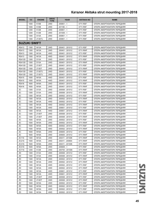| <b>MODEL</b>        | cc           | <b>ENGINE</b>                          | <b>DRIVE</b><br><b>TYPE</b> | <b>YEAR</b>                        | <b>AKITAKA NO</b>    | <b>NAME</b>                 |
|---------------------|--------------|----------------------------------------|-----------------------------|------------------------------------|----------------------|-----------------------------|
|                     | 1000         | K <sub>10</sub> B                      | 2WD                         | $200801 - 5$                       | 0711-RSF             | ОПОРА АМОРТИЗАТОРА ПЕРЕДНЯЯ |
|                     | 1000         | <b>K10B</b>                            | 2WD                         | $201106 - 5$                       | 0711-RSF             | ОПОРА АМОРТИЗАТОРА ПЕРЕДНЯЯ |
|                     | 1200         | K <sub>12</sub> B                      | 2WD                         | $200801 - 5$                       | 0711-RSF             | ОПОРА АМОРТИЗАТОРА ПЕРЕДНЯЯ |
|                     | 1200         | K <sub>12</sub> B                      | 2WD                         | $201009 - 5$                       | 0711-RSF             | ОПОРА АМОРТИЗАТОРА ПЕРЕДНЯЯ |
|                     | 1300         | D <sub>13</sub> A                      | 2WD                         | $200801 - 5$                       | 0711-RSF             | ОПОРА АМОРТИЗАТОРА ПЕРЕДНЯЯ |
|                     | 1300         | Z <sub>13</sub> DTJ                    | 2WD                         | $200801 - 5$                       | 0711-RSF             | ОПОРА АМОРТИЗАТОРА ПЕРЕДНЯЯ |
| <b>SUZUKI SWIFT</b> |              |                                        |                             |                                    |                      |                             |
| <b>RS413</b>        | 1300         | M <sub>13</sub> A                      | 2WD                         | 200401 - 201012                    | 0711-RSF             | ОПОРА АМОРТИЗАТОРА ПЕРЕДНЯЯ |
| <b>RS413</b>        | 1300         | M <sub>13</sub> A                      | 2WD                         | 200401 - 201012                    | 0711-RWF             | ОПОРА АМОРТИЗАТОРА ПЕРЕДНЯЯ |
| RS413               | 1300         | <b>M13A</b>                            | 4WD                         | 200401 - 201012                    | 0711-RSF             | ОПОРА АМОРТИЗАТОРА ПЕРЕДНЯЯ |
| <b>RS413</b>        | 1300         | M <sub>13</sub> A                      | 4WD                         | 200401 - 201012                    | 0711-RWF             | ОПОРА АМОРТИЗАТОРА ПЕРЕДНЯЯ |
| <b>RS413D</b>       | 1300         | D <sub>13</sub> A                      | 2WD                         | 200401 - 201012                    | 0711-RSF             | ОПОРА АМОРТИЗАТОРА ПЕРЕДНЯЯ |
| <b>RS413D</b>       | 1300         | D <sub>13</sub> A                      | 2WD                         | 200401 - 201012                    | 0711-RWF             | ОПОРА АМОРТИЗАТОРА ПЕРЕДНЯЯ |
| <b>RS413D</b>       | 1300         | Z13DT                                  | 2WD                         | 200401 - 201012                    | 0711-RSF             | ОПОРА АМОРТИЗАТОРА ПЕРЕДНЯЯ |
| <b>RS413D</b>       | 1300         | Z13DT                                  | 2WD                         | 200401 - 201012                    | 0711-RWF             | ОПОРА АМОРТИЗАТОРА ПЕРЕДНЯЯ |
| <b>RS413D</b>       | 1300         | Z13DTJ                                 | 2WD                         | 200401 - 201012                    | 0711-RSF             | ОПОРА АМОРТИЗАТОРА ПЕРЕДНЯЯ |
| <b>RS413D</b>       | 1300         | Z13DTJ                                 | 2WD                         | 200401 - 201012                    | 0711-RWF             | ОПОРА АМОРТИЗАТОРА ПЕРЕДНЯЯ |
| <b>RS415</b>        | 1500         | M15A                                   | 4WD                         | 200401 - 201012                    | 0711-RSF             | ОПОРА АМОРТИЗАТОРА ПЕРЕДНЯЯ |
| <b>RS415</b>        | 1500         | <b>M15A</b>                            | 4WD                         | 200401 - 201012                    | 0711-RWF             | ОПОРА АМОРТИЗАТОРА ПЕРЕДНЯЯ |
| <b>RS416</b>        | 1600         | M16A                                   | 2WD                         | 200401 - 201012                    | 0711-RSF             | ОПОРА АМОРТИЗАТОРА ПЕРЕДНЯЯ |
| <b>RS416</b>        | 1600         | M <sub>16</sub> A                      | 2WD                         | 200401 - 201012                    | 0711-RWF             | ОПОРА АМОРТИЗАТОРА ПЕРЕДНЯЯ |
| ZC                  | 1300         | D <sub>13</sub> A                      | 2WD                         | 200508 - 201012                    | 0711-RSF             | ОПОРА АМОРТИЗАТОРА ПЕРЕДНЯЯ |
| ΖC                  | 1300         | D <sub>13</sub> A                      | 2WD                         | 200508 - 201012                    | 0711-RWF             | ОПОРА АМОРТИЗАТОРА ПЕРЕДНЯЯ |
| ZC                  | 1300         | M <sub>13</sub> A                      | 2WD                         | 200502 - 201012                    | 0711-RSF             | ОПОРА АМОРТИЗАТОРА ПЕРЕДНЯЯ |
| ZC                  | 1300         | <b>M13A</b>                            | 2WD                         | 200502 - 201012                    | 0711-RWF             | ОПОРА АМОРТИЗАТОРА ПЕРЕДНЯЯ |
| ZC                  | 1300         | <b>M13A</b>                            | 4WD                         | 200502 - 201012                    | 0711-RSF             | ОПОРА АМОРТИЗАТОРА ПЕРЕДНЯЯ |
| ZC                  | 1300         | <b>M13A</b>                            | 4WD                         | 200502 - 201012                    | 0711-RWF             | ОПОРА АМОРТИЗАТОРА ПЕРЕДНЯЯ |
| ZC                  | 1300         | M <sub>13</sub> A                      | 4WD                         | 200601 - 201012                    | 0711-RSF             | ОПОРА АМОРТИЗАТОРА ПЕРЕДНЯЯ |
| ZC                  | 1300         | M <sub>13</sub> A                      | 4WD                         | 200601 - 201012                    | 0711-RWF             | ОПОРА АМОРТИЗАТОРА ПЕРЕДНЯЯ |
| ZC                  | 1300         | Z13DT                                  | 2WD                         | 200508 - 201012                    | 0711-RSF             | ОПОРА АМОРТИЗАТОРА ПЕРЕДНЯЯ |
| ZC                  | 1300         | Z13DT                                  | 2WD                         | 200508 - 201012                    | 0711-RWF             | ОПОРА АМОРТИЗАТОРА ПЕРЕДНЯЯ |
| ZC                  | 1500         | <b>M15A</b>                            | 2WD                         | 200502 - 201012                    | 0711-RSF             | ОПОРА АМОРТИЗАТОРА ПЕРЕДНЯЯ |
| ΖC                  | 1500         | M15A                                   | 2WD                         | 200502 - 201012                    | 0711-RWF             | ОПОРА АМОРТИЗАТОРА ПЕРЕДНЯЯ |
| ZC                  | 1500         | <b>M15A</b>                            | 4WD                         | 200502 - 201012                    | 0711-RSF             | ОПОРА АМОРТИЗАТОРА ПЕРЕДНЯЯ |
| ZC                  | 1500         | <b>M15A</b>                            | 4WD                         | 200502 - 201012                    | 0711-RWF             | ОПОРА АМОРТИЗАТОРА ПЕРЕДНЯЯ |
| ZC                  | 1600         | <b>M16A</b>                            | 2WD                         | 200605 - 201012                    | 0711-RSF             | ОПОРА АМОРТИЗАТОРА ПЕРЕДНЯЯ |
| ZC                  | 1600         | M16A                                   | 2WD                         | 200605 - 201012                    | 0711-RWF             | ОПОРА АМОРТИЗАТОРА ПЕРЕДНЯЯ |
| ZC <sub>11</sub> S  | 1300         | M <sub>13</sub> A                      | 2WD                         | 200411 - 201008                    | 0711-RWF             | ОПОРА АМОРТИЗАТОРА ПЕРЕДНЯЯ |
| ZC21S               | 1500         | <b>M15A</b>                            | 2WD                         | 200411 - 200904                    | 0711-RWF             | ОПОРА АМОРТИЗАТОРА ПЕРЕДНЯЯ |
| ZC31S               | 1600         | M <sub>16</sub> A                      | 2WD                         | 200411 - 201008                    | 0711-RWF             | ОПОРА АМОРТИЗАТОРА ПЕРЕДНЯЯ |
|                     |              |                                        |                             | $200609 - <$                       |                      |                             |
| ZC31S<br>ZC71S      | 1600<br>1200 | M <sub>16</sub> A<br>K <sub>12</sub> B | 2WD<br>2WD                  |                                    | 0711-RSF<br>0711-RWF | ОПОРА АМОРТИЗАТОРА ПЕРЕДНЯЯ |
|                     |              |                                        | 2WD                         | 200705 - 201008<br>200508 - 201012 |                      | ОПОРА АМОРТИЗАТОРА ПЕРЕДНЯЯ |
| ZD                  | 1300         | D <sub>13</sub> A                      |                             |                                    | 0711-RSF             | ОПОРА АМОРТИЗАТОРА ПЕРЕДНЯЯ |
| ZD                  | 1300         | D <sub>13</sub> A                      | 2WD                         | 200508 - 201012                    | 0711-RWF             | ОПОРА АМОРТИЗАТОРА ПЕРЕДНЯЯ |
| ZD                  | 1300         | M <sub>13</sub> A                      | 2WD                         | 200502 - 201012                    | 0711-RSF             | ОПОРА АМОРТИЗАТОРА ПЕРЕДНЯЯ |
| ZD                  | 1300         | M <sub>13</sub> A                      | 2WD                         | 200502 - 201012                    | 0711-RWF             | ОПОРА АМОРТИЗАТОРА ПЕРЕДНЯЯ |
| ZD                  | 1300         | M <sub>13</sub> A                      | 4WD                         | 200502 - 201012                    | 0711-RSF             | ОПОРА АМОРТИЗАТОРА ПЕРЕДНЯЯ |
| ZD                  | 1300         | M <sub>13</sub> A                      | 4WD                         | 200502 - 201012                    | 0711-RWF             | ОПОРА АМОРТИЗАТОРА ПЕРЕДНЯЯ |
| ZD                  | 1300         | <b>M13A</b>                            | 4WD                         | 200601 - 201012                    | 0711-RSF             | ОПОРА АМОРТИЗАТОРА ПЕРЕДНЯЯ |
| ZD                  | 1300         | <b>M13A</b>                            | 4WD                         | 200601 - 201012                    | 0711-RWF             | ОПОРА АМОРТИЗАТОРА ПЕРЕДНЯЯ |
| ZD                  | 1300         | Z13DT                                  | 2WD                         | 200508 - 201012                    | 0711-RSF             | ОПОРА АМОРТИЗАТОРА ПЕРЕДНЯЯ |
| ZD                  | 1300         | Z13DT                                  | 2WD                         | 200508 - 201012                    | 0711-RWF             | ОПОРА АМОРТИЗАТОРА ПЕРЕДНЯЯ |
| ZD                  | 1500         | <b>M15A</b>                            | 2WD                         | 200502 - 201012                    | 0711-RSF             | ОПОРА АМОРТИЗАТОРА ПЕРЕДНЯЯ |
| ZD                  | 1500         | <b>M15A</b>                            | 2WD                         | 200502 - 201012                    | 0711-RWF             | ОПОРА АМОРТИЗАТОРА ПЕРЕДНЯЯ |
| ZD                  | 1500         | <b>M15A</b>                            | 4WD                         | 200502 - 201012                    | 0711-RSF             | ОПОРА АМОРТИЗАТОРА ПЕРЕДНЯЯ |
| ZD                  | 1500         | <b>M15A</b>                            | 4WD                         | 200502 - 201012                    | 0711-RWF             | ОПОРА АМОРТИЗАТОРА ПЕРЕДНЯЯ |

SUZUKI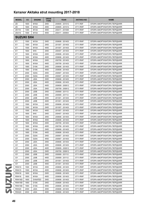| <b>MODEL</b>       | cc   | <b>ENGINE</b>       | <b>DRIVE</b><br><b>TYPE</b> | <b>YEAR</b>     | <b>AKITAKA NO</b> | <b>NAME</b>                 |
|--------------------|------|---------------------|-----------------------------|-----------------|-------------------|-----------------------------|
| ZD                 | 1600 | <b>M16A</b>         | 2WD                         | 200605 - 201012 | 0711-RSF          | ОПОРА АМОРТИЗАТОРА ПЕРЕДНЯЯ |
| ZD                 | 1600 | <b>M16A</b>         | 2WD                         | 200605 - 201012 | 0711-RWF          | ОПОРА АМОРТИЗАТОРА ПЕРЕДНЯЯ |
| ZD <sub>11</sub> S | 1300 | <b>M13A</b>         | 4WD                         | 200411 - 201008 | 0711-RWF          | ОПОРА АМОРТИЗАТОРА ПЕРЕДНЯЯ |
| ZD <sub>21</sub> S | 1500 | M15A                | 4WD                         | 200411 - 200904 | 0711-RWF          | ОПОРА АМОРТИЗАТОРА ПЕРЕДНЯЯ |
| <b>SUZUKI SX4</b>  |      |                     |                             |                 |                   |                             |
| EY                 | 1500 | <b>M15A</b>         | 2WD                         | 200606 - 201403 | 0711-RWF          | ОПОРА АМОРТИЗАТОРА ПЕРЕДНЯЯ |
| EY                 | 1500 | <b>M15A</b>         | 2WD                         | 201007 - 201403 | 0711-RWF          | ОПОРА АМОРТИЗАТОРА ПЕРЕДНЯЯ |
| EY                 | 1500 | <b>M15A</b>         | 4WD                         | 201007 - 201403 | 0711-RWF          | ОПОРА АМОРТИЗАТОРА ПЕРЕДНЯЯ |
| EY                 | 1600 | 9HX                 | 2WD                         | 200407 - 201403 | 0711-RWF          | ОПОРА АМОРТИЗАТОРА ПЕРЕДНЯЯ |
| EY                 | 1600 | <b>M16A</b>         | 2WD                         | 200606 - 201403 | 0711-RWF          | ОПОРА АМОРТИЗАТОРА ПЕРЕДНЯЯ |
| EY                 | 1600 | M16A                | 4WD                         | 200606 - 201403 | 0711-RWF          | ОПОРА АМОРТИЗАТОРА ПЕРЕДНЯЯ |
| EY                 | 1600 | <b>M16A</b>         | 2WD                         | 200709 - 201403 | 0711-RWF          | ОПОРА АМОРТИЗАТОРА ПЕРЕДНЯЯ |
| EY                 | 1600 | <b>M16A</b>         | 4WD                         | 200709 - 201403 | 0711-RWF          | ОПОРА АМОРТИЗАТОРА ПЕРЕДНЯЯ |
| EY                 | 1900 | D19A                | 2WD                         | 200606 - 201403 | 0711-RWF          | ОПОРА АМОРТИЗАТОРА ПЕРЕДНЯЯ |
| EY                 | 1900 | D19A                | 4WD                         | 200606 - 201403 | 0711-RWF          | ОПОРА АМОРТИЗАТОРА ПЕРЕДНЯЯ |
| EY                 | 2000 | <b>D20A</b>         | 2WD                         | 200907 - 201403 | 0711-RWF          | ОПОРА АМОРТИЗАТОРА ПЕРЕДНЯЯ |
| EY                 | 2000 | <b>D20A</b>         | 4WD                         | 200907 - 201403 | 0711-RWF          | ОПОРА АМОРТИЗАТОРА ПЕРЕДНЯЯ |
| EY                 | 2000 | <b>J20A</b>         | 2WD                         | 200606 - 201403 | 0711-RWF          | ОПОРА АМОРТИЗАТОРА ПЕРЕДНЯЯ |
| EY                 | 2000 | <b>J20A</b>         | 4WD                         | 200606 - 201403 | 0711-RWF          | ОПОРА АМОРТИЗАТОРА ПЕРЕДНЯЯ |
| EY                 | 2000 | <b>J20A</b>         | 4WD                         | 200609 - 200812 | 0711-RWF          | ОПОРА АМОРТИЗАТОРА ПЕРЕДНЯЯ |
| EY                 | 2000 | <b>J20A</b>         | 2WD                         | 200709 - 200812 | 0711-RWF          | ОПОРА АМОРТИЗАТОРА ПЕРЕДНЯЯ |
| EY                 | 2000 | <b>J20B</b>         | 2WD                         | 200909 - 201112 | 0711-RWF          | ОПОРА АМОРТИЗАТОРА ПЕРЕДНЯЯ |
| EY                 | 2000 | <b>J20B</b>         | 4WD                         | 200909 - 201112 | 0711-RWF          | ОПОРА АМОРТИЗАТОРА ПЕРЕДНЯЯ |
| EY                 | 2000 | J20B                | 2WD                         | 201001 - 201403 | 0711-RWF          | ОПОРА АМОРТИЗАТОРА ПЕРЕДНЯЯ |
| EY                 | 2000 | <b>J20B</b>         | 4WD                         | 201001 - 201403 | 0711-RWF          | ОПОРА АМОРТИЗАТОРА ПЕРЕДНЯЯ |
| GY                 | 1500 | <b>M15A</b>         | 2WD                         | 200606 - 201403 | 0711-RWF          | ОПОРА АМОРТИЗАТОРА ПЕРЕДНЯЯ |
| GY                 | 1500 | M15A                | 2WD                         | 201007 - 201403 | 0711-RWF          | ОПОРА АМОРТИЗАТОРА ПЕРЕДНЯЯ |
| GY                 | 1500 | <b>M15A</b>         | 4WD                         | 201007 - 201403 | 0711-RWF          | ОПОРА АМОРТИЗАТОРА ПЕРЕДНЯЯ |
| GY                 | 1600 | 9HX                 | 2WD                         | 200407 - 201403 | 0711-RWF          | ОПОРА АМОРТИЗАТОРА ПЕРЕДНЯЯ |
| GY                 | 1600 |                     | 2WD                         | 200606 - 201403 | 0711-RWF          | ОПОРА АМОРТИЗАТОРА ПЕРЕДНЯЯ |
| GY                 |      | M16A<br><b>M16A</b> | 4WD                         | 200606 - 201403 |                   | ОПОРА АМОРТИЗАТОРА ПЕРЕДНЯЯ |
|                    | 1600 |                     |                             |                 | 0711-RWF          |                             |
| GY                 | 1600 | <b>M16A</b>         | 2WD                         | 200709 - 201403 | 0711-RWF          | ОПОРА АМОРТИЗАТОРА ПЕРЕДНЯЯ |
| GY                 | 1600 | M16A                | 4WD                         | 200709 - 201403 | 0711-RWF          | ОПОРА АМОРТИЗАТОРА ПЕРЕДНЯЯ |
| GY                 | 1900 | <b>D19A</b>         | 2WD                         | 200606 - 201403 | 0711-RWF          | ОПОРА АМОРТИЗАТОРА ПЕРЕДНЯЯ |
| GY                 | 1900 | D19A                | 4WD                         | 200606 - 201403 | 0711-RWF          | ОПОРА АМОРТИЗАТОРА ПЕРЕДНЯЯ |
| GY                 | 2000 | D <sub>20</sub> A   | 2WD                         | 200907 - 201403 | 0711-RWF          | ОПОРА АМОРТИЗАТОРА ПЕРЕДНЯЯ |
| GY                 | 2000 | D <sub>20</sub> A   | 4WD                         | 200907 - 201403 | 0711-RWF          | ОПОРА АМОРТИЗАТОРА ПЕРЕДНЯЯ |
| GY                 | 2000 | <b>J20A</b>         | 2WD                         | 200606 - 201403 | 0711-RWF          | ОПОРА АМОРТИЗАТОРА ПЕРЕДНЯЯ |
| GY                 | 2000 | <b>J20A</b>         | 4WD                         | 200606 - 201403 | 0711-RWF          | ОПОРА АМОРТИЗАТОРА ПЕРЕДНЯЯ |
| GY                 | 2000 | <b>J20A</b>         | 4WD                         | 200609 - 200812 | 0711-RWF          | ОПОРА АМОРТИЗАТОРА ПЕРЕДНЯЯ |
| GY                 | 2000 | <b>J20A</b>         | 2WD                         | 200709 - 200812 | 0711-RWF          | ОПОРА АМОРТИЗАТОРА ПЕРЕДНЯЯ |
| GY                 | 2000 | J20B                | 2WD                         | 200909 - 201112 | 0711-RWF          | ОПОРА АМОРТИЗАТОРА ПЕРЕДНЯЯ |
| GY                 | 2000 | J20B                | 4WD                         | 200909 - 201112 | 0711-RWF          | ОПОРА АМОРТИЗАТОРА ПЕРЕДНЯЯ |
| GY                 | 2000 | <b>J20B</b>         | 2WD                         | 201001 - 201403 | 0711-RWF          | ОПОРА АМОРТИЗАТОРА ПЕРЕДНЯЯ |
| GY                 | 2000 | J20B                | 4WD                         | 201001 - 201403 | 0711-RWF          | ОПОРА АМОРТИЗАТОРА ПЕРЕДНЯЯ |
| RW415              | 1500 | M15A                | 2WD                         | 200606 - 201403 | 0711-RWF          | ОПОРА АМОРТИЗАТОРА ПЕРЕДНЯЯ |
| RW415              | 1500 | <b>M15A</b>         | 4WD                         | 200606 - 201403 | 0711-RWF          | ОПОРА АМОРТИЗАТОРА ПЕРЕДНЯЯ |
| RW416              | 1600 | <b>M16A</b>         | 2WD                         | 200606 - 201403 | 0711-RWF          | ОПОРА АМОРТИЗАТОРА ПЕРЕДНЯЯ |
| RW416              | 1600 | <b>M16A</b>         | 4WD                         | 200606 - 201403 | 0711-RWF          | ОПОРА АМОРТИЗАТОРА ПЕРЕДНЯЯ |
| <b>RW416D</b>      | 1600 | DV6ATED             | 2WD                         | 200606 - 201403 | 0711-RWF          | ОПОРА АМОРТИЗАТОРА ПЕРЕДНЯЯ |
| <b>RW419D</b>      | 1900 | D19A                | 2WD                         | 200606 - 201403 | 0711-RWF          | ОПОРА АМОРТИЗАТОРА ПЕРЕДНЯЯ |
| <b>RW419D</b>      | 1900 | D19A                | 4WD                         | 200606 - 201403 | 0711-RWF          | ОПОРА АМОРТИЗАТОРА ПЕРЕДНЯЯ |
| RW420              | 2000 | <b>J20A</b>         | 2WD                         | 200606 - 201403 | 0711-RWF          | ОПОРА АМОРТИЗАТОРА ПЕРЕДНЯЯ |
| <b>RW420</b>       | 2000 | <b>J20A</b>         | 4WD                         | 200606 - 201403 | 0711-RWF          | ОПОРА АМОРТИЗАТОРА ПЕРЕДНЯЯ |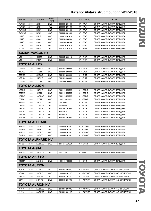| <b>MODEL</b>      | cc                     | <b>ENGINE</b>           | <b>DRIVE</b><br><b>TYPE</b> | <b>YEAR</b>     | <b>AKITAKA NO</b> | <b>NAME</b>                      |  |  |  |  |  |
|-------------------|------------------------|-------------------------|-----------------------------|-----------------|-------------------|----------------------------------|--|--|--|--|--|
| <b>RW420</b>      | 2000                   | J20B                    | 2WD                         | 200606 - 201403 | 0711-RWF          | ОПОРА АМОРТИЗАТОРА ПЕРЕДНЯЯ      |  |  |  |  |  |
| <b>RW420</b>      | 2000                   | <b>J20B</b>             | 4WD                         | 200606 - 201403 | 0711-RWF          | ОПОРА АМОРТИЗАТОРА ПЕРЕДНЯЯ      |  |  |  |  |  |
| <b>RW420D</b>     | 2000                   | <b>D20A</b>             | 2WD                         | 200606 - 201403 | 0711-RWF          | ОПОРА АМОРТИЗАТОРА ПЕРЕДНЯЯ      |  |  |  |  |  |
| <b>RW420D</b>     | 2000                   | <b>D20A</b>             | 4WD                         | 200606 - 201403 | 0711-RWF          | ОПОРА АМОРТИЗАТОРА ПЕРЕДНЯЯ      |  |  |  |  |  |
| <b>YA11S</b>      | 1500                   | <b>M15A</b>             | 2WD                         | 200607 - 201410 | 0711-RWF          | ОПОРА АМОРТИЗАТОРА ПЕРЕДНЯЯ      |  |  |  |  |  |
| <b>YA41S</b>      | 2000                   | <b>J20A</b>             | 2WD                         | 200610 - 200904 | 0711-RWF          | ОПОРА АМОРТИЗАТОРА ПЕРЕДНЯЯ      |  |  |  |  |  |
| <b>YA41S</b>      | 2000                   | <b>J20A</b>             | 4WD                         | 200610 - 200904 | 0711-RWF          | ОПОРА АМОРТИЗАТОРА ПЕРЕДНЯЯ      |  |  |  |  |  |
| <b>YB11S</b>      | 1500                   | <b>M15A</b>             | 4WD                         | 200607 - 201410 | 0711-RWF          | ОПОРА АМОРТИЗАТОРА ПЕРЕДНЯЯ      |  |  |  |  |  |
| <b>YC11S</b>      | 1500                   | <b>M15A</b>             | 2WD                         | 200707 - 101410 | 0711-RWF          | ОПОРА АМОРТИЗАТОРА ПЕРЕДНЯЯ      |  |  |  |  |  |
|                   | <b>SUZUKI WAGON R+</b> |                         |                             |                 |                   |                                  |  |  |  |  |  |
| МM                | 1300                   | G13BB                   | 2WD                         | 200005 - 200412 | 0711-RCF          | ОПОРА АМОРТИЗАТОРА ПЕРЕДНЯЯ      |  |  |  |  |  |
| MМ                | 1300                   | <b>M13A</b>             | 2WD                         | 200309 -        | 0711-RCF          | ОПОРА АМОРТИЗАТОРА ПЕРЕДНЯЯ      |  |  |  |  |  |
| TOYOTA ALLEX      |                        |                         |                             |                 |                   |                                  |  |  |  |  |  |
| <b>NZE121</b>     | 1500                   | 1NZ-FE                  | 2WD                         | 200101 - 200609 | 0111-E12F         | ОПОРА АМОРТИЗАТОРА ПЕРЕДНЯЯ      |  |  |  |  |  |
| <b>ZZE122</b>     | 1800                   | 1ZZ-FE                  | 2WD                         | 200209 - 200609 | 0111-E12F         | ОПОРА АМОРТИЗАТОРА ПЕРЕДНЯЯ      |  |  |  |  |  |
| <b>ZZE123</b>     | 1800                   | 2ZZ-GE                  | 2WD                         | 200101 - 200609 | 0111-E12F         | ОПОРА АМОРТИЗАТОРА ПЕРЕДНЯЯ      |  |  |  |  |  |
| <b>NZE124</b>     | 1500                   | 1NZ-FE                  | 4WD                         | 200101 - 200609 | 0111-E12F         | ОПОРА АМОРТИЗАТОРА ПЕРЕДНЯЯ      |  |  |  |  |  |
| ZZE124            | 1800                   | 1ZZ-FE                  | 4WD                         | 200209 - 200609 | 0111-E12F         | ОПОРА АМОРТИЗАТОРА ПЕРЕДНЯЯ      |  |  |  |  |  |
|                   |                        | TOYOTA ALLION           |                             |                 |                   |                                  |  |  |  |  |  |
| <b>NZT240</b>     | 1500                   | 1NZ-FE                  | 2WD                         | 200112 - 200705 | 0111-ZT24F        | ОПОРА АМОРТИЗАТОРА ПЕРЕДНЯЯ      |  |  |  |  |  |
| ZZT240            | 1800                   | 1ZZ-FE                  | 2WD                         | 200112 - 200705 | 0111-ZT24F        | ОПОРА АМОРТИЗАТОРА ПЕРЕДНЯЯ      |  |  |  |  |  |
| AZT240            | 2000                   | 1AZ-FSE                 | 2WD                         | 200112 - 200705 | 0111-ZT24F        | ОПОРА АМОРТИЗАТОРА ПЕРЕДНЯЯ      |  |  |  |  |  |
| ZZT245            | 1800                   | 1ZZ-FE                  | 4WD                         | 200112 - 200705 | 0111-ZT24F        | ОПОРА АМОРТИЗАТОРА ПЕРЕДНЯЯ      |  |  |  |  |  |
| <b>NZT260</b>     | 1500                   | 1NZ-FE                  | 2WD                         | $200705 - 5$    | 0111-E12F         | ОПОРА АМОРТИЗАТОРА ПЕРЕДНЯЯ      |  |  |  |  |  |
| <b>ZRT260</b>     | 1800                   | 2ZR-FAE                 | 2WD                         | $201004 - 5$    | 0111-E12F         | ОПОРА АМОРТИЗАТОРА ПЕРЕДНЯЯ      |  |  |  |  |  |
| <b>ZRT260</b>     | 1800                   | 2ZR-FE                  | 2WD                         | 200705 - 201004 | 0111-E12F         | ОПОРА АМОРТИЗАТОРА ПЕРЕДНЯЯ      |  |  |  |  |  |
| <b>ZRT261</b>     | 2000                   | 3ZR-FAE                 | 2WD                         | $200712 - 5$    | 0111-E12F         | ОПОРА АМОРТИЗАТОРА ПЕРЕДНЯЯ      |  |  |  |  |  |
| <b>ZRT265</b>     | 1800                   | 2ZR-FAE                 | 4WD                         | $201004 - 5$    | 0111-E12F         | ОПОРА АМОРТИЗАТОРА ПЕРЕДНЯЯ      |  |  |  |  |  |
| <b>ZRT265</b>     | 1800                   | 2ZR-FE                  | 4WD                         | 200705 - 201004 | 0111-E12F         | ОПОРА АМОРТИЗАТОРА ПЕРЕДНЯЯ      |  |  |  |  |  |
|                   |                        | <b>TOYOTA ALPHARD</b>   |                             |                 |                   |                                  |  |  |  |  |  |
| ANH <sub>20</sub> | 2400                   | 2AZ-FE                  | 2WD                         | 200804 - 201501 | 0111-GSA3F        | ОПОРА АМОРТИЗАТОРА ПЕРЕДНЯЯ      |  |  |  |  |  |
| GGH <sub>20</sub> | 3500                   | 2GR-FE                  | 2WD                         | 200804 - 201501 | 0111-GSA3F        | ОПОРА АМОРТИЗАТОРА ПЕРЕДНЯЯ      |  |  |  |  |  |
| ANH <sub>25</sub> | 2400                   | 2AZ-FE                  | 4WD                         | 200804 - 201501 | 0111-GSA3F        | ОПОРА АМОРТИЗАТОРА ПЕРЕДНЯЯ      |  |  |  |  |  |
| GGH25             | 3500                   | 2GR-FE                  | 4WD                         | 200804 - 201501 | 0111-GSA3F        | ОПОРА АМОРТИЗАТОРА ПЕРЕДНЯЯ      |  |  |  |  |  |
|                   |                        | TOYOTA ALPHARD HV       |                             |                 |                   |                                  |  |  |  |  |  |
| ATH <sub>20</sub> | 2400                   | 2AZ-FXE                 | 2WD                         | 201112 - 201501 | 0111-GSA3F        | ОПОРА АМОРТИЗАТОРА ПЕРЕДНЯЯ      |  |  |  |  |  |
| TOYOTA AQUA       |                        |                         |                             |                 |                   |                                  |  |  |  |  |  |
| NHP <sub>10</sub> | 1500                   | 1NZ-FXE                 | 2WD                         | $201112 - 5$    | 0111-P9F1         | ОПОРА АМОРТИЗАТОРА ПЕРЕДНЯЯ      |  |  |  |  |  |
|                   |                        | TOYOTA ARISTO           |                             |                 |                   |                                  |  |  |  |  |  |
| <b>JZS147</b>     | 3000                   | 2JZ-GE                  | 2WD                         | 199110 - 199708 | 0111-S14F         | ОПОРА АМОРТИЗАТОРА ПЕРЕДНЯЯ      |  |  |  |  |  |
|                   | TOYOTA AURION          |                         |                             |                 |                   |                                  |  |  |  |  |  |
| ACV40             | 2400                   | 2AZ-FE                  | 2WD                         | 200606 - 201110 | 0111-ACV4RL       | ОПОРА АМОРТИЗАТОРА ЗАДНЯЯ ЛЕВАЯ  |  |  |  |  |  |
| ACV40             | 2400                   | 2AZ-FE                  | 2WD                         | 200606 - 201110 | 0111-ACV4RR       | ОПОРА АМОРТИЗАТОРА ЗАДНЯЯ ПРАВАЯ |  |  |  |  |  |
| GSV40             | 3500                   | 2GR-FE                  | 2WD                         | 200610 - 201110 | 0111-ACV4RL       | ОПОРА АМОРТИЗАТОРА ЗАДНЯЯ ЛЕВАЯ  |  |  |  |  |  |
| GSV40             | 3500                   | 2GR-FE                  | 2WD                         | 200610 - 201110 | 0111-ACV4RR       | ОПОРА АМОРТИЗАТОРА ЗАДНЯЯ ПРАВАЯ |  |  |  |  |  |
|                   |                        | <b>TOYOTA AURION HV</b> |                             |                 |                   |                                  |  |  |  |  |  |
|                   |                        |                         |                             |                 |                   |                                  |  |  |  |  |  |
| AHV40             | 2400                   | 2AZ-FXE                 | 2WD                         | 201001 - 201110 | 0111-ACV4RL       | ОПОРА АМОРТИЗАТОРА ЗАДНЯЯ ЛЕВАЯ  |  |  |  |  |  |
| AHV40             | 2400                   | 2AZ-FXE                 | 2WD                         | 201001 - 201110 | 0111-ACV4RR       | ОПОРА АМОРТИЗАТОРА ЗАДНЯЯ ПРАВАЯ |  |  |  |  |  |

**SUZUKI** SUZUKI TOYOTA

TOVOIA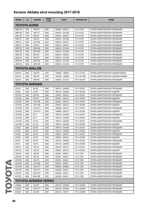| <b>MODEL</b>        | cc   | <b>ENGINE</b>               | <b>DRIVE</b><br><b>TYPE</b> | <b>YEAR</b>     | <b>AKITAKA NO</b> | <b>NAME</b>                      |
|---------------------|------|-----------------------------|-----------------------------|-----------------|-------------------|----------------------------------|
| <b>TOYOTA AURIS</b> |      |                             |                             |                 |                   |                                  |
| <b>NRE150</b>       | 1300 | 1NR-FE                      | 2WD                         | 200809 - 200910 | 0111-E15F         | ОПОРА АМОРТИЗАТОРА ПЕРЕДНЯЯ      |
| <b>NDE150</b>       | 1400 | 1ND-TV                      | 2WD                         | 200610 - 201208 | 0111-E15F         | ОПОРА АМОРТИЗАТОРА ПЕРЕДНЯЯ      |
| <b>ZZE150</b>       | 1400 | 4ZZ-FE                      | 2WD                         | 200610 - 200812 | 0111-E15F         | ОПОРА АМОРТИЗАТОРА ПЕРЕДНЯЯ      |
| <b>NZE151</b>       | 1500 | 1NZ-FE                      | 2WD                         | 200610 - 201208 | 0111-E15F         | ОПОРА АМОРТИЗАТОРА ПЕРЕДНЯЯ      |
| <b>ZRE151</b>       | 1600 | 1ZR-FAE                     | 2WD                         | 200812 - 200910 | 0111-E15F         | ОПОРА АМОРТИЗАТОРА ПЕРЕДНЯЯ      |
| ZRE151              | 1600 | 1ZR-FE                      | 2WD                         | 200610 - 200812 | 0111-E15F         | ОПОРА АМОРТИЗАТОРА ПЕРЕДНЯЯ      |
| <b>ZRE152</b>       | 1800 | 2ZR-FAE                     | 2WD                         | 200812 - 201208 | 0111-E15F         | ОПОРА АМОРТИЗАТОРА ПЕРЕДНЯЯ      |
| <b>ZRE152</b>       | 1800 | 2ZR-FAE                     | 2WD                         | 200910 - 201208 | 0111-E15F         | ОПОРА АМОРТИЗАТОРА ПЕРЕДНЯЯ      |
| <b>ZRE152</b>       | 1800 | 2ZR-FE                      | 2WD                         | 200610 - 200910 | 0111-E15F         | ОПОРА АМОРТИЗАТОРА ПЕРЕДНЯЯ      |
| <b>NZE154</b>       | 1500 | 1NZ-FE                      | 4WD                         | 200610 - 201208 | 0111-E15F         | ОПОРА АМОРТИЗАТОРА ПЕРЕДНЯЯ      |
| <b>ZRE154</b>       | 1800 | 2ZR-FAE                     | 4WD                         | 200610 - 201208 | 0111-E15F         | ОПОРА АМОРТИЗАТОРА ПЕРЕДНЯЯ      |
| <b>ZRE154</b>       | 1800 | 2ZR-FAE                     | 4WD                         | 200910 - 201208 | 0111-E15F         | ОПОРА АМОРТИЗАТОРА ПЕРЕДНЯЯ      |
|                     |      | <b>TOYOTA AVALON</b>        |                             |                 |                   |                                  |
| MCX10               | 3000 | 1MZ-FE                      | 2WD                         | 199409 - 199908 | 0111-XV1RL        | ОПОРА АМОРТИЗАТОРА ЗАДНЯЯ ЛЕВАЯ  |
| MCX10               | 3000 | 1MZ-FE                      | 2WD                         | 199409 - 199908 | 0111-XV1RR        | ОПОРА АМОРТИЗАТОРА ЗАДНЯЯ ПРАВАЯ |
| GSX30               | 3500 | 2GR-FE                      | 2WD                         | 200501 - 201210 | 0111-ACV4F        | ОПОРА АМОРТИЗАТОРА ПЕРЕДНЯЯ      |
|                     |      | <b>TOYOTA AVENSIS</b>       |                             |                 |                   |                                  |
| AT220               | 1600 | 4A-FE                       | 2WD                         | 199710 - 200006 | 0111-AT22F        | ОПОРА АМОРТИЗАТОРА ПЕРЕДНЯЯ      |
| AT220               | 1600 | 4A-FE                       | 2WD                         | 199710 - 200006 | 0111-AT22R        | ОПОРА АМОРТИЗАТОРА ЗАДНЯЯ        |
| <b>ZZT220</b>       | 1600 | 3ZZ-FE                      | 2WD                         | 200007 - 200212 | 0111-AT22F        | ОПОРА АМОРТИЗАТОРА ПЕРЕДНЯЯ      |
| ZZT220              | 1600 | 3ZZ-FE                      | 2WD                         | 200007 - 200212 | 0111-AT22R        | ОПОРА АМОРТИЗАТОРА ЗАДНЯЯ        |
| AZT220              | 2000 | 1AZ-FSE                     | 2WD                         | 200007 - 200212 | 0111-AT22F        | ОПОРА АМОРТИЗАТОРА ПЕРЕДНЯЯ      |
| AZT220              | 2000 | 1AZ-FSE                     | 2WD                         | 200007 - 200212 | 0111-AT22R        | ОПОРА АМОРТИЗАТОРА ЗАДНЯЯ        |
| CDT220              | 2000 | 1CD-FTV                     | 2WD                         | 199908 - 200212 | 0111-AT22F        | ОПОРА АМОРТИЗАТОРА ПЕРЕДНЯЯ      |
| CDT220              | 2000 | 1CD-FTV                     | 2WD                         | 199908 - 200212 | 0111-AT22R        | ОПОРА АМОРТИЗАТОРА ЗАДНЯЯ        |
| <b>CDT220</b>       | 2000 | $2C-T$                      | 2WD                         | 199710 - 200006 | 0111-AT22F        | ОПОРА АМОРТИЗАТОРА ПЕРЕДНЯЯ      |
| <b>CDT220</b>       | 2000 | $2C-T$                      | 2WD                         | 199710 - 200006 | 0111-AT22R        | ОПОРА АМОРТИЗАТОРА ЗАДНЯЯ        |
| <b>CDT220</b>       | 2000 | 2C-TE                       | 2WD                         | 199710 - 200006 | 0111-AT22F        | ОПОРА АМОРТИЗАТОРА ПЕРЕДНЯЯ      |
| <b>CDT220</b>       | 2000 | 2C-TE                       | 2WD                         | 199710 - 200006 | 0111-AT22R        | ОПОРА АМОРТИЗАТОРА ЗАДНЯЯ        |
| ST220               | 2000 | 3S-FE                       | 2WD                         | 199710 - 200006 | 0111-AT22F        | ОПОРА АМОРТИЗАТОРА ПЕРЕДНЯЯ      |
| ST220               | 2000 | 3S-FE                       | 2WD                         | 199710 - 200006 | 0111-AT22R        | ОПОРА АМОРТИЗАТОРА ЗАДНЯЯ        |
| ST220               | 2000 | 3S-FE                       | 2WD                         | 200007 - 200212 | 0111-AT22F        | ОПОРА АМОРТИЗАТОРА ПЕРЕДНЯЯ      |
| ST220               | 2000 | 3S-FE                       | 2WD                         | 200007 - 200212 | 0111-AT22R        | ОПОРА АМОРТИЗАТОРА ЗАДНЯЯ        |
| AT221               | 1800 | 7A-FE                       | 2WD                         | 199710 - 200006 | 0111-AT22F        | ОПОРА АМОРТИЗАТОРА ПЕРЕДНЯЯ      |
| AT221               | 1800 | 7A-FE                       | 2WD                         | 199710 - 200006 | 0111-AT22R        | ОПОРА АМОРТИЗАТОРА ЗАДНЯЯ        |
| ZZT221              | 1800 | 1ZZ-FE                      | 2WD                         | 200007 - 200212 | 0111-AT22F        | ОПОРА АМОРТИЗАТОРА ПЕРЕДНЯЯ      |
| ZZT221              | 1800 | 1ZZ-FE                      | 2WD                         | 200007 - 200212 | 0111-AT22R        | ОПОРА АМОРТИЗАТОРА ЗАДНЯЯ        |
| ZZT251              | 1800 | 1ZZ-FE                      | 2WD                         | 200301 - 200811 | 0111-T25F         | ОПОРА АМОРТИЗАТОРА ПЕРЕДНЯЯ      |
| ZZT250              | 1600 | 3ZZ-FE                      | 2WD                         | 200301 - 200811 | 0111-T25F         | ОПОРА АМОРТИЗАТОРА ПЕРЕДНЯЯ      |
| AZT250              | 2000 | 1AZ-FE                      | 2WD                         | 200301 - 200811 | 0111-T25F         | ОПОРА АМОРТИЗАТОРА ПЕРЕДНЯЯ      |
| AZT250              | 2000 | 1AZ-FSE                     | 2WD                         | 200301 - 200811 | 0111-T25F         | ОПОРА АМОРТИЗАТОРА ПЕРЕДНЯЯ      |
| CDT250              | 2000 | 1CD-FTV                     | 2WD                         | 200303 - 200604 | 0111-T25F         | ОПОРА АМОРТИЗАТОРА ПЕРЕДНЯЯ      |
| ADT250              | 2000 | 1AD-FTV                     | 2WD                         | 200605 - 200811 | 0111-T25F         | ОПОРА АМОРТИЗАТОРА ПЕРЕДНЯЯ      |
| ADT251              | 2200 | 2AD-FHV                     | 2WD                         | 200504 - 200811 | 0111-T25F         | ОПОРА АМОРТИЗАТОРА ПЕРЕДНЯЯ      |
| AZT251              | 2400 | 2AZ-FSE                     | 2WD                         | 200309 - 200811 | 0111-T25F         | ОПОРА АМОРТИЗАТОРА ПЕРЕДНЯЯ      |
|                     |      | <b>TOYOTA AVENSIS VERSO</b> |                             |                 |                   |                                  |
| ACM20               | 2000 | 1AZ-FE                      | 2WD                         | 200105 - 200506 | 0111-ACM2F        | ОПОРА АМОРТИЗАТОРА ПЕРЕДНЯЯ      |
| CLM20               | 2000 | 1CD-FTV                     | 2WD                         | 200105 - 200309 | 0111-ACM2F        | ОПОРА АМОРТИЗАТОРА ПЕРЕДНЯЯ      |
| ACM21               | 2400 | 2AZ-FE                      | 2WD                         | 200310 - 200911 | 0111-ACM2F        | ОПОРА АМОРТИЗАТОРА ПЕРЕДНЯЯ      |
|                     |      |                             |                             |                 |                   |                                  |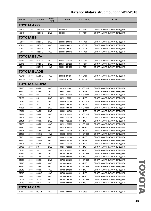| <b>MODEL</b>        | <b>CC</b>           | <b>ENGINE</b>  | <b>DRIVE</b><br><b>TYPE</b> | <b>YEAR</b>     | <b>AKITAKA NO</b> | <b>NAME</b>                 |  |  |  |  |
|---------------------|---------------------|----------------|-----------------------------|-----------------|-------------------|-----------------------------|--|--|--|--|
|                     | TOYOTA AXIO         |                |                             |                 |                   |                             |  |  |  |  |
| <b>NRE161</b>       | 1500                | 2NR-FKE        | 2WD                         | $201503 - 5$    | 0111-P9F1         | ОПОРА АМОРТИЗАТОРА ПЕРЕДНЯЯ |  |  |  |  |
| <b>NZE161</b>       | 1500                | 1NZ-FE         | 2WD                         | $201204 - 5$    | 0111-P9F1         | ОПОРА АМОРТИЗАТОРА ПЕРЕДНЯЯ |  |  |  |  |
| <b>TOYOTA BB</b>    |                     |                |                             |                 |                   |                             |  |  |  |  |
| NCP30               | 1300                | 2NZ-FE         | 2WD                         | 200001 - 200512 | 0111-P10F         | ОПОРА АМОРТИЗАТОРА ПЕРЕДНЯЯ |  |  |  |  |
| NCP31               | 1500                | 1NZ-FE         | 2WD                         | 200001 - 200512 | 0111-P10F         | ОПОРА АМОРТИЗАТОРА ПЕРЕДНЯЯ |  |  |  |  |
| NCP34               | 1500                | 1NZ-FE         | 2WD                         | 200106 - 200303 | 0111-P10F         | ОПОРА АМОРТИЗАТОРА ПЕРЕДНЯЯ |  |  |  |  |
| NCP35               | 1500                | 1NZ-FE         | 4WD                         | 200001 - 200512 | 0111-P10F         | ОПОРА АМОРТИЗАТОРА ПЕРЕДНЯЯ |  |  |  |  |
|                     | <b>TOYOTA BELTA</b> |                |                             |                 |                   |                             |  |  |  |  |
| KSP92               | 1000                | 1KR-FE         | 2WD                         | 200511 - 201206 | 0111-P9F1         | ОПОРА АМОРТИЗАТОРА ПЕРЕДНЯЯ |  |  |  |  |
| SCP92               | 1300                | 2SZ-FE         | 2WD                         | 200511 - 201206 | 0111-P9F1         | ОПОРА АМОРТИЗАТОРА ПЕРЕДНЯЯ |  |  |  |  |
| NCP96               | 1300                | 2NZ-FE         | 4WD                         | 200511 - 201206 | 0111-P9F1         | ОПОРА АМОРТИЗАТОРА ПЕРЕДНЯЯ |  |  |  |  |
| <b>TOYOTA BLADE</b> |                     |                |                             |                 |                   |                             |  |  |  |  |
| AZE154              | 2400                | 2AZ-FE         | 4WD                         | 200612 - 201204 | 0111-E15F         | ОПОРА АМОРТИЗАТОРА ПЕРЕДНЯЯ |  |  |  |  |
| AZE156              | 2400                | 2AZ-FE         | 2WD                         | 200612 - 201204 | 0111-E15F         | ОПОРА АМОРТИЗАТОРА ПЕРЕДНЯЯ |  |  |  |  |
|                     |                     | TOYOTA CALDINA |                             |                 |                   |                             |  |  |  |  |
| ST190               | 1800                | 4S-FE          | 2WD                         | 199202 - 199601 | 0111-ST195F       | ОПОРА АМОРТИЗАТОРА ПЕРЕДНЯЯ |  |  |  |  |
| ST190               | 1800                | 4S-FE          | 2WD                         | 199211 - 199601 | 0111-T19F         | ОПОРА АМОРТИЗАТОРА ПЕРЕДНЯЯ |  |  |  |  |
| CT190               | 2000                | 2C             | 2WD                         | 199211 - 199601 | 0111-ST195F       | ОПОРА АМОРТИЗАТОРА ПЕРЕДНЯЯ |  |  |  |  |
| CT190               | 2000                | 2C             | 2WD                         | 199211 - 199601 | 0111-T19F         | ОПОРА АМОРТИЗАТОРА ПЕРЕДНЯЯ |  |  |  |  |
| CT190               | 2000                | $2C-T$         | 2WD                         | 199601 - 199708 | 0111-ST195F       | ОПОРА АМОРТИЗАТОРА ПЕРЕДНЯЯ |  |  |  |  |
| CT190               | 2000                | $2C-T$         | 2WD                         | 199601 - 199708 | 0111-T19R         | ОПОРА АМОРТИЗАТОРА ПЕРЕДНЯЯ |  |  |  |  |
| AT191               | 1800                | 7A-FE          | 2WD                         | 199601 - 199708 | 0111-ST195F       | ОПОРА АМОРТИЗАТОРА ПЕРЕДНЯЯ |  |  |  |  |
| AT191               | 1800                | 7A-FE          | 2WD                         | 199601 - 199708 | 0111-T19R         | ОПОРА АМОРТИЗАТОРА ПЕРЕДНЯЯ |  |  |  |  |
| ST191               | 2000                | 3S-FE          | 2WD                         | 199211 - 199708 | 0111-ST195F       | ОПОРА АМОРТИЗАТОРА ПЕРЕДНЯЯ |  |  |  |  |
| ST191               | 2000                | 3S-FE          | 2WD                         | 199211 - 199708 | 0111-T19F         | ОПОРА АМОРТИЗАТОРА ПЕРЕДНЯЯ |  |  |  |  |
| ST191               | 2000                | 3S-FE          | 2WD                         | 199211 - 199708 | 0111-T19R         | ОПОРА АМОРТИЗАТОРА ПЕРЕДНЯЯ |  |  |  |  |
| ST195               | 2000                | 3S-FE          | 4WD                         | 199211 - 199708 | 0111-ST195F       | ОПОРА АМОРТИЗАТОРА ПЕРЕДНЯЯ |  |  |  |  |
| ST195               | 2000                | 3S-FE          | 4WD                         | 199211 - 199708 | 0111-T19F         | ОПОРА АМОРТИЗАТОРА ПЕРЕДНЯЯ |  |  |  |  |
| ST195               | 2000                | 3S-FE          | 4WD                         | 199211 - 199708 | 0111-T19R         | ОПОРА АМОРТИЗАТОРА ПЕРЕДНЯЯ |  |  |  |  |
| ST195               | 2000                | 3S-GE          | 4WD                         | 199502 - 199708 | 0111-ST195F       | ОПОРА АМОРТИЗАТОРА ПЕРЕДНЯЯ |  |  |  |  |
| ST195               | 2000                | 3S-GE          | 4WD                         | 199502 - 199708 | 0111-T19F         | ОПОРА АМОРТИЗАТОРА ПЕРЕДНЯЯ |  |  |  |  |
| ST195               | 2000                | 3S-GE          | 4WD                         | 199502 - 199708 | 0111-T19R         | ОПОРА АМОРТИЗАТОРА ПЕРЕДНЯЯ |  |  |  |  |
| ET196               | 1500                | 5E-FE          | 2WD                         | 199211 - 200206 | 0111-T19F         | ОПОРА АМОРТИЗАТОРА ПЕРЕДНЯЯ |  |  |  |  |
| CT196               | 2000                | 2C             | 2WD                         | 199211 - 199805 | 0111-T19F         | ОПОРА АМОРТИЗАТОРА ПЕРЕДНЯЯ |  |  |  |  |
| CT198               | 2000                | 2C             | 2WD                         | 199211 - 199805 | 0111-T19F         | ОПОРА АМОРТИЗАТОРА ПЕРЕДНЯЯ |  |  |  |  |
| AT211               | 1800                | 7A-FE          | 2WD                         | 199708 - 200209 | 0111-ST195F       | ОПОРА АМОРТИЗАТОРА ПЕРЕДНЯЯ |  |  |  |  |
| AT211               | 1800                | 7A-FE          | 2WD                         | 199708 - 200209 | 0111-T19R         | ОПОРА АМОРТИЗАТОРА ПЕРЕДНЯЯ |  |  |  |  |
| ST210               | 2000                | 3S-FE          | 2WD                         | 199708 - 200209 | 0111-ST195F       | ОПОРА АМОРТИЗАТОРА ПЕРЕДНЯЯ |  |  |  |  |
| ST210               | 2000                | 3S-FE          | 2WD                         | 199708 - 200209 | 0111-T19R         | ОПОРА АМОРТИЗАТОРА ПЕРЕДНЯЯ |  |  |  |  |
| ST215               | 2000                | 3S-FE          | 4WD                         | 199708 - 200209 | 0111-ST195F       | ОПОРА АМОРТИЗАТОРА ПЕРЕДНЯЯ |  |  |  |  |
| ST215               | 2000                | 3S-FE          | 4WD                         | 199708 - 200209 | 0111-T19R         | ОПОРА АМОРТИЗАТОРА ПЕРЕДНЯЯ |  |  |  |  |
| ST215               | 2000                | $3S-GE$        | 4WD                         | 199708 - 200209 | 0111-T19R         | ОПОРА АМОРТИЗАТОРА ПЕРЕДНЯЯ |  |  |  |  |
| ST215               | 2000                | 3S-GTE         | 4WD                         | 199708 - 200209 | 0111-T19R         | ОПОРА АМОРТИЗАТОРА ПЕРЕДНЯЯ |  |  |  |  |
| CT216               | 2200                | 3C-TE          | 4WD                         | 199708 - 200209 | 0111-ST195F       | ОПОРА АМОРТИЗАТОРА ПЕРЕДНЯЯ |  |  |  |  |
| CT216               | 2200                | 3C-TE          | 4WD                         | 199708 - 200209 | 0111-T19R         | ОПОРА АМОРТИЗАТОРА ПЕРЕДНЯЯ |  |  |  |  |
| <b>TOYOTA CAMI</b>  |                     |                |                             |                 |                   |                             |  |  |  |  |
| J100                | 1300                | HC-EJ          | 4WD                         | 199905 - 200005 | 0111-J100F        | ОПОРА АМОРТИЗАТОРА ПЕРЕДНЯЯ |  |  |  |  |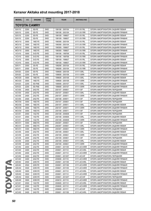| <b>MODEL</b>      | cc                  | <b>ENGINE</b> | <b>DRIVE</b><br><b>TYPE</b> | <b>YEAR</b>     | <b>AKITAKA NO</b> | <b>NAME</b>                      |  |  |  |  |
|-------------------|---------------------|---------------|-----------------------------|-----------------|-------------------|----------------------------------|--|--|--|--|
|                   | <b>TOYOTA CAMRY</b> |               |                             |                 |                   |                                  |  |  |  |  |
| SXV <sub>10</sub> | 2200                | 5S-FE         | 2WD                         | 199106 - 200104 | 0111-XV1RL        | ОПОРА АМОРТИЗАТОРА ЗАДНЯЯ ЛЕВАЯ  |  |  |  |  |
| SXV <sub>10</sub> | 2200                | 5S-FE         | 2WD                         | 199106 - 200104 | 0111-XV1RR        | ОПОРА АМОРТИЗАТОРА ЗАДНЯЯ ПРАВАЯ |  |  |  |  |
| SXV <sub>10</sub> | 2200                | 5S-FE         | 2WD                         | 199109 - 199607 | 0111-XV1RL        | ОПОРА АМОРТИЗАТОРА ЗАДНЯЯ ЛЕВАЯ  |  |  |  |  |
| SXV <sub>10</sub> | 2200                | 5S-FE         | 2WD                         | 199109 - 199607 | 0111-XV1RR        | ОПОРА АМОРТИЗАТОРА ЗАДНЯЯ ПРАВАЯ |  |  |  |  |
| MCV <sub>10</sub> | 3000                | 1MZ-FE        | 2WD                         | 199308 - 200104 | 0111-XV1RL        | ОПОРА АМОРТИЗАТОРА ЗАДНЯЯ ЛЕВАЯ  |  |  |  |  |
| MCV <sub>10</sub> | 3000                | 1MZ-FE        | 2WD                         | 199308 - 200104 | 0111-XV1RR        | ОПОРА АМОРТИЗАТОРА ЗАДНЯЯ ПРАВАЯ |  |  |  |  |
| MCV <sub>10</sub> | 3000                | 1MZ-FE        | 2WD                         | 199309 - 199607 | 0111-XV1RL        | ОПОРА АМОРТИЗАТОРА ЗАДНЯЯ ЛЕВАЯ  |  |  |  |  |
| MCV <sub>10</sub> | 3000                | 1MZ-FE        | 2WD                         | 199309 - 199607 | 0111-XV1RR        | ОПОРА АМОРТИЗАТОРА ЗАДНЯЯ ПРАВАЯ |  |  |  |  |
| VCV <sub>10</sub> | 3000                | 3VZ-FE        | 2WD                         | 199106 - 199708 | 0111-XV1RL        | ОПОРА АМОРТИЗАТОРА ЗАДНЯЯ ЛЕВАЯ  |  |  |  |  |
| VCV <sub>10</sub> | 3000                | 3VZ-FE        | 2WD                         | 199106 - 199708 | 0111-XV1RR        | ОПОРА АМОРТИЗАТОРА ЗАДНЯЯ ПРАВАЯ |  |  |  |  |
| VCV <sub>10</sub> | 3000                | 3VZ-FE        | 2WD                         | 199109 - 199607 | 0111-XV1RL        | ОПОРА АМОРТИЗАТОРА ЗАДНЯЯ ЛЕВАЯ  |  |  |  |  |
| VCV <sub>10</sub> | 3000                | 3VZ-FE        | 2WD                         | 199109 - 199607 | 0111-XV1RR        | ОПОРА АМОРТИЗАТОРА ЗАДНЯЯ ПРАВАЯ |  |  |  |  |
| SXV <sub>11</sub> | 2000                | 3S-FE         | 2WD                         | 199208 - 200104 | 0111-XV1RL        | ОПОРА АМОРТИЗАТОРА ЗАДНЯЯ ЛЕВАЯ  |  |  |  |  |
| SXV11             | 2000                | 3S-FE         | 2WD                         | 199208 - 200104 | 0111-XV1RR        | ОПОРА АМОРТИЗАТОРА ЗАДНЯЯ ПРАВАЯ |  |  |  |  |
| SXV20             | 2200                | 5S-FE         | 2WD                         | 199608 - 200109 | 0111-V3RL         | ОПОРА АМОРТИЗАТОРА ЗАДНЯЯ ЛЕВАЯ  |  |  |  |  |
| SXV <sub>20</sub> | 2200                | 5S-FE         | 2WD                         | 199608 - 200109 | 0111-V3RR         | ОПОРА АМОРТИЗАТОРА ЗАДНЯЯ ПРАВАЯ |  |  |  |  |
| MCV20             | 3000                | 1MZ-FE        | 2WD                         | 199608 - 200109 | 0111-V3RL         | ОПОРА АМОРТИЗАТОРА ЗАДНЯЯ ЛЕВАЯ  |  |  |  |  |
| MCV20             | 3000                | 1MZ-FE        | 2WD                         | 199608 - 200109 | 0111-V3RR         | ОПОРА АМОРТИЗАТОРА ЗАДНЯЯ ПРАВАЯ |  |  |  |  |
| SXV23             | 2200                | 5S-FNE        | 2WD                         | 199908 - 200107 | 0111-V3RL         | ОПОРА АМОРТИЗАТОРА ЗАДНЯЯ ЛЕВАЯ  |  |  |  |  |
| SXV <sub>23</sub> | 2200                | 5S-FNE        | 2WD                         | 199908 - 200107 | 0111-V3RR         | ОПОРА АМОРТИЗАТОРА ЗАДНЯЯ ПРАВАЯ |  |  |  |  |
| ACV30             | 2400                | 2AZ-FE        | 2WD                         | 200107 - 200601 | 0111-V3F          | ОПОРА АМОРТИЗАТОРА ПЕРЕДНЯЯ      |  |  |  |  |
| ACV30             | 2400                | 2AZ-FE        | 2WD                         | 200107 - 200601 | 0111-V3RL         | ОПОРА АМОРТИЗАТОРА ЗАДНЯЯ ЛЕВАЯ  |  |  |  |  |
| ACV30             | 2400                | 2AZ-FE        | 2WD                         | 200107 - 200611 | 0111-V3RR         | ОПОРА АМОРТИЗАТОРА ЗАДНЯЯ ПРАВАЯ |  |  |  |  |
| ACV30             | 2400                | 2AZ-FE        | 2WD                         | 200108 - 200611 | 0111-V3F          |                                  |  |  |  |  |
| MCV30             | 3000                | 1MZ-FE        | 2WD                         | 200107 - 200601 | 0111-V3F          | ОПОРА АМОРТИЗАТОРА ПЕРЕДНЯЯ      |  |  |  |  |
| MCV30             | 3000                | 1MZ-FE        | 2WD                         |                 | 0111-V3RL         | ОПОРА АМОРТИЗАТОРА ПЕРЕДНЯЯ      |  |  |  |  |
|                   |                     |               |                             | 200107 - 200611 |                   | ОПОРА АМОРТИЗАТОРА ЗАДНЯЯ ЛЕВАЯ  |  |  |  |  |
| MCV30             | 3000                | 1MZ-FE        | 2WD                         | 200107 - 200611 | 0111-V3RR         | ОПОРА АМОРТИЗАТОРА ЗАДНЯЯ ПРАВАЯ |  |  |  |  |
| MCV30             | 3000                | 1MZ-FE        | 2WD                         | 200108 - 200611 | 0111-V3F          | ОПОРА АМОРТИЗАТОРА ПЕРЕДНЯЯ      |  |  |  |  |
| ACV31             | 2000                | 1AZ-FE        | 2WD                         | 200108 - 200608 | 0111-V3F          | ОПОРА АМОРТИЗАТОРА ПЕРЕДНЯЯ      |  |  |  |  |
| ACV31             | 2000                | 1AZ-FE        | 2WD                         | 200108 - 200608 | 0111-V3RL         | ОПОРА АМОРТИЗАТОРА ЗАДНЯЯ ЛЕВАЯ  |  |  |  |  |
| ACV31             | 2000                | 1AZ-FE        | 2WD                         | 200108 - 200608 | 0111-V3RR         | ОПОРА АМОРТИЗАТОРА ЗАДНЯЯ ПРАВАЯ |  |  |  |  |
| MCV31             | 3300                | 3MZ-FE        | 2WD                         | 200307 - 200601 | 0111-V3F          | ОПОРА АМОРТИЗАТОРА ПЕРЕДНЯЯ      |  |  |  |  |
| MCV31             | 3300                | 3MZ-FE        | 2WD                         | 200307 - 200601 | 0111-V3RL         | ОПОРА АМОРТИЗАТОРА ЗАДНЯЯ ЛЕВАЯ  |  |  |  |  |
| MCV31             | 3300                | 3MZ-FE        | 2WD                         | 200307 - 200601 | 0111-V3RR         | ОПОРА АМОРТИЗАТОРА ЗАДНЯЯ ПРАВАЯ |  |  |  |  |
| ACV35             | 2400                | 2AZ-FE        | 2WD                         | 200109 - 200601 | 0111-V3RL         | ОПОРА АМОРТИЗАТОРА ЗАДНЯЯ ЛЕВАЯ  |  |  |  |  |
| ACV35             | 2400                | 2AZ-FE        | 2WD                         | 200109 - 200601 | 0111-V3RR         | ОПОРА АМОРТИЗАТОРА ЗАДНЯЯ ПРАВАЯ |  |  |  |  |
| ACV35             | 2400                | 2AZ-FE        | 4WD                         | 200109 - 200601 | 0111-V3F          | ОПОРА АМОРТИЗАТОРА ПЕРЕДНЯЯ      |  |  |  |  |
| ACV35             | 2400                | 2AZ-FE        | 4WD                         | 200109 - 200601 | 0111-V3RL         | ОПОРА АМОРТИЗАТОРА ЗАДНЯЯ ЛЕВАЯ  |  |  |  |  |
| ACV35             | 2400                | 2AZ-FE        | 4WD                         | 200109 - 200601 | 0111-V3RR         | ОПОРА АМОРТИЗАТОРА ЗАДНЯЯ ПРАВАЯ |  |  |  |  |
| ACV40             | 2400                | 2AZ-FE        | 2WD                         | 200601 - 201109 | 0111-ACV4RR       | ОПОРА АМОРТИЗАТОРА ЗАДНЯЯ ПРАВАЯ |  |  |  |  |
| ACV40             | 2400                | 2AZ-FE        | 2WD                         | 200601 - 201112 | 0111-ACV4RL       | ОПОРА АМОРТИЗАТОРА ЗАДНЯЯ ЛЕВАЯ  |  |  |  |  |
| ACV40             | 2400                | 2AZ-FE        | 2WD                         | 200601 - 201112 | 0111-ACV4RR       | ОПОРА АМОРТИЗАТОРА ЗАДНЯЯ ПРАВАЯ |  |  |  |  |
| ACV40             | 2400                | 2AZ-FE        | 2WD                         | 200601 - 201207 | 0111-ACV4F        | ОПОРА АМОРТИЗАТОРА ПЕРЕДНЯЯ      |  |  |  |  |
| ACV40             | 2400                | 2AZ-FE        | 2WD                         | 200606 - 201110 | 0111-ACV4RR       | ОПОРА АМОРТИЗАТОРА ЗАДНЯЯ ПРАВАЯ |  |  |  |  |
| ASV40             | 2500                | 2AR-FE        | 2WD                         | 200901 - 201108 | 0111-ACV4RL       | ОПОРА АМОРТИЗАТОРА ЗАДНЯЯ ЛЕВАЯ  |  |  |  |  |
| ASV40             | 2500                | 2AR-FE        | 2WD                         | 200901 - 201108 | 0111-ACV4RR       | ОПОРА АМОРТИЗАТОРА ЗАДНЯЯ ПРАВАЯ |  |  |  |  |
| GSV40             | 3500                | 2GR-FE        | 2WD                         | 200601 - 201109 | 0111-ACV4RR       | ОПОРА АМОРТИЗАТОРА ЗАДНЯЯ ПРАВАЯ |  |  |  |  |
| GSV40             | 3500                | 2GR-FE        | 2WD                         | 200601 - 201112 | 0111-ACV4RL       | ОПОРА АМОРТИЗАТОРА ЗАДНЯЯ ЛЕВАЯ  |  |  |  |  |
| GSV40             | 3500                | 2GR-FE        | 2WD                         | 200601 - 201112 | 0111-ACV4RR       | ОПОРА АМОРТИЗАТОРА ЗАДНЯЯ ПРАВАЯ |  |  |  |  |
| <b>GSV40</b>      | 3500                | 2GR-FE        | 2WD                         | 200601 - 201207 | 0111-ACV4F        | ОПОРА АМОРТИЗАТОРА ПЕРЕДНЯЯ      |  |  |  |  |
| GSV40             | 3500                | 2GR-FE        | 2WD                         | 200610 - 201110 | 0111-ACV4RR       | ОПОРА АМОРТИЗАТОРА ЗАДНЯЯ ПРАВАЯ |  |  |  |  |
| ACV41             | 2000                | 1AZ-FE        | 2WD                         | 200605 - 201112 | 0111-ACV4RL       | ОПОРА АМОРТИЗАТОРА ЗАДНЯЯ ЛЕВАЯ  |  |  |  |  |
| ACV41             | 2000                | 1AZ-FE        | 2WD                         | 200605 - 201112 | 0111-ACV4RR       | ОПОРА АМОРТИЗАТОРА ЗАДНЯЯ ПРАВАЯ |  |  |  |  |
| ACV41             | 2000                | 1AZ-FE        | 2WD                         | 200608 - 201111 | 0111-ACV4F        | ОПОРА АМОРТИЗАТОРА ПЕРЕДНЯЯ      |  |  |  |  |
| ACV45             | 2400                | 2AZ-FE        | 4WD                         | 200601 - 201108 | 0111-ACV4RL       | ОПОРА АМОРТИЗАТОРА ЗАДНЯЯ ЛЕВАЯ  |  |  |  |  |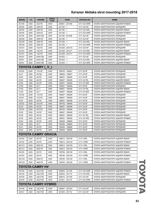| <b>MODEL</b> | cc   | <b>ENGINE</b>              | <b>DRIVE</b><br><b>TYPE</b> | <b>YEAR</b>     | <b>AKITAKA NO</b> | <b>NAME</b>                      |
|--------------|------|----------------------------|-----------------------------|-----------------|-------------------|----------------------------------|
| ACV45        | 2400 | 2AZ-FE                     | 4WD                         | 200601 - 201108 | 0111-ACV4RR       | ОПОРА АМОРТИЗАТОРА ЗАДНЯЯ ПРАВАЯ |
| <b>ASV50</b> | 2500 | 2AR-FE                     | 2WD                         | $201108 - 5$    | 0111-ACV4F        | ОПОРА АМОРТИЗАТОРА ПЕРЕДНЯЯ      |
| <b>ASV50</b> | 2500 | 2AR-FE                     | 2WD                         | $201108 - 5$    | 0111-ACV4RL       | ОПОРА АМОРТИЗАТОРА ЗАДНЯЯ ЛЕВАЯ  |
| <b>ASV50</b> | 2500 | 2AR-FE                     | 2WD                         | $201108 - 5$    | 0111-ACV4RR       | ОПОРА АМОРТИЗАТОРА ЗАДНЯЯ ПРАВАЯ |
| <b>AVV50</b> | 2500 | 2AR-FXE                    | 2WD                         | 201108 - 201408 | 0111-ACV4F        | ОПОРА АМОРТИЗАТОРА ПЕРЕДНЯЯ      |
| GSV50        | 3500 | 2GR-FE                     | 2WD                         | $201108 - 5$    | 0111-ACV4F        | ОПОРА АМОРТИЗАТОРА ПЕРЕДНЯЯ      |
| GSV50        | 3500 | 2GR-FE                     | 2WD                         | $201108 - 5$    | 0111-ACV4RL       | ОПОРА АМОРТИЗАТОРА ЗАДНЯЯ ЛЕВАЯ  |
| GSV50        | 3500 | 2GR-FE                     | 2WD                         | $201108 - 5$    | 0111-ACV4RR       | ОПОРА АМОРТИЗАТОРА ЗАДНЯЯ ПРАВАЯ |
| ACV51        | 2000 | 1AZ-FE                     | 2WD                         | 201208 - 201410 | 0111-ACV4F        | ОПОРА АМОРТИЗАТОРА ПЕРЕДНЯЯ      |
| ACV51        | 2000 | 1AZ-FE                     | 2WD                         | 201208 - 201411 | 0111-ACV4RL       | ОПОРА АМОРТИЗАТОРА ЗАДНЯЯ ЛЕВАЯ  |
| ACV51        | 2000 | 1AZ-FE                     | 2WD                         | 201208 - 201411 | 0111-ACV4RR       | ОПОРА АМОРТИЗАТОРА ЗАДНЯЯ ПРАВАЯ |
| ASV51        | 2000 | 6AR-FSE                    | 2WD                         | $201503 - 5$    | 0111-ACV4F        | ОПОРА АМОРТИЗАТОРА ПЕРЕДНЯЯ      |
| ASV51        | 2000 | 6AR-FSE                    | 2WD                         | $201503 - 5$    | 0111-ACV4RL       | ОПОРА АМОРТИЗАТОРА ЗАДНЯЯ ЛЕВАЯ  |
| ASV51        | 2000 | 6AR-FSE                    | 2WD                         | $201503 - 5$    | 0111-ACV4RR       | ОПОРА АМОРТИЗАТОРА ЗАДНЯЯ ПРАВАЯ |
|              |      | TOYOTA CAMRY (V)           |                             |                 |                   |                                  |
| <b>VZV20</b> | 2000 | 1VZ-FE                     | 2WD                         | 198704 - 199007 | 0111-SV3F         | ОПОРА АМОРТИЗАТОРА ПЕРЕДНЯЯ      |
| SV21         | 2000 | 3S-GE                      | 2WD                         | 198608 - 199007 | 0111-SV3F         | ОПОРА АМОРТИЗАТОРА ПЕРЕДНЯЯ      |
| SV30         | 1800 | 4S-FE                      | 2WD                         | 199007 - 199406 | 0111-SV3F         | ОПОРА АМОРТИЗАТОРА ПЕРЕДНЯЯ      |
| SV30         | 1800 | 4S-FE                      | 2WD                         | 199007 - 199406 | 0111-XV1RL        | ОПОРА АМОРТИЗАТОРА ЗАДНЯЯ ЛЕВАЯ  |
| SV30         | 1800 | 4S-FE                      | 2WD                         | 199007 - 199406 | 0111-XV1RR        | ОПОРА АМОРТИЗАТОРА ЗАДНЯЯ ПРАВАЯ |
| CV30         | 2000 | 2C-T                       | 2WD                         | 199007 - 199406 | 0111-SV3F         | ОПОРА АМОРТИЗАТОРА ПЕРЕДНЯЯ      |
| CV30         | 2000 | 2C-T                       | 2WD                         | 199007 - 199406 | 0111-XV1RL        | ОПОРА АМОРТИЗАТОРА ЗАДНЯЯ ЛЕВАЯ  |
| <b>CV30</b>  | 2000 | $2C-T$                     | 2WD                         | 199007 - 199406 | 0111-XV1RR        | ОПОРА АМОРТИЗАТОРА ЗАДНЯЯ ПРАВАЯ |
| VZV30        | 2000 | 1VZ-FE                     | 2WD                         | 199007 - 199206 | 0111-SV3F         | ОПОРА АМОРТИЗАТОРА ПЕРЕДНЯЯ      |
| VZV31        | 2000 | 1VZ-FE                     | 2WD                         | 199007 - 199206 | 0111-SV3F         | ОПОРА АМОРТИЗАТОРА ПЕРЕДНЯЯ      |
| SV32         | 2000 | 3S-FE                      | 2WD                         | 199007 - 199406 | 0111-SV3F         | ОПОРА АМОРТИЗАТОРА ПЕРЕДНЯЯ      |
| VZV32        | 2500 | 4VZ-FE                     | 2WD                         | 199105 - 199406 | 0111-SV3F         | ОПОРА АМОРТИЗАТОРА ПЕРЕДНЯЯ      |
| SV33         | 2000 | 3S-FE                      | 2WD                         | 199007 - 199406 | 0111-SV3F         | ОПОРА АМОРТИЗАТОРА ПЕРЕДНЯЯ      |
| VZV33        | 2500 | 4VZ-FE                     | 2WD                         | 199105 - 199406 | 0111-SV3F         | ОПОРА АМОРТИЗАТОРА ПЕРЕДНЯЯ      |
| SV35         | 2000 | 3S-FE                      | 4WD                         | 199007 - 199406 | 0111-SV3F         | ОПОРА АМОРТИЗАТОРА ПЕРЕДНЯЯ      |
| SV35         | 2000 | 3S-FE                      | 4WD                         | 199007 - 199406 | 0111-XV1RL        | ОПОРА АМОРТИЗАТОРА ЗАДНЯЯ ЛЕВАЯ  |
| SV35         | 2000 | 3S-FE                      | 4WD                         | 199007 - 199406 | 0111-XV1RR        | ОПОРА АМОРТИЗАТОРА ЗАДНЯЯ ПРАВАЯ |
| SV40         | 1800 | 4S-FE                      | 2WD                         | 199406 - 199806 | 0111-SV4F         | ОПОРА АМОРТИЗАТОРА ПЕРЕДНЯЯ      |
| <b>CV40</b>  | 2200 | $3C-T$                     | 2WD                         | 199406 - 199806 | 0111-SV4F         | ОПОРА АМОРТИЗАТОРА ПЕРЕДНЯЯ      |
| <b>SV41</b>  | 2000 | 3S-FE                      | 2WD                         | 199406 - 199806 | 0111-SV4F         | ОПОРА АМОРТИЗАТОРА ПЕРЕДНЯЯ      |
| SV42         | 2000 | 3S-FE                      | 2WD                         | 199406 - 199806 | 0111-SV4F         | ОПОРА АМОРТИЗАТОРА ПЕРЕДНЯЯ      |
|              |      | <b>TOYOTA CAMRY GRACIA</b> |                             |                 |                   |                                  |
| SXV20        | 2200 | 5S-FE                      | 2WD                         | 199612 - 200109 | 0111-V3RL         | ОПОРА АМОРТИЗАТОРА ЗАДНЯЯ ЛЕВАЯ  |
| SXV20        | 2200 | 5S-FE                      | 2WD                         | 199612 - 200109 | 0111-V3RR         | ОПОРА АМОРТИЗАТОРА ЗАДНЯЯ ПРАВАЯ |
| MCV21        | 2500 | 2MZ-FE                     | 2WD                         | 199612 - 200109 | 0111-V3RL         | ОПОРА АМОРТИЗАТОРА ЗАДНЯЯ ЛЕВАЯ  |
| MCV21        | 2500 | 2MZ-FE                     | 2WD                         | 199612 - 200109 | 0111-V3RR         | ОПОРА АМОРТИЗАТОРА ЗАДНЯЯ ПРАВАЯ |
| SXV25        | 2200 | 5S-FE                      | 4WD                         | 199706 - 200109 | 0111-V3RL         | ОПОРА АМОРТИЗАТОРА ЗАДНЯЯ ЛЕВАЯ  |
| SXV25        | 2200 | 5S-FE                      | 4WD                         | 199706 - 200109 | 0111-V3RR         | ОПОРА АМОРТИЗАТОРА ЗАДНЯЯ ПРАВАЯ |
| MCV25        | 2500 | 2MZ-FE                     | 4WD                         | 199706 - 200109 | 0111-V3RL         | ОПОРА АМОРТИЗАТОРА ЗАДНЯЯ ЛЕВАЯ  |
| MCV25        | 2500 | 2MZ-FE                     | 4WD                         | 199706 - 200109 | 0111-V3RR         | ОПОРА АМОРТИЗАТОРА ЗАДНЯЯ ПРАВАЯ |
|              |      | TOYOTA CAMRY HV            |                             |                 |                   |                                  |
|              |      |                            |                             |                 |                   |                                  |
| AHV40        | 2400 | 2AZ-FXE                    | 2WD                         | 200603 - 201108 | 0111-ACV4RR       | ОПОРА АМОРТИЗАТОРА ЗАДНЯЯ ПРАВАЯ |
| AHV40        | 2400 | 2AZ-FXE                    | 2WD                         | 200603 - 201110 | 0111-ACV4RL       | ОПОРА АМОРТИЗАТОРА ЗАДНЯЯ ЛЕВАЯ  |
| AHV40        | 2400 | 2AZ-FXE                    | 2WD                         | 200610 - 201109 | 0111-ACV4F        | ОПОРА АМОРТИЗАТОРА ПЕРЕДНЯЯ      |
| AHV40        | 2400 | 2AZ-FXE                    | 2WD                         | 201001 - 201110 | 0111-ACV4RR       | ОПОРА АМОРТИЗАТОРА ЗАДНЯЯ ПРАВАЯ |
|              |      | TOYOTA CAMRY HYBRID        |                             |                 |                   |                                  |
| AHV40        | 2400 | 2AZ-FXE                    | 2WD                         | 200907 - 201203 | 0111-ACV4F        | ОПОРА АМОРТИЗАТОРА ПЕРЕДНЯЯ      |
| AHV41        | 2400 | 3AZ-FXE                    | 2WD                         | 201003 - 201112 | 0111-ACV4F        | ОПОРА АМОРТИЗАТОРА ПЕРЕДНЯЯ      |

TOVOIA TOYOTA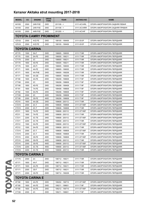| <b>MODEL</b>         | cc                     | <b>ENGINE</b>          | <b>DRIVE</b><br><b>TYPE</b> | <b>YEAR</b>     | <b>AKITAKA NO</b> | <b>NAME</b>                      |  |  |  |  |
|----------------------|------------------------|------------------------|-----------------------------|-----------------|-------------------|----------------------------------|--|--|--|--|
| <b>AVV50</b>         | 2500                   | 2AR-FXE                | 2WD                         | $201108 - 5$    | 0111-ACV4RL       | ОПОРА АМОРТИЗАТОРА ЗАДНЯЯ ЛЕВАЯ  |  |  |  |  |
| <b>AVV50</b>         | 2500                   | 2AR-FXE                | 2WD                         | $201108 - 5$    | 0111-ACV4RR       | ОПОРА АМОРТИЗАТОРА ЗАДНЯЯ ПРАВАЯ |  |  |  |  |
| <b>AVV50</b>         | 2500                   | 4AR-FXE                | 2WD                         | $201205 - 5$    | 0111-ACV4F        | ОПОРА АМОРТИЗАТОРА ПЕРЕДНЯЯ      |  |  |  |  |
|                      | TOYOTA CAMRY PROMINENT |                        |                             |                 |                   |                                  |  |  |  |  |
| VZV32                | 2500                   | 4VZ-FE                 | 2WD                         | 199105 - 199406 | 0111-SV3F         | ОПОРА АМОРТИЗАТОРА ПЕРЕДНЯЯ      |  |  |  |  |
| VZV33                | 2500                   | 4VZ-FE                 | 2WD                         | 199105 - 199406 | 0111-SV3F         | ОПОРА АМОРТИЗАТОРА ПЕРЕДНЯЯ      |  |  |  |  |
| <b>TOYOTA CARINA</b> |                        |                        |                             |                 |                   |                                  |  |  |  |  |
| AT170                | 1500                   | 5A-F                   | 2WD                         | 198805 - 199005 | 0111-T19R         | ОПОРА АМОРТИЗАТОРА ПЕРЕДНЯЯ      |  |  |  |  |
| AT170                | 1500                   | 5A-FE                  | 2WD                         | 199005 - 199211 | 0111-T19R         | ОПОРА АМОРТИЗАТОРА ПЕРЕДНЯЯ      |  |  |  |  |
| CT170                | 2000                   | 2C                     | 2WD                         | 198805 - 199211 | 0111-T19R         | ОПОРА АМОРТИЗАТОРА ПЕРЕДНЯЯ      |  |  |  |  |
| ST170                | 1800                   | 4S-FE                  | 2WD                         | 199005 - 199211 | 0111-T19R         | ОПОРА АМОРТИЗАТОРА ПЕРЕДНЯЯ      |  |  |  |  |
| ST170                | 1800                   | 4S-FI                  | 2WD                         | 198805 - 199005 | 0111-T19R         | ОПОРА АМОРТИЗАТОРА ПЕРЕДНЯЯ      |  |  |  |  |
| AT171                | 1600                   | 4A-FE                  | 2WD                         | 198805 - 199005 | 0111-T19R         | ОПОРА АМОРТИЗАТОРА ПЕРЕДНЯЯ      |  |  |  |  |
| AT171                | 1600                   | 4A-FHE                 | 2WD                         | 199005 - 199208 | 0111-T19R         | ОПОРА АМОРТИЗАТОРА ПЕРЕДНЯЯ      |  |  |  |  |
| AT171                | 1600                   | 4A-GE                  | 2WD                         | 198805 - 199208 | 0111-T19R         | ОПОРА АМОРТИЗАТОРА ПЕРЕДНЯЯ      |  |  |  |  |
| AT190                | 1600                   | 4A-FE                  | 2WD                         | 199208 - 199608 | 0111-T19F         | ОПОРА АМОРТИЗАТОРА ПЕРЕДНЯЯ      |  |  |  |  |
| CT190                | 2000                   | 2C                     | 2WD                         | 199208 - 199608 | 0111-T19F         | ОПОРА АМОРТИЗАТОРА ПЕРЕДНЯЯ      |  |  |  |  |
| ST190                | 1800                   | 4S-FE                  | 2WD                         | 199208 - 199408 | 0111-T19F         | ОПОРА АМОРТИЗАТОРА ПЕРЕДНЯЯ      |  |  |  |  |
| AT191                | 1800                   | 7A-FE                  | 2WD                         | 199408 - 199608 | 0111-T19F         | ОПОРА АМОРТИЗАТОРА ПЕРЕДНЯЯ      |  |  |  |  |
| AT192                | 1500                   | 5A-FE                  | 2WD                         | 199208 - 199608 | 0111-T19F         | ОПОРА АМОРТИЗАТОРА ПЕРЕДНЯЯ      |  |  |  |  |
| CT195                | 2000                   | 2C                     | 4WD                         | 199208 - 199608 | 0111-T19F         | ОПОРА АМОРТИЗАТОРА ПЕРЕДНЯЯ      |  |  |  |  |
| ST195                | 2000                   | 3S-FE                  | 4WD                         | 199208 - 199608 | 0111-T19F         | ОПОРА АМОРТИЗАТОРА ПЕРЕДНЯЯ      |  |  |  |  |
| AT210                | 1600                   | 4A-GE                  | 2WD                         | 199608 - 200112 | 0111-T19R         | ОПОРА АМОРТИЗАТОРА ПЕРЕДНЯЯ      |  |  |  |  |
| CT210                | 2000                   | $2C-T$                 | 2WD                         | 199608 - 199808 | 0111-ST195F       | ОПОРА АМОРТИЗАТОРА ПЕРЕДНЯЯ      |  |  |  |  |
| CT210                | 2000                   | $2C-T$                 | 2WD                         | 199608 - 199808 | 0111-T19R         | ОПОРА АМОРТИЗАТОРА ПЕРЕДНЯЯ      |  |  |  |  |
| AT211                | 1800                   | 7A-FE                  | 2WD                         | 199608 - 200112 | 0111-ST195F       | ОПОРА АМОРТИЗАТОРА ПЕРЕДНЯЯ      |  |  |  |  |
| AT211                | 1800                   | 7A-FE                  | 2WD                         | 199608 - 200112 | 0111-T19R         | ОПОРА АМОРТИЗАТОРА ПЕРЕДНЯЯ      |  |  |  |  |
| CT211                | 2200                   | 3C-TE                  | 2WD                         | 199808 - 200112 | 0111-ST195F       | ОПОРА АМОРТИЗАТОРА ПЕРЕДНЯЯ      |  |  |  |  |
| CT211                | 2200                   | 3C-TE                  | 2WD                         | 199808 - 200112 | 0111-T19R         | ОПОРА АМОРТИЗАТОРА ПЕРЕДНЯЯ      |  |  |  |  |
| AT212                | 1500                   | 5A-FE                  | 2WD                         | 199608 - 200112 | 0111-ST195F       | ОПОРА АМОРТИЗАТОРА ПЕРЕДНЯЯ      |  |  |  |  |
| AT212                | 1500                   | 5A-FE                  | 2WD                         | 199608 - 200112 | 0111-T19R         | ОПОРА АМОРТИЗАТОРА ПЕРЕДНЯЯ      |  |  |  |  |
| CT215                | 2000                   | $2C-T$                 | 4WD                         | 199608 - 199808 | 0111-ST195F       | ОПОРА АМОРТИЗАТОРА ПЕРЕДНЯЯ      |  |  |  |  |
| CT215                | 2000                   | $2C-T$                 | 4WD                         | 199608 - 199808 | 0111-T19R         | ОПОРА АМОРТИЗАТОРА ПЕРЕДНЯЯ      |  |  |  |  |
| ST215                | 2000                   | 3S-FE                  | 4WD                         | 199608 - 199808 | 0111-ST195F       | ОПОРА АМОРТИЗАТОРА ПЕРЕДНЯЯ      |  |  |  |  |
| ST215                | 2000                   | 3S-FE                  | 4WD                         | 199608 - 200112 | 0111-T19R         | ОПОРА АМОРТИЗАТОРА ПЕРЕДНЯЯ      |  |  |  |  |
| ST215                | 2000                   | 3S-FE                  | 4WD                         | 199808 - 200112 | 0111-ST195F       | ОПОРА АМОРТИЗАТОРА ПЕРЕДНЯЯ      |  |  |  |  |
| CT216                | 2200                   | 3C-TE                  | 4WD                         | 199808 - 200112 | 0111-ST195F       | ОПОРА АМОРТИЗАТОРА ПЕРЕДНЯЯ      |  |  |  |  |
| CT216                | 2200                   | 3C-TE                  | 4WD                         | 199808 - 200112 | 0111-T19R         | ОПОРА АМОРТИЗАТОРА ПЕРЕДНЯЯ      |  |  |  |  |
|                      |                        | <b>TOYOTA CARINA 2</b> |                             |                 |                   |                                  |  |  |  |  |
| CT170                | 2000                   | 2C                     | 2WD                         | 198712 - 199211 | 0111-T19R         | ОПОРА АМОРТИЗАТОРА ПЕРЕДНЯЯ      |  |  |  |  |
| AT171                | 1600                   | 4A-F                   | 2WD                         | 198712 - 199211 | 0111-T19R         | ОПОРА АМОРТИЗАТОРА ПЕРЕДНЯЯ      |  |  |  |  |
| AT171                | 1600                   | 4A-FE                  | 2WD                         | 198712 - 199211 | 0111-T19R         | ОПОРА АМОРТИЗАТОРА ПЕРЕДНЯЯ      |  |  |  |  |
|                      |                        | 3S-F                   |                             |                 |                   |                                  |  |  |  |  |
| ST171                | 2000                   |                        | 2WD                         | 198712 - 199211 | 0111-T19R         | ОПОРА АМОРТИЗАТОРА ПЕРЕДНЯЯ      |  |  |  |  |
| ST171                | 2000                   | 3S-FE                  | 2WD                         | 198712 - 199208 | 0111-T19R         | ОПОРА АМОРТИЗАТОРА ПЕРЕДНЯЯ      |  |  |  |  |
|                      |                        | <b>TOYOTA CARINA E</b> |                             |                 |                   |                                  |  |  |  |  |
| AT190                | 1600                   | 4A-FE                  | 2WD                         | 199202 - 199710 | 0111-ST195F       | ОПОРА АМОРТИЗАТОРА ПЕРЕДНЯЯ      |  |  |  |  |
| AT190                | 1600                   | 4A-FE                  | 2WD                         | 199211 - 199601 | 0111-T19F         | ОПОРА АМОРТИЗАТОРА ПЕРЕДНЯЯ      |  |  |  |  |
| AT190                | 1600                   | 4A-FE                  | 2WD                         | 199212 - 199710 | 0111-ST195F       | ОПОРА АМОРТИЗАТОРА ПЕРЕДНЯЯ      |  |  |  |  |
| CT190                | 2000                   | 2C                     | 2WD                         | 199211 - 199601 | 0111-T19F         | ОПОРА АМОРТИЗАТОРА ПЕРЕДНЯЯ      |  |  |  |  |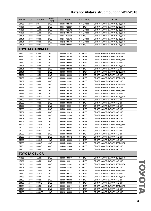| <b>MODEL</b> | cc   | <b>ENGINE</b>        | <b>DRIVE</b><br><b>TYPE</b> | <b>YEAR</b>     | <b>AKITAKA NO</b> | <b>NAME</b>                 |
|--------------|------|----------------------|-----------------------------|-----------------|-------------------|-----------------------------|
| CT190        | 2000 | $2C-T$               | 2WD                         | 199601 - 199710 | 0111-ST195F       | ОПОРА АМОРТИЗАТОРА ПЕРЕДНЯЯ |
| AT191        | 1800 | 7A-FE                | 2WD                         | 199411 - 199601 | 0111-T19F         | ОПОРА АМОРТИЗАТОРА ПЕРЕДНЯЯ |
| AT191        | 1800 | 7A-FE                | 2WD                         | 199411 - 199710 | 0111-ST195F       | ОПОРА АМОРТИЗАТОРА ПЕРЕДНЯЯ |
| AT191        | 1800 | 7A-FE                | 2WD                         | 199412 - 199710 | 0111-ST195F       | ОПОРА АМОРТИЗАТОРА ПЕРЕДНЯЯ |
| ST191        | 2000 | 3S-FE                | 2WD                         | 199211 - 199601 | 0111-T19F         | ОПОРА АМОРТИЗАТОРА ПЕРЕДНЯЯ |
| ST191        | 2000 | 3S-FE                | 2WD                         | 199211 - 199710 | 0111-ST195F       | ОПОРА АМОРТИЗАТОРА ПЕРЕДНЯЯ |
| ST191        | 2000 | 3S-FE                | 2WD                         | 199212 - 199710 | 0111-ST195F       | ОПОРА АМОРТИЗАТОРА ПЕРЕДНЯЯ |
| ST191        | 2000 | 3S-GE                | 2WD                         | 199202 - 199601 | 0111-T19F         | ОПОРА АМОРТИЗАТОРА ПЕРЕДНЯЯ |
|              |      | TOYOTA CARINA ED     |                             |                 |                   |                             |
| ST180        | 1800 | 4S-FE                | 2WD                         | 199008 - 199309 | 0111-T18F         | ОПОРА АМОРТИЗАТОРА ПЕРЕДНЯЯ |
| ST180        | 1800 | 4S-FE                | 2WD                         | 199008 - 199309 | 0111-T18R         | ОПОРА АМОРТИЗАТОРА ЗАДНЯЯ   |
| ST180        | 1800 | 4S-FI                | 2WD                         | 198909 - 199008 | 0111-T18F         | ОПОРА АМОРТИЗАТОРА ПЕРЕДНЯЯ |
| ST180        | 1800 | 4S-FI                | 2WD                         | 198909 - 199008 | 0111-T18R         | ОПОРА АМОРТИЗАТОРА ЗАДНЯЯ   |
| ST181        | 1800 | 4S-FE                | 2WD                         | 199008 - 199309 | 0111-T18F         | ОПОРА АМОРТИЗАТОРА ПЕРЕДНЯЯ |
| ST181        | 1800 | 4S-FE                | 2WD                         | 199008 - 199309 | 0111-T18R         | ОПОРА АМОРТИЗАТОРА ЗАДНЯЯ   |
| ST181        | 1800 | 4S-FI                | 2WD                         | 198909 - 199008 | 0111-T18F         | ОПОРА АМОРТИЗАТОРА ПЕРЕДНЯЯ |
| ST181        | 1800 | 4S-FI                | 2WD                         | 198909 - 199008 | 0111-T18R         | ОПОРА АМОРТИЗАТОРА ЗАДНЯЯ   |
| ST182        | 2000 | 3S-FE                | 2WD                         | 198909 - 199309 | 0111-T18F         | ОПОРА АМОРТИЗАТОРА ПЕРЕДНЯЯ |
| ST182        | 2000 | 3S-FE                | 2WD                         | 198909 - 199309 | 0111-T18R         | ОПОРА АМОРТИЗАТОРА ЗАДНЯЯ   |
| ST182        | 2000 | 3S-GE                | 2WD                         | 198909 - 199309 | 0111-T18F         | ОПОРА АМОРТИЗАТОРА ПЕРЕДНЯЯ |
| ST182        | 2000 | 3S-GE                | 2WD                         | 198909 - 199309 | 0111-T18R         | ОПОРА АМОРТИЗАТОРА ЗАДНЯЯ   |
| ST183        | 2000 | 3S-FE                | 2WD                         | 198909 - 199309 | 0111-T18F         | ОПОРА АМОРТИЗАТОРА ПЕРЕДНЯЯ |
| ST183        | 2000 | 3S-FE                | 2WD                         | 198909 - 199309 | 0111-T18R         | ОПОРА АМОРТИЗАТОРА ЗАДНЯЯ   |
| ST183        | 2000 | 3S-GE                | 2WD                         | 198909 - 199309 | 0111-T18F         | ОПОРА АМОРТИЗАТОРА ПЕРЕДНЯЯ |
| ST183        | 2000 | 3S-GE                | 2WD                         | 198909 - 199309 | 0111-T18R         | ОПОРА АМОРТИЗАТОРА ЗАДНЯЯ   |
| ST200        | 1800 | 4S-FE                | 2WD                         | 199309 - 199508 | 0111-T18R         | ОПОРА АМОРТИЗАТОРА ЗАДНЯЯ   |
| ST200        | 1800 | 4S-FE                | 2WD                         | 199309 - 199804 | 0111-T18R         | ОПОРА АМОРТИЗАТОРА ЗАДНЯЯ   |
| ST200        | 1800 | 4S-FE                | 2WD                         | 199508 - 199804 | 0111-T18R         | ОПОРА АМОРТИЗАТОРА ЗАДНЯЯ   |
| ST201        | 1800 | 4S-FE                | 2WD                         | 199309 - 199410 | 0111-T18R         | ОПОРА АМОРТИЗАТОРА ЗАДНЯЯ   |
| ST202        | 2000 | 3S-FE                | 2WD                         | 199309 - 199508 | 0111-T18R         | ОПОРА АМОРТИЗАТОРА ЗАДНЯЯ   |
| ST202        | 2000 | 3S-FE                | 2WD                         | 199508 - 199804 | 0111-T18R         | ОПОРА АМОРТИЗАТОРА ЗАДНЯЯ   |
| ST202        | 2000 | 3S-GE                | 2WD                         | 199309 - 199508 | 0111-T18R         | ОПОРА АМОРТИЗАТОРА ЗАДНЯЯ   |
| ST202        | 2000 | 3S-GE                | 2WD                         | 199309 - 199804 | 0111-T18F         | ОПОРА АМОРТИЗАТОРА ПЕРЕДНЯЯ |
| ST202        | 2000 | 3S-GE                | 2WD                         | 199309 - 199804 | 0111-T18R         | ОПОРА АМОРТИЗАТОРА ЗАДНЯЯ   |
| ST202        | 2000 | 3S-GE                | 2WD                         | 199508 - 199804 | 0111-T18R         | ОПОРА АМОРТИЗАТОРА ЗАДНЯЯ   |
| ST203        | 2000 | 3S-FE                | 2WD                         | 199309 - 199508 | 0111-T18R         | ОПОРА АМОРТИЗАТОРА ЗАДНЯЯ   |
| ST203        | 2000 | 3S-FE                | 2WD                         | 199508 - 199712 | 0111-T18R         | ОПОРА АМОРТИЗАТОРА ЗАДНЯЯ   |
| ST205        | 2000 | 3S-GE                | 4WD                         | 199405 - 199508 | 0111-T18R         | ОПОРА АМОРТИЗАТОРА ЗАДНЯЯ   |
| ST205        | 2000 | 3S-GE                | 4WD                         | 199405 - 199804 | 0111-T18F         | ОПОРА АМОРТИЗАТОРА ПЕРЕДНЯЯ |
| ST205        | 2000 | 3S-GE                | 4WD                         | 199405 - 199804 | 0111-T18R         | ОПОРА АМОРТИЗАТОРА ЗАДНЯЯ   |
| ST205        | 2000 | 3S-GE                | 4WD                         | 199508 - 199804 | 0111-T18R         | ОПОРА АМОРТИЗАТОРА ЗАДНЯЯ   |
|              |      | <b>TOYOTA CELICA</b> |                             |                 |                   |                             |
| AT180        | 1600 | 4A-FE                | 2WD                         | 198909 - 199311 | 0111-T18F         | ОПОРА АМОРТИЗАТОРА ПЕРЕДНЯЯ |
| AT180        | 1600 | 4A-FE                | 2WD                         | 198909 - 199311 | 0111-T18R         | ОПОРА АМОРТИЗАТОРА ЗАДНЯЯ   |
| ST182        | 2000 | 3S-FE                | 2WD                         | 198909 - 199309 | 0111-T18F         | ОПОРА АМОРТИЗАТОРА ПЕРЕДНЯЯ |
| ST182        | 2000 | 3S-FE                | 2WD                         | 198909 - 199309 | 0111-T18R         | ОПОРА АМОРТИЗАТОРА ЗАДНЯЯ   |
| ST182        | 2000 | 3S-GE                | 2WD                         | 198909 - 199311 | 0111-T18F         | ОПОРА АМОРТИЗАТОРА ПЕРЕДНЯЯ |
| ST182        | 2000 | 3S-GE                | 2WD                         | 198909 - 199311 | 0111-T18R         | ОПОРА АМОРТИЗАТОРА ЗАДНЯЯ   |
| ST183        | 2000 | 3S-FE                | 2WD                         | 198909 - 199309 | 0111-T18F         | ОПОРА АМОРТИЗАТОРА ПЕРЕДНЯЯ |
| ST183        | 2000 | 3S-FE                | 2WD                         | 198909 - 199309 | 0111-T18R         | ОПОРА АМОРТИЗАТОРА ЗАДНЯЯ   |
| ST183        | 2000 | 3S-GE                | 2WD                         | 198909 - 199309 | 0111-T18R         | ОПОРА АМОРТИЗАТОРА ЗАДНЯЯ   |
| ST184        | 2200 | 5S-FE                | 2WD                         | 198909 - 199311 | 0111-T18F         | ОПОРА АМОРТИЗАТОРА ПЕРЕДНЯЯ |
| ST184        | 2200 | 5S-FE                | 2WD                         | 198909 - 199311 | 0111-T18R         | ОПОРА АМОРТИЗАТОРА ЗАДНЯЯ   |
| ST185        | 2000 | 3S-GTE               | 4WD                         | 198910 - 199309 | 0111-T18R         | ОПОРА АМОРТИЗАТОРА ЗАДНЯЯ   |

TOVOTA TOYOTA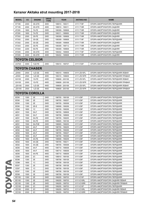| <b>MODEL</b>   | cc           | <b>ENGINE</b>         | <b>DRIVE</b><br><b>TYPE</b> | <b>YEAR</b>                        | <b>AKITAKA NO</b>       | <b>NAME</b>                                                    |
|----------------|--------------|-----------------------|-----------------------------|------------------------------------|-------------------------|----------------------------------------------------------------|
| ST185          | 2000         | 3S-GTE                | 4WD                         | 198910 - 199311                    | 0111-T18F               | ОПОРА АМОРТИЗАТОРА ПЕРЕДНЯЯ                                    |
| ST185          | 2000         | 3S-GTE                | 4WD                         | 198910 - 199311                    | 0111-T18R               | ОПОРА АМОРТИЗАТОРА ЗАДНЯЯ                                      |
| AT200          | 1800         | 7A-FE                 | 2WD                         | 199309 - 199908                    | 0111-T18R               | ОПОРА АМОРТИЗАТОРА ЗАДНЯЯ                                      |
| AT200          | 1800         | 7A-FE                 | 2WD                         | 199311 - 199908                    | 0111-T18R               | ОПОРА АМОРТИЗАТОРА ЗАДНЯЯ                                      |
| ST202          | 2000         | 3S-FE                 | 2WD                         | 199309 - 199908                    | 0111-T18R               | ОПОРА АМОРТИЗАТОРА ЗАДНЯЯ                                      |
| ST202          | 2000         | 3S-GE                 | 2WD                         | 199309 - 199908                    | 0111-T18F               | ОПОРА АМОРТИЗАТОРА ПЕРЕДНЯЯ                                    |
| ST202          | 2000         | 3S-GE                 | 2WD                         | 199309 - 199908                    | 0111-T18R               | ОПОРА АМОРТИЗАТОРА ЗАДНЯЯ                                      |
| ST203          | 2000         | 3S-FE                 | 2WD                         | 199309 - 199712                    | 0111-T18R               | ОПОРА АМОРТИЗАТОРА ЗАДНЯЯ                                      |
| ST204          | 2200         | 5S-FE                 | 2WD                         | 199309 - 199908                    | 0111-T18R               | ОПОРА АМОРТИЗАТОРА ЗАДНЯЯ                                      |
| ST205          | 2000         | 3S-GTE                | 4WD                         | 199402 - 199908                    | 0111-T18F               | ОПОРА АМОРТИЗАТОРА ПЕРЕДНЯЯ                                    |
| ST205          | 2000         | 3S-GTE                | 4WD                         | 199402 - 199908                    | 0111-T18R               | ОПОРА АМОРТИЗАТОРА ЗАДНЯЯ                                      |
|                |              | <b>TOYOTA CELSIOR</b> |                             |                                    |                         |                                                                |
|                |              |                       |                             |                                    |                         |                                                                |
| UCF20          | 4000         | 1UZ-FE                | 2WD                         | 199410 - 199707                    | 0111-F20F               | ОПОРА АМОРТИЗАТОРА ПЕРЕДНЯЯ                                    |
|                |              | <b>TOYOTA CHASER</b>  |                             |                                    |                         |                                                                |
| JZX93          | 2500         | 1JZ-GE                | 4WD                         | 199310 - 199609                    | 0111-ZS15FL             | ОПОРА АМОРТИЗАТОРА ПЕРЕДНЯЯ ЛЕВАЯ                              |
| JZX93          | 2500         | 1JZ-GE                | 4WD                         | 199310 - 199609                    | 0111-ZS15FR             | ОПОРА АМОРТИЗАТОРА ПЕРЕДНЯЯ ПРАВАЯ                             |
| GX105          | 2000         | 1G-FE                 | 4WD                         | 199808 - 200106                    | 0111-ZS15FL             | ОПОРА АМОРТИЗАТОРА ПЕРЕДНЯЯ ЛЕВАЯ                              |
| GX105          | 2000         | 1G-FE                 | 4WD                         | 199808 - 200106                    | 0111-ZS15FR             | ОПОРА АМОРТИЗАТОРА ПЕРЕДНЯЯ ПРАВАЯ                             |
| <b>JZX105</b>  | 2500         | 1JZ-GE                | 4WD                         | 199609 - 200106                    | 0111-ZS15FL             | ОПОРА АМОРТИЗАТОРА ПЕРЕДНЯЯ ЛЕВАЯ                              |
| <b>JZX105</b>  | 2500         | 1JZ-GE                | 4WD                         | 199609 - 200106                    | 0111-ZS15FR             | ОПОРА АМОРТИЗАТОРА ПЕРЕДНЯЯ ПРАВАЯ                             |
|                |              | <b>TOYOTA COROLLA</b> |                             |                                    |                         |                                                                |
|                |              |                       |                             |                                    |                         |                                                                |
| <b>EE90</b>    | 1300         | 2E                    | 2WD                         | 198705 - 199106                    | 0111-E9F                | ОПОРА АМОРТИЗАТОРА ПЕРЕДНЯЯ                                    |
| EE90           | 1300         | 2E                    | 2WD                         | 198705 - 199207                    | 0111-E9F                | ОПОРА АМОРТИЗАТОРА ПЕРЕДНЯЯ                                    |
| <b>EE90</b>    | 1300         | 2E                    | 2WD                         | 198705 - 199308                    | 0111-E9F                | ОПОРА АМОРТИЗАТОРА ПЕРЕДНЯЯ                                    |
| <b>EE90</b>    | 1300         | $2E-E$                | 2WD                         | 198908 - 199206                    | 0111-E9F                | ОПОРА АМОРТИЗАТОРА ПЕРЕДНЯЯ                                    |
| CE90           | 1800         | 1C<br>5A-F            | 2WD                         | 198705 - 199206<br>198705 - 198908 | 0111-E9F                | ОПОРА АМОРТИЗАТОРА ПЕРЕДНЯЯ                                    |
| AE91           | 1500         | $5A-F$                | 2WD                         | 198708 - 198908                    | 0111-E9F                | ОПОРА АМОРТИЗАТОРА ПЕРЕДНЯЯ                                    |
| AE91<br>AE91   | 1500<br>1500 | 5A-FE                 | 2WD<br>2WD                  | 198705 - 199205                    | 0111-E9F<br>0111-E9F    | ОПОРА АМОРТИЗАТОРА ПЕРЕДНЯЯ<br>ОПОРА АМОРТИЗАТОРА ПЕРЕДНЯЯ     |
|                |              | 5A-FE                 |                             | 198805 - 199106                    |                         |                                                                |
| AE91<br>AE91   | 1500<br>1500 | 5A-FHE                | 2WD<br>2WD                  | 198905 - 199205                    | 0111-E9F<br>0111-E9F    | ОПОРА АМОРТИЗАТОРА ПЕРЕДНЯЯ<br>ОПОРА АМОРТИЗАТОРА ПЕРЕДНЯЯ     |
|                |              |                       |                             |                                    |                         |                                                                |
| AE92           | 1600         | 4A-F                  | 2WD                         | 198705 - 199205                    | 0111-E9F                | ОПОРА АМОРТИЗАТОРА ПЕРЕДНЯЯ                                    |
| AE92<br>AE92   | 1600<br>1600 | 4A-F<br>4A-F          | 2WD<br>2WD                  | 198705 - 199206<br>198705 - 199207 | 0111-E9F<br>0111-E9F    | ОПОРА АМОРТИЗАТОРА ПЕРЕДНЯЯ                                    |
|                | 1600         | 4A-F                  |                             |                                    |                         | ОПОРА АМОРТИЗАТОРА ПЕРЕДНЯЯ                                    |
| AE92<br>AE92   | 1600         | 4A-FE                 | 2WD<br>2WD                  | 198705 - 199308<br>198908 - 199209 | 0111-E9F<br>0111-E9F    | ОПОРА АМОРТИЗАТОРА ПЕРЕДНЯЯ<br>ОПОРА АМОРТИЗАТОРА ПЕРЕДНЯЯ     |
| AE92           | 1600         | 4A-GE                 | 2WD                         | 198705 - 199211                    | 0111-E9F                | ОПОРА АМОРТИЗАТОРА ПЕРЕДНЯЯ                                    |
| AE92           | 1600         | 4A-GE                 | 2WD                         | 198705 - 199308                    | 0111-E9F                | ОПОРА АМОРТИЗАТОРА ПЕРЕДНЯЯ                                    |
| AE95           | 1600         | 4A-F                  | 4WD                         | 198710 - 199008                    | 0111-E9F                | ОПОРА АМОРТИЗАТОРА ПЕРЕДНЯЯ                                    |
| AE95           | 1600         | 4A-F                  | 4WD                         | 198710 - 199009                    | 0111-E9F                | ОПОРА АМОРТИЗАТОРА ПЕРЕДНЯЯ                                    |
| AE95           | 1600         | 4A-FE                 | 4WD                         | 198710 - 199009                    | 0111-E9F                | ОПОРА АМОРТИЗАТОРА ПЕРЕДНЯЯ                                    |
| CE95           | 2000         | 2C                    | 4WD                         | 198910 - 199106                    | 0111-E9F                | ОПОРА АМОРТИЗАТОРА ПЕРЕДНЯЯ                                    |
| <b>EE96</b>    | 1300         | 2E                    | 2WD                         | 198708 - 199109                    | 0111-E9F                | ОПОРА АМОРТИЗАТОРА ПЕРЕДНЯЯ                                    |
| CE96           | 1800         | 1C                    | 2WD                         | 198708 - 199109                    | 0111-E9F                | ОПОРА АМОРТИЗАТОРА ПЕРЕДНЯЯ                                    |
| EE97           |              | 2E                    | 2WD                         | 198708 - 199108                    | 0111-E9F                | ОПОРА АМОРТИЗАТОРА ПЕРЕДНЯЯ                                    |
| CE97           | 1300<br>1800 | 1C                    | 2WD                         | 198708 - 199109                    | 0111-E9F                | ОПОРА АМОРТИЗАТОРА ПЕРЕДНЯЯ                                    |
| EE97           | 1300         | 2E                    | 2WD                         | 198708 - 199109                    | 0111-E9F                | ОПОРА АМОРТИЗАТОРА ПЕРЕДНЯЯ                                    |
| EE98           | 1500         | 3E                    | 2WD                         | 198708 - 199109                    | 0111-E9F                | ОПОРА АМОРТИЗАТОРА ПЕРЕДНЯЯ                                    |
|                |              | 2E                    |                             |                                    |                         |                                                                |
| EE100          | 1300         |                       | 2WD                         | 199205 - 199703                    | 0111-E10F               | ОПОРА АМОРТИЗАТОРА ПЕРЕДНЯЯ                                    |
| EE100          | 1300         | 2E                    | 2WD                         | 199205 - 199703                    | 0111-E10RL              | ОПОРА АМОРТИЗАТОРА ЗАДНЯЯ ЛЕВАЯ                                |
| EE100          | 1300         | 2E                    | 2WD                         | 199205 - 199703<br>199205 - 199703 | 0111-E10RR              | ОПОРА АМОРТИЗАТОРА ЗАДНЯЯ ПРАВАЯ                               |
| CE100<br>CE100 | 2000<br>2000 | 2C<br>2C              | 2WD<br>2WD                  | 199205 - 199703                    | 0111-E10F<br>0111-E10RL | ОПОРА АМОРТИЗАТОРА ПЕРЕДНЯЯ<br>ОПОРА АМОРТИЗАТОРА ЗАДНЯЯ ЛЕВАЯ |
| CE100          | 2000         | 2C                    | 2WD                         | 199205 - 199703                    | 0111-E10RR              | ОПОРА АМОРТИЗАТОРА ЗАДНЯЯ ПРАВАЯ                               |
|                |              |                       |                             |                                    |                         |                                                                |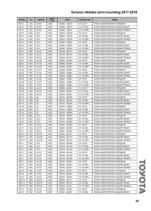| <b>MODEL</b>   | cc           | <b>ENGINE</b>  | <b>DRIVE</b><br><b>TYPE</b> | <b>YEAR</b>                        | <b>AKITAKA NO</b>        | <b>NAME</b>                      |
|----------------|--------------|----------------|-----------------------------|------------------------------------|--------------------------|----------------------------------|
| EE101          | 1300         | 4E-FE          | 2WD                         | 199205 - 199510                    | 0111-E10F                | ОПОРА АМОРТИЗАТОРА ПЕРЕДНЯЯ      |
| EE101          | 1300         | 4E-FE          | 2WD                         | 199205 - 199510                    | 0111-E10RL               | ОПОРА АМОРТИЗАТОРА ЗАДНЯЯ ЛЕВАЯ  |
| EE101          | 1300         | 4E-FE          | 2WD                         | 199205 - 199510                    | 0111-E10RR               | ОПОРА АМОРТИЗАТОРА ЗАДНЯЯ ПРАВАЯ |
| AE101          | 1600         | 4A-F           | 2WD                         | 199205 - 199706                    | 0111-E10F                | ОПОРА АМОРТИЗАТОРА ПЕРЕДНЯЯ      |
| AE101          | 1600         | 4A-F           | 2WD                         | 199205 - 199706                    | 0111-E10RL               | ОПОРА АМОРТИЗАТОРА ЗАДНЯЯ ЛЕВАЯ  |
| AE101          | 1600         | 4A-F           | 2WD                         | 199205 - 199706                    | 0111-E10RR               | ОПОРА АМОРТИЗАТОРА ЗАДНЯЯ ПРАВАЯ |
| AE101          | 1600         | 4A-F           | 2WD                         | 199205 - 199804                    | 0111-E10F                | ОПОРА АМОРТИЗАТОРА ПЕРЕДНЯЯ      |
| AE101          | 1600         | $4A-F$         | 2WD                         | 199205 - 199804                    | 0111-E10RL               | ОПОРА АМОРТИЗАТОРА ЗАДНЯЯ ЛЕВАЯ  |
| AE101          | 1600         | 4A-F           | 2WD                         | 199205 - 199804                    | 0111-E10RR               | ОПОРА АМОРТИЗАТОРА ЗАДНЯЯ ПРАВАЯ |
| AE101          | 1600         | 4A-FE          | 2WD                         | 199108 - 200110                    | 0111-E10F                | ОПОРА АМОРТИЗАТОРА ПЕРЕДНЯЯ      |
| AE101          | 1600         | 4A-FE          | 2WD                         | 199108 - 200110                    | 0111-E10RL               | ОПОРА АМОРТИЗАТОРА ЗАДНЯЯ ЛЕВАЯ  |
| AE101          | 1600         | 4A-FE          | 2WD                         | 199108 - 200110                    | 0111-E10RR               | ОПОРА АМОРТИЗАТОРА ЗАДНЯЯ ПРАВАЯ |
| AE101          | 1600         | 4A-GE          | 2WD                         | 199605 - 200007                    | 0111-E10F                | ОПОРА АМОРТИЗАТОРА ПЕРЕДНЯЯ      |
| AE101          | 1600         | 4A-GE          | 2WD                         | 199605 - 200007                    | 0111-E10RL               | ОПОРА АМОРТИЗАТОРА ЗАДНЯЯ ЛЕВАЯ  |
| AE101          | 1600         | 4A-GE          | 2WD                         | 199605 - 200007                    | 0111-E10RR               | ОПОРА АМОРТИЗАТОРА ЗАДНЯЯ ПРАВАЯ |
| AE102          | 1800         | 7A-FE          | 2WD                         | 199309 - 199804                    | 0111-E10F                | ОПОРА АМОРТИЗАТОРА ПЕРЕДНЯЯ      |
| AE102          | 1800         | 7A-FE          | 2WD                         | 199309 - 199804                    | 0111-E10RL               | ОПОРА АМОРТИЗАТОРА ЗАДНЯЯ ЛЕВАЯ  |
| AE102          | 1800         | 7A-FE          | 2WD                         | 199309 - 199804                    | 0111-E10RR               | ОПОРА АМОРТИЗАТОРА ЗАДНЯЯ ПРАВАЯ |
| AE102          | 1800         | 7A-FE          | 2WD                         | 199605 - 199804                    | 0111-E10F                | ОПОРА АМОРТИЗАТОРА ПЕРЕДНЯЯ      |
| AE102          | 1800         | 7A-FE          | 2WD                         | 199605 - 199804                    | 0111-E10RL               | ОПОРА АМОРТИЗАТОРА ЗАДНЯЯ ЛЕВАЯ  |
| AE102          | 1800         | 7A-FE          | 2WD                         | 199605 - 199804                    | 0111-E10RR               | ОПОРА АМОРТИЗАТОРА ЗАДНЯЯ ПРАВАЯ |
| AE104          | 1600         | 4A-FE          | 4WD                         | 199505 - 200007                    | 0111-E10F                | ОПОРА АМОРТИЗАТОРА ПЕРЕДНЯЯ      |
| AE104          | 1600         | 4A-FE          | 4WD                         | 199505 - 200007                    | 0111-E10RL               | ОПОРА АМОРТИЗАТОРА ЗАДНЯЯ ЛЕВАЯ  |
| AE104          | 1600         | 4A-FE          | 4WD                         | 199505 - 200007                    | 0111-E10RR               | ОПОРА АМОРТИЗАТОРА ЗАДНЯЯ ПРАВАЯ |
| EE110          | 1300         | 2E             | 2WD                         | 199704 - 200206                    | 0111-E10F                | ОПОРА АМОРТИЗАТОРА ПЕРЕДНЯЯ      |
| EE110          | 1300         | 2E             | 2WD                         | 199704 - 200206                    | 0111-E10RL               | ОПОРА АМОРТИЗАТОРА ЗАДНЯЯ ЛЕВАЯ  |
| EE110          | 1300         | 2E             | 2WD                         | 199704 - 200206                    | 0111-E10RR               | ОПОРА АМОРТИЗАТОРА ЗАДНЯЯ ПРАВАЯ |
| CE110          | 2000         | 2C             | 2WD                         | 199704 - 199909                    | 0111-E10F                | ОПОРА АМОРТИЗАТОРА ПЕРЕДНЯЯ      |
| CE110          | 2000         | 2C             | 2WD                         | 199704 - 199909                    | 0111-E10RL               | ОПОРА АМОРТИЗАТОРА ЗАДНЯЯ ЛЕВАЯ  |
| CE110          | 2000         | 2C             | 2WD                         | 199704 - 199909                    | 0111-E10RR               | ОПОРА АМОРТИЗАТОРА ЗАДНЯЯ ПРАВАЯ |
| CE110          | 2000         | $2C-E$         | 2WD                         | 199704 - 199909                    | 0111-E10F                | ОПОРА АМОРТИЗАТОРА ПЕРЕДНЯЯ      |
| CE110          | 2000         | $2C-E$         | 2WD                         | 199704 - 199909                    | 0111-E10RL               | ОПОРА АМОРТИЗАТОРА ЗАДНЯЯ ЛЕВАЯ  |
| <b>CE110</b>   | 2000         | $2C-E$         | 2WD                         | 199704 - 199909                    | 0111-E10RR               | ОПОРА АМОРТИЗАТОРА ЗАДНЯЯ ПРАВАЯ |
| EE111          | 1300         | 4E-FE          | 2WD                         | 199807 - 200004                    | 0111-E10F                | ОПОРА АМОРТИЗАТОРА ПЕРЕДНЯЯ      |
| EE111          | 1300         | 4E-FE          | 2WD                         | 199807 - 200004                    | 0111-E10RL               | ОПОРА АМОРТИЗАТОРА ЗАДНЯЯ ЛЕВАЯ  |
| EE111          | 1300         | 4E-FE          | 2WD                         | 199807 - 200004                    | 0111-E10RR               | ОПОРА АМОРТИЗАТОРА ЗАДНЯЯ ПРАВАЯ |
| ZZE111         | 1400         | 4ZZ-FE         | 2WD                         | 200005 - 200112                    | 0111-E10F                | ОПОРА АМОРТИЗАТОРА ПЕРЕДНЯЯ      |
| ZZE111         | 1400         | 4ZZ-FE         | 2WD                         | 200005 - 200112                    | 0111-E10RL               | ОПОРА АМОРТИЗАТОРА ЗАДНЯЯ ЛЕВАЯ  |
| ZZE111         | 1400         | 4ZZ-FE         | 2WD                         | 200005 - 200112                    | 0111-E10RR               | ОПОРА АМОРТИЗАТОРА ЗАДНЯЯ ПРАВАЯ |
| AE111          | 1600         | 4A-F           | 2WD                         | 199704 - 200108                    | 0111-E10F                | ОПОРА АМОРТИЗАТОРА ПЕРЕДНЯЯ      |
| AE111          | 1600         | 4A-F           | 2WD                         | 199704 - 200108                    | 0111-E10RL               | ОПОРА АМОРТИЗАТОРА ЗАДНЯЯ ЛЕВАЯ  |
| AE111          | 1600         | 4A-F           | 2WD                         | 199704 - 200108                    | 0111-E10RR               | ОПОРА АМОРТИЗАТОРА ЗАДНЯЯ ПРАВАЯ |
| AE111          |              |                | 2WD                         |                                    | 0111-E10F                | ОПОРА АМОРТИЗАТОРА ПЕРЕДНЯЯ      |
|                | 1600<br>1600 | 4A-FE          | 2WD                         | 199704 - 200108                    |                          |                                  |
| AE111<br>AE111 | 1600         | 4A-FE<br>4A-FE | 2WD                         | 199704 - 200108<br>199704 - 200108 | 0111-E10RL<br>0111-E10RR | ОПОРА АМОРТИЗАТОРА ЗАДНЯЯ ЛЕВАЯ  |
|                |              |                |                             |                                    |                          | ОПОРА АМОРТИЗАТОРА ЗАДНЯЯ ПРАВАЯ |
| AE111          | 1600         | 4A-GE          | 2WD                         | 199704 - 200007                    | 0111-E10F                | ОПОРА АМОРТИЗАТОРА ПЕРЕДНЯЯ      |
| AE111          | 1600         | 4A-GE          | 2WD                         | 199704 - 200007                    | 0111-E10RL               | ОПОРА АМОРТИЗАТОРА ЗАДНЯЯ ЛЕВАЯ  |
| AE111          | 1600         | 4A-GE          | 2WD                         | 199704 - 200007                    | 0111-E10RR               | ОПОРА АМОРТИЗАТОРА ЗАДНЯЯ ПРАВАЯ |
| AE112          | 1800         | 7A-FE          | 2WD                         | 199704 - 200201                    | 0111-E10F                | ОПОРА АМОРТИЗАТОРА ПЕРЕДНЯЯ      |
| AE112          | 1800         | 7A-FE          | 2WD                         | 199704 - 200201                    | 0111-E10RL               | ОПОРА АМОРТИЗАТОРА ЗАДНЯЯ ЛЕВАЯ  |
| AE112          | 1800         | 7A-FE          | 2WD                         | 199704 - 200201                    | 0111-E10RR               | ОПОРА АМОРТИЗАТОРА ЗАДНЯЯ ПРАВАЯ |
| ZZE112         | 1600         | 3ZZ-FE         | 2WD                         | 200005 - 200112                    | 0111-E10F                | ОПОРА АМОРТИЗАТОРА ПЕРЕДНЯЯ      |
| ZZE112         | 1600         | 3ZZ-FE         | 2WD                         | 200005 - 200112                    | 0111-E10RL               | ОПОРА АМОРТИЗАТОРА ЗАДНЯЯ ЛЕВАЯ  |
| ZZE112         | 1600         | 3ZZ-FE         | 2WD                         | 200005 - 200112                    | 0111-E10RR               | ОПОРА АМОРТИЗАТОРА ЗАДНЯЯ ПРАВАЯ |
| AE114          | 1600         | 4A-FE          | 4WD                         | 199505 - 200007                    | 0111-E10F                | ОПОРА АМОРТИЗАТОРА ПЕРЕДНЯЯ      |
| AE114          | 1600         | 4A-FE          | 4WD                         | 199505 - 200007                    | 0111-E10RL               | ОПОРА АМОРТИЗАТОРА ЗАДНЯЯ ЛЕВАЯ  |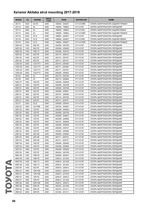| <b>MODEL</b>  | cc   | <b>ENGINE</b> | <b>DRIVE</b><br><b>TYPE</b> | <b>YEAR</b>     | <b>AKITAKA NO</b> | <b>NAME</b>                      |
|---------------|------|---------------|-----------------------------|-----------------|-------------------|----------------------------------|
| AE114         | 1600 | 4A-FE         | 4WD                         | 199505 - 200007 | 0111-E10RR        | ОПОРА АМОРТИЗАТОРА ЗАДНЯЯ ПРАВАЯ |
| CE114         | 2000 | 2C            | 4WD                         | 199505 - 199803 | 0111-E10F         | ОПОРА АМОРТИЗАТОРА ПЕРЕДНЯЯ      |
| <b>CE114</b>  | 2000 | 2C            | 4WD                         | 199505 - 199803 | 0111-E10RL        | ОПОРА АМОРТИЗАТОРА ЗАДНЯЯ ЛЕВАЯ  |
| CE114         | 2000 | 2C            | 4WD                         | 199505 - 199803 | 0111-E10RR        | ОПОРА АМОРТИЗАТОРА ЗАДНЯЯ ПРАВАЯ |
| CE116         | 2200 | $3C-E$        | 4WD                         | 199804 - 200007 | 0111-E10F         | ОПОРА АМОРТИЗАТОРА ПЕРЕДНЯЯ      |
| CE116         | 2200 | $3C-E$        | 4WD                         | 199804 - 200007 | 0111-E10RL        | ОПОРА АМОРТИЗАТОРА ЗАДНЯЯ ЛЕВАЯ  |
| CE116         | 2200 | $3C-E$        | 4WD                         | 199804 - 200007 | 0111-E10RR        | ОПОРА АМОРТИЗАТОРА ЗАДНЯЯ ПРАВАЯ |
| <b>NZE120</b> | 1300 | 2NZ-FE        | 2WD                         | 200008 - 200708 | 0111-E12F         | ОПОРА АМОРТИЗАТОРА ПЕРЕДНЯЯ      |
| <b>NZE120</b> | 1300 | 2NZ-FE        | 2WD                         | 200008 - 200808 | 0111-E12F         | ОПОРА АМОРТИЗАТОРА ПЕРЕДНЯЯ      |
| <b>NDE120</b> | 1400 | 1ND-TV        | 2WD                         | 200408 - 200702 | 0111-E12F         | ОПОРА АМОРТИЗАТОРА ПЕРЕДНЯЯ      |
| <b>ZZE120</b> | 1400 | 4ZZ-FE        | 2WD                         | 200110 - 200610 | 0111-E12F         | ОПОРА АМОРТИЗАТОРА ПЕРЕДНЯЯ      |
| <b>ZZE120</b> | 1400 | 4ZZ-FE        | 2WD                         | 200110 - 200707 | 0111-E12F         | ОПОРА АМОРТИЗАТОРА ПЕРЕДНЯЯ      |
| <b>ZZE120</b> | 1400 | 4ZZ-FE        | 2WD                         | 200111 - 200707 | 0111-E12F         | ОПОРА АМОРТИЗАТОРА ПЕРЕДНЯЯ      |
| <b>CDE120</b> | 2000 | 1CD-FTV       | 2WD                         | 200110 - 200405 | 0111-E12F         | ОПОРА АМОРТИЗАТОРА ПЕРЕДНЯЯ      |
| CDE120        | 2000 | 1CD-FTV       | 2WD                         | 200111 - 200406 | 0111-E12F         | ОПОРА АМОРТИЗАТОРА ПЕРЕДНЯЯ      |
| <b>CDE120</b> | 2000 | 1CD-FTV       | 2WD                         | 200111 - 200702 | 0111-E12F         | ОПОРА АМОРТИЗАТОРА ПЕРЕДНЯЯ      |
| <b>CDE120</b> | 2000 | 1CD-FTV       | 2WD                         | 200205 - 200803 | 0111-E12F         | ОПОРА АМОРТИЗАТОРА ПЕРЕДНЯЯ      |
| CE120         | 2000 | 2C            | 2WD                         | 200110 - 200708 | 0111-E12F         | ОПОРА АМОРТИЗАТОРА ПЕРЕДНЯЯ      |
| CE120         | 2000 | 2C            | 2WD                         | 200110 - 200808 | 0111-E12F         | ОПОРА АМОРТИЗАТОРА ПЕРЕДНЯЯ      |
| <b>NZE121</b> | 1500 | 1NZ-FE        | 2WD                         | 200008 - 200609 | 0111-E12F         | ОПОРА АМОРТИЗАТОРА ПЕРЕДНЯЯ      |
| <b>NZE121</b> | 1500 | 1NZ-FE        | 2WD                         | 200008 - 200708 | 0111-E12F         | ОПОРА АМОРТИЗАТОРА ПЕРЕДНЯЯ      |
| ZZE121        | 1600 | 3ZZ-FE        | 2WD                         | 200008 - 200708 | 0111-E12F         | ОПОРА АМОРТИЗАТОРА ПЕРЕДНЯЯ      |
|               |      |               |                             |                 |                   |                                  |
| ZZE121        | 1600 | 3ZZ-FE        | 2WD                         | 200008 - 200801 | 0111-E12F         | ОПОРА АМОРТИЗАТОРА ПЕРЕДНЯЯ      |
| ZZE121        | 1600 | 3ZZ-FE        | 2WD                         | 200107 - 200809 | 0111-E12F         | ОПОРА АМОРТИЗАТОРА ПЕРЕДНЯЯ      |
| ZZE121        | 1600 | 3ZZ-FE        | 2WD                         | 200110 - 200708 | 0111-E12F         | ОПОРА АМОРТИЗАТОРА ПЕРЕДНЯЯ      |
| ZZE121        | 1600 | 3ZZ-FE        | 2WD                         | 200111 - 200707 | 0111-E12F         | ОПОРА АМОРТИЗАТОРА ПЕРЕДНЯЯ      |
| CE121         | 2200 | 3C-E          | 2WD                         | 200008 - 200404 | 0111-E12F         | ОПОРА АМОРТИЗАТОРА ПЕРЕДНЯЯ      |
| <b>ZZE122</b> | 1800 | 1ZZ-FBE       | 2WD                         | 200705 - 200807 | 0111-E12F         | ОПОРА АМОРТИЗАТОРА ПЕРЕДНЯЯ      |
| ZZE122        | 1800 | 1ZZ-FE        | 2WD                         | 200008 - 200609 | 0111-E12F         | ОПОРА АМОРТИЗАТОРА ПЕРЕДНЯЯ      |
| ZZE122        | 1800 | 1ZZ-FE        | 2WD                         | 200008 - 200708 | 0111-E12F         | ОПОРА АМОРТИЗАТОРА ПЕРЕДНЯЯ      |
| <b>ZZE122</b> | 1800 | 1ZZ-FE        | 2WD                         | 200008 - 200801 | 0111-E12F         | ОПОРА АМОРТИЗАТОРА ПЕРЕДНЯЯ      |
| <b>ZZE122</b> | 1800 | 1ZZ-FE        | 2WD                         | 200008 - 200808 | 0111-E12F         | ОПОРА АМОРТИЗАТОРА ПЕРЕДНЯЯ      |
| ZZE122        | 1800 | 1ZZ-FE        | 2WD                         | 200107 - 200809 | 0111-E12F         | ОПОРА АМОРТИЗАТОРА ПЕРЕДНЯЯ      |
| <b>ZZE122</b> | 1800 | 1ZZ-FE        | 2WD                         | 200208 - 200408 | 0111-E12F         | ОПОРА АМОРТИЗАТОРА ПЕРЕДНЯЯ      |
| ZZE122        | 1800 | 1ZZ-FE        | 2WD                         | 200208 - 200707 | 0111-E12F         | ОПОРА АМОРТИЗАТОРА ПЕРЕДНЯЯ      |
| <b>ZZE122</b> | 1800 | 1ZZ-FE        | 2WD                         | 200303 - 200506 | 0111-E12F         | ОПОРА АМОРТИЗАТОРА ПЕРЕДНЯЯ      |
| ZZE123        | 1800 | 2ZZ-GE        | 2WD                         | 200008 - 200609 | 0111-E12F         | ОПОРА АМОРТИЗАТОРА ПЕРЕДНЯЯ      |
| <b>ZZE123</b> | 1800 | 2ZZ-GE        | 2WD                         | 200111 - 200702 | 0111-E12F         | ОПОРА АМОРТИЗАТОРА ПЕРЕДНЯЯ      |
| ZZE123        | 1800 | 2ZZ-GE        | 2WD                         | 200111 - 200707 | 0111-E12F         | ОПОРА АМОРТИЗАТОРА ПЕРЕДНЯЯ      |
| <b>NZE124</b> | 1500 | 1NZ-FE        | 2WD                         | 200008 - 200609 | 0111-E12F         | ОПОРА АМОРТИЗАТОРА ПЕРЕДНЯЯ      |
| <b>NZE124</b> | 1500 | 1NZ-FE        | 4WD                         | 200008 - 200609 | 0111-E12F         | ОПОРА АМОРТИЗАТОРА ПЕРЕДНЯЯ      |
| ZZE124        | 1800 | 1ZZ-FE        | 4WD                         | 200008 - 200609 | 0111-E12F         | ОПОРА АМОРТИЗАТОРА ПЕРЕДНЯЯ      |
| ZZE130        | 1800 | 1ZZ-FE        | 2WD                         | 200204 - 200706 | 0111-E12F         | ОПОРА АМОРТИЗАТОРА ПЕРЕДНЯЯ      |
| <b>NRE150</b> | 1300 | 1NR-FE        | 2WD                         | 200809 - 200910 | 0111-E15F         | ОПОРА АМОРТИЗАТОРА ПЕРЕДНЯЯ      |
| <b>NRE150</b> | 1300 | 1NR-FE        | 2WD                         | 200812 - 201304 | 0111-E15F         | ОПОРА АМОРТИЗАТОРА ПЕРЕДНЯЯ      |
| <b>NDE150</b> | 1400 | 1ND-TV        | 2WD                         | 200610 - 201208 | 0111-E15F         | ОПОРА АМОРТИЗАТОРА ПЕРЕДНЯЯ      |
| <b>NDE150</b> | 1400 | 1ND-TV        | 2WD                         | 200812 - 201304 | 0111-E15F         | ОПОРА АМОРТИЗАТОРА ПЕРЕДНЯЯ      |
| <b>ZZE150</b> | 1400 | 4ZZ-FE        | 2WD                         | 200610 - 200812 | 0111-E15F         | ОПОРА АМОРТИЗАТОРА ПЕРЕДНЯЯ      |
| ZRE151        | 1600 | 1ZR-FAE       | 2WD                         | 200812 - 200910 | 0111-E15F         | ОПОРА АМОРТИЗАТОРА ПЕРЕДНЯЯ      |
| <b>ZRE151</b> | 1600 | 1ZR-FAE       | 2WD                         | 200812 - 201004 | 0111-E15F         | ОПОРА АМОРТИЗАТОРА ПЕРЕДНЯЯ      |
| <b>ZRE151</b> | 1600 | 1ZR-FE        | 2WD                         | 200610 - 200812 | 0111-E15F         | ОПОРА АМОРТИЗАТОРА ПЕРЕДНЯЯ      |
| <b>ZRE151</b> | 1600 | 1ZR-FE        | 2WD                         | 200812 - 201304 | 0111-E15F         | ОПОРА АМОРТИЗАТОРА ПЕРЕДНЯЯ      |
| <b>ZRE152</b> | 1800 | 2ZR-FAE       | 2WD                         | 200812 - 200910 | 0111-E15F         | ОПОРА АМОРТИЗАТОРА ПЕРЕДНЯЯ      |
| ZRE152        | 1800 | 2ZR-FE        | 2WD                         | 200703 - 201208 | 0111-E15F         | ОПОРА АМОРТИЗАТОРА ПЕРЕДНЯЯ      |
| <b>ZRE152</b> | 1800 | 2ZR-FE        | 2WD                         | 200703 - 201311 | 0111-E15F         | ОПОРА АМОРТИЗАТОРА ПЕРЕДНЯЯ      |
| ZRE153        | 2000 | 3ZR-FE        | 2WD                         | 201004 - 201311 | 0111-E15F         | ОПОРА АМОРТИЗАТОРА ПЕРЕДНЯЯ      |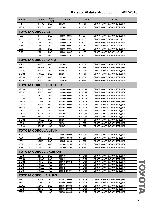| <b>MODEL</b>  | cc                      | <b>ENGINE</b>                 | <b>DRIVE</b><br><b>TYPE</b> | <b>YEAR</b>     | <b>AKITAKA NO</b> | <b>NAME</b>                 |  |  |  |  |
|---------------|-------------------------|-------------------------------|-----------------------------|-----------------|-------------------|-----------------------------|--|--|--|--|
| <b>NRE161</b> | 1500                    | 2NR-FKE                       | 2WD                         | $201503 - 5$    | 0111-P9F1         | ОПОРА АМОРТИЗАТОРА ПЕРЕДНЯЯ |  |  |  |  |
| <b>NZE161</b> | 1500                    | 1NZ-FE                        | 2WD                         | $201204 - 5$    | 0111-P9F1         | ОПОРА АМОРТИЗАТОРА ПЕРЕДНЯЯ |  |  |  |  |
|               | <b>TOYOTA COROLLA 2</b> |                               |                             |                 |                   |                             |  |  |  |  |
| <b>NL50</b>   | 1500                    | $1N-T$                        | 2WD                         | 199409 - 199907 | 0111-L5F          | ОПОРА АМОРТИЗАТОРА ПЕРЕДНЯЯ |  |  |  |  |
| <b>NL50</b>   | 1500                    | $1N-T$                        | 2WD                         | 199409 - 199907 | 0111-L5R          | ОПОРА АМОРТИЗАТОРА ЗАДНЯЯ   |  |  |  |  |
| <b>EL51</b>   | 1300                    | 4E-FE                         | 2WD                         | 199409 - 199907 | 0111-L5F          | ОПОРА АМОРТИЗАТОРА ПЕРЕДНЯЯ |  |  |  |  |
| <b>EL51</b>   | 1300                    | 4E-FE                         | 2WD                         | 199409 - 199907 | 0111-L5R          | ОПОРА АМОРТИЗАТОРА ЗАДНЯЯ   |  |  |  |  |
| <b>EL53</b>   | 1500                    | 5E-FE                         | 2WD                         | 199409 - 199907 | 0111-L5F          | ОПОРА АМОРТИЗАТОРА ПЕРЕДНЯЯ |  |  |  |  |
| EL53          | 1500                    | 5E-FE                         | 2WD                         | 199409 - 199907 | 0111-L5R          | ОПОРА АМОРТИЗАТОРА ЗАДНЯЯ   |  |  |  |  |
| <b>EL55</b>   | 1500                    | 5E-FE                         | 4WD                         | 199409 - 199907 | 0111-L5F          | ОПОРА АМОРТИЗАТОРА ПЕРЕДНЯЯ |  |  |  |  |
|               |                         | <b>TOYOTA COROLLA AXIO</b>    |                             |                 |                   |                             |  |  |  |  |
| <b>NRE160</b> | 1300                    | 1NR-FE                        | 2WD                         | $201204 - 5$    | 0111-P9F1         | ОПОРА АМОРТИЗАТОРА ПЕРЕДНЯЯ |  |  |  |  |
| <b>NRE161</b> | 1500                    | 2NR-FKE                       | 2WD                         | $201503 - 5$    | 0111-P9F1         | ОПОРА АМОРТИЗАТОРА ПЕРЕДНЯЯ |  |  |  |  |
| <b>NZE161</b> | 1500                    | 1NZ-FE                        | 2WD                         | $201204 - 5$    | 0111-P9F1         | ОПОРА АМОРТИЗАТОРА ПЕРЕДНЯЯ |  |  |  |  |
| <b>ZRE162</b> | 1800                    | 2ZR-FAE                       | 2WD                         | $201204 - 5$    | 0111-P9F1         | ОПОРА АМОРТИЗАТОРА ПЕРЕДНЯЯ |  |  |  |  |
| <b>NZE164</b> | 1500                    | 1NZ-FE                        | 4WD                         | $201204 - 5$    | 0111-P9F1         | ОПОРА АМОРТИЗАТОРА ПЕРЕДНЯЯ |  |  |  |  |
| <b>NKE165</b> | 1500                    | 1NZ-FXE                       | 4WD                         | $201307 - 5$    | 0111-P9F1         | ОПОРА АМОРТИЗАТОРА ПЕРЕДНЯЯ |  |  |  |  |
|               |                         | <b>TOYOTA COROLLA FIELDER</b> |                             |                 |                   |                             |  |  |  |  |
| <b>NZE120</b> | 1300                    | 2NZ-FE                        | 2WD                         | 200008 - 200609 | 0111-E12F         | ОПОРА АМОРТИЗАТОРА ПЕРЕДНЯЯ |  |  |  |  |
| <b>NZE121</b> | 1500                    | 1NZ-FE                        | 2WD                         | 200008 - 200609 | 0111-E12F         | ОПОРА АМОРТИЗАТОРА ПЕРЕДНЯЯ |  |  |  |  |
| CE121         | 2200                    | $3C-E$                        | 2WD                         | 200008 - 200404 | 0111-E12F         | ОПОРА АМОРТИЗАТОРА ПЕРЕДНЯЯ |  |  |  |  |
| ZZE122        | 1800                    | 1ZZ-FE                        | 2WD                         | 200008 - 200609 | 0111-E12F         | ОПОРА АМОРТИЗАТОРА ПЕРЕДНЯЯ |  |  |  |  |
| ZZE123        | 1800                    | 2ZZ-GE                        | 2WD                         | 200008 - 200609 | 0111-E12F         | ОПОРА АМОРТИЗАТОРА ПЕРЕДНЯЯ |  |  |  |  |
| <b>NZE124</b> | 1500                    | 1NZ-FE                        | 4WD                         | 200008 - 200609 | 0111-E12F         | ОПОРА АМОРТИЗАТОРА ПЕРЕДНЯЯ |  |  |  |  |
| <b>ZZE124</b> | 1800                    | 1ZZ-FE                        | 4WD                         | 200008 - 200609 | 0111-E12F         | ОПОРА АМОРТИЗАТОРА ПЕРЕДНЯЯ |  |  |  |  |
| <b>NRE160</b> | 1300                    | 1NR-FE                        | 2WD                         | $201204 - 5$    | 0111-P9F1         | ОПОРА АМОРТИЗАТОРА ПЕРЕДНЯЯ |  |  |  |  |
| <b>NRE161</b> | 1500                    | 2NR-FKE                       | 2WD                         | $201503 - 5$    | 0111-P9F1         | ОПОРА АМОРТИЗАТОРА ПЕРЕДНЯЯ |  |  |  |  |
| <b>NZE161</b> | 1500                    | 1NZ-FE                        | 2WD                         | $201204 - 5$    | 0111-P9F1         | ОПОРА АМОРТИЗАТОРА ПЕРЕДНЯЯ |  |  |  |  |
| <b>ZRE162</b> | 1800                    | 2ZR-FAE                       | 2WD                         | $201204 - 5$    | 0111-P9F1         | ОПОРА АМОРТИЗАТОРА ПЕРЕДНЯЯ |  |  |  |  |
| <b>NZE164</b> | 1500                    | 1NZ-FE                        | 4WD                         | $201204 - 5$    | 0111-P9F1         | ОПОРА АМОРТИЗАТОРА ПЕРЕДНЯЯ |  |  |  |  |
| <b>NKE165</b> | 1500                    | 1NZ-FXE                       | 4WD                         | 201307 - <      | 0111-P9F1         | ОПОРА АМОРТИЗАТОРА ПЕРЕДНЯЯ |  |  |  |  |
|               |                         | <b>TOYOTA COROLLA LEVIN</b>   |                             |                 |                   |                             |  |  |  |  |
| AE91          | 1500                    | $5A-F$                        | 2WD                         | 198705 - 198905 | 0111-E9F          | ОПОРА АМОРТИЗАТОРА ПЕРЕДНЯЯ |  |  |  |  |
| AE91          | 1500                    | 5A-FE                         | 2WD                         | 198705 - 199106 | 0111-E9F          | ОПОРА АМОРТИЗАТОРА ПЕРЕДНЯЯ |  |  |  |  |
| AE91          | 1500                    | 5A-FHE                        | 2WD                         | 198905 - 199106 | 0111-E9F          | ОПОРА АМОРТИЗАТОРА ПЕРЕДНЯЯ |  |  |  |  |
| AE92          | 1600                    | 4A-GE                         | 2WD                         | 198705 - 199106 | 0111-E9F          | ОПОРА АМОРТИЗАТОРА ПЕРЕДНЯЯ |  |  |  |  |
| AE92          | 1600                    | 4A-GZE                        | 2WD                         | 198705 - 199106 | 0111-E9F          | ОПОРА АМОРТИЗАТОРА ПЕРЕДНЯЯ |  |  |  |  |
|               |                         | <b>TOYOTA COROLLA RUMION</b>  |                             |                 |                   |                             |  |  |  |  |
| <b>NZE151</b> | 1500                    | 1NZ-FE                        | 2WD                         | $200710 - <$    | 0111-E15F         | ОПОРА АМОРТИЗАТОРА ПЕРЕДНЯЯ |  |  |  |  |
| <b>ZRE152</b> | 1800                    | 2ZR-FAE                       | 2WD                         | $200912 - 5$    | 0111-E15F         | ОПОРА АМОРТИЗАТОРА ПЕРЕДНЯЯ |  |  |  |  |
| <b>ZRE152</b> | 1800                    | 2ZR-FE                        | 2WD                         | 200710 - 200912 | 0111-E15F         | ОПОРА АМОРТИЗАТОРА ПЕРЕДНЯЯ |  |  |  |  |
| ZRE154        | 1800                    | 2ZR-FAE                       | 4WD                         | $200710 - <$    | 0111-E15F         | ОПОРА АМОРТИЗАТОРА ПЕРЕДНЯЯ |  |  |  |  |
| ZRE154        | 1800                    | 2ZR-FAE                       | 4WD                         | $200912 - 5$    | 0111-E15F         | ОПОРА АМОРТИЗАТОРА ПЕРЕДНЯЯ |  |  |  |  |
| ZRE154        | 1800                    | 2ZR-FAE                       | 4WD                         | 200912 - 201301 | 0111-E15F         | ОПОРА АМОРТИЗАТОРА ПЕРЕДНЯЯ |  |  |  |  |
|               |                         | <b>TOYOTA COROLLA RUNX</b>    |                             |                 |                   |                             |  |  |  |  |
| <b>NZE121</b> | 1500                    | 1NZ-FE                        | 2WD                         | 200101 - 200609 | 0111-E12F         | ОПОРА АМОРТИЗАТОРА ПЕРЕДНЯЯ |  |  |  |  |
| ZZE122        | 1800                    | 1ZZ-FE                        | 2WD                         | 200209 - 200609 | 0111-E12F         | ОПОРА АМОРТИЗАТОРА ПЕРЕДНЯЯ |  |  |  |  |
| <b>ZZE123</b> | 1800                    | 2ZZ-GE                        | 2WD                         | 200101 - 200609 | 0111-E12F         | ОПОРА АМОРТИЗАТОРА ПЕРЕДНЯЯ |  |  |  |  |
| <b>NZE124</b> | 1500                    | 1NZ-FE                        | 4WD                         | 200101 - 200609 | 0111-E12F         | ОПОРА АМОРТИЗАТОРА ПЕРЕДНЯЯ |  |  |  |  |
| ZZE124        | 1800                    | 1ZZ-FE                        | 4WD                         | 200209 - 200609 | 0111-E12F         | ОПОРА АМОРТИЗАТОРА ПЕРЕДНЯЯ |  |  |  |  |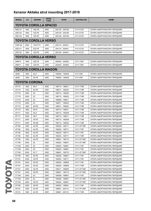| <b>MODEL</b>      | cc                           | <b>ENGINE</b>        | <b>DRIVE</b><br><b>TYPE</b> | <b>YEAR</b>     | <b>AKITAKA NO</b> | <b>NAME</b>                 |  |  |  |  |
|-------------------|------------------------------|----------------------|-----------------------------|-----------------|-------------------|-----------------------------|--|--|--|--|
|                   | <b>TOYOTA COROLLA SPACIO</b> |                      |                             |                 |                   |                             |  |  |  |  |
| <b>NZE121</b>     | 1500                         | 1NZ-FE               | 2WD                         | 200105 - 200706 | 0111-E12F         | ОПОРА АМОРТИЗАТОРА ПЕРЕДНЯЯ |  |  |  |  |
| ZZE122            | 1800                         | 1ZZ-FE               | 2WD                         | 200105 - 200706 | 0111-E12F         | ОПОРА АМОРТИЗАТОРА ПЕРЕДНЯЯ |  |  |  |  |
| ZZE124            | 1800                         | 1ZZ-FE               | 4WD                         | 200108 - 200706 | 0111-E12F         | ОПОРА АМОРТИЗАТОРА ПЕРЕДНЯЯ |  |  |  |  |
|                   | <b>TOYOTA COROLLA VERSO</b>  |                      |                             |                 |                   |                             |  |  |  |  |
| <b>CDE120</b>     | 2000                         | 1CD-FTV              | 2WD                         | 200110 - 200401 | 0111-E12F         | ОПОРА АМОРТИЗАТОРА ПЕРЕДНЯЯ |  |  |  |  |
| ZZE121            | 1600                         | 3ZZ-FE               | 2WD                         | 200110 - 200401 | 0111-E12F         | ОПОРА АМОРТИЗАТОРА ПЕРЕДНЯЯ |  |  |  |  |
| <b>ZZE122</b>     | 1800                         | 1ZZ-FE               | 2WD                         | 200109 - 200401 | 0111-E12F         | ОПОРА АМОРТИЗАТОРА ПЕРЕДНЯЯ |  |  |  |  |
|                   | <b>TOYOTA COROLLA VERSO</b>  |                      |                             |                 |                   |                             |  |  |  |  |
| ZNR <sub>10</sub> | 1600                         | 3ZZ-FE               | 2WD                         | 200402 - 200902 | 0111-T25F         | ОПОРА АМОРТИЗАТОРА ПЕРЕДНЯЯ |  |  |  |  |
| ZNR <sub>11</sub> | 1800                         | 1ZZ-FE               | 2WD                         | 200402 - 200902 | 0111-T25F         | ОПОРА АМОРТИЗАТОРА ПЕРЕДНЯЯ |  |  |  |  |
|                   |                              | TOYOTA COROLLA WAGON |                             |                 |                   |                             |  |  |  |  |
| AE95              | 1600                         | 4A-F                 | 4WD                         | 199009 - 199508 | 0111-E9F          | ОПОРА АМОРТИЗАТОРА ПЕРЕДНЯЯ |  |  |  |  |
|                   |                              |                      |                             |                 |                   |                             |  |  |  |  |
| AE95              | 1600                         | 4A-FE                | 4WD                         | 199009 - 199508 | 0111-E9F          | ОПОРА АМОРТИЗАТОРА ПЕРЕДНЯЯ |  |  |  |  |
|                   |                              | <b>TOYOTA CORONA</b> |                             |                 |                   |                             |  |  |  |  |
| AT170             | 1500                         | 5A-F                 | 2WD                         | 198712 - 198911 | 0111-T19R         | ОПОРА АМОРТИЗАТОРА ПЕРЕДНЯЯ |  |  |  |  |
| AT170             | 1500                         | 5A-FE                | 2WD                         | 198911 - 199202 | 0111-T19R         | ОПОРА АМОРТИЗАТОРА ПЕРЕДНЯЯ |  |  |  |  |
| CT170             | 2000                         | 2C                   | 2WD                         | 198712 - 199202 | 0111-T19R         | ОПОРА АМОРТИЗАТОРА ПЕРЕДНЯЯ |  |  |  |  |
| CT170             | 2000                         | 2C                   | 2WD                         | 198712 - 199203 | 0111-T19R         | ОПОРА АМОРТИЗАТОРА ПЕРЕДНЯЯ |  |  |  |  |
| CT170             | 2000                         | 2C                   | 2WD                         | 198809 - 198911 | 0111-T19R         | ОПОРА АМОРТИЗАТОРА ПЕРЕДНЯЯ |  |  |  |  |
| CT170             | 2000                         | 2C                   | 2WD                         | 198911 - 199202 | 0111-T19R         | ОПОРА АМОРТИЗАТОРА ПЕРЕДНЯЯ |  |  |  |  |
| ST170             | 1800                         | 4S-FE                | 2WD                         | 198911 - 199202 | 0111-T19R         | ОПОРА АМОРТИЗАТОРА ПЕРЕДНЯЯ |  |  |  |  |
| ST170             | 1800                         | 4S-FI                | 2WD                         | 198712 - 198911 | 0111-T19R         | ОПОРА АМОРТИЗАТОРА ПЕРЕДНЯЯ |  |  |  |  |
| AT171             | 1600                         | 4A-F                 | 2WD                         | 198712 - 199208 | 0111-T19R         | ОПОРА АМОРТИЗАТОРА ПЕРЕДНЯЯ |  |  |  |  |
| ST171             | 2000                         | 3S-F                 | 2WD                         | 198712 - 199211 | 0111-T19R         | ОПОРА АМОРТИЗАТОРА ПЕРЕДНЯЯ |  |  |  |  |
| ST171             | 2000                         | 3S-FE                | 2WD                         | 198712 - 199208 | 0111-T19R         | ОПОРА АМОРТИЗАТОРА ПЕРЕДНЯЯ |  |  |  |  |
| ST171             | 2000                         | 3S-GE                | 2WD                         | 198712 - 199202 | 0111-T19R         | ОПОРА АМОРТИЗАТОРА ПЕРЕДНЯЯ |  |  |  |  |
| AT190             | 1600                         | 4A-FE                | 2WD                         | 199202 - 199711 | 0111-ST195F       | ОПОРА АМОРТИЗАТОРА ПЕРЕДНЯЯ |  |  |  |  |
| AT190             | 1600                         | 4A-FE                | 2WD                         | 199202 - 199711 | 0111-T19F         | ОПОРА АМОРТИЗАТОРА ПЕРЕДНЯЯ |  |  |  |  |
| AT190             | 1600                         | 4A-FE                | 2WD                         | 199203 - 199711 | 0111-T19F         | ОПОРА АМОРТИЗАТОРА ПЕРЕДНЯЯ |  |  |  |  |
| AT190             | 1600                         | 4A-FE                | 2WD                         | 199203 - 199711 | 0111-T19R         | ОПОРА АМОРТИЗАТОРА ПЕРЕДНЯЯ |  |  |  |  |
| AT190             | 1600                         | 4A-FE                | 2WD                         | 199601 - 199710 | 0111-ST195F       | ОПОРА АМОРТИЗАТОРА ПЕРЕДНЯЯ |  |  |  |  |
| CT190             | 2000                         | 2C                   | 2WD                         | 199202 - 199601 | 0111-ST195F       | ОПОРА АМОРТИЗАТОРА ПЕРЕДНЯЯ |  |  |  |  |
| CT190             | 2000                         | 2C                   | 2WD                         | 199202 - 199601 | 0111-T19F         | ОПОРА АМОРТИЗАТОРА ПЕРЕДНЯЯ |  |  |  |  |
| CT190             | 2000                         | 2C                   | 2WD                         | 199203 - 199601 | 0111-T19F         | ОПОРА АМОРТИЗАТОРА ПЕРЕДНЯЯ |  |  |  |  |
| CT190             | 2000                         | $2C-T$               | 2WD                         | 199601 - 199710 | 0111-ST195F       | ОПОРА АМОРТИЗАТОРА ПЕРЕДНЯЯ |  |  |  |  |
| ST190             | 1800                         | 4S-FE                | 2WD                         | 199202 - 199601 | 0111-T19F         | ОПОРА АМОРТИЗАТОРА ПЕРЕДНЯЯ |  |  |  |  |
| ST191             | 2000                         | 3S-FE                | 2WD                         | 199202 - 199711 | 0111-T19F         | ОПОРА АМОРТИЗАТОРА ПЕРЕДНЯЯ |  |  |  |  |
| ST191             | 2000                         | 3S-FE                | 2WD                         | 199203 - 199805 | 0111-T19F         | ОПОРА АМОРТИЗАТОРА ПЕРЕДНЯЯ |  |  |  |  |
| ST191             | 2000                         | 3S-FE                | 2WD                         | 199203 - 199805 | 0111-T19R         | ОПОРА АМОРТИЗАТОРА ПЕРЕДНЯЯ |  |  |  |  |
| ST191             | 2000                         | 3S-FE                | 2WD                         | 199211 - 199805 | 0111-ST195F       | ОПОРА АМОРТИЗАТОРА ПЕРЕДНЯЯ |  |  |  |  |
| ST191             | 2000                         | 3S-FE                | 2WD                         | 199601 - 199710 | 0111-ST195F       | ОПОРА АМОРТИЗАТОРА ПЕРЕДНЯЯ |  |  |  |  |
| CT195             | 2000                         | 2C                   | 2WD                         | 199208 - 199601 | 0111-T19F         | ОПОРА АМОРТИЗАТОРА ПЕРЕДНЯЯ |  |  |  |  |
| CT195             | 2000                         | 2C                   | 4WD                         | 199208 - 199601 | 0111-ST195F       | ОПОРА АМОРТИЗАТОРА ПЕРЕДНЯЯ |  |  |  |  |
| ST195             | 2000                         | 3S-FE                | 4WD                         | 199202 - 199601 | 0111-ST195F       | ОПОРА АМОРТИЗАТОРА ПЕРЕДНЯЯ |  |  |  |  |
| ST195             | 2000                         | 3S-FE                | 4WD                         | 199202 - 199601 | 0111-T19F         | ОПОРА АМОРТИЗАТОРА ПЕРЕДНЯЯ |  |  |  |  |
| AT210             | 1600                         | 4A-FE                | 2WD                         | 199601 - 200112 | 0111-ST195F       | ОПОРА АМОРТИЗАТОРА ПЕРЕДНЯЯ |  |  |  |  |
| AT210             | 1600                         | 4A-FE                | 2WD                         | 199601 - 200112 | 0111-T19R         | ОПОРА АМОРТИЗАТОРА ПЕРЕДНЯЯ |  |  |  |  |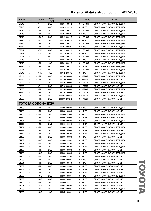| <b>MODEL</b> | cc   | <b>ENGINE</b>      | <b>DRIVE</b><br><b>TYPE</b> | <b>YEAR</b>     | <b>AKITAKA NO</b> | <b>NAME</b>                 |
|--------------|------|--------------------|-----------------------------|-----------------|-------------------|-----------------------------|
| CT210        | 2000 | $2C-T$             | 2WD                         | 199601 - 199712 | 0111-ST195F       | ОПОРА АМОРТИЗАТОРА ПЕРЕДНЯЯ |
| CT210        | 2000 | $2C-T$             | 2WD                         | 199601 - 199712 | 0111-T19R         | ОПОРА АМОРТИЗАТОРА ПЕРЕДНЯЯ |
| ST210        | 2000 | 3S-FE              | 2WD                         | 199601 - 200112 | 0111-ST195F       | ОПОРА АМОРТИЗАТОРА ПЕРЕДНЯЯ |
| ST210        | 2000 | 3S-FE              | 2WD                         | 199601 - 200112 | 0111-T19R         | ОПОРА АМОРТИЗАТОРА ПЕРЕДНЯЯ |
| ST210        | 2000 | 3S-FSE             | 2WD                         | 199612 - 200112 | 0111-ST195F       | ОПОРА АМОРТИЗАТОРА ПЕРЕДНЯЯ |
| ST210        | 2000 | 3S-FSE             | 2WD                         | 199612 - 200112 | 0111-T19R         | ОПОРА АМОРТИЗАТОРА ПЕРЕДНЯЯ |
| AT211        | 1800 | 7A-FE              | 2WD                         | 199601 - 200112 | 0111-ST195F       | ОПОРА АМОРТИЗАТОРА ПЕРЕДНЯЯ |
| AT211        | 1800 | 7A-FE              | 2WD                         | 199601 - 200112 | 0111-T19R         | ОПОРА АМОРТИЗАТОРА ПЕРЕДНЯЯ |
| CT211        | 2200 | 3C-TE              | 2WD                         | 199712 - 200112 | 0111-ST195F       | ОПОРА АМОРТИЗАТОРА ПЕРЕДНЯЯ |
| CT211        | 2200 | 3C-TE              | 2WD                         | 199712 - 200112 | 0111-T19R         | ОПОРА АМОРТИЗАТОРА ПЕРЕДНЯЯ |
| CT215        | 2000 | $2C-T$             | 4WD                         | 199601 - 199712 | 0111-ST195F       | ОПОРА АМОРТИЗАТОРА ПЕРЕДНЯЯ |
| CT215        | 2000 | $2C-T$             | 4WD                         | 199601 - 199712 | 0111-T19R         | ОПОРА АМОРТИЗАТОРА ПЕРЕДНЯЯ |
| ST215        | 2000 | 3S-FE              | 4WD                         | 199601 - 200112 | 0111-ST195F       | ОПОРА АМОРТИЗАТОРА ПЕРЕДНЯЯ |
| ST215        | 2000 | 3S-FE              | 4WD                         | 199601 - 200112 | 0111-T19R         | ОПОРА АМОРТИЗАТОРА ПЕРЕДНЯЯ |
| CT216        | 2200 | 3C-TE              | 4WD                         | 199712 - 200112 | 0111-ST195F       | ОПОРА АМОРТИЗАТОРА ПЕРЕДНЯЯ |
| CT216        | 2200 | 3C-TE              | 4WD                         | 199712 - 200112 | 0111-T19R         | ОПОРА АМОРТИЗАТОРА ПЕРЕДНЯЯ |
| AT220        | 1600 | 4A-FE              | 2WD                         | 199710 - 200006 | 0111-AT22F        | ОПОРА АМОРТИЗАТОРА ПЕРЕДНЯЯ |
| AT220        | 1600 | 4A-FE              | 2WD                         | 199710 - 200006 | 0111-AT22R        | ОПОРА АМОРТИЗАТОРА ЗАДНЯЯ   |
| CT220        | 2000 | $2C-T$             | 2WD                         | 199710 - 200006 | 0111-AT22F        | ОПОРА АМОРТИЗАТОРА ПЕРЕДНЯЯ |
| CT220        | 2000 | $2C-T$             | 2WD                         | 199710 - 200006 | 0111-AT22R        | ОПОРА АМОРТИЗАТОРА ЗАДНЯЯ   |
| ST220        | 2000 | 3S-FE              | 2WD                         | 199710 - 200006 | 0111-AT22F        | ОПОРА АМОРТИЗАТОРА ПЕРЕДНЯЯ |
| ST220        | 2000 | 3S-FE              | 2WD                         | 199710 - 200006 | 0111-AT22R        | ОПОРА АМОРТИЗАТОРА ЗАДНЯЯ   |
| ST220        | 2000 | 3S-FE              | 2WD                         | 200007 - 200212 | 0111-AT22F        | ОПОРА АМОРТИЗАТОРА ПЕРЕДНЯЯ |
| ST220        | 2000 | 3S-FE              | 2WD                         | 200007 - 200212 | 0111-AT22R        | ОПОРА АМОРТИЗАТОРА ЗАДНЯЯ   |
|              |      |                    |                             |                 |                   |                             |
|              |      | TOYOTA CORONA EXIV |                             |                 |                   |                             |
| ST180        | 1800 | 4S-FE              | 2WD                         | 199008 - 199309 | 0111-T18F         | ОПОРА АМОРТИЗАТОРА ПЕРЕДНЯЯ |
| ST180        | 1800 | 4S-FE              | 2WD                         | 199008 - 199309 | 0111-T18R         | ОПОРА АМОРТИЗАТОРА ЗАДНЯЯ   |
| ST180        | 1800 | 4S-FI              | 2WD                         | 198909 - 199008 | 0111-T18F         | ОПОРА АМОРТИЗАТОРА ПЕРЕДНЯЯ |
| ST180        | 1800 | 4S-FI              | 2WD                         | 198909 - 199008 | 0111-T18R         | ОПОРА АМОРТИЗАТОРА ЗАДНЯЯ   |
| ST181        | 1800 | 4S-FE              | 2WD                         | 199008 - 199309 | 0111-T18F         | ОПОРА АМОРТИЗАТОРА ПЕРЕДНЯЯ |
| ST181        | 1800 | 4S-FE              | 2WD                         | 199008 - 199309 | 0111-T18R         | ОПОРА АМОРТИЗАТОРА ЗАДНЯЯ   |
| ST181        | 1800 | 4S-FI              | 2WD                         | 198909 - 199008 | 0111-T18F         | ОПОРА АМОРТИЗАТОРА ПЕРЕДНЯЯ |
| ST181        | 1800 | 4S-FI              | 2WD                         | 198909 - 199008 | 0111-T18R         | ОПОРА АМОРТИЗАТОРА ЗАДНЯЯ   |
| ST182        | 2000 | 3S-FE              | 2WD                         | 198909 - 199309 | 0111-T18F         | ОПОРА АМОРТИЗАТОРА ПЕРЕДНЯЯ |
| ST182        | 2000 | 3S-FE              | 2WD                         | 198909 - 199309 | 0111-T18R         | ОПОРА АМОРТИЗАТОРА ЗАДНЯЯ   |
| ST182        | 2000 | 3S-GE              | 2WD                         | 198909 - 199309 | 0111-T18F         | ОПОРА АМОРТИЗАТОРА ПЕРЕДНЯЯ |
| ST182        | 2000 | 3S-GE              | 2WD                         | 198909 - 199309 | 0111-T18R         | ОПОРА АМОРТИЗАТОРА ЗАДНЯЯ   |
| ST183        | 2000 | 3S-FE              | 2WD                         | 198909 - 199309 | 0111-T18F         | ОПОРА АМОРТИЗАТОРА ПЕРЕДНЯЯ |
| ST183        | 2000 | 3S-FE              | 2WD                         | 198909 - 199309 | 0111-T18R         | ОПОРА АМОРТИЗАТОРА ЗАДНЯЯ   |
| ST183        | 2000 | 3S-GE              | 2WD                         | 198909 - 199309 | 0111-T18F         | ОПОРА АМОРТИЗАТОРА ПЕРЕДНЯЯ |
| ST183        | 2000 | 3S-GE              | 2WD                         | 198909 - 199309 | 0111-T18R         | ОПОРА АМОРТИЗАТОРА ЗАДНЯЯ   |
| ST200        | 1800 | 4S-FE              | 2WD                         | 199309 - 199804 | 0111-T18R         | ОПОРА АМОРТИЗАТОРА ЗАДНЯЯ   |
| ST201        | 1800 | 4S-FE              | 2WD                         | 199309 - 199410 | 0111-T18R         | ОПОРА АМОРТИЗАТОРА ЗАДНЯЯ   |
| ST202        | 2000 | 3S-FE              | 2WD                         | 199309 - 199508 | 0111-T18R         | ОПОРА АМОРТИЗАТОРА ЗАДНЯЯ   |
| ST202        | 2000 | 3S-FE              | 2WD                         | 199309 - 199804 | 0111-T18R         | ОПОРА АМОРТИЗАТОРА ЗАДНЯЯ   |
| ST202        | 2000 | 3S-FE              | 2WD                         | 199508 - 199804 | 0111-T18R         | ОПОРА АМОРТИЗАТОРА ЗАДНЯЯ   |
| ST202        | 2000 | 3S-GE              | 2WD                         | 199309 - 199804 | 0111-T18F         | ОПОРА АМОРТИЗАТОРА ПЕРЕДНЯЯ |
| ST202        | 2000 | 3S-GE              | 2WD                         | 199309 - 199804 | 0111-T18R         | ОПОРА АМОРТИЗАТОРА ЗАДНЯЯ   |
| ST203        | 2000 | 3S-FE              | 2WD                         | 199309 - 199712 | 0111-T18R         | ОПОРА АМОРТИЗАТОРА ЗАДНЯЯ   |
| ST205        | 2000 | 3S-GE              | 2WD                         | 199405 - 199804 | 0111-T18R         | ОПОРА АМОРТИЗАТОРА ЗАДНЯЯ   |
| ST205        | 2000 | 3S-GE              | 4WD                         | 199405 - 199804 | 0111-T18F         | ОПОРА АМОРТИЗАТОРА ПЕРЕДНЯЯ |
| ST205        | 2000 | 3S-GE              | 4WD                         | 199405 - 199804 | 0111-T18R         | ОПОРА АМОРТИЗАТОРА ЗАДНЯЯ   |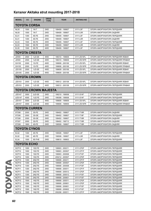| <b>MODEL</b>         | cc                          | <b>ENGINE</b>        | <b>DRIVE</b><br><b>TYPE</b> | <b>YEAR</b>     | <b>AKITAKA NO</b> | <b>NAME</b>                        |  |  |  |  |
|----------------------|-----------------------------|----------------------|-----------------------------|-----------------|-------------------|------------------------------------|--|--|--|--|
|                      | <b>TOYOTA CORSA</b>         |                      |                             |                 |                   |                                    |  |  |  |  |
| <b>NL50</b>          | 1500                        | $1N-T$               | 2WD                         | 199409 - 199907 | 0111-L5F          | ОПОРА АМОРТИЗАТОРА ПЕРЕДНЯЯ        |  |  |  |  |
| <b>NL50</b>          | 1500                        | $1N-T$               | 2WD                         | 199409 - 199907 | 0111-L5R          | ОПОРА АМОРТИЗАТОРА ЗАДНЯЯ          |  |  |  |  |
| EL51                 | 1300                        | 4E-FE                | 2WD                         | 199409 - 199907 | 0111-L5F          | ОПОРА АМОРТИЗАТОРА ПЕРЕДНЯЯ        |  |  |  |  |
| EL51                 | 1300                        | 4E-FE                | 2WD                         | 199409 - 199907 | 0111-L5R          | ОПОРА АМОРТИЗАТОРА ЗАДНЯЯ          |  |  |  |  |
| <b>EL53</b>          | 1500                        | 5E-FE                | 2WD                         | 199409 - 199907 | 0111-L5F          | ОПОРА АМОРТИЗАТОРА ПЕРЕДНЯЯ        |  |  |  |  |
| <b>EL53</b>          | 1500                        | 5E-FE                | 2WD                         | 199409 - 199907 | 0111-L5R          | ОПОРА АМОРТИЗАТОРА ЗАДНЯЯ          |  |  |  |  |
| <b>EL55</b>          | 1500                        | 5E-FE                | 4WD                         | 199409 - 199907 | 0111-L5F          | ОПОРА АМОРТИЗАТОРА ПЕРЕДНЯЯ        |  |  |  |  |
| <b>TOYOTA CRESTA</b> |                             |                      |                             |                 |                   |                                    |  |  |  |  |
| JZX93                | 2500                        | 1JZ-GE               | 4WD                         | 199310 - 199609 | 0111-ZS15FL       | ОПОРА АМОРТИЗАТОРА ПЕРЕДНЯЯ ЛЕВАЯ  |  |  |  |  |
| JZX93                | 2500                        | 1JZ-GE               | 4WD                         | 199310 - 199609 | 0111-ZS15FR       | ОПОРА АМОРТИЗАТОРА ПЕРЕДНЯЯ ПРАВАЯ |  |  |  |  |
| GX105                | 2000                        | 1G-FE                | 4WD                         | 199808 - 200106 | 0111-ZS15FL       | ОПОРА АМОРТИЗАТОРА ПЕРЕДНЯЯ ЛЕВАЯ  |  |  |  |  |
| GX105                | 2000                        | 1G-FE                | 4WD                         | 199808 - 200106 | 0111-ZS15FR       | ОПОРА АМОРТИЗАТОРА ПЕРЕДНЯЯ ПРАВАЯ |  |  |  |  |
| <b>JZX105</b>        | 2500                        | 1JZ-GE               | 4WD                         | 199609 - 200106 | 0111-ZS15FL       | ОПОРА АМОРТИЗАТОРА ПЕРЕДНЯЯ ЛЕВАЯ  |  |  |  |  |
| JZX105               | 2500                        | 1JZ-GE               | 4WD                         | 199609 - 200106 | 0111-ZS15FR       | ОПОРА АМОРТИЗАТОРА ПЕРЕДНЯЯ ПРАВАЯ |  |  |  |  |
|                      |                             | <b>TOYOTA CROWN</b>  |                             |                 |                   |                                    |  |  |  |  |
| <b>JZS153</b>        | 2500                        | 1JZ-GE               | 4WD                         | 199512 - 200108 | 0111-ZS15FL       | ОПОРА АМОРТИЗАТОРА ПЕРЕДНЯЯ ЛЕВАЯ  |  |  |  |  |
|                      |                             |                      |                             |                 |                   |                                    |  |  |  |  |
| <b>JZS153</b>        | 2500                        | 1JZ-GE               | 4WD                         | 199512 - 200108 | 0111-ZS15FR       | ОПОРА АМОРТИЗАТОРА ПЕРЕДНЯЯ ПРАВАЯ |  |  |  |  |
|                      | <b>TOYOTA CROWN MAJESTA</b> |                      |                             |                 |                   |                                    |  |  |  |  |
| <b>JZS147</b>        | 3000                        | 2JZ-GE               | 2WD                         | 199210 - 199508 | 0111-S14F         | ОПОРА АМОРТИЗАТОРА ПЕРЕДНЯЯ        |  |  |  |  |
| <b>UZS147</b>        | 4000                        | 1UZ-FE               | 2WD                         | 199308 - 199508 | 0111-S14F         | ОПОРА АМОРТИЗАТОРА ПЕРЕДНЯЯ        |  |  |  |  |
| <b>JZS157</b>        | 3000                        | 2JZ-GE               | 4WD                         | 199808 - 199909 | 0111-ZS15FL       | ОПОРА АМОРТИЗАТОРА ПЕРЕДНЯЯ ЛЕВАЯ  |  |  |  |  |
| <b>JZS157</b>        | 3000                        | 2JZ-GE               | 4WD                         | 199808 - 199909 | 0111-ZS15FR       | ОПОРА АМОРТИЗАТОРА ПЕРЕДНЯЯ ПРАВАЯ |  |  |  |  |
|                      |                             | <b>TOYOTA CURREN</b> |                             |                 |                   |                                    |  |  |  |  |
| ST206                | 2000                        | 3S-FE                | 2WD                         | 199402 - 199807 | 0111-T18R         | ОПОРА АМОРТИЗАТОРА ЗАДНЯЯ          |  |  |  |  |
| ST206                | 2000                        | 3S-GE                | 2WD                         | 199402 - 199807 | 0111-T18F         | ОПОРА АМОРТИЗАТОРА ПЕРЕДНЯЯ        |  |  |  |  |
| ST206                | 2000                        | 3S-GE                | 2WD                         | 199402 - 199807 | 0111-T18R         | ОПОРА АМОРТИЗАТОРА ЗАДНЯЯ          |  |  |  |  |
| ST207                | 2000                        | 3S-FE                | 2WD                         | 199402 - 199712 | 0111-T18R         | ОПОРА АМОРТИЗАТОРА ЗАДНЯЯ          |  |  |  |  |
| ST208                | 1800                        | 4S-FE                | 2WD                         | 199509 - 199807 | 0111-T18R         | ОПОРА АМОРТИЗАТОРА ЗАДНЯЯ          |  |  |  |  |
|                      |                             | <b>TOYOTA CYNOS</b>  |                             |                 |                   |                                    |  |  |  |  |
| EL52                 | 1300                        | 4E-FE                | 2WD                         | 199508 - 199907 | 0111-L5F          | ОПОРА АМОРТИЗАТОРА ПЕРЕДНЯЯ        |  |  |  |  |
| <b>EL52</b>          | 1300                        | 4E-FE                | 2WD                         | 199508 - 199907 | 0111-L5R          | ОПОРА АМОРТИЗАТОРА ЗАДНЯЯ          |  |  |  |  |
| <b>EL54</b>          | 1500                        | 5E-FHE               | 2WD                         | 199610 - 199903 | 0111-L5F          | ОПОРА АМОРТИЗАТОРА ПЕРЕДНЯЯ        |  |  |  |  |
| <b>TOYOTA ECHO</b>   |                             |                      |                             |                 |                   |                                    |  |  |  |  |
| SCP10                | 1000                        | 1SZ-FE               | 2WD                         | 199903 - 200211 | 0111-CP2F         | ОПОРА АМОРТИЗАТОРА ПЕРЕДНЯЯ        |  |  |  |  |
| SCP <sub>10</sub>    | 1000                        | 1SZ-FE               | 2WD                         | 199903 - 200507 | 0111-CP1F         | ОПОРА АМОРТИЗАТОРА ПЕРЕДНЯЯ        |  |  |  |  |
| SCP <sub>10</sub>    | 1000                        | 1SZ-FE               | 2WD                         | 199903 - 200508 | 0111-P10F         | ОПОРА АМОРТИЗАТОРА ПЕРЕДНЯЯ        |  |  |  |  |
| SCP <sub>10</sub>    | 1000                        | 1SZ-FE               | 2WD                         | 200212 - 200507 | 0111-CP2F         | ОПОРА АМОРТИЗАТОРА ПЕРЕДНЯЯ        |  |  |  |  |
| NCP10                | 1300                        | 2NZ-FE               | 2WD                         | 199908 - 200211 | 0111-CP1F         | ОПОРА АМОРТИЗАТОРА ПЕРЕДНЯЯ        |  |  |  |  |
| NCP10                | 1300                        | 2NZ-FE               | 2WD                         | 199908 - 200507 | 0111-CP2F         | ОПОРА АМОРТИЗАТОРА ПЕРЕДНЯЯ        |  |  |  |  |
| NCP10                | 1300                        | 2NZ-FE               | 2WD                         | 199908 - 200508 | 0111-P10F         | ОПОРА АМОРТИЗАТОРА ПЕРЕДНЯЯ        |  |  |  |  |
| NCP11                | 1300                        | 2NZ-FE               | 2WD                         | 199908 - 200511 | 0111-CP1F         | ОПОРА АМОРТИЗАТОРА ПЕРЕДНЯЯ        |  |  |  |  |
| NCP11                | 1300                        | 2NZ-FE               | 2WD                         | 199908 - 200512 | 0111-CP2F         | ОПОРА АМОРТИЗАТОРА ПЕРЕДНЯЯ        |  |  |  |  |
| NCP11                | 1300                        | 2NZ-FE               | 2WD                         | 199908 - 200512 | 0111-P10F         | ОПОРА АМОРТИЗАТОРА ПЕРЕДНЯЯ        |  |  |  |  |
| NCP <sub>11</sub>    | 1300                        | 2NZ-FE               | 2WD                         | 199908 - 200601 | 0111-P10F         | ОПОРА АМОРТИЗАТОРА ПЕРЕДНЯЯ        |  |  |  |  |
| NCP <sub>12</sub>    | 1500                        | 1NZ-FE               | 2WD                         | 199908 - 200511 | 0111-CP2F         | ОПОРА АМОРТИЗАТОРА ПЕРЕДНЯЯ        |  |  |  |  |
| NCP <sub>12</sub>    | 1500                        | 1NZ-FE               | 2WD                         | 199908 - 200601 | 0111-CP2F         | ОПОРА АМОРТИЗАТОРА ПЕРЕДНЯЯ        |  |  |  |  |
| NCP12                | 1500                        | 1NZ-FE               | 2WD                         | 199908 - 200601 | 0111-P10F         | ОПОРА АМОРТИЗАТОРА ПЕРЕДНЯЯ        |  |  |  |  |
| NCP <sub>12</sub>    | 1500                        | 1NZ-FE               | 2WD                         | 199908 - 200602 | 0111-P10F         | ОПОРА АМОРТИЗАТОРА ПЕРЕДНЯЯ        |  |  |  |  |
| NCP <sub>12</sub>    | 1500                        | 1NZ-FE               | 2WD                         | 200208 - 200511 | 0111-CP1F         | ОПОРА АМОРТИЗАТОРА ПЕРЕДНЯЯ        |  |  |  |  |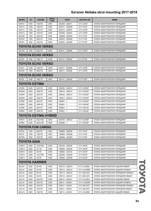| <b>MODEL</b>             | cc   | <b>ENGINE</b>            | <b>DRIVE</b><br><b>TYPE</b> | <b>YEAR</b>     | <b>AKITAKA NO</b> | <b>NAME</b>                        |  |
|--------------------------|------|--------------------------|-----------------------------|-----------------|-------------------|------------------------------------|--|
| NCP12                    | 1500 | 1NZ-FE                   | 2WD                         | 200208 - 200511 | 0111-CP2F         | ОПОРА АМОРТИЗАТОРА ПЕРЕДНЯЯ        |  |
| NCP <sub>13</sub>        | 1500 | 1NZ-FE                   | 2WD                         | 200101 - 200508 | 0111-P10F         | ОПОРА АМОРТИЗАТОРА ПЕРЕДНЯЯ        |  |
| NCP <sub>13</sub>        | 1500 | 1NZ-FE                   | 2WD                         | 200212 - 200507 | 0111-CP2F         | ОПОРА АМОРТИЗАТОРА ПЕРЕДНЯЯ        |  |
| NCP <sub>13</sub>        | 1500 | 1NZ-FE                   | 2WD                         | 200306 - 200507 | 0111-CP2F         | ОПОРА АМОРТИЗАТОРА ПЕРЕДНЯЯ        |  |
| NCP20                    | 1300 | 2NZ-FE                   | 2WD                         | 199908 - 200509 | 0111-P10F         | ОПОРА АМОРТИЗАТОРА ПЕРЕДНЯЯ        |  |
| NCP22                    | 1300 | 2NZ-FE                   | 2WD                         | 200003 - 200509 | 0111-P10F         | ОПОРА АМОРТИЗАТОРА ПЕРЕДНЯЯ        |  |
| NCP21                    | 1500 | 1NZ-FE                   | 2WD                         | 200003 - 200509 | 0111-P10F         | ОПОРА АМОРТИЗАТОРА ПЕРЕДНЯЯ        |  |
| <b>TOYOTA ECHO VERSO</b> |      |                          |                             |                 |                   |                                    |  |
| NCP <sub>20</sub>        | 1300 | 2NZ-FE                   | 2WD                         | 200211 - 200508 | 0111-CP2F         | ОПОРА АМОРТИЗАТОРА ПЕРЕДНЯЯ        |  |
| <b>TOYOTA ECHO VERSO</b> |      |                          |                             |                 |                   |                                    |  |
| NLP20                    | 1400 | 1ND-TV                   | 2WD                         | 200110 - 200509 | 0111-P10F         | ОПОРА АМОРТИЗАТОРА ПЕРЕДНЯЯ        |  |
|                          |      | <b>TOYOTA ECHO VERSO</b> |                             |                 |                   |                                    |  |
| NCP <sub>21</sub>        | 1500 | 1NZ-FE                   | 2WD                         | 200211 - 200508 | 0111-CP2F         | ОПОРА АМОРТИЗАТОРА ПЕРЕДНЯЯ        |  |
| NCP22                    | 1300 | 2NZ-FE                   | 2WD                         | 200211 - 200508 | 0111-CP2F         | ОПОРА АМОРТИЗАТОРА ПЕРЕДНЯЯ        |  |
|                          |      | <b>TOYOTA ECHO VERSO</b> |                             |                 |                   |                                    |  |
| NLP22                    | 1400 | 1ND-TV                   | 2WD                         | 200110 - 200509 | 0111-P10F         | ОПОРА АМОРТИЗАТОРА ПЕРЕДНЯЯ        |  |
|                          |      | TOYOTA ESTIMA            |                             |                 |                   |                                    |  |
| ACR30                    | 2400 | 2AZ-FE                   | 2WD                         | 200002 - 200512 | 0111-ACR3F        | ОПОРА АМОРТИЗАТОРА ПЕРЕДНЯЯ        |  |
| MCR30                    | 3000 | 1MZ-FE                   | 2WD                         | 199912 - 200512 | 0111-ACR3F        | ОПОРА АМОРТИЗАТОРА ПЕРЕДНЯЯ        |  |
| ACR40                    | 2400 | 2AZ-FE                   | 4WD                         | 200002 - 200512 | 0111-ACR3F        | ОПОРА АМОРТИЗАТОРА ПЕРЕДНЯЯ        |  |
| MCR40                    | 3000 | 1MZ-FE                   | 4WD                         | 199912 - 200512 | 0111-ACR3F        | ОПОРА АМОРТИЗАТОРА ПЕРЕДНЯЯ        |  |
| ACR50                    | 2400 | 2AZ-FE                   | 2WD                         | $200601 - 5$    | 0111-GSA3F        | ОПОРА АМОРТИЗАТОРА ПЕРЕДНЯЯ        |  |
| GSR50                    | 3500 | 2GR-FE                   | 2WD                         | $200601 - 5$    | 0111-GSA3F        | ОПОРА АМОРТИЗАТОРА ПЕРЕДНЯЯ        |  |
| ACR55                    | 2400 | 2AZ-FE                   | 4WD                         | $200601 - 5$    | 0111-GSA3F        | ОПОРА АМОРТИЗАТОРА ПЕРЕДНЯЯ        |  |
| GSR <sub>55</sub>        | 3500 | 2GR-FE                   | 4WD                         | $200601 - 5$    | 0111-GSA3F        | ОПОРА АМОРТИЗАТОРА ПЕРЕДНЯЯ        |  |
|                          |      | TOYOTA ESTIMA HYBRID     |                             |                 |                   |                                    |  |
| AHR <sub>10</sub>        | 2400 | 2AZ-FXE                  | 4WD                         | 200105 - 200512 | 0111-ACR3F        | ОПОРА АМОРТИЗАТОРА ПЕРЕДНЯЯ        |  |
| AHR <sub>20</sub>        | 2400 | 2AZ-FXE                  | 2WD                         | $200606 - 5$    | 0111-GSA3F        | ОПОРА АМОРТИЗАТОРА ПЕРЕДНЯЯ        |  |
|                          |      | <b>TOYOTA FUN CARGO</b>  |                             |                 |                   |                                    |  |
| NCP <sub>20</sub>        | 1300 | 2NZ-FE                   | 2WD                         | 199908 - 200509 | 0111-P10F         | ОПОРА АМОРТИЗАТОРА ПЕРЕДНЯЯ        |  |
| NCP <sub>21</sub>        | 1500 | 1NZ-FE                   | 2WD                         | 199908 - 200509 | 0111-P10F         | ОПОРА АМОРТИЗАТОРА ПЕРЕДНЯЯ        |  |
| NCP <sub>25</sub>        | 1500 | 1NZ-FE                   | 4WD                         | 199908 - 200509 | 0111-P10F         | ОПОРА АМОРТИЗАТОРА ПЕРЕДНЯЯ        |  |
| <b>TOYOTA GAIA</b>       |      |                          |                             |                 |                   |                                    |  |
| ACM <sub>10</sub>        | 2000 | 1AZ-FSE                  | 2WD                         | 200104 - 200409 | 0111-M10F         | ОПОРА АМОРТИЗАТОРА ПЕРЕДНЯЯ        |  |
| CXM <sub>10</sub>        | 2200 | 3C-TE                    | 2WD                         | 199805 - 200409 | 0111-M10F         | ОПОРА АМОРТИЗАТОРА ПЕРЕДНЯЯ        |  |
| SXM10                    | 2000 | 3S-FE                    | 2WD                         | 199805 - 200104 | 0111-M10F         | ОПОРА АМОРТИЗАТОРА ПЕРЕДНЯЯ        |  |
| ACM15                    | 2000 | 1AZ-FSE                  | 4WD                         | 200208 - 200409 | 0111-M10F         | ОПОРА АМОРТИЗАТОРА ПЕРЕДНЯЯ        |  |
| SXM15                    | 2000 | 3S-FE                    | 4WD                         | 199805 - 200208 | 0111-M10F         | ОПОРА АМОРТИЗАТОРА ПЕРЕДНЯЯ        |  |
|                          |      | TOYOTA HARRIER           |                             |                 |                   |                                    |  |
| SXU10                    | 2200 | 5S-FE                    | 2WD                         | 199712 - 200010 | 0111-CU25RL       | ОПОРА АМОРТИЗАТОРА ЗАДНЯЯ ЛЕВАЯ    |  |
| SXU10                    | 2200 | 5S-FE                    | 2WD                         | 199712 - 200010 | 0111-CU25RR       | ОПОРА АМОРТИЗАТОРА ЗАДНЯЯ ПРАВАЯ   |  |
| SXU10                    | 2200 | 5S-FE                    | 2WD                         | 199712 - 200010 | 0111-MCV2FL       | ОПОРА АМОРТИЗАТОРА ПЕРЕДНЯЯ ПРАВАЯ |  |
| SXU10                    | 2200 | 5S-FE                    | 2WD                         | 199712 - 200010 | 0111-MCV2FL       | ОПОРА АМОРТИЗАТОРА ПЕРЕДНЯЯ ЛЕВАЯ  |  |
| ACU10                    | 2400 | 2AZ-FE                   | 2WD                         | 200011 - 200301 | 0111-CU25RL       | ОПОРА АМОРТИЗАТОРА ЗАДНЯЯ ЛЕВАЯ    |  |
| ACU10                    | 2400 | 2AZ-FE                   | 2WD                         | 200011 - 200301 | 0111-CU25RR       | ОПОРА АМОРТИЗАТОРА ЗАДНЯЯ ПРАВАЯ   |  |
| ACU <sub>10</sub>        | 2400 | 2AZ-FE                   | 2WD                         | 200011 - 200301 | 0111-MCV2FL       | ОПОРА АМОРТИЗАТОРА ПЕРЕДНЯЯ ПРАВАЯ |  |
| ACU <sub>10</sub>        | 2400 | 2AZ-FE                   | 2WD                         | 200011 - 200301 | 0111-MCV2FL       | ОПОРА АМОРТИЗАТОРА ПЕРЕДНЯЯ ЛЕВАЯ  |  |
| MCU <sub>10</sub>        | 3000 | 1MZ-FE                   | 2WD                         | 199712 - 200301 | 0111-CU25RL       | ОПОРА АМОРТИЗАТОРА ЗАДНЯЯ ЛЕВАЯ    |  |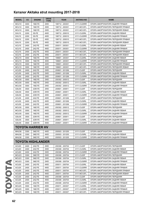| <b>MODEL</b>      | cc   | <b>ENGINE</b>     | <b>DRIVE</b><br><b>TYPE</b> | <b>YEAR</b>     | <b>AKITAKA NO</b> | <b>NAME</b>                        |
|-------------------|------|-------------------|-----------------------------|-----------------|-------------------|------------------------------------|
| MCU10             | 3000 | 1MZ-FE            | 2WD                         | 199712 - 200301 | 0111-CU25RR       | ОПОРА АМОРТИЗАТОРА ЗАДНЯЯ ПРАВАЯ   |
| MCU <sub>10</sub> | 3000 | 1MZ-FE            | 2WD                         | 199712 - 200301 | 0111-MCV2FL       | ОПОРА АМОРТИЗАТОРА ПЕРЕДНЯЯ ПРАВАЯ |
| MCU10             | 3000 | 1MZ-FE            | 2WD                         | 199712 - 200301 | 0111-MCV2FL       | ОПОРА АМОРТИЗАТОРА ПЕРЕДНЯЯ ЛЕВАЯ  |
| SXU <sub>15</sub> | 2200 | 5S-FE             | 4WD                         | 199712 - 200010 | 0111-CU25RL       | ОПОРА АМОРТИЗАТОРА ЗАДНЯЯ ЛЕВАЯ    |
| SXU <sub>15</sub> | 2200 | 5S-FE             | 4WD                         | 199712 - 200010 | 0111-CU25RR       | ОПОРА АМОРТИЗАТОРА ЗАДНЯЯ ПРАВАЯ   |
| SXU <sub>15</sub> | 2200 | 5S-FE             | 4WD                         | 199712 - 200010 | 0111-MCV2FL       | ОПОРА АМОРТИЗАТОРА ПЕРЕДНЯЯ ПРАВАЯ |
| SXU15             | 2200 | 5S-FE             | 4WD                         | 199712 - 200010 | 0111-MCV2FL       | ОПОРА АМОРТИЗАТОРА ПЕРЕДНЯЯ ЛЕВАЯ  |
| ACU <sub>15</sub> | 2400 | 2AZ-FE            | 4WD                         | 200011 - 200301 | 0111-CU25RL       | ОПОРА АМОРТИЗАТОРА ЗАДНЯЯ ЛЕВАЯ    |
| ACU15             | 2400 | 2AZ-FE            | 4WD                         | 200011 - 200301 | 0111-CU25RR       | ОПОРА АМОРТИЗАТОРА ЗАДНЯЯ ПРАВАЯ   |
| ACU15             | 2400 | 2AZ-FE            | 4WD                         | 200011 - 200301 | 0111-MCV2FL       | ОПОРА АМОРТИЗАТОРА ПЕРЕДНЯЯ ПРАВАЯ |
| ACU15             | 2400 | 2AZ-FE            | 4WD                         | 200011 - 200301 | 0111-MCV2FL       | ОПОРА АМОРТИЗАТОРА ПЕРЕДНЯЯ ЛЕВАЯ  |
| MCU <sub>15</sub> | 3000 | 1MZ-FE            | 4WD                         | 199801 - 200301 | 0111-CU25RL       | ОПОРА АМОРТИЗАТОРА ЗАДНЯЯ ЛЕВАЯ    |
| MCU15             | 3000 | 1MZ-FE            | 4WD                         | 199801 - 200301 | 0111-CU25RR       | ОПОРА АМОРТИЗАТОРА ЗАДНЯЯ ПРАВАЯ   |
| MCU <sub>15</sub> | 3000 | 1MZ-FE            | 4WD                         | 199801 - 200301 | 0111-MCV2FL       | ОПОРА АМОРТИЗАТОРА ПЕРЕДНЯЯ ПРАВАЯ |
| MCU15             | 3000 | 1MZ-FE            | 4WD                         | 199801 - 200301 | 0111-MCV2FL       | ОПОРА АМОРТИЗАТОРА ПЕРЕДНЯЯ ЛЕВАЯ  |
| ACU30             | 2400 | 2AZ-FE            | 2WD                         | 200601 - 201206 | 0111-CU25F        | ОПОРА АМОРТИЗАТОРА ПЕРЕДНЯЯ        |
| ACU30             | 2400 | 2AZ-FE            | 2WD                         | 200601 - 201206 | 0111-CU30RL       | ОПОРА АМОРТИЗАТОРА ЗАДНЯЯ ЛЕВАЯ    |
| ACU30             | 2400 | 2AZ-FE            | 2WD                         | 200601 - 201206 | 0111-CU30RR       | ОПОРА АМОРТИЗАТОРА ЗАДНЯЯ ПРАВАЯ   |
| MCU30             | 3000 | 1MZ-FE            | 2WD                         | 200302 - 200512 | 0111-CU25F        | ОПОРА АМОРТИЗАТОРА ПЕРЕДНЯЯ        |
| MCU30             | 3000 | 1MZ-FE            | 2WD                         | 200302 - 200512 | 0111-CU30RL       | ОПОРА АМОРТИЗАТОРА ЗАДНЯЯ ЛЕВАЯ    |
| MCU30             | 3000 | 1MZ-FE            | 2WD                         | 200302 - 200512 | 0111-CU30RR       | ОПОРА АМОРТИЗАТОРА ЗАДНЯЯ ПРАВАЯ   |
| GSU30             | 3500 | 2GR-FE            | 2WD                         | 200601 - 200811 | 0111-CU25F        | ОПОРА АМОРТИЗАТОРА ПЕРЕДНЯЯ        |
| GSU30             | 3500 | 2GR-FE            | 2WD                         | 200601 - 200811 | 0111-CU30RL       | ОПОРА АМОРТИЗАТОРА ЗАДНЯЯ ЛЕВАЯ    |
| GSU <sub>30</sub> | 3500 | 2GR-FE            | 2WD                         | 200601 - 200811 | 0111-CU30RR       | ОПОРА АМОРТИЗАТОРА ЗАДНЯЯ ПРАВАЯ   |
| ACU35             | 2400 | 2AZ-FE            | 4WD                         | 200601 - 201206 | 0111-CU25F        | ОПОРА АМОРТИЗАТОРА ПЕРЕДНЯЯ        |
| ACU35             | 2400 | 2AZ-FE            | 4WD                         | 200601 - 201206 | 0111-CU30RL       | ОПОРА АМОРТИЗАТОРА ЗАДНЯЯ ЛЕВАЯ    |
| ACU35             | 2400 | 2AZ-FE            | 4WD                         | 200601 - 201206 | 0111-CU30RR       | ОПОРА АМОРТИЗАТОРА ЗАДНЯЯ ПРАВАЯ   |
| MCU35             | 3000 | 1MZ-FE            | 4WD                         | 200302 - 200512 | 0111-CU25F        | ОПОРА АМОРТИЗАТОРА ПЕРЕДНЯЯ        |
| MCU35             | 3000 | 1MZ-FE            | 4WD                         | 200302 - 200512 | 0111-CU30RL       | ОПОРА АМОРТИЗАТОРА ЗАДНЯЯ ЛЕВАЯ    |
| MCU35             | 3000 | 1MZ-FE            | 4WD                         | 200302 - 200512 | 0111-CU30RR       | ОПОРА АМОРТИЗАТОРА ЗАДНЯЯ ПРАВАЯ   |
| GSU35             | 3500 | 2GR-FE            | 4WD                         | 200601 - 200811 | 0111-CU25F        | ОПОРА АМОРТИЗАТОРА ПЕРЕДНЯЯ        |
| GSU35             | 3500 | 2GR-FE            | 4WD                         | 200601 - 200811 | 0111-CU30RL       | ОПОРА АМОРТИЗАТОРА ЗАДНЯЯ ЛЕВАЯ    |
| GSU35             | 3500 | 2GR-FE            | 4WD                         | 200601 - 200811 | 0111-CU30RR       | ОПОРА АМОРТИЗАТОРА ЗАДНЯЯ ПРАВАЯ   |
|                   |      | TOYOTA HARRIER HV |                             |                 |                   |                                    |
| MHU38             | 3300 | 3MZ-FE            | 4WD                         | 200503 - 201205 | 0111-CU25F        | ОПОРА АМОРТИЗАТОРА ПЕРЕДНЯЯ        |
| MHU38             | 3300 | 3MZ-FE            | 4WD                         | 200503 - 201205 | 0111-CU30RL       | ОПОРА АМОРТИЗАТОРА ЗАДНЯЯ ЛЕВАЯ    |
| MHU38             | 3300 | 3MZ-FE            | 4WD                         | 200503 - 201205 | 0111-CU30RR       | ОПОРА АМОРТИЗАТОРА ЗАДНЯЯ ПРАВАЯ   |
|                   |      | TOYOTA HIGHLANDER |                             |                 |                   |                                    |
| ACU20             | 2400 | 2AZ-FE            | 2WD                         | 200308 - 200704 | 0111-CU25F        | ОПОРА АМОРТИЗАТОРА ПЕРЕДНЯЯ        |
| ACU20             | 2400 | 2AZ-FE            | 2WD                         | 200308 - 200704 | 0111-CU30RL       | ОПОРА АМОРТИЗАТОРА ЗАДНЯЯ ЛЕВАЯ    |
| ACU20             | 2400 | 2AZ-FE            | 2WD                         | 200308 - 200704 | 0111-CU30RR       | ОПОРА АМОРТИЗАТОРА ЗАДНЯЯ ПРАВАЯ   |
| MCU <sub>23</sub> | 3300 | 3MZ-FE            | 2WD                         | 200308 - 200704 | 0111-CU25F        | ОПОРА АМОРТИЗАТОРА ПЕРЕДНЯЯ        |
| MCU <sub>23</sub> | 3300 | 3MZ-FE            | 2WD                         | 200308 - 200704 | 0111-CU30RL       | ОПОРА АМОРТИЗАТОРА ЗАДНЯЯ ЛЕВАЯ    |
| MCU23             | 3300 | 3MZ-FE            | 2WD                         | 200308 - 200704 | 0111-CU30RR       | ОПОРА АМОРТИЗАТОРА ЗАДНЯЯ ПРАВАЯ   |
| ACU25             | 2400 | 2AZ-FE            | 4WD                         | 200011 - 200704 | 0111-CU25RL       | ОПОРА АМОРТИЗАТОРА ЗАДНЯЯ ЛЕВАЯ    |
| ACU25             | 2400 | 2AZ-FE            | 4WD                         | 200011 - 200704 | 0111-CU25RR       | ОПОРА АМОРТИЗАТОРА ЗАДНЯЯ ПРАВАЯ   |
| ACU <sub>25</sub> | 2400 | 2AZ-FE            | 4WD                         | 200011 - 200704 | 0111-MCV2FL       | ОПОРА АМОРТИЗАТОРА ПЕРЕДНЯЯ ПРАВАЯ |
| ACU25             | 2400 | 2AZ-FE            | 4WD                         | 200011 - 200704 | 0111-MCV2FL       | ОПОРА АМОРТИЗАТОРА ПЕРЕДНЯЯ ЛЕВАЯ  |
| ACU <sub>25</sub> | 2400 | 2AZ-FE            | 4WD                         | 200308 - 200704 | 0111-CU25F        | ОПОРА АМОРТИЗАТОРА ПЕРЕДНЯЯ        |
| ACU25             | 2400 | 2AZ-FE            | 4WD                         | 200308 - 200704 | 0111-CU30RL       | ОПОРА АМОРТИЗАТОРА ЗАДНЯЯ ЛЕВАЯ    |
| ACU <sub>25</sub> | 2400 | 2AZ-FE            | 4WD                         | 200308 - 200704 | 0111-CU30RR       | ОПОРА АМОРТИЗАТОРА ЗАДНЯЯ ПРАВАЯ   |
| MCU <sub>25</sub> | 3000 | 1MZ-FE            | 4WD                         | 200011 - 200307 | 0111-CU25RL       | ОПОРА АМОРТИЗАТОРА ЗАДНЯЯ ЛЕВАЯ    |
| MCU25             | 3000 | 1MZ-FE            | 4WD                         | 200011 - 200307 | 0111-CU25RR       | ОПОРА АМОРТИЗАТОРА ЗАДНЯЯ ПРАВАЯ   |
| MCU <sub>25</sub> | 3000 | 1MZ-FE            | 4WD                         | 200011 - 200307 | 0111-MCV2FL       | ОПОРА АМОРТИЗАТОРА ПЕРЕДНЯЯ ПРАВАЯ |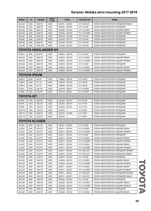| <b>MODEL</b>                | cc   | <b>ENGINE</b>        | <b>DRIVE</b><br><b>TYPE</b> | <b>YEAR</b>     | <b>AKITAKA NO</b> | <b>NAME</b>                        |  |
|-----------------------------|------|----------------------|-----------------------------|-----------------|-------------------|------------------------------------|--|
| MCU25                       | 3000 | 1MZ-FE               | 4WD                         | 200011 - 200307 | 0111-MCV2FL       | ОПОРА АМОРТИЗАТОРА ПЕРЕДНЯЯ ЛЕВАЯ  |  |
| MCU28                       | 3300 | 3MZ-FE               | 4WD                         | 200308 - 200704 | 0111-CU25F        | ОПОРА АМОРТИЗАТОРА ПЕРЕДНЯЯ        |  |
| MCU28                       | 3300 | 3MZ-FE               | 4WD                         | 200308 - 200704 | 0111-CU30RL       | ОПОРА АМОРТИЗАТОРА ЗАДНЯЯ ЛЕВАЯ    |  |
| MCU28                       | 3300 | 3MZ-FE               | 4WD                         | 200308 - 200704 | 0111-CU30RR       | ОПОРА АМОРТИЗАТОРА ЗАДНЯЯ ПРАВАЯ   |  |
| GSU40                       | 3500 | 2GR-FE               | 2WD                         | 200705 - 201006 | 0111-ACV4F        | ОПОРА АМОРТИЗАТОРА ПЕРЕДНЯЯ        |  |
| GSU45                       | 3500 | 2GR-FE               | 4WD                         | 200705 - 201311 | 0111-ACV4F        | ОПОРА АМОРТИЗАТОРА ПЕРЕДНЯЯ        |  |
| MHU48                       | 3300 | 3MZ-FE               | 2WD                         | 200708 - 201007 | 0111-ACV4F        | ОПОРА АМОРТИЗАТОРА ПЕРЕДНЯЯ        |  |
| GVU48                       | 3500 | 2GR-FXE              | 2WD                         | 201008 - 201401 | 0111-ACV4F        | ОПОРА АМОРТИЗАТОРА ПЕРЕДНЯЯ        |  |
| <b>TOYOTA HIGHLANDER HV</b> |      |                      |                             |                 |                   |                                    |  |
| MHU23                       | 3300 | 3MZ-FE               | 4WD                         | 200503 - 200704 | 0111-CU25F        | ОПОРА АМОРТИЗАТОРА ПЕРЕДНЯЯ        |  |
| MHU23                       | 3300 | 3MZ-FE               | 4WD                         | 200503 - 200704 | 0111-CU30RL       | ОПОРА АМОРТИЗАТОРА ЗАДНЯЯ ЛЕВАЯ    |  |
| MHU23                       | 3300 | 3MZ-FE               | 4WD                         | 200503 - 200704 | 0111-CU30RR       | ОПОРА АМОРТИЗАТОРА ЗАДНЯЯ ПРАВАЯ   |  |
| MHU28                       | 3300 | 3MZ-FE               | 4WD                         | 200503 - 200704 | 0111-CU25F        | ОПОРА АМОРТИЗАТОРА ПЕРЕДНЯЯ        |  |
| MHU28                       | 3300 | 3MZ-FE               | 4WD                         | 200503 - 200704 | 0111-CU30RL       | ОПОРА АМОРТИЗАТОРА ЗАДНЯЯ ЛЕВАЯ    |  |
| MHU28                       | 3300 | 3MZ-FE               | 4WD                         | 200503 - 200704 | 0111-CU30RR       | ОПОРА АМОРТИЗАТОРА ЗАДНЯЯ ПРАВАЯ   |  |
| <b>TOYOTA IPSUM</b>         |      |                      |                             |                 |                   |                                    |  |
| SXM10                       | 2000 | 3S-FE                | 2WD                         | 199605 - 200105 | 0111-M10F         | ОПОРА АМОРТИЗАТОРА ПЕРЕДНЯЯ        |  |
| CXM <sub>10</sub>           | 2200 | 3C-TE                | 2WD                         | 199709 - 200105 | 0111-M10F         | ОПОРА АМОРТИЗАТОРА ПЕРЕДНЯЯ        |  |
| SXM15                       | 2000 | 3S-FE                | 4WD                         | 199605 - 200105 | 0111-M10F         | ОПОРА АМОРТИЗАТОРА ПЕРЕДНЯЯ        |  |
| ACM21                       | 2400 | 2AZ-FE               | 2WD                         | 200105 - 200911 | 0111-ACM2F        | ОПОРА АМОРТИЗАТОРА ПЕРЕДНЯЯ        |  |
| ACM26                       | 2400 | 2AZ-FE               | 2WD                         | 200105 - 200911 | 0111-ACM2F        | ОПОРА АМОРТИЗАТОРА ПЕРЕДНЯЯ        |  |
| TOYOTA IST                  |      |                      |                             |                 |                   |                                    |  |
| NCP60                       | 1300 | 2NZ-FE               | 2WD                         | 200204 - 200707 | 0111-P10F         | ОПОРА АМОРТИЗАТОРА ПЕРЕДНЯЯ        |  |
| NCP61                       | 1500 | 1NZ-FE               | 2WD                         | 200204 - 200707 | 0111-P10F         | ОПОРА АМОРТИЗАТОРА ПЕРЕДНЯЯ        |  |
| NCP65                       | 1500 | 1NZ-FE               | 4WD                         | 200204 - 200707 | 0111-P10F         | ОПОРА АМОРТИЗАТОРА ПЕРЕДНЯЯ        |  |
| <b>NCP110</b>               | 1500 | 1NZ-FE               | 2WD                         | $200707 - 5$    | 0111-P9F1         | ОПОРА АМОРТИЗАТОРА ПЕРЕДНЯЯ        |  |
| <b>ZSP110</b>               | 1800 | 2ZR-FE               | 2WD                         | 200707 - 201008 | 0111-P9F1         | ОПОРА АМОРТИЗАТОРА ПЕРЕДНЯЯ        |  |
| <b>NCP115</b>               | 1500 | 1NZ-FE               | 4WD                         | $200707 - 5$    | 0111-P9F1         | ОПОРА АМОРТИЗАТОРА ПЕРЕДНЯЯ        |  |
|                             |      | <b>TOYOTA KLUGER</b> |                             |                 |                   |                                    |  |
| ACU20                       | 2400 | 2AZ-FE               | 2WD                         | 200011 - 200704 | 0111-CU25F        | ОПОРА АМОРТИЗАТОРА ПЕРЕДНЯЯ        |  |
| ACU20                       | 2400 | 2AZ-FE               | 2WD                         | 200011 - 200704 | 0111-CU30RL       | ОПОРА АМОРТИЗАТОРА ЗАДНЯЯ ЛЕВАЯ    |  |
| ACU20                       | 2400 | 2AZ-FE               | 2WD                         | 200011 - 200704 | 0111-CU30RR       | ОПОРА АМОРТИЗАТОРА ЗАДНЯЯ ПРАВАЯ   |  |
| ACU25                       | 2400 | 2AZ-FE               | 4WD                         | 200011 - 200704 | 0111-CU25F        | ОПОРА АМОРТИЗАТОРА ПЕРЕДНЯЯ        |  |
| ACU25                       | 2400 | 2AZ-FE               | 4WD                         | 200011 - 200704 | 0111-CU25RL       | ОПОРА АМОРТИЗАТОРА ЗАДНЯЯ ЛЕВАЯ    |  |
| ACU25                       | 2400 | 2AZ-FE               | 4WD                         | 200011 - 200704 | 0111-CU25RR       | ОПОРА АМОРТИЗАТОРА ЗАДНЯЯ ПРАВАЯ   |  |
| ACU25                       | 2400 | 2AZ-FE               | 4WD                         | 200011 - 200704 | 0111-CU30RL       | ОПОРА АМОРТИЗАТОРА ЗАДНЯЯ ЛЕВАЯ    |  |
| ACU25                       | 2400 | 2AZ-FE               | 4WD                         | 200011 - 200704 | 0111-CU30RR       | ОПОРА АМОРТИЗАТОРА ЗАДНЯЯ ПРАВАЯ   |  |
| ACU25                       | 2400 | 2AZ-FE               | 4WD                         | 200011 - 200704 | 0111-MCV2FL       | ОПОРА АМОРТИЗАТОРА ПЕРЕДНЯЯ ПРАВАЯ |  |
| ACU25                       | 2400 | 2AZ-FE               | 4WD                         | 200011 - 200704 | 0111-MCV2FL       | ОПОРА АМОРТИЗАТОРА ПЕРЕДНЯЯ ЛЕВАЯ  |  |
| MCU <sub>20</sub>           | 3000 | 1MZ-FE               | 2WD                         | 200308 - 200704 | 0111-CU25F        | ОПОРА АМОРТИЗАТОРА ПЕРЕДНЯЯ        |  |
| MCU <sub>20</sub>           | 3000 | 1MZ-FE               | 2WD                         | 200308 - 200704 | 0111-CU30RL       | ОПОРА АМОРТИЗАТОРА ЗАДНЯЯ ЛЕВАЯ    |  |
| MCU <sub>20</sub>           | 3000 | 1MZ-FE               | 2WD                         | 200308 - 200704 | 0111-CU30RR       | ОПОРА АМОРТИЗАТОРА ЗАДНЯЯ ПРАВАЯ   |  |
| MCU25                       | 3000 | 1MZ-FE               | 4WD                         | 200011 - 200307 | 0111-CU25RL       | ОПОРА АМОРТИЗАТОРА ЗАДНЯЯ ЛЕВАЯ    |  |
| MCU25                       | 3000 | 1MZ-FE               | 4WD                         | 200011 - 200307 | 0111-CU25RR       | ОПОРА АМОРТИЗАТОРА ЗАДНЯЯ ПРАВАЯ   |  |
| MCU25                       | 3000 | 1MZ-FE               | 4WD                         | 200011 - 200307 | 0111-MCV2FL       | ОПОРА АМОРТИЗАТОРА ПЕРЕДНЯЯ ПРАВАЯ |  |
| MCU25                       | 3000 | 1MZ-FE               | 4WD                         | 200011 - 200307 | 0111-MCV2FL       | ОПОРА АМОРТИЗАТОРА ПЕРЕДНЯЯ ЛЕВАЯ  |  |
| MCU25                       | 3000 | 1MZ-FE               | 4WD                         | 200308 - 200704 | 0111-CU25F        | ОПОРА АМОРТИЗАТОРА ПЕРЕДНЯЯ        |  |
| MCU <sub>25</sub>           | 3000 | 1MZ-FE               | 4WD                         | 200308 - 200704 | 0111-CU30RL       | ОПОРА АМОРТИЗАТОРА ЗАДНЯЯ ЛЕВАЯ    |  |
| MCU25                       | 3000 | 1MZ-FE               | 4WD                         | 200308 - 200704 | 0111-CU30RR       | ОПОРА АМОРТИЗАТОРА ЗАДНЯЯ ПРАВАЯ   |  |
| MCU28                       | 3300 | 3MZ-FE               | 4WD                         | 200308 - 200704 | 0111-CU25F        | ОПОРА АМОРТИЗАТОРА ПЕРЕДНЯЯ        |  |
| MCU28                       | 3300 | 3MZ-FE               | 4WD                         | 200308 - 200704 | 0111-CU30RL       | ОПОРА АМОРТИЗАТОРА ЗАДНЯЯ ЛЕВАЯ    |  |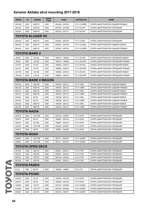| <b>MODEL</b>      | cc   | <b>ENGINE</b>           | <b>DRIVE</b><br><b>TYPE</b> | <b>YEAR</b>     | <b>AKITAKA NO</b> | <b>NAME</b>                        |
|-------------------|------|-------------------------|-----------------------------|-----------------|-------------------|------------------------------------|
| MCU28             | 3300 | 3MZ-FE                  | 4WD                         | 200308 - 200704 | 0111-CU30RR       | ОПОРА АМОРТИЗАТОРА ЗАДНЯЯ ПРАВАЯ   |
| <b>GSU40</b>      | 3500 | 2GR-FE                  | 2WD                         | 200705 - 201006 | 0111-ACV4F        | ОПОРА АМОРТИЗАТОРА ПЕРЕДНЯЯ        |
| GSU45             | 3500 | 2GR-FE                  | 4WD                         | 200705 - 201311 | 0111-ACV4F        | ОПОРА АМОРТИЗАТОРА ПЕРЕДНЯЯ        |
|                   |      | <b>TOYOTA KLUGER HV</b> |                             |                 |                   |                                    |
| MHU28             | 3300 | 3MZ-FE                  | 4WD                         | 200503 - 200704 | 0111-CU25F        | ОПОРА АМОРТИЗАТОРА ПЕРЕДНЯЯ        |
| MHU28             | 3300 | 3MZ-FE                  | 4WD                         | 200503 - 200704 | 0111-CU30RL       | ОПОРА АМОРТИЗАТОРА ЗАДНЯЯ ЛЕВАЯ    |
| MHU28             | 3300 | 3MZ-FE                  | 4WD                         | 200503 - 200704 | 0111-CU30RR       | ОПОРА АМОРТИЗАТОРА ЗАДНЯЯ ПРАВАЯ   |
|                   |      | TOYOTA MARK 2           |                             |                 |                   |                                    |
| JZX93             | 2500 | 1JZ-GE                  | 4WD                         | 199310 - 199609 | 0111-ZS15FL       | ОПОРА АМОРТИЗАТОРА ПЕРЕДНЯЯ ЛЕВАЯ  |
| JZX93             | 2500 | 1JZ-GE                  | 4WD                         | 199310 - 199609 | 0111-ZS15FR       | ОПОРА АМОРТИЗАТОРА ПЕРЕДНЯЯ ПРАВАЯ |
| GX105             | 2000 | 1G-FE                   | 4WD                         | 199808 - 200010 | 0111-ZS15FL       | ОПОРА АМОРТИЗАТОРА ПЕРЕДНЯЯ ЛЕВАЯ  |
| GX105             | 2000 | 1G-FE                   | 4WD                         | 199808 - 200010 | 0111-ZS15FR       | ОПОРА АМОРТИЗАТОРА ПЕРЕДНЯЯ ПРАВАЯ |
| <b>JZX105</b>     | 2500 | 1JZ-GE                  | 4WD                         | 199609 - 200010 | 0111-ZS15FL       | ОПОРА АМОРТИЗАТОРА ПЕРЕДНЯЯ ЛЕВАЯ  |
| <b>JZX105</b>     | 2500 | 1JZ-GE                  | 4WD                         | 199609 - 200010 | 0111-ZS15FR       | ОПОРА АМОРТИЗАТОРА ПЕРЕДНЯЯ ПРАВАЯ |
|                   |      | TOYOTA MARK II WAGON    |                             |                 |                   |                                    |
| MCV20             | 3000 | 1MZ-FE                  | 2WD                         | 199704 - 200112 | 0111-V3RL         | ОПОРА АМОРТИЗАТОРА ЗАДНЯЯ ЛЕВАЯ    |
| MCV20             | 3000 | 1MZ-FE                  | 2WD                         | 199704 - 200112 | 0111-V3RR         | ОПОРА АМОРТИЗАТОРА ЗАДНЯЯ ПРАВАЯ   |
| MCV21             | 2500 | 2MZ-FE                  | 2WD                         | 199704 - 200112 | 0111-V3RL         | ОПОРА АМОРТИЗАТОРА ЗАДНЯЯ ЛЕВАЯ    |
| MCV21             | 2500 | 2MZ-FE                  | 2WD                         | 199704 - 200112 | 0111-V3RR         | ОПОРА АМОРТИЗАТОРА ЗАДНЯЯ ПРАВАЯ   |
| SXV25             | 2200 | 5S-FE                   | 4WD                         | 199706 - 200112 | 0111-V3RL         | ОПОРА АМОРТИЗАТОРА ЗАДНЯЯ ЛЕВАЯ    |
| SXV25             | 2200 | 5S-FE                   | 4WD                         | 199706 - 200112 | 0111-V3RR         | ОПОРА АМОРТИЗАТОРА ЗАДНЯЯ ПРАВАЯ   |
| MCV25             | 2500 | 2MZ-FE                  | 4WD                         | 199706 - 200112 | 0111-V3RL         | ОПОРА АМОРТИЗАТОРА ЗАДНЯЯ ЛЕВАЯ    |
| MCV25             | 2500 | 2MZ-FE                  | 4WD                         | 199706 - 200112 | 0111-V3RR         | ОПОРА АМОРТИЗАТОРА ЗАДНЯЯ ПРАВАЯ   |
| TOYOTA NADIA      |      |                         |                             |                 |                   |                                    |
| ACN <sub>10</sub> | 2000 | 1AZ-FSE                 | 2WD                         | 200104 - 200307 | 0111-M10F         | ОПОРА АМОРТИЗАТОРА ПЕРЕДНЯЯ        |
| SXN10             | 2000 | 3S-FE                   | 2WD                         | 199807 - 200104 | 0111-M10F         | ОПОРА АМОРТИЗАТОРА ПЕРЕДНЯЯ        |
| SXN <sub>10</sub> | 2000 | 3S-FSE                  | 2WD                         | 199807 - 200104 | 0111-M10F         | ОПОРА АМОРТИЗАТОРА ПЕРЕДНЯЯ        |
| ACN <sub>15</sub> | 2000 | 1AZ-FSE                 | 4WD                         | 200208 - 200307 | 0111-M10F         | ОПОРА АМОРТИЗАТОРА ПЕРЕДНЯЯ        |
| SXN <sub>15</sub> | 2000 | 3S-FE                   | 4WD                         | 199807 - 200208 | 0111-M10F         | ОПОРА АМОРТИЗАТОРА ПЕРЕДНЯЯ        |
| TOYOTA NOAH       |      |                         |                             |                 |                   |                                    |
| AZR60             | 2000 | 1AZ-FSE                 | 2WD                         | 200111 - 200705 | 0111-ACM2F        | ОПОРА АМОРТИЗАТОРА ПЕРЕДНЯЯ        |
| AZR65             | 2000 | 1AZ-FSE                 | 4WD                         | 200111 - 200705 | 0111-ACM2F        | ОПОРА АМОРТИЗАТОРА ПЕРЕДНЯЯ        |
|                   |      | <b>TOYOTA OPEN DECK</b> |                             |                 |                   |                                    |
| NCP30             | 1300 | 2NZ-FE                  | 2WD                         | 200001 - 200512 | 0111-P10F         | ОПОРА АМОРТИЗАТОРА ПЕРЕДНЯЯ        |
| NCP31             | 1500 | 1NZ-FE                  | 2WD                         | 200001 - 200512 | 0111-P10F         | ОПОРА АМОРТИЗАТОРА ПЕРЕДНЯЯ        |
| NCP34             | 1500 | 1NZ-FE                  | 2WD                         | 200106 - 200303 | 0111-P10F         | ОПОРА АМОРТИЗАТОРА ПЕРЕДНЯЯ        |
| NCP35             | 1500 | 1NZ-FE                  | 4WD                         | 200001 - 200512 | 0111-P10F         | ОПОРА АМОРТИЗАТОРА ПЕРЕДНЯЯ        |
|                   |      | TOYOTA PASEO            |                             |                 |                   |                                    |
| <b>EL54</b>       | 1500 | 5E-FE                   | 2WD                         | 199609 - 199903 | 0111-L5F          | ОПОРА АМОРТИЗАТОРА ПЕРЕДНЯЯ        |
|                   |      | TOYOTA PICNIC           |                             |                 |                   |                                    |
| CXM10             | 2200 | 3C-TE                   | 2WD                         | 199709 - 200105 | 0111-M10F         | ОПОРА АМОРТИЗАТОРА ПЕРЕДНЯЯ        |
| SXM10             | 2000 | 3S-FE                   | 2WD                         | 199609 - 200105 | 0111-M10F         | ОПОРА АМОРТИЗАТОРА ПЕРЕДНЯЯ        |
| ACM20             | 2000 | 1AZ-FE                  | 2WD                         | 200105 - 200506 | 0111-ACM2F        | ОПОРА АМОРТИЗАТОРА ПЕРЕДНЯЯ        |
| CLM20             | 2000 | 1CD-FTV                 | 2WD                         | 200105 - 200309 | 0111-ACM2F        | ОПОРА АМОРТИЗАТОРА ПЕРЕДНЯЯ        |
| ACM21             | 2400 | 2AZ-FE                  | 2WD                         | 200310 - 200911 | 0111-ACM2F        | ОПОРА АМОРТИЗАТОРА ПЕРЕДНЯЯ        |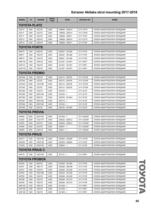| <b>MODEL</b>                   | cc           | <b>ENGINE</b>         | <b>DRIVE</b><br><b>TYPE</b> | <b>YEAR</b>                     | <b>AKITAKA NO</b>      | <b>NAME</b>                                                |  |  |
|--------------------------------|--------------|-----------------------|-----------------------------|---------------------------------|------------------------|------------------------------------------------------------|--|--|
| TOYOTA PLATZ                   |              |                       |                             |                                 |                        |                                                            |  |  |
| SCP <sub>10</sub>              | 1000         | 1SZ-FE                | 2WD                         | 199908 - 200510                 | 0111-CP1F              | ОПОРА АМОРТИЗАТОРА ПЕРЕДНЯЯ                                |  |  |
| SCP <sub>11</sub>              | 1000         | 1SZ-FE                | 2WD                         | 199908 - 200510                 | 0111-CP2F              | ОПОРА АМОРТИЗАТОРА ПЕРЕДНЯЯ                                |  |  |
| SCP <sub>11</sub>              | 1000         | 1SZ-FE                | 2WD                         | 199908 - 200511                 | 0111-P10F              | ОПОРА АМОРТИЗАТОРА ПЕРЕДНЯЯ                                |  |  |
| NCP12                          | 1500         | 1NZ-FE                | 2WD                         | 199908 - 200510                 | 0111-CP1F              | ОПОРА АМОРТИЗАТОРА ПЕРЕДНЯЯ                                |  |  |
| NCP <sub>12</sub>              | 1500         | 1NZ-FE                | 2WD                         | 199908 - 200511                 | 0111-P10F              | ОПОРА АМОРТИЗАТОРА ПЕРЕДНЯЯ                                |  |  |
| TOYOTA PORTE                   |              |                       |                             |                                 |                        |                                                            |  |  |
| NNP <sub>10</sub>              | 1300         | 2NZ-FE                | 2WD                         | 200407 - 201206                 | 0111-P10F              | ОПОРА АМОРТИЗАТОРА ПЕРЕДНЯЯ                                |  |  |
| <b>NNP11</b>                   | 1500         | 1NZ-FE                | 2WD                         | 200407 - 201206                 | 0111-P10F              | ОПОРА АМОРТИЗАТОРА ПЕРЕДНЯЯ                                |  |  |
| NNP <sub>15</sub>              | 1500         | 1NZ-FE                | 4WD                         | 200601 - 201206                 | 0111-P10F              | ОПОРА АМОРТИЗАТОРА ПЕРЕДНЯЯ                                |  |  |
| <b>NSP140</b>                  | 1300         | 1NR-FE                | 2WD                         | 201207 - 201507                 | 0111-P9F1              | ОПОРА АМОРТИЗАТОРА ПЕРЕДНЯЯ                                |  |  |
| <b>NCP141</b>                  | 1500         | 1NZ-FE                | 2WD                         | 201207 - 201507                 | 0111-P9F1              | ОПОРА АМОРТИЗАТОРА ПЕРЕДНЯЯ                                |  |  |
| <b>NCP145</b>                  | 1500         | 1NZ-FE                | 4WD                         | 201207 - 201507                 | 0111-P9F1              | ОПОРА АМОРТИЗАТОРА ПЕРЕДНЯЯ                                |  |  |
|                                |              | <b>TOYOTA PREMIO</b>  |                             |                                 |                        |                                                            |  |  |
| <b>NZT240</b>                  | 1500         | 1NZ-FE                | 2WD                         | 200112 - 200705                 | 0111-ZT24F             | ОПОРА АМОРТИЗАТОРА ПЕРЕДНЯЯ                                |  |  |
| ZZT240                         | 1800         | 1ZZ-FE                | 2WD                         | 200112 - 200705                 | 0111-ZT24F             | ОПОРА АМОРТИЗАТОРА ПЕРЕДНЯЯ                                |  |  |
| AZT240                         | 2000         | 1AZ-FSE               | 2WD                         | 200112 - 200705                 | 0111-ZT24F             | ОПОРА АМОРТИЗАТОРА ПЕРЕДНЯЯ                                |  |  |
| ZZT245                         | 1800         | 1ZZ-FE                | 4WD                         | 200112 - 200705                 | 0111-ZT24F             | ОПОРА АМОРТИЗАТОРА ПЕРЕДНЯЯ                                |  |  |
| <b>NZT260</b>                  | 1500         | 1NZ-FE                | 2WD                         | $200705 - 5$                    | 0111-E12F              | ОПОРА АМОРТИЗАТОРА ПЕРЕДНЯЯ                                |  |  |
| <b>ZRT260</b>                  | 1800         | 2ZR-FAE               | 2WD                         | $201004 - 5$                    | 0111-E12F              | ОПОРА АМОРТИЗАТОРА ПЕРЕДНЯЯ                                |  |  |
| <b>ZRT260</b>                  | 1800         | 2ZR-FE                | 2WD                         | 200705 - 201004                 | 0111-E12F              | ОПОРА АМОРТИЗАТОРА ПЕРЕДНЯЯ                                |  |  |
| <b>ZRT261</b>                  | 2000         | 3ZR-FAE               | 2WD                         | $200712 - 5$                    | 0111-E12F              |                                                            |  |  |
|                                |              |                       |                             |                                 |                        | ОПОРА АМОРТИЗАТОРА ПЕРЕДНЯЯ                                |  |  |
| <b>ZRT265</b><br><b>ZRT265</b> | 1800<br>1800 | 2ZR-FAE<br>2ZR-FE     | 4WD<br>4WD                  | $201004 - 5$<br>200705 - 201004 | 0111-E12F<br>0111-E12F | ОПОРА АМОРТИЗАТОРА ПЕРЕДНЯЯ<br>ОПОРА АМОРТИЗАТОРА ПЕРЕДНЯЯ |  |  |
|                                |              | TOYOTA PREVIA         |                             |                                 |                        |                                                            |  |  |
|                                |              |                       |                             |                                 |                        |                                                            |  |  |
| AHR20                          | 2400         | 2AZ-FXE               | 2WD                         | $201304 - 5$                    | 0111-GSA3F             | ОПОРА АМОРТИЗАТОРА ПЕРЕДНЯЯ                                |  |  |
| CLR30                          | 2000         | 1CD-FTV               | 2WD                         | 200002 - 200512                 | 0111-ACR3F             | ОПОРА АМОРТИЗАТОРА ПЕРЕДНЯЯ                                |  |  |
| ACR30                          | 2400         | 2AZ-FE                | 2WD                         | 200002 - 200512                 | 0111-ACR3F             | ОПОРА АМОРТИЗАТОРА ПЕРЕДНЯЯ                                |  |  |
| ACR50                          | 2400         | 2AZ-FE                | 2WD                         | $200601 - 5$                    | 0111-GSA3F             | ОПОРА АМОРТИЗАТОРА ПЕРЕДНЯЯ                                |  |  |
| GSR50                          | 3500         | 2GR-FE                | 2WD                         | $200611 - 5$                    | 0111-GSA3F             | ОПОРА АМОРТИЗАТОРА ПЕРЕДНЯЯ                                |  |  |
| <b>TOYOTA PRIUS</b>            |              |                       |                             |                                 |                        |                                                            |  |  |
| NHW11                          | 1500         | 1NZ-FXE               | 2WD                         | 200005 - 200308                 | 0111-W10F              | ОПОРА АМОРТИЗАТОРА ПЕРЕДНЯЯ                                |  |  |
| NHW20                          | 1500         | 1NZ-FXE               | 2WD                         | 200308 - 200904                 | 0111-E12F              | ОПОРА АМОРТИЗАТОРА ПЕРЕДНЯЯ                                |  |  |
| ZVW30                          | 1600         | 2ZR-FXE               | 2WD                         | $200904 - 5$                    | 0111-E15F              | ОПОРА АМОРТИЗАТОРА ПЕРЕДНЯЯ                                |  |  |
|                                |              | <b>TOYOTA PRIUS C</b> |                             |                                 |                        |                                                            |  |  |
| NHP10                          | 1500         | 1NZ-FXE               | 2WD                         | $201112 - 5$                    | 0111-P9F1              | ОПОРА АМОРТИЗАТОРА ПЕРЕДНЯЯ                                |  |  |
|                                |              | TOYOTA PROBOX         |                             |                                 |                        |                                                            |  |  |
| NCP50                          | 1300         | 2NZ-FE                | 2WD                         | 200206 - 201409                 | 0111-P10F              | ОПОРА АМОРТИЗАТОРА ПЕРЕДНЯЯ                                |  |  |
| NLP51                          | 1400         | 1ND-TV                | 2WD                         | 200206 - 200708                 | 0111-P10F              | ОПОРА АМОРТИЗАТОРА ПЕРЕДНЯЯ                                |  |  |
| NCP51                          | 1500         | 1NZ-FE                | 2WD                         | 200206 - 201409                 | 0111-P10F              | ОПОРА АМОРТИЗАТОРА ПЕРЕДНЯЯ                                |  |  |
| NCP52                          | 1500         | 1NZ-FNE               | 2WD                         | 200304 - 201409                 | 0111-P10F              | ОПОРА АМОРТИЗАТОРА ПЕРЕДНЯЯ                                |  |  |
| NCP <sub>55</sub>              | 1500         | 1NZ-FE                | 4WD                         | 200206 - 201409                 | 0111-P10F              | ОПОРА АМОРТИЗАТОРА ПЕРЕДНЯЯ                                |  |  |
| NCP58                          | 1500         | 1NZ-FE                | 2WD                         | 200206 - 201310                 | 0111-P10F              | ОПОРА АМОРТИЗАТОРА ПЕРЕДНЯЯ                                |  |  |
| NCP59                          | 1500         | 1NZ-FE                | 4WD                         | 200206 - 201310                 | 0111-P10F              | ОПОРА АМОРТИЗАТОРА ПЕРЕДНЯЯ                                |  |  |
| <b>NSP160</b>                  | 1300         | 1NR-FE                | 2WD                         | $201409 - 5$                    | 0111-P9F1              | ОПОРА АМОРТИЗАТОРА ПЕРЕДНЯЯ                                |  |  |
| <b>NCP160</b>                  | 1500         | 1NZ-FE                | 2WD                         | $201409 - 5$                    | 0111-P9F1              | ОПОРА АМОРТИЗАТОРА ПЕРЕДНЯЯ                                |  |  |
| <b>NCP165</b>                  | 1500         | 1NZ-FE                | 4WD                         | $201409 - <$                    | 0111-P9F1              | ОПОРА АМОРТИЗАТОРА ПЕРЕДНЯЯ                                |  |  |

TOVOIA TOYOTA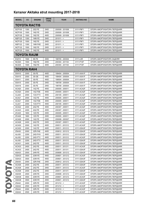| <b>MODEL</b>  | cc                   | <b>ENGINE</b> | <b>DRIVE</b><br><b>TYPE</b> | <b>YEAR</b>     | <b>AKITAKA NO</b> | <b>NAME</b>                 |  |  |  |
|---------------|----------------------|---------------|-----------------------------|-----------------|-------------------|-----------------------------|--|--|--|
|               | <b>TOYOTA RACTIS</b> |               |                             |                 |                   |                             |  |  |  |
| <b>SCP100</b> | 1300                 | 2SZ-FE        | 2WD                         | 200509 - 201008 | 0111-P9F1         | ОПОРА АМОРТИЗАТОРА ПЕРЕДНЯЯ |  |  |  |
| <b>NCP100</b> | 1500                 | 1NZ-FE        | 2WD                         | 200509 - 201008 | 0111-P9F1         | ОПОРА АМОРТИЗАТОРА ПЕРЕДНЯЯ |  |  |  |
| <b>NCP105</b> | 1500                 | 1NZ-FE        | 4WD                         | 200509 - 201008 | 0111-P9F1         | ОПОРА АМОРТИЗАТОРА ПЕРЕДНЯЯ |  |  |  |
| <b>NSP120</b> | 1300                 | 1NR-FE        | 2WD                         | $201011 - 5$    | 0111-P9F1         | ОПОРА АМОРТИЗАТОРА ПЕРЕДНЯЯ |  |  |  |
| <b>NCP120</b> | 1500                 | 1NZ-FE        | 2WD                         | $201011 - 5$    | 0111-P9F1         | ОПОРА АМОРТИЗАТОРА ПЕРЕДНЯЯ |  |  |  |
| <b>NSP122</b> | 1300                 | 1NR-FKE       | 2WD                         | $201011 - 5$    | 0111-P9F1         | ОПОРА АМОРТИЗАТОРА ПЕРЕДНЯЯ |  |  |  |
| <b>NCP122</b> | 1500                 | 1NZ-FE        | 2WD                         | $201011 - 5$    | 0111-P9F1         | ОПОРА АМОРТИЗАТОРА ПЕРЕДНЯЯ |  |  |  |
| <b>NCP125</b> | 1500                 | 1NZ-FE        | 4WD                         | $201011 - 5$    | 0111-P9F1         | ОПОРА АМОРТИЗАТОРА ПЕРЕДНЯЯ |  |  |  |
| TOYOTA RAUM   |                      |               |                             |                 |                   |                             |  |  |  |
| <b>EXZ10</b>  | 1500                 | 5E-FE         | 2WD                         | 199705 - 200304 | 0111-L5R          | ОПОРА АМОРТИЗАТОРА ЗАДНЯЯ   |  |  |  |
| NCZ20         | 1500                 | 1NZ-FE        | 2WD                         | 200304 - 201104 | 0111-P10F         | ОПОРА АМОРТИЗАТОРА ПЕРЕДНЯЯ |  |  |  |
| NCZ25         | 1500                 | 1NZ-FE        | 4WD                         | 200304 - 201104 | 0111-P10F         | ОПОРА АМОРТИЗАТОРА ПЕРЕДНЯЯ |  |  |  |
| TOYOTA RAV4   |                      |               |                             |                 |                   |                             |  |  |  |
| <b>SXA10</b>  | 2000                 | 3S-FE         | 4WD                         | 199404 - 200004 | 0111-AXA1F        | ОПОРА АМОРТИЗАТОРА ПЕРЕДНЯЯ |  |  |  |
| SXA10         | 2000                 | 3S-GE         | 4WD                         | 199404 - 200004 | 0111-AXA1F        | ОПОРА АМОРТИЗАТОРА ПЕРЕДНЯЯ |  |  |  |
| SXA11         | 2000                 | 3S-FE         | 4WD                         | 199504 - 200004 | 0111-AXA1F        | ОПОРА АМОРТИЗАТОРА ПЕРЕДНЯЯ |  |  |  |
| SXA15         | 2000                 | 3S-FE         | 2WD                         | 199709 - 200004 | 0111-AXA1F        | ОПОРА АМОРТИЗАТОРА ПЕРЕДНЯЯ |  |  |  |
| SXA16         | 2000                 | 3S-FE         | 2WD                         | 199709 - 200004 | 0111-AXA1F        | ОПОРА АМОРТИЗАТОРА ПЕРЕДНЯЯ |  |  |  |
| ACA20         | 2000                 | 1AZ-FE        | 4WD                         | 200005 - 200511 | 0111-ACA2F        | ОПОРА АМОРТИЗАТОРА ПЕРЕДНЯЯ |  |  |  |
| ACA20         | 2000                 | 1AZ-FSE       | 4WD                         | 200005 - 200511 | 0111-ACA2F        | ОПОРА АМОРТИЗАТОРА ПЕРЕДНЯЯ |  |  |  |
| CLA20         | 2000                 | 1CD-FTV       | 4WD                         | 200105 - 200511 | 0111-ACA2F        | ОПОРА АМОРТИЗАТОРА ПЕРЕДНЯЯ |  |  |  |
| ACA21         | 2000                 | 1AZ-FE        | 4WD                         | 200005 - 200511 | 0111-ACA2F        | ОПОРА АМОРТИЗАТОРА ПЕРЕДНЯЯ |  |  |  |
| ACA21         | 2000                 | 1AZ-FSE       | 4WD                         | 200005 - 200511 | 0111-ACA2F        | ОПОРА АМОРТИЗАТОРА ПЕРЕДНЯЯ |  |  |  |
| CLA21         | 2000                 | 1CD-FTV       | 4WD                         | 200105 - 200511 | 0111-ACA2F        | ОПОРА АМОРТИЗАТОРА ПЕРЕДНЯЯ |  |  |  |
| ACA22         | 2400                 | 2AZ-FE        | 4WD                         | 200307 - 200511 | 0111-ACA2F        | ОПОРА АМОРТИЗАТОРА ПЕРЕДНЯЯ |  |  |  |
| ACA23         | 2400                 | 2AZ-FE        | 4WD                         | 200307 - 200511 | 0111-ACA2F        | ОПОРА АМОРТИЗАТОРА ПЕРЕДНЯЯ |  |  |  |
| ZCA25         | 1800                 | 1ZZ-FE        | 2WD                         | 200005 - 200511 | 0111-ACA2F        | ОПОРА АМОРТИЗАТОРА ПЕРЕДНЯЯ |  |  |  |
| ZCA26         | 1800                 | 1ZZ-FE        | 2WD                         | 200005 - 200511 | 0111-ACA2F        | ОПОРА АМОРТИЗАТОРА ПЕРЕДНЯЯ |  |  |  |
| ACA26         | 2000                 | 1AZ-FE        | 2WD                         | 200008 - 200307 | 0111-ACA2F        | ОПОРА АМОРТИЗАТОРА ПЕРЕДНЯЯ |  |  |  |
| ACA28         | 2400                 | 2AZ-FE        | 2WD                         | 200307 - 200511 | 0111-ACA2F        | ОПОРА АМОРТИЗАТОРА ПЕРЕДНЯЯ |  |  |  |
| ACA30         | 2000                 | 1AZ-FE        | 4WD                         | 200511 - 201212 | 0111-ACA3F        | ОПОРА АМОРТИЗАТОРА ПЕРЕДНЯЯ |  |  |  |
| ACA30         | 2000                 | 1AZ-FE        | 4WD                         | 200511 - 201212 | 0111-GSA3F        | ОПОРА АМОРТИЗАТОРА ПЕРЕДНЯЯ |  |  |  |
| ZSA30         | 2000                 | 3ZR-FAE       | 4WD                         | 200812 - 201212 | 0111-GSA3F        | ОПОРА АМОРТИЗАТОРА ПЕРЕДНЯЯ |  |  |  |
| ALA30         | 2200                 | 2AD-FHV       | 4WD                         | 200511 - 201212 | 0111-GSA3F        | ОПОРА АМОРТИЗАТОРА ПЕРЕДНЯЯ |  |  |  |
| ALA30         | 2200                 | 2AD-FTV       | 4WD                         | 200511 - 201212 | 0111-ACA3F        | ОПОРА АМОРТИЗАТОРА ПЕРЕДНЯЯ |  |  |  |
| ALA30         | 2200                 | 2AD-FTV       | 4WD                         | 200511 - 201212 | 0111-GSA3F        | ОПОРА АМОРТИЗАТОРА ПЕРЕДНЯЯ |  |  |  |
| ACA31         | 2400                 | 2AZ-FE        | 4WD                         | 200511 - 201212 | 0111-GSA3F        | ОПОРА АМОРТИЗАТОРА ПЕРЕДНЯЯ |  |  |  |
| ACA33         | 2400                 | 2AZ-FE        | 4WD                         | 200511 - 201211 | 0111-ACA3F        | ОПОРА АМОРТИЗАТОРА ПЕРЕДНЯЯ |  |  |  |
| ACA33         | 2400                 | 2AZ-FE        | 4WD                         | 200511 - 201311 | 0111-GSA3F        | ОПОРА АМОРТИЗАТОРА ПЕРЕДНЯЯ |  |  |  |
| ASA33         | 2500                 | 2AR-FE        | 4WD                         | 200808 - 201212 | 0111-GSA3F        | ОПОРА АМОРТИЗАТОРА ПЕРЕДНЯЯ |  |  |  |
| GSA33         | 3500                 | 2GR-FE        | 4WD                         | 200601 - 201212 | 0111-ACA3F        | ОПОРА АМОРТИЗАТОРА ПЕРЕДНЯЯ |  |  |  |
| GSA33         | 3500                 | 2GR-FE        | 4WD                         | 200601 - 201212 | 0111-GSA3F        | ОПОРА АМОРТИЗАТОРА ПЕРЕДНЯЯ |  |  |  |
| ZSA35         | 2000                 | 3ZR-FAE       | 2WD                         | 200812 - 201212 | 0111-GSA3F        | ОПОРА АМОРТИЗАТОРА ПЕРЕДНЯЯ |  |  |  |
| ACA36         | 2400                 | 2AZ-FE        | 2WD                         | 200511 - 201212 | 0111-GSA3F        | ОПОРА АМОРТИЗАТОРА ПЕРЕДНЯЯ |  |  |  |
| ACA38         | 2400                 | 2AZ-FE        | 2WD                         | 200511 - 201212 | 0111-ACA3F        | ОПОРА АМОРТИЗАТОРА ПЕРЕДНЯЯ |  |  |  |
| ACA38         | 2400                 | 2AZ-FE        | 2WD                         | 200511 - 201311 | 0111-GSA3F        | ОПОРА АМОРТИЗАТОРА ПЕРЕДНЯЯ |  |  |  |
| ASA38         | 2500                 | 2AR-FE        | 2WD                         | 200808 - 201212 | 0111-GSA3F        | ОПОРА АМОРТИЗАТОРА ПЕРЕДНЯЯ |  |  |  |
| GSA38         | 3500                 | 2GR-FE        | 2WD                         | 200601 - 201212 | 0111-ACA3F        | ОПОРА АМОРТИЗАТОРА ПЕРЕДНЯЯ |  |  |  |
| GSA38         | 3500                 | 2GR-FE        | 2WD                         | 200601 - 201212 | 0111-GSA3F        | ОПОРА АМОРТИЗАТОРА ПЕРЕДНЯЯ |  |  |  |
| ZSA42         | 2000                 | 3ZR-FE        | 2WD                         | $201212 - 5$    | 0111-ACA3F        | ОПОРА АМОРТИЗАТОРА ПЕРЕДНЯЯ |  |  |  |
| ASA42         | 2500                 | 2AR-FE        | 2WD                         | $201212 - 5$    | 0111-ACA3F        | ОПОРА АМОРТИЗАТОРА ПЕРЕДНЯЯ |  |  |  |
| ZSA44         | 2000                 | 3ZR-FE        | 2WD                         | $201510 - <$    | 0111-ACA3F        | ОПОРА АМОРТИЗАТОРА ПЕРЕДНЯЯ |  |  |  |
| ASA44         | 2500                 | 2AR-FE        | 4WD                         | $201212 - 5$    | 0111-ACA3F        | ОПОРА АМОРТИЗАТОРА ПЕРЕДНЯЯ |  |  |  |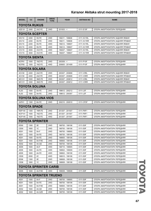| <b>MODEL</b>      | cc           | <b>ENGINE</b>          | <b>DRIVE</b><br><b>TYPE</b> | <b>YEAR</b>     | <b>AKITAKA NO</b> | <b>NAME</b>                      |  |  |  |
|-------------------|--------------|------------------------|-----------------------------|-----------------|-------------------|----------------------------------|--|--|--|
|                   | TOYOTA RUKUS |                        |                             |                 |                   |                                  |  |  |  |
| AZE151            | 2400         | 2AZ-FE                 | 2WD                         | $201003 - 5$    | 0111-E15F         | ОПОРА АМОРТИЗАТОРА ПЕРЕДНЯЯ      |  |  |  |
|                   |              | <b>TOYOTA SCEPTER</b>  |                             |                 |                   |                                  |  |  |  |
| <b>SXV10</b>      | 2200         | 5S-FE                  | 2WD                         | 199211 - 199608 | 0111-XV1RL        | ОПОРА АМОРТИЗАТОРА ЗАДНЯЯ ЛЕВАЯ  |  |  |  |
| SXV <sub>10</sub> | 2200         | 5S-FE                  | 2WD                         | 199211 - 199608 | 0111-XV1RR        | ОПОРА АМОРТИЗАТОРА ЗАДНЯЯ ПРАВАЯ |  |  |  |
| SXV <sub>15</sub> | 2200         | 5S-FE                  | 4WD                         | 199212 - 199607 | 0111-XV1RL        | ОПОРА АМОРТИЗАТОРА ЗАДНЯЯ ЛЕВАЯ  |  |  |  |
| SXV <sub>15</sub> | 2200         | 5S-FE                  | 4WD                         | 199212 - 199607 | 0111-XV1RR        | ОПОРА АМОРТИЗАТОРА ЗАДНЯЯ ПРАВАЯ |  |  |  |
| VCV <sub>15</sub> | 3000         | 3VZ-FE                 | 4WD                         | 199207 - 199607 | 0111-XV1RL        | ОПОРА АМОРТИЗАТОРА ЗАДНЯЯ ЛЕВАЯ  |  |  |  |
| VCV <sub>15</sub> | 3000         | 3VZ-FE                 | 4WD                         | 199207 - 199607 | 0111-XV1RR        | ОПОРА АМОРТИЗАТОРА ЗАДНЯЯ ПРАВАЯ |  |  |  |
| TOYOTA SIENTA     |              |                        |                             |                 |                   |                                  |  |  |  |
| NCP81             | 1500         | 1NZ-FE                 | 2WD                         | $200309 - 5$    | 0111-P10F         | ОПОРА АМОРТИЗАТОРА ПЕРЕДНЯЯ      |  |  |  |
| NCP85             | 1500         | 1NZ-FE                 | 4WD                         | 200605 - 201409 | 0111-P10F         | ОПОРА АМОРТИЗАТОРА ПЕРЕДНЯЯ      |  |  |  |
|                   |              | <b>TOYOTA SOLARA</b>   |                             |                 |                   |                                  |  |  |  |
| ACV30             | 2400         | 2AZ-FE                 | 2WD                         | 200307 - 200808 | 0111-V3RL         | ОПОРА АМОРТИЗАТОРА ЗАДНЯЯ ЛЕВАЯ  |  |  |  |
| ACV30             | 2400         | 2AZ-FE                 | 2WD                         | 200307 - 200808 | 0111-V3RR         | ОПОРА АМОРТИЗАТОРА ЗАДНЯЯ ПРАВАЯ |  |  |  |
| MCV31             | 3300         | 3MZ-FE                 | 2WD                         | 200307 - 200812 | 0111-V3RL         | ОПОРА АМОРТИЗАТОРА ЗАДНЯЯ ЛЕВАЯ  |  |  |  |
| MCV31             | 3300         | 3MZ-FE                 | 2WD                         | 200307 - 200812 | 0111-V3RR         | ОПОРА АМОРТИЗАТОРА ЗАДНЯЯ ПРАВАЯ |  |  |  |
|                   |              | <b>TOYOTA SOLUNA</b>   |                             |                 |                   |                                  |  |  |  |
| AL50              | 1500         | 5A-FE                  | 2WD                         | 199612 - 200212 | 0111-L5F          | ОПОРА АМОРТИЗАТОРА ПЕРЕДНЯЯ      |  |  |  |
| AL50              | 1500         | 5A-FE                  | 2WD                         | 199612 - 200307 | 0111-L5F          | ОПОРА АМОРТИЗАТОРА ПЕРЕДНЯЯ      |  |  |  |
|                   |              | TOYOTA SOLUNA VIOS     |                             |                 |                   |                                  |  |  |  |
| AXP41             | 1300         | 8A-FE                  | 2WD                         | 200210 - 200510 | 0111-CP2F         | ОПОРА АМОРТИЗАТОРА ПЕРЕДНЯЯ      |  |  |  |
|                   |              | TOYOTA SPADE           |                             |                 |                   |                                  |  |  |  |
| <b>NSP140</b>     | 1300         | 1NR-FE                 | 2WD                         | 201207 - 201507 | 0111-P9F1         | ОПОРА АМОРТИЗАТОРА ПЕРЕДНЯЯ      |  |  |  |
| <b>NCP141</b>     | 1500         | 1NZ-FE                 | 2WD                         | 201207 - 201507 | 0111-P9F1         | ОПОРА АМОРТИЗАТОРА ПЕРЕДНЯЯ      |  |  |  |
| <b>NCP145</b>     | 1500         | 1NZ-FE                 | 4WD                         | 201207 - 201507 | 0111-P9F1         | ОПОРА АМОРТИЗАТОРА ПЕРЕДНЯЯ      |  |  |  |
|                   |              | <b>TOYOTA SPRINTER</b> |                             |                 |                   |                                  |  |  |  |
| EE90              | 1300         | 2E                     | 2WD                         | 198705 - 199106 | 0111-E9F          | ОПОРА АМОРТИЗАТОРА ПЕРЕДНЯЯ      |  |  |  |
| <b>CE90</b>       | 1800         | 1C                     | 2WD                         | 198705 - 199106 | 0111-E9F          | ОПОРА АМОРТИЗАТОРА ПЕРЕДНЯЯ      |  |  |  |
| AE91              | 1500         | 5A-F                   | 2WD                         | 198705 - 198905 | 0111-E9F          | ОПОРА АМОРТИЗАТОРА ПЕРЕДНЯЯ      |  |  |  |
| AE91              | 1500         | 5A-FE                  | 2WD                         | 198705 - 199106 | 0111-E9F          | ОПОРА АМОРТИЗАТОРА ПЕРЕДНЯЯ      |  |  |  |
| AE91              | 1500         | 5A-FE                  | 2WD                         | 198805 - 199106 | 0111-E9F          | ОПОРА АМОРТИЗАТОРА ПЕРЕДНЯЯ      |  |  |  |
| AE91              | 1500         | 5A-FHE                 | 2WD                         | 198905 - 199106 | 0111-E9F          | ОПОРА АМОРТИЗАТОРА ПЕРЕДНЯЯ      |  |  |  |
| AE92              | 1600         | 4A-GE                  | 2WD                         | 198705 - 199106 | 0111-E9F          | ОПОРА АМОРТИЗАТОРА ПЕРЕДНЯЯ      |  |  |  |
| AE95              | 1600         | 4A-F                   | 4WD                         | 198710 - 198905 | 0111-E9F          | ОПОРА АМОРТИЗАТОРА ПЕРЕДНЯЯ      |  |  |  |
| AE95              | 1600         | 4A-FE                  | 4WD                         | 198802 - 199009 | 0111-E9F          | ОПОРА АМОРТИЗАТОРА ПЕРЕДНЯЯ      |  |  |  |
| AE95              | 1600         | 4A-FE                  | 4WD                         | 198802 - 199106 | 0111-E9F          | ОПОРА АМОРТИЗАТОРА ПЕРЕДНЯЯ      |  |  |  |
| <b>CE95</b>       | 2000         | 2C                     | 4WD                         | 198910 - 199106 | 0111-E9F          | ОПОРА АМОРТИЗАТОРА ПЕРЕДНЯЯ      |  |  |  |
| EE96              | 1300         | 2E                     | 2WD                         | 198808 - 199108 | 0111-E9F          | ОПОРА АМОРТИЗАТОРА ПЕРЕДНЯЯ      |  |  |  |
| CE96              | 1800         | 1C                     | 2WD                         | 198808 - 199108 | 0111-E9F          | ОПОРА АМОРТИЗАТОРА ПЕРЕДНЯЯ      |  |  |  |
|                   |              | TOYOTA SPRINTER CARIB  |                             |                 |                   |                                  |  |  |  |
| AE95              | 1600         | 4A-FHE                 | 4WD                         | 199009 - 199508 | 0111-E9F          | ОПОРА АМОРТИЗАТОРА ПЕРЕДНЯЯ      |  |  |  |
|                   |              | TOYOTA SPRINTER TRUENO |                             |                 |                   |                                  |  |  |  |
| AE91              | 1500         | 5A-F                   | 2WD                         | 198705 - 198905 | 0111-E9F          | ОПОРА АМОРТИЗАТОРА ПЕРЕДНЯЯ      |  |  |  |
| AE91              | 1500         | 5A-FE                  | 2WD                         | 198705 - 199106 | 0111-E9F          | ОПОРА АМОРТИЗАТОРА ПЕРЕДНЯЯ      |  |  |  |
| AE91              | 1500         | 5A-FHE                 | 2WD                         | 198905 - 199106 | 0111-E9F          | ОПОРА АМОРТИЗАТОРА ПЕРЕДНЯЯ      |  |  |  |
| AE92              | 1600         | 4A-GE                  | 2WD                         | 198705 - 199106 | 0111-E9F          | ОПОРА АМОРТИЗАТОРА ПЕРЕДНЯЯ      |  |  |  |
| AE92              | 1600         | 4A-GZE                 | 2WD                         | 198705 - 199106 | 0111-E9F          | ОПОРА АМОРТИЗАТОРА ПЕРЕДНЯЯ      |  |  |  |

TOVOTA TOYOTA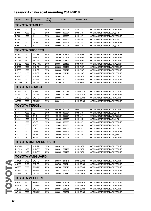| <b>MODEL</b>          | СC             | <b>ENGINE</b>               | <b>DRIVE</b><br><b>TYPE</b> | <b>YEAR</b>     | <b>AKITAKA NO</b> | <b>NAME</b>                 |  |  |  |
|-----------------------|----------------|-----------------------------|-----------------------------|-----------------|-------------------|-----------------------------|--|--|--|
|                       | TOYOTA STARLET |                             |                             |                 |                   |                             |  |  |  |
| EP90                  | 1300           | 2E                          | 2WD                         | 199601 - 199907 | 0111-L5F          | ОПОРА АМОРТИЗАТОРА ПЕРЕДНЯЯ |  |  |  |
| EP90                  | 1300           | 2E                          | 2WD                         | 199601 - 199907 | 0111-L5R          | ОПОРА АМОРТИЗАТОРА ЗАДНЯЯ   |  |  |  |
| <b>NP90</b>           | 1500           | 1 <sub>N</sub>              | 2WD                         | 199601 - 199907 | 0111-L5F          | ОПОРА АМОРТИЗАТОРА ПЕРЕДНЯЯ |  |  |  |
| <b>NP90</b>           | 1500           | 1 <sub>N</sub>              | 2WD                         | 199601 - 199907 | 0111-L5R          | ОПОРА АМОРТИЗАТОРА ЗАДНЯЯ   |  |  |  |
| EP91                  | 1300           | 4E-FE                       | 2WD                         | 199601 - 199907 | 0111-L5F          | ОПОРА АМОРТИЗАТОРА ПЕРЕДНЯЯ |  |  |  |
| EP91                  | 1300           | 4E-FE                       | 2WD                         | 199601 - 199907 | 0111-L5R          | ОПОРА АМОРТИЗАТОРА ЗАДНЯЯ   |  |  |  |
| <b>TOYOTA SUCCEED</b> |                |                             |                             |                 |                   |                             |  |  |  |
| NCP50                 | 1300           | 2NZ-FE                      | 2WD                         | 200206 - 201409 | 0111-P10F         | ОПОРА АМОРТИЗАТОРА ПЕРЕДНЯЯ |  |  |  |
| NLP51                 | 1400           | 1ND-TV                      | 2WD                         | 200206 - 200708 | 0111-P10F         | ОПОРА АМОРТИЗАТОРА ПЕРЕДНЯЯ |  |  |  |
| NCP51                 | 1500           | 1NZ-FE                      | 2WD                         | 200206 - 201409 | 0111-P10F         | ОПОРА АМОРТИЗАТОРА ПЕРЕДНЯЯ |  |  |  |
| NCP <sub>52</sub>     | 1500           | 1NZ-FNE                     | 2WD                         | 200304 - 201409 | 0111-P10F         | ОПОРА АМОРТИЗАТОРА ПЕРЕДНЯЯ |  |  |  |
| NCP <sub>55</sub>     | 1500           | 1NZ-FE                      | 4WD                         | 200206 - 201409 | 0111-P10F         | ОПОРА АМОРТИЗАТОРА ПЕРЕДНЯЯ |  |  |  |
| NCP58                 | 1500           | 1NZ-FE                      | 2WD                         | 200206 - 201310 | 0111-P10F         | ОПОРА АМОРТИЗАТОРА ПЕРЕДНЯЯ |  |  |  |
| NCP59                 | 1500           | 1NZ-FE                      | 4WD                         | 200206 - 201310 | 0111-P10F         | ОПОРА АМОРТИЗАТОРА ПЕРЕДНЯЯ |  |  |  |
| <b>NSP160</b>         | 1300           | 1NR-FE                      | 2WD                         | $201409 - <$    | 0111-P9F1         | ОПОРА АМОРТИЗАТОРА ПЕРЕДНЯЯ |  |  |  |
| <b>NCP160</b>         | 1500           | 1NZ-FE                      | 2WD                         | $201409 - <$    | 0111-P9F1         | ОПОРА АМОРТИЗАТОРА ПЕРЕДНЯЯ |  |  |  |
| <b>NCP165</b>         | 1500           | 1NZ-FE                      | 4WD                         | $201409 - <$    | 0111-P9F1         | ОПОРА АМОРТИЗАТОРА ПЕРЕДНЯЯ |  |  |  |
|                       |                | <b>TOYOTA TARAGO</b>        |                             |                 |                   |                             |  |  |  |
| CLR30                 | 2000           | 1CD-FTV                     | 2WD                         | 200002 - 200512 | 0111-ACR3F        | ОПОРА АМОРТИЗАТОРА ПЕРЕДНЯЯ |  |  |  |
| ACR30                 | 2400           | 2AZ-FE                      | 2WD                         | 200002 - 200512 | 0111-ACR3F        | ОПОРА АМОРТИЗАТОРА ПЕРЕДНЯЯ |  |  |  |
| ACR50                 | 2400           | 2AZ-FE                      | 2WD                         | $200601 - 5$    | 0111-GSA3F        | ОПОРА АМОРТИЗАТОРА ПЕРЕДНЯЯ |  |  |  |
| GSR <sub>50</sub>     | 3500           | 2GR-FE                      | 2WD                         | $200611 - 5$    | 0111-GSA3F        | ОПОРА АМОРТИЗАТОРА ПЕРЕДНЯЯ |  |  |  |
|                       |                |                             |                             |                 |                   |                             |  |  |  |
|                       |                | <b>TOYOTA TERCEL</b>        |                             |                 |                   |                             |  |  |  |
| <b>EL50</b>           | 1300           | 2E                          | 2WD                         | 199409 - 199907 | 0111-L5F          | ОПОРА АМОРТИЗАТОРА ПЕРЕДНЯЯ |  |  |  |
| EL50                  | 1300           | 2E                          | 2WD                         | 199409 - 199907 | 0111-L5R          | ОПОРА АМОРТИЗАТОРА ЗАДНЯЯ   |  |  |  |
| <b>NL50</b>           | 1500           | $1N-T$                      | 2WD                         | 199409 - 199907 | 0111-L5F          | ОПОРА АМОРТИЗАТОРА ПЕРЕДНЯЯ |  |  |  |
| <b>NL50</b>           | 1500           | $1N-T$                      | 2WD                         | 199409 - 199907 | 0111-L5R          | ОПОРА АМОРТИЗАТОРА ЗАДНЯЯ   |  |  |  |
| EL51                  | 1300           | 4E-FE                       | 2WD                         | 199409 - 199907 | 0111-L5F          | ОПОРА АМОРТИЗАТОРА ПЕРЕДНЯЯ |  |  |  |
| <b>EL51</b>           | 1300           | 4E-FE                       | 2WD                         | 199409 - 199907 | 0111-L5R          | ОПОРА АМОРТИЗАТОРА ЗАДНЯЯ   |  |  |  |
| <b>EL53</b>           | 1500           | 5E-FE                       | 2WD                         | 199409 - 199608 | 0111-L5F          | ОПОРА АМОРТИЗАТОРА ПЕРЕДНЯЯ |  |  |  |
| <b>EL53</b>           | 1500           | 5E-FE                       | 2WD                         | 199409 - 199907 | 0111-L5F          | ОПОРА АМОРТИЗАТОРА ПЕРЕДНЯЯ |  |  |  |
| EL53                  | 1500           | 5E-FE                       | 2WD                         | 199409 - 199907 | 0111-L5R          | ОПОРА АМОРТИЗАТОРА ЗАДНЯЯ   |  |  |  |
| <b>EL55</b>           | 1500           | 5E-FE                       | 4WD                         | 199409 - 199907 | 0111-L5F          | ОПОРА АМОРТИЗАТОРА ПЕРЕДНЯЯ |  |  |  |
|                       |                | <b>TOYOTA URBAN CRUISER</b> |                             |                 |                   |                             |  |  |  |
| <b>NSP110</b>         | 1300           | 1NR-FE                      | 2WD                         | $200901 - 5$    | 0111-P9F1         | ОПОРА АМОРТИЗАТОРА ПЕРЕДНЯЯ |  |  |  |
| <b>NLP110</b>         | 1400           | 1ND-TV                      | 2WD                         | 200901 - 201405 | 0111-P9F1         | ОПОРА АМОРТИЗАТОРА ПЕРЕДНЯЯ |  |  |  |
| <b>NLP115</b>         | 1400           | 1ND-TV                      | 4WD                         | 200902 - 201405 | 0111-P9F1         | ОПОРА АМОРТИЗАТОРА ПЕРЕДНЯЯ |  |  |  |
|                       |                | <b>TOYOTA VANGUARD</b>      |                             |                 |                   |                             |  |  |  |
| ACA31                 | 2400           | 2AZ-FE                      | 4WD                         | 200511 - 201212 | 0111-GSA3F        | ОПОРА АМОРТИЗАТОРА ПЕРЕДНЯЯ |  |  |  |
| ACA33                 | 2400           | 2AZ-FE                      | 4WD                         | 200708 - 201311 | 0111-GSA3F        | ОПОРА АМОРТИЗАТОРА ПЕРЕДНЯЯ |  |  |  |
| GSA33                 | 3500           | 2GR-FE                      | 4WD                         | 200708 - 201212 | 0111-GSA3F        | ОПОРА АМОРТИЗАТОРА ПЕРЕДНЯЯ |  |  |  |
| ACA36                 | 2400           | 2AZ-FE                      | 2WD                         | 200511 - 201212 | 0111-GSA3F        | ОПОРА АМОРТИЗАТОРА ПЕРЕДНЯЯ |  |  |  |
| ACA38                 | 2400           | 2AZ-FE                      | 2WD                         | 200808 - 201311 | 0111-GSA3F        | ОПОРА АМОРТИЗАТОРА ПЕРЕДНЯЯ |  |  |  |
|                       |                | <b>TOYOTA VELLFIRE</b>      |                             |                 |                   |                             |  |  |  |
| ANH <sub>20</sub>     | 2400           | 2AZ-FE                      | 2WD                         | 200804 - 201501 | 0111-GSA3F        | ОПОРА АМОРТИЗАТОРА ПЕРЕДНЯЯ |  |  |  |
|                       | 3500           | 2GR-FE                      | 2WD                         | 200804 - 201501 | 0111-GSA3F        | ОПОРА АМОРТИЗАТОРА ПЕРЕДНЯЯ |  |  |  |
| GGH <sub>20</sub>     |                |                             |                             |                 |                   |                             |  |  |  |
| ANH <sub>25</sub>     | 2400           | 2AZ-FE                      | 4WD                         | 200804 - 201501 | 0111-GSA3F        | ОПОРА АМОРТИЗАТОРА ПЕРЕДНЯЯ |  |  |  |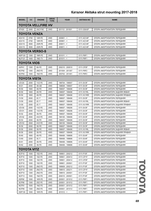| <b>MODEL</b>          | cc                        | <b>ENGINE</b> | <b>DRIVE</b><br><b>TYPE</b> | <b>YEAR</b>     | <b>AKITAKA NO</b> | <b>NAME</b>                      |  |  |  |
|-----------------------|---------------------------|---------------|-----------------------------|-----------------|-------------------|----------------------------------|--|--|--|
|                       | <b>TOYOTA VELLFIRE HV</b> |               |                             |                 |                   |                                  |  |  |  |
| ATH <sub>20</sub>     | 2400                      | 2AZ-FXE       | 2WD                         | 201112 - 201501 | 0111-GSA3F        | ОПОРА АМОРТИЗАТОРА ПЕРЕДНЯЯ      |  |  |  |
|                       | <b>TOYOTA VENZA</b>       |               |                             |                 |                   |                                  |  |  |  |
| AGV10                 | 2700                      | 1AR-FE        | 2WD                         | $200901 - 5$    | 0111-ACV4F        | ОПОРА АМОРТИЗАТОРА ПЕРЕДНЯЯ      |  |  |  |
| AGV15                 | 2700                      | 1AR-FE        | 4WD                         | $200901 - 5$    | 0111-ACV4F        | ОПОРА АМОРТИЗАТОРА ПЕРЕДНЯЯ      |  |  |  |
| GGV10                 | 3500                      | 2GR-FE        | 2WD                         | $200811 - 5$    | 0111-ACV4F        | ОПОРА АМОРТИЗАТОРА ПЕРЕДНЯЯ      |  |  |  |
| GGV15                 | 3500                      | 2GR-FE        | 4WD                         | $200811 - 5$    | 0111-ACV4F        | ОПОРА АМОРТИЗАТОРА ПЕРЕДНЯЯ      |  |  |  |
| <b>TOYOTA VERSO-S</b> |                           |               |                             |                 |                   |                                  |  |  |  |
| <b>NSP120</b>         | 1300                      | 1NR-FE        | 2WD                         | $201011 - 5$    | 0111-P9F1         | ОПОРА АМОРТИЗАТОРА ПЕРЕДНЯЯ      |  |  |  |
| <b>NLP121</b>         | 1400                      | 1ND-TV        | 2WD                         | $201011 - 5$    | 0111-P9F1         | ОПОРА АМОРТИЗАТОРА ПЕРЕДНЯЯ      |  |  |  |
| <b>TOYOTA VIOS</b>    |                           |               |                             |                 |                   |                                  |  |  |  |
| AXP41                 | 1300                      | 8A-FE         | 2WD                         | 200210 - 200510 | 0111-CP2F         | ОПОРА АМОРТИЗАТОРА ПЕРЕДНЯЯ      |  |  |  |
| NCP92                 | 1300                      | 2NZ-FE        | 2WD                         | 201004 - 201307 | 0111-P9F2         | ОПОРА АМОРТИЗАТОРА ПЕРЕДНЯЯ      |  |  |  |
| NCP93                 | 1500                      | 1NZ-FE        | 2WD                         | 200702 - 201401 | 0111-P9F2         | ОПОРА АМОРТИЗАТОРА ПЕРЕДНЯЯ      |  |  |  |
|                       |                           |               |                             |                 |                   |                                  |  |  |  |
| <b>TOYOTA VISTA</b>   |                           |               |                             |                 |                   |                                  |  |  |  |
| <b>VZV20</b>          | 2000                      | 1VZ-FE        | 2WD                         | 198704 - 199007 | 0111-SV3F         | ОПОРА АМОРТИЗАТОРА ПЕРЕДНЯЯ      |  |  |  |
| SV21                  | 2000                      | 3S-GE         | 2WD                         | 198608 - 199007 | 0111-SV3F         | ОПОРА АМОРТИЗАТОРА ПЕРЕДНЯЯ      |  |  |  |
| SV30                  | 1800                      | 4S-FE         | 2WD                         | 199007 - 199406 | 0111-SV3F         | ОПОРА АМОРТИЗАТОРА ПЕРЕДНЯЯ      |  |  |  |
| SV30                  | 1800                      | 4S-FE         | 2WD                         | 199007 - 199406 | 0111-XV1RL        | ОПОРА АМОРТИЗАТОРА ЗАДНЯЯ ЛЕВАЯ  |  |  |  |
| SV30                  | 1800                      | 4S-FE         | 2WD                         | 199007 - 199406 | 0111-XV1RR        | ОПОРА АМОРТИЗАТОРА ЗАДНЯЯ ПРАВАЯ |  |  |  |
| <b>CV30</b>           | 2000                      | $2C-T$        | 2WD                         | 199007 - 199406 | 0111-SV3F         | ОПОРА АМОРТИЗАТОРА ПЕРЕДНЯЯ      |  |  |  |
| <b>CV30</b>           | 2000                      | $2C-T$        | 2WD                         | 199007 - 199406 | 0111-XV1RL        | ОПОРА АМОРТИЗАТОРА ЗАДНЯЯ ЛЕВАЯ  |  |  |  |
| <b>CV30</b>           | 2000                      | $2C-T$        | 2WD                         | 199007 - 199406 | 0111-XV1RR        | ОПОРА АМОРТИЗАТОРА ЗАДНЯЯ ПРАВАЯ |  |  |  |
| VZV30                 | 2000                      | 1VZ-FE        | 2WD                         | 199007 - 199206 | 0111-SV3F         | ОПОРА АМОРТИЗАТОРА ПЕРЕДНЯЯ      |  |  |  |
| VZV31                 | 2000                      | 1VZ-FE        | 2WD                         | 199007 - 199206 | 0111-SV3F         | ОПОРА АМОРТИЗАТОРА ПЕРЕДНЯЯ      |  |  |  |
| SV32                  | 2000                      | 3S-FE         | 2WD                         | 199007 - 199406 | 0111-SV3F         | ОПОРА АМОРТИЗАТОРА ПЕРЕДНЯЯ      |  |  |  |
| VZV32                 | 2500                      | 4VZ-FE        | 2WD                         | 199105 - 199406 | 0111-SV3F         | ОПОРА АМОРТИЗАТОРА ПЕРЕДНЯЯ      |  |  |  |
| SV33                  | 2000                      | 3S-FE         | 2WD                         | 199007 - 199406 | 0111-SV3F         | ОПОРА АМОРТИЗАТОРА ПЕРЕДНЯЯ      |  |  |  |
| VZV33                 | 2500                      | 4VZ-FE        | 2WD                         | 199105 - 199406 | 0111-SV3F         | ОПОРА АМОРТИЗАТОРА ПЕРЕДНЯЯ      |  |  |  |
| SV35                  | 2000                      | 3S-FE         | 4WD                         | 199007 - 199406 | 0111-SV3F         | ОПОРА АМОРТИЗАТОРА ПЕРЕДНЯЯ      |  |  |  |
| SV35                  | 2000                      | 3S-FE         | 4WD                         | 199007 - 199406 | 0111-XV1RL        | ОПОРА АМОРТИЗАТОРА ЗАДНЯЯ ЛЕВАЯ  |  |  |  |
| <b>SV35</b>           | 2000                      | 3S-FE         | 4WD                         | 199007 - 199406 | 0111-XV1RR        | ОПОРА АМОРТИЗАТОРА ЗАДНЯЯ ПРАВАЯ |  |  |  |
| SV40                  | 1800                      | 4S-FE         | 2WD                         | 199406 - 199806 | 0111-SV4F         | ОПОРА АМОРТИЗАТОРА ПЕРЕДНЯЯ      |  |  |  |
| <b>CV40</b>           | 2200                      | $3C-T$        | 2WD                         | 199406 - 199806 | 0111-SV4F         | ОПОРА АМОРТИЗАТОРА ПЕРЕДНЯЯ      |  |  |  |
| SV41                  | 2000                      | 3S-FE         | 2WD                         | 199406 - 199806 | 0111-SV4F         | ОПОРА АМОРТИЗАТОРА ПЕРЕДНЯЯ      |  |  |  |
| SV42                  | 2000                      | 3S-FE         | 2WD                         | 199406 - 199806 | 0111-SV4F         | ОПОРА АМОРТИЗАТОРА ПЕРЕДНЯЯ      |  |  |  |
| <b>TOYOTA VITZ</b>    |                           |               |                             |                 |                   |                                  |  |  |  |
| SCP10                 | 1000                      | 1SZ-FE        | 2WD                         | 199901 - 200212 | 0111-P10F         | ОПОРА АМОРТИЗАТОРА ПЕРЕДНЯЯ      |  |  |  |
| SCP <sub>10</sub>     | 1000                      | 1SZ-FE        | 2WD                         | 199901 - 200412 | 0111-CP1F         | ОПОРА АМОРТИЗАТОРА ПЕРЕДНЯЯ      |  |  |  |
| SCP <sub>10</sub>     | 1000                      | 1SZ-FE        | 2WD                         | 199901 - 200412 | 0111-CP2F         | ОПОРА АМОРТИЗАТОРА ПЕРЕДНЯЯ      |  |  |  |
| SCP <sub>10</sub>     | 1000                      | 1SZ-FE        | 2WD                         | 199901 - 200501 | 0111-P10F         | ОПОРА АМОРТИЗАТОРА ПЕРЕДНЯЯ      |  |  |  |
| NCP <sub>10</sub>     | 1300                      | 2NZ-FE        | 2WD                         | 199909 - 200212 | 0111-P10F         | ОПОРА АМОРТИЗАТОРА ПЕРЕДНЯЯ      |  |  |  |
| NCP <sub>10</sub>     | 1300                      | 2NZ-FE        | 2WD                         | 199910 - 200211 | 0111-CP1F         | ОПОРА АМОРТИЗАТОРА ПЕРЕДНЯЯ      |  |  |  |
| NCP <sub>10</sub>     | 1300                      | 2NZ-FE        | 2WD                         | 199910 - 200501 | 0111-P10F         | ОПОРА АМОРТИЗАТОРА ПЕРЕДНЯЯ      |  |  |  |
| NCP13                 | 1500                      | 1NZ-FE        | 2WD                         | 200010 - 200501 | 0111-P10F         | ОПОРА АМОРТИЗАТОРА ПЕРЕДНЯЯ      |  |  |  |
| KSP90                 | 1000                      | 1KR-FE        | 2WD                         | 200501 - 201012 | 0111-P9F1         | ОПОРА АМОРТИЗАТОРА ПЕРЕДНЯЯ      |  |  |  |
| SCP90                 | 1300                      | 2SZ-FE        | 2WD                         | 200501 - 201012 | 0111-P9F1         | ОПОРА АМОРТИЗАТОРА ПЕРЕДНЯЯ      |  |  |  |
| NCP91                 | 1500                      | 1NZ-FE        | 2WD                         | 200501 - 201012 | 0111-P9F1         | ОПОРА АМОРТИЗАТОРА ПЕРЕДНЯЯ      |  |  |  |
| NCP95                 | 1300                      | 2NZ-FE        | 4WD                         | 200501 - 201012 | 0111-P9F1         | ОПОРА АМОРТИЗАТОРА ПЕРЕДНЯЯ      |  |  |  |
| <b>KSP130</b>         | 1000                      | 1KR-FE        | 2WD                         | $201012 - 5$    | 0111-P9F1         | ОПОРА АМОРТИЗАТОРА ПЕРЕДНЯЯ      |  |  |  |
|                       |                           |               |                             |                 |                   |                                  |  |  |  |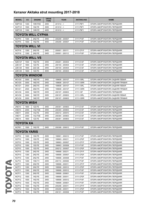| <b>MODEL</b>        | cc                       | <b>ENGINE</b>         | <b>DRIVE</b><br><b>TYPE</b> | <b>YEAR</b>     | <b>AKITAKA NO</b> | <b>NAME</b>                      |  |  |  |
|---------------------|--------------------------|-----------------------|-----------------------------|-----------------|-------------------|----------------------------------|--|--|--|
| <b>NSP130</b>       | 1300                     | 1NR-FKE               | 2WD                         | $201012 - 5$    | 0111-P9F1         | ОПОРА АМОРТИЗАТОРА ПЕРЕДНЯЯ      |  |  |  |
| <b>NCP131</b>       | 1500                     | 1NZ-FE                | 2WD                         | $201012 - 5$    | 0111-P9F1         | ОПОРА АМОРТИЗАТОРА ПЕРЕДНЯЯ      |  |  |  |
| <b>NSP135</b>       | 1300                     | 1NR-FE                | 4WD                         | $201012 - 5$    | 0111-P9F1         | ОПОРА АМОРТИЗАТОРА ПЕРЕДНЯЯ      |  |  |  |
|                     | <b>TOYOTA WILL CYPHA</b> |                       |                             |                 |                   |                                  |  |  |  |
| NCP70               | 1300                     | 2NZ-FE                | 2WD                         | 200209 - 200507 | 0111-P10F         | ОПОРА АМОРТИЗАТОРА ПЕРЕДНЯЯ      |  |  |  |
| NCP75               | 1500                     | 1NZ-FE                | 4WD                         | 200209 - 200507 | 0111-P10F         | ОПОРА АМОРТИЗАТОРА ПЕРЕДНЯЯ      |  |  |  |
|                     | <b>TOYOTA WILL VI</b>    |                       |                             |                 |                   |                                  |  |  |  |
| NCP <sub>19</sub>   | 1300                     | 2NZ-FE                | 2WD                         | 200001 - 200111 | 0111-CP1F         | ОПОРА АМОРТИЗАТОРА ПЕРЕДНЯЯ      |  |  |  |
| NCP <sub>19</sub>   | 1300                     | 2NZ-FE                | 2WD                         | 200001 - 200112 | 0111-P10F         | ОПОРА АМОРТИЗАТОРА ПЕРЕДНЯЯ      |  |  |  |
|                     |                          | <b>TOYOTA WILL VS</b> |                             |                 |                   |                                  |  |  |  |
| <b>NZE127</b>       | 1500                     | 1NZ-FE                | 2WD                         | 200201 - 200404 | 0111-E12F         | ОПОРА АМОРТИЗАТОРА ПЕРЕДНЯЯ      |  |  |  |
| <b>ZZE127</b>       | 1800                     | 1ZZ-FE                | 2WD                         | 200104 - 200404 | 0111-E12F         | ОПОРА АМОРТИЗАТОРА ПЕРЕДНЯЯ      |  |  |  |
| <b>ZZE128</b>       | 1800                     | 2ZZ-GE                | 2WD                         | 200104 - 200404 | 0111-E12F         | ОПОРА АМОРТИЗАТОРА ПЕРЕДНЯЯ      |  |  |  |
| <b>ZZE129</b>       | 1800                     | 1ZZ-FE                | 4WD                         | 200104 - 200404 | 0111-E12F         | ОПОРА АМОРТИЗАТОРА ПЕРЕДНЯЯ      |  |  |  |
|                     |                          | <b>TOYOTA WINDOM</b>  |                             |                 |                   |                                  |  |  |  |
| MCV20               | 3000                     | 1MZ-FE                | 2WD                         | 199608 - 200107 | 0111-V3RL         | ОПОРА АМОРТИЗАТОРА ЗАДНЯЯ ЛЕВАЯ  |  |  |  |
| MCV20               | 3000                     | 1MZ-FE                | 2WD                         | 199608 - 200107 | 0111-V3RR         | ОПОРА АМОРТИЗАТОРА ЗАДНЯЯ ПРАВАЯ |  |  |  |
| MCV21               | 2500                     | 2MZ-FE                | 2WD                         | 199608 - 200107 | 0111-V3RL         | ОПОРА АМОРТИЗАТОРА ЗАДНЯЯ ЛЕВАЯ  |  |  |  |
| MCV21               | 2500                     | 2MZ-FE                | 2WD                         | 199608 - 200107 | 0111-V3RR         | ОПОРА АМОРТИЗАТОРА ЗАДНЯЯ ПРАВАЯ |  |  |  |
| MCV30               | 3000                     | 1MZ-FE                | 2WD                         | 200107 - 200603 | 0111-V3F          | ОПОРА АМОРТИЗАТОРА ПЕРЕДНЯЯ      |  |  |  |
| MCV30               | 3000                     | 1MZ-FE                | 2WD                         | 200107 - 200603 | 0111-V3RL         | ОПОРА АМОРТИЗАТОРА ЗАДНЯЯ ЛЕВАЯ  |  |  |  |
| MCV30               | 3000                     | 1MZ-FE                | 2WD                         | 200107 - 200603 | 0111-V3RR         | ОПОРА АМОРТИЗАТОРА ЗАДНЯЯ ПРАВАЯ |  |  |  |
| <b>TOYOTA WISH</b>  |                          |                       |                             |                 |                   |                                  |  |  |  |
| ZNE <sub>10</sub>   | 1800                     | 1ZZ-FE                | 2WD                         | 200301 - 200903 | 0111-E12F         | ОПОРА АМОРТИЗАТОРА ПЕРЕДНЯЯ      |  |  |  |
| ANE <sub>10</sub>   | 2000                     | 1AZ-FSE               | 2WD                         | 200304 - 200903 | 0111-E12F         | ОПОРА АМОРТИЗАТОРА ПЕРЕДНЯЯ      |  |  |  |
| ANE <sub>11</sub>   | 2000                     | 1AZ-FE                | 2WD                         | 200312 - 200910 | 0111-E12F         | ОПОРА АМОРТИЗАТОРА ПЕРЕДНЯЯ      |  |  |  |
| <b>ANE11</b>        | 2000                     | 1AZ-FSE               | 2WD                         | 200304 - 200903 | 0111-E12F         | ОПОРА АМОРТИЗАТОРА ПЕРЕДНЯЯ      |  |  |  |
| ZNE <sub>14</sub>   | 1800                     | 1ZZ-FE                | 4WD                         | 200301 - 200903 | 0111-E12F         | ОПОРА АМОРТИЗАТОРА ПЕРЕДНЯЯ      |  |  |  |
| ΤΟΥΟΤΑ ΧΑ           |                          |                       |                             |                 |                   |                                  |  |  |  |
| NCP61               | 1500                     | 1NZ-FE                | 2WD                         | 200308 - 200612 | 0111-P10F         | ОПОРА АМОРТИЗАТОРА ПЕРЕДНЯЯ      |  |  |  |
| <b>TOYOTA YARIS</b> |                          |                       |                             |                 |                   |                                  |  |  |  |
| SCP <sub>10</sub>   | 1000                     | 1SZ-FE                | 2WD                         | 199901 - 200212 | 0111-P10F         | ОПОРА АМОРТИЗАТОРА ПЕРЕДНЯЯ      |  |  |  |
| SCP <sub>10</sub>   | 1000                     | 1SZ-FE                | 2WD                         | 199903 - 200211 | 0111-CP2F         | ОПОРА АМОРТИЗАТОРА ПЕРЕДНЯЯ      |  |  |  |
| SCP <sub>10</sub>   | 1000                     | 1SZ-FE                | 2WD                         | 199903 - 200507 | 0111-CP1F         | ОПОРА АМОРТИЗАТОРА ПЕРЕДНЯЯ      |  |  |  |
| SCP <sub>10</sub>   | 1000                     | 1SZ-FE                | 2WD                         | 199903 - 200508 | 0111-P10F         | ОПОРА АМОРТИЗАТОРА ПЕРЕДНЯЯ      |  |  |  |
| SCP <sub>10</sub>   | 1000                     | 1SZ-FE                | 2WD                         | 200212 - 200507 | 0111-CP2F         | ОПОРА АМОРТИЗАТОРА ПЕРЕДНЯЯ      |  |  |  |
| NCP <sub>10</sub>   | 1300                     | 2NZ-FE                | 2WD                         | 199908 - 200211 | 0111-CP1F         | ОПОРА АМОРТИЗАТОРА ПЕРЕДНЯЯ      |  |  |  |
| NCP10               | 1300                     | 2NZ-FE                | 2WD                         | 199908 - 200507 | 0111-CP2F         | ОПОРА АМОРТИЗАТОРА ПЕРЕДНЯЯ      |  |  |  |
| NCP <sub>10</sub>   | 1300                     | 2NZ-FE                | 2WD                         | 199908 - 200508 | 0111-P10F         | ОПОРА АМОРТИЗАТОРА ПЕРЕДНЯЯ      |  |  |  |
| NLP10               | 1400                     | 1ND-TV                | 2WD                         | 200110 - 200508 | 0111-P10F         | ОПОРА АМОРТИЗАТОРА ПЕРЕДНЯЯ      |  |  |  |
| NCP <sub>11</sub>   | 1300                     | 2NZ-FE                | 2WD                         | 199908 - 200511 | 0111-CP1F         | ОПОРА АМОРТИЗАТОРА ПЕРЕДНЯЯ      |  |  |  |
| NCP11               | 1300                     | 2NZ-FE                | 2WD                         | 199908 - 200512 | 0111-CP2F         | ОПОРА АМОРТИЗАТОРА ПЕРЕДНЯЯ      |  |  |  |
| NCP11               | 1300                     | 2NZ-FE                | 2WD                         | 199908 - 200512 | 0111-P10F         | ОПОРА АМОРТИЗАТОРА ПЕРЕДНЯЯ      |  |  |  |
| NCP11               | 1300                     | 2NZ-FE                | 2WD                         | 199908 - 200601 | 0111-P10F         | ОПОРА АМОРТИЗАТОРА ПЕРЕДНЯЯ      |  |  |  |
| NCP12               | 1500                     | 1NZ-FE                | 2WD                         | 199908 - 200511 | 0111-CP2F         | ОПОРА АМОРТИЗАТОРА ПЕРЕДНЯЯ      |  |  |  |
| NCP <sub>12</sub>   | 1500                     | 1NZ-FE                | 2WD                         | 199908 - 200512 | 0111-P10F         | ОПОРА АМОРТИЗАТОРА ПЕРЕДНЯЯ      |  |  |  |
| NCP12               | 1500                     | 1NZ-FE                | 2WD                         | 199908 - 200601 | 0111-P10F         | ОПОРА АМОРТИЗАТОРА ПЕРЕДНЯЯ      |  |  |  |
| NCP <sub>12</sub>   | 1500                     | 1NZ-FE                | 2WD                         | 200208 - 200511 | 0111-CP1F         | ОПОРА АМОРТИЗАТОРА ПЕРЕДНЯЯ      |  |  |  |
| NCP12               | 1500                     | 1NZ-FE                | 2WD                         | 200208 - 200511 | 0111-CP2F         | ОПОРА АМОРТИЗАТОРА ПЕРЕДНЯЯ      |  |  |  |
| NCP13               | 1500                     | 1NZ-FE                | 2WD                         | 200101 - 200508 | 0111-P10F         | ОПОРА АМОРТИЗАТОРА ПЕРЕДНЯЯ      |  |  |  |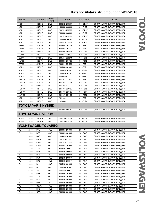| <b>MODEL</b>      | cc   | <b>ENGINE</b>              | <b>DRIVE</b><br><b>TYPE</b> | <b>YEAR</b>     | <b>AKITAKA NO</b> | <b>NAME</b>                 |
|-------------------|------|----------------------------|-----------------------------|-----------------|-------------------|-----------------------------|
| NCP <sub>13</sub> | 1500 | 1NZ-FE                     | 2WD                         | 200212 - 200507 | 0111-CP2F         | ОПОРА АМОРТИЗАТОРА ПЕРЕДНЯЯ |
| NCP <sub>20</sub> | 1300 | 2NZ-FE                     | 2WD                         | 199908 - 200509 | 0111-P10F         | ОПОРА АМОРТИЗАТОРА ПЕРЕДНЯЯ |
| NCP <sub>20</sub> | 1300 | 2NZ-FE                     | 2WD                         | 200211 - 200508 | 0111-CP2F         | ОПОРА АМОРТИЗАТОРА ПЕРЕДНЯЯ |
| NCP21             | 1500 | 1NZ-FE                     | 2WD                         | 200003 - 200509 | 0111-P10F         | ОПОРА АМОРТИЗАТОРА ПЕРЕДНЯЯ |
| NCP <sub>21</sub> | 1500 | 1NZ-FE                     | 2WD                         | 200211 - 200508 | 0111-CP2F         | ОПОРА АМОРТИЗАТОРА ПЕРЕДНЯЯ |
| NCP22             | 1300 | 2NZ-FE                     | 2WD                         | 200003 - 200509 | 0111-P10F         | ОПОРА АМОРТИЗАТОРА ПЕРЕДНЯЯ |
| NCP22             | 1300 | 2NZ-FE                     | 2WD                         | 200211 - 200508 | 0111-CP2F         | ОПОРА АМОРТИЗАТОРА ПЕРЕДНЯЯ |
| KSP90             | 1000 | 1KR-FE                     | 2WD                         | 200508 - 201108 | 0111-P9F1         | ОПОРА АМОРТИЗАТОРА ПЕРЕДНЯЯ |
| KSP90             | 1000 | 1KR-FE                     | 2WD                         | 200601 - 201107 | 0111-P9F2         | ОПОРА АМОРТИЗАТОРА ПЕРЕДНЯЯ |
| NCP90             | 1300 | 2NZ-FE                     | 2WD                         | 200508 - 201108 | 0111-P9F1         | ОПОРА АМОРТИЗАТОРА ПЕРЕДНЯЯ |
| NSP90             | 1300 | 1NR-FE                     | 2WD                         | 200811 - 201107 | 0111-P9F2         | ОПОРА АМОРТИЗАТОРА ПЕРЕДНЯЯ |
| SCP90             | 1300 | 2SZ-FE                     | 2WD                         | 200511 - 200811 | 0111-P9F2         | ОПОРА АМОРТИЗАТОРА ПЕРЕДНЯЯ |
| NLP90             | 1400 | 1ND-TV                     | 2WD                         | 200601 - 201107 | 0111-P9F2         | ОПОРА АМОРТИЗАТОРА ПЕРЕДНЯЯ |
| ZSP90             | 1800 | 2ZR-FE                     | 2WD                         | 200611 - 201006 | 0111-P9F1         | ОПОРА АМОРТИЗАТОРА ПЕРЕДНЯЯ |
| NCP91             | 1500 | 1NZ-FE                     | 2WD                         | 200508 - 201409 | 0111-P9F1         | ОПОРА АМОРТИЗАТОРА ПЕРЕДНЯЯ |
| NCP91             | 1500 | 1NZ-FE                     | 2WD                         | 200601 - 201307 | 0111-P9F2         | ОПОРА АМОРТИЗАТОРА ПЕРЕДНЯЯ |
| NCP92             | 1300 | 2NZ-FE                     | 2WD                         | 200601 - 201307 | 0111-P9F1         | ОПОРА АМОРТИЗАТОРА ПЕРЕДНЯЯ |
| NCP93             | 1500 | 1NZ-FE                     | 2WD                         | $200601 - 5$    | 0111-P9F1         | ОПОРА АМОРТИЗАТОРА ПЕРЕДНЯЯ |
| <b>KSP130</b>     | 1000 | 1KR-FE                     | 2WD                         | 201107 - 201407 | 0111-P9F2         | ОПОРА АМОРТИЗАТОРА ПЕРЕДНЯЯ |
| <b>KSP130</b>     | 1000 | 1KR-FE                     | 2WD                         | 201108 - 201208 | 0111-P9F1         | ОПОРА АМОРТИЗАТОРА ПЕРЕДНЯЯ |
| <b>NCP130</b>     | 1300 | 2NZ-FE                     | 2WD                         | $201108 - 5$    | 0111-P9F1         | ОПОРА АМОРТИЗАТОРА ПЕРЕДНЯЯ |
| <b>NSP130</b>     | 1300 | 1NR-FE                     | 2WD                         | 201107 - 201407 | 0111-P9F2         | ОПОРА АМОРТИЗАТОРА ПЕРЕДНЯЯ |
| <b>NSP130</b>     | 1300 | 1NR-FE                     | 2WD                         | 201108 - 201407 | 0111-P9F1         | ОПОРА АМОРТИЗАТОРА ПЕРЕДНЯЯ |
| <b>NLP130</b>     | 1400 | 1ND-TV                     | 2WD                         | 201107 - 201407 | 0111-P9F2         | ОПОРА АМОРТИЗАТОРА ПЕРЕДНЯЯ |
| <b>NCP131</b>     | 1500 | 1NZ-FE                     | 2WD                         | $201108 - 5$    | 0111-P9F1         | ОПОРА АМОРТИЗАТОРА ПЕРЕДНЯЯ |
| <b>NCP131</b>     | 1500 | 1NZ-FE                     | 2WD                         | $201305 - 5$    | 0111-P9F2         | ОПОРА АМОРТИЗАТОРА ПЕРЕДНЯЯ |
|                   |      | <b>TOYOTA YARIS HYBRID</b> |                             |                 |                   |                             |
| <b>NHP130</b>     | 1500 | 1NZ-FXE                    | 2WD                         | 201204 - 201407 | 0111-P9F2         | ОПОРА АМОРТИЗАТОРА ПЕРЕДНЯЯ |
|                   |      | <b>TOYOTA YARIS VERSO</b>  |                             |                 |                   |                             |
| NLP20             | 1400 | 1ND-TV                     | 2WD                         | 200110 - 200509 | 0111-P10F         | ОПОРА АМОРТИЗАТОРА ПЕРЕДНЯЯ |
| NLP22             | 1400 | 1ND-TV                     | 2WD                         | 200110 - 200509 | 0111-P10F         | ОПОРА АМОРТИЗАТОРА ПЕРЕДНЯЯ |
|                   |      | <b>VOLKSWAGEN TOUAREG</b>  |                             |                 |                   |                             |
| 7L                | 2500 | <b>BAC</b>                 | 4WD                         | 200301 - 201005 | 2311-TGF          | ОПОРА АМОРТИЗАТОРА ПЕРЕДНЯЯ |
| 7L                | 2500 | <b>BPE</b>                 | 4WD                         | 200301 - 201005 | 2311-TGF          | ОПОРА АМОРТИЗАТОРА ПЕРЕДНЯЯ |
| 7L                | 3000 | <b>BKS</b>                 | 4WD                         | 200401 - 201005 | 2311-TGF          | ОПОРА АМОРТИЗАТОРА ПЕРЕДНЯЯ |
| 7L                | 3000 | CASA                       | 4WD                         | 200711 - 201005 | 2311-TGF          | ОПОРА АМОРТИЗАТОРА ПЕРЕДНЯЯ |
| 7L                | 3000 | CASC                       | 4WD                         | 200711 - 201005 | 2311-TGF          | ОПОРА АМОРТИЗАТОРА ПЕРЕДНЯЯ |
| 7L                | 3000 | <b>CATA</b>                | 4WD                         | 200401 - 201005 | 2311-TGF          | ОПОРА АМОРТИЗАТОРА ПЕРЕДНЯЯ |
| 7L                | 3200 | <b>AZZ</b>                 | 4WD                         | 200210 - 200611 | 2311-TGF          | ОПОРА АМОРТИЗАТОРА ПЕРЕДНЯЯ |
| 7L                | 3200 | <b>BKJ</b>                 | 4WD                         | 200210 - 200611 | 2311-TGF          | ОПОРА АМОРТИЗАТОРА ПЕРЕДНЯЯ |
| 7L                | 3200 | <b>BMV</b>                 | 4WD                         | 200210 - 200611 | 2311-TGF          | ОПОРА АМОРТИЗАТОРА ПЕРЕДНЯЯ |
| 7L                | 3200 | BMX                        | 4WD                         | 200210 - 200611 | 2311-TGF          | ОПОРА АМОРТИЗАТОРА ПЕРЕДНЯЯ |
| 7L                | 3200 | <b>BRJ</b>                 | 4WD                         | 200210 - 200611 | 2311-TGF          | ОПОРА АМОРТИЗАТОРА ПЕРЕДНЯЯ |
| 7L                | 3600 | <b>BHK</b>                 | 4WD                         | 200510 - 201005 | 2311-TGF          | ОПОРА АМОРТИЗАТОРА ПЕРЕДНЯЯ |
| 7L                | 3600 | <b>BHL</b>                 | 4WD                         | 200510 - 201005 | 2311-TGF          | ОПОРА АМОРТИЗАТОРА ПЕРЕДНЯЯ |
| 7L                | 4200 | <b>AXQ</b>                 | 4WD                         | 200212 - 200611 | 2311-TGF          | ОПОРА АМОРТИЗАТОРА ПЕРЕДНЯЯ |
| 7L                | 4200 | <b>BAR</b>                 | 4WD                         | 200606 - 201005 | 2311-TGF          | ОПОРА АМОРТИЗАТОРА ПЕРЕДНЯЯ |
| 7L                | 5000 | AYH                        | 4WD                         | 200210 - 201005 | 2311-TGF          | ОПОРА АМОРТИЗАТОРА ПЕРЕДНЯЯ |
| 7L                | 5000 | <b>BLE</b>                 | 4WD                         | 200210 - 201005 | 2311-TGF          | ОПОРА АМОРТИЗАТОРА ПЕРЕДНЯЯ |
| 7L                | 5000 | <b>BWF</b>                 | 4WD                         | 200210 - 201005 | 2311-TGF          | ОПОРА АМОРТИЗАТОРА ПЕРЕДНЯЯ |
| 7L                | 5000 | <b>CBWA</b>                | 4WD                         | 200708 - 201005 | 2311-TGF          | ОПОРА АМОРТИЗАТОРА ПЕРЕДНЯЯ |
| 7L                | 6000 | <b>BJN</b>                 | 4WD                         | 200408 - 201005 | 2311-TGF          | ОПОРА АМОРТИЗАТОРА ПЕРЕДНЯЯ |
| 7L                | 6000 | <b>CFRA</b>                | 4WD                         | 200408 - 201005 | 2311-TGF          | ОПОРА АМОРТИЗАТОРА ПЕРЕДНЯЯ |
|                   |      |                            |                             |                 |                   |                             |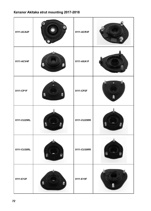| 0111-ACA2F  |   | 0111-ACR3F  |  |
|-------------|---|-------------|--|
| 0111-ACV4F  | Ŵ | 0111-AXA1F  |  |
| 0111-CP1F   |   | 0111-CP2F   |  |
| 0111-CU25RL |   | 0111-CU25RR |  |
| 0111-CU30RL |   | 0111-CU30RR |  |
| 0111-E12F   |   | 0111-E15F   |  |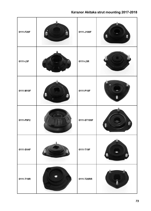| 0111-F20F |   | 0111-J100F  | Ŵ<br>J |
|-----------|---|-------------|--------|
| 0111-L5F  |   | 0111-L5R    |        |
| 0111-M10F | đ | 0111-P10F   |        |
| 0111-P9F2 |   | 0111-ST195F |        |
| 0111-SV4F |   | 0111-T19F   | ŭ.     |
| 0111-T19R |   | 0111-T20RR  | Ш<br>0 |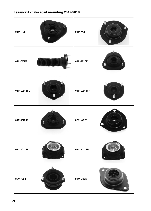| 0111-T25F   | f) | 0111-V3F    |   |
|-------------|----|-------------|---|
| 0111-V3RR   |    | 0111-W10F   |   |
| 0111-ZS15FL |    | 0111-ZS15FR | Ĵ |
| 0111-ZT24F  |    | 0211-A32F   |   |
| 0211-C11FL  |    | 0211-C11FR  |   |
| 0211-C23F   |    | 0211-J32R   |   |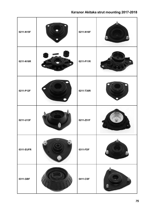| 0211-N15F |          | 0211-N16F |   |
|-----------|----------|-----------|---|
| 0211-N16R |          | 0211-P11R |   |
| 0211-P12F |          | 0211-T30R |   |
| 0211-U13F |          | 0211-Z51F |   |
| 0311-EUFR | 0311-EUP | 0311-FDF  |   |
| 0311-GBF  |          | 0411-CSF  | A |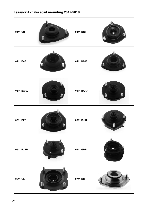| 0411-CUF  | Ě | 0411-DGF  | 9  |
|-----------|---|-----------|----|
| 0411-EAF  |   | 0411-N84F | J, |
| 0511-BARL |   | 0511-BARR |    |
| 0511-BFF  |   | 0511-BJRL |    |
| 0511-BJRR |   | 0511-GDR  |    |
| 0511-GEF  |   | 0711-RCF  |    |